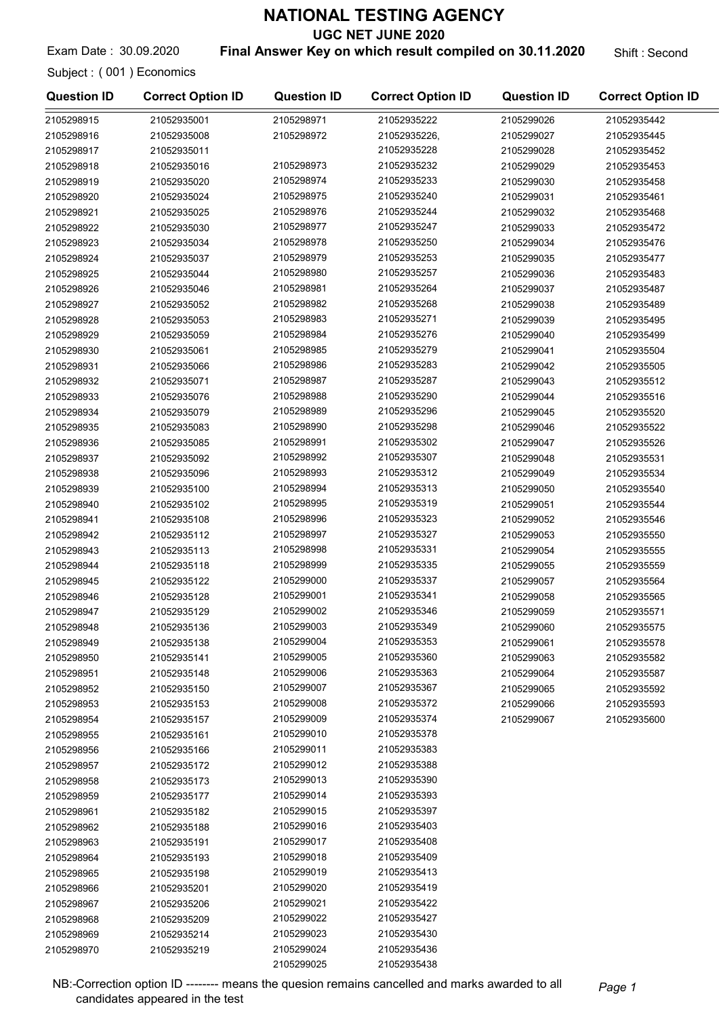UGC NET JUNE 2020

Exam Date: 30.09.2020 **Final Answer Key on which result compiled on 30.11.2020** Shift : Second

Subject : ( 001 ) Economics

| <b>Question ID</b> | <b>Correct Option ID</b> | <b>Question ID</b> | <b>Correct Option ID</b> | <b>Question ID</b> | <b>Correct Option ID</b> |
|--------------------|--------------------------|--------------------|--------------------------|--------------------|--------------------------|
| 2105298915         | 21052935001              | 2105298971         | 21052935222              | 2105299026         | 21052935442              |
| 2105298916         | 21052935008              | 2105298972         | 21052935226,             | 2105299027         | 21052935445              |
| 2105298917         | 21052935011              |                    | 21052935228              | 2105299028         | 21052935452              |
| 2105298918         | 21052935016              | 2105298973         | 21052935232              | 2105299029         | 21052935453              |
| 2105298919         | 21052935020              | 2105298974         | 21052935233              | 2105299030         | 21052935458              |
| 2105298920         | 21052935024              | 2105298975         | 21052935240              | 2105299031         | 21052935461              |
| 2105298921         | 21052935025              | 2105298976         | 21052935244              | 2105299032         | 21052935468              |
| 2105298922         | 21052935030              | 2105298977         | 21052935247              | 2105299033         | 21052935472              |
| 2105298923         | 21052935034              | 2105298978         | 21052935250              | 2105299034         | 21052935476              |
| 2105298924         | 21052935037              | 2105298979         | 21052935253              | 2105299035         | 21052935477              |
| 2105298925         | 21052935044              | 2105298980         | 21052935257              | 2105299036         | 21052935483              |
| 2105298926         | 21052935046              | 2105298981         | 21052935264              | 2105299037         | 21052935487              |
| 2105298927         | 21052935052              | 2105298982         | 21052935268              | 2105299038         | 21052935489              |
| 2105298928         | 21052935053              | 2105298983         | 21052935271              | 2105299039         | 21052935495              |
| 2105298929         | 21052935059              | 2105298984         | 21052935276              | 2105299040         | 21052935499              |
| 2105298930         | 21052935061              | 2105298985         | 21052935279              | 2105299041         | 21052935504              |
| 2105298931         | 21052935066              | 2105298986         | 21052935283              | 2105299042         | 21052935505              |
| 2105298932         | 21052935071              | 2105298987         | 21052935287              | 2105299043         | 21052935512              |
| 2105298933         | 21052935076              | 2105298988         | 21052935290              | 2105299044         | 21052935516              |
| 2105298934         | 21052935079              | 2105298989         | 21052935296              | 2105299045         | 21052935520              |
| 2105298935         | 21052935083              | 2105298990         | 21052935298              | 2105299046         | 21052935522              |
| 2105298936         | 21052935085              | 2105298991         | 21052935302              | 2105299047         | 21052935526              |
| 2105298937         | 21052935092              | 2105298992         | 21052935307              | 2105299048         | 21052935531              |
| 2105298938         | 21052935096              | 2105298993         | 21052935312              | 2105299049         | 21052935534              |
| 2105298939         | 21052935100              | 2105298994         | 21052935313              | 2105299050         | 21052935540              |
| 2105298940         | 21052935102              | 2105298995         | 21052935319              | 2105299051         | 21052935544              |
| 2105298941         | 21052935108              | 2105298996         | 21052935323              | 2105299052         | 21052935546              |
| 2105298942         | 21052935112              | 2105298997         | 21052935327              | 2105299053         | 21052935550              |
| 2105298943         | 21052935113              | 2105298998         | 21052935331              | 2105299054         | 21052935555              |
| 2105298944         | 21052935118              | 2105298999         | 21052935335              | 2105299055         | 21052935559              |
| 2105298945         | 21052935122              | 2105299000         | 21052935337              | 2105299057         | 21052935564              |
| 2105298946         | 21052935128              | 2105299001         | 21052935341              | 2105299058         | 21052935565              |
| 2105298947         | 21052935129              | 2105299002         | 21052935346              | 2105299059         | 21052935571              |
| 2105298948         | 21052935136              | 2105299003         | 21052935349              | 2105299060         | 21052935575              |
| 2105298949         | 21052935138              | 2105299004         | 21052935353              | 2105299061         | 21052935578              |
| 2105298950         | 21052935141              | 2105299005         | 21052935360              | 2105299063         | 21052935582              |
| 2105298951         | 21052935148              | 2105299006         | 21052935363              | 2105299064         | 21052935587              |
| 2105298952         | 21052935150              | 2105299007         | 21052935367              | 2105299065         | 21052935592              |
| 2105298953         | 21052935153              | 2105299008         | 21052935372              | 2105299066         | 21052935593              |
| 2105298954         | 21052935157              | 2105299009         | 21052935374              | 2105299067         | 21052935600              |
| 2105298955         | 21052935161              | 2105299010         | 21052935378              |                    |                          |
| 2105298956         | 21052935166              | 2105299011         | 21052935383              |                    |                          |
| 2105298957         | 21052935172              | 2105299012         | 21052935388              |                    |                          |
| 2105298958         | 21052935173              | 2105299013         | 21052935390              |                    |                          |
| 2105298959         | 21052935177              | 2105299014         | 21052935393              |                    |                          |
| 2105298961         | 21052935182              | 2105299015         | 21052935397              |                    |                          |
| 2105298962         | 21052935188              | 2105299016         | 21052935403              |                    |                          |
| 2105298963         | 21052935191              | 2105299017         | 21052935408              |                    |                          |
| 2105298964         | 21052935193              | 2105299018         | 21052935409              |                    |                          |
| 2105298965         | 21052935198              | 2105299019         | 21052935413              |                    |                          |
| 2105298966         | 21052935201              | 2105299020         | 21052935419              |                    |                          |
| 2105298967         | 21052935206              | 2105299021         | 21052935422              |                    |                          |
| 2105298968         | 21052935209              | 2105299022         | 21052935427              |                    |                          |
| 2105298969         | 21052935214              | 2105299023         | 21052935430              |                    |                          |
| 2105298970         | 21052935219              | 2105299024         | 21052935436              |                    |                          |

2105299025 21052935438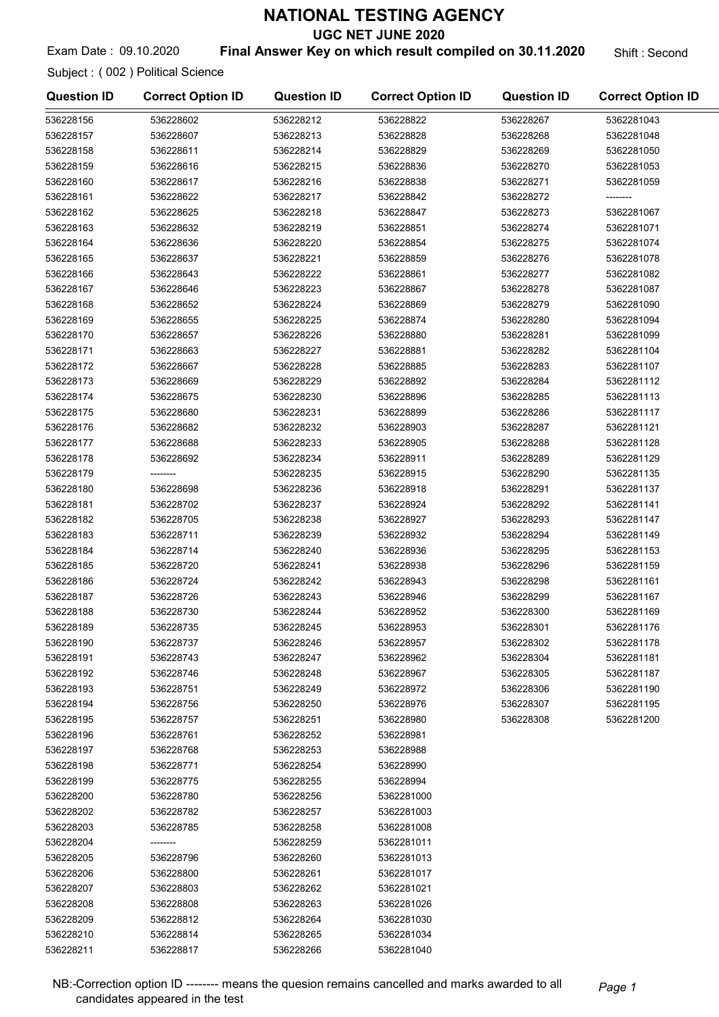UGC NET JUNE 2020

## Exam Date : 09.10.2020 **Final Answer Key on which result compiled on 30.11.2020** Shift : Second

Subject : ( 002 ) Political Science

| <b>Question ID</b> | <b>Correct Option ID</b> | <b>Question ID</b> | <b>Correct Option ID</b> | <b>Question ID</b> | <b>Correct Option ID</b> |
|--------------------|--------------------------|--------------------|--------------------------|--------------------|--------------------------|
| 536228156          | 536228602                | 536228212          | 536228822                | 536228267          | 5362281043               |
| 536228157          | 536228607                | 536228213          | 536228828                | 536228268          | 5362281048               |
| 536228158          | 536228611                | 536228214          | 536228829                | 536228269          | 5362281050               |
| 536228159          | 536228616                | 536228215          | 536228836                | 536228270          | 5362281053               |
| 536228160          | 536228617                | 536228216          | 536228838                | 536228271          | 5362281059               |
| 536228161          | 536228622                | 536228217          | 536228842                | 536228272          |                          |
| 536228162          | 536228625                | 536228218          | 536228847                | 536228273          | 5362281067               |
| 536228163          | 536228632                | 536228219          | 536228851                | 536228274          | 5362281071               |
| 536228164          | 536228636                | 536228220          | 536228854                | 536228275          | 5362281074               |
| 536228165          | 536228637                | 536228221          | 536228859                | 536228276          | 5362281078               |
| 536228166          | 536228643                | 536228222          | 536228861                | 536228277          | 5362281082               |
| 536228167          | 536228646                | 536228223          | 536228867                | 536228278          | 5362281087               |
| 536228168          | 536228652                | 536228224          | 536228869                | 536228279          | 5362281090               |
| 536228169          | 536228655                | 536228225          | 536228874                | 536228280          | 5362281094               |
| 536228170          | 536228657                | 536228226          | 536228880                | 536228281          | 5362281099               |
| 536228171          | 536228663                | 536228227          | 536228881                | 536228282          | 5362281104               |
| 536228172          | 536228667                | 536228228          | 536228885                | 536228283          | 5362281107               |
| 536228173          | 536228669                | 536228229          | 536228892                | 536228284          | 5362281112               |
| 536228174          | 536228675                | 536228230          | 536228896                | 536228285          | 5362281113               |
| 536228175          | 536228680                | 536228231          | 536228899                | 536228286          | 5362281117               |
| 536228176          | 536228682                | 536228232          | 536228903                | 536228287          | 5362281121               |
| 536228177          | 536228688                | 536228233          | 536228905                | 536228288          | 5362281128               |
| 536228178          | 536228692                | 536228234          | 536228911                | 536228289          | 5362281129               |
| 536228179          | --------                 | 536228235          | 536228915                | 536228290          | 5362281135               |
| 536228180          | 536228698                | 536228236          | 536228918                | 536228291          | 5362281137               |
| 536228181          | 536228702                | 536228237          | 536228924                | 536228292          | 5362281141               |
| 536228182          | 536228705                | 536228238          | 536228927                | 536228293          | 5362281147               |
| 536228183          | 536228711                | 536228239          | 536228932                | 536228294          | 5362281149               |
| 536228184          | 536228714                | 536228240          | 536228936                | 536228295          | 5362281153               |
| 536228185          | 536228720                | 536228241          | 536228938                | 536228296          | 5362281159               |
| 536228186          | 536228724                | 536228242          | 536228943                | 536228298          | 5362281161               |
| 536228187          | 536228726                | 536228243          | 536228946                | 536228299          | 5362281167               |
| 536228188          | 536228730                | 536228244          | 536228952                | 536228300          | 5362281169               |
| 536228189          | 536228735                | 536228245          | 536228953                | 536228301          | 5362281176               |
| 536228190          | 536228737                | 536228246          | 536228957                | 536228302          | 5362281178               |
| 536228191          | 536228743                | 536228247          | 536228962                | 536228304          | 5362281181               |
| 536228192          | 536228746                | 536228248          | 536228967                | 536228305          | 5362281187               |
| 536228193          | 536228751                | 536228249          | 536228972                | 536228306          | 5362281190               |
| 536228194          | 536228756                | 536228250          | 536228976                | 536228307          | 5362281195               |
| 536228195          | 536228757                | 536228251          | 536228980                | 536228308          | 5362281200               |
| 536228196          | 536228761                | 536228252          | 536228981                |                    |                          |
| 536228197          | 536228768                | 536228253          | 536228988                |                    |                          |
| 536228198          | 536228771                | 536228254          | 536228990                |                    |                          |
| 536228199          | 536228775                | 536228255          | 536228994                |                    |                          |
| 536228200          | 536228780                | 536228256          | 5362281000               |                    |                          |
| 536228202          | 536228782                | 536228257          | 5362281003               |                    |                          |
| 536228203          | 536228785                | 536228258          | 5362281008               |                    |                          |
| 536228204          | --------                 | 536228259          | 5362281011               |                    |                          |
| 536228205          | 536228796                | 536228260          | 5362281013               |                    |                          |
| 536228206          | 536228800                | 536228261          | 5362281017               |                    |                          |
| 536228207          | 536228803                | 536228262          | 5362281021               |                    |                          |
| 536228208          | 536228808                | 536228263          | 5362281026               |                    |                          |
| 536228209          | 536228812                | 536228264          | 5362281030               |                    |                          |
| 536228210          | 536228814                | 536228265          | 5362281034               |                    |                          |
| 536228211          | 536228817                | 536228266          | 5362281040               |                    |                          |

NB:-Correction option ID -------- means the quesion remains cancelled and marks awarded to all Page 1 candidates appeared in the test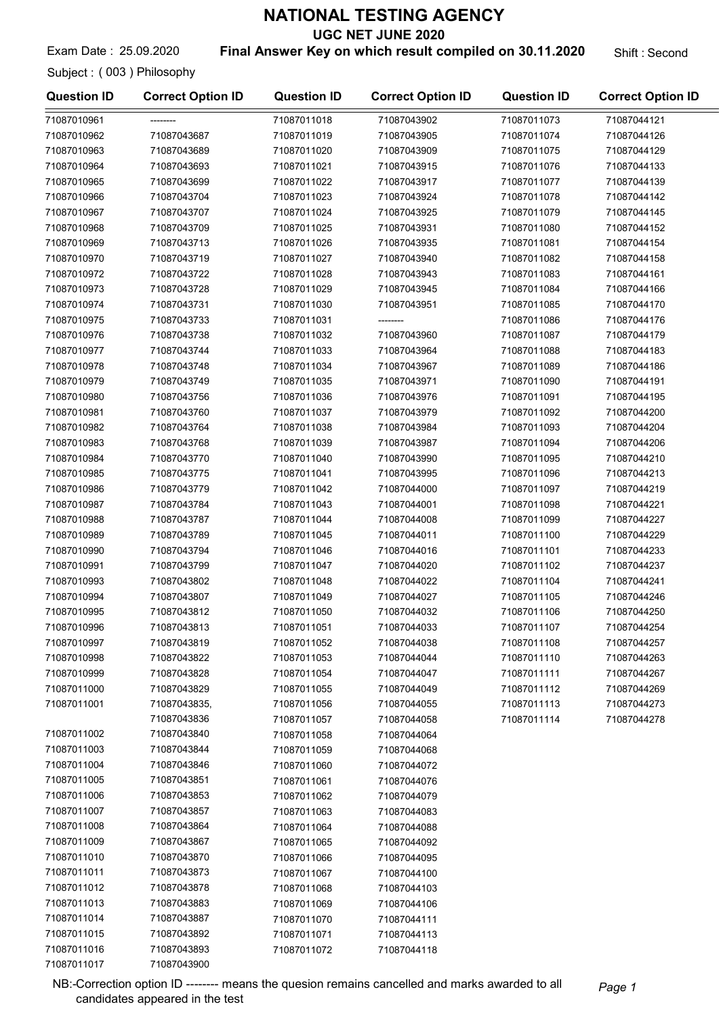UGC NET JUNE 2020

Exam Date : 25.09.2020 **Final Answer Key on which result compiled on 30.11.2020** Shift : Second

Subject : ( 003 ) Philosophy

71087011016 71087043893 71087011017 71087043900

| 71087010961<br>71087011018<br>71087043902<br>71087011073<br>71087044121<br>71087043687<br>71087011019<br>71087043905<br>71087011074<br>71087044126<br>71087043689<br>71087011020<br>71087043909<br>71087011075<br>71087044129<br>71087043693<br>71087011021<br>71087043915<br>71087011076<br>71087044133<br>71087043699<br>71087011022<br>71087043917<br>71087011077<br>71087044139<br>71087043704<br>71087011023<br>71087043924<br>71087011078<br>71087044142<br>71087043707<br>71087011024<br>71087043925<br>71087011079<br>71087044145<br>71087043709<br>71087011025<br>71087043931<br>71087011080<br>71087044152<br>71087043713<br>71087011026<br>71087043935<br>71087011081<br>71087044154<br>71087043719<br>71087011027<br>71087043940<br>71087011082<br>71087044158<br>71087043722<br>71087011028<br>71087043943<br>71087011083<br>71087044161<br>71087043728<br>71087011029<br>71087043945<br>71087011084<br>71087044166<br>71087043731<br>71087011030<br>71087043951<br>71087011085<br>71087044170<br>71087043733<br>71087011031<br>71087011086<br>71087044176<br>71087043738<br>71087011032<br>71087043960<br>71087011087<br>71087044179<br>71087043744<br>71087011033<br>71087043964<br>71087011088<br>71087044183<br>71087043748<br>71087011034<br>71087043967<br>71087011089<br>71087044186<br>71087043749<br>71087011035<br>71087043971<br>71087011090<br>71087044191<br>71087043756<br>71087011036<br>71087043976<br>71087011091<br>71087044195<br>71087010981<br>71087043760<br>71087011037<br>71087043979<br>71087011092<br>71087044200<br>71087010982<br>71087043764<br>71087011038<br>71087043984<br>71087011093<br>71087044204<br>71087010983<br>71087043768<br>71087011039<br>71087043987<br>71087011094<br>71087044206<br>71087010984<br>71087043770<br>71087011040<br>71087043990<br>71087011095<br>71087044210<br>71087010985<br>71087043775<br>71087011041<br>71087043995<br>71087011096<br>71087044213<br>71087010986<br>71087043779<br>71087011042<br>71087044000<br>71087011097<br>71087044219<br>71087010987<br>71087043784<br>71087011043<br>71087044001<br>71087011098<br>71087044221<br>71087010988<br>71087043787<br>71087011044<br>71087044008<br>71087011099<br>71087044227<br>71087010989<br>71087043789<br>71087011045<br>71087044011<br>71087011100<br>71087044229<br>71087010990<br>71087043794<br>71087011046<br>71087044016<br>71087011101<br>71087044233<br>71087010991<br>71087043799<br>71087011102<br>71087044237<br>71087011047<br>71087044020<br>71087010993<br>71087043802<br>71087044022<br>71087011104<br>71087044241<br>71087011048<br>71087010994<br>71087011105<br>71087044246<br>71087043807<br>71087011049<br>71087044027<br>71087010995<br>71087043812<br>71087011050<br>71087044032<br>71087011106<br>71087044250<br>71087010996<br>71087043813<br>71087011051<br>71087044033<br>71087011107<br>71087044254<br>71087010997<br>71087043819<br>71087011052<br>71087044038<br>71087011108<br>71087044257<br>71087010998<br>71087043822<br>71087011053<br>71087044044<br>71087011110<br>71087044263<br>71087010999<br>71087043828<br>71087011054<br>71087044047<br>71087011111<br>71087044267<br>71087011000<br>71087043829<br>71087011112<br>71087044269<br>71087011055<br>71087044049<br>71087011001<br>71087043835,<br>71087044273<br>71087011056<br>71087044055<br>71087011113<br>71087043836<br>71087011114<br>71087044278<br>71087011057<br>71087044058<br>71087011002<br>71087043840<br>71087011058<br>71087044064<br>71087011003<br>71087043844<br>71087011059<br>71087044068<br>71087011004<br>71087043846<br>71087011060<br>71087044072<br>71087011005<br>71087043851<br>71087011061<br>71087044076<br>71087011006<br>71087043853<br>71087011062<br>71087044079<br>71087011007<br>71087043857<br>71087011063<br>71087044083<br>71087011008<br>71087043864<br>71087011064<br>71087044088<br>71087011009<br>71087043867<br>71087011065<br>71087044092<br>71087011010<br>71087043870<br>71087011066<br>71087044095<br>71087011011<br>71087043873<br>71087011067<br>71087044100<br>71087011012<br>71087043878<br>71087011068<br>71087044103<br>71087011013<br>71087043883<br>71087011069<br>71087044106<br>71087011014<br>71087043887<br>71087011070<br>71087044111<br>71087011015<br>71087043892<br>71087011071<br>71087044113 | <b>Question ID</b> | <b>Correct Option ID</b> | <b>Question ID</b> | <b>Correct Option ID</b> | <b>Question ID</b> | <b>Correct Option ID</b> |
|--------------------------------------------------------------------------------------------------------------------------------------------------------------------------------------------------------------------------------------------------------------------------------------------------------------------------------------------------------------------------------------------------------------------------------------------------------------------------------------------------------------------------------------------------------------------------------------------------------------------------------------------------------------------------------------------------------------------------------------------------------------------------------------------------------------------------------------------------------------------------------------------------------------------------------------------------------------------------------------------------------------------------------------------------------------------------------------------------------------------------------------------------------------------------------------------------------------------------------------------------------------------------------------------------------------------------------------------------------------------------------------------------------------------------------------------------------------------------------------------------------------------------------------------------------------------------------------------------------------------------------------------------------------------------------------------------------------------------------------------------------------------------------------------------------------------------------------------------------------------------------------------------------------------------------------------------------------------------------------------------------------------------------------------------------------------------------------------------------------------------------------------------------------------------------------------------------------------------------------------------------------------------------------------------------------------------------------------------------------------------------------------------------------------------------------------------------------------------------------------------------------------------------------------------------------------------------------------------------------------------------------------------------------------------------------------------------------------------------------------------------------------------------------------------------------------------------------------------------------------------------------------------------------------------------------------------------------------------------------------------------------------------------------------------------------------------------------------------------------------------------------------------------------------------------------------------------------------------------------------------------------------------------------------------------------------------------------------------------------------------------------------------------------------------------------------------------------------------------------------------------------------------------------------------------------------------------------------------------------------------------------------------------------------------------------------------------------------------------------------------------------------------------------------------------------------------------------------------------------------------------------------------------------------------------------------------------------------------------------------------------------------------------------------------------------------------------------------------------------------------------------------------------------------------------------------------------------------------------------------------------------------------------------------|--------------------|--------------------------|--------------------|--------------------------|--------------------|--------------------------|
|                                                                                                                                                                                                                                                                                                                                                                                                                                                                                                                                                                                                                                                                                                                                                                                                                                                                                                                                                                                                                                                                                                                                                                                                                                                                                                                                                                                                                                                                                                                                                                                                                                                                                                                                                                                                                                                                                                                                                                                                                                                                                                                                                                                                                                                                                                                                                                                                                                                                                                                                                                                                                                                                                                                                                                                                                                                                                                                                                                                                                                                                                                                                                                                                                                                                                                                                                                                                                                                                                                                                                                                                                                                                                                                                                                                                                                                                                                                                                                                                                                                                                                                                                                                                                                                                                            |                    |                          |                    |                          |                    |                          |
|                                                                                                                                                                                                                                                                                                                                                                                                                                                                                                                                                                                                                                                                                                                                                                                                                                                                                                                                                                                                                                                                                                                                                                                                                                                                                                                                                                                                                                                                                                                                                                                                                                                                                                                                                                                                                                                                                                                                                                                                                                                                                                                                                                                                                                                                                                                                                                                                                                                                                                                                                                                                                                                                                                                                                                                                                                                                                                                                                                                                                                                                                                                                                                                                                                                                                                                                                                                                                                                                                                                                                                                                                                                                                                                                                                                                                                                                                                                                                                                                                                                                                                                                                                                                                                                                                            | 71087010962        |                          |                    |                          |                    |                          |
|                                                                                                                                                                                                                                                                                                                                                                                                                                                                                                                                                                                                                                                                                                                                                                                                                                                                                                                                                                                                                                                                                                                                                                                                                                                                                                                                                                                                                                                                                                                                                                                                                                                                                                                                                                                                                                                                                                                                                                                                                                                                                                                                                                                                                                                                                                                                                                                                                                                                                                                                                                                                                                                                                                                                                                                                                                                                                                                                                                                                                                                                                                                                                                                                                                                                                                                                                                                                                                                                                                                                                                                                                                                                                                                                                                                                                                                                                                                                                                                                                                                                                                                                                                                                                                                                                            | 71087010963        |                          |                    |                          |                    |                          |
|                                                                                                                                                                                                                                                                                                                                                                                                                                                                                                                                                                                                                                                                                                                                                                                                                                                                                                                                                                                                                                                                                                                                                                                                                                                                                                                                                                                                                                                                                                                                                                                                                                                                                                                                                                                                                                                                                                                                                                                                                                                                                                                                                                                                                                                                                                                                                                                                                                                                                                                                                                                                                                                                                                                                                                                                                                                                                                                                                                                                                                                                                                                                                                                                                                                                                                                                                                                                                                                                                                                                                                                                                                                                                                                                                                                                                                                                                                                                                                                                                                                                                                                                                                                                                                                                                            | 71087010964        |                          |                    |                          |                    |                          |
|                                                                                                                                                                                                                                                                                                                                                                                                                                                                                                                                                                                                                                                                                                                                                                                                                                                                                                                                                                                                                                                                                                                                                                                                                                                                                                                                                                                                                                                                                                                                                                                                                                                                                                                                                                                                                                                                                                                                                                                                                                                                                                                                                                                                                                                                                                                                                                                                                                                                                                                                                                                                                                                                                                                                                                                                                                                                                                                                                                                                                                                                                                                                                                                                                                                                                                                                                                                                                                                                                                                                                                                                                                                                                                                                                                                                                                                                                                                                                                                                                                                                                                                                                                                                                                                                                            | 71087010965        |                          |                    |                          |                    |                          |
|                                                                                                                                                                                                                                                                                                                                                                                                                                                                                                                                                                                                                                                                                                                                                                                                                                                                                                                                                                                                                                                                                                                                                                                                                                                                                                                                                                                                                                                                                                                                                                                                                                                                                                                                                                                                                                                                                                                                                                                                                                                                                                                                                                                                                                                                                                                                                                                                                                                                                                                                                                                                                                                                                                                                                                                                                                                                                                                                                                                                                                                                                                                                                                                                                                                                                                                                                                                                                                                                                                                                                                                                                                                                                                                                                                                                                                                                                                                                                                                                                                                                                                                                                                                                                                                                                            | 71087010966        |                          |                    |                          |                    |                          |
|                                                                                                                                                                                                                                                                                                                                                                                                                                                                                                                                                                                                                                                                                                                                                                                                                                                                                                                                                                                                                                                                                                                                                                                                                                                                                                                                                                                                                                                                                                                                                                                                                                                                                                                                                                                                                                                                                                                                                                                                                                                                                                                                                                                                                                                                                                                                                                                                                                                                                                                                                                                                                                                                                                                                                                                                                                                                                                                                                                                                                                                                                                                                                                                                                                                                                                                                                                                                                                                                                                                                                                                                                                                                                                                                                                                                                                                                                                                                                                                                                                                                                                                                                                                                                                                                                            | 71087010967        |                          |                    |                          |                    |                          |
|                                                                                                                                                                                                                                                                                                                                                                                                                                                                                                                                                                                                                                                                                                                                                                                                                                                                                                                                                                                                                                                                                                                                                                                                                                                                                                                                                                                                                                                                                                                                                                                                                                                                                                                                                                                                                                                                                                                                                                                                                                                                                                                                                                                                                                                                                                                                                                                                                                                                                                                                                                                                                                                                                                                                                                                                                                                                                                                                                                                                                                                                                                                                                                                                                                                                                                                                                                                                                                                                                                                                                                                                                                                                                                                                                                                                                                                                                                                                                                                                                                                                                                                                                                                                                                                                                            | 71087010968        |                          |                    |                          |                    |                          |
|                                                                                                                                                                                                                                                                                                                                                                                                                                                                                                                                                                                                                                                                                                                                                                                                                                                                                                                                                                                                                                                                                                                                                                                                                                                                                                                                                                                                                                                                                                                                                                                                                                                                                                                                                                                                                                                                                                                                                                                                                                                                                                                                                                                                                                                                                                                                                                                                                                                                                                                                                                                                                                                                                                                                                                                                                                                                                                                                                                                                                                                                                                                                                                                                                                                                                                                                                                                                                                                                                                                                                                                                                                                                                                                                                                                                                                                                                                                                                                                                                                                                                                                                                                                                                                                                                            | 71087010969        |                          |                    |                          |                    |                          |
|                                                                                                                                                                                                                                                                                                                                                                                                                                                                                                                                                                                                                                                                                                                                                                                                                                                                                                                                                                                                                                                                                                                                                                                                                                                                                                                                                                                                                                                                                                                                                                                                                                                                                                                                                                                                                                                                                                                                                                                                                                                                                                                                                                                                                                                                                                                                                                                                                                                                                                                                                                                                                                                                                                                                                                                                                                                                                                                                                                                                                                                                                                                                                                                                                                                                                                                                                                                                                                                                                                                                                                                                                                                                                                                                                                                                                                                                                                                                                                                                                                                                                                                                                                                                                                                                                            | 71087010970        |                          |                    |                          |                    |                          |
|                                                                                                                                                                                                                                                                                                                                                                                                                                                                                                                                                                                                                                                                                                                                                                                                                                                                                                                                                                                                                                                                                                                                                                                                                                                                                                                                                                                                                                                                                                                                                                                                                                                                                                                                                                                                                                                                                                                                                                                                                                                                                                                                                                                                                                                                                                                                                                                                                                                                                                                                                                                                                                                                                                                                                                                                                                                                                                                                                                                                                                                                                                                                                                                                                                                                                                                                                                                                                                                                                                                                                                                                                                                                                                                                                                                                                                                                                                                                                                                                                                                                                                                                                                                                                                                                                            | 71087010972        |                          |                    |                          |                    |                          |
|                                                                                                                                                                                                                                                                                                                                                                                                                                                                                                                                                                                                                                                                                                                                                                                                                                                                                                                                                                                                                                                                                                                                                                                                                                                                                                                                                                                                                                                                                                                                                                                                                                                                                                                                                                                                                                                                                                                                                                                                                                                                                                                                                                                                                                                                                                                                                                                                                                                                                                                                                                                                                                                                                                                                                                                                                                                                                                                                                                                                                                                                                                                                                                                                                                                                                                                                                                                                                                                                                                                                                                                                                                                                                                                                                                                                                                                                                                                                                                                                                                                                                                                                                                                                                                                                                            | 71087010973        |                          |                    |                          |                    |                          |
|                                                                                                                                                                                                                                                                                                                                                                                                                                                                                                                                                                                                                                                                                                                                                                                                                                                                                                                                                                                                                                                                                                                                                                                                                                                                                                                                                                                                                                                                                                                                                                                                                                                                                                                                                                                                                                                                                                                                                                                                                                                                                                                                                                                                                                                                                                                                                                                                                                                                                                                                                                                                                                                                                                                                                                                                                                                                                                                                                                                                                                                                                                                                                                                                                                                                                                                                                                                                                                                                                                                                                                                                                                                                                                                                                                                                                                                                                                                                                                                                                                                                                                                                                                                                                                                                                            | 71087010974        |                          |                    |                          |                    |                          |
|                                                                                                                                                                                                                                                                                                                                                                                                                                                                                                                                                                                                                                                                                                                                                                                                                                                                                                                                                                                                                                                                                                                                                                                                                                                                                                                                                                                                                                                                                                                                                                                                                                                                                                                                                                                                                                                                                                                                                                                                                                                                                                                                                                                                                                                                                                                                                                                                                                                                                                                                                                                                                                                                                                                                                                                                                                                                                                                                                                                                                                                                                                                                                                                                                                                                                                                                                                                                                                                                                                                                                                                                                                                                                                                                                                                                                                                                                                                                                                                                                                                                                                                                                                                                                                                                                            | 71087010975        |                          |                    |                          |                    |                          |
|                                                                                                                                                                                                                                                                                                                                                                                                                                                                                                                                                                                                                                                                                                                                                                                                                                                                                                                                                                                                                                                                                                                                                                                                                                                                                                                                                                                                                                                                                                                                                                                                                                                                                                                                                                                                                                                                                                                                                                                                                                                                                                                                                                                                                                                                                                                                                                                                                                                                                                                                                                                                                                                                                                                                                                                                                                                                                                                                                                                                                                                                                                                                                                                                                                                                                                                                                                                                                                                                                                                                                                                                                                                                                                                                                                                                                                                                                                                                                                                                                                                                                                                                                                                                                                                                                            | 71087010976        |                          |                    |                          |                    |                          |
|                                                                                                                                                                                                                                                                                                                                                                                                                                                                                                                                                                                                                                                                                                                                                                                                                                                                                                                                                                                                                                                                                                                                                                                                                                                                                                                                                                                                                                                                                                                                                                                                                                                                                                                                                                                                                                                                                                                                                                                                                                                                                                                                                                                                                                                                                                                                                                                                                                                                                                                                                                                                                                                                                                                                                                                                                                                                                                                                                                                                                                                                                                                                                                                                                                                                                                                                                                                                                                                                                                                                                                                                                                                                                                                                                                                                                                                                                                                                                                                                                                                                                                                                                                                                                                                                                            | 71087010977        |                          |                    |                          |                    |                          |
|                                                                                                                                                                                                                                                                                                                                                                                                                                                                                                                                                                                                                                                                                                                                                                                                                                                                                                                                                                                                                                                                                                                                                                                                                                                                                                                                                                                                                                                                                                                                                                                                                                                                                                                                                                                                                                                                                                                                                                                                                                                                                                                                                                                                                                                                                                                                                                                                                                                                                                                                                                                                                                                                                                                                                                                                                                                                                                                                                                                                                                                                                                                                                                                                                                                                                                                                                                                                                                                                                                                                                                                                                                                                                                                                                                                                                                                                                                                                                                                                                                                                                                                                                                                                                                                                                            | 71087010978        |                          |                    |                          |                    |                          |
|                                                                                                                                                                                                                                                                                                                                                                                                                                                                                                                                                                                                                                                                                                                                                                                                                                                                                                                                                                                                                                                                                                                                                                                                                                                                                                                                                                                                                                                                                                                                                                                                                                                                                                                                                                                                                                                                                                                                                                                                                                                                                                                                                                                                                                                                                                                                                                                                                                                                                                                                                                                                                                                                                                                                                                                                                                                                                                                                                                                                                                                                                                                                                                                                                                                                                                                                                                                                                                                                                                                                                                                                                                                                                                                                                                                                                                                                                                                                                                                                                                                                                                                                                                                                                                                                                            | 71087010979        |                          |                    |                          |                    |                          |
|                                                                                                                                                                                                                                                                                                                                                                                                                                                                                                                                                                                                                                                                                                                                                                                                                                                                                                                                                                                                                                                                                                                                                                                                                                                                                                                                                                                                                                                                                                                                                                                                                                                                                                                                                                                                                                                                                                                                                                                                                                                                                                                                                                                                                                                                                                                                                                                                                                                                                                                                                                                                                                                                                                                                                                                                                                                                                                                                                                                                                                                                                                                                                                                                                                                                                                                                                                                                                                                                                                                                                                                                                                                                                                                                                                                                                                                                                                                                                                                                                                                                                                                                                                                                                                                                                            | 71087010980        |                          |                    |                          |                    |                          |
|                                                                                                                                                                                                                                                                                                                                                                                                                                                                                                                                                                                                                                                                                                                                                                                                                                                                                                                                                                                                                                                                                                                                                                                                                                                                                                                                                                                                                                                                                                                                                                                                                                                                                                                                                                                                                                                                                                                                                                                                                                                                                                                                                                                                                                                                                                                                                                                                                                                                                                                                                                                                                                                                                                                                                                                                                                                                                                                                                                                                                                                                                                                                                                                                                                                                                                                                                                                                                                                                                                                                                                                                                                                                                                                                                                                                                                                                                                                                                                                                                                                                                                                                                                                                                                                                                            |                    |                          |                    |                          |                    |                          |
|                                                                                                                                                                                                                                                                                                                                                                                                                                                                                                                                                                                                                                                                                                                                                                                                                                                                                                                                                                                                                                                                                                                                                                                                                                                                                                                                                                                                                                                                                                                                                                                                                                                                                                                                                                                                                                                                                                                                                                                                                                                                                                                                                                                                                                                                                                                                                                                                                                                                                                                                                                                                                                                                                                                                                                                                                                                                                                                                                                                                                                                                                                                                                                                                                                                                                                                                                                                                                                                                                                                                                                                                                                                                                                                                                                                                                                                                                                                                                                                                                                                                                                                                                                                                                                                                                            |                    |                          |                    |                          |                    |                          |
|                                                                                                                                                                                                                                                                                                                                                                                                                                                                                                                                                                                                                                                                                                                                                                                                                                                                                                                                                                                                                                                                                                                                                                                                                                                                                                                                                                                                                                                                                                                                                                                                                                                                                                                                                                                                                                                                                                                                                                                                                                                                                                                                                                                                                                                                                                                                                                                                                                                                                                                                                                                                                                                                                                                                                                                                                                                                                                                                                                                                                                                                                                                                                                                                                                                                                                                                                                                                                                                                                                                                                                                                                                                                                                                                                                                                                                                                                                                                                                                                                                                                                                                                                                                                                                                                                            |                    |                          |                    |                          |                    |                          |
|                                                                                                                                                                                                                                                                                                                                                                                                                                                                                                                                                                                                                                                                                                                                                                                                                                                                                                                                                                                                                                                                                                                                                                                                                                                                                                                                                                                                                                                                                                                                                                                                                                                                                                                                                                                                                                                                                                                                                                                                                                                                                                                                                                                                                                                                                                                                                                                                                                                                                                                                                                                                                                                                                                                                                                                                                                                                                                                                                                                                                                                                                                                                                                                                                                                                                                                                                                                                                                                                                                                                                                                                                                                                                                                                                                                                                                                                                                                                                                                                                                                                                                                                                                                                                                                                                            |                    |                          |                    |                          |                    |                          |
|                                                                                                                                                                                                                                                                                                                                                                                                                                                                                                                                                                                                                                                                                                                                                                                                                                                                                                                                                                                                                                                                                                                                                                                                                                                                                                                                                                                                                                                                                                                                                                                                                                                                                                                                                                                                                                                                                                                                                                                                                                                                                                                                                                                                                                                                                                                                                                                                                                                                                                                                                                                                                                                                                                                                                                                                                                                                                                                                                                                                                                                                                                                                                                                                                                                                                                                                                                                                                                                                                                                                                                                                                                                                                                                                                                                                                                                                                                                                                                                                                                                                                                                                                                                                                                                                                            |                    |                          |                    |                          |                    |                          |
|                                                                                                                                                                                                                                                                                                                                                                                                                                                                                                                                                                                                                                                                                                                                                                                                                                                                                                                                                                                                                                                                                                                                                                                                                                                                                                                                                                                                                                                                                                                                                                                                                                                                                                                                                                                                                                                                                                                                                                                                                                                                                                                                                                                                                                                                                                                                                                                                                                                                                                                                                                                                                                                                                                                                                                                                                                                                                                                                                                                                                                                                                                                                                                                                                                                                                                                                                                                                                                                                                                                                                                                                                                                                                                                                                                                                                                                                                                                                                                                                                                                                                                                                                                                                                                                                                            |                    |                          |                    |                          |                    |                          |
|                                                                                                                                                                                                                                                                                                                                                                                                                                                                                                                                                                                                                                                                                                                                                                                                                                                                                                                                                                                                                                                                                                                                                                                                                                                                                                                                                                                                                                                                                                                                                                                                                                                                                                                                                                                                                                                                                                                                                                                                                                                                                                                                                                                                                                                                                                                                                                                                                                                                                                                                                                                                                                                                                                                                                                                                                                                                                                                                                                                                                                                                                                                                                                                                                                                                                                                                                                                                                                                                                                                                                                                                                                                                                                                                                                                                                                                                                                                                                                                                                                                                                                                                                                                                                                                                                            |                    |                          |                    |                          |                    |                          |
|                                                                                                                                                                                                                                                                                                                                                                                                                                                                                                                                                                                                                                                                                                                                                                                                                                                                                                                                                                                                                                                                                                                                                                                                                                                                                                                                                                                                                                                                                                                                                                                                                                                                                                                                                                                                                                                                                                                                                                                                                                                                                                                                                                                                                                                                                                                                                                                                                                                                                                                                                                                                                                                                                                                                                                                                                                                                                                                                                                                                                                                                                                                                                                                                                                                                                                                                                                                                                                                                                                                                                                                                                                                                                                                                                                                                                                                                                                                                                                                                                                                                                                                                                                                                                                                                                            |                    |                          |                    |                          |                    |                          |
|                                                                                                                                                                                                                                                                                                                                                                                                                                                                                                                                                                                                                                                                                                                                                                                                                                                                                                                                                                                                                                                                                                                                                                                                                                                                                                                                                                                                                                                                                                                                                                                                                                                                                                                                                                                                                                                                                                                                                                                                                                                                                                                                                                                                                                                                                                                                                                                                                                                                                                                                                                                                                                                                                                                                                                                                                                                                                                                                                                                                                                                                                                                                                                                                                                                                                                                                                                                                                                                                                                                                                                                                                                                                                                                                                                                                                                                                                                                                                                                                                                                                                                                                                                                                                                                                                            |                    |                          |                    |                          |                    |                          |
|                                                                                                                                                                                                                                                                                                                                                                                                                                                                                                                                                                                                                                                                                                                                                                                                                                                                                                                                                                                                                                                                                                                                                                                                                                                                                                                                                                                                                                                                                                                                                                                                                                                                                                                                                                                                                                                                                                                                                                                                                                                                                                                                                                                                                                                                                                                                                                                                                                                                                                                                                                                                                                                                                                                                                                                                                                                                                                                                                                                                                                                                                                                                                                                                                                                                                                                                                                                                                                                                                                                                                                                                                                                                                                                                                                                                                                                                                                                                                                                                                                                                                                                                                                                                                                                                                            |                    |                          |                    |                          |                    |                          |
|                                                                                                                                                                                                                                                                                                                                                                                                                                                                                                                                                                                                                                                                                                                                                                                                                                                                                                                                                                                                                                                                                                                                                                                                                                                                                                                                                                                                                                                                                                                                                                                                                                                                                                                                                                                                                                                                                                                                                                                                                                                                                                                                                                                                                                                                                                                                                                                                                                                                                                                                                                                                                                                                                                                                                                                                                                                                                                                                                                                                                                                                                                                                                                                                                                                                                                                                                                                                                                                                                                                                                                                                                                                                                                                                                                                                                                                                                                                                                                                                                                                                                                                                                                                                                                                                                            |                    |                          |                    |                          |                    |                          |
|                                                                                                                                                                                                                                                                                                                                                                                                                                                                                                                                                                                                                                                                                                                                                                                                                                                                                                                                                                                                                                                                                                                                                                                                                                                                                                                                                                                                                                                                                                                                                                                                                                                                                                                                                                                                                                                                                                                                                                                                                                                                                                                                                                                                                                                                                                                                                                                                                                                                                                                                                                                                                                                                                                                                                                                                                                                                                                                                                                                                                                                                                                                                                                                                                                                                                                                                                                                                                                                                                                                                                                                                                                                                                                                                                                                                                                                                                                                                                                                                                                                                                                                                                                                                                                                                                            |                    |                          |                    |                          |                    |                          |
|                                                                                                                                                                                                                                                                                                                                                                                                                                                                                                                                                                                                                                                                                                                                                                                                                                                                                                                                                                                                                                                                                                                                                                                                                                                                                                                                                                                                                                                                                                                                                                                                                                                                                                                                                                                                                                                                                                                                                                                                                                                                                                                                                                                                                                                                                                                                                                                                                                                                                                                                                                                                                                                                                                                                                                                                                                                                                                                                                                                                                                                                                                                                                                                                                                                                                                                                                                                                                                                                                                                                                                                                                                                                                                                                                                                                                                                                                                                                                                                                                                                                                                                                                                                                                                                                                            |                    |                          |                    |                          |                    |                          |
|                                                                                                                                                                                                                                                                                                                                                                                                                                                                                                                                                                                                                                                                                                                                                                                                                                                                                                                                                                                                                                                                                                                                                                                                                                                                                                                                                                                                                                                                                                                                                                                                                                                                                                                                                                                                                                                                                                                                                                                                                                                                                                                                                                                                                                                                                                                                                                                                                                                                                                                                                                                                                                                                                                                                                                                                                                                                                                                                                                                                                                                                                                                                                                                                                                                                                                                                                                                                                                                                                                                                                                                                                                                                                                                                                                                                                                                                                                                                                                                                                                                                                                                                                                                                                                                                                            |                    |                          |                    |                          |                    |                          |
|                                                                                                                                                                                                                                                                                                                                                                                                                                                                                                                                                                                                                                                                                                                                                                                                                                                                                                                                                                                                                                                                                                                                                                                                                                                                                                                                                                                                                                                                                                                                                                                                                                                                                                                                                                                                                                                                                                                                                                                                                                                                                                                                                                                                                                                                                                                                                                                                                                                                                                                                                                                                                                                                                                                                                                                                                                                                                                                                                                                                                                                                                                                                                                                                                                                                                                                                                                                                                                                                                                                                                                                                                                                                                                                                                                                                                                                                                                                                                                                                                                                                                                                                                                                                                                                                                            |                    |                          |                    |                          |                    |                          |
|                                                                                                                                                                                                                                                                                                                                                                                                                                                                                                                                                                                                                                                                                                                                                                                                                                                                                                                                                                                                                                                                                                                                                                                                                                                                                                                                                                                                                                                                                                                                                                                                                                                                                                                                                                                                                                                                                                                                                                                                                                                                                                                                                                                                                                                                                                                                                                                                                                                                                                                                                                                                                                                                                                                                                                                                                                                                                                                                                                                                                                                                                                                                                                                                                                                                                                                                                                                                                                                                                                                                                                                                                                                                                                                                                                                                                                                                                                                                                                                                                                                                                                                                                                                                                                                                                            |                    |                          |                    |                          |                    |                          |
|                                                                                                                                                                                                                                                                                                                                                                                                                                                                                                                                                                                                                                                                                                                                                                                                                                                                                                                                                                                                                                                                                                                                                                                                                                                                                                                                                                                                                                                                                                                                                                                                                                                                                                                                                                                                                                                                                                                                                                                                                                                                                                                                                                                                                                                                                                                                                                                                                                                                                                                                                                                                                                                                                                                                                                                                                                                                                                                                                                                                                                                                                                                                                                                                                                                                                                                                                                                                                                                                                                                                                                                                                                                                                                                                                                                                                                                                                                                                                                                                                                                                                                                                                                                                                                                                                            |                    |                          |                    |                          |                    |                          |
|                                                                                                                                                                                                                                                                                                                                                                                                                                                                                                                                                                                                                                                                                                                                                                                                                                                                                                                                                                                                                                                                                                                                                                                                                                                                                                                                                                                                                                                                                                                                                                                                                                                                                                                                                                                                                                                                                                                                                                                                                                                                                                                                                                                                                                                                                                                                                                                                                                                                                                                                                                                                                                                                                                                                                                                                                                                                                                                                                                                                                                                                                                                                                                                                                                                                                                                                                                                                                                                                                                                                                                                                                                                                                                                                                                                                                                                                                                                                                                                                                                                                                                                                                                                                                                                                                            |                    |                          |                    |                          |                    |                          |
|                                                                                                                                                                                                                                                                                                                                                                                                                                                                                                                                                                                                                                                                                                                                                                                                                                                                                                                                                                                                                                                                                                                                                                                                                                                                                                                                                                                                                                                                                                                                                                                                                                                                                                                                                                                                                                                                                                                                                                                                                                                                                                                                                                                                                                                                                                                                                                                                                                                                                                                                                                                                                                                                                                                                                                                                                                                                                                                                                                                                                                                                                                                                                                                                                                                                                                                                                                                                                                                                                                                                                                                                                                                                                                                                                                                                                                                                                                                                                                                                                                                                                                                                                                                                                                                                                            |                    |                          |                    |                          |                    |                          |
|                                                                                                                                                                                                                                                                                                                                                                                                                                                                                                                                                                                                                                                                                                                                                                                                                                                                                                                                                                                                                                                                                                                                                                                                                                                                                                                                                                                                                                                                                                                                                                                                                                                                                                                                                                                                                                                                                                                                                                                                                                                                                                                                                                                                                                                                                                                                                                                                                                                                                                                                                                                                                                                                                                                                                                                                                                                                                                                                                                                                                                                                                                                                                                                                                                                                                                                                                                                                                                                                                                                                                                                                                                                                                                                                                                                                                                                                                                                                                                                                                                                                                                                                                                                                                                                                                            |                    |                          |                    |                          |                    |                          |
|                                                                                                                                                                                                                                                                                                                                                                                                                                                                                                                                                                                                                                                                                                                                                                                                                                                                                                                                                                                                                                                                                                                                                                                                                                                                                                                                                                                                                                                                                                                                                                                                                                                                                                                                                                                                                                                                                                                                                                                                                                                                                                                                                                                                                                                                                                                                                                                                                                                                                                                                                                                                                                                                                                                                                                                                                                                                                                                                                                                                                                                                                                                                                                                                                                                                                                                                                                                                                                                                                                                                                                                                                                                                                                                                                                                                                                                                                                                                                                                                                                                                                                                                                                                                                                                                                            |                    |                          |                    |                          |                    |                          |
|                                                                                                                                                                                                                                                                                                                                                                                                                                                                                                                                                                                                                                                                                                                                                                                                                                                                                                                                                                                                                                                                                                                                                                                                                                                                                                                                                                                                                                                                                                                                                                                                                                                                                                                                                                                                                                                                                                                                                                                                                                                                                                                                                                                                                                                                                                                                                                                                                                                                                                                                                                                                                                                                                                                                                                                                                                                                                                                                                                                                                                                                                                                                                                                                                                                                                                                                                                                                                                                                                                                                                                                                                                                                                                                                                                                                                                                                                                                                                                                                                                                                                                                                                                                                                                                                                            |                    |                          |                    |                          |                    |                          |
|                                                                                                                                                                                                                                                                                                                                                                                                                                                                                                                                                                                                                                                                                                                                                                                                                                                                                                                                                                                                                                                                                                                                                                                                                                                                                                                                                                                                                                                                                                                                                                                                                                                                                                                                                                                                                                                                                                                                                                                                                                                                                                                                                                                                                                                                                                                                                                                                                                                                                                                                                                                                                                                                                                                                                                                                                                                                                                                                                                                                                                                                                                                                                                                                                                                                                                                                                                                                                                                                                                                                                                                                                                                                                                                                                                                                                                                                                                                                                                                                                                                                                                                                                                                                                                                                                            |                    |                          |                    |                          |                    |                          |
|                                                                                                                                                                                                                                                                                                                                                                                                                                                                                                                                                                                                                                                                                                                                                                                                                                                                                                                                                                                                                                                                                                                                                                                                                                                                                                                                                                                                                                                                                                                                                                                                                                                                                                                                                                                                                                                                                                                                                                                                                                                                                                                                                                                                                                                                                                                                                                                                                                                                                                                                                                                                                                                                                                                                                                                                                                                                                                                                                                                                                                                                                                                                                                                                                                                                                                                                                                                                                                                                                                                                                                                                                                                                                                                                                                                                                                                                                                                                                                                                                                                                                                                                                                                                                                                                                            |                    |                          |                    |                          |                    |                          |
|                                                                                                                                                                                                                                                                                                                                                                                                                                                                                                                                                                                                                                                                                                                                                                                                                                                                                                                                                                                                                                                                                                                                                                                                                                                                                                                                                                                                                                                                                                                                                                                                                                                                                                                                                                                                                                                                                                                                                                                                                                                                                                                                                                                                                                                                                                                                                                                                                                                                                                                                                                                                                                                                                                                                                                                                                                                                                                                                                                                                                                                                                                                                                                                                                                                                                                                                                                                                                                                                                                                                                                                                                                                                                                                                                                                                                                                                                                                                                                                                                                                                                                                                                                                                                                                                                            |                    |                          |                    |                          |                    |                          |
|                                                                                                                                                                                                                                                                                                                                                                                                                                                                                                                                                                                                                                                                                                                                                                                                                                                                                                                                                                                                                                                                                                                                                                                                                                                                                                                                                                                                                                                                                                                                                                                                                                                                                                                                                                                                                                                                                                                                                                                                                                                                                                                                                                                                                                                                                                                                                                                                                                                                                                                                                                                                                                                                                                                                                                                                                                                                                                                                                                                                                                                                                                                                                                                                                                                                                                                                                                                                                                                                                                                                                                                                                                                                                                                                                                                                                                                                                                                                                                                                                                                                                                                                                                                                                                                                                            |                    |                          |                    |                          |                    |                          |
|                                                                                                                                                                                                                                                                                                                                                                                                                                                                                                                                                                                                                                                                                                                                                                                                                                                                                                                                                                                                                                                                                                                                                                                                                                                                                                                                                                                                                                                                                                                                                                                                                                                                                                                                                                                                                                                                                                                                                                                                                                                                                                                                                                                                                                                                                                                                                                                                                                                                                                                                                                                                                                                                                                                                                                                                                                                                                                                                                                                                                                                                                                                                                                                                                                                                                                                                                                                                                                                                                                                                                                                                                                                                                                                                                                                                                                                                                                                                                                                                                                                                                                                                                                                                                                                                                            |                    |                          |                    |                          |                    |                          |
|                                                                                                                                                                                                                                                                                                                                                                                                                                                                                                                                                                                                                                                                                                                                                                                                                                                                                                                                                                                                                                                                                                                                                                                                                                                                                                                                                                                                                                                                                                                                                                                                                                                                                                                                                                                                                                                                                                                                                                                                                                                                                                                                                                                                                                                                                                                                                                                                                                                                                                                                                                                                                                                                                                                                                                                                                                                                                                                                                                                                                                                                                                                                                                                                                                                                                                                                                                                                                                                                                                                                                                                                                                                                                                                                                                                                                                                                                                                                                                                                                                                                                                                                                                                                                                                                                            |                    |                          |                    |                          |                    |                          |
|                                                                                                                                                                                                                                                                                                                                                                                                                                                                                                                                                                                                                                                                                                                                                                                                                                                                                                                                                                                                                                                                                                                                                                                                                                                                                                                                                                                                                                                                                                                                                                                                                                                                                                                                                                                                                                                                                                                                                                                                                                                                                                                                                                                                                                                                                                                                                                                                                                                                                                                                                                                                                                                                                                                                                                                                                                                                                                                                                                                                                                                                                                                                                                                                                                                                                                                                                                                                                                                                                                                                                                                                                                                                                                                                                                                                                                                                                                                                                                                                                                                                                                                                                                                                                                                                                            |                    |                          |                    |                          |                    |                          |
|                                                                                                                                                                                                                                                                                                                                                                                                                                                                                                                                                                                                                                                                                                                                                                                                                                                                                                                                                                                                                                                                                                                                                                                                                                                                                                                                                                                                                                                                                                                                                                                                                                                                                                                                                                                                                                                                                                                                                                                                                                                                                                                                                                                                                                                                                                                                                                                                                                                                                                                                                                                                                                                                                                                                                                                                                                                                                                                                                                                                                                                                                                                                                                                                                                                                                                                                                                                                                                                                                                                                                                                                                                                                                                                                                                                                                                                                                                                                                                                                                                                                                                                                                                                                                                                                                            |                    |                          |                    |                          |                    |                          |
|                                                                                                                                                                                                                                                                                                                                                                                                                                                                                                                                                                                                                                                                                                                                                                                                                                                                                                                                                                                                                                                                                                                                                                                                                                                                                                                                                                                                                                                                                                                                                                                                                                                                                                                                                                                                                                                                                                                                                                                                                                                                                                                                                                                                                                                                                                                                                                                                                                                                                                                                                                                                                                                                                                                                                                                                                                                                                                                                                                                                                                                                                                                                                                                                                                                                                                                                                                                                                                                                                                                                                                                                                                                                                                                                                                                                                                                                                                                                                                                                                                                                                                                                                                                                                                                                                            |                    |                          |                    |                          |                    |                          |
|                                                                                                                                                                                                                                                                                                                                                                                                                                                                                                                                                                                                                                                                                                                                                                                                                                                                                                                                                                                                                                                                                                                                                                                                                                                                                                                                                                                                                                                                                                                                                                                                                                                                                                                                                                                                                                                                                                                                                                                                                                                                                                                                                                                                                                                                                                                                                                                                                                                                                                                                                                                                                                                                                                                                                                                                                                                                                                                                                                                                                                                                                                                                                                                                                                                                                                                                                                                                                                                                                                                                                                                                                                                                                                                                                                                                                                                                                                                                                                                                                                                                                                                                                                                                                                                                                            |                    |                          |                    |                          |                    |                          |
|                                                                                                                                                                                                                                                                                                                                                                                                                                                                                                                                                                                                                                                                                                                                                                                                                                                                                                                                                                                                                                                                                                                                                                                                                                                                                                                                                                                                                                                                                                                                                                                                                                                                                                                                                                                                                                                                                                                                                                                                                                                                                                                                                                                                                                                                                                                                                                                                                                                                                                                                                                                                                                                                                                                                                                                                                                                                                                                                                                                                                                                                                                                                                                                                                                                                                                                                                                                                                                                                                                                                                                                                                                                                                                                                                                                                                                                                                                                                                                                                                                                                                                                                                                                                                                                                                            |                    |                          |                    |                          |                    |                          |
|                                                                                                                                                                                                                                                                                                                                                                                                                                                                                                                                                                                                                                                                                                                                                                                                                                                                                                                                                                                                                                                                                                                                                                                                                                                                                                                                                                                                                                                                                                                                                                                                                                                                                                                                                                                                                                                                                                                                                                                                                                                                                                                                                                                                                                                                                                                                                                                                                                                                                                                                                                                                                                                                                                                                                                                                                                                                                                                                                                                                                                                                                                                                                                                                                                                                                                                                                                                                                                                                                                                                                                                                                                                                                                                                                                                                                                                                                                                                                                                                                                                                                                                                                                                                                                                                                            |                    |                          |                    |                          |                    |                          |
|                                                                                                                                                                                                                                                                                                                                                                                                                                                                                                                                                                                                                                                                                                                                                                                                                                                                                                                                                                                                                                                                                                                                                                                                                                                                                                                                                                                                                                                                                                                                                                                                                                                                                                                                                                                                                                                                                                                                                                                                                                                                                                                                                                                                                                                                                                                                                                                                                                                                                                                                                                                                                                                                                                                                                                                                                                                                                                                                                                                                                                                                                                                                                                                                                                                                                                                                                                                                                                                                                                                                                                                                                                                                                                                                                                                                                                                                                                                                                                                                                                                                                                                                                                                                                                                                                            |                    |                          |                    |                          |                    |                          |

NB:-Correction option ID -------- means the quesion remains cancelled and marks awarded to all Page 1 candidates appeared in the test

71087011072 71087044118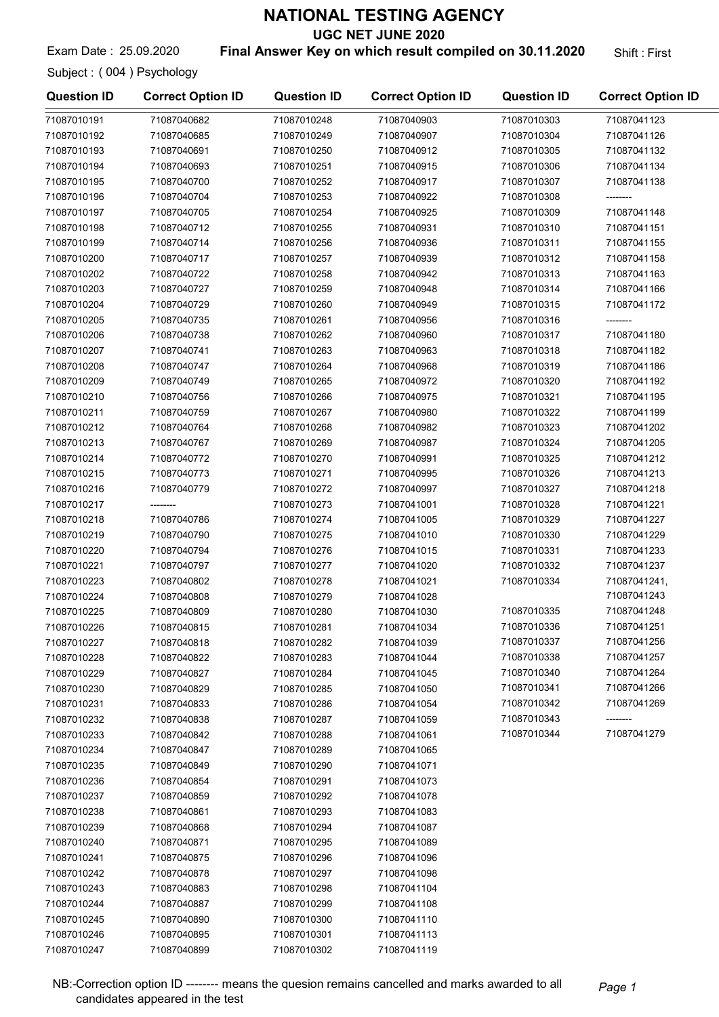UGC NET JUNE 2020

Exam Date: 25.09.2020 **Final Answer Key on which result compiled on 30.11.2020** Shift: First

Subject : ( 004 ) Psychology

| <b>Question ID</b> | <b>Correct Option ID</b> | <b>Question ID</b> | <b>Correct Option ID</b> | <b>Question ID</b> | <b>Correct Option ID</b> |
|--------------------|--------------------------|--------------------|--------------------------|--------------------|--------------------------|
| 71087010191        | 71087040682              | 71087010248        | 71087040903              | 71087010303        | 71087041123              |
| 71087010192        | 71087040685              | 71087010249        | 71087040907              | 71087010304        | 71087041126              |
| 71087010193        | 71087040691              | 71087010250        | 71087040912              | 71087010305        | 71087041132              |
| 71087010194        | 71087040693              | 71087010251        | 71087040915              | 71087010306        | 71087041134              |
| 71087010195        | 71087040700              | 71087010252        | 71087040917              | 71087010307        | 71087041138              |
| 71087010196        | 71087040704              | 71087010253        | 71087040922              | 71087010308        |                          |
| 71087010197        | 71087040705              | 71087010254        | 71087040925              | 71087010309        | 71087041148              |
| 71087010198        | 71087040712              | 71087010255        | 71087040931              | 71087010310        | 71087041151              |
| 71087010199        | 71087040714              | 71087010256        | 71087040936              | 71087010311        | 71087041155              |
| 71087010200        | 71087040717              | 71087010257        | 71087040939              | 71087010312        | 71087041158              |
| 71087010202        | 71087040722              | 71087010258        | 71087040942              | 71087010313        | 71087041163              |
| 71087010203        | 71087040727              | 71087010259        | 71087040948              | 71087010314        | 71087041166              |
| 71087010204        | 71087040729              | 71087010260        | 71087040949              | 71087010315        | 71087041172              |
| 71087010205        | 71087040735              | 71087010261        | 71087040956              | 71087010316        | --------                 |
| 71087010206        | 71087040738              | 71087010262        | 71087040960              | 71087010317        | 71087041180              |
| 71087010207        | 71087040741              | 71087010263        | 71087040963              | 71087010318        | 71087041182              |
| 71087010208        | 71087040747              | 71087010264        | 71087040968              | 71087010319        | 71087041186              |
| 71087010209        | 71087040749              | 71087010265        | 71087040972              | 71087010320        | 71087041192              |
| 71087010210        | 71087040756              | 71087010266        | 71087040975              | 71087010321        | 71087041195              |
| 71087010211        | 71087040759              | 71087010267        | 71087040980              | 71087010322        | 71087041199              |
| 71087010212        | 71087040764              | 71087010268        | 71087040982              | 71087010323        | 71087041202              |
| 71087010213        | 71087040767              | 71087010269        | 71087040987              | 71087010324        | 71087041205              |
|                    |                          |                    |                          |                    |                          |
| 71087010214        | 71087040772              | 71087010270        | 71087040991              | 71087010325        | 71087041212              |
| 71087010215        | 71087040773              | 71087010271        | 71087040995              | 71087010326        | 71087041213              |
| 71087010216        | 71087040779              | 71087010272        | 71087040997              | 71087010327        | 71087041218              |
| 71087010217        |                          | 71087010273        | 71087041001              | 71087010328        | 71087041221              |
| 71087010218        | 71087040786              | 71087010274        | 71087041005              | 71087010329        | 71087041227              |
| 71087010219        | 71087040790              | 71087010275        | 71087041010              | 71087010330        | 71087041229              |
| 71087010220        | 71087040794              | 71087010276        | 71087041015              | 71087010331        | 71087041233              |
| 71087010221        | 71087040797              | 71087010277        | 71087041020              | 71087010332        | 71087041237              |
| 71087010223        | 71087040802              | 71087010278        | 71087041021              | 71087010334        | 71087041241,             |
| 71087010224        | 71087040808              | 71087010279        | 71087041028              |                    | 71087041243              |
| 71087010225        | 71087040809              | 71087010280        | 71087041030              | 71087010335        | 71087041248              |
| 71087010226        | 71087040815              | 71087010281        | 71087041034              | 71087010336        | 71087041251              |
| 71087010227        | 71087040818              | 71087010282        | 71087041039              | 71087010337        | 71087041256              |
| 71087010228        | 71087040822              | 71087010283        | 71087041044              | 71087010338        | 71087041257              |
| 71087010229        | 71087040827              | 71087010284        | 71087041045              | 71087010340        | 71087041264              |
| 71087010230        | 71087040829              | 71087010285        | 71087041050              | 71087010341        | 71087041266              |
| 71087010231        | 71087040833              | 71087010286        | 71087041054              | 71087010342        | 71087041269              |
| 71087010232        | 71087040838              | 71087010287        | 71087041059              | 71087010343        | --------                 |
| 71087010233        | 71087040842              | 71087010288        | 71087041061              | 71087010344        | 71087041279              |
| 71087010234        | 71087040847              | 71087010289        | 71087041065              |                    |                          |
| 71087010235        | 71087040849              | 71087010290        | 71087041071              |                    |                          |
| 71087010236        | 71087040854              | 71087010291        | 71087041073              |                    |                          |
| 71087010237        | 71087040859              | 71087010292        | 71087041078              |                    |                          |
| 71087010238        | 71087040861              | 71087010293        | 71087041083              |                    |                          |
| 71087010239        | 71087040868              | 71087010294        | 71087041087              |                    |                          |
| 71087010240        | 71087040871              | 71087010295        | 71087041089              |                    |                          |
| 71087010241        | 71087040875              | 71087010296        | 71087041096              |                    |                          |
| 71087010242        | 71087040878              | 71087010297        | 71087041098              |                    |                          |
| 71087010243        | 71087040883              | 71087010298        | 71087041104              |                    |                          |
| 71087010244        | 71087040887              | 71087010299        | 71087041108              |                    |                          |
| 71087010245        | 71087040890              | 71087010300        | 71087041110              |                    |                          |
| 71087010246        | 71087040895              | 71087010301        | 71087041113              |                    |                          |
| 71087010247        | 71087040899              | 71087010302        | 71087041119              |                    |                          |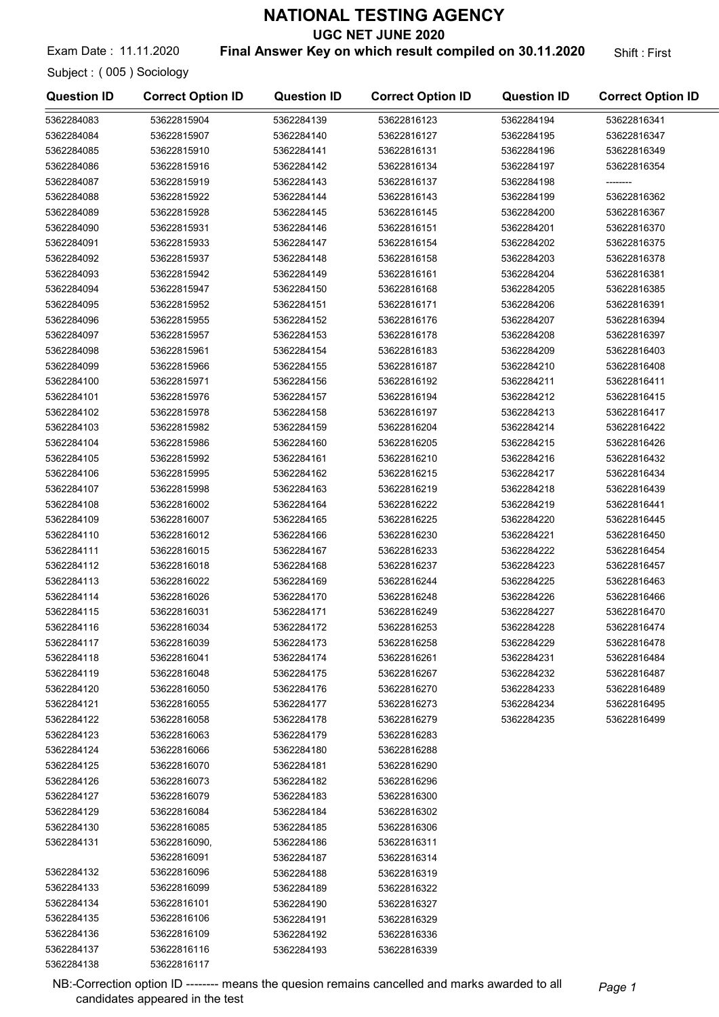UGC NET JUNE 2020

Exam Date: 11.11.2020 **Final Answer Key on which result compiled on 30.11.2020** Shift: First

Subject : ( 005 ) Sociology

| 5362284083<br>53622815904<br>5362284139<br>53622816123<br>5362284194<br>53622816341<br>5362284084<br>53622815907<br>5362284140<br>53622816127<br>5362284195<br>53622816347<br>5362284085<br>53622815910<br>5362284141<br>53622816131<br>5362284196<br>53622816349<br>5362284086<br>53622815916<br>53622816134<br>5362284142<br>5362284197<br>53622816354<br>5362284087<br>53622815919<br>5362284143<br>53622816137<br>5362284198<br>5362284088<br>53622815922<br>5362284144<br>53622816143<br>5362284199<br>53622816362<br>5362284089<br>53622816367<br>53622815928<br>5362284145<br>53622816145<br>5362284200<br>5362284090<br>53622816370<br>53622815931<br>5362284146<br>53622816151<br>5362284201<br>5362284091<br>53622815933<br>5362284147<br>53622816154<br>5362284202<br>53622816375<br>5362284092<br>53622815937<br>5362284148<br>53622816158<br>5362284203<br>53622816378<br>5362284093<br>53622815942<br>5362284149<br>53622816161<br>5362284204<br>53622816381<br>5362284094<br>53622815947<br>5362284150<br>53622816168<br>5362284205<br>53622816385<br>5362284095<br>53622816391<br>53622815952<br>5362284151<br>53622816171<br>5362284206<br>5362284096<br>53622815955<br>5362284152<br>53622816176<br>5362284207<br>53622816394<br>5362284097<br>53622815957<br>5362284153<br>53622816178<br>5362284208<br>53622816397<br>5362284098<br>53622816183<br>53622815961<br>5362284154<br>5362284209<br>53622816403<br>5362284099<br>53622816187<br>5362284210<br>53622815966<br>5362284155<br>53622816408<br>5362284100<br>53622815971<br>5362284156<br>53622816192<br>5362284211<br>53622816411<br>5362284101<br>53622816194<br>53622816415<br>53622815976<br>5362284157<br>5362284212<br>5362284102<br>53622815978<br>5362284158<br>53622816197<br>5362284213<br>53622816417<br>5362284103<br>53622815982<br>5362284159<br>53622816204<br>5362284214<br>53622816422<br>5362284104<br>53622815986<br>5362284160<br>53622816205<br>5362284215<br>53622816426<br>5362284105<br>53622815992<br>5362284161<br>53622816210<br>5362284216<br>53622816432<br>5362284106<br>53622815995<br>5362284162<br>53622816215<br>5362284217<br>53622816434<br>5362284107<br>5362284163<br>53622816219<br>5362284218<br>53622815998<br>53622816439<br>5362284108<br>53622816002<br>5362284164<br>5362284219<br>53622816222<br>53622816441<br>5362284109<br>53622816007<br>5362284165<br>53622816225<br>5362284220<br>53622816445<br>5362284110<br>53622816012<br>5362284166<br>53622816230<br>5362284221<br>53622816450<br>5362284111<br>53622816015<br>5362284167<br>53622816233<br>5362284222<br>53622816454<br>5362284112<br>53622816018<br>5362284168<br>53622816237<br>5362284223<br>53622816457<br>5362284113<br>53622816022<br>5362284169<br>53622816244<br>5362284225<br>53622816463<br>5362284114<br>53622816026<br>5362284170<br>53622816248<br>5362284226<br>53622816466<br>5362284115<br>53622816031<br>5362284171<br>53622816249<br>5362284227<br>53622816470<br>5362284228<br>5362284116<br>53622816034<br>5362284172<br>53622816253<br>53622816474<br>5362284117<br>53622816039<br>5362284173<br>53622816258<br>5362284229<br>53622816478<br>5362284118<br>53622816041<br>5362284174<br>53622816261<br>5362284231<br>53622816484<br>5362284119<br>53622816048<br>5362284175<br>53622816267<br>5362284232<br>53622816487<br>5362284120<br>53622816050<br>53622816270<br>5362284233<br>53622816489<br>5362284176<br>5362284121<br>53622816055<br>5362284177<br>53622816273<br>5362284234<br>53622816495<br>5362284122<br>53622816058<br>5362284178<br>53622816279<br>5362284235<br>53622816499<br>5362284123<br>53622816063<br>5362284179<br>53622816283<br>5362284124<br>53622816066<br>5362284180<br>53622816288<br>5362284125<br>53622816070<br>5362284181<br>53622816290<br>5362284126<br>53622816073<br>5362284182<br>53622816296<br>5362284127<br>53622816079<br>5362284183<br>53622816300<br>5362284129<br>53622816084<br>5362284184<br>53622816302<br>5362284130<br>53622816085<br>53622816306<br>5362284185<br>5362284131<br>53622816090,<br>5362284186<br>53622816311<br>53622816091<br>5362284187<br>53622816314<br>5362284132<br>53622816096<br>5362284188<br>53622816319<br>5362284133<br>53622816099<br>5362284189<br>53622816322<br>5362284134<br>53622816101<br>5362284190<br>53622816327<br>5362284135<br>53622816106<br>5362284191<br>53622816329<br>5362284136<br>53622816109<br>5362284192<br>53622816336<br>5362284137<br>53622816116<br>5362284193<br>53622816339<br>5362284138<br>53622816117 | <b>Question ID</b> | <b>Correct Option ID</b> | <b>Question ID</b> | <b>Correct Option ID</b> | <b>Question ID</b> | <b>Correct Option ID</b> |
|-----------------------------------------------------------------------------------------------------------------------------------------------------------------------------------------------------------------------------------------------------------------------------------------------------------------------------------------------------------------------------------------------------------------------------------------------------------------------------------------------------------------------------------------------------------------------------------------------------------------------------------------------------------------------------------------------------------------------------------------------------------------------------------------------------------------------------------------------------------------------------------------------------------------------------------------------------------------------------------------------------------------------------------------------------------------------------------------------------------------------------------------------------------------------------------------------------------------------------------------------------------------------------------------------------------------------------------------------------------------------------------------------------------------------------------------------------------------------------------------------------------------------------------------------------------------------------------------------------------------------------------------------------------------------------------------------------------------------------------------------------------------------------------------------------------------------------------------------------------------------------------------------------------------------------------------------------------------------------------------------------------------------------------------------------------------------------------------------------------------------------------------------------------------------------------------------------------------------------------------------------------------------------------------------------------------------------------------------------------------------------------------------------------------------------------------------------------------------------------------------------------------------------------------------------------------------------------------------------------------------------------------------------------------------------------------------------------------------------------------------------------------------------------------------------------------------------------------------------------------------------------------------------------------------------------------------------------------------------------------------------------------------------------------------------------------------------------------------------------------------------------------------------------------------------------------------------------------------------------------------------------------------------------------------------------------------------------------------------------------------------------------------------------------------------------------------------------------------------------------------------------------------------------------------------------------------------------------------------------------------------------------------------------------------------------------------------------------------------------------------------------------------------------------------------------------------------------------------------------------------------------------------------------------------------------------------------------------------------------------------------------------------------------------------------------------------------------------------------------------------------------------------------------------------------------------------------------------------------------------------------------------------------------------------------------------------------------------------------------------------------------------------------------------------------------------------------------------------------------------------------------------------------|--------------------|--------------------------|--------------------|--------------------------|--------------------|--------------------------|
|                                                                                                                                                                                                                                                                                                                                                                                                                                                                                                                                                                                                                                                                                                                                                                                                                                                                                                                                                                                                                                                                                                                                                                                                                                                                                                                                                                                                                                                                                                                                                                                                                                                                                                                                                                                                                                                                                                                                                                                                                                                                                                                                                                                                                                                                                                                                                                                                                                                                                                                                                                                                                                                                                                                                                                                                                                                                                                                                                                                                                                                                                                                                                                                                                                                                                                                                                                                                                                                                                                                                                                                                                                                                                                                                                                                                                                                                                                                                                                                                                                                                                                                                                                                                                                                                                                                                                                                                                                                                                                                             |                    |                          |                    |                          |                    |                          |
|                                                                                                                                                                                                                                                                                                                                                                                                                                                                                                                                                                                                                                                                                                                                                                                                                                                                                                                                                                                                                                                                                                                                                                                                                                                                                                                                                                                                                                                                                                                                                                                                                                                                                                                                                                                                                                                                                                                                                                                                                                                                                                                                                                                                                                                                                                                                                                                                                                                                                                                                                                                                                                                                                                                                                                                                                                                                                                                                                                                                                                                                                                                                                                                                                                                                                                                                                                                                                                                                                                                                                                                                                                                                                                                                                                                                                                                                                                                                                                                                                                                                                                                                                                                                                                                                                                                                                                                                                                                                                                                             |                    |                          |                    |                          |                    |                          |
|                                                                                                                                                                                                                                                                                                                                                                                                                                                                                                                                                                                                                                                                                                                                                                                                                                                                                                                                                                                                                                                                                                                                                                                                                                                                                                                                                                                                                                                                                                                                                                                                                                                                                                                                                                                                                                                                                                                                                                                                                                                                                                                                                                                                                                                                                                                                                                                                                                                                                                                                                                                                                                                                                                                                                                                                                                                                                                                                                                                                                                                                                                                                                                                                                                                                                                                                                                                                                                                                                                                                                                                                                                                                                                                                                                                                                                                                                                                                                                                                                                                                                                                                                                                                                                                                                                                                                                                                                                                                                                                             |                    |                          |                    |                          |                    |                          |
|                                                                                                                                                                                                                                                                                                                                                                                                                                                                                                                                                                                                                                                                                                                                                                                                                                                                                                                                                                                                                                                                                                                                                                                                                                                                                                                                                                                                                                                                                                                                                                                                                                                                                                                                                                                                                                                                                                                                                                                                                                                                                                                                                                                                                                                                                                                                                                                                                                                                                                                                                                                                                                                                                                                                                                                                                                                                                                                                                                                                                                                                                                                                                                                                                                                                                                                                                                                                                                                                                                                                                                                                                                                                                                                                                                                                                                                                                                                                                                                                                                                                                                                                                                                                                                                                                                                                                                                                                                                                                                                             |                    |                          |                    |                          |                    |                          |
|                                                                                                                                                                                                                                                                                                                                                                                                                                                                                                                                                                                                                                                                                                                                                                                                                                                                                                                                                                                                                                                                                                                                                                                                                                                                                                                                                                                                                                                                                                                                                                                                                                                                                                                                                                                                                                                                                                                                                                                                                                                                                                                                                                                                                                                                                                                                                                                                                                                                                                                                                                                                                                                                                                                                                                                                                                                                                                                                                                                                                                                                                                                                                                                                                                                                                                                                                                                                                                                                                                                                                                                                                                                                                                                                                                                                                                                                                                                                                                                                                                                                                                                                                                                                                                                                                                                                                                                                                                                                                                                             |                    |                          |                    |                          |                    |                          |
|                                                                                                                                                                                                                                                                                                                                                                                                                                                                                                                                                                                                                                                                                                                                                                                                                                                                                                                                                                                                                                                                                                                                                                                                                                                                                                                                                                                                                                                                                                                                                                                                                                                                                                                                                                                                                                                                                                                                                                                                                                                                                                                                                                                                                                                                                                                                                                                                                                                                                                                                                                                                                                                                                                                                                                                                                                                                                                                                                                                                                                                                                                                                                                                                                                                                                                                                                                                                                                                                                                                                                                                                                                                                                                                                                                                                                                                                                                                                                                                                                                                                                                                                                                                                                                                                                                                                                                                                                                                                                                                             |                    |                          |                    |                          |                    |                          |
|                                                                                                                                                                                                                                                                                                                                                                                                                                                                                                                                                                                                                                                                                                                                                                                                                                                                                                                                                                                                                                                                                                                                                                                                                                                                                                                                                                                                                                                                                                                                                                                                                                                                                                                                                                                                                                                                                                                                                                                                                                                                                                                                                                                                                                                                                                                                                                                                                                                                                                                                                                                                                                                                                                                                                                                                                                                                                                                                                                                                                                                                                                                                                                                                                                                                                                                                                                                                                                                                                                                                                                                                                                                                                                                                                                                                                                                                                                                                                                                                                                                                                                                                                                                                                                                                                                                                                                                                                                                                                                                             |                    |                          |                    |                          |                    |                          |
|                                                                                                                                                                                                                                                                                                                                                                                                                                                                                                                                                                                                                                                                                                                                                                                                                                                                                                                                                                                                                                                                                                                                                                                                                                                                                                                                                                                                                                                                                                                                                                                                                                                                                                                                                                                                                                                                                                                                                                                                                                                                                                                                                                                                                                                                                                                                                                                                                                                                                                                                                                                                                                                                                                                                                                                                                                                                                                                                                                                                                                                                                                                                                                                                                                                                                                                                                                                                                                                                                                                                                                                                                                                                                                                                                                                                                                                                                                                                                                                                                                                                                                                                                                                                                                                                                                                                                                                                                                                                                                                             |                    |                          |                    |                          |                    |                          |
|                                                                                                                                                                                                                                                                                                                                                                                                                                                                                                                                                                                                                                                                                                                                                                                                                                                                                                                                                                                                                                                                                                                                                                                                                                                                                                                                                                                                                                                                                                                                                                                                                                                                                                                                                                                                                                                                                                                                                                                                                                                                                                                                                                                                                                                                                                                                                                                                                                                                                                                                                                                                                                                                                                                                                                                                                                                                                                                                                                                                                                                                                                                                                                                                                                                                                                                                                                                                                                                                                                                                                                                                                                                                                                                                                                                                                                                                                                                                                                                                                                                                                                                                                                                                                                                                                                                                                                                                                                                                                                                             |                    |                          |                    |                          |                    |                          |
|                                                                                                                                                                                                                                                                                                                                                                                                                                                                                                                                                                                                                                                                                                                                                                                                                                                                                                                                                                                                                                                                                                                                                                                                                                                                                                                                                                                                                                                                                                                                                                                                                                                                                                                                                                                                                                                                                                                                                                                                                                                                                                                                                                                                                                                                                                                                                                                                                                                                                                                                                                                                                                                                                                                                                                                                                                                                                                                                                                                                                                                                                                                                                                                                                                                                                                                                                                                                                                                                                                                                                                                                                                                                                                                                                                                                                                                                                                                                                                                                                                                                                                                                                                                                                                                                                                                                                                                                                                                                                                                             |                    |                          |                    |                          |                    |                          |
|                                                                                                                                                                                                                                                                                                                                                                                                                                                                                                                                                                                                                                                                                                                                                                                                                                                                                                                                                                                                                                                                                                                                                                                                                                                                                                                                                                                                                                                                                                                                                                                                                                                                                                                                                                                                                                                                                                                                                                                                                                                                                                                                                                                                                                                                                                                                                                                                                                                                                                                                                                                                                                                                                                                                                                                                                                                                                                                                                                                                                                                                                                                                                                                                                                                                                                                                                                                                                                                                                                                                                                                                                                                                                                                                                                                                                                                                                                                                                                                                                                                                                                                                                                                                                                                                                                                                                                                                                                                                                                                             |                    |                          |                    |                          |                    |                          |
|                                                                                                                                                                                                                                                                                                                                                                                                                                                                                                                                                                                                                                                                                                                                                                                                                                                                                                                                                                                                                                                                                                                                                                                                                                                                                                                                                                                                                                                                                                                                                                                                                                                                                                                                                                                                                                                                                                                                                                                                                                                                                                                                                                                                                                                                                                                                                                                                                                                                                                                                                                                                                                                                                                                                                                                                                                                                                                                                                                                                                                                                                                                                                                                                                                                                                                                                                                                                                                                                                                                                                                                                                                                                                                                                                                                                                                                                                                                                                                                                                                                                                                                                                                                                                                                                                                                                                                                                                                                                                                                             |                    |                          |                    |                          |                    |                          |
|                                                                                                                                                                                                                                                                                                                                                                                                                                                                                                                                                                                                                                                                                                                                                                                                                                                                                                                                                                                                                                                                                                                                                                                                                                                                                                                                                                                                                                                                                                                                                                                                                                                                                                                                                                                                                                                                                                                                                                                                                                                                                                                                                                                                                                                                                                                                                                                                                                                                                                                                                                                                                                                                                                                                                                                                                                                                                                                                                                                                                                                                                                                                                                                                                                                                                                                                                                                                                                                                                                                                                                                                                                                                                                                                                                                                                                                                                                                                                                                                                                                                                                                                                                                                                                                                                                                                                                                                                                                                                                                             |                    |                          |                    |                          |                    |                          |
|                                                                                                                                                                                                                                                                                                                                                                                                                                                                                                                                                                                                                                                                                                                                                                                                                                                                                                                                                                                                                                                                                                                                                                                                                                                                                                                                                                                                                                                                                                                                                                                                                                                                                                                                                                                                                                                                                                                                                                                                                                                                                                                                                                                                                                                                                                                                                                                                                                                                                                                                                                                                                                                                                                                                                                                                                                                                                                                                                                                                                                                                                                                                                                                                                                                                                                                                                                                                                                                                                                                                                                                                                                                                                                                                                                                                                                                                                                                                                                                                                                                                                                                                                                                                                                                                                                                                                                                                                                                                                                                             |                    |                          |                    |                          |                    |                          |
|                                                                                                                                                                                                                                                                                                                                                                                                                                                                                                                                                                                                                                                                                                                                                                                                                                                                                                                                                                                                                                                                                                                                                                                                                                                                                                                                                                                                                                                                                                                                                                                                                                                                                                                                                                                                                                                                                                                                                                                                                                                                                                                                                                                                                                                                                                                                                                                                                                                                                                                                                                                                                                                                                                                                                                                                                                                                                                                                                                                                                                                                                                                                                                                                                                                                                                                                                                                                                                                                                                                                                                                                                                                                                                                                                                                                                                                                                                                                                                                                                                                                                                                                                                                                                                                                                                                                                                                                                                                                                                                             |                    |                          |                    |                          |                    |                          |
|                                                                                                                                                                                                                                                                                                                                                                                                                                                                                                                                                                                                                                                                                                                                                                                                                                                                                                                                                                                                                                                                                                                                                                                                                                                                                                                                                                                                                                                                                                                                                                                                                                                                                                                                                                                                                                                                                                                                                                                                                                                                                                                                                                                                                                                                                                                                                                                                                                                                                                                                                                                                                                                                                                                                                                                                                                                                                                                                                                                                                                                                                                                                                                                                                                                                                                                                                                                                                                                                                                                                                                                                                                                                                                                                                                                                                                                                                                                                                                                                                                                                                                                                                                                                                                                                                                                                                                                                                                                                                                                             |                    |                          |                    |                          |                    |                          |
|                                                                                                                                                                                                                                                                                                                                                                                                                                                                                                                                                                                                                                                                                                                                                                                                                                                                                                                                                                                                                                                                                                                                                                                                                                                                                                                                                                                                                                                                                                                                                                                                                                                                                                                                                                                                                                                                                                                                                                                                                                                                                                                                                                                                                                                                                                                                                                                                                                                                                                                                                                                                                                                                                                                                                                                                                                                                                                                                                                                                                                                                                                                                                                                                                                                                                                                                                                                                                                                                                                                                                                                                                                                                                                                                                                                                                                                                                                                                                                                                                                                                                                                                                                                                                                                                                                                                                                                                                                                                                                                             |                    |                          |                    |                          |                    |                          |
|                                                                                                                                                                                                                                                                                                                                                                                                                                                                                                                                                                                                                                                                                                                                                                                                                                                                                                                                                                                                                                                                                                                                                                                                                                                                                                                                                                                                                                                                                                                                                                                                                                                                                                                                                                                                                                                                                                                                                                                                                                                                                                                                                                                                                                                                                                                                                                                                                                                                                                                                                                                                                                                                                                                                                                                                                                                                                                                                                                                                                                                                                                                                                                                                                                                                                                                                                                                                                                                                                                                                                                                                                                                                                                                                                                                                                                                                                                                                                                                                                                                                                                                                                                                                                                                                                                                                                                                                                                                                                                                             |                    |                          |                    |                          |                    |                          |
|                                                                                                                                                                                                                                                                                                                                                                                                                                                                                                                                                                                                                                                                                                                                                                                                                                                                                                                                                                                                                                                                                                                                                                                                                                                                                                                                                                                                                                                                                                                                                                                                                                                                                                                                                                                                                                                                                                                                                                                                                                                                                                                                                                                                                                                                                                                                                                                                                                                                                                                                                                                                                                                                                                                                                                                                                                                                                                                                                                                                                                                                                                                                                                                                                                                                                                                                                                                                                                                                                                                                                                                                                                                                                                                                                                                                                                                                                                                                                                                                                                                                                                                                                                                                                                                                                                                                                                                                                                                                                                                             |                    |                          |                    |                          |                    |                          |
|                                                                                                                                                                                                                                                                                                                                                                                                                                                                                                                                                                                                                                                                                                                                                                                                                                                                                                                                                                                                                                                                                                                                                                                                                                                                                                                                                                                                                                                                                                                                                                                                                                                                                                                                                                                                                                                                                                                                                                                                                                                                                                                                                                                                                                                                                                                                                                                                                                                                                                                                                                                                                                                                                                                                                                                                                                                                                                                                                                                                                                                                                                                                                                                                                                                                                                                                                                                                                                                                                                                                                                                                                                                                                                                                                                                                                                                                                                                                                                                                                                                                                                                                                                                                                                                                                                                                                                                                                                                                                                                             |                    |                          |                    |                          |                    |                          |
|                                                                                                                                                                                                                                                                                                                                                                                                                                                                                                                                                                                                                                                                                                                                                                                                                                                                                                                                                                                                                                                                                                                                                                                                                                                                                                                                                                                                                                                                                                                                                                                                                                                                                                                                                                                                                                                                                                                                                                                                                                                                                                                                                                                                                                                                                                                                                                                                                                                                                                                                                                                                                                                                                                                                                                                                                                                                                                                                                                                                                                                                                                                                                                                                                                                                                                                                                                                                                                                                                                                                                                                                                                                                                                                                                                                                                                                                                                                                                                                                                                                                                                                                                                                                                                                                                                                                                                                                                                                                                                                             |                    |                          |                    |                          |                    |                          |
|                                                                                                                                                                                                                                                                                                                                                                                                                                                                                                                                                                                                                                                                                                                                                                                                                                                                                                                                                                                                                                                                                                                                                                                                                                                                                                                                                                                                                                                                                                                                                                                                                                                                                                                                                                                                                                                                                                                                                                                                                                                                                                                                                                                                                                                                                                                                                                                                                                                                                                                                                                                                                                                                                                                                                                                                                                                                                                                                                                                                                                                                                                                                                                                                                                                                                                                                                                                                                                                                                                                                                                                                                                                                                                                                                                                                                                                                                                                                                                                                                                                                                                                                                                                                                                                                                                                                                                                                                                                                                                                             |                    |                          |                    |                          |                    |                          |
|                                                                                                                                                                                                                                                                                                                                                                                                                                                                                                                                                                                                                                                                                                                                                                                                                                                                                                                                                                                                                                                                                                                                                                                                                                                                                                                                                                                                                                                                                                                                                                                                                                                                                                                                                                                                                                                                                                                                                                                                                                                                                                                                                                                                                                                                                                                                                                                                                                                                                                                                                                                                                                                                                                                                                                                                                                                                                                                                                                                                                                                                                                                                                                                                                                                                                                                                                                                                                                                                                                                                                                                                                                                                                                                                                                                                                                                                                                                                                                                                                                                                                                                                                                                                                                                                                                                                                                                                                                                                                                                             |                    |                          |                    |                          |                    |                          |
|                                                                                                                                                                                                                                                                                                                                                                                                                                                                                                                                                                                                                                                                                                                                                                                                                                                                                                                                                                                                                                                                                                                                                                                                                                                                                                                                                                                                                                                                                                                                                                                                                                                                                                                                                                                                                                                                                                                                                                                                                                                                                                                                                                                                                                                                                                                                                                                                                                                                                                                                                                                                                                                                                                                                                                                                                                                                                                                                                                                                                                                                                                                                                                                                                                                                                                                                                                                                                                                                                                                                                                                                                                                                                                                                                                                                                                                                                                                                                                                                                                                                                                                                                                                                                                                                                                                                                                                                                                                                                                                             |                    |                          |                    |                          |                    |                          |
|                                                                                                                                                                                                                                                                                                                                                                                                                                                                                                                                                                                                                                                                                                                                                                                                                                                                                                                                                                                                                                                                                                                                                                                                                                                                                                                                                                                                                                                                                                                                                                                                                                                                                                                                                                                                                                                                                                                                                                                                                                                                                                                                                                                                                                                                                                                                                                                                                                                                                                                                                                                                                                                                                                                                                                                                                                                                                                                                                                                                                                                                                                                                                                                                                                                                                                                                                                                                                                                                                                                                                                                                                                                                                                                                                                                                                                                                                                                                                                                                                                                                                                                                                                                                                                                                                                                                                                                                                                                                                                                             |                    |                          |                    |                          |                    |                          |
|                                                                                                                                                                                                                                                                                                                                                                                                                                                                                                                                                                                                                                                                                                                                                                                                                                                                                                                                                                                                                                                                                                                                                                                                                                                                                                                                                                                                                                                                                                                                                                                                                                                                                                                                                                                                                                                                                                                                                                                                                                                                                                                                                                                                                                                                                                                                                                                                                                                                                                                                                                                                                                                                                                                                                                                                                                                                                                                                                                                                                                                                                                                                                                                                                                                                                                                                                                                                                                                                                                                                                                                                                                                                                                                                                                                                                                                                                                                                                                                                                                                                                                                                                                                                                                                                                                                                                                                                                                                                                                                             |                    |                          |                    |                          |                    |                          |
|                                                                                                                                                                                                                                                                                                                                                                                                                                                                                                                                                                                                                                                                                                                                                                                                                                                                                                                                                                                                                                                                                                                                                                                                                                                                                                                                                                                                                                                                                                                                                                                                                                                                                                                                                                                                                                                                                                                                                                                                                                                                                                                                                                                                                                                                                                                                                                                                                                                                                                                                                                                                                                                                                                                                                                                                                                                                                                                                                                                                                                                                                                                                                                                                                                                                                                                                                                                                                                                                                                                                                                                                                                                                                                                                                                                                                                                                                                                                                                                                                                                                                                                                                                                                                                                                                                                                                                                                                                                                                                                             |                    |                          |                    |                          |                    |                          |
|                                                                                                                                                                                                                                                                                                                                                                                                                                                                                                                                                                                                                                                                                                                                                                                                                                                                                                                                                                                                                                                                                                                                                                                                                                                                                                                                                                                                                                                                                                                                                                                                                                                                                                                                                                                                                                                                                                                                                                                                                                                                                                                                                                                                                                                                                                                                                                                                                                                                                                                                                                                                                                                                                                                                                                                                                                                                                                                                                                                                                                                                                                                                                                                                                                                                                                                                                                                                                                                                                                                                                                                                                                                                                                                                                                                                                                                                                                                                                                                                                                                                                                                                                                                                                                                                                                                                                                                                                                                                                                                             |                    |                          |                    |                          |                    |                          |
|                                                                                                                                                                                                                                                                                                                                                                                                                                                                                                                                                                                                                                                                                                                                                                                                                                                                                                                                                                                                                                                                                                                                                                                                                                                                                                                                                                                                                                                                                                                                                                                                                                                                                                                                                                                                                                                                                                                                                                                                                                                                                                                                                                                                                                                                                                                                                                                                                                                                                                                                                                                                                                                                                                                                                                                                                                                                                                                                                                                                                                                                                                                                                                                                                                                                                                                                                                                                                                                                                                                                                                                                                                                                                                                                                                                                                                                                                                                                                                                                                                                                                                                                                                                                                                                                                                                                                                                                                                                                                                                             |                    |                          |                    |                          |                    |                          |
|                                                                                                                                                                                                                                                                                                                                                                                                                                                                                                                                                                                                                                                                                                                                                                                                                                                                                                                                                                                                                                                                                                                                                                                                                                                                                                                                                                                                                                                                                                                                                                                                                                                                                                                                                                                                                                                                                                                                                                                                                                                                                                                                                                                                                                                                                                                                                                                                                                                                                                                                                                                                                                                                                                                                                                                                                                                                                                                                                                                                                                                                                                                                                                                                                                                                                                                                                                                                                                                                                                                                                                                                                                                                                                                                                                                                                                                                                                                                                                                                                                                                                                                                                                                                                                                                                                                                                                                                                                                                                                                             |                    |                          |                    |                          |                    |                          |
|                                                                                                                                                                                                                                                                                                                                                                                                                                                                                                                                                                                                                                                                                                                                                                                                                                                                                                                                                                                                                                                                                                                                                                                                                                                                                                                                                                                                                                                                                                                                                                                                                                                                                                                                                                                                                                                                                                                                                                                                                                                                                                                                                                                                                                                                                                                                                                                                                                                                                                                                                                                                                                                                                                                                                                                                                                                                                                                                                                                                                                                                                                                                                                                                                                                                                                                                                                                                                                                                                                                                                                                                                                                                                                                                                                                                                                                                                                                                                                                                                                                                                                                                                                                                                                                                                                                                                                                                                                                                                                                             |                    |                          |                    |                          |                    |                          |
|                                                                                                                                                                                                                                                                                                                                                                                                                                                                                                                                                                                                                                                                                                                                                                                                                                                                                                                                                                                                                                                                                                                                                                                                                                                                                                                                                                                                                                                                                                                                                                                                                                                                                                                                                                                                                                                                                                                                                                                                                                                                                                                                                                                                                                                                                                                                                                                                                                                                                                                                                                                                                                                                                                                                                                                                                                                                                                                                                                                                                                                                                                                                                                                                                                                                                                                                                                                                                                                                                                                                                                                                                                                                                                                                                                                                                                                                                                                                                                                                                                                                                                                                                                                                                                                                                                                                                                                                                                                                                                                             |                    |                          |                    |                          |                    |                          |
|                                                                                                                                                                                                                                                                                                                                                                                                                                                                                                                                                                                                                                                                                                                                                                                                                                                                                                                                                                                                                                                                                                                                                                                                                                                                                                                                                                                                                                                                                                                                                                                                                                                                                                                                                                                                                                                                                                                                                                                                                                                                                                                                                                                                                                                                                                                                                                                                                                                                                                                                                                                                                                                                                                                                                                                                                                                                                                                                                                                                                                                                                                                                                                                                                                                                                                                                                                                                                                                                                                                                                                                                                                                                                                                                                                                                                                                                                                                                                                                                                                                                                                                                                                                                                                                                                                                                                                                                                                                                                                                             |                    |                          |                    |                          |                    |                          |
|                                                                                                                                                                                                                                                                                                                                                                                                                                                                                                                                                                                                                                                                                                                                                                                                                                                                                                                                                                                                                                                                                                                                                                                                                                                                                                                                                                                                                                                                                                                                                                                                                                                                                                                                                                                                                                                                                                                                                                                                                                                                                                                                                                                                                                                                                                                                                                                                                                                                                                                                                                                                                                                                                                                                                                                                                                                                                                                                                                                                                                                                                                                                                                                                                                                                                                                                                                                                                                                                                                                                                                                                                                                                                                                                                                                                                                                                                                                                                                                                                                                                                                                                                                                                                                                                                                                                                                                                                                                                                                                             |                    |                          |                    |                          |                    |                          |
|                                                                                                                                                                                                                                                                                                                                                                                                                                                                                                                                                                                                                                                                                                                                                                                                                                                                                                                                                                                                                                                                                                                                                                                                                                                                                                                                                                                                                                                                                                                                                                                                                                                                                                                                                                                                                                                                                                                                                                                                                                                                                                                                                                                                                                                                                                                                                                                                                                                                                                                                                                                                                                                                                                                                                                                                                                                                                                                                                                                                                                                                                                                                                                                                                                                                                                                                                                                                                                                                                                                                                                                                                                                                                                                                                                                                                                                                                                                                                                                                                                                                                                                                                                                                                                                                                                                                                                                                                                                                                                                             |                    |                          |                    |                          |                    |                          |
|                                                                                                                                                                                                                                                                                                                                                                                                                                                                                                                                                                                                                                                                                                                                                                                                                                                                                                                                                                                                                                                                                                                                                                                                                                                                                                                                                                                                                                                                                                                                                                                                                                                                                                                                                                                                                                                                                                                                                                                                                                                                                                                                                                                                                                                                                                                                                                                                                                                                                                                                                                                                                                                                                                                                                                                                                                                                                                                                                                                                                                                                                                                                                                                                                                                                                                                                                                                                                                                                                                                                                                                                                                                                                                                                                                                                                                                                                                                                                                                                                                                                                                                                                                                                                                                                                                                                                                                                                                                                                                                             |                    |                          |                    |                          |                    |                          |
|                                                                                                                                                                                                                                                                                                                                                                                                                                                                                                                                                                                                                                                                                                                                                                                                                                                                                                                                                                                                                                                                                                                                                                                                                                                                                                                                                                                                                                                                                                                                                                                                                                                                                                                                                                                                                                                                                                                                                                                                                                                                                                                                                                                                                                                                                                                                                                                                                                                                                                                                                                                                                                                                                                                                                                                                                                                                                                                                                                                                                                                                                                                                                                                                                                                                                                                                                                                                                                                                                                                                                                                                                                                                                                                                                                                                                                                                                                                                                                                                                                                                                                                                                                                                                                                                                                                                                                                                                                                                                                                             |                    |                          |                    |                          |                    |                          |
|                                                                                                                                                                                                                                                                                                                                                                                                                                                                                                                                                                                                                                                                                                                                                                                                                                                                                                                                                                                                                                                                                                                                                                                                                                                                                                                                                                                                                                                                                                                                                                                                                                                                                                                                                                                                                                                                                                                                                                                                                                                                                                                                                                                                                                                                                                                                                                                                                                                                                                                                                                                                                                                                                                                                                                                                                                                                                                                                                                                                                                                                                                                                                                                                                                                                                                                                                                                                                                                                                                                                                                                                                                                                                                                                                                                                                                                                                                                                                                                                                                                                                                                                                                                                                                                                                                                                                                                                                                                                                                                             |                    |                          |                    |                          |                    |                          |
|                                                                                                                                                                                                                                                                                                                                                                                                                                                                                                                                                                                                                                                                                                                                                                                                                                                                                                                                                                                                                                                                                                                                                                                                                                                                                                                                                                                                                                                                                                                                                                                                                                                                                                                                                                                                                                                                                                                                                                                                                                                                                                                                                                                                                                                                                                                                                                                                                                                                                                                                                                                                                                                                                                                                                                                                                                                                                                                                                                                                                                                                                                                                                                                                                                                                                                                                                                                                                                                                                                                                                                                                                                                                                                                                                                                                                                                                                                                                                                                                                                                                                                                                                                                                                                                                                                                                                                                                                                                                                                                             |                    |                          |                    |                          |                    |                          |
|                                                                                                                                                                                                                                                                                                                                                                                                                                                                                                                                                                                                                                                                                                                                                                                                                                                                                                                                                                                                                                                                                                                                                                                                                                                                                                                                                                                                                                                                                                                                                                                                                                                                                                                                                                                                                                                                                                                                                                                                                                                                                                                                                                                                                                                                                                                                                                                                                                                                                                                                                                                                                                                                                                                                                                                                                                                                                                                                                                                                                                                                                                                                                                                                                                                                                                                                                                                                                                                                                                                                                                                                                                                                                                                                                                                                                                                                                                                                                                                                                                                                                                                                                                                                                                                                                                                                                                                                                                                                                                                             |                    |                          |                    |                          |                    |                          |
|                                                                                                                                                                                                                                                                                                                                                                                                                                                                                                                                                                                                                                                                                                                                                                                                                                                                                                                                                                                                                                                                                                                                                                                                                                                                                                                                                                                                                                                                                                                                                                                                                                                                                                                                                                                                                                                                                                                                                                                                                                                                                                                                                                                                                                                                                                                                                                                                                                                                                                                                                                                                                                                                                                                                                                                                                                                                                                                                                                                                                                                                                                                                                                                                                                                                                                                                                                                                                                                                                                                                                                                                                                                                                                                                                                                                                                                                                                                                                                                                                                                                                                                                                                                                                                                                                                                                                                                                                                                                                                                             |                    |                          |                    |                          |                    |                          |
|                                                                                                                                                                                                                                                                                                                                                                                                                                                                                                                                                                                                                                                                                                                                                                                                                                                                                                                                                                                                                                                                                                                                                                                                                                                                                                                                                                                                                                                                                                                                                                                                                                                                                                                                                                                                                                                                                                                                                                                                                                                                                                                                                                                                                                                                                                                                                                                                                                                                                                                                                                                                                                                                                                                                                                                                                                                                                                                                                                                                                                                                                                                                                                                                                                                                                                                                                                                                                                                                                                                                                                                                                                                                                                                                                                                                                                                                                                                                                                                                                                                                                                                                                                                                                                                                                                                                                                                                                                                                                                                             |                    |                          |                    |                          |                    |                          |
|                                                                                                                                                                                                                                                                                                                                                                                                                                                                                                                                                                                                                                                                                                                                                                                                                                                                                                                                                                                                                                                                                                                                                                                                                                                                                                                                                                                                                                                                                                                                                                                                                                                                                                                                                                                                                                                                                                                                                                                                                                                                                                                                                                                                                                                                                                                                                                                                                                                                                                                                                                                                                                                                                                                                                                                                                                                                                                                                                                                                                                                                                                                                                                                                                                                                                                                                                                                                                                                                                                                                                                                                                                                                                                                                                                                                                                                                                                                                                                                                                                                                                                                                                                                                                                                                                                                                                                                                                                                                                                                             |                    |                          |                    |                          |                    |                          |
|                                                                                                                                                                                                                                                                                                                                                                                                                                                                                                                                                                                                                                                                                                                                                                                                                                                                                                                                                                                                                                                                                                                                                                                                                                                                                                                                                                                                                                                                                                                                                                                                                                                                                                                                                                                                                                                                                                                                                                                                                                                                                                                                                                                                                                                                                                                                                                                                                                                                                                                                                                                                                                                                                                                                                                                                                                                                                                                                                                                                                                                                                                                                                                                                                                                                                                                                                                                                                                                                                                                                                                                                                                                                                                                                                                                                                                                                                                                                                                                                                                                                                                                                                                                                                                                                                                                                                                                                                                                                                                                             |                    |                          |                    |                          |                    |                          |
|                                                                                                                                                                                                                                                                                                                                                                                                                                                                                                                                                                                                                                                                                                                                                                                                                                                                                                                                                                                                                                                                                                                                                                                                                                                                                                                                                                                                                                                                                                                                                                                                                                                                                                                                                                                                                                                                                                                                                                                                                                                                                                                                                                                                                                                                                                                                                                                                                                                                                                                                                                                                                                                                                                                                                                                                                                                                                                                                                                                                                                                                                                                                                                                                                                                                                                                                                                                                                                                                                                                                                                                                                                                                                                                                                                                                                                                                                                                                                                                                                                                                                                                                                                                                                                                                                                                                                                                                                                                                                                                             |                    |                          |                    |                          |                    |                          |
|                                                                                                                                                                                                                                                                                                                                                                                                                                                                                                                                                                                                                                                                                                                                                                                                                                                                                                                                                                                                                                                                                                                                                                                                                                                                                                                                                                                                                                                                                                                                                                                                                                                                                                                                                                                                                                                                                                                                                                                                                                                                                                                                                                                                                                                                                                                                                                                                                                                                                                                                                                                                                                                                                                                                                                                                                                                                                                                                                                                                                                                                                                                                                                                                                                                                                                                                                                                                                                                                                                                                                                                                                                                                                                                                                                                                                                                                                                                                                                                                                                                                                                                                                                                                                                                                                                                                                                                                                                                                                                                             |                    |                          |                    |                          |                    |                          |
|                                                                                                                                                                                                                                                                                                                                                                                                                                                                                                                                                                                                                                                                                                                                                                                                                                                                                                                                                                                                                                                                                                                                                                                                                                                                                                                                                                                                                                                                                                                                                                                                                                                                                                                                                                                                                                                                                                                                                                                                                                                                                                                                                                                                                                                                                                                                                                                                                                                                                                                                                                                                                                                                                                                                                                                                                                                                                                                                                                                                                                                                                                                                                                                                                                                                                                                                                                                                                                                                                                                                                                                                                                                                                                                                                                                                                                                                                                                                                                                                                                                                                                                                                                                                                                                                                                                                                                                                                                                                                                                             |                    |                          |                    |                          |                    |                          |
|                                                                                                                                                                                                                                                                                                                                                                                                                                                                                                                                                                                                                                                                                                                                                                                                                                                                                                                                                                                                                                                                                                                                                                                                                                                                                                                                                                                                                                                                                                                                                                                                                                                                                                                                                                                                                                                                                                                                                                                                                                                                                                                                                                                                                                                                                                                                                                                                                                                                                                                                                                                                                                                                                                                                                                                                                                                                                                                                                                                                                                                                                                                                                                                                                                                                                                                                                                                                                                                                                                                                                                                                                                                                                                                                                                                                                                                                                                                                                                                                                                                                                                                                                                                                                                                                                                                                                                                                                                                                                                                             |                    |                          |                    |                          |                    |                          |
|                                                                                                                                                                                                                                                                                                                                                                                                                                                                                                                                                                                                                                                                                                                                                                                                                                                                                                                                                                                                                                                                                                                                                                                                                                                                                                                                                                                                                                                                                                                                                                                                                                                                                                                                                                                                                                                                                                                                                                                                                                                                                                                                                                                                                                                                                                                                                                                                                                                                                                                                                                                                                                                                                                                                                                                                                                                                                                                                                                                                                                                                                                                                                                                                                                                                                                                                                                                                                                                                                                                                                                                                                                                                                                                                                                                                                                                                                                                                                                                                                                                                                                                                                                                                                                                                                                                                                                                                                                                                                                                             |                    |                          |                    |                          |                    |                          |
|                                                                                                                                                                                                                                                                                                                                                                                                                                                                                                                                                                                                                                                                                                                                                                                                                                                                                                                                                                                                                                                                                                                                                                                                                                                                                                                                                                                                                                                                                                                                                                                                                                                                                                                                                                                                                                                                                                                                                                                                                                                                                                                                                                                                                                                                                                                                                                                                                                                                                                                                                                                                                                                                                                                                                                                                                                                                                                                                                                                                                                                                                                                                                                                                                                                                                                                                                                                                                                                                                                                                                                                                                                                                                                                                                                                                                                                                                                                                                                                                                                                                                                                                                                                                                                                                                                                                                                                                                                                                                                                             |                    |                          |                    |                          |                    |                          |
|                                                                                                                                                                                                                                                                                                                                                                                                                                                                                                                                                                                                                                                                                                                                                                                                                                                                                                                                                                                                                                                                                                                                                                                                                                                                                                                                                                                                                                                                                                                                                                                                                                                                                                                                                                                                                                                                                                                                                                                                                                                                                                                                                                                                                                                                                                                                                                                                                                                                                                                                                                                                                                                                                                                                                                                                                                                                                                                                                                                                                                                                                                                                                                                                                                                                                                                                                                                                                                                                                                                                                                                                                                                                                                                                                                                                                                                                                                                                                                                                                                                                                                                                                                                                                                                                                                                                                                                                                                                                                                                             |                    |                          |                    |                          |                    |                          |
|                                                                                                                                                                                                                                                                                                                                                                                                                                                                                                                                                                                                                                                                                                                                                                                                                                                                                                                                                                                                                                                                                                                                                                                                                                                                                                                                                                                                                                                                                                                                                                                                                                                                                                                                                                                                                                                                                                                                                                                                                                                                                                                                                                                                                                                                                                                                                                                                                                                                                                                                                                                                                                                                                                                                                                                                                                                                                                                                                                                                                                                                                                                                                                                                                                                                                                                                                                                                                                                                                                                                                                                                                                                                                                                                                                                                                                                                                                                                                                                                                                                                                                                                                                                                                                                                                                                                                                                                                                                                                                                             |                    |                          |                    |                          |                    |                          |
|                                                                                                                                                                                                                                                                                                                                                                                                                                                                                                                                                                                                                                                                                                                                                                                                                                                                                                                                                                                                                                                                                                                                                                                                                                                                                                                                                                                                                                                                                                                                                                                                                                                                                                                                                                                                                                                                                                                                                                                                                                                                                                                                                                                                                                                                                                                                                                                                                                                                                                                                                                                                                                                                                                                                                                                                                                                                                                                                                                                                                                                                                                                                                                                                                                                                                                                                                                                                                                                                                                                                                                                                                                                                                                                                                                                                                                                                                                                                                                                                                                                                                                                                                                                                                                                                                                                                                                                                                                                                                                                             |                    |                          |                    |                          |                    |                          |
|                                                                                                                                                                                                                                                                                                                                                                                                                                                                                                                                                                                                                                                                                                                                                                                                                                                                                                                                                                                                                                                                                                                                                                                                                                                                                                                                                                                                                                                                                                                                                                                                                                                                                                                                                                                                                                                                                                                                                                                                                                                                                                                                                                                                                                                                                                                                                                                                                                                                                                                                                                                                                                                                                                                                                                                                                                                                                                                                                                                                                                                                                                                                                                                                                                                                                                                                                                                                                                                                                                                                                                                                                                                                                                                                                                                                                                                                                                                                                                                                                                                                                                                                                                                                                                                                                                                                                                                                                                                                                                                             |                    |                          |                    |                          |                    |                          |
|                                                                                                                                                                                                                                                                                                                                                                                                                                                                                                                                                                                                                                                                                                                                                                                                                                                                                                                                                                                                                                                                                                                                                                                                                                                                                                                                                                                                                                                                                                                                                                                                                                                                                                                                                                                                                                                                                                                                                                                                                                                                                                                                                                                                                                                                                                                                                                                                                                                                                                                                                                                                                                                                                                                                                                                                                                                                                                                                                                                                                                                                                                                                                                                                                                                                                                                                                                                                                                                                                                                                                                                                                                                                                                                                                                                                                                                                                                                                                                                                                                                                                                                                                                                                                                                                                                                                                                                                                                                                                                                             |                    |                          |                    |                          |                    |                          |
|                                                                                                                                                                                                                                                                                                                                                                                                                                                                                                                                                                                                                                                                                                                                                                                                                                                                                                                                                                                                                                                                                                                                                                                                                                                                                                                                                                                                                                                                                                                                                                                                                                                                                                                                                                                                                                                                                                                                                                                                                                                                                                                                                                                                                                                                                                                                                                                                                                                                                                                                                                                                                                                                                                                                                                                                                                                                                                                                                                                                                                                                                                                                                                                                                                                                                                                                                                                                                                                                                                                                                                                                                                                                                                                                                                                                                                                                                                                                                                                                                                                                                                                                                                                                                                                                                                                                                                                                                                                                                                                             |                    |                          |                    |                          |                    |                          |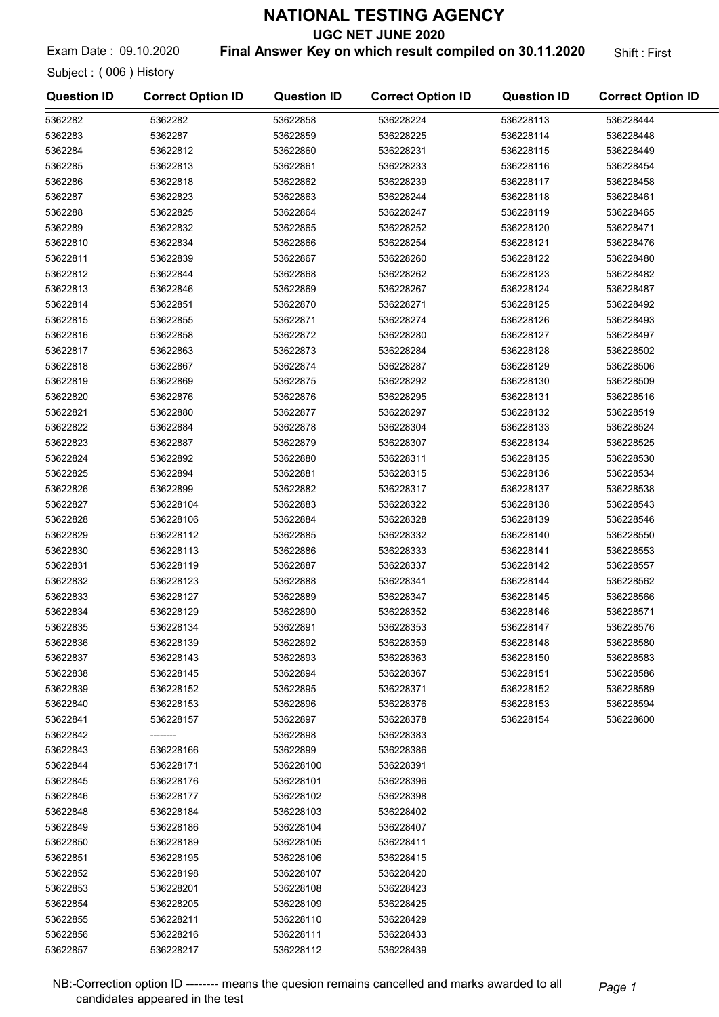UGC NET JUNE 2020

Exam Date: 09.10.2020 **Final Answer Key on which result compiled on 30.11.2020** Shift: First

Subject : ( 006 ) History

| <b>Question ID</b>   | <b>Correct Option ID</b> | <b>Question ID</b>     | <b>Correct Option ID</b> | <b>Question ID</b> | <b>Correct Option ID</b> |
|----------------------|--------------------------|------------------------|--------------------------|--------------------|--------------------------|
| 5362282              | 5362282                  | 53622858               | 536228224                | 536228113          | 536228444                |
| 5362283              | 5362287                  | 53622859               | 536228225                | 536228114          | 536228448                |
| 5362284              | 53622812                 | 53622860               | 536228231                | 536228115          | 536228449                |
| 5362285              | 53622813                 | 53622861               | 536228233                | 536228116          | 536228454                |
| 5362286              | 53622818                 | 53622862               | 536228239                | 536228117          | 536228458                |
| 5362287              | 53622823                 | 53622863               | 536228244                | 536228118          | 536228461                |
| 5362288              | 53622825                 | 53622864               | 536228247                | 536228119          | 536228465                |
| 5362289              | 53622832                 | 53622865               | 536228252                | 536228120          | 536228471                |
| 53622810             | 53622834                 | 53622866               | 536228254                | 536228121          | 536228476                |
| 53622811             | 53622839                 | 53622867               | 536228260                | 536228122          | 536228480                |
| 53622812             | 53622844                 | 53622868               | 536228262                | 536228123          | 536228482                |
| 53622813             | 53622846                 | 53622869               | 536228267                | 536228124          | 536228487                |
| 53622814             | 53622851                 | 53622870               | 536228271                | 536228125          | 536228492                |
| 53622815             | 53622855                 | 53622871               | 536228274                | 536228126          | 536228493                |
| 53622816             | 53622858                 | 53622872               | 536228280                | 536228127          | 536228497                |
| 53622817             | 53622863                 | 53622873               | 536228284                | 536228128          | 536228502                |
| 53622818             | 53622867                 | 53622874               | 536228287                | 536228129          | 536228506                |
| 53622819             | 53622869                 | 53622875               | 536228292                | 536228130          | 536228509                |
| 53622820             | 53622876                 | 53622876               | 536228295                | 536228131          | 536228516                |
| 53622821             | 53622880                 | 53622877               | 536228297                | 536228132          | 536228519                |
| 53622822             | 53622884                 | 53622878               | 536228304                | 536228133          | 536228524                |
| 53622823             | 53622887                 | 53622879               | 536228307                | 536228134          | 536228525                |
| 53622824             | 53622892                 | 53622880               | 536228311                | 536228135          | 536228530                |
| 53622825             | 53622894                 | 53622881               | 536228315                | 536228136          | 536228534                |
| 53622826             | 53622899                 | 53622882               | 536228317                | 536228137          | 536228538                |
| 53622827             | 536228104                | 53622883               | 536228322                | 536228138          | 536228543                |
| 53622828             | 536228106                | 53622884               | 536228328                | 536228139          | 536228546                |
| 53622829             | 536228112                | 53622885               | 536228332                | 536228140          | 536228550                |
| 53622830             | 536228113                | 53622886               | 536228333                | 536228141          | 536228553                |
| 53622831             | 536228119                | 53622887               | 536228337                | 536228142          | 536228557                |
| 53622832             | 536228123                | 53622888               | 536228341                | 536228144          | 536228562                |
| 53622833             | 536228127                | 53622889               | 536228347                | 536228145          | 536228566                |
| 53622834             | 536228129                | 53622890               | 536228352                | 536228146          | 536228571                |
| 53622835             | 536228134                | 53622891               | 536228353                | 536228147          | 536228576                |
| 53622836             | 536228139                | 53622892               | 536228359                | 536228148          | 536228580                |
| 53622837             | 536228143                | 53622893               | 536228363                | 536228150          | 536228583                |
| 53622838             | 536228145                | 53622894               | 536228367                | 536228151          | 536228586                |
| 53622839             | 536228152                | 53622895               | 536228371                | 536228152          | 536228589                |
| 53622840             | 536228153                | 53622896               | 536228376                | 536228153          | 536228594                |
| 53622841             | 536228157                | 53622897               | 536228378                | 536228154          | 536228600                |
| 53622842             |                          | 53622898               | 536228383                |                    |                          |
| 53622843             | 536228166                | 53622899               | 536228386                |                    |                          |
| 53622844             | 536228171                | 536228100              | 536228391                |                    |                          |
| 53622845             | 536228176                | 536228101              | 536228396                |                    |                          |
| 53622846             | 536228177                | 536228102              | 536228398                |                    |                          |
| 53622848             | 536228184                | 536228103              | 536228402                |                    |                          |
| 53622849             | 536228186                | 536228104              | 536228407                |                    |                          |
| 53622850<br>53622851 | 536228189<br>536228195   | 536228105<br>536228106 | 536228411<br>536228415   |                    |                          |
| 53622852             | 536228198                | 536228107              | 536228420                |                    |                          |
| 53622853             | 536228201                | 536228108              | 536228423                |                    |                          |
| 53622854             | 536228205                | 536228109              | 536228425                |                    |                          |
| 53622855             | 536228211                | 536228110              | 536228429                |                    |                          |
| 53622856             | 536228216                | 536228111              | 536228433                |                    |                          |
| 53622857             | 536228217                | 536228112              | 536228439                |                    |                          |
|                      |                          |                        |                          |                    |                          |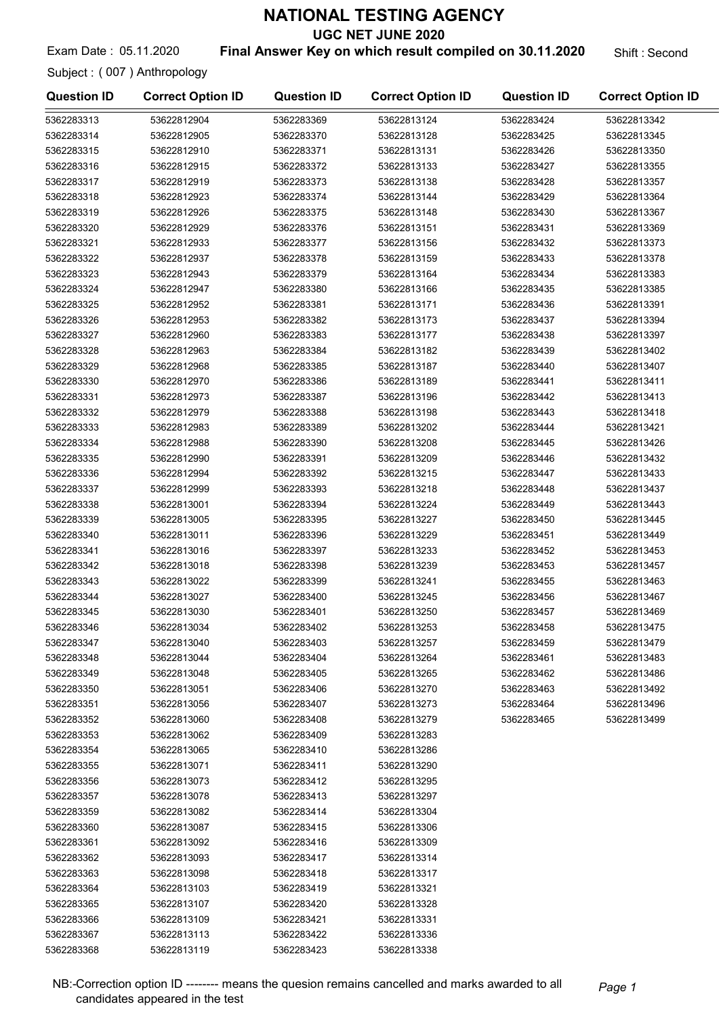UGC NET JUNE 2020

Exam Date : 05.11.2020 **Final Answer Key on which result compiled on 30.11.2020** Shift : Second

Subject : ( 007 ) Anthropology

| <b>Question ID</b> | <b>Correct Option ID</b> | <b>Question ID</b> | <b>Correct Option ID</b> | <b>Question ID</b> | <b>Correct Option ID</b> |
|--------------------|--------------------------|--------------------|--------------------------|--------------------|--------------------------|
| 5362283313         | 53622812904              | 5362283369         | 53622813124              | 5362283424         | 53622813342              |
| 5362283314         | 53622812905              | 5362283370         | 53622813128              | 5362283425         | 53622813345              |
| 5362283315         | 53622812910              | 5362283371         | 53622813131              | 5362283426         | 53622813350              |
| 5362283316         | 53622812915              | 5362283372         | 53622813133              | 5362283427         | 53622813355              |
| 5362283317         | 53622812919              | 5362283373         | 53622813138              | 5362283428         | 53622813357              |
| 5362283318         | 53622812923              | 5362283374         | 53622813144              | 5362283429         | 53622813364              |
| 5362283319         | 53622812926              | 5362283375         | 53622813148              | 5362283430         | 53622813367              |
| 5362283320         | 53622812929              | 5362283376         | 53622813151              | 5362283431         | 53622813369              |
| 5362283321         | 53622812933              | 5362283377         | 53622813156              | 5362283432         | 53622813373              |
| 5362283322         | 53622812937              | 5362283378         | 53622813159              | 5362283433         | 53622813378              |
| 5362283323         | 53622812943              | 5362283379         | 53622813164              | 5362283434         | 53622813383              |
| 5362283324         | 53622812947              | 5362283380         | 53622813166              | 5362283435         | 53622813385              |
| 5362283325         | 53622812952              | 5362283381         | 53622813171              | 5362283436         | 53622813391              |
| 5362283326         | 53622812953              | 5362283382         | 53622813173              | 5362283437         | 53622813394              |
| 5362283327         | 53622812960              | 5362283383         | 53622813177              | 5362283438         | 53622813397              |
| 5362283328         | 53622812963              | 5362283384         | 53622813182              | 5362283439         | 53622813402              |
| 5362283329         | 53622812968              | 5362283385         | 53622813187              | 5362283440         | 53622813407              |
| 5362283330         | 53622812970              | 5362283386         | 53622813189              | 5362283441         | 53622813411              |
| 5362283331         | 53622812973              | 5362283387         | 53622813196              | 5362283442         | 53622813413              |
| 5362283332         | 53622812979              | 5362283388         | 53622813198              | 5362283443         | 53622813418              |
| 5362283333         | 53622812983              | 5362283389         | 53622813202              | 5362283444         | 53622813421              |
| 5362283334         | 53622812988              | 5362283390         | 53622813208              | 5362283445         | 53622813426              |
| 5362283335         | 53622812990              | 5362283391         | 53622813209              | 5362283446         | 53622813432              |
| 5362283336         | 53622812994              | 5362283392         | 53622813215              | 5362283447         | 53622813433              |
| 5362283337         | 53622812999              | 5362283393         | 53622813218              | 5362283448         | 53622813437              |
| 5362283338         | 53622813001              | 5362283394         | 53622813224              | 5362283449         | 53622813443              |
| 5362283339         | 53622813005              | 5362283395         | 53622813227              | 5362283450         | 53622813445              |
| 5362283340         | 53622813011              | 5362283396         | 53622813229              | 5362283451         | 53622813449              |
| 5362283341         | 53622813016              | 5362283397         | 53622813233              | 5362283452         | 53622813453              |
| 5362283342         | 53622813018              | 5362283398         | 53622813239              | 5362283453         | 53622813457              |
| 5362283343         | 53622813022              | 5362283399         | 53622813241              | 5362283455         | 53622813463              |
| 5362283344         | 53622813027              | 5362283400         | 53622813245              | 5362283456         | 53622813467              |
| 5362283345         | 53622813030              | 5362283401         | 53622813250              | 5362283457         | 53622813469              |
| 5362283346         | 53622813034              | 5362283402         | 53622813253              | 5362283458         | 53622813475              |
| 5362283347         | 53622813040              | 5362283403         | 53622813257              | 5362283459         | 53622813479              |
| 5362283348         | 53622813044              | 5362283404         | 53622813264              | 5362283461         | 53622813483              |
| 5362283349         | 53622813048              | 5362283405         | 53622813265              | 5362283462         | 53622813486              |
| 5362283350         | 53622813051              | 5362283406         | 53622813270              | 5362283463         | 53622813492              |
| 5362283351         | 53622813056              | 5362283407         | 53622813273              | 5362283464         | 53622813496              |
| 5362283352         | 53622813060              | 5362283408         | 53622813279              | 5362283465         | 53622813499              |
| 5362283353         | 53622813062              | 5362283409         | 53622813283              |                    |                          |
| 5362283354         | 53622813065              | 5362283410         | 53622813286              |                    |                          |
| 5362283355         | 53622813071              | 5362283411         | 53622813290              |                    |                          |
| 5362283356         | 53622813073              | 5362283412         | 53622813295              |                    |                          |
| 5362283357         | 53622813078              | 5362283413         | 53622813297              |                    |                          |
| 5362283359         | 53622813082              | 5362283414         | 53622813304              |                    |                          |
| 5362283360         | 53622813087              | 5362283415         | 53622813306              |                    |                          |
| 5362283361         | 53622813092              | 5362283416         | 53622813309              |                    |                          |
| 5362283362         | 53622813093              | 5362283417         | 53622813314              |                    |                          |
| 5362283363         | 53622813098              | 5362283418         | 53622813317              |                    |                          |
| 5362283364         | 53622813103              | 5362283419         | 53622813321              |                    |                          |
| 5362283365         | 53622813107              | 5362283420         | 53622813328              |                    |                          |
| 5362283366         | 53622813109              | 5362283421         | 53622813331              |                    |                          |
| 5362283367         | 53622813113              | 5362283422         | 53622813336              |                    |                          |
| 5362283368         | 53622813119              | 5362283423         | 53622813338              |                    |                          |

NB:-Correction option ID -------- means the quesion remains cancelled and marks awarded to all Page 1 candidates appeared in the test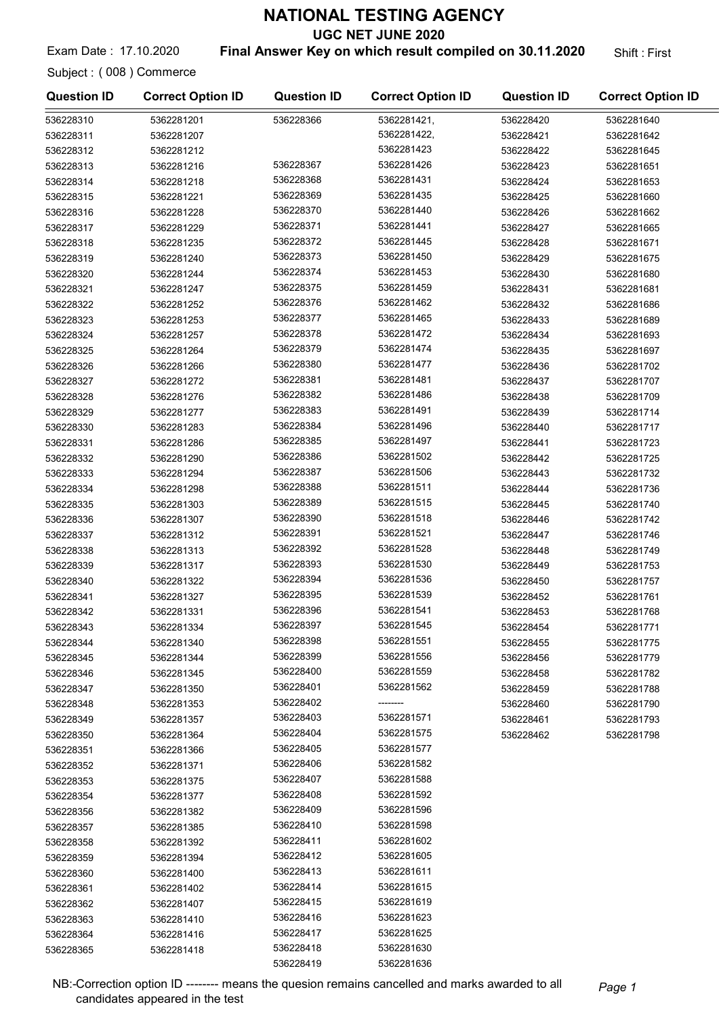UGC NET JUNE 2020

Exam Date: 17.10.2020 **Final Answer Key on which result compiled on 30.11.2020** Shift: First

Subject : ( 008 ) Commerce

536228361 5362281402 536228362 5362281407 536228363 5362281410 536228364 5362281416 536228365 5362281418

| <b>Question ID</b> | <b>Correct Option ID</b> | <b>Question ID</b> | <b>Correct Option ID</b> | <b>Question ID</b> | <b>Correct Option ID</b> |
|--------------------|--------------------------|--------------------|--------------------------|--------------------|--------------------------|
| 536228310          | 5362281201               | 536228366          | 5362281421,              | 536228420          | 5362281640               |
| 536228311          | 5362281207               |                    | 5362281422,              | 536228421          | 5362281642               |
| 536228312          | 5362281212               |                    | 5362281423               | 536228422          | 5362281645               |
| 536228313          | 5362281216               | 536228367          | 5362281426               | 536228423          | 5362281651               |
| 536228314          | 5362281218               | 536228368          | 5362281431               | 536228424          | 5362281653               |
| 536228315          | 5362281221               | 536228369          | 5362281435               | 536228425          | 5362281660               |
| 536228316          | 5362281228               | 536228370          | 5362281440               | 536228426          | 5362281662               |
| 536228317          | 5362281229               | 536228371          | 5362281441               | 536228427          | 5362281665               |
| 536228318          | 5362281235               | 536228372          | 5362281445               | 536228428          | 5362281671               |
| 536228319          | 5362281240               | 536228373          | 5362281450               | 536228429          | 5362281675               |
| 536228320          | 5362281244               | 536228374          | 5362281453               | 536228430          | 5362281680               |
| 536228321          | 5362281247               | 536228375          | 5362281459               | 536228431          | 5362281681               |
| 536228322          | 5362281252               | 536228376          | 5362281462               | 536228432          | 5362281686               |
| 536228323          | 5362281253               | 536228377          | 5362281465               | 536228433          | 5362281689               |
| 536228324          | 5362281257               | 536228378          | 5362281472               | 536228434          | 5362281693               |
| 536228325          | 5362281264               | 536228379          | 5362281474               | 536228435          | 5362281697               |
| 536228326          | 5362281266               | 536228380          | 5362281477               | 536228436          | 5362281702               |
| 536228327          | 5362281272               | 536228381          | 5362281481               | 536228437          | 5362281707               |
| 536228328          | 5362281276               | 536228382          | 5362281486               | 536228438          | 5362281709               |
| 536228329          | 5362281277               | 536228383          | 5362281491               | 536228439          | 5362281714               |
| 536228330          | 5362281283               | 536228384          | 5362281496               | 536228440          | 5362281717               |
| 536228331          | 5362281286               | 536228385          | 5362281497               | 536228441          | 5362281723               |
| 536228332          | 5362281290               | 536228386          | 5362281502               | 536228442          | 5362281725               |
| 536228333          | 5362281294               | 536228387          | 5362281506               | 536228443          | 5362281732               |
| 536228334          | 5362281298               | 536228388          | 5362281511               | 536228444          | 5362281736               |
| 536228335          | 5362281303               | 536228389          | 5362281515               | 536228445          | 5362281740               |
| 536228336          | 5362281307               | 536228390          | 5362281518               | 536228446          | 5362281742               |
| 536228337          | 5362281312               | 536228391          | 5362281521               | 536228447          | 5362281746               |
| 536228338          | 5362281313               | 536228392          | 5362281528               | 536228448          | 5362281749               |
| 536228339          | 5362281317               | 536228393          | 5362281530               | 536228449          | 5362281753               |
| 536228340          | 5362281322               | 536228394          | 5362281536               | 536228450          | 5362281757               |
| 536228341          | 5362281327               | 536228395          | 5362281539               | 536228452          | 5362281761               |
| 536228342          | 5362281331               | 536228396          | 5362281541               | 536228453          | 5362281768               |
| 536228343          | 5362281334               | 536228397          | 5362281545               | 536228454          | 5362281771               |
| 536228344          | 5362281340               | 536228398          | 5362281551               | 536228455          | 5362281775               |
| 536228345          | 5362281344               | 536228399          | 5362281556               | 536228456          | 5362281779               |
| 536228346          | 5362281345               | 536228400          | 5362281559               | 536228458          | 5362281782               |
| 536228347          | 5362281350               | 536228401          | 5362281562               | 536228459          | 5362281788               |
| 536228348          | 5362281353               | 536228402          |                          | 536228460          | 5362281790               |
| 536228349          | 5362281357               | 536228403          | 5362281571               | 536228461          | 5362281793               |
| 536228350          | 5362281364               | 536228404          | 5362281575               | 536228462          | 5362281798               |
| 536228351          | 5362281366               | 536228405          | 5362281577               |                    |                          |
| 536228352          | 5362281371               | 536228406          | 5362281582               |                    |                          |
| 536228353          | 5362281375               | 536228407          | 5362281588               |                    |                          |
| 536228354          | 5362281377               | 536228408          | 5362281592               |                    |                          |
| 536228356          | 5362281382               | 536228409          | 5362281596               |                    |                          |
| 536228357          | 5362281385               | 536228410          | 5362281598               |                    |                          |
| 536228358          | 5362281392               | 536228411          | 5362281602               |                    |                          |
| 536228359          | 5362281394               | 536228412          | 5362281605               |                    |                          |
| 536228360          | 5362281400               | 536228413          | 5362281611               |                    |                          |

NB:-Correction option ID ------- means the quesion remains cancelled and marks awarded to all Page 1 candidates appeared in the test

536228414 5362281615 536228415 5362281619 536228416 5362281623 536228417 5362281625 536228418 5362281630 536228419 5362281636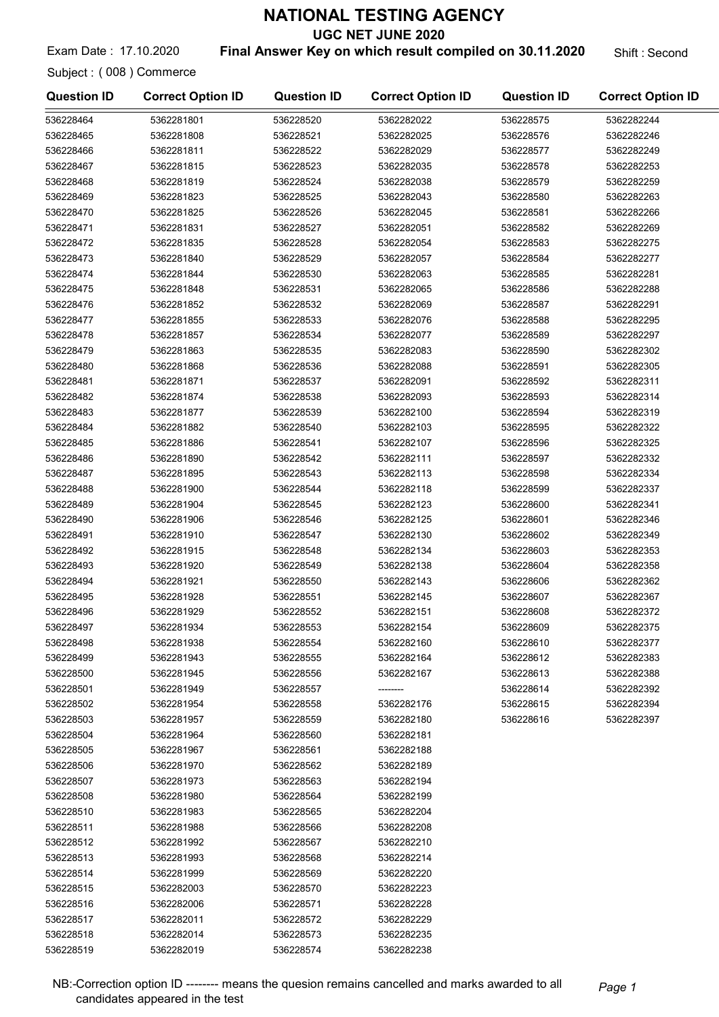UGC NET JUNE 2020

Exam Date: 17.10.2020 **Final Answer Key on which result compiled on 30.11.2020** Shift : Second

Subject : ( 008 ) Commerce

| <b>Question ID</b> | <b>Correct Option ID</b> | <b>Question ID</b> | <b>Correct Option ID</b> | <b>Question ID</b> | <b>Correct Option ID</b> |
|--------------------|--------------------------|--------------------|--------------------------|--------------------|--------------------------|
| 536228464          | 5362281801               | 536228520          | 5362282022               | 536228575          | 5362282244               |
| 536228465          | 5362281808               | 536228521          | 5362282025               | 536228576          | 5362282246               |
| 536228466          | 5362281811               | 536228522          | 5362282029               | 536228577          | 5362282249               |
| 536228467          | 5362281815               | 536228523          | 5362282035               | 536228578          | 5362282253               |
| 536228468          | 5362281819               | 536228524          | 5362282038               | 536228579          | 5362282259               |
| 536228469          | 5362281823               | 536228525          | 5362282043               | 536228580          | 5362282263               |
| 536228470          | 5362281825               | 536228526          | 5362282045               | 536228581          | 5362282266               |
| 536228471          | 5362281831               | 536228527          | 5362282051               | 536228582          | 5362282269               |
| 536228472          | 5362281835               | 536228528          | 5362282054               | 536228583          | 5362282275               |
| 536228473          | 5362281840               | 536228529          | 5362282057               | 536228584          | 5362282277               |
| 536228474          | 5362281844               | 536228530          | 5362282063               | 536228585          | 5362282281               |
| 536228475          | 5362281848               | 536228531          | 5362282065               | 536228586          | 5362282288               |
| 536228476          | 5362281852               | 536228532          | 5362282069               | 536228587          | 5362282291               |
| 536228477          | 5362281855               | 536228533          | 5362282076               | 536228588          | 5362282295               |
| 536228478          | 5362281857               | 536228534          | 5362282077               | 536228589          | 5362282297               |
| 536228479          | 5362281863               | 536228535          | 5362282083               | 536228590          | 5362282302               |
| 536228480          | 5362281868               | 536228536          | 5362282088               | 536228591          | 5362282305               |
| 536228481          | 5362281871               | 536228537          | 5362282091               | 536228592          | 5362282311               |
| 536228482          | 5362281874               | 536228538          | 5362282093               | 536228593          | 5362282314               |
| 536228483          | 5362281877               | 536228539          | 5362282100               | 536228594          | 5362282319               |
| 536228484          | 5362281882               | 536228540          | 5362282103               | 536228595          | 5362282322               |
| 536228485          | 5362281886               | 536228541          | 5362282107               | 536228596          | 5362282325               |
| 536228486          | 5362281890               | 536228542          | 5362282111               | 536228597          | 5362282332               |
| 536228487          | 5362281895               | 536228543          | 5362282113               | 536228598          | 5362282334               |
| 536228488          | 5362281900               | 536228544          | 5362282118               | 536228599          | 5362282337               |
| 536228489          | 5362281904               | 536228545          | 5362282123               | 536228600          | 5362282341               |
| 536228490          | 5362281906               | 536228546          | 5362282125               | 536228601          | 5362282346               |
| 536228491          | 5362281910               | 536228547          | 5362282130               | 536228602          | 5362282349               |
| 536228492          | 5362281915               | 536228548          | 5362282134               | 536228603          | 5362282353               |
| 536228493          | 5362281920               | 536228549          | 5362282138               | 536228604          | 5362282358               |
| 536228494          | 5362281921               | 536228550          | 5362282143               | 536228606          | 5362282362               |
| 536228495          | 5362281928               | 536228551          | 5362282145               | 536228607          | 5362282367               |
| 536228496          | 5362281929               | 536228552          | 5362282151               | 536228608          | 5362282372               |
| 536228497          | 5362281934               | 536228553          | 5362282154               | 536228609          | 5362282375               |
| 536228498          | 5362281938               | 536228554          | 5362282160               | 536228610          | 5362282377               |
| 536228499          | 5362281943               | 536228555          | 5362282164               | 536228612          | 5362282383               |
| 536228500          | 5362281945               | 536228556          | 5362282167               | 536228613          | 5362282388               |
| 536228501          | 5362281949               | 536228557          |                          | 536228614          | 5362282392               |
| 536228502          | 5362281954               | 536228558          | 5362282176               | 536228615          | 5362282394               |
| 536228503          | 5362281957               | 536228559          | 5362282180               | 536228616          | 5362282397               |
| 536228504          | 5362281964               | 536228560          | 5362282181               |                    |                          |
| 536228505          | 5362281967               | 536228561          | 5362282188               |                    |                          |
| 536228506          | 5362281970               | 536228562          | 5362282189               |                    |                          |
| 536228507          | 5362281973               | 536228563          | 5362282194               |                    |                          |
| 536228508          | 5362281980               | 536228564          | 5362282199               |                    |                          |
| 536228510          | 5362281983               | 536228565          | 5362282204               |                    |                          |
| 536228511          | 5362281988               | 536228566          | 5362282208               |                    |                          |
| 536228512          | 5362281992               | 536228567          | 5362282210               |                    |                          |
| 536228513          | 5362281993               | 536228568          | 5362282214               |                    |                          |
| 536228514          | 5362281999               | 536228569          | 5362282220               |                    |                          |
| 536228515          | 5362282003               | 536228570          | 5362282223               |                    |                          |
| 536228516          | 5362282006               | 536228571          | 5362282228               |                    |                          |
| 536228517          | 5362282011               | 536228572          | 5362282229               |                    |                          |
| 536228518          | 5362282014               | 536228573          | 5362282235               |                    |                          |
| 536228519          | 5362282019               | 536228574          | 5362282238               |                    |                          |

NB:-Correction option ID -------- means the quesion remains cancelled and marks awarded to all Page 1 candidates appeared in the test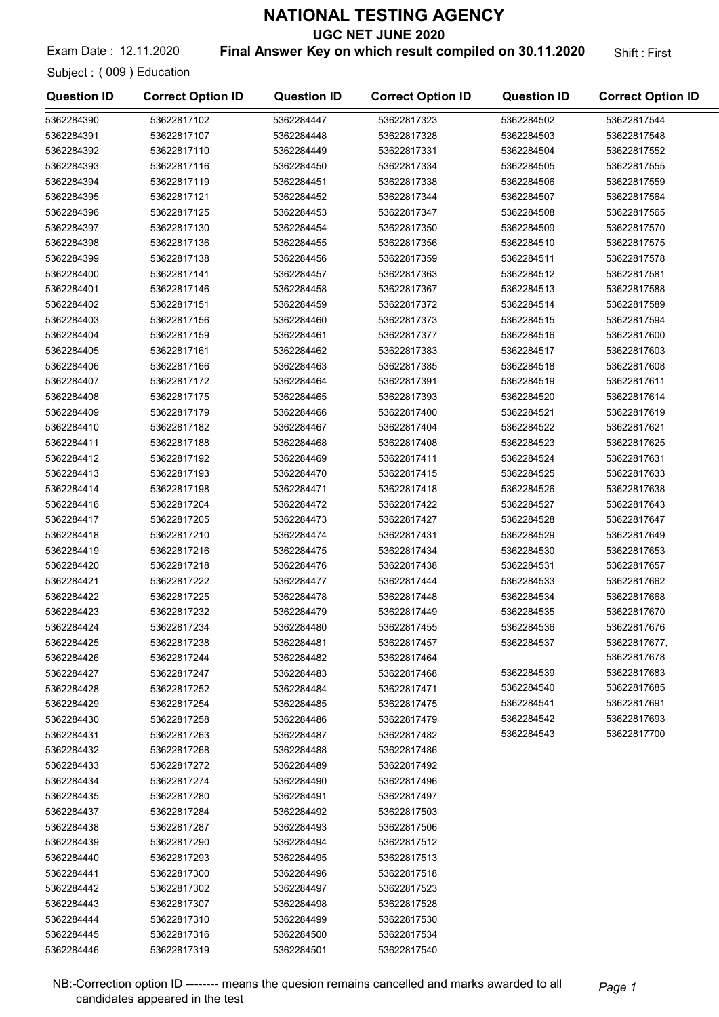UGC NET JUNE 2020

Exam Date: 12.11.2020 **Final Answer Key on which result compiled on 30.11.2020** Shift: First

Subject : ( 009 ) Education

| <b>Question ID</b> | <b>Correct Option ID</b> | <b>Question ID</b> | <b>Correct Option ID</b> | <b>Question ID</b> | <b>Correct Option ID</b> |
|--------------------|--------------------------|--------------------|--------------------------|--------------------|--------------------------|
| 5362284390         | 53622817102              | 5362284447         | 53622817323              | 5362284502         | 53622817544              |
| 5362284391         | 53622817107              | 5362284448         | 53622817328              | 5362284503         | 53622817548              |
| 5362284392         | 53622817110              | 5362284449         | 53622817331              | 5362284504         | 53622817552              |
| 5362284393         | 53622817116              | 5362284450         | 53622817334              | 5362284505         | 53622817555              |
| 5362284394         | 53622817119              | 5362284451         | 53622817338              | 5362284506         | 53622817559              |
| 5362284395         | 53622817121              | 5362284452         | 53622817344              | 5362284507         | 53622817564              |
| 5362284396         | 53622817125              | 5362284453         | 53622817347              | 5362284508         | 53622817565              |
| 5362284397         | 53622817130              | 5362284454         | 53622817350              | 5362284509         | 53622817570              |
| 5362284398         | 53622817136              | 5362284455         | 53622817356              | 5362284510         | 53622817575              |
| 5362284399         | 53622817138              | 5362284456         | 53622817359              | 5362284511         | 53622817578              |
| 5362284400         | 53622817141              | 5362284457         | 53622817363              | 5362284512         | 53622817581              |
| 5362284401         | 53622817146              | 5362284458         | 53622817367              | 5362284513         | 53622817588              |
| 5362284402         | 53622817151              | 5362284459         | 53622817372              | 5362284514         | 53622817589              |
| 5362284403         | 53622817156              | 5362284460         | 53622817373              | 5362284515         | 53622817594              |
| 5362284404         | 53622817159              | 5362284461         | 53622817377              | 5362284516         | 53622817600              |
| 5362284405         | 53622817161              | 5362284462         | 53622817383              | 5362284517         | 53622817603              |
| 5362284406         | 53622817166              | 5362284463         | 53622817385              | 5362284518         | 53622817608              |
| 5362284407         | 53622817172              | 5362284464         | 53622817391              | 5362284519         | 53622817611              |
| 5362284408         | 53622817175              | 5362284465         | 53622817393              | 5362284520         | 53622817614              |
| 5362284409         | 53622817179              | 5362284466         | 53622817400              | 5362284521         | 53622817619              |
| 5362284410         | 53622817182              | 5362284467         | 53622817404              | 5362284522         | 53622817621              |
| 5362284411         | 53622817188              | 5362284468         | 53622817408              | 5362284523         | 53622817625              |
| 5362284412         | 53622817192              | 5362284469         | 53622817411              | 5362284524         | 53622817631              |
| 5362284413         | 53622817193              | 5362284470         | 53622817415              | 5362284525         | 53622817633              |
| 5362284414         | 53622817198              | 5362284471         | 53622817418              | 5362284526         | 53622817638              |
| 5362284416         | 53622817204              | 5362284472         | 53622817422              | 5362284527         | 53622817643              |
| 5362284417         | 53622817205              | 5362284473         | 53622817427              | 5362284528         | 53622817647              |
| 5362284418         | 53622817210              | 5362284474         | 53622817431              | 5362284529         | 53622817649              |
| 5362284419         | 53622817216              | 5362284475         | 53622817434              | 5362284530         | 53622817653              |
| 5362284420         | 53622817218              | 5362284476         | 53622817438              | 5362284531         | 53622817657              |
| 5362284421         | 53622817222              | 5362284477         | 53622817444              | 5362284533         | 53622817662              |
| 5362284422         | 53622817225              | 5362284478         | 53622817448              | 5362284534         | 53622817668              |
| 5362284423         | 53622817232              | 5362284479         | 53622817449              | 5362284535         | 53622817670              |
| 5362284424         | 53622817234              | 5362284480         | 53622817455              | 5362284536         | 53622817676              |
| 5362284425         | 53622817238              | 5362284481         | 53622817457              | 5362284537         | 53622817677,             |
| 5362284426         | 53622817244              | 5362284482         | 53622817464              |                    | 53622817678              |
| 5362284427         | 53622817247              | 5362284483         | 53622817468              | 5362284539         | 53622817683              |
| 5362284428         | 53622817252              | 5362284484         | 53622817471              | 5362284540         | 53622817685              |
| 5362284429         | 53622817254              | 5362284485         | 53622817475              | 5362284541         | 53622817691              |
| 5362284430         | 53622817258              | 5362284486         | 53622817479              | 5362284542         | 53622817693              |
| 5362284431         | 53622817263              | 5362284487         | 53622817482              | 5362284543         | 53622817700              |
| 5362284432         | 53622817268              | 5362284488         | 53622817486              |                    |                          |
| 5362284433         | 53622817272              | 5362284489         | 53622817492              |                    |                          |
| 5362284434         | 53622817274              | 5362284490         | 53622817496              |                    |                          |
| 5362284435         | 53622817280              | 5362284491         | 53622817497              |                    |                          |
| 5362284437         | 53622817284              | 5362284492         | 53622817503              |                    |                          |
| 5362284438         | 53622817287              | 5362284493         | 53622817506              |                    |                          |
| 5362284439         | 53622817290              | 5362284494         | 53622817512              |                    |                          |
| 5362284440         | 53622817293              | 5362284495         | 53622817513              |                    |                          |
| 5362284441         | 53622817300              | 5362284496         | 53622817518              |                    |                          |
| 5362284442         | 53622817302              | 5362284497         | 53622817523              |                    |                          |
| 5362284443         | 53622817307              | 5362284498         | 53622817528              |                    |                          |
| 5362284444         | 53622817310              | 5362284499         | 53622817530              |                    |                          |
| 5362284445         | 53622817316              | 5362284500         | 53622817534              |                    |                          |
| 5362284446         | 53622817319              | 5362284501         | 53622817540              |                    |                          |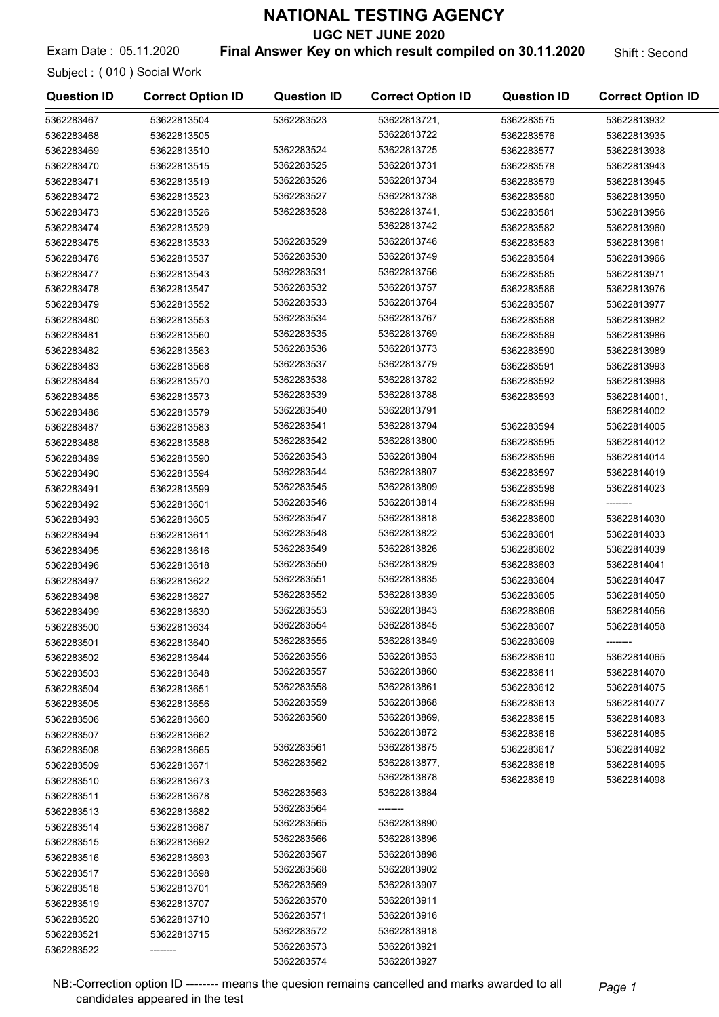UGC NET JUNE 2020

Exam Date : 05.11.2020 **Final Answer Key on which result compiled on 30.11.2020** Shift : Second

Subject : ( 010 ) Social Work

| <b>Question ID</b> | <b>Correct Option ID</b> | <b>Question ID</b> | <b>Correct Option ID</b> | <b>Question ID</b> | <b>Correct Option ID</b> |
|--------------------|--------------------------|--------------------|--------------------------|--------------------|--------------------------|
| 5362283467         | 53622813504              | 5362283523         | 53622813721,             | 5362283575         | 53622813932              |
| 5362283468         | 53622813505              |                    | 53622813722              | 5362283576         | 53622813935              |
| 5362283469         | 53622813510              | 5362283524         | 53622813725              | 5362283577         | 53622813938              |
| 5362283470         | 53622813515              | 5362283525         | 53622813731              | 5362283578         | 53622813943              |
| 5362283471         | 53622813519              | 5362283526         | 53622813734              | 5362283579         | 53622813945              |
| 5362283472         | 53622813523              | 5362283527         | 53622813738              | 5362283580         | 53622813950              |
| 5362283473         | 53622813526              | 5362283528         | 53622813741,             | 5362283581         | 53622813956              |
| 5362283474         | 53622813529              |                    | 53622813742              | 5362283582         | 53622813960              |
| 5362283475         | 53622813533              | 5362283529         | 53622813746              | 5362283583         | 53622813961              |
| 5362283476         | 53622813537              | 5362283530         | 53622813749              | 5362283584         | 53622813966              |
| 5362283477         | 53622813543              | 5362283531         | 53622813756              | 5362283585         | 53622813971              |
| 5362283478         | 53622813547              | 5362283532         | 53622813757              | 5362283586         | 53622813976              |
| 5362283479         | 53622813552              | 5362283533         | 53622813764              | 5362283587         | 53622813977              |
| 5362283480         | 53622813553              | 5362283534         | 53622813767              | 5362283588         | 53622813982              |
| 5362283481         | 53622813560              | 5362283535         | 53622813769              | 5362283589         | 53622813986              |
| 5362283482         | 53622813563              | 5362283536         | 53622813773              | 5362283590         | 53622813989              |
| 5362283483         | 53622813568              | 5362283537         | 53622813779              | 5362283591         | 53622813993              |
| 5362283484         | 53622813570              | 5362283538         | 53622813782              | 5362283592         | 53622813998              |
| 5362283485         | 53622813573              | 5362283539         | 53622813788              | 5362283593         | 53622814001,             |
| 5362283486         | 53622813579              | 5362283540         | 53622813791              |                    | 53622814002              |
| 5362283487         | 53622813583              | 5362283541         | 53622813794              | 5362283594         | 53622814005              |
| 5362283488         | 53622813588              | 5362283542         | 53622813800              | 5362283595         | 53622814012              |
| 5362283489         | 53622813590              | 5362283543         | 53622813804              | 5362283596         | 53622814014              |
| 5362283490         | 53622813594              | 5362283544         | 53622813807              | 5362283597         | 53622814019              |
| 5362283491         | 53622813599              | 5362283545         | 53622813809              | 5362283598         | 53622814023              |
| 5362283492         | 53622813601              | 5362283546         | 53622813814              | 5362283599         | --------                 |
| 5362283493         | 53622813605              | 5362283547         | 53622813818              | 5362283600         | 53622814030              |
| 5362283494         | 53622813611              | 5362283548         | 53622813822              | 5362283601         | 53622814033              |
| 5362283495         | 53622813616              | 5362283549         | 53622813826              | 5362283602         | 53622814039              |
| 5362283496         | 53622813618              | 5362283550         | 53622813829              | 5362283603         | 53622814041              |
| 5362283497         | 53622813622              | 5362283551         | 53622813835              | 5362283604         | 53622814047              |
| 5362283498         | 53622813627              | 5362283552         | 53622813839              | 5362283605         | 53622814050              |
| 5362283499         | 53622813630              | 5362283553         | 53622813843              | 5362283606         | 53622814056              |
| 5362283500         | 53622813634              | 5362283554         | 53622813845              | 5362283607         | 53622814058              |
| 5362283501         | 53622813640              | 5362283555         | 53622813849              | 5362283609         | --------                 |
| 5362283502         | 53622813644              | 5362283556         | 53622813853              | 5362283610         | 53622814065              |
| 5362283503         | 53622813648              | 5362283557         | 53622813860              | 5362283611         | 53622814070              |
| 5362283504         | 53622813651              | 5362283558         | 53622813861              | 5362283612         | 53622814075              |
| 5362283505         | 53622813656              | 5362283559         | 53622813868              | 5362283613         | 53622814077              |
| 5362283506         | 53622813660              | 5362283560         | 53622813869,             | 5362283615         | 53622814083              |
| 5362283507         | 53622813662              |                    | 53622813872              | 5362283616         | 53622814085              |
| 5362283508         | 53622813665              | 5362283561         | 53622813875              | 5362283617         | 53622814092              |
| 5362283509         | 53622813671              | 5362283562         | 53622813877,             | 5362283618         | 53622814095              |
| 5362283510         | 53622813673              |                    | 53622813878              | 5362283619         | 53622814098              |
| 5362283511         | 53622813678              | 5362283563         | 53622813884              |                    |                          |
| 5362283513         | 53622813682              | 5362283564         |                          |                    |                          |
| 5362283514         | 53622813687              | 5362283565         | 53622813890              |                    |                          |
| 5362283515         | 53622813692              | 5362283566         | 53622813896              |                    |                          |
| 5362283516         | 53622813693              | 5362283567         | 53622813898              |                    |                          |
| 5362283517         | 53622813698              | 5362283568         | 53622813902              |                    |                          |
| 5362283518         | 53622813701              | 5362283569         | 53622813907              |                    |                          |
| 5362283519         | 53622813707              | 5362283570         | 53622813911              |                    |                          |
| 5362283520         | 53622813710              | 5362283571         | 53622813916              |                    |                          |
| 5362283521         | 53622813715              | 5362283572         | 53622813918              |                    |                          |
| 5362283522         |                          | 5362283573         | 53622813921              |                    |                          |
|                    |                          | 5362283574         | 53622813927              |                    |                          |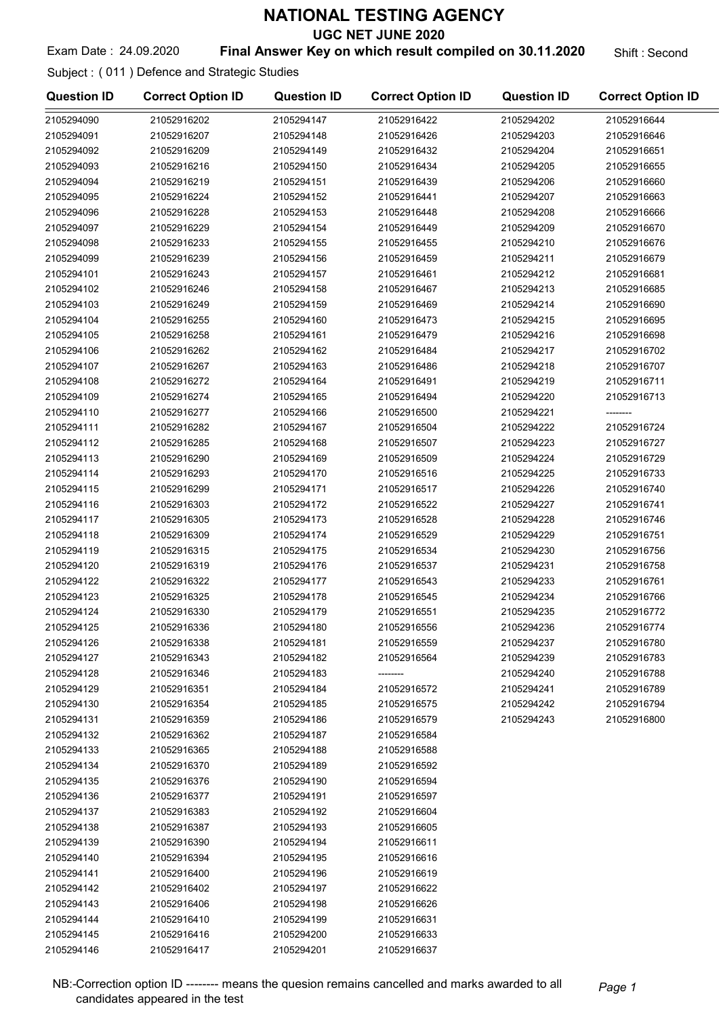UGC NET JUNE 2020

## Exam Date: 24.09.2020 **Final Answer Key on which result compiled on 30.11.2020** Shift: Second

Subject : ( 011 ) Defence and Strategic Studies

| <b>Question ID</b> | <b>Correct Option ID</b> | <b>Question ID</b> | <b>Correct Option ID</b> | <b>Question ID</b> | <b>Correct Option ID</b> |
|--------------------|--------------------------|--------------------|--------------------------|--------------------|--------------------------|
| 2105294090         | 21052916202              | 2105294147         | 21052916422              | 2105294202         | 21052916644              |
| 2105294091         | 21052916207              | 2105294148         | 21052916426              | 2105294203         | 21052916646              |
| 2105294092         | 21052916209              | 2105294149         | 21052916432              | 2105294204         | 21052916651              |
| 2105294093         | 21052916216              | 2105294150         | 21052916434              | 2105294205         | 21052916655              |
| 2105294094         | 21052916219              | 2105294151         | 21052916439              | 2105294206         | 21052916660              |
| 2105294095         | 21052916224              | 2105294152         | 21052916441              | 2105294207         | 21052916663              |
| 2105294096         | 21052916228              | 2105294153         | 21052916448              | 2105294208         | 21052916666              |
| 2105294097         | 21052916229              | 2105294154         | 21052916449              | 2105294209         | 21052916670              |
| 2105294098         | 21052916233              | 2105294155         | 21052916455              | 2105294210         | 21052916676              |
| 2105294099         | 21052916239              | 2105294156         | 21052916459              | 2105294211         | 21052916679              |
| 2105294101         | 21052916243              | 2105294157         | 21052916461              | 2105294212         | 21052916681              |
| 2105294102         | 21052916246              | 2105294158         | 21052916467              | 2105294213         | 21052916685              |
| 2105294103         | 21052916249              | 2105294159         | 21052916469              | 2105294214         | 21052916690              |
| 2105294104         | 21052916255              | 2105294160         | 21052916473              | 2105294215         | 21052916695              |
| 2105294105         | 21052916258              | 2105294161         | 21052916479              | 2105294216         | 21052916698              |
| 2105294106         | 21052916262              | 2105294162         | 21052916484              | 2105294217         | 21052916702              |
| 2105294107         | 21052916267              | 2105294163         | 21052916486              | 2105294218         | 21052916707              |
| 2105294108         | 21052916272              | 2105294164         | 21052916491              | 2105294219         | 21052916711              |
| 2105294109         | 21052916274              | 2105294165         | 21052916494              | 2105294220         | 21052916713              |
| 2105294110         | 21052916277              | 2105294166         | 21052916500              | 2105294221         | --------                 |
| 2105294111         | 21052916282              | 2105294167         | 21052916504              | 2105294222         | 21052916724              |
| 2105294112         | 21052916285              | 2105294168         | 21052916507              | 2105294223         | 21052916727              |
| 2105294113         | 21052916290              | 2105294169         | 21052916509              | 2105294224         | 21052916729              |
| 2105294114         | 21052916293              | 2105294170         | 21052916516              | 2105294225         | 21052916733              |
| 2105294115         | 21052916299              | 2105294171         | 21052916517              | 2105294226         | 21052916740              |
| 2105294116         | 21052916303              | 2105294172         | 21052916522              | 2105294227         | 21052916741              |
| 2105294117         | 21052916305              | 2105294173         | 21052916528              | 2105294228         | 21052916746              |
| 2105294118         | 21052916309              | 2105294174         | 21052916529              | 2105294229         | 21052916751              |
| 2105294119         | 21052916315              | 2105294175         | 21052916534              | 2105294230         | 21052916756              |
| 2105294120         | 21052916319              | 2105294176         | 21052916537              | 2105294231         | 21052916758              |
| 2105294122         | 21052916322              | 2105294177         | 21052916543              | 2105294233         | 21052916761              |
| 2105294123         | 21052916325              | 2105294178         | 21052916545              | 2105294234         | 21052916766              |
| 2105294124         | 21052916330              | 2105294179         | 21052916551              | 2105294235         | 21052916772              |
| 2105294125         | 21052916336              | 2105294180         | 21052916556              | 2105294236         | 21052916774              |
| 2105294126         | 21052916338              | 2105294181         | 21052916559              | 2105294237         | 21052916780              |
| 2105294127         | 21052916343              | 2105294182         | 21052916564              | 2105294239         | 21052916783              |
| 2105294128         | 21052916346              | 2105294183         |                          | 2105294240         | 21052916788              |
| 2105294129         | 21052916351              | 2105294184         | 21052916572              | 2105294241         | 21052916789              |
| 2105294130         | 21052916354              | 2105294185         | 21052916575              | 2105294242         | 21052916794              |
| 2105294131         | 21052916359              | 2105294186         | 21052916579              | 2105294243         | 21052916800              |
| 2105294132         | 21052916362              | 2105294187         | 21052916584              |                    |                          |
| 2105294133         | 21052916365              | 2105294188         | 21052916588              |                    |                          |
| 2105294134         | 21052916370              | 2105294189         | 21052916592              |                    |                          |
| 2105294135         | 21052916376              | 2105294190         | 21052916594              |                    |                          |
| 2105294136         | 21052916377              | 2105294191         | 21052916597              |                    |                          |
| 2105294137         | 21052916383              | 2105294192         | 21052916604              |                    |                          |
| 2105294138         | 21052916387              | 2105294193         | 21052916605              |                    |                          |
| 2105294139         | 21052916390              | 2105294194         | 21052916611              |                    |                          |
| 2105294140         | 21052916394              | 2105294195         | 21052916616              |                    |                          |
| 2105294141         | 21052916400              | 2105294196         | 21052916619              |                    |                          |
| 2105294142         | 21052916402              | 2105294197         | 21052916622              |                    |                          |
| 2105294143         | 21052916406              | 2105294198         | 21052916626              |                    |                          |
| 2105294144         | 21052916410              | 2105294199         | 21052916631              |                    |                          |
| 2105294145         | 21052916416              | 2105294200         | 21052916633              |                    |                          |
| 2105294146         | 21052916417              | 2105294201         | 21052916637              |                    |                          |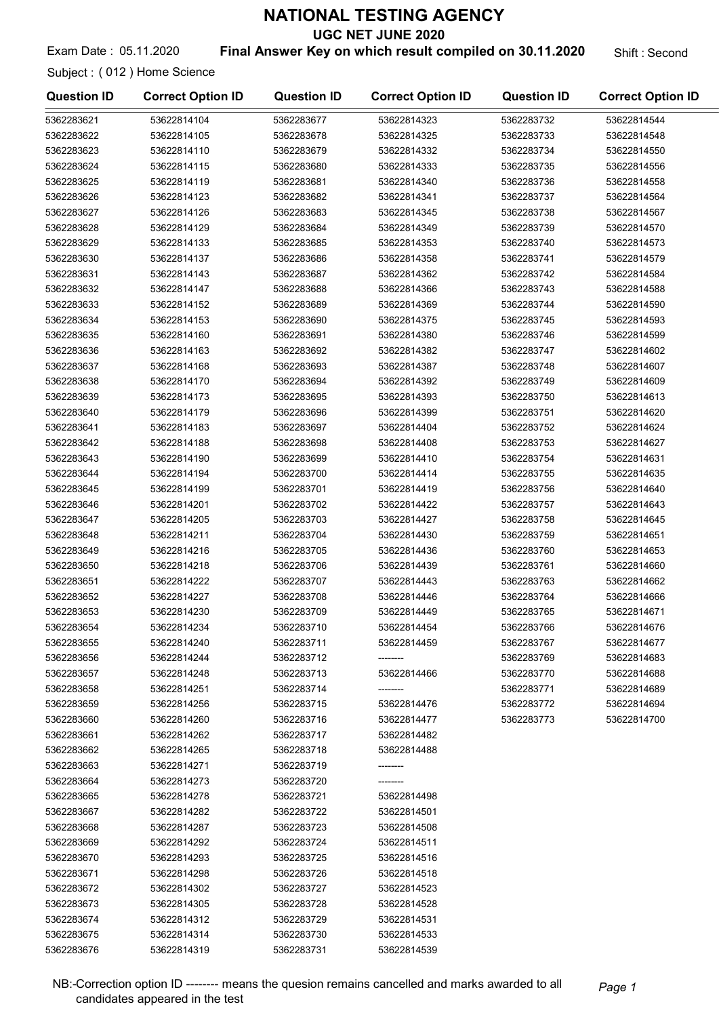UGC NET JUNE 2020

Exam Date : 05.11.2020 **Final Answer Key on which result compiled on 30.11.2020** Shift : Second

Subject : ( 012 ) Home Science

| <b>Question ID</b> | <b>Correct Option ID</b> | <b>Question ID</b> | <b>Correct Option ID</b> | <b>Question ID</b> | <b>Correct Option ID</b> |
|--------------------|--------------------------|--------------------|--------------------------|--------------------|--------------------------|
| 5362283621         | 53622814104              | 5362283677         | 53622814323              | 5362283732         | 53622814544              |
| 5362283622         | 53622814105              | 5362283678         | 53622814325              | 5362283733         | 53622814548              |
| 5362283623         | 53622814110              | 5362283679         | 53622814332              | 5362283734         | 53622814550              |
| 5362283624         | 53622814115              | 5362283680         | 53622814333              | 5362283735         | 53622814556              |
| 5362283625         | 53622814119              | 5362283681         | 53622814340              | 5362283736         | 53622814558              |
| 5362283626         | 53622814123              | 5362283682         | 53622814341              | 5362283737         | 53622814564              |
| 5362283627         | 53622814126              | 5362283683         | 53622814345              | 5362283738         | 53622814567              |
| 5362283628         | 53622814129              | 5362283684         | 53622814349              | 5362283739         | 53622814570              |
| 5362283629         | 53622814133              | 5362283685         | 53622814353              | 5362283740         | 53622814573              |
| 5362283630         | 53622814137              | 5362283686         | 53622814358              | 5362283741         | 53622814579              |
| 5362283631         | 53622814143              | 5362283687         | 53622814362              | 5362283742         | 53622814584              |
| 5362283632         | 53622814147              | 5362283688         | 53622814366              | 5362283743         | 53622814588              |
| 5362283633         | 53622814152              | 5362283689         | 53622814369              | 5362283744         | 53622814590              |
| 5362283634         | 53622814153              | 5362283690         | 53622814375              | 5362283745         | 53622814593              |
| 5362283635         | 53622814160              | 5362283691         | 53622814380              | 5362283746         | 53622814599              |
| 5362283636         | 53622814163              | 5362283692         | 53622814382              | 5362283747         | 53622814602              |
| 5362283637         | 53622814168              | 5362283693         | 53622814387              | 5362283748         | 53622814607              |
| 5362283638         | 53622814170              | 5362283694         | 53622814392              | 5362283749         | 53622814609              |
| 5362283639         | 53622814173              | 5362283695         | 53622814393              | 5362283750         | 53622814613              |
| 5362283640         | 53622814179              | 5362283696         | 53622814399              | 5362283751         | 53622814620              |
| 5362283641         | 53622814183              | 5362283697         | 53622814404              | 5362283752         | 53622814624              |
| 5362283642         | 53622814188              | 5362283698         | 53622814408              | 5362283753         | 53622814627              |
| 5362283643         | 53622814190              | 5362283699         | 53622814410              | 5362283754         | 53622814631              |
| 5362283644         | 53622814194              | 5362283700         | 53622814414              | 5362283755         | 53622814635              |
| 5362283645         | 53622814199              | 5362283701         | 53622814419              | 5362283756         | 53622814640              |
| 5362283646         | 53622814201              | 5362283702         | 53622814422              | 5362283757         | 53622814643              |
| 5362283647         | 53622814205              | 5362283703         | 53622814427              | 5362283758         | 53622814645              |
| 5362283648         | 53622814211              | 5362283704         | 53622814430              | 5362283759         | 53622814651              |
| 5362283649         | 53622814216              | 5362283705         | 53622814436              | 5362283760         | 53622814653              |
| 5362283650         | 53622814218              | 5362283706         | 53622814439              | 5362283761         | 53622814660              |
| 5362283651         | 53622814222              | 5362283707         | 53622814443              | 5362283763         | 53622814662              |
| 5362283652         | 53622814227              | 5362283708         | 53622814446              | 5362283764         | 53622814666              |
| 5362283653         | 53622814230              | 5362283709         | 53622814449              | 5362283765         | 53622814671              |
| 5362283654         | 53622814234              | 5362283710         | 53622814454              | 5362283766         | 53622814676              |
| 5362283655         | 53622814240              | 5362283711         | 53622814459              | 5362283767         | 53622814677              |
| 5362283656         | 53622814244              | 5362283712         |                          | 5362283769         | 53622814683              |
| 5362283657         | 53622814248              | 5362283713         | 53622814466              | 5362283770         | 53622814688              |
| 5362283658         | 53622814251              | 5362283714         |                          | 5362283771         | 53622814689              |
| 5362283659         | 53622814256              | 5362283715         | 53622814476              | 5362283772         | 53622814694              |
| 5362283660         | 53622814260              | 5362283716         | 53622814477              | 5362283773         | 53622814700              |
| 5362283661         | 53622814262              | 5362283717         | 53622814482              |                    |                          |
| 5362283662         | 53622814265              | 5362283718         | 53622814488              |                    |                          |
| 5362283663         | 53622814271              | 5362283719         |                          |                    |                          |
| 5362283664         | 53622814273              | 5362283720         |                          |                    |                          |
| 5362283665         | 53622814278              | 5362283721         | 53622814498              |                    |                          |
| 5362283667         | 53622814282              | 5362283722         | 53622814501              |                    |                          |
| 5362283668         | 53622814287              | 5362283723         | 53622814508              |                    |                          |
| 5362283669         | 53622814292              | 5362283724         | 53622814511              |                    |                          |
| 5362283670         | 53622814293              | 5362283725         | 53622814516              |                    |                          |
| 5362283671         | 53622814298              | 5362283726         | 53622814518              |                    |                          |
| 5362283672         | 53622814302              | 5362283727         | 53622814523              |                    |                          |
| 5362283673         | 53622814305              | 5362283728         | 53622814528              |                    |                          |
| 5362283674         | 53622814312              | 5362283729         | 53622814531              |                    |                          |
| 5362283675         | 53622814314              | 5362283730         | 53622814533              |                    |                          |
| 5362283676         | 53622814319              | 5362283731         | 53622814539              |                    |                          |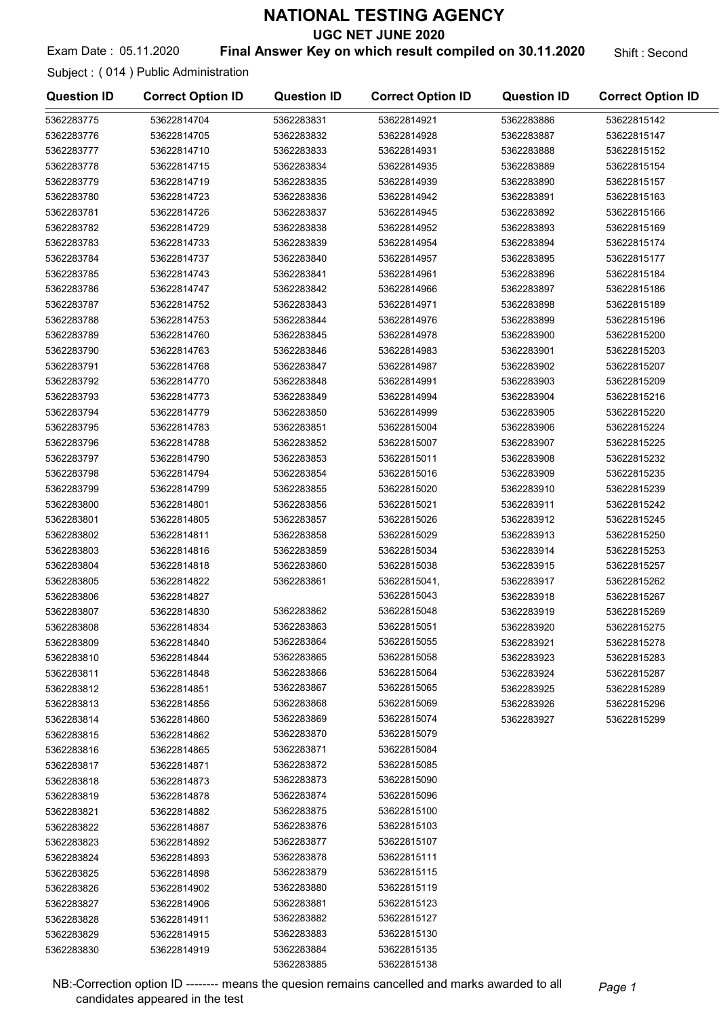UGC NET JUNE 2020

## Exam Date : 05.11.2020 **Final Answer Key on which result compiled on 30.11.2020** Shift : Second

Subject : ( 014 ) Public Administration

| <b>Question ID</b> | <b>Correct Option ID</b> | <b>Question ID</b> | <b>Correct Option ID</b> | <b>Question ID</b> | <b>Correct Option ID</b> |
|--------------------|--------------------------|--------------------|--------------------------|--------------------|--------------------------|
| 5362283775         | 53622814704              | 5362283831         | 53622814921              | 5362283886         | 53622815142              |
| 5362283776         | 53622814705              | 5362283832         | 53622814928              | 5362283887         | 53622815147              |
| 5362283777         | 53622814710              | 5362283833         | 53622814931              | 5362283888         | 53622815152              |
| 5362283778         | 53622814715              | 5362283834         | 53622814935              | 5362283889         | 53622815154              |
| 5362283779         | 53622814719              | 5362283835         | 53622814939              | 5362283890         | 53622815157              |
| 5362283780         | 53622814723              | 5362283836         | 53622814942              | 5362283891         | 53622815163              |
| 5362283781         | 53622814726              | 5362283837         | 53622814945              | 5362283892         | 53622815166              |
| 5362283782         | 53622814729              | 5362283838         | 53622814952              | 5362283893         | 53622815169              |
| 5362283783         | 53622814733              | 5362283839         | 53622814954              | 5362283894         | 53622815174              |
| 5362283784         | 53622814737              | 5362283840         | 53622814957              | 5362283895         | 53622815177              |
| 5362283785         | 53622814743              | 5362283841         | 53622814961              | 5362283896         | 53622815184              |
| 5362283786         | 53622814747              | 5362283842         | 53622814966              | 5362283897         | 53622815186              |
| 5362283787         | 53622814752              | 5362283843         | 53622814971              | 5362283898         | 53622815189              |
| 5362283788         | 53622814753              | 5362283844         | 53622814976              | 5362283899         | 53622815196              |
| 5362283789         | 53622814760              | 5362283845         | 53622814978              | 5362283900         | 53622815200              |
| 5362283790         | 53622814763              | 5362283846         | 53622814983              | 5362283901         | 53622815203              |
| 5362283791         | 53622814768              | 5362283847         | 53622814987              | 5362283902         | 53622815207              |
| 5362283792         | 53622814770              | 5362283848         | 53622814991              | 5362283903         | 53622815209              |
| 5362283793         | 53622814773              | 5362283849         | 53622814994              | 5362283904         | 53622815216              |
| 5362283794         | 53622814779              | 5362283850         | 53622814999              | 5362283905         | 53622815220              |
| 5362283795         | 53622814783              | 5362283851         | 53622815004              | 5362283906         | 53622815224              |
| 5362283796         | 53622814788              | 5362283852         | 53622815007              | 5362283907         | 53622815225              |
| 5362283797         | 53622814790              | 5362283853         | 53622815011              | 5362283908         | 53622815232              |
| 5362283798         | 53622814794              | 5362283854         | 53622815016              | 5362283909         | 53622815235              |
| 5362283799         | 53622814799              | 5362283855         | 53622815020              | 5362283910         | 53622815239              |
| 5362283800         | 53622814801              | 5362283856         | 53622815021              | 5362283911         | 53622815242              |
| 5362283801         | 53622814805              | 5362283857         | 53622815026              | 5362283912         | 53622815245              |
| 5362283802         | 53622814811              | 5362283858         | 53622815029              | 5362283913         | 53622815250              |
| 5362283803         | 53622814816              | 5362283859         | 53622815034              | 5362283914         | 53622815253              |
| 5362283804         | 53622814818              | 5362283860         | 53622815038              | 5362283915         | 53622815257              |
| 5362283805         | 53622814822              | 5362283861         | 53622815041,             | 5362283917         | 53622815262              |
| 5362283806         | 53622814827              |                    | 53622815043              | 5362283918         | 53622815267              |
| 5362283807         | 53622814830              | 5362283862         | 53622815048              | 5362283919         | 53622815269              |
| 5362283808         | 53622814834              | 5362283863         | 53622815051              | 5362283920         | 53622815275              |
| 5362283809         | 53622814840              | 5362283864         | 53622815055              | 5362283921         | 53622815278              |
| 5362283810         | 53622814844              | 5362283865         | 53622815058              | 5362283923         | 53622815283              |
| 5362283811         | 53622814848              | 5362283866         | 53622815064              | 5362283924         | 53622815287              |
| 5362283812         | 53622814851              | 5362283867         | 53622815065              | 5362283925         | 53622815289              |
| 5362283813         | 53622814856              | 5362283868         | 53622815069              | 5362283926         | 53622815296              |
| 5362283814         | 53622814860              | 5362283869         | 53622815074              | 5362283927         | 53622815299              |
| 5362283815         | 53622814862              | 5362283870         | 53622815079              |                    |                          |
| 5362283816         | 53622814865              | 5362283871         | 53622815084              |                    |                          |
| 5362283817         | 53622814871              | 5362283872         | 53622815085              |                    |                          |
| 5362283818         | 53622814873              | 5362283873         | 53622815090              |                    |                          |
| 5362283819         | 53622814878              | 5362283874         | 53622815096              |                    |                          |
| 5362283821         | 53622814882              | 5362283875         | 53622815100              |                    |                          |
| 5362283822         | 53622814887              | 5362283876         | 53622815103              |                    |                          |
| 5362283823         | 53622814892              | 5362283877         | 53622815107              |                    |                          |
| 5362283824         | 53622814893              | 5362283878         | 53622815111              |                    |                          |
| 5362283825         | 53622814898              | 5362283879         | 53622815115              |                    |                          |
| 5362283826         | 53622814902              | 5362283880         | 53622815119              |                    |                          |
| 5362283827         | 53622814906              | 5362283881         | 53622815123              |                    |                          |
| 5362283828         | 53622814911              | 5362283882         | 53622815127              |                    |                          |
| 5362283829         | 53622814915              | 5362283883         | 53622815130              |                    |                          |
| 5362283830         | 53622814919              | 5362283884         | 53622815135              |                    |                          |

NB:-Correction option ID -------- means the quesion remains cancelled and marks awarded to all Page 1 candidates appeared in the test

5362283885 53622815138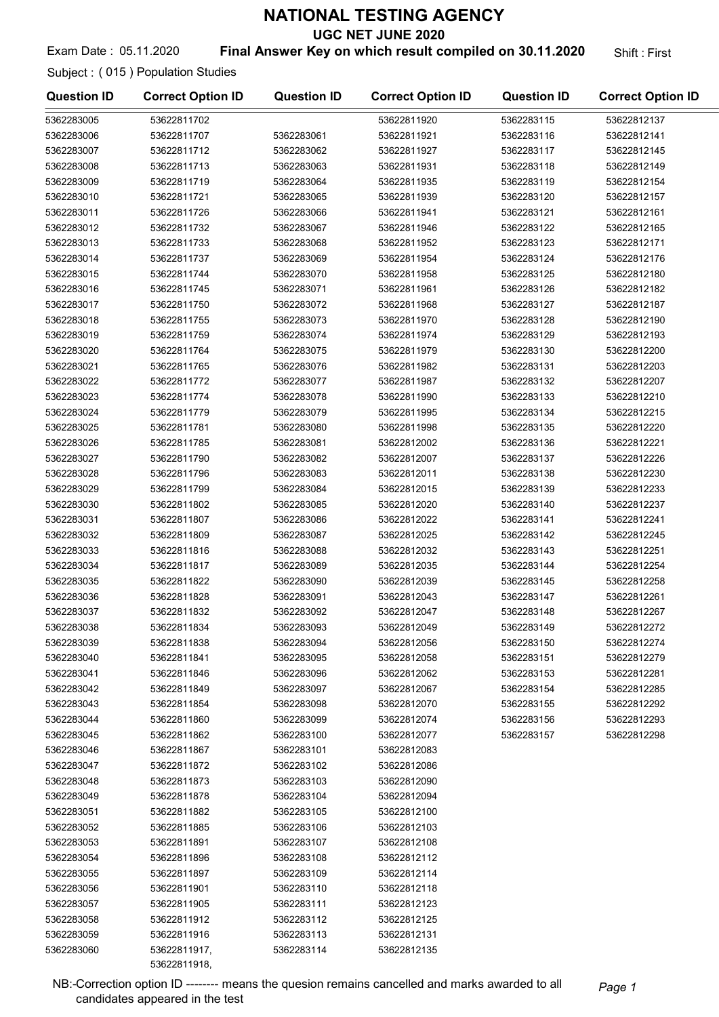UGC NET JUNE 2020

### Exam Date: 05.11.2020 **Final Answer Key on which result compiled on 30.11.2020** Shift: First

Subject : ( 015 ) Population Studies

| <b>Question ID</b> | <b>Correct Option ID</b> | <b>Question ID</b> | <b>Correct Option ID</b> | <b>Question ID</b> | <b>Correct Option ID</b> |
|--------------------|--------------------------|--------------------|--------------------------|--------------------|--------------------------|
| 5362283005         | 53622811702              |                    | 53622811920              | 5362283115         | 53622812137              |
| 5362283006         | 53622811707              | 5362283061         | 53622811921              | 5362283116         | 53622812141              |
| 5362283007         | 53622811712              | 5362283062         | 53622811927              | 5362283117         | 53622812145              |
| 5362283008         | 53622811713              | 5362283063         | 53622811931              | 5362283118         | 53622812149              |
| 5362283009         | 53622811719              | 5362283064         | 53622811935              | 5362283119         | 53622812154              |
| 5362283010         | 53622811721              | 5362283065         | 53622811939              | 5362283120         | 53622812157              |
| 5362283011         | 53622811726              | 5362283066         | 53622811941              | 5362283121         | 53622812161              |
| 5362283012         | 53622811732              | 5362283067         | 53622811946              | 5362283122         | 53622812165              |
| 5362283013         | 53622811733              | 5362283068         | 53622811952              | 5362283123         | 53622812171              |
| 5362283014         | 53622811737              | 5362283069         | 53622811954              | 5362283124         | 53622812176              |
| 5362283015         | 53622811744              | 5362283070         | 53622811958              | 5362283125         | 53622812180              |
| 5362283016         | 53622811745              | 5362283071         | 53622811961              | 5362283126         | 53622812182              |
| 5362283017         | 53622811750              | 5362283072         | 53622811968              | 5362283127         | 53622812187              |
| 5362283018         | 53622811755              | 5362283073         | 53622811970              | 5362283128         | 53622812190              |
| 5362283019         | 53622811759              | 5362283074         | 53622811974              | 5362283129         | 53622812193              |
| 5362283020         | 53622811764              | 5362283075         | 53622811979              | 5362283130         | 53622812200              |
| 5362283021         | 53622811765              | 5362283076         | 53622811982              | 5362283131         | 53622812203              |
| 5362283022         | 53622811772              | 5362283077         | 53622811987              | 5362283132         | 53622812207              |
| 5362283023         | 53622811774              | 5362283078         | 53622811990              | 5362283133         | 53622812210              |
| 5362283024         | 53622811779              | 5362283079         | 53622811995              | 5362283134         | 53622812215              |
| 5362283025         | 53622811781              | 5362283080         | 53622811998              | 5362283135         | 53622812220              |
| 5362283026         | 53622811785              | 5362283081         | 53622812002              | 5362283136         | 53622812221              |
| 5362283027         | 53622811790              | 5362283082         | 53622812007              | 5362283137         | 53622812226              |
| 5362283028         | 53622811796              | 5362283083         | 53622812011              | 5362283138         | 53622812230              |
| 5362283029         | 53622811799              | 5362283084         | 53622812015              | 5362283139         | 53622812233              |
| 5362283030         | 53622811802              | 5362283085         | 53622812020              | 5362283140         | 53622812237              |
| 5362283031         | 53622811807              | 5362283086         | 53622812022              | 5362283141         | 53622812241              |
| 5362283032         | 53622811809              | 5362283087         | 53622812025              | 5362283142         | 53622812245              |
| 5362283033         | 53622811816              | 5362283088         | 53622812032              | 5362283143         | 53622812251              |
| 5362283034         | 53622811817              | 5362283089         | 53622812035              | 5362283144         | 53622812254              |
| 5362283035         | 53622811822              | 5362283090         | 53622812039              | 5362283145         | 53622812258              |
| 5362283036         | 53622811828              | 5362283091         | 53622812043              | 5362283147         | 53622812261              |
| 5362283037         | 53622811832              | 5362283092         | 53622812047              | 5362283148         | 53622812267              |
| 5362283038         | 53622811834              | 5362283093         | 53622812049              | 5362283149         | 53622812272              |
| 5362283039         | 53622811838              | 5362283094         | 53622812056              | 5362283150         | 53622812274              |
| 5362283040         | 53622811841              | 5362283095         | 53622812058              | 5362283151         | 53622812279              |
| 5362283041         | 53622811846              | 5362283096         | 53622812062              | 5362283153         | 53622812281              |
| 5362283042         | 53622811849              | 5362283097         | 53622812067              | 5362283154         | 53622812285              |
| 5362283043         | 53622811854              | 5362283098         | 53622812070              | 5362283155         | 53622812292              |
| 5362283044         | 53622811860              | 5362283099         | 53622812074              | 5362283156         | 53622812293              |
| 5362283045         | 53622811862              | 5362283100         | 53622812077              | 5362283157         | 53622812298              |
| 5362283046         | 53622811867              | 5362283101         | 53622812083              |                    |                          |
| 5362283047         | 53622811872              | 5362283102         | 53622812086              |                    |                          |
| 5362283048         | 53622811873              | 5362283103         | 53622812090              |                    |                          |
| 5362283049         | 53622811878              | 5362283104         | 53622812094              |                    |                          |
| 5362283051         | 53622811882              | 5362283105         | 53622812100              |                    |                          |
| 5362283052         | 53622811885              | 5362283106         | 53622812103              |                    |                          |
| 5362283053         | 53622811891              | 5362283107         | 53622812108              |                    |                          |
| 5362283054         | 53622811896              | 5362283108         | 53622812112              |                    |                          |
| 5362283055         | 53622811897              | 5362283109         | 53622812114              |                    |                          |
| 5362283056         | 53622811901              | 5362283110         | 53622812118              |                    |                          |
| 5362283057         | 53622811905              | 5362283111         | 53622812123              |                    |                          |
| 5362283058         | 53622811912              | 5362283112         | 53622812125              |                    |                          |
| 5362283059         | 53622811916              | 5362283113         | 53622812131              |                    |                          |
| 5362283060         | 53622811917,             | 5362283114         | 53622812135              |                    |                          |

NB:-Correction option ID -------- means the quesion remains cancelled and marks awarded to all Page 1 candidates appeared in the test

53622811918,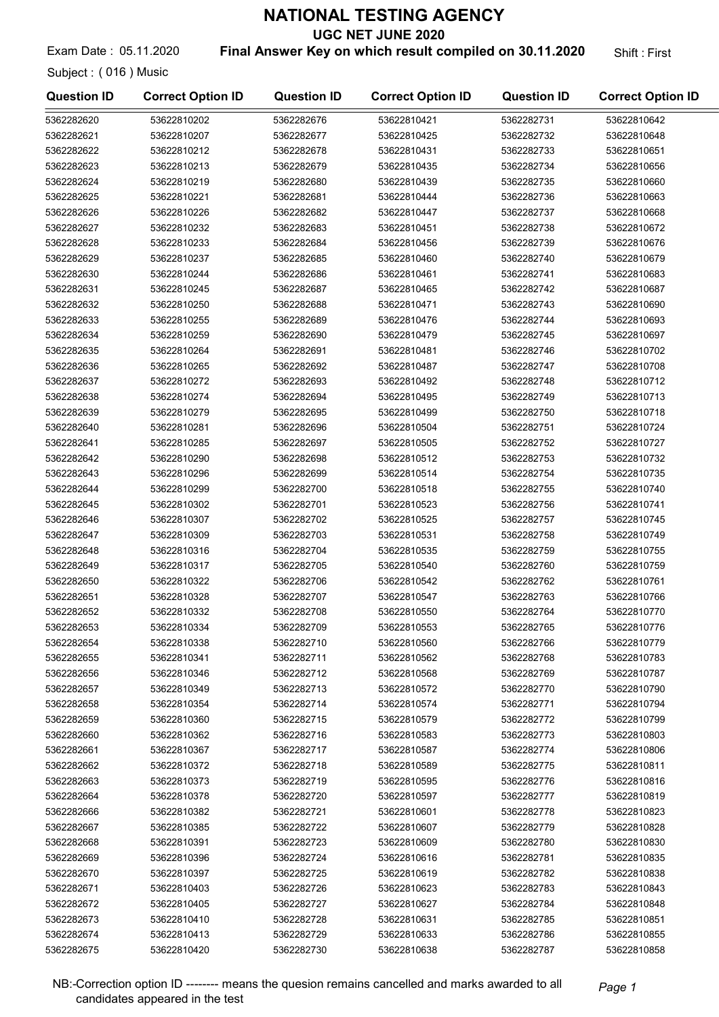UGC NET JUNE 2020

Exam Date: 05.11.2020 **Final Answer Key on which result compiled on 30.11.2020** Shift: First

Subject : ( 016 ) Music

| <b>Question ID</b> | <b>Correct Option ID</b> | <b>Question ID</b> | <b>Correct Option ID</b> | <b>Question ID</b> | <b>Correct Option ID</b> |
|--------------------|--------------------------|--------------------|--------------------------|--------------------|--------------------------|
| 5362282620         | 53622810202              | 5362282676         | 53622810421              | 5362282731         | 53622810642              |
| 5362282621         | 53622810207              | 5362282677         | 53622810425              | 5362282732         | 53622810648              |
| 5362282622         | 53622810212              | 5362282678         | 53622810431              | 5362282733         | 53622810651              |
| 5362282623         | 53622810213              | 5362282679         | 53622810435              | 5362282734         | 53622810656              |
| 5362282624         | 53622810219              | 5362282680         | 53622810439              | 5362282735         | 53622810660              |
| 5362282625         | 53622810221              | 5362282681         | 53622810444              | 5362282736         | 53622810663              |
| 5362282626         | 53622810226              | 5362282682         | 53622810447              | 5362282737         | 53622810668              |
| 5362282627         | 53622810232              | 5362282683         | 53622810451              | 5362282738         | 53622810672              |
| 5362282628         | 53622810233              | 5362282684         | 53622810456              | 5362282739         | 53622810676              |
| 5362282629         | 53622810237              | 5362282685         | 53622810460              | 5362282740         | 53622810679              |
| 5362282630         | 53622810244              | 5362282686         | 53622810461              | 5362282741         | 53622810683              |
| 5362282631         | 53622810245              | 5362282687         | 53622810465              | 5362282742         | 53622810687              |
| 5362282632         | 53622810250              | 5362282688         | 53622810471              | 5362282743         | 53622810690              |
| 5362282633         | 53622810255              | 5362282689         | 53622810476              | 5362282744         | 53622810693              |
| 5362282634         | 53622810259              | 5362282690         | 53622810479              | 5362282745         | 53622810697              |
| 5362282635         | 53622810264              | 5362282691         | 53622810481              | 5362282746         | 53622810702              |
| 5362282636         | 53622810265              | 5362282692         | 53622810487              | 5362282747         | 53622810708              |
| 5362282637         | 53622810272              | 5362282693         | 53622810492              | 5362282748         | 53622810712              |
| 5362282638         | 53622810274              | 5362282694         | 53622810495              | 5362282749         | 53622810713              |
| 5362282639         | 53622810279              | 5362282695         | 53622810499              | 5362282750         | 53622810718              |
| 5362282640         | 53622810281              | 5362282696         | 53622810504              | 5362282751         | 53622810724              |
| 5362282641         | 53622810285              | 5362282697         | 53622810505              | 5362282752         | 53622810727              |
| 5362282642         | 53622810290              | 5362282698         | 53622810512              | 5362282753         | 53622810732              |
| 5362282643         | 53622810296              | 5362282699         | 53622810514              | 5362282754         | 53622810735              |
| 5362282644         | 53622810299              | 5362282700         | 53622810518              | 5362282755         | 53622810740              |
| 5362282645         | 53622810302              | 5362282701         | 53622810523              | 5362282756         | 53622810741              |
| 5362282646         | 53622810307              | 5362282702         | 53622810525              | 5362282757         | 53622810745              |
| 5362282647         | 53622810309              | 5362282703         | 53622810531              | 5362282758         | 53622810749              |
| 5362282648         | 53622810316              | 5362282704         | 53622810535              | 5362282759         | 53622810755              |
| 5362282649         | 53622810317              | 5362282705         | 53622810540              | 5362282760         | 53622810759              |
| 5362282650         | 53622810322              | 5362282706         | 53622810542              | 5362282762         | 53622810761              |
| 5362282651         | 53622810328              | 5362282707         | 53622810547              | 5362282763         | 53622810766              |
| 5362282652         | 53622810332              | 5362282708         | 53622810550              | 5362282764         | 53622810770              |
| 5362282653         | 53622810334              | 5362282709         | 53622810553              | 5362282765         | 53622810776              |
| 5362282654         | 53622810338              | 5362282710         | 53622810560              | 5362282766         | 53622810779              |
| 5362282655         | 53622810341              | 5362282711         | 53622810562              | 5362282768         | 53622810783              |
| 5362282656         | 53622810346              | 5362282712         | 53622810568              | 5362282769         | 53622810787              |
| 5362282657         | 53622810349              | 5362282713         | 53622810572              | 5362282770         | 53622810790              |
| 5362282658         | 53622810354              | 5362282714         | 53622810574              | 5362282771         | 53622810794              |
| 5362282659         | 53622810360              | 5362282715         | 53622810579              | 5362282772         | 53622810799              |
| 5362282660         | 53622810362              | 5362282716         | 53622810583              | 5362282773         | 53622810803              |
| 5362282661         | 53622810367              | 5362282717         | 53622810587              | 5362282774         | 53622810806              |
| 5362282662         | 53622810372              | 5362282718         | 53622810589              | 5362282775         | 53622810811              |
| 5362282663         | 53622810373              | 5362282719         | 53622810595              | 5362282776         | 53622810816              |
| 5362282664         | 53622810378              | 5362282720         | 53622810597              | 5362282777         | 53622810819              |
| 5362282666         | 53622810382              | 5362282721         | 53622810601              | 5362282778         | 53622810823              |
| 5362282667         | 53622810385              | 5362282722         | 53622810607              | 5362282779         | 53622810828              |
| 5362282668         | 53622810391              | 5362282723         | 53622810609              | 5362282780         | 53622810830              |
| 5362282669         | 53622810396              | 5362282724         | 53622810616              | 5362282781         | 53622810835              |
| 5362282670         | 53622810397              | 5362282725         | 53622810619              | 5362282782         | 53622810838              |
| 5362282671         | 53622810403              | 5362282726         | 53622810623              | 5362282783         | 53622810843              |
| 5362282672         | 53622810405              | 5362282727         | 53622810627              | 5362282784         | 53622810848              |
| 5362282673         | 53622810410              | 5362282728         | 53622810631              | 5362282785         | 53622810851              |
| 5362282674         | 53622810413              | 5362282729         | 53622810633              | 5362282786         | 53622810855              |
| 5362282675         | 53622810420              | 5362282730         | 53622810638              | 5362282787         | 53622810858              |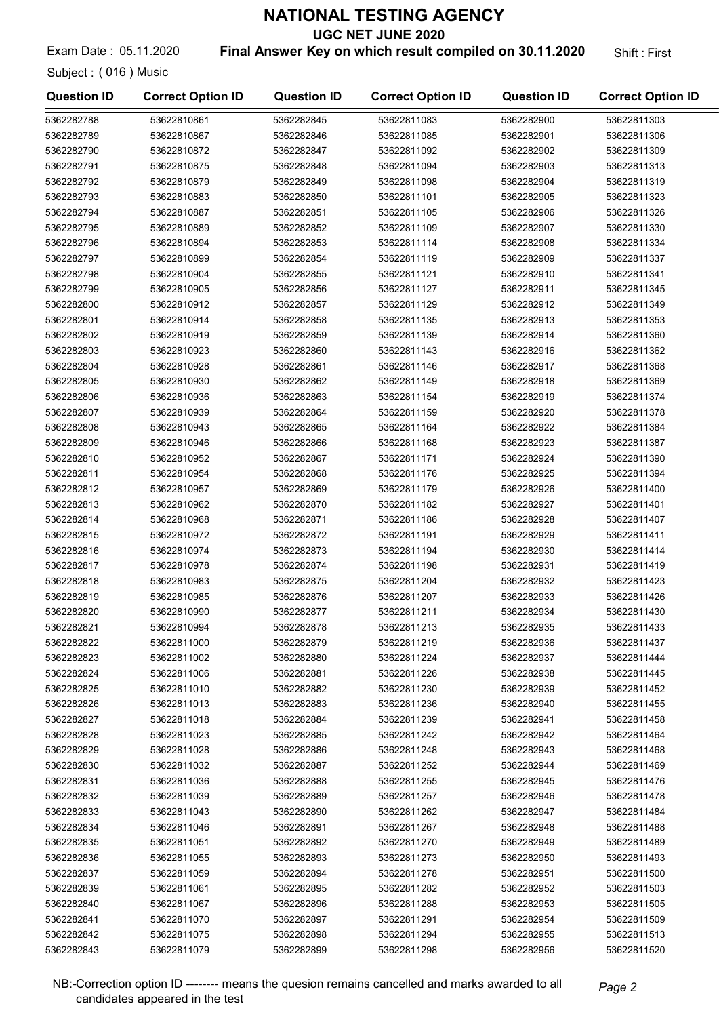UGC NET JUNE 2020

Exam Date: 05.11.2020 **Final Answer Key on which result compiled on 30.11.2020** Shift: First

Subject : ( 016 ) Music

| <b>Question ID</b>       | <b>Correct Option ID</b>   | <b>Question ID</b>       | <b>Correct Option ID</b>   | <b>Question ID</b>       | <b>Correct Option ID</b>   |
|--------------------------|----------------------------|--------------------------|----------------------------|--------------------------|----------------------------|
| 5362282788               | 53622810861                | 5362282845               | 53622811083                | 5362282900               | 53622811303                |
| 5362282789               | 53622810867                | 5362282846               | 53622811085                | 5362282901               | 53622811306                |
| 5362282790               | 53622810872                | 5362282847               | 53622811092                | 5362282902               | 53622811309                |
| 5362282791               | 53622810875                | 5362282848               | 53622811094                | 5362282903               | 53622811313                |
| 5362282792               | 53622810879                | 5362282849               | 53622811098                | 5362282904               | 53622811319                |
| 5362282793               | 53622810883                | 5362282850               | 53622811101                | 5362282905               | 53622811323                |
| 5362282794               | 53622810887                | 5362282851               | 53622811105                | 5362282906               | 53622811326                |
| 5362282795               | 53622810889                | 5362282852               | 53622811109                | 5362282907               | 53622811330                |
| 5362282796               | 53622810894                | 5362282853               | 53622811114                | 5362282908               | 53622811334                |
| 5362282797               | 53622810899                | 5362282854               | 53622811119                | 5362282909               | 53622811337                |
| 5362282798               | 53622810904                | 5362282855               | 53622811121                | 5362282910               | 53622811341                |
| 5362282799               | 53622810905                | 5362282856               | 53622811127                | 5362282911               | 53622811345                |
| 5362282800               | 53622810912                | 5362282857               | 53622811129                | 5362282912               | 53622811349                |
| 5362282801               | 53622810914                | 5362282858               | 53622811135                | 5362282913               | 53622811353                |
| 5362282802               | 53622810919                | 5362282859               | 53622811139                | 5362282914               | 53622811360                |
| 5362282803               | 53622810923                | 5362282860               | 53622811143                | 5362282916               | 53622811362                |
| 5362282804               | 53622810928                | 5362282861               | 53622811146                | 5362282917               | 53622811368                |
| 5362282805               | 53622810930                | 5362282862               | 53622811149                | 5362282918               | 53622811369                |
| 5362282806               | 53622810936                | 5362282863               | 53622811154                | 5362282919               | 53622811374                |
| 5362282807               | 53622810939                | 5362282864               | 53622811159                | 5362282920               | 53622811378                |
| 5362282808               | 53622810943                | 5362282865               | 53622811164                | 5362282922               | 53622811384                |
| 5362282809               | 53622810946                | 5362282866               | 53622811168                | 5362282923               | 53622811387                |
| 5362282810               | 53622810952                | 5362282867               | 53622811171                | 5362282924               | 53622811390                |
| 5362282811               | 53622810954                | 5362282868               | 53622811176                | 5362282925               | 53622811394                |
| 5362282812               | 53622810957                | 5362282869               | 53622811179                | 5362282926               | 53622811400                |
| 5362282813               | 53622810962                | 5362282870               | 53622811182                | 5362282927               | 53622811401                |
| 5362282814               | 53622810968                | 5362282871               | 53622811186                | 5362282928               | 53622811407                |
| 5362282815               | 53622810972                | 5362282872               | 53622811191                | 5362282929               | 53622811411                |
| 5362282816               | 53622810974                | 5362282873               | 53622811194                | 5362282930               | 53622811414                |
| 5362282817               | 53622810978                | 5362282874               | 53622811198                | 5362282931               | 53622811419                |
| 5362282818               | 53622810983                | 5362282875               | 53622811204                | 5362282932               | 53622811423                |
| 5362282819               | 53622810985                | 5362282876               | 53622811207                | 5362282933               | 53622811426                |
| 5362282820               | 53622810990                | 5362282877               | 53622811211                | 5362282934               | 53622811430                |
| 5362282821               | 53622810994                | 5362282878               | 53622811213                | 5362282935               | 53622811433                |
| 5362282822               | 53622811000                | 5362282879               | 53622811219                | 5362282936               | 53622811437                |
| 5362282823               | 53622811002                | 5362282880               | 53622811224                | 5362282937               | 53622811444                |
| 5362282824               | 53622811006                | 5362282881               | 53622811226                | 5362282938               | 53622811445                |
| 5362282825               | 53622811010                | 5362282882               | 53622811230                | 5362282939               | 53622811452                |
| 5362282826               | 53622811013                | 5362282883               | 53622811236                | 5362282940               | 53622811455                |
| 5362282827               | 53622811018                | 5362282884               | 53622811239                | 5362282941               | 53622811458                |
| 5362282828               | 53622811023                | 5362282885               | 53622811242                | 5362282942               | 53622811464                |
| 5362282829               | 53622811028                | 5362282886               | 53622811248                | 5362282943               | 53622811468                |
| 5362282830               | 53622811032                | 5362282887               | 53622811252                | 5362282944               | 53622811469                |
| 5362282831               | 53622811036                | 5362282888               | 53622811255                | 5362282945               | 53622811476                |
| 5362282832               | 53622811039                | 5362282889               | 53622811257                | 5362282946               | 53622811478                |
| 5362282833               | 53622811043                | 5362282890               | 53622811262                | 5362282947               | 53622811484                |
| 5362282834               | 53622811046<br>53622811051 | 5362282891               | 53622811267<br>53622811270 | 5362282948               | 53622811488<br>53622811489 |
| 5362282835               |                            | 5362282892               |                            | 5362282949               |                            |
| 5362282836<br>5362282837 | 53622811055<br>53622811059 | 5362282893<br>5362282894 | 53622811273<br>53622811278 | 5362282950<br>5362282951 | 53622811493<br>53622811500 |
| 5362282839               | 53622811061                | 5362282895               | 53622811282                | 5362282952               | 53622811503                |
| 5362282840               | 53622811067                | 5362282896               | 53622811288                | 5362282953               | 53622811505                |
| 5362282841               | 53622811070                | 5362282897               | 53622811291                | 5362282954               | 53622811509                |
| 5362282842               | 53622811075                | 5362282898               | 53622811294                | 5362282955               | 53622811513                |
| 5362282843               | 53622811079                | 5362282899               | 53622811298                | 5362282956               | 53622811520                |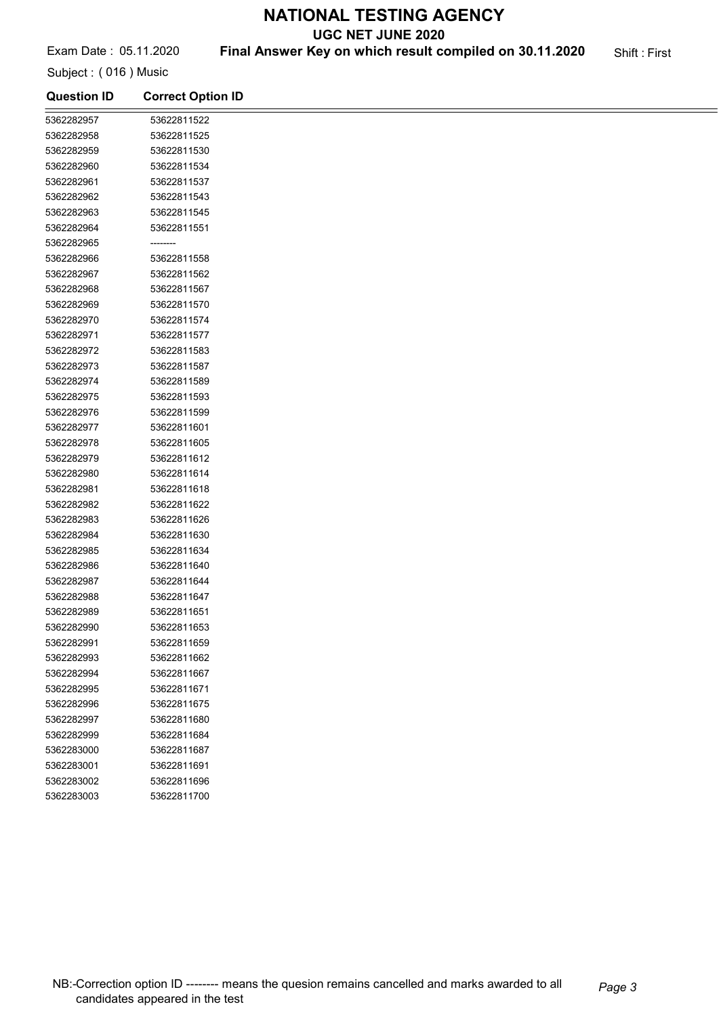UGC NET JUNE 2020

# Exam Date: 05.11.2020 **Final Answer Key on which result compiled on 30.11.2020** Shift: First

Subject : ( 016 ) Music

| <b>Question ID</b> | <b>Correct Option ID</b> |  |
|--------------------|--------------------------|--|
| 5362282957         | 53622811522              |  |
| 5362282958         | 53622811525              |  |
| 5362282959         | 53622811530              |  |
| 5362282960         | 53622811534              |  |
| 5362282961         | 53622811537              |  |
| 5362282962         | 53622811543              |  |
| 5362282963         | 53622811545              |  |
| 5362282964         | 53622811551              |  |
| 5362282965         | --------                 |  |
| 5362282966         | 53622811558              |  |
| 5362282967         | 53622811562              |  |
| 5362282968         | 53622811567              |  |
| 5362282969         | 53622811570              |  |
| 5362282970         | 53622811574              |  |
| 5362282971         | 53622811577              |  |
| 5362282972         | 53622811583              |  |
| 5362282973         | 53622811587              |  |
| 5362282974         | 53622811589              |  |
| 5362282975         | 53622811593              |  |
| 5362282976         | 53622811599              |  |
| 5362282977         | 53622811601              |  |
| 5362282978         | 53622811605              |  |
| 5362282979         | 53622811612              |  |
| 5362282980         | 53622811614              |  |
| 5362282981         | 53622811618              |  |
| 5362282982         | 53622811622              |  |
| 5362282983         | 53622811626              |  |
| 5362282984         | 53622811630              |  |
| 5362282985         | 53622811634              |  |
| 5362282986         | 53622811640              |  |
| 5362282987         | 53622811644              |  |
| 5362282988         | 53622811647              |  |
| 5362282989         | 53622811651              |  |
| 5362282990         | 53622811653              |  |
| 5362282991         | 53622811659              |  |
| 5362282993         | 53622811662              |  |
| 5362282994         | 53622811667              |  |
| 5362282995         | 53622811671              |  |
| 5362282996         | 53622811675              |  |
| 5362282997         | 53622811680              |  |
| 5362282999         | 53622811684              |  |
| 5362283000         | 53622811687              |  |
| 5362283001         | 53622811691              |  |
| 5362283002         | 53622811696              |  |
| 5362283003         | 53622811700              |  |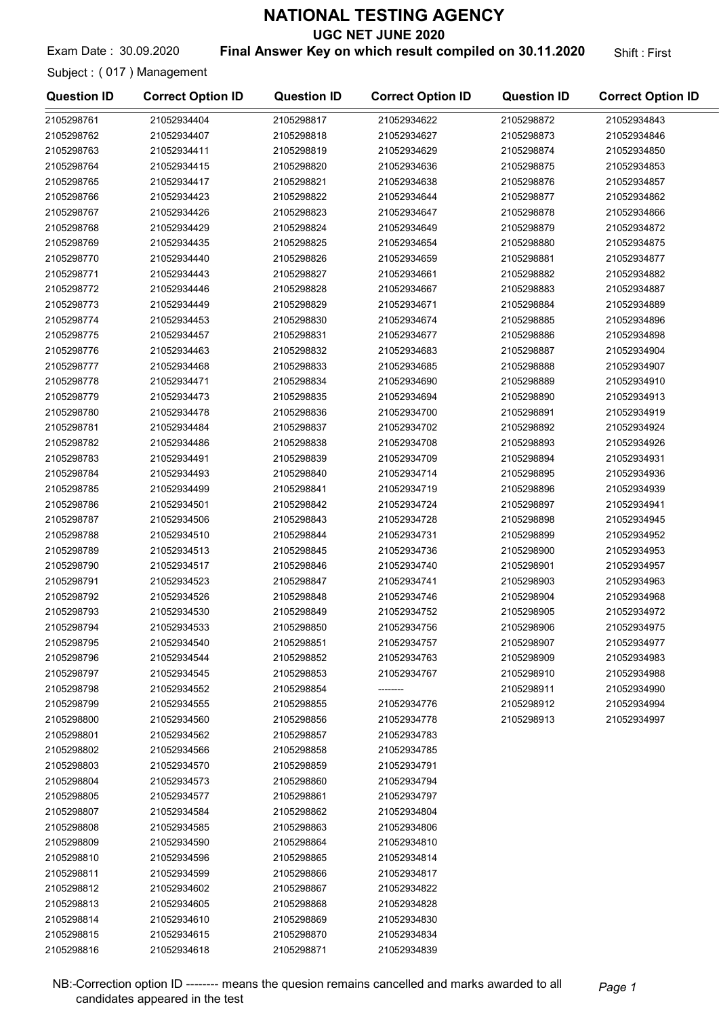UGC NET JUNE 2020

### Exam Date: 30.09.2020 **Final Answer Key on which result compiled on 30.11.2020** Shift: First

Subject : ( 017 ) Management

| <b>Question ID</b> | <b>Correct Option ID</b> | <b>Question ID</b> | <b>Correct Option ID</b> | <b>Question ID</b> | <b>Correct Option ID</b> |
|--------------------|--------------------------|--------------------|--------------------------|--------------------|--------------------------|
| 2105298761         | 21052934404              | 2105298817         | 21052934622              | 2105298872         | 21052934843              |
| 2105298762         | 21052934407              | 2105298818         | 21052934627              | 2105298873         | 21052934846              |
| 2105298763         | 21052934411              | 2105298819         | 21052934629              | 2105298874         | 21052934850              |
| 2105298764         | 21052934415              | 2105298820         | 21052934636              | 2105298875         | 21052934853              |
| 2105298765         | 21052934417              | 2105298821         | 21052934638              | 2105298876         | 21052934857              |
| 2105298766         | 21052934423              | 2105298822         | 21052934644              | 2105298877         | 21052934862              |
| 2105298767         | 21052934426              | 2105298823         | 21052934647              | 2105298878         | 21052934866              |
| 2105298768         | 21052934429              | 2105298824         | 21052934649              | 2105298879         | 21052934872              |
| 2105298769         | 21052934435              | 2105298825         | 21052934654              | 2105298880         | 21052934875              |
| 2105298770         | 21052934440              | 2105298826         | 21052934659              | 2105298881         | 21052934877              |
| 2105298771         | 21052934443              | 2105298827         | 21052934661              | 2105298882         | 21052934882              |
| 2105298772         | 21052934446              | 2105298828         | 21052934667              | 2105298883         | 21052934887              |
| 2105298773         | 21052934449              | 2105298829         | 21052934671              | 2105298884         | 21052934889              |
| 2105298774         | 21052934453              | 2105298830         | 21052934674              | 2105298885         | 21052934896              |
| 2105298775         | 21052934457              | 2105298831         | 21052934677              | 2105298886         | 21052934898              |
| 2105298776         | 21052934463              | 2105298832         | 21052934683              | 2105298887         | 21052934904              |
| 2105298777         | 21052934468              | 2105298833         | 21052934685              | 2105298888         | 21052934907              |
| 2105298778         | 21052934471              | 2105298834         | 21052934690              | 2105298889         | 21052934910              |
| 2105298779         | 21052934473              | 2105298835         | 21052934694              | 2105298890         | 21052934913              |
| 2105298780         | 21052934478              | 2105298836         | 21052934700              | 2105298891         | 21052934919              |
| 2105298781         | 21052934484              | 2105298837         | 21052934702              | 2105298892         | 21052934924              |
| 2105298782         | 21052934486              | 2105298838         | 21052934708              | 2105298893         | 21052934926              |
| 2105298783         | 21052934491              | 2105298839         | 21052934709              | 2105298894         | 21052934931              |
| 2105298784         | 21052934493              | 2105298840         | 21052934714              | 2105298895         | 21052934936              |
| 2105298785         | 21052934499              | 2105298841         | 21052934719              | 2105298896         | 21052934939              |
| 2105298786         | 21052934501              | 2105298842         | 21052934724              | 2105298897         | 21052934941              |
| 2105298787         | 21052934506              | 2105298843         | 21052934728              | 2105298898         | 21052934945              |
| 2105298788         | 21052934510              | 2105298844         | 21052934731              | 2105298899         | 21052934952              |
| 2105298789         | 21052934513              | 2105298845         | 21052934736              | 2105298900         | 21052934953              |
| 2105298790         | 21052934517              | 2105298846         | 21052934740              | 2105298901         | 21052934957              |
| 2105298791         | 21052934523              | 2105298847         | 21052934741              | 2105298903         | 21052934963              |
| 2105298792         | 21052934526              | 2105298848         | 21052934746              | 2105298904         | 21052934968              |
| 2105298793         | 21052934530              | 2105298849         | 21052934752              | 2105298905         | 21052934972              |
| 2105298794         | 21052934533              | 2105298850         | 21052934756              | 2105298906         | 21052934975              |
| 2105298795         | 21052934540              | 2105298851         | 21052934757              | 2105298907         | 21052934977              |
| 2105298796         | 21052934544              | 2105298852         | 21052934763              | 2105298909         | 21052934983              |
| 2105298797         | 21052934545              | 2105298853         | 21052934767              | 2105298910         | 21052934988              |
| 2105298798         | 21052934552              | 2105298854         |                          | 2105298911         | 21052934990              |
| 2105298799         | 21052934555              | 2105298855         | 21052934776              | 2105298912         | 21052934994              |
| 2105298800         | 21052934560              | 2105298856         | 21052934778              | 2105298913         | 21052934997              |
| 2105298801         | 21052934562              | 2105298857         | 21052934783              |                    |                          |
| 2105298802         | 21052934566              | 2105298858         | 21052934785              |                    |                          |
| 2105298803         | 21052934570              | 2105298859         | 21052934791              |                    |                          |
| 2105298804         | 21052934573              | 2105298860         | 21052934794              |                    |                          |
| 2105298805         | 21052934577              | 2105298861         | 21052934797              |                    |                          |
| 2105298807         | 21052934584              | 2105298862         | 21052934804              |                    |                          |
| 2105298808         | 21052934585              | 2105298863         | 21052934806              |                    |                          |
| 2105298809         | 21052934590              | 2105298864         | 21052934810              |                    |                          |
| 2105298810         | 21052934596              | 2105298865         | 21052934814              |                    |                          |
| 2105298811         | 21052934599              | 2105298866         | 21052934817              |                    |                          |
| 2105298812         | 21052934602              | 2105298867         | 21052934822              |                    |                          |
| 2105298813         | 21052934605              | 2105298868         | 21052934828              |                    |                          |
| 2105298814         | 21052934610              | 2105298869         | 21052934830              |                    |                          |
| 2105298815         | 21052934615              | 2105298870         | 21052934834              |                    |                          |
| 2105298816         | 21052934618              | 2105298871         | 21052934839              |                    |                          |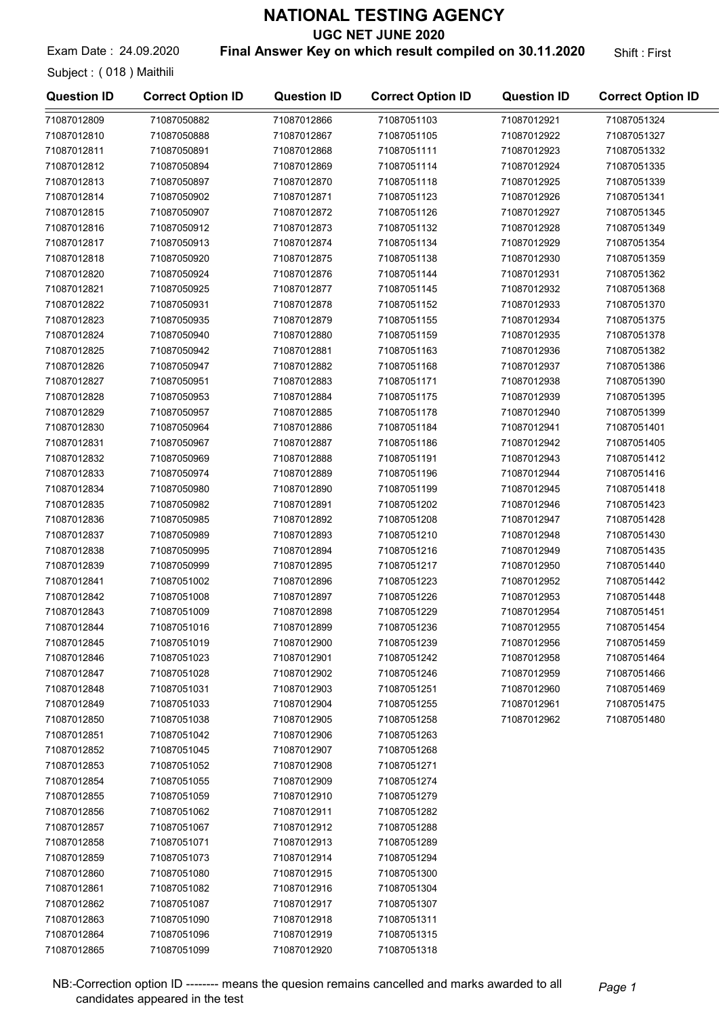UGC NET JUNE 2020

Exam Date: 24.09.2020 **Final Answer Key on which result compiled on 30.11.2020** Shift: First

Subject : ( 018 ) Maithili

| <b>Question ID</b> | <b>Correct Option ID</b> | <b>Question ID</b> | <b>Correct Option ID</b> | <b>Question ID</b> | <b>Correct Option ID</b> |
|--------------------|--------------------------|--------------------|--------------------------|--------------------|--------------------------|
| 71087012809        | 71087050882              | 71087012866        | 71087051103              | 71087012921        | 71087051324              |
| 71087012810        | 71087050888              | 71087012867        | 71087051105              | 71087012922        | 71087051327              |
| 71087012811        | 71087050891              | 71087012868        | 71087051111              | 71087012923        | 71087051332              |
| 71087012812        | 71087050894              | 71087012869        | 71087051114              | 71087012924        | 71087051335              |
| 71087012813        | 71087050897              | 71087012870        | 71087051118              | 71087012925        | 71087051339              |
| 71087012814        | 71087050902              | 71087012871        | 71087051123              | 71087012926        | 71087051341              |
| 71087012815        | 71087050907              | 71087012872        | 71087051126              | 71087012927        | 71087051345              |
| 71087012816        | 71087050912              | 71087012873        | 71087051132              | 71087012928        | 71087051349              |
| 71087012817        | 71087050913              | 71087012874        | 71087051134              | 71087012929        | 71087051354              |
| 71087012818        | 71087050920              | 71087012875        | 71087051138              | 71087012930        | 71087051359              |
| 71087012820        | 71087050924              | 71087012876        | 71087051144              | 71087012931        | 71087051362              |
| 71087012821        | 71087050925              | 71087012877        | 71087051145              | 71087012932        | 71087051368              |
| 71087012822        | 71087050931              | 71087012878        | 71087051152              | 71087012933        | 71087051370              |
| 71087012823        | 71087050935              | 71087012879        | 71087051155              | 71087012934        | 71087051375              |
| 71087012824        | 71087050940              | 71087012880        | 71087051159              | 71087012935        | 71087051378              |
| 71087012825        | 71087050942              | 71087012881        | 71087051163              | 71087012936        | 71087051382              |
| 71087012826        | 71087050947              | 71087012882        | 71087051168              | 71087012937        | 71087051386              |
| 71087012827        | 71087050951              | 71087012883        | 71087051171              | 71087012938        | 71087051390              |
|                    |                          |                    |                          |                    |                          |
| 71087012828        | 71087050953              | 71087012884        | 71087051175              | 71087012939        | 71087051395              |
| 71087012829        | 71087050957              | 71087012885        | 71087051178              | 71087012940        | 71087051399              |
| 71087012830        | 71087050964              | 71087012886        | 71087051184              | 71087012941        | 71087051401              |
| 71087012831        | 71087050967              | 71087012887        | 71087051186              | 71087012942        | 71087051405              |
| 71087012832        | 71087050969              | 71087012888        | 71087051191              | 71087012943        | 71087051412              |
| 71087012833        | 71087050974              | 71087012889        | 71087051196              | 71087012944        | 71087051416              |
| 71087012834        | 71087050980              | 71087012890        | 71087051199              | 71087012945        | 71087051418              |
| 71087012835        | 71087050982              | 71087012891        | 71087051202              | 71087012946        | 71087051423              |
| 71087012836        | 71087050985              | 71087012892        | 71087051208              | 71087012947        | 71087051428              |
| 71087012837        | 71087050989              | 71087012893        | 71087051210              | 71087012948        | 71087051430              |
| 71087012838        | 71087050995              | 71087012894        | 71087051216              | 71087012949        | 71087051435              |
| 71087012839        | 71087050999              | 71087012895        | 71087051217              | 71087012950        | 71087051440              |
| 71087012841        | 71087051002              | 71087012896        | 71087051223              | 71087012952        | 71087051442              |
| 71087012842        | 71087051008              | 71087012897        | 71087051226              | 71087012953        | 71087051448              |
| 71087012843        | 71087051009              | 71087012898        | 71087051229              | 71087012954        | 71087051451              |
| 71087012844        | 71087051016              | 71087012899        | 71087051236              | 71087012955        | 71087051454              |
| 71087012845        | 71087051019              | 71087012900        | 71087051239              | 71087012956        | 71087051459              |
| 71087012846        | 71087051023              | 71087012901        | 71087051242              | 71087012958        | 71087051464              |
| 71087012847        | 71087051028              | 71087012902        | 71087051246              | 71087012959        | 71087051466              |
| 71087012848        | 71087051031              | 71087012903        | 71087051251              | 71087012960        | 71087051469              |
| 71087012849        | 71087051033              | 71087012904        | 71087051255              | 71087012961        | 71087051475              |
| 71087012850        | 71087051038              | 71087012905        | 71087051258              | 71087012962        | 71087051480              |
| 71087012851        | 71087051042              | 71087012906        | 71087051263              |                    |                          |
| 71087012852        | 71087051045              | 71087012907        | 71087051268              |                    |                          |
| 71087012853        | 71087051052              | 71087012908        | 71087051271              |                    |                          |
| 71087012854        | 71087051055              | 71087012909        | 71087051274              |                    |                          |
| 71087012855        | 71087051059              | 71087012910        | 71087051279              |                    |                          |
| 71087012856        | 71087051062              | 71087012911        | 71087051282              |                    |                          |
| 71087012857        | 71087051067              | 71087012912        | 71087051288              |                    |                          |
| 71087012858        | 71087051071              | 71087012913        | 71087051289              |                    |                          |
| 71087012859        | 71087051073              | 71087012914        | 71087051294              |                    |                          |
| 71087012860        | 71087051080              | 71087012915        | 71087051300              |                    |                          |
| 71087012861        | 71087051082              | 71087012916        | 71087051304              |                    |                          |
| 71087012862        | 71087051087              | 71087012917        | 71087051307              |                    |                          |
| 71087012863        | 71087051090              | 71087012918        | 71087051311              |                    |                          |
| 71087012864        | 71087051096              | 71087012919        | 71087051315              |                    |                          |
| 71087012865        | 71087051099              | 71087012920        | 71087051318              |                    |                          |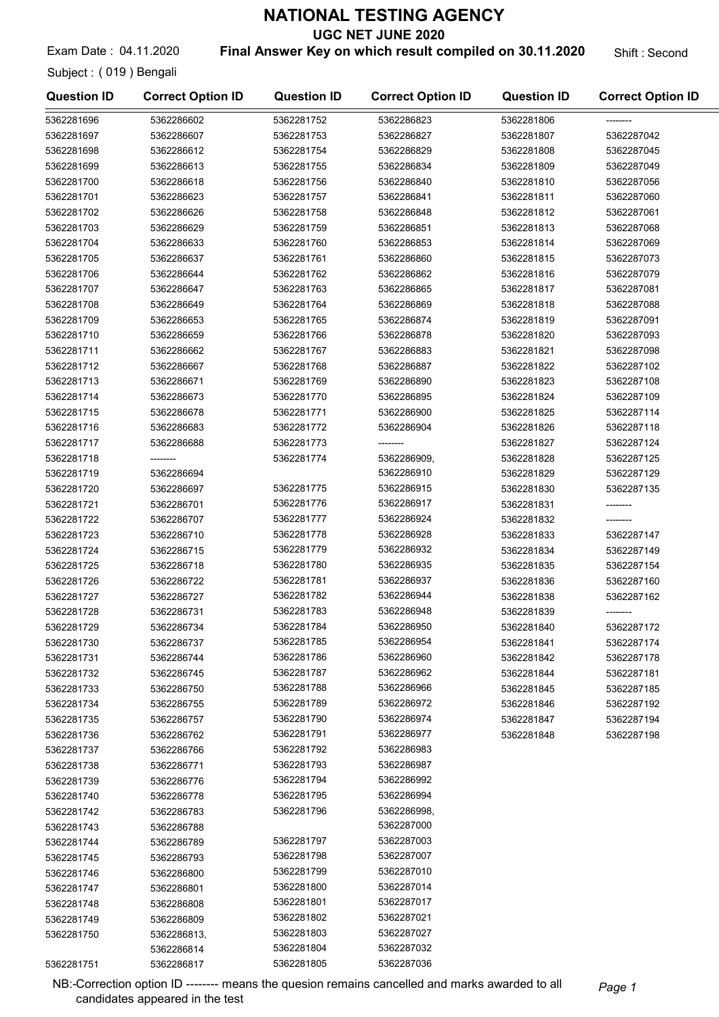UGC NET JUNE 2020

Exam Date: 04.11.2020 **Final Answer Key on which result compiled on 30.11.2020** Shift : Second

Subject : ( 019 ) Bengali

| <b>Question ID</b> | <b>Correct Option ID</b> | <b>Question ID</b> | <b>Correct Option ID</b> | <b>Question ID</b> | <b>Correct Option ID</b> |
|--------------------|--------------------------|--------------------|--------------------------|--------------------|--------------------------|
| 5362281696         | 5362286602               | 5362281752         | 5362286823               | 5362281806         | --------                 |
| 5362281697         | 5362286607               | 5362281753         | 5362286827               | 5362281807         | 5362287042               |
| 5362281698         | 5362286612               | 5362281754         | 5362286829               | 5362281808         | 5362287045               |
| 5362281699         | 5362286613               | 5362281755         | 5362286834               | 5362281809         | 5362287049               |
| 5362281700         | 5362286618               | 5362281756         | 5362286840               | 5362281810         | 5362287056               |
| 5362281701         | 5362286623               | 5362281757         | 5362286841               | 5362281811         | 5362287060               |
| 5362281702         | 5362286626               | 5362281758         | 5362286848               | 5362281812         | 5362287061               |
| 5362281703         | 5362286629               | 5362281759         | 5362286851               | 5362281813         | 5362287068               |
| 5362281704         | 5362286633               | 5362281760         | 5362286853               | 5362281814         | 5362287069               |
| 5362281705         | 5362286637               | 5362281761         | 5362286860               | 5362281815         | 5362287073               |
| 5362281706         | 5362286644               | 5362281762         | 5362286862               | 5362281816         | 5362287079               |
| 5362281707         | 5362286647               | 5362281763         | 5362286865               | 5362281817         | 5362287081               |
| 5362281708         | 5362286649               | 5362281764         | 5362286869               | 5362281818         | 5362287088               |
| 5362281709         | 5362286653               | 5362281765         | 5362286874               | 5362281819         | 5362287091               |
| 5362281710         | 5362286659               | 5362281766         | 5362286878               | 5362281820         | 5362287093               |
| 5362281711         | 5362286662               | 5362281767         | 5362286883               | 5362281821         | 5362287098               |
| 5362281712         | 5362286667               | 5362281768         | 5362286887               | 5362281822         | 5362287102               |
| 5362281713         | 5362286671               | 5362281769         | 5362286890               | 5362281823         | 5362287108               |
| 5362281714         | 5362286673               | 5362281770         | 5362286895               | 5362281824         | 5362287109               |
| 5362281715         | 5362286678               | 5362281771         | 5362286900               | 5362281825         | 5362287114               |
| 5362281716         | 5362286683               | 5362281772         | 5362286904               | 5362281826         | 5362287118               |
| 5362281717         | 5362286688               | 5362281773         |                          | 5362281827         | 5362287124               |
| 5362281718         | --------                 | 5362281774         | 5362286909,              | 5362281828         | 5362287125               |
| 5362281719         | 5362286694               |                    | 5362286910               | 5362281829         | 5362287129               |
| 5362281720         | 5362286697               | 5362281775         | 5362286915               | 5362281830         | 5362287135               |
| 5362281721         | 5362286701               | 5362281776         | 5362286917               | 5362281831         | --------                 |
| 5362281722         | 5362286707               | 5362281777         | 5362286924               | 5362281832         | --------                 |
| 5362281723         | 5362286710               | 5362281778         | 5362286928               | 5362281833         | 5362287147               |
| 5362281724         | 5362286715               | 5362281779         | 5362286932               | 5362281834         | 5362287149               |
| 5362281725         | 5362286718               | 5362281780         | 5362286935               | 5362281835         | 5362287154               |
| 5362281726         | 5362286722               | 5362281781         | 5362286937               | 5362281836         | 5362287160               |
| 5362281727         | 5362286727               | 5362281782         | 5362286944               | 5362281838         | 5362287162               |
| 5362281728         | 5362286731               | 5362281783         | 5362286948               | 5362281839         |                          |
| 5362281729         | 5362286734               | 5362281784         | 5362286950               | 5362281840         | 5362287172               |
| 5362281730         | 5362286737               | 5362281785         | 5362286954               | 5362281841         | 5362287174               |
| 5362281731         | 5362286744               | 5362281786         | 5362286960               | 5362281842         | 5362287178               |
| 5362281732         | 5362286745               | 5362281787         | 5362286962               | 5362281844         | 5362287181               |
| 5362281733         | 5362286750               | 5362281788         | 5362286966               | 5362281845         | 5362287185               |
| 5362281734         | 5362286755               | 5362281789         | 5362286972               | 5362281846         | 5362287192               |
| 5362281735         | 5362286757               | 5362281790         | 5362286974               | 5362281847         | 5362287194               |
| 5362281736         | 5362286762               | 5362281791         | 5362286977               | 5362281848         | 5362287198               |
| 5362281737         | 5362286766               | 5362281792         | 5362286983               |                    |                          |
| 5362281738         | 5362286771               | 5362281793         | 5362286987               |                    |                          |
| 5362281739         | 5362286776               | 5362281794         | 5362286992               |                    |                          |
| 5362281740         | 5362286778               | 5362281795         | 5362286994               |                    |                          |
| 5362281742         | 5362286783               | 5362281796         | 5362286998,              |                    |                          |
| 5362281743         | 5362286788               |                    | 5362287000               |                    |                          |
| 5362281744         | 5362286789               | 5362281797         | 5362287003               |                    |                          |
| 5362281745         | 5362286793               | 5362281798         | 5362287007               |                    |                          |
| 5362281746         | 5362286800               | 5362281799         | 5362287010               |                    |                          |
| 5362281747         | 5362286801               | 5362281800         | 5362287014               |                    |                          |
| 5362281748         | 5362286808               | 5362281801         | 5362287017               |                    |                          |
| 5362281749         | 5362286809               | 5362281802         | 5362287021               |                    |                          |
| 5362281750         | 5362286813,              | 5362281803         | 5362287027               |                    |                          |
|                    | 5362286814               | 5362281804         | 5362287032               |                    |                          |
| 5362281751         | 5362286817               | 5362281805         | 5362287036               |                    |                          |

NB:-Correction option ID -------- means the quesion remains cancelled and marks awarded to all Page 1 candidates appeared in the test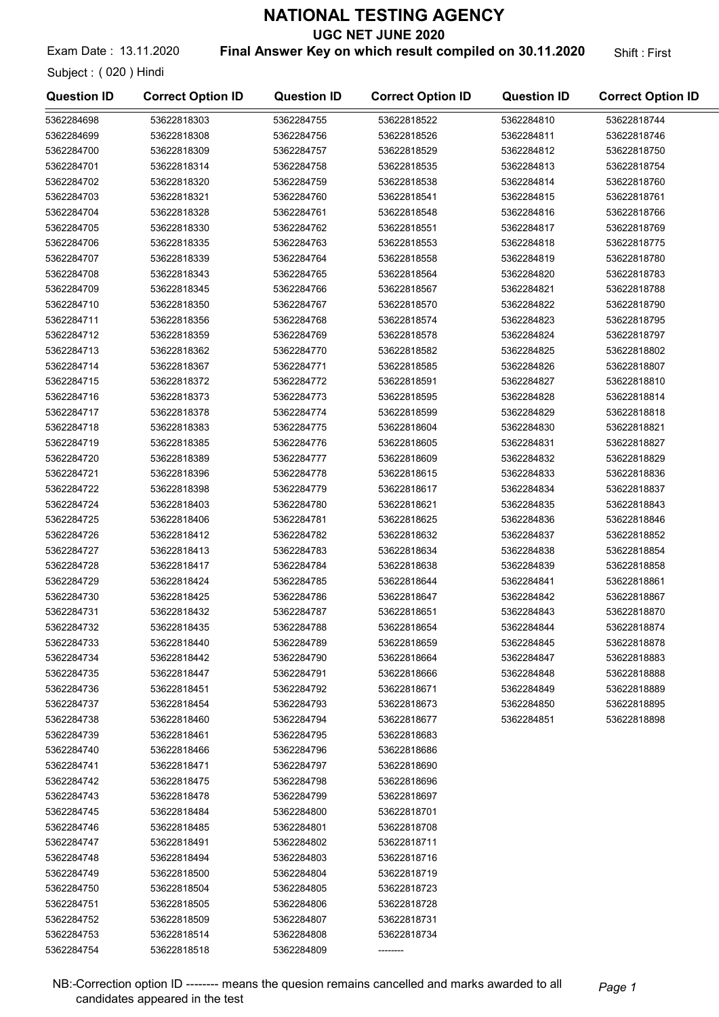UGC NET JUNE 2020

Exam Date: 13.11.2020 **Final Answer Key on which result compiled on 30.11.2020** Shift: First

Subject : ( 020 ) Hindi

| <b>Question ID</b> | <b>Correct Option ID</b> | <b>Question ID</b> | <b>Correct Option ID</b> | <b>Question ID</b> | <b>Correct Option ID</b> |
|--------------------|--------------------------|--------------------|--------------------------|--------------------|--------------------------|
| 5362284698         | 53622818303              | 5362284755         | 53622818522              | 5362284810         | 53622818744              |
| 5362284699         | 53622818308              | 5362284756         | 53622818526              | 5362284811         | 53622818746              |
| 5362284700         | 53622818309              | 5362284757         | 53622818529              | 5362284812         | 53622818750              |
| 5362284701         | 53622818314              | 5362284758         | 53622818535              | 5362284813         | 53622818754              |
| 5362284702         | 53622818320              | 5362284759         | 53622818538              | 5362284814         | 53622818760              |
| 5362284703         | 53622818321              | 5362284760         | 53622818541              | 5362284815         | 53622818761              |
| 5362284704         | 53622818328              | 5362284761         | 53622818548              | 5362284816         | 53622818766              |
| 5362284705         | 53622818330              | 5362284762         | 53622818551              | 5362284817         | 53622818769              |
| 5362284706         | 53622818335              | 5362284763         | 53622818553              | 5362284818         | 53622818775              |
| 5362284707         | 53622818339              | 5362284764         | 53622818558              | 5362284819         | 53622818780              |
| 5362284708         | 53622818343              | 5362284765         | 53622818564              | 5362284820         | 53622818783              |
| 5362284709         | 53622818345              | 5362284766         | 53622818567              | 5362284821         | 53622818788              |
| 5362284710         | 53622818350              | 5362284767         | 53622818570              | 5362284822         | 53622818790              |
| 5362284711         | 53622818356              | 5362284768         | 53622818574              | 5362284823         | 53622818795              |
| 5362284712         | 53622818359              | 5362284769         | 53622818578              | 5362284824         | 53622818797              |
| 5362284713         | 53622818362              | 5362284770         | 53622818582              | 5362284825         | 53622818802              |
| 5362284714         | 53622818367              | 5362284771         | 53622818585              | 5362284826         | 53622818807              |
| 5362284715         | 53622818372              | 5362284772         | 53622818591              | 5362284827         | 53622818810              |
| 5362284716         | 53622818373              | 5362284773         | 53622818595              | 5362284828         | 53622818814              |
| 5362284717         | 53622818378              | 5362284774         | 53622818599              | 5362284829         | 53622818818              |
| 5362284718         | 53622818383              | 5362284775         | 53622818604              | 5362284830         | 53622818821              |
| 5362284719         | 53622818385              | 5362284776         | 53622818605              | 5362284831         | 53622818827              |
| 5362284720         | 53622818389              | 5362284777         | 53622818609              | 5362284832         | 53622818829              |
| 5362284721         | 53622818396              | 5362284778         | 53622818615              | 5362284833         | 53622818836              |
| 5362284722         | 53622818398              | 5362284779         | 53622818617              | 5362284834         | 53622818837              |
| 5362284724         | 53622818403              | 5362284780         | 53622818621              | 5362284835         | 53622818843              |
| 5362284725         | 53622818406              | 5362284781         | 53622818625              | 5362284836         | 53622818846              |
| 5362284726         | 53622818412              | 5362284782         | 53622818632              | 5362284837         | 53622818852              |
| 5362284727         | 53622818413              | 5362284783         | 53622818634              | 5362284838         | 53622818854              |
| 5362284728         | 53622818417              | 5362284784         | 53622818638              | 5362284839         | 53622818858              |
| 5362284729         | 53622818424              | 5362284785         | 53622818644              | 5362284841         | 53622818861              |
| 5362284730         | 53622818425              | 5362284786         | 53622818647              | 5362284842         | 53622818867              |
| 5362284731         | 53622818432              | 5362284787         | 53622818651              | 5362284843         | 53622818870              |
| 5362284732         | 53622818435              | 5362284788         | 53622818654              | 5362284844         | 53622818874              |
| 5362284733         | 53622818440              | 5362284789         | 53622818659              | 5362284845         | 53622818878              |
| 5362284734         | 53622818442              | 5362284790         | 53622818664              | 5362284847         | 53622818883              |
| 5362284735         | 53622818447              | 5362284791         | 53622818666              | 5362284848         | 53622818888              |
| 5362284736         | 53622818451              | 5362284792         | 53622818671              | 5362284849         | 53622818889              |
| 5362284737         | 53622818454              | 5362284793         | 53622818673              | 5362284850         | 53622818895              |
| 5362284738         | 53622818460              | 5362284794         | 53622818677              | 5362284851         | 53622818898              |
| 5362284739         | 53622818461              | 5362284795         | 53622818683              |                    |                          |
| 5362284740         | 53622818466              | 5362284796         | 53622818686              |                    |                          |
| 5362284741         | 53622818471              | 5362284797         | 53622818690              |                    |                          |
| 5362284742         | 53622818475              | 5362284798         | 53622818696              |                    |                          |
| 5362284743         | 53622818478              | 5362284799         | 53622818697              |                    |                          |
| 5362284745         | 53622818484              | 5362284800         | 53622818701              |                    |                          |
| 5362284746         | 53622818485              | 5362284801         | 53622818708              |                    |                          |
| 5362284747         | 53622818491              | 5362284802         | 53622818711              |                    |                          |
| 5362284748         | 53622818494              | 5362284803         | 53622818716              |                    |                          |
| 5362284749         | 53622818500              | 5362284804         | 53622818719              |                    |                          |
| 5362284750         | 53622818504              | 5362284805         | 53622818723              |                    |                          |
| 5362284751         | 53622818505              | 5362284806         | 53622818728              |                    |                          |
| 5362284752         | 53622818509              | 5362284807         | 53622818731              |                    |                          |
| 5362284753         | 53622818514              | 5362284808         | 53622818734              |                    |                          |
| 5362284754         | 53622818518              | 5362284809         |                          |                    |                          |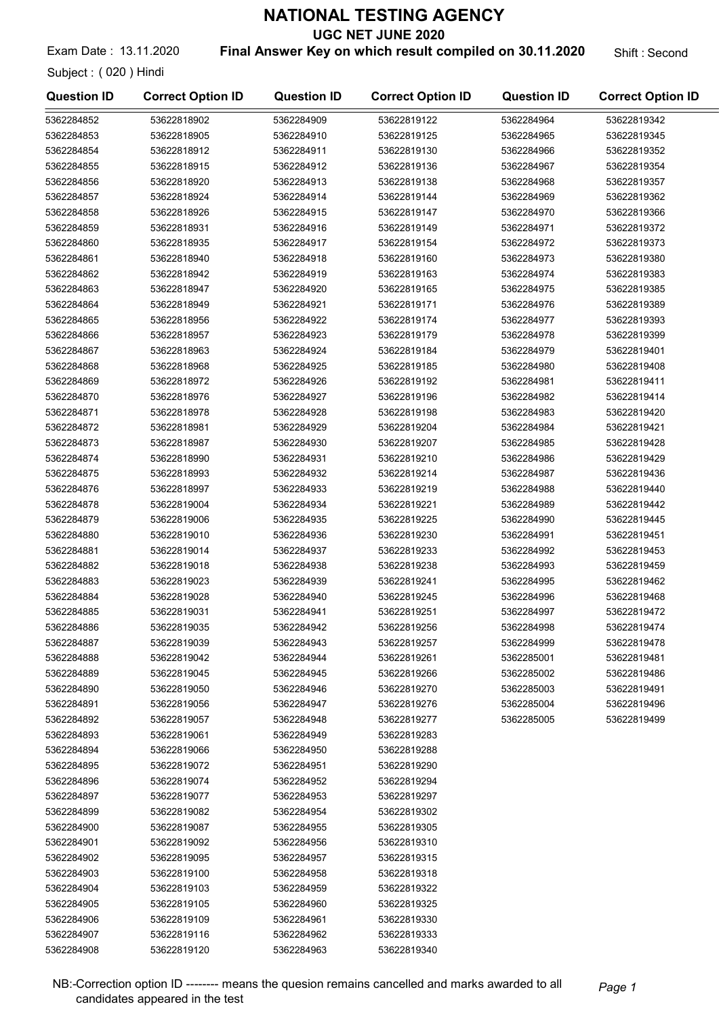UGC NET JUNE 2020

Exam Date: 13.11.2020 **Final Answer Key on which result compiled on 30.11.2020** Shift : Second

Subject : ( 020 ) Hindi

| <b>Question ID</b> | <b>Correct Option ID</b> | <b>Question ID</b> | <b>Correct Option ID</b> | <b>Question ID</b> | <b>Correct Option ID</b> |
|--------------------|--------------------------|--------------------|--------------------------|--------------------|--------------------------|
| 5362284852         | 53622818902              | 5362284909         | 53622819122              | 5362284964         | 53622819342              |
| 5362284853         | 53622818905              | 5362284910         | 53622819125              | 5362284965         | 53622819345              |
| 5362284854         | 53622818912              | 5362284911         | 53622819130              | 5362284966         | 53622819352              |
| 5362284855         | 53622818915              | 5362284912         | 53622819136              | 5362284967         | 53622819354              |
| 5362284856         | 53622818920              | 5362284913         | 53622819138              | 5362284968         | 53622819357              |
| 5362284857         | 53622818924              | 5362284914         | 53622819144              | 5362284969         | 53622819362              |
| 5362284858         | 53622818926              | 5362284915         | 53622819147              | 5362284970         | 53622819366              |
| 5362284859         | 53622818931              | 5362284916         | 53622819149              | 5362284971         | 53622819372              |
| 5362284860         | 53622818935              | 5362284917         | 53622819154              | 5362284972         | 53622819373              |
| 5362284861         | 53622818940              | 5362284918         | 53622819160              | 5362284973         | 53622819380              |
| 5362284862         | 53622818942              | 5362284919         | 53622819163              | 5362284974         | 53622819383              |
| 5362284863         | 53622818947              | 5362284920         | 53622819165              | 5362284975         | 53622819385              |
| 5362284864         | 53622818949              | 5362284921         | 53622819171              | 5362284976         | 53622819389              |
| 5362284865         | 53622818956              | 5362284922         | 53622819174              | 5362284977         | 53622819393              |
| 5362284866         | 53622818957              | 5362284923         | 53622819179              | 5362284978         | 53622819399              |
| 5362284867         | 53622818963              | 5362284924         | 53622819184              | 5362284979         | 53622819401              |
| 5362284868         | 53622818968              | 5362284925         | 53622819185              | 5362284980         | 53622819408              |
| 5362284869         | 53622818972              | 5362284926         | 53622819192              | 5362284981         | 53622819411              |
| 5362284870         | 53622818976              | 5362284927         | 53622819196              | 5362284982         | 53622819414              |
| 5362284871         | 53622818978              | 5362284928         | 53622819198              | 5362284983         | 53622819420              |
| 5362284872         | 53622818981              | 5362284929         | 53622819204              | 5362284984         | 53622819421              |
| 5362284873         | 53622818987              | 5362284930         | 53622819207              | 5362284985         | 53622819428              |
| 5362284874         | 53622818990              | 5362284931         | 53622819210              | 5362284986         | 53622819429              |
| 5362284875         | 53622818993              | 5362284932         | 53622819214              | 5362284987         | 53622819436              |
| 5362284876         | 53622818997              | 5362284933         | 53622819219              | 5362284988         | 53622819440              |
| 5362284878         | 53622819004              | 5362284934         | 53622819221              | 5362284989         | 53622819442              |
| 5362284879         | 53622819006              | 5362284935         | 53622819225              | 5362284990         | 53622819445              |
| 5362284880         | 53622819010              | 5362284936         | 53622819230              | 5362284991         | 53622819451              |
| 5362284881         | 53622819014              | 5362284937         | 53622819233              | 5362284992         | 53622819453              |
| 5362284882         | 53622819018              | 5362284938         | 53622819238              | 5362284993         | 53622819459              |
| 5362284883         | 53622819023              | 5362284939         | 53622819241              | 5362284995         | 53622819462              |
| 5362284884         | 53622819028              | 5362284940         | 53622819245              | 5362284996         | 53622819468              |
| 5362284885         | 53622819031              | 5362284941         | 53622819251              | 5362284997         | 53622819472              |
| 5362284886         | 53622819035              | 5362284942         | 53622819256              | 5362284998         | 53622819474              |
| 5362284887         | 53622819039              | 5362284943         | 53622819257              | 5362284999         | 53622819478              |
| 5362284888         | 53622819042              | 5362284944         | 53622819261              | 5362285001         | 53622819481              |
| 5362284889         | 53622819045              | 5362284945         | 53622819266              | 5362285002         | 53622819486              |
| 5362284890         | 53622819050              | 5362284946         | 53622819270              | 5362285003         | 53622819491              |
| 5362284891         | 53622819056              | 5362284947         | 53622819276              | 5362285004         | 53622819496              |
| 5362284892         | 53622819057              | 5362284948         | 53622819277              | 5362285005         | 53622819499              |
| 5362284893         | 53622819061              | 5362284949         | 53622819283              |                    |                          |
| 5362284894         | 53622819066              | 5362284950         | 53622819288              |                    |                          |
| 5362284895         | 53622819072              | 5362284951         | 53622819290              |                    |                          |
| 5362284896         | 53622819074              | 5362284952         | 53622819294              |                    |                          |
| 5362284897         | 53622819077              | 5362284953         | 53622819297              |                    |                          |
| 5362284899         | 53622819082              | 5362284954         | 53622819302              |                    |                          |
| 5362284900         | 53622819087              | 5362284955         | 53622819305              |                    |                          |
| 5362284901         | 53622819092              | 5362284956         | 53622819310              |                    |                          |
| 5362284902         | 53622819095              | 5362284957         | 53622819315              |                    |                          |
| 5362284903         | 53622819100              | 5362284958         | 53622819318              |                    |                          |
| 5362284904         | 53622819103              | 5362284959         | 53622819322              |                    |                          |
| 5362284905         | 53622819105              | 5362284960         | 53622819325              |                    |                          |
| 5362284906         | 53622819109              | 5362284961         | 53622819330              |                    |                          |
| 5362284907         | 53622819116              | 5362284962         | 53622819333              |                    |                          |
| 5362284908         | 53622819120              | 5362284963         | 53622819340              |                    |                          |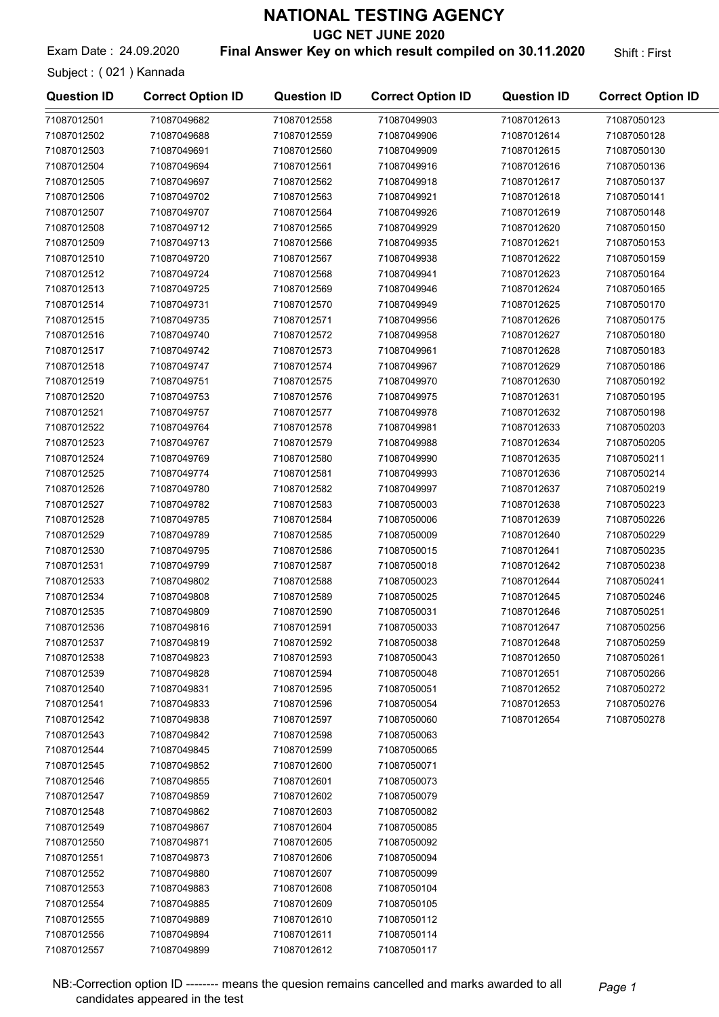UGC NET JUNE 2020

Exam Date: 24.09.2020 **Final Answer Key on which result compiled on 30.11.2020** Shift: First

Subject : ( 021 ) Kannada

71087012554 71087049885 71087012555 71087049889 71087012556 71087049894 71087012557 71087049899

| <b>Question ID</b> | <b>Correct Option ID</b> | <b>Question ID</b> | <b>Correct Option ID</b> | <b>Question ID</b> | <b>Correct Option ID</b> |
|--------------------|--------------------------|--------------------|--------------------------|--------------------|--------------------------|
| 71087012501        | 71087049682              | 71087012558        | 71087049903              | 71087012613        | 71087050123              |
| 71087012502        | 71087049688              | 71087012559        | 71087049906              | 71087012614        | 71087050128              |
| 71087012503        | 71087049691              | 71087012560        | 71087049909              | 71087012615        | 71087050130              |
| 71087012504        | 71087049694              | 71087012561        | 71087049916              | 71087012616        | 71087050136              |
| 71087012505        | 71087049697              | 71087012562        | 71087049918              | 71087012617        | 71087050137              |
| 71087012506        | 71087049702              | 71087012563        | 71087049921              | 71087012618        | 71087050141              |
| 71087012507        | 71087049707              | 71087012564        | 71087049926              | 71087012619        | 71087050148              |
| 71087012508        | 71087049712              | 71087012565        | 71087049929              | 71087012620        | 71087050150              |
| 71087012509        | 71087049713              | 71087012566        | 71087049935              | 71087012621        | 71087050153              |
| 71087012510        | 71087049720              | 71087012567        | 71087049938              | 71087012622        | 71087050159              |
| 71087012512        | 71087049724              | 71087012568        | 71087049941              | 71087012623        | 71087050164              |
| 71087012513        | 71087049725              | 71087012569        | 71087049946              | 71087012624        | 71087050165              |
| 71087012514        | 71087049731              | 71087012570        | 71087049949              | 71087012625        | 71087050170              |
| 71087012515        | 71087049735              | 71087012571        | 71087049956              | 71087012626        | 71087050175              |
| 71087012516        | 71087049740              | 71087012572        | 71087049958              | 71087012627        | 71087050180              |
| 71087012517        | 71087049742              | 71087012573        | 71087049961              | 71087012628        | 71087050183              |
| 71087012518        | 71087049747              | 71087012574        | 71087049967              | 71087012629        | 71087050186              |
| 71087012519        | 71087049751              | 71087012575        | 71087049970              | 71087012630        | 71087050192              |
| 71087012520        | 71087049753              | 71087012576        | 71087049975              | 71087012631        | 71087050195              |
| 71087012521        | 71087049757              | 71087012577        | 71087049978              | 71087012632        | 71087050198              |
| 71087012522        | 71087049764              | 71087012578        | 71087049981              | 71087012633        | 71087050203              |
| 71087012523        | 71087049767              | 71087012579        | 71087049988              | 71087012634        | 71087050205              |
| 71087012524        | 71087049769              | 71087012580        | 71087049990              | 71087012635        | 71087050211              |
| 71087012525        | 71087049774              | 71087012581        | 71087049993              | 71087012636        | 71087050214              |
| 71087012526        | 71087049780              | 71087012582        | 71087049997              | 71087012637        | 71087050219              |
| 71087012527        | 71087049782              | 71087012583        | 71087050003              | 71087012638        | 71087050223              |
| 71087012528        | 71087049785              | 71087012584        | 71087050006              | 71087012639        | 71087050226              |
| 71087012529        | 71087049789              | 71087012585        | 71087050009              | 71087012640        | 71087050229              |
| 71087012530        | 71087049795              | 71087012586        | 71087050015              | 71087012641        | 71087050235              |
| 71087012531        | 71087049799              | 71087012587        | 71087050018              | 71087012642        | 71087050238              |
| 71087012533        | 71087049802              | 71087012588        | 71087050023              | 71087012644        | 71087050241              |
| 71087012534        | 71087049808              | 71087012589        | 71087050025              | 71087012645        | 71087050246              |
| 71087012535        | 71087049809              | 71087012590        | 71087050031              | 71087012646        | 71087050251              |
| 71087012536        | 71087049816              | 71087012591        | 71087050033              | 71087012647        | 71087050256              |
| 71087012537        | 71087049819              | 71087012592        | 71087050038              | 71087012648        | 71087050259              |
| 71087012538        | 71087049823              | 71087012593        | 71087050043              | 71087012650        | 71087050261              |
| 71087012539        | 71087049828              | 71087012594        | 71087050048              | 71087012651        | 71087050266              |
| 71087012540        | 71087049831              | 71087012595        | 71087050051              | 71087012652        | 71087050272              |
| 71087012541        | 71087049833              | 71087012596        | 71087050054              | 71087012653        | 71087050276              |
| 71087012542        | 71087049838              | 71087012597        | 71087050060              | 71087012654        | 71087050278              |
| 71087012543        | 71087049842              | 71087012598        | 71087050063              |                    |                          |
| 71087012544        | 71087049845              | 71087012599        | 71087050065              |                    |                          |
| 71087012545        | 71087049852              | 71087012600        | 71087050071              |                    |                          |
| 71087012546        | 71087049855              | 71087012601        | 71087050073              |                    |                          |
| 71087012547        | 71087049859              | 71087012602        | 71087050079              |                    |                          |
| 71087012548        | 71087049862              | 71087012603        | 71087050082              |                    |                          |
| 71087012549        | 71087049867              | 71087012604        | 71087050085              |                    |                          |
| 71087012550        | 71087049871              | 71087012605        | 71087050092              |                    |                          |
| 71087012551        | 71087049873              | 71087012606        | 71087050094              |                    |                          |
| 71087012552        | 71087049880              | 71087012607        | 71087050099              |                    |                          |
| 71087012553        | 71087049883              | 71087012608        | 71087050104              |                    |                          |

71087012609 71087050105 71087012610 71087050112 71087012611 71087050114 71087012612 71087050117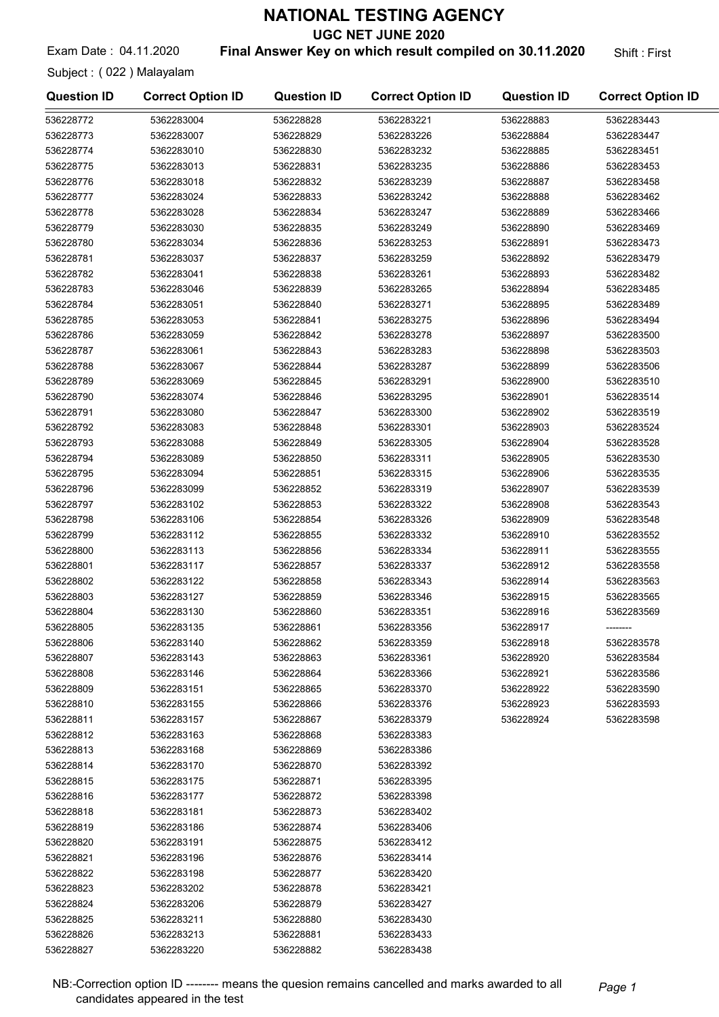UGC NET JUNE 2020

Exam Date: 04.11.2020 **Final Answer Key on which result compiled on 30.11.2020** Shift: First

Subject : ( 022 ) Malayalam

| <b>Question ID</b>     | <b>Correct Option ID</b> | <b>Question ID</b>     | <b>Correct Option ID</b> | <b>Question ID</b> | <b>Correct Option ID</b> |
|------------------------|--------------------------|------------------------|--------------------------|--------------------|--------------------------|
| 536228772              | 5362283004               | 536228828              | 5362283221               | 536228883          | 5362283443               |
| 536228773              | 5362283007               | 536228829              | 5362283226               | 536228884          | 5362283447               |
| 536228774              | 5362283010               | 536228830              | 5362283232               | 536228885          | 5362283451               |
| 536228775              | 5362283013               | 536228831              | 5362283235               | 536228886          | 5362283453               |
| 536228776              | 5362283018               | 536228832              | 5362283239               | 536228887          | 5362283458               |
| 536228777              | 5362283024               | 536228833              | 5362283242               | 536228888          | 5362283462               |
| 536228778              | 5362283028               | 536228834              | 5362283247               | 536228889          | 5362283466               |
| 536228779              | 5362283030               | 536228835              | 5362283249               | 536228890          | 5362283469               |
| 536228780              | 5362283034               | 536228836              | 5362283253               | 536228891          | 5362283473               |
| 536228781              | 5362283037               | 536228837              | 5362283259               | 536228892          | 5362283479               |
| 536228782              | 5362283041               | 536228838              | 5362283261               | 536228893          | 5362283482               |
| 536228783              | 5362283046               | 536228839              | 5362283265               | 536228894          | 5362283485               |
| 536228784              | 5362283051               | 536228840              | 5362283271               | 536228895          | 5362283489               |
| 536228785              | 5362283053               | 536228841              | 5362283275               | 536228896          | 5362283494               |
| 536228786              | 5362283059               | 536228842              | 5362283278               | 536228897          | 5362283500               |
| 536228787              | 5362283061               | 536228843              | 5362283283               | 536228898          | 5362283503               |
| 536228788              | 5362283067               | 536228844              | 5362283287               | 536228899          | 5362283506               |
| 536228789              | 5362283069               | 536228845              | 5362283291               | 536228900          | 5362283510               |
| 536228790              | 5362283074               | 536228846              | 5362283295               | 536228901          | 5362283514               |
| 536228791              | 5362283080               | 536228847              | 5362283300               | 536228902          | 5362283519               |
| 536228792              | 5362283083               | 536228848              | 5362283301               | 536228903          | 5362283524               |
| 536228793              | 5362283088               | 536228849              | 5362283305               | 536228904          | 5362283528               |
| 536228794              | 5362283089               | 536228850              | 5362283311               | 536228905          | 5362283530               |
| 536228795              | 5362283094               | 536228851              | 5362283315               | 536228906          | 5362283535               |
| 536228796              | 5362283099               | 536228852              | 5362283319               | 536228907          | 5362283539               |
| 536228797              | 5362283102               | 536228853              | 5362283322               | 536228908          | 5362283543               |
| 536228798              | 5362283106               | 536228854              | 5362283326               | 536228909          | 5362283548               |
| 536228799              | 5362283112               | 536228855              | 5362283332               | 536228910          | 5362283552               |
| 536228800              | 5362283113               | 536228856              | 5362283334               | 536228911          | 5362283555               |
| 536228801              | 5362283117               | 536228857              | 5362283337               | 536228912          | 5362283558               |
| 536228802              | 5362283122               | 536228858              | 5362283343               | 536228914          | 5362283563               |
| 536228803              | 5362283127               | 536228859              | 5362283346               | 536228915          | 5362283565               |
| 536228804              | 5362283130               | 536228860              | 5362283351               | 536228916          | 5362283569               |
| 536228805              | 5362283135               | 536228861              | 5362283356               | 536228917          | ---------                |
| 536228806              | 5362283140               | 536228862              | 5362283359               | 536228918          | 5362283578               |
| 536228807              | 5362283143               | 536228863              | 5362283361               | 536228920          | 5362283584               |
| 536228808              | 5362283146               | 536228864              | 5362283366               | 536228921          | 5362283586               |
| 536228809              | 5362283151               | 536228865              | 5362283370               | 536228922          | 5362283590               |
| 536228810              | 5362283155               | 536228866              | 5362283376               | 536228923          | 5362283593               |
| 536228811              | 5362283157               | 536228867              | 5362283379               | 536228924          | 5362283598               |
| 536228812              | 5362283163               | 536228868              | 5362283383               |                    |                          |
| 536228813              | 5362283168               | 536228869              | 5362283386               |                    |                          |
| 536228814              | 5362283170               | 536228870              | 5362283392               |                    |                          |
| 536228815              | 5362283175               | 536228871              | 5362283395               |                    |                          |
| 536228816              | 5362283177               | 536228872              | 5362283398               |                    |                          |
| 536228818              | 5362283181               | 536228873              | 5362283402               |                    |                          |
| 536228819              | 5362283186               |                        | 5362283406               |                    |                          |
| 536228820              | 5362283191               | 536228874<br>536228875 | 5362283412               |                    |                          |
| 536228821              | 5362283196               | 536228876              | 5362283414               |                    |                          |
| 536228822              | 5362283198               | 536228877              | 5362283420               |                    |                          |
| 536228823              | 5362283202               | 536228878              | 5362283421               |                    |                          |
|                        |                          |                        |                          |                    |                          |
| 536228824              | 5362283206               | 536228879              | 5362283427               |                    |                          |
| 536228825<br>536228826 | 5362283211<br>5362283213 | 536228880<br>536228881 | 5362283430<br>5362283433 |                    |                          |
| 536228827              | 5362283220               | 536228882              | 5362283438               |                    |                          |
|                        |                          |                        |                          |                    |                          |

NB:-Correction option ID -------- means the quesion remains cancelled and marks awarded to all Page 1 candidates appeared in the test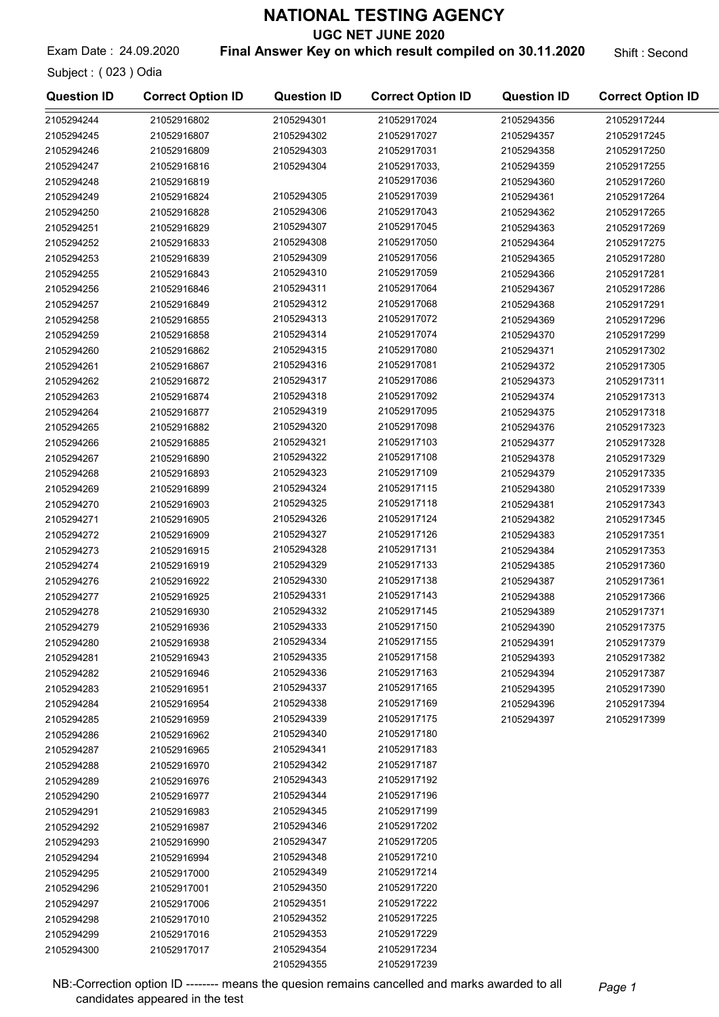UGC NET JUNE 2020

Exam Date: 24.09.2020 **Final Answer Key on which result compiled on 30.11.2020** Shift: Second

2105294300 21052917017

Subject : ( 023 ) Odia

| <b>Question ID</b> | <b>Correct Option ID</b> | <b>Question ID</b> | <b>Correct Option ID</b> | <b>Question ID</b> | <b>Correct Option ID</b> |
|--------------------|--------------------------|--------------------|--------------------------|--------------------|--------------------------|
| 2105294244         | 21052916802              | 2105294301         | 21052917024              | 2105294356         | 21052917244              |
| 2105294245         | 21052916807              | 2105294302         | 21052917027              | 2105294357         | 21052917245              |
| 2105294246         | 21052916809              | 2105294303         | 21052917031              | 2105294358         | 21052917250              |
| 2105294247         | 21052916816              | 2105294304         | 21052917033,             | 2105294359         | 21052917255              |
| 2105294248         | 21052916819              |                    | 21052917036              | 2105294360         | 21052917260              |
| 2105294249         | 21052916824              | 2105294305         | 21052917039              | 2105294361         | 21052917264              |
| 2105294250         | 21052916828              | 2105294306         | 21052917043              | 2105294362         | 21052917265              |
| 2105294251         | 21052916829              | 2105294307         | 21052917045              | 2105294363         | 21052917269              |
| 2105294252         | 21052916833              | 2105294308         | 21052917050              | 2105294364         | 21052917275              |
| 2105294253         | 21052916839              | 2105294309         | 21052917056              | 2105294365         | 21052917280              |
| 2105294255         | 21052916843              | 2105294310         | 21052917059              | 2105294366         | 21052917281              |
| 2105294256         | 21052916846              | 2105294311         | 21052917064              | 2105294367         | 21052917286              |
| 2105294257         | 21052916849              | 2105294312         | 21052917068              | 2105294368         | 21052917291              |
| 2105294258         | 21052916855              | 2105294313         | 21052917072              | 2105294369         | 21052917296              |
| 2105294259         | 21052916858              | 2105294314         | 21052917074              | 2105294370         | 21052917299              |
| 2105294260         | 21052916862              | 2105294315         | 21052917080              | 2105294371         | 21052917302              |
|                    | 21052916867              | 2105294316         | 21052917081              |                    |                          |
| 2105294261         | 21052916872              | 2105294317         | 21052917086              | 2105294372         | 21052917305              |
| 2105294262         |                          | 2105294318         | 21052917092              | 2105294373         | 21052917311              |
| 2105294263         | 21052916874              | 2105294319         | 21052917095              | 2105294374         | 21052917313              |
| 2105294264         | 21052916877              | 2105294320         |                          | 2105294375         | 21052917318              |
| 2105294265         | 21052916882              |                    | 21052917098              | 2105294376         | 21052917323              |
| 2105294266         | 21052916885              | 2105294321         | 21052917103              | 2105294377         | 21052917328              |
| 2105294267         | 21052916890              | 2105294322         | 21052917108              | 2105294378         | 21052917329              |
| 2105294268         | 21052916893              | 2105294323         | 21052917109              | 2105294379         | 21052917335              |
| 2105294269         | 21052916899              | 2105294324         | 21052917115              | 2105294380         | 21052917339              |
| 2105294270         | 21052916903              | 2105294325         | 21052917118              | 2105294381         | 21052917343              |
| 2105294271         | 21052916905              | 2105294326         | 21052917124              | 2105294382         | 21052917345              |
| 2105294272         | 21052916909              | 2105294327         | 21052917126              | 2105294383         | 21052917351              |
| 2105294273         | 21052916915              | 2105294328         | 21052917131              | 2105294384         | 21052917353              |
| 2105294274         | 21052916919              | 2105294329         | 21052917133              | 2105294385         | 21052917360              |
| 2105294276         | 21052916922              | 2105294330         | 21052917138              | 2105294387         | 21052917361              |
| 2105294277         | 21052916925              | 2105294331         | 21052917143              | 2105294388         | 21052917366              |
| 2105294278         | 21052916930              | 2105294332         | 21052917145              | 2105294389         | 21052917371              |
| 2105294279         | 21052916936              | 2105294333         | 21052917150              | 2105294390         | 21052917375              |
| 2105294280         | 21052916938              | 2105294334         | 21052917155              | 2105294391         | 21052917379              |
| 2105294281         | 21052916943              | 2105294335         | 21052917158              | 2105294393         | 21052917382              |
| 2105294282         | 21052916946              | 2105294336         | 21052917163              | 2105294394         | 21052917387              |
| 2105294283         | 21052916951              | 2105294337         | 21052917165              | 2105294395         | 21052917390              |
| 2105294284         | 21052916954              | 2105294338         | 21052917169              | 2105294396         | 21052917394              |
| 2105294285         | 21052916959              | 2105294339         | 21052917175              | 2105294397         | 21052917399              |
| 2105294286         | 21052916962              | 2105294340         | 21052917180              |                    |                          |
| 2105294287         | 21052916965              | 2105294341         | 21052917183              |                    |                          |
| 2105294288         | 21052916970              | 2105294342         | 21052917187              |                    |                          |
| 2105294289         | 21052916976              | 2105294343         | 21052917192              |                    |                          |
| 2105294290         | 21052916977              | 2105294344         | 21052917196              |                    |                          |
| 2105294291         | 21052916983              | 2105294345         | 21052917199              |                    |                          |
| 2105294292         | 21052916987              | 2105294346         | 21052917202              |                    |                          |
| 2105294293         | 21052916990              | 2105294347         | 21052917205              |                    |                          |
| 2105294294         | 21052916994              | 2105294348         | 21052917210              |                    |                          |
| 2105294295         | 21052917000              | 2105294349         | 21052917214              |                    |                          |
| 2105294296         | 21052917001              | 2105294350         | 21052917220              |                    |                          |
| 2105294297         | 21052917006              | 2105294351         | 21052917222              |                    |                          |
| 2105294298         | 21052917010              | 2105294352         | 21052917225              |                    |                          |
| 2105294299         | 21052917016              | 2105294353         | 21052917229              |                    |                          |

NB:-Correction option ID ------- means the quesion remains cancelled and marks awarded to all Page 1 candidates appeared in the test

2105294354 21052917234 2105294355 21052917239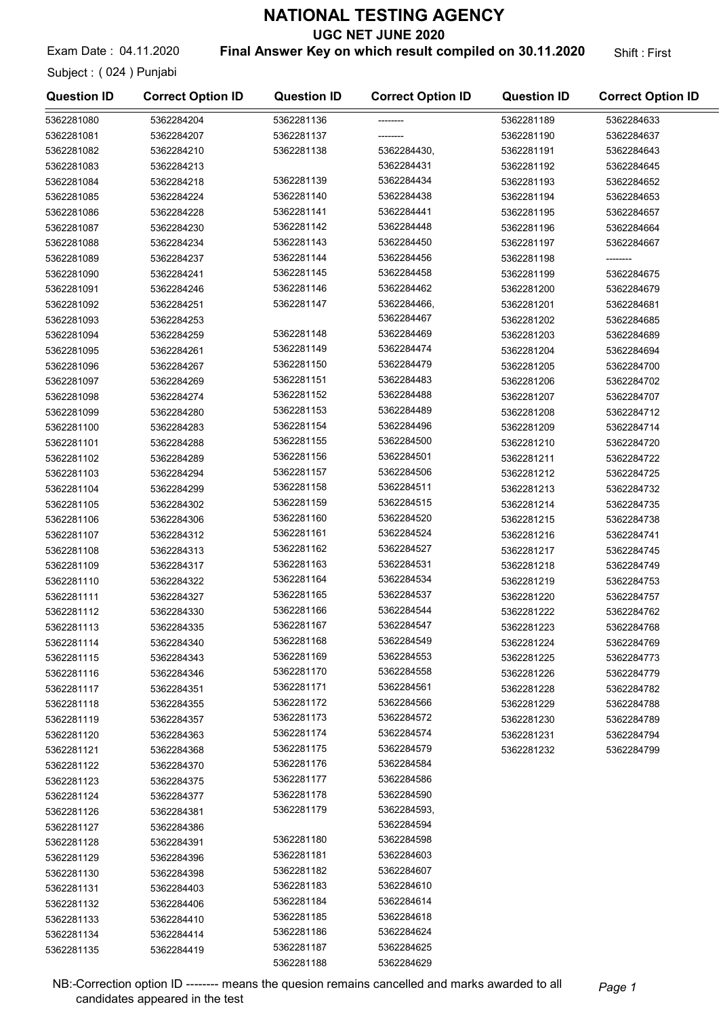UGC NET JUNE 2020

### Exam Date: 04.11.2020 **Final Answer Key on which result compiled on 30.11.2020** Shift: First

Subject : ( 024 ) Punjabi

|  |  | Shift : First |
|--|--|---------------|
|--|--|---------------|

| <b>Question ID</b> | <b>Correct Option ID</b> | <b>Question ID</b> | <b>Correct Option ID</b> | <b>Question ID</b> | <b>Correct Option ID</b> |
|--------------------|--------------------------|--------------------|--------------------------|--------------------|--------------------------|
| 5362281080         | 5362284204               | 5362281136         |                          | 5362281189         | 5362284633               |
| 5362281081         | 5362284207               | 5362281137         |                          | 5362281190         | 5362284637               |
| 5362281082         | 5362284210               | 5362281138         | 5362284430,              | 5362281191         | 5362284643               |
| 5362281083         | 5362284213               |                    | 5362284431               | 5362281192         | 5362284645               |
| 5362281084         | 5362284218               | 5362281139         | 5362284434               | 5362281193         | 5362284652               |
| 5362281085         | 5362284224               | 5362281140         | 5362284438               | 5362281194         | 5362284653               |
| 5362281086         | 5362284228               | 5362281141         | 5362284441               | 5362281195         | 5362284657               |
| 5362281087         | 5362284230               | 5362281142         | 5362284448               | 5362281196         | 5362284664               |
| 5362281088         | 5362284234               | 5362281143         | 5362284450               | 5362281197         | 5362284667               |
| 5362281089         | 5362284237               | 5362281144         | 5362284456               | 5362281198         |                          |
| 5362281090         | 5362284241               | 5362281145         | 5362284458               | 5362281199         | 5362284675               |
| 5362281091         | 5362284246               | 5362281146         | 5362284462               | 5362281200         | 5362284679               |
| 5362281092         | 5362284251               | 5362281147         | 5362284466,              | 5362281201         | 5362284681               |
| 5362281093         | 5362284253               |                    | 5362284467               | 5362281202         | 5362284685               |
| 5362281094         | 5362284259               | 5362281148         | 5362284469               | 5362281203         | 5362284689               |
| 5362281095         | 5362284261               | 5362281149         | 5362284474               | 5362281204         | 5362284694               |
| 5362281096         | 5362284267               | 5362281150         | 5362284479               | 5362281205         | 5362284700               |
| 5362281097         | 5362284269               | 5362281151         | 5362284483               | 5362281206         | 5362284702               |
| 5362281098         | 5362284274               | 5362281152         | 5362284488               | 5362281207         | 5362284707               |
| 5362281099         | 5362284280               | 5362281153         | 5362284489               | 5362281208         | 5362284712               |
| 5362281100         | 5362284283               | 5362281154         | 5362284496               | 5362281209         | 5362284714               |
| 5362281101         | 5362284288               | 5362281155         | 5362284500               | 5362281210         | 5362284720               |
| 5362281102         | 5362284289               | 5362281156         | 5362284501               | 5362281211         | 5362284722               |
| 5362281103         | 5362284294               | 5362281157         | 5362284506               | 5362281212         | 5362284725               |
| 5362281104         | 5362284299               | 5362281158         | 5362284511               | 5362281213         | 5362284732               |
| 5362281105         | 5362284302               | 5362281159         | 5362284515               | 5362281214         | 5362284735               |
| 5362281106         | 5362284306               | 5362281160         | 5362284520               | 5362281215         | 5362284738               |
| 5362281107         | 5362284312               | 5362281161         | 5362284524               | 5362281216         | 5362284741               |
| 5362281108         | 5362284313               | 5362281162         | 5362284527               | 5362281217         | 5362284745               |
| 5362281109         | 5362284317               | 5362281163         | 5362284531               | 5362281218         | 5362284749               |
| 5362281110         | 5362284322               | 5362281164         | 5362284534               | 5362281219         | 5362284753               |
| 5362281111         | 5362284327               | 5362281165         | 5362284537               | 5362281220         | 5362284757               |
| 5362281112         | 5362284330               | 5362281166         | 5362284544               | 5362281222         | 5362284762               |
| 5362281113         | 5362284335               | 5362281167         | 5362284547               | 5362281223         | 5362284768               |
| 5362281114         | 5362284340               | 5362281168         | 5362284549               | 5362281224         | 5362284769               |
| 5362281115         | 5362284343               | 5362281169         | 5362284553               | 5362281225         | 5362284773               |
| 5362281116         | 5362284346               | 5362281170         | 5362284558               | 5362281226         | 5362284779               |
| 5362281117         | 5362284351               | 5362281171         | 5362284561               | 5362281228         | 5362284782               |
| 5362281118         | 5362284355               | 5362281172         | 5362284566               | 5362281229         | 5362284788               |
| 5362281119         | 5362284357               | 5362281173         | 5362284572               | 5362281230         | 5362284789               |
|                    | 5362284363               | 5362281174         | 5362284574               |                    |                          |
| 5362281120         |                          | 5362281175         | 5362284579               | 5362281231         | 5362284794               |
| 5362281121         | 5362284368               | 5362281176         | 5362284584               | 5362281232         | 5362284799               |
| 5362281122         | 5362284370               | 5362281177         | 5362284586               |                    |                          |
| 5362281123         | 5362284375               | 5362281178         | 5362284590               |                    |                          |
| 5362281124         | 5362284377               | 5362281179         | 5362284593,              |                    |                          |
| 5362281126         | 5362284381               |                    | 5362284594               |                    |                          |
| 5362281127         | 5362284386               | 5362281180         | 5362284598               |                    |                          |
| 5362281128         | 5362284391               | 5362281181         | 5362284603               |                    |                          |
| 5362281129         | 5362284396               | 5362281182         | 5362284607               |                    |                          |
| 5362281130         | 5362284398               | 5362281183         | 5362284610               |                    |                          |
| 5362281131         | 5362284403               | 5362281184         | 5362284614               |                    |                          |
| 5362281132         | 5362284406               | 5362281185         | 5362284618               |                    |                          |
| 5362281133         | 5362284410               | 5362281186         | 5362284624               |                    |                          |
| 5362281134         | 5362284414               | 5362281187         | 5362284625               |                    |                          |
| 5362281135         | 5362284419               | 5362281188         | 5362284629               |                    |                          |
|                    |                          |                    |                          |                    |                          |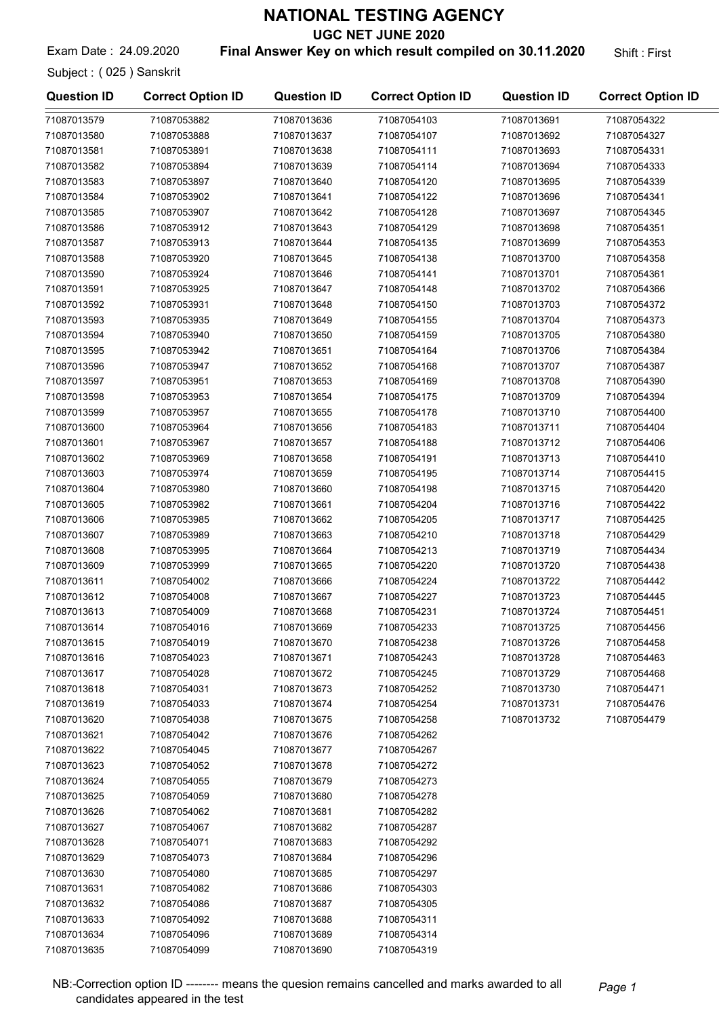UGC NET JUNE 2020

Exam Date: 24.09.2020 **Final Answer Key on which result compiled on 30.11.2020** Shift: First

Subject : ( 025 ) Sanskrit

| <b>Question ID</b> | <b>Correct Option ID</b> | <b>Question ID</b> | <b>Correct Option ID</b> | <b>Question ID</b> | <b>Correct Option ID</b> |
|--------------------|--------------------------|--------------------|--------------------------|--------------------|--------------------------|
| 71087013579        | 71087053882              | 71087013636        | 71087054103              | 71087013691        | 71087054322              |
| 71087013580        | 71087053888              | 71087013637        | 71087054107              | 71087013692        | 71087054327              |
| 71087013581        | 71087053891              | 71087013638        | 71087054111              | 71087013693        | 71087054331              |
| 71087013582        | 71087053894              | 71087013639        | 71087054114              | 71087013694        | 71087054333              |
| 71087013583        | 71087053897              | 71087013640        | 71087054120              | 71087013695        | 71087054339              |
| 71087013584        | 71087053902              | 71087013641        | 71087054122              | 71087013696        | 71087054341              |
| 71087013585        | 71087053907              | 71087013642        | 71087054128              | 71087013697        | 71087054345              |
| 71087013586        | 71087053912              | 71087013643        | 71087054129              | 71087013698        | 71087054351              |
| 71087013587        | 71087053913              | 71087013644        | 71087054135              | 71087013699        | 71087054353              |
| 71087013588        | 71087053920              | 71087013645        | 71087054138              | 71087013700        | 71087054358              |
| 71087013590        | 71087053924              | 71087013646        | 71087054141              | 71087013701        | 71087054361              |
| 71087013591        | 71087053925              | 71087013647        | 71087054148              | 71087013702        | 71087054366              |
| 71087013592        | 71087053931              | 71087013648        | 71087054150              | 71087013703        | 71087054372              |
| 71087013593        | 71087053935              | 71087013649        | 71087054155              | 71087013704        | 71087054373              |
| 71087013594        | 71087053940              | 71087013650        | 71087054159              | 71087013705        | 71087054380              |
| 71087013595        | 71087053942              | 71087013651        | 71087054164              | 71087013706        | 71087054384              |
| 71087013596        | 71087053947              | 71087013652        | 71087054168              | 71087013707        | 71087054387              |
| 71087013597        | 71087053951              | 71087013653        | 71087054169              | 71087013708        | 71087054390              |
| 71087013598        | 71087053953              | 71087013654        | 71087054175              | 71087013709        | 71087054394              |
| 71087013599        | 71087053957              | 71087013655        | 71087054178              | 71087013710        | 71087054400              |
| 71087013600        | 71087053964              | 71087013656        | 71087054183              | 71087013711        | 71087054404              |
| 71087013601        | 71087053967              | 71087013657        | 71087054188              | 71087013712        | 71087054406              |
| 71087013602        | 71087053969              | 71087013658        | 71087054191              | 71087013713        | 71087054410              |
| 71087013603        | 71087053974              | 71087013659        | 71087054195              | 71087013714        | 71087054415              |
| 71087013604        | 71087053980              | 71087013660        | 71087054198              | 71087013715        | 71087054420              |
| 71087013605        | 71087053982              | 71087013661        | 71087054204              | 71087013716        | 71087054422              |
| 71087013606        | 71087053985              | 71087013662        | 71087054205              | 71087013717        | 71087054425              |
| 71087013607        | 71087053989              | 71087013663        | 71087054210              | 71087013718        | 71087054429              |
| 71087013608        | 71087053995              | 71087013664        | 71087054213              | 71087013719        | 71087054434              |
| 71087013609        | 71087053999              | 71087013665        | 71087054220              | 71087013720        | 71087054438              |
| 71087013611        | 71087054002              | 71087013666        | 71087054224              | 71087013722        | 71087054442              |
| 71087013612        | 71087054008              | 71087013667        | 71087054227              | 71087013723        | 71087054445              |
| 71087013613        | 71087054009              | 71087013668        | 71087054231              | 71087013724        | 71087054451              |
| 71087013614        | 71087054016              | 71087013669        | 71087054233              | 71087013725        | 71087054456              |
| 71087013615        | 71087054019              | 71087013670        | 71087054238              | 71087013726        | 71087054458              |
| 71087013616        | 71087054023              | 71087013671        | 71087054243              | 71087013728        | 71087054463              |
| 71087013617        | 71087054028              | 71087013672        | 71087054245              | 71087013729        | 71087054468              |
| 71087013618        | 71087054031              | 71087013673        | 71087054252              | 71087013730        | 71087054471              |
| 71087013619        | 71087054033              | 71087013674        | 71087054254              | 71087013731        | 71087054476              |
| 71087013620        | 71087054038              | 71087013675        | 71087054258              | 71087013732        | 71087054479              |
| 71087013621        | 71087054042              | 71087013676        | 71087054262              |                    |                          |
| 71087013622        | 71087054045              | 71087013677        | 71087054267              |                    |                          |
| 71087013623        | 71087054052              | 71087013678        | 71087054272              |                    |                          |
| 71087013624        | 71087054055              | 71087013679        | 71087054273              |                    |                          |
| 71087013625        | 71087054059              | 71087013680        | 71087054278              |                    |                          |
| 71087013626        | 71087054062              | 71087013681        | 71087054282              |                    |                          |
| 71087013627        | 71087054067              | 71087013682        | 71087054287              |                    |                          |
| 71087013628        | 71087054071              | 71087013683        | 71087054292              |                    |                          |
| 71087013629        | 71087054073              | 71087013684        | 71087054296              |                    |                          |
| 71087013630        | 71087054080              | 71087013685        | 71087054297              |                    |                          |
| 71087013631        | 71087054082              | 71087013686        | 71087054303              |                    |                          |
| 71087013632        | 71087054086              | 71087013687        | 71087054305              |                    |                          |
| 71087013633        | 71087054092              | 71087013688        | 71087054311              |                    |                          |
| 71087013634        | 71087054096              | 71087013689        | 71087054314              |                    |                          |
| 71087013635        | 71087054099              | 71087013690        | 71087054319              |                    |                          |

NB:-Correction option ID -------- means the quesion remains cancelled and marks awarded to all Page 1 candidates appeared in the test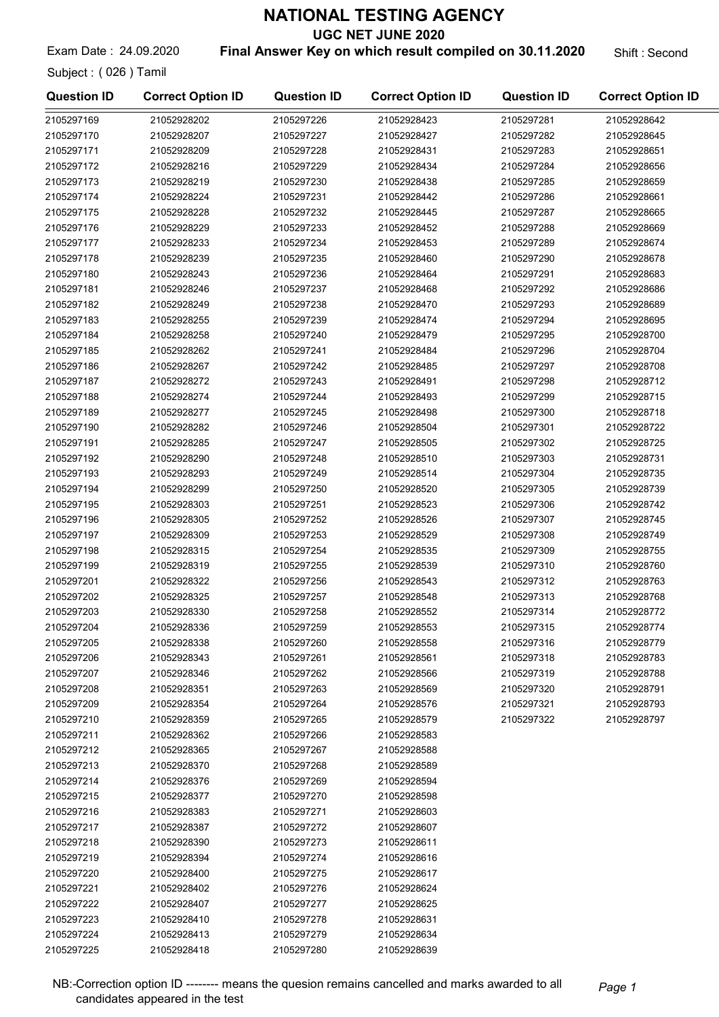UGC NET JUNE 2020

Exam Date: 24.09.2020 **Final Answer Key on which result compiled on 30.11.2020** Shift: Second

Subject : ( 026 ) Tamil

2105297225 21052928418

| <b>Question ID</b> | <b>Correct Option ID</b> | <b>Question ID</b> | <b>Correct Option ID</b> | <b>Question ID</b> | <b>Correct Option ID</b> |
|--------------------|--------------------------|--------------------|--------------------------|--------------------|--------------------------|
| 2105297169         | 21052928202              | 2105297226         | 21052928423              | 2105297281         | 21052928642              |
| 2105297170         | 21052928207              | 2105297227         | 21052928427              | 2105297282         | 21052928645              |
| 2105297171         | 21052928209              | 2105297228         | 21052928431              | 2105297283         | 21052928651              |
| 2105297172         | 21052928216              | 2105297229         | 21052928434              | 2105297284         | 21052928656              |
| 2105297173         | 21052928219              | 2105297230         | 21052928438              | 2105297285         | 21052928659              |
| 2105297174         | 21052928224              | 2105297231         | 21052928442              | 2105297286         | 21052928661              |
| 2105297175         | 21052928228              | 2105297232         | 21052928445              | 2105297287         | 21052928665              |
| 2105297176         | 21052928229              | 2105297233         | 21052928452              | 2105297288         | 21052928669              |
| 2105297177         | 21052928233              | 2105297234         | 21052928453              | 2105297289         | 21052928674              |
| 2105297178         | 21052928239              | 2105297235         | 21052928460              | 2105297290         | 21052928678              |
| 2105297180         | 21052928243              | 2105297236         | 21052928464              | 2105297291         | 21052928683              |
| 2105297181         | 21052928246              | 2105297237         | 21052928468              | 2105297292         | 21052928686              |
| 2105297182         | 21052928249              | 2105297238         | 21052928470              | 2105297293         | 21052928689              |
| 2105297183         | 21052928255              | 2105297239         | 21052928474              | 2105297294         | 21052928695              |
| 2105297184         | 21052928258              | 2105297240         | 21052928479              | 2105297295         | 21052928700              |
| 2105297185         | 21052928262              | 2105297241         | 21052928484              | 2105297296         | 21052928704              |
| 2105297186         | 21052928267              | 2105297242         | 21052928485              | 2105297297         | 21052928708              |
| 2105297187         | 21052928272              | 2105297243         | 21052928491              | 2105297298         | 21052928712              |
| 2105297188         | 21052928274              | 2105297244         | 21052928493              | 2105297299         | 21052928715              |
| 2105297189         | 21052928277              | 2105297245         | 21052928498              | 2105297300         | 21052928718              |
|                    |                          |                    |                          | 2105297301         | 21052928722              |
| 2105297190         | 21052928282              | 2105297246         | 21052928504              |                    |                          |
| 2105297191         | 21052928285              | 2105297247         | 21052928505              | 2105297302         | 21052928725              |
| 2105297192         | 21052928290              | 2105297248         | 21052928510              | 2105297303         | 21052928731              |
| 2105297193         | 21052928293              | 2105297249         | 21052928514              | 2105297304         | 21052928735              |
| 2105297194         | 21052928299              | 2105297250         | 21052928520              | 2105297305         | 21052928739              |
| 2105297195         | 21052928303              | 2105297251         | 21052928523              | 2105297306         | 21052928742              |
| 2105297196         | 21052928305              | 2105297252         | 21052928526              | 2105297307         | 21052928745              |
| 2105297197         | 21052928309              | 2105297253         | 21052928529              | 2105297308         | 21052928749              |
| 2105297198         | 21052928315              | 2105297254         | 21052928535              | 2105297309         | 21052928755              |
| 2105297199         | 21052928319              | 2105297255         | 21052928539              | 2105297310         | 21052928760              |
| 2105297201         | 21052928322              | 2105297256         | 21052928543              | 2105297312         | 21052928763              |
| 2105297202         | 21052928325              | 2105297257         | 21052928548              | 2105297313         | 21052928768              |
| 2105297203         | 21052928330              | 2105297258         | 21052928552              | 2105297314         | 21052928772              |
| 2105297204         | 21052928336              | 2105297259         | 21052928553              | 2105297315         | 21052928774              |
| 2105297205         | 21052928338              | 2105297260         | 21052928558              | 2105297316         | 21052928779              |
| 2105297206         | 21052928343              | 2105297261         | 21052928561              | 2105297318         | 21052928783              |
| 2105297207         | 21052928346              | 2105297262         | 21052928566              | 2105297319         | 21052928788              |
| 2105297208         | 21052928351              | 2105297263         | 21052928569              | 2105297320         | 21052928791              |
| 2105297209         | 21052928354              | 2105297264         | 21052928576              | 2105297321         | 21052928793              |
| 2105297210         | 21052928359              | 2105297265         | 21052928579              | 2105297322         | 21052928797              |
| 2105297211         | 21052928362              | 2105297266         | 21052928583              |                    |                          |
| 2105297212         | 21052928365              | 2105297267         | 21052928588              |                    |                          |
| 2105297213         | 21052928370              | 2105297268         | 21052928589              |                    |                          |
| 2105297214         | 21052928376              | 2105297269         | 21052928594              |                    |                          |
| 2105297215         | 21052928377              | 2105297270         | 21052928598              |                    |                          |
| 2105297216         | 21052928383              | 2105297271         | 21052928603              |                    |                          |
| 2105297217         | 21052928387              | 2105297272         | 21052928607              |                    |                          |
| 2105297218         | 21052928390              | 2105297273         | 21052928611              |                    |                          |
| 2105297219         | 21052928394              | 2105297274         | 21052928616              |                    |                          |
| 2105297220         | 21052928400              | 2105297275         | 21052928617              |                    |                          |
| 2105297221         | 21052928402              | 2105297276         | 21052928624              |                    |                          |
| 2105297222         | 21052928407              | 2105297277         | 21052928625              |                    |                          |
| 2105297223         | 21052928410              | 2105297278         | 21052928631              |                    |                          |
| 2105297224         | 21052928413              | 2105297279         | 21052928634              |                    |                          |

2105297280 21052928639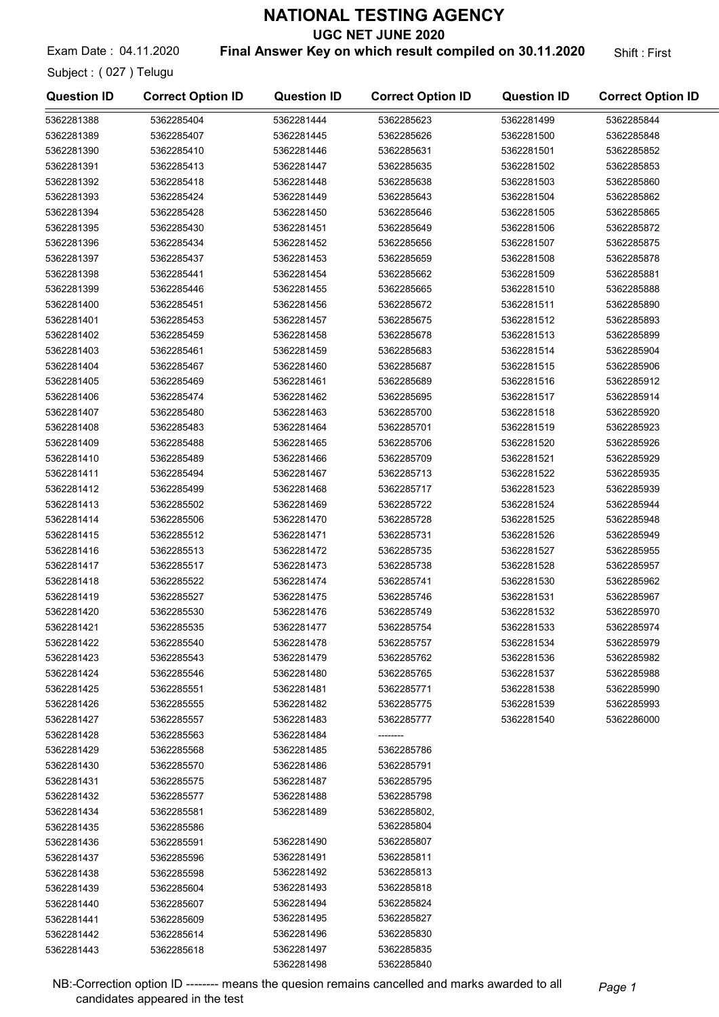UGC NET JUNE 2020

Exam Date: 04.11.2020 **Final Answer Key on which result compiled on 30.11.2020** Shift: First

Subject : ( 027 ) Telugu

| <b>Question ID</b> | <b>Correct Option ID</b> | <b>Question ID</b> | <b>Correct Option ID</b> | <b>Question ID</b> | <b>Correct Option ID</b> |
|--------------------|--------------------------|--------------------|--------------------------|--------------------|--------------------------|
| 5362281388         | 5362285404               | 5362281444         | 5362285623               | 5362281499         | 5362285844               |
| 5362281389         | 5362285407               | 5362281445         | 5362285626               | 5362281500         | 5362285848               |
| 5362281390         | 5362285410               | 5362281446         | 5362285631               | 5362281501         | 5362285852               |
| 5362281391         | 5362285413               | 5362281447         | 5362285635               | 5362281502         | 5362285853               |
| 5362281392         | 5362285418               | 5362281448         | 5362285638               | 5362281503         | 5362285860               |
| 5362281393         | 5362285424               | 5362281449         | 5362285643               | 5362281504         | 5362285862               |
| 5362281394         | 5362285428               | 5362281450         | 5362285646               | 5362281505         | 5362285865               |
| 5362281395         | 5362285430               | 5362281451         | 5362285649               | 5362281506         | 5362285872               |
| 5362281396         | 5362285434               | 5362281452         | 5362285656               | 5362281507         | 5362285875               |
| 5362281397         | 5362285437               | 5362281453         | 5362285659               | 5362281508         | 5362285878               |
| 5362281398         | 5362285441               | 5362281454         | 5362285662               | 5362281509         | 5362285881               |
| 5362281399         | 5362285446               | 5362281455         | 5362285665               | 5362281510         | 5362285888               |
| 5362281400         | 5362285451               | 5362281456         | 5362285672               | 5362281511         | 5362285890               |
| 5362281401         | 5362285453               | 5362281457         | 5362285675               | 5362281512         | 5362285893               |
| 5362281402         | 5362285459               | 5362281458         | 5362285678               | 5362281513         | 5362285899               |
| 5362281403         | 5362285461               | 5362281459         | 5362285683               | 5362281514         | 5362285904               |
| 5362281404         | 5362285467               | 5362281460         | 5362285687               | 5362281515         | 5362285906               |
| 5362281405         | 5362285469               | 5362281461         | 5362285689               | 5362281516         | 5362285912               |
| 5362281406         | 5362285474               | 5362281462         | 5362285695               | 5362281517         | 5362285914               |
| 5362281407         | 5362285480               | 5362281463         | 5362285700               | 5362281518         | 5362285920               |
| 5362281408         | 5362285483               | 5362281464         | 5362285701               | 5362281519         | 5362285923               |
| 5362281409         | 5362285488               | 5362281465         | 5362285706               | 5362281520         | 5362285926               |
| 5362281410         | 5362285489               | 5362281466         | 5362285709               | 5362281521         | 5362285929               |
| 5362281411         | 5362285494               | 5362281467         | 5362285713               | 5362281522         | 5362285935               |
| 5362281412         | 5362285499               | 5362281468         | 5362285717               | 5362281523         | 5362285939               |
| 5362281413         |                          |                    |                          | 5362281524         | 5362285944               |
|                    | 5362285502               | 5362281469         | 5362285722               |                    |                          |
| 5362281414         | 5362285506               | 5362281470         | 5362285728               | 5362281525         | 5362285948               |
| 5362281415         | 5362285512               | 5362281471         | 5362285731               | 5362281526         | 5362285949               |
| 5362281416         | 5362285513<br>5362285517 | 5362281472         | 5362285735               | 5362281527         | 5362285955               |
| 5362281417         |                          | 5362281473         | 5362285738               | 5362281528         | 5362285957               |
| 5362281418         | 5362285522               | 5362281474         | 5362285741               | 5362281530         | 5362285962               |
| 5362281419         | 5362285527               | 5362281475         | 5362285746               | 5362281531         | 5362285967               |
| 5362281420         | 5362285530               | 5362281476         | 5362285749               | 5362281532         | 5362285970               |
| 5362281421         | 5362285535               | 5362281477         | 5362285754               | 5362281533         | 5362285974               |
| 5362281422         | 5362285540               | 5362281478         | 5362285757               | 5362281534         | 5362285979               |
| 5362281423         | 5362285543               | 5362281479         | 5362285762               | 5362281536         | 5362285982               |
| 5362281424         | 5362285546               | 5362281480         | 5362285765               | 5362281537         | 5362285988               |
| 5362281425         | 5362285551               | 5362281481         | 5362285771               | 5362281538         | 5362285990               |
| 5362281426         | 5362285555               | 5362281482         | 5362285775               | 5362281539         | 5362285993               |
| 5362281427         | 5362285557               | 5362281483         | 5362285777               | 5362281540         | 5362286000               |
| 5362281428         | 5362285563               | 5362281484         |                          |                    |                          |
| 5362281429         | 5362285568               | 5362281485         | 5362285786               |                    |                          |
| 5362281430         | 5362285570               | 5362281486         | 5362285791               |                    |                          |
| 5362281431         | 5362285575               | 5362281487         | 5362285795               |                    |                          |
| 5362281432         | 5362285577               | 5362281488         | 5362285798               |                    |                          |
| 5362281434         | 5362285581               | 5362281489         | 5362285802,              |                    |                          |
| 5362281435         | 5362285586               |                    | 5362285804               |                    |                          |
| 5362281436         | 5362285591               | 5362281490         | 5362285807               |                    |                          |
| 5362281437         | 5362285596               | 5362281491         | 5362285811               |                    |                          |
| 5362281438         | 5362285598               | 5362281492         | 5362285813               |                    |                          |
| 5362281439         | 5362285604               | 5362281493         | 5362285818               |                    |                          |
| 5362281440         | 5362285607               | 5362281494         | 5362285824               |                    |                          |
| 5362281441         | 5362285609               | 5362281495         | 5362285827               |                    |                          |
| 5362281442         | 5362285614               | 5362281496         | 5362285830               |                    |                          |
| 5362281443         | 5362285618               | 5362281497         | 5362285835               |                    |                          |
|                    |                          | 5362281498         | 5362285840               |                    |                          |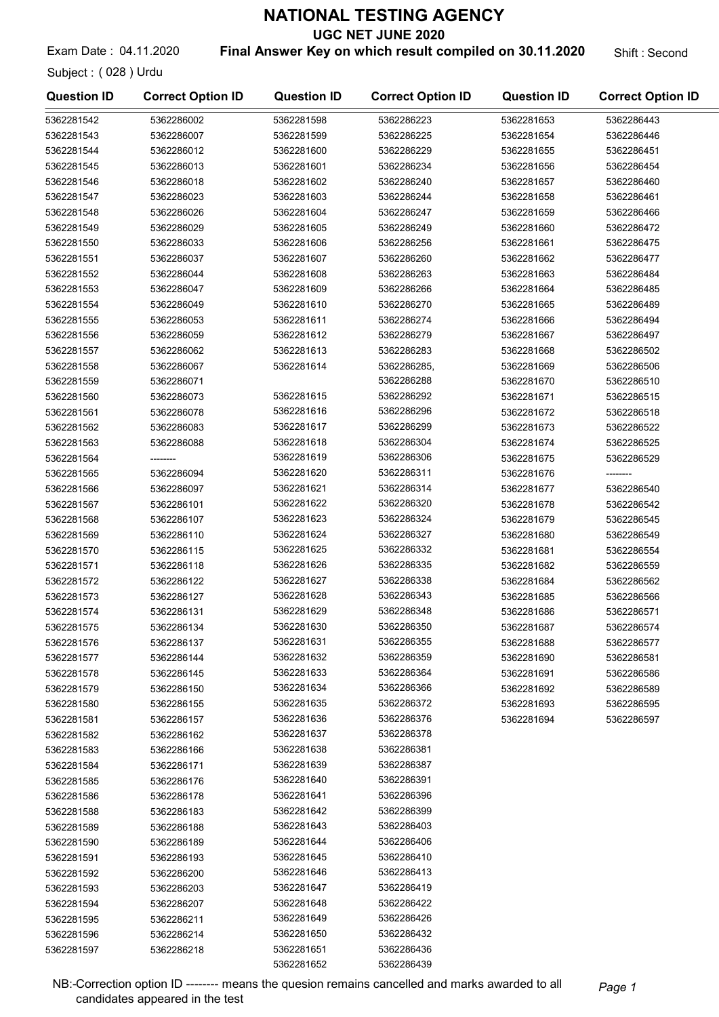UGC NET JUNE 2020

Exam Date: 04.11.2020 **Final Answer Key on which result compiled on 30.11.2020** Shift : Second

Subject : ( 028 ) Urdu

| <b>Question ID</b>       | <b>Correct Option ID</b> | <b>Question ID</b> | <b>Correct Option ID</b> | <b>Question ID</b> | <b>Correct Option ID</b> |
|--------------------------|--------------------------|--------------------|--------------------------|--------------------|--------------------------|
| 5362281542               | 5362286002               | 5362281598         | 5362286223               | 5362281653         | 5362286443               |
| 5362281543               | 5362286007               | 5362281599         | 5362286225               | 5362281654         | 5362286446               |
| 5362281544               | 5362286012               | 5362281600         | 5362286229               | 5362281655         | 5362286451               |
| 5362281545               | 5362286013               | 5362281601         | 5362286234               | 5362281656         | 5362286454               |
| 5362281546               | 5362286018               | 5362281602         | 5362286240               | 5362281657         | 5362286460               |
| 5362281547               | 5362286023               | 5362281603         | 5362286244               | 5362281658         | 5362286461               |
| 5362281548               | 5362286026               | 5362281604         | 5362286247               | 5362281659         | 5362286466               |
| 5362281549               | 5362286029               | 5362281605         | 5362286249               | 5362281660         | 5362286472               |
| 5362281550               | 5362286033               | 5362281606         | 5362286256               | 5362281661         | 5362286475               |
| 5362281551               | 5362286037               | 5362281607         | 5362286260               | 5362281662         | 5362286477               |
| 5362281552               | 5362286044               | 5362281608         | 5362286263               | 5362281663         | 5362286484               |
| 5362281553               | 5362286047               | 5362281609         | 5362286266               | 5362281664         | 5362286485               |
| 5362281554               | 5362286049               | 5362281610         | 5362286270               | 5362281665         | 5362286489               |
| 5362281555               | 5362286053               | 5362281611         | 5362286274               | 5362281666         | 5362286494               |
| 5362281556               | 5362286059               | 5362281612         | 5362286279               | 5362281667         | 5362286497               |
| 5362281557               | 5362286062               | 5362281613         | 5362286283               | 5362281668         | 5362286502               |
| 5362281558               | 5362286067               | 5362281614         | 5362286285,              | 5362281669         | 5362286506               |
| 5362281559               | 5362286071               |                    | 5362286288               | 5362281670         | 5362286510               |
| 5362281560               | 5362286073               | 5362281615         | 5362286292               | 5362281671         | 5362286515               |
| 5362281561               | 5362286078               | 5362281616         | 5362286296               | 5362281672         | 5362286518               |
| 5362281562               | 5362286083               | 5362281617         | 5362286299               | 5362281673         | 5362286522               |
| 5362281563               | 5362286088               | 5362281618         | 5362286304               | 5362281674         | 5362286525               |
| 5362281564               | --------                 | 5362281619         | 5362286306               | 5362281675         | 5362286529               |
| 5362281565               | 5362286094               | 5362281620         | 5362286311               | 5362281676         | --------                 |
| 5362281566               | 5362286097               | 5362281621         | 5362286314               | 5362281677         | 5362286540               |
| 5362281567               | 5362286101               | 5362281622         | 5362286320               | 5362281678         | 5362286542               |
| 5362281568               | 5362286107               | 5362281623         | 5362286324               | 5362281679         | 5362286545               |
| 5362281569               | 5362286110               | 5362281624         | 5362286327               | 5362281680         | 5362286549               |
|                          |                          | 5362281625         | 5362286332               |                    |                          |
| 5362281570               | 5362286115               | 5362281626         | 5362286335               | 5362281681         | 5362286554               |
| 5362281571<br>5362281572 | 5362286118               | 5362281627         | 5362286338               | 5362281682         | 5362286559<br>5362286562 |
|                          | 5362286122               | 5362281628         | 5362286343               | 5362281684         |                          |
| 5362281573               | 5362286127               | 5362281629         | 5362286348               | 5362281685         | 5362286566               |
| 5362281574               | 5362286131               | 5362281630         | 5362286350               | 5362281686         | 5362286571               |
| 5362281575               | 5362286134               | 5362281631         |                          | 5362281687         | 5362286574               |
| 5362281576               | 5362286137               |                    | 5362286355               | 5362281688         | 5362286577               |
| 5362281577               | 5362286144               | 5362281632         | 5362286359               | 5362281690         | 5362286581               |
| 5362281578               | 5362286145               | 5362281633         | 5362286364               | 5362281691         | 5362286586               |
| 5362281579               | 5362286150               | 5362281634         | 5362286366               | 5362281692         | 5362286589               |
| 5362281580               | 5362286155               | 5362281635         | 5362286372               | 5362281693         | 5362286595               |
| 5362281581               | 5362286157               | 5362281636         | 5362286376               | 5362281694         | 5362286597               |
| 5362281582               | 5362286162               | 5362281637         | 5362286378               |                    |                          |
| 5362281583               | 5362286166               | 5362281638         | 5362286381               |                    |                          |
| 5362281584               | 5362286171               | 5362281639         | 5362286387               |                    |                          |
| 5362281585               | 5362286176               | 5362281640         | 5362286391               |                    |                          |
| 5362281586               | 5362286178               | 5362281641         | 5362286396               |                    |                          |
| 5362281588               | 5362286183               | 5362281642         | 5362286399               |                    |                          |
| 5362281589               | 5362286188               | 5362281643         | 5362286403               |                    |                          |
| 5362281590               | 5362286189               | 5362281644         | 5362286406               |                    |                          |
| 5362281591               | 5362286193               | 5362281645         | 5362286410               |                    |                          |
| 5362281592               | 5362286200               | 5362281646         | 5362286413               |                    |                          |
| 5362281593               | 5362286203               | 5362281647         | 5362286419               |                    |                          |
| 5362281594               | 5362286207               | 5362281648         | 5362286422               |                    |                          |
| 5362281595               | 5362286211               | 5362281649         | 5362286426               |                    |                          |
| 5362281596               | 5362286214               | 5362281650         | 5362286432               |                    |                          |
| 5362281597               | 5362286218               | 5362281651         | 5362286436               |                    |                          |
|                          |                          | 5362281652         | 5362286439               |                    |                          |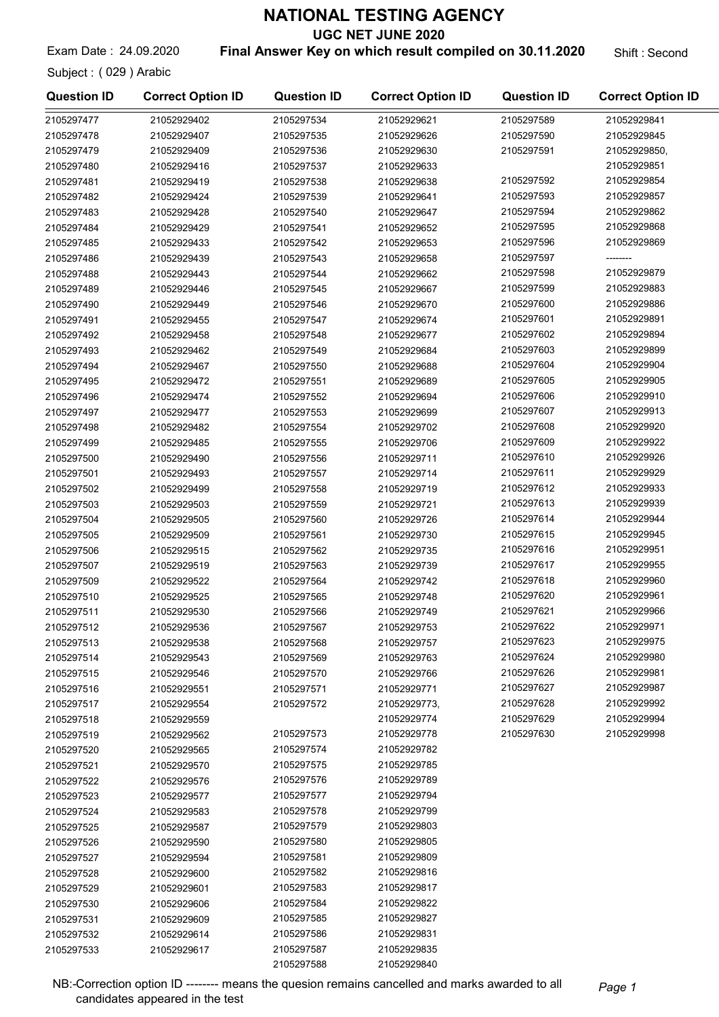UGC NET JUNE 2020

Exam Date: 24.09.2020 **Final Answer Key on which result compiled on 30.11.2020** Shift: Second

Subject : ( 029 ) Arabic

| <b>Question ID</b> | <b>Correct Option ID</b> | <b>Question ID</b> | <b>Correct Option ID</b> | <b>Question ID</b> | <b>Correct Option ID</b> |
|--------------------|--------------------------|--------------------|--------------------------|--------------------|--------------------------|
| 2105297477         | 21052929402              | 2105297534         | 21052929621              | 2105297589         | 21052929841              |
| 2105297478         | 21052929407              | 2105297535         | 21052929626              | 2105297590         | 21052929845              |
| 2105297479         | 21052929409              | 2105297536         | 21052929630              | 2105297591         | 21052929850,             |
| 2105297480         | 21052929416              | 2105297537         | 21052929633              |                    | 21052929851              |
| 2105297481         | 21052929419              | 2105297538         | 21052929638              | 2105297592         | 21052929854              |
| 2105297482         | 21052929424              | 2105297539         | 21052929641              | 2105297593         | 21052929857              |
| 2105297483         | 21052929428              | 2105297540         | 21052929647              | 2105297594         | 21052929862              |
| 2105297484         | 21052929429              | 2105297541         | 21052929652              | 2105297595         | 21052929868              |
| 2105297485         | 21052929433              | 2105297542         | 21052929653              | 2105297596         | 21052929869              |
| 2105297486         | 21052929439              | 2105297543         | 21052929658              | 2105297597         | --------                 |
| 2105297488         | 21052929443              | 2105297544         | 21052929662              | 2105297598         | 21052929879              |
| 2105297489         | 21052929446              | 2105297545         | 21052929667              | 2105297599         | 21052929883              |
| 2105297490         | 21052929449              | 2105297546         | 21052929670              | 2105297600         | 21052929886              |
| 2105297491         | 21052929455              | 2105297547         | 21052929674              | 2105297601         | 21052929891              |
| 2105297492         | 21052929458              | 2105297548         | 21052929677              | 2105297602         | 21052929894              |
| 2105297493         | 21052929462              | 2105297549         | 21052929684              | 2105297603         | 21052929899              |
| 2105297494         | 21052929467              | 2105297550         | 21052929688              | 2105297604         | 21052929904              |
| 2105297495         | 21052929472              | 2105297551         | 21052929689              | 2105297605         | 21052929905              |
| 2105297496         | 21052929474              | 2105297552         | 21052929694              | 2105297606         | 21052929910              |
| 2105297497         | 21052929477              | 2105297553         | 21052929699              | 2105297607         | 21052929913              |
| 2105297498         | 21052929482              | 2105297554         | 21052929702              | 2105297608         | 21052929920              |
| 2105297499         | 21052929485              | 2105297555         | 21052929706              | 2105297609         | 21052929922              |
| 2105297500         | 21052929490              | 2105297556         | 21052929711              | 2105297610         | 21052929926              |
| 2105297501         | 21052929493              | 2105297557         | 21052929714              | 2105297611         | 21052929929              |
| 2105297502         | 21052929499              | 2105297558         | 21052929719              | 2105297612         | 21052929933              |
| 2105297503         | 21052929503              | 2105297559         | 21052929721              | 2105297613         | 21052929939              |
| 2105297504         | 21052929505              | 2105297560         | 21052929726              | 2105297614         | 21052929944              |
| 2105297505         | 21052929509              | 2105297561         | 21052929730              | 2105297615         | 21052929945              |
| 2105297506         | 21052929515              | 2105297562         | 21052929735              | 2105297616         | 21052929951              |
| 2105297507         | 21052929519              | 2105297563         | 21052929739              | 2105297617         | 21052929955              |
| 2105297509         | 21052929522              | 2105297564         | 21052929742              | 2105297618         | 21052929960              |
| 2105297510         | 21052929525              | 2105297565         | 21052929748              | 2105297620         | 21052929961              |
| 2105297511         | 21052929530              | 2105297566         | 21052929749              | 2105297621         | 21052929966              |
| 2105297512         | 21052929536              | 2105297567         | 21052929753              | 2105297622         | 21052929971              |
| 2105297513         | 21052929538              | 2105297568         | 21052929757              | 2105297623         | 21052929975              |
| 2105297514         | 21052929543              | 2105297569         | 21052929763              | 2105297624         | 21052929980              |
| 2105297515         | 21052929546              | 2105297570         | 21052929766              | 2105297626         | 21052929981              |
| 2105297516         | 21052929551              | 2105297571         | 21052929771              | 2105297627         | 21052929987              |
| 2105297517         | 21052929554              | 2105297572         | 21052929773,             | 2105297628         | 21052929992              |
| 2105297518         | 21052929559              |                    | 21052929774              | 2105297629         | 21052929994              |
| 2105297519         | 21052929562              | 2105297573         | 21052929778              | 2105297630         | 21052929998              |
| 2105297520         | 21052929565              | 2105297574         | 21052929782              |                    |                          |
| 2105297521         | 21052929570              | 2105297575         | 21052929785              |                    |                          |
| 2105297522         | 21052929576              | 2105297576         | 21052929789              |                    |                          |
| 2105297523         | 21052929577              | 2105297577         | 21052929794              |                    |                          |
| 2105297524         | 21052929583              | 2105297578         | 21052929799              |                    |                          |
| 2105297525         | 21052929587              | 2105297579         | 21052929803              |                    |                          |
| 2105297526         | 21052929590              | 2105297580         | 21052929805              |                    |                          |
| 2105297527         | 21052929594              | 2105297581         | 21052929809              |                    |                          |
| 2105297528         | 21052929600              | 2105297582         | 21052929816              |                    |                          |
| 2105297529         | 21052929601              | 2105297583         | 21052929817              |                    |                          |
| 2105297530         | 21052929606              | 2105297584         | 21052929822              |                    |                          |
| 2105297531         | 21052929609              | 2105297585         | 21052929827              |                    |                          |
| 2105297532         | 21052929614              | 2105297586         | 21052929831              |                    |                          |
| 2105297533         | 21052929617              | 2105297587         | 21052929835              |                    |                          |

2105297588 21052929840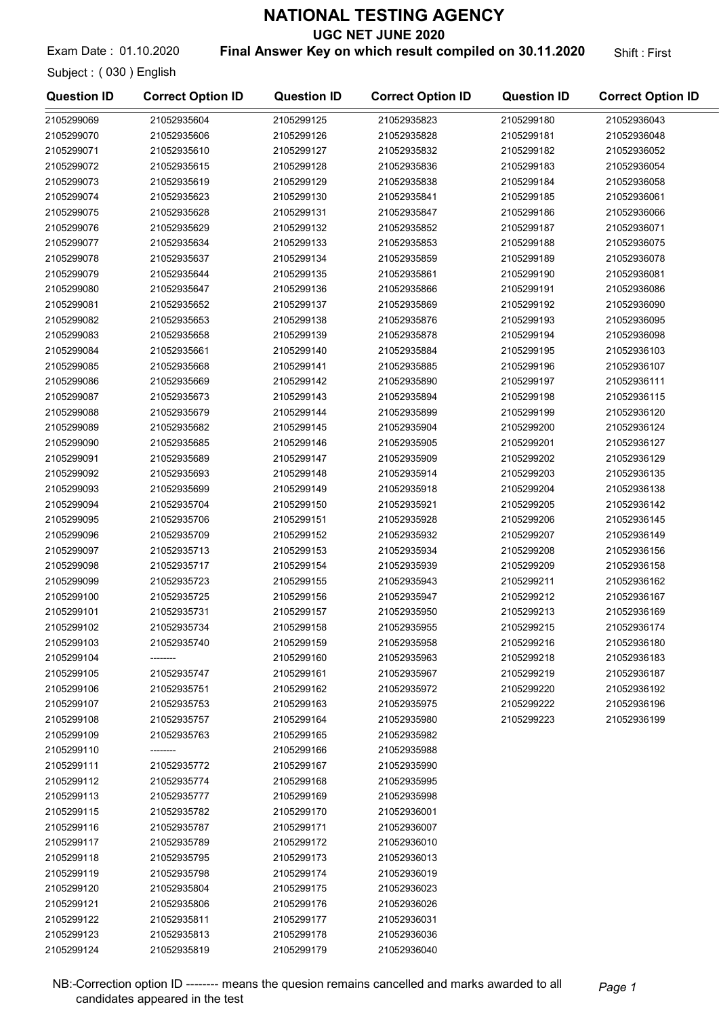UGC NET JUNE 2020

Exam Date: 01.10.2020 **Final Answer Key on which result compiled on 30.11.2020** Shift: First

Subject : ( 030 ) English

| <b>Question ID</b> | <b>Correct Option ID</b> | <b>Question ID</b>       | <b>Correct Option ID</b> | <b>Question ID</b>       | <b>Correct Option ID</b>   |
|--------------------|--------------------------|--------------------------|--------------------------|--------------------------|----------------------------|
| 2105299069         | 21052935604              | 2105299125               | 21052935823              | 2105299180               | 21052936043                |
| 2105299070         | 21052935606              | 2105299126               | 21052935828              | 2105299181               | 21052936048                |
| 2105299071         | 21052935610              | 2105299127               | 21052935832              | 2105299182               | 21052936052                |
| 2105299072         | 21052935615              | 2105299128               | 21052935836              | 2105299183               | 21052936054                |
| 2105299073         | 21052935619              | 2105299129               | 21052935838              | 2105299184               | 21052936058                |
| 2105299074         | 21052935623              | 2105299130               | 21052935841              | 2105299185               | 21052936061                |
| 2105299075         | 21052935628              | 2105299131               | 21052935847              | 2105299186               | 21052936066                |
| 2105299076         | 21052935629              | 2105299132               | 21052935852              | 2105299187               | 21052936071                |
| 2105299077         | 21052935634              | 2105299133               | 21052935853              | 2105299188               | 21052936075                |
| 2105299078         | 21052935637              | 2105299134               | 21052935859              | 2105299189               | 21052936078                |
| 2105299079         | 21052935644              | 2105299135               | 21052935861              | 2105299190               | 21052936081                |
| 2105299080         | 21052935647              | 2105299136               | 21052935866              | 2105299191               | 21052936086                |
| 2105299081         | 21052935652              | 2105299137               | 21052935869              | 2105299192               | 21052936090                |
| 2105299082         | 21052935653              | 2105299138               | 21052935876              | 2105299193               | 21052936095                |
| 2105299083         | 21052935658              | 2105299139               | 21052935878              | 2105299194               | 21052936098                |
| 2105299084         | 21052935661              | 2105299140               | 21052935884              | 2105299195               | 21052936103                |
| 2105299085         | 21052935668              | 2105299141               | 21052935885              | 2105299196               | 21052936107                |
| 2105299086         | 21052935669              | 2105299142               | 21052935890              | 2105299197               | 21052936111                |
| 2105299087         | 21052935673              | 2105299143               | 21052935894              | 2105299198               | 21052936115                |
| 2105299088         | 21052935679              | 2105299144               | 21052935899              | 2105299199               | 21052936120                |
| 2105299089         | 21052935682              | 2105299145               | 21052935904              | 2105299200               | 21052936124                |
| 2105299090         | 21052935685              | 2105299146               | 21052935905              | 2105299201               | 21052936127                |
| 2105299091         | 21052935689              | 2105299147               | 21052935909              | 2105299202               | 21052936129                |
| 2105299092         | 21052935693              | 2105299148               | 21052935914              | 2105299203               | 21052936135                |
| 2105299093         | 21052935699              | 2105299149               | 21052935918              | 2105299204               | 21052936138                |
| 2105299094         | 21052935704              | 2105299150               | 21052935921              | 2105299205               | 21052936142                |
| 2105299095         | 21052935706              | 2105299151               | 21052935928              | 2105299206               | 21052936145                |
| 2105299096         | 21052935709              | 2105299152               | 21052935932              | 2105299207               | 21052936149                |
| 2105299097         | 21052935713              | 2105299153               | 21052935934              | 2105299208               | 21052936156                |
| 2105299098         | 21052935717              | 2105299154               | 21052935939              | 2105299209               | 21052936158                |
| 2105299099         | 21052935723              | 2105299155               | 21052935943              | 2105299211               | 21052936162                |
| 2105299100         | 21052935725              | 2105299156               | 21052935947              | 2105299212               | 21052936167                |
| 2105299101         | 21052935731              | 2105299157               | 21052935950              | 2105299213               | 21052936169                |
| 2105299102         | 21052935734              | 2105299158               | 21052935955              | 2105299215               | 21052936174                |
| 2105299103         | 21052935740              | 2105299159               | 21052935958              | 2105299216               | 21052936180                |
| 2105299104         |                          | 2105299160               | 21052935963              | 2105299218               | 21052936183                |
| 2105299105         | 21052935747              | 2105299161               | 21052935967              | 2105299219               | 21052936187                |
| 2105299106         | 21052935751              |                          | 21052935972              |                          |                            |
| 2105299107         | 21052935753              | 2105299162<br>2105299163 | 21052935975              | 2105299220<br>2105299222 | 21052936192<br>21052936196 |
| 2105299108         | 21052935757              | 2105299164               | 21052935980              | 2105299223               | 21052936199                |
| 2105299109         | 21052935763              | 2105299165               | 21052935982              |                          |                            |
| 2105299110         |                          | 2105299166               |                          |                          |                            |
| 2105299111         | 21052935772              |                          | 21052935988              |                          |                            |
|                    |                          | 2105299167               | 21052935990              |                          |                            |
| 2105299112         | 21052935774              | 2105299168               | 21052935995              |                          |                            |
| 2105299113         | 21052935777              | 2105299169               | 21052935998              |                          |                            |
| 2105299115         | 21052935782              | 2105299170               | 21052936001              |                          |                            |
| 2105299116         | 21052935787              | 2105299171               | 21052936007              |                          |                            |
| 2105299117         | 21052935789              | 2105299172               | 21052936010              |                          |                            |
| 2105299118         | 21052935795              | 2105299173               | 21052936013              |                          |                            |
| 2105299119         | 21052935798              | 2105299174               | 21052936019              |                          |                            |
| 2105299120         | 21052935804              | 2105299175               | 21052936023              |                          |                            |
| 2105299121         | 21052935806              | 2105299176               | 21052936026              |                          |                            |
| 2105299122         | 21052935811              | 2105299177               | 21052936031              |                          |                            |
| 2105299123         | 21052935813              | 2105299178               | 21052936036              |                          |                            |
| 2105299124         | 21052935819              | 2105299179               | 21052936040              |                          |                            |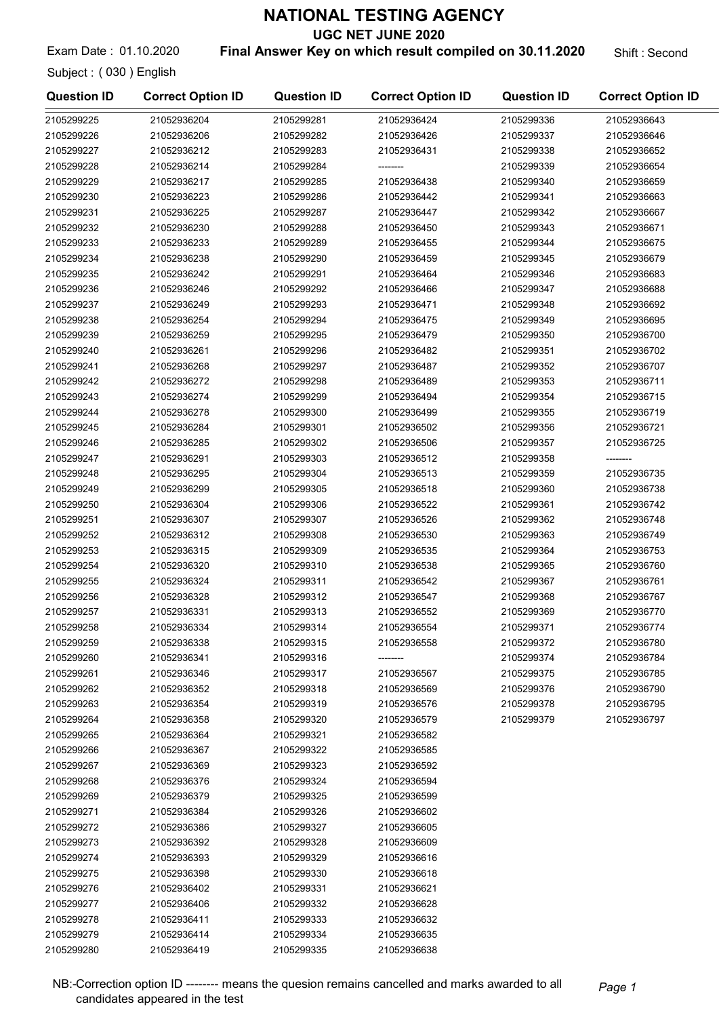UGC NET JUNE 2020

Exam Date: 01.10.2020 **Final Answer Key on which result compiled on 30.11.2020** Shift : Second

| LAGHI DUW. UT. IV. LULU |  |
|-------------------------|--|
| Subject: (030) English  |  |

| <b>Question ID</b> | <b>Correct Option ID</b> | <b>Question ID</b> | <b>Correct Option ID</b> | <b>Question ID</b> | <b>Correct Option ID</b> |
|--------------------|--------------------------|--------------------|--------------------------|--------------------|--------------------------|
| 2105299225         | 21052936204              | 2105299281         | 21052936424              | 2105299336         | 21052936643              |
| 2105299226         | 21052936206              | 2105299282         | 21052936426              | 2105299337         | 21052936646              |
| 2105299227         | 21052936212              | 2105299283         | 21052936431              | 2105299338         | 21052936652              |
| 2105299228         | 21052936214              | 2105299284         |                          | 2105299339         | 21052936654              |
| 2105299229         | 21052936217              | 2105299285         | 21052936438              | 2105299340         | 21052936659              |
| 2105299230         | 21052936223              | 2105299286         | 21052936442              | 2105299341         | 21052936663              |
| 2105299231         | 21052936225              | 2105299287         | 21052936447              | 2105299342         | 21052936667              |
| 2105299232         | 21052936230              | 2105299288         | 21052936450              | 2105299343         | 21052936671              |
| 2105299233         | 21052936233              | 2105299289         | 21052936455              | 2105299344         | 21052936675              |
| 2105299234         | 21052936238              | 2105299290         | 21052936459              | 2105299345         | 21052936679              |
| 2105299235         | 21052936242              | 2105299291         | 21052936464              | 2105299346         | 21052936683              |
| 2105299236         | 21052936246              | 2105299292         | 21052936466              | 2105299347         | 21052936688              |
| 2105299237         | 21052936249              | 2105299293         | 21052936471              | 2105299348         | 21052936692              |
| 2105299238         | 21052936254              | 2105299294         | 21052936475              | 2105299349         | 21052936695              |
| 2105299239         | 21052936259              | 2105299295         | 21052936479              | 2105299350         | 21052936700              |
| 2105299240         | 21052936261              | 2105299296         | 21052936482              | 2105299351         | 21052936702              |
| 2105299241         | 21052936268              | 2105299297         | 21052936487              | 2105299352         | 21052936707              |
| 2105299242         | 21052936272              | 2105299298         | 21052936489              | 2105299353         | 21052936711              |
| 2105299243         | 21052936274              | 2105299299         | 21052936494              | 2105299354         | 21052936715              |
| 2105299244         | 21052936278              | 2105299300         | 21052936499              | 2105299355         | 21052936719              |
| 2105299245         | 21052936284              | 2105299301         | 21052936502              | 2105299356         | 21052936721              |
| 2105299246         | 21052936285              | 2105299302         | 21052936506              | 2105299357         | 21052936725              |
| 2105299247         | 21052936291              | 2105299303         | 21052936512              | 2105299358         | --------                 |
| 2105299248         | 21052936295              | 2105299304         | 21052936513              | 2105299359         | 21052936735              |
| 2105299249         | 21052936299              | 2105299305         | 21052936518              | 2105299360         | 21052936738              |
| 2105299250         | 21052936304              | 2105299306         | 21052936522              | 2105299361         | 21052936742              |
| 2105299251         | 21052936307              | 2105299307         | 21052936526              | 2105299362         | 21052936748              |
| 2105299252         | 21052936312              | 2105299308         | 21052936530              | 2105299363         | 21052936749              |
| 2105299253         | 21052936315              | 2105299309         | 21052936535              | 2105299364         | 21052936753              |
| 2105299254         | 21052936320              | 2105299310         | 21052936538              | 2105299365         | 21052936760              |
| 2105299255         | 21052936324              | 2105299311         | 21052936542              | 2105299367         | 21052936761              |
| 2105299256         | 21052936328              | 2105299312         | 21052936547              | 2105299368         | 21052936767              |
| 2105299257         | 21052936331              | 2105299313         | 21052936552              | 2105299369         | 21052936770              |
| 2105299258         | 21052936334              | 2105299314         | 21052936554              | 2105299371         | 21052936774              |
| 2105299259         | 21052936338              | 2105299315         | 21052936558              | 2105299372         | 21052936780              |
| 2105299260         | 21052936341              | 2105299316         |                          | 2105299374         | 21052936784              |
| 2105299261         | 21052936346              | 2105299317         | 21052936567              | 2105299375         | 21052936785              |
| 2105299262         | 21052936352              | 2105299318         | 21052936569              | 2105299376         | 21052936790              |
| 2105299263         | 21052936354              | 2105299319         | 21052936576              | 2105299378         | 21052936795              |
| 2105299264         | 21052936358              | 2105299320         | 21052936579              | 2105299379         | 21052936797              |
| 2105299265         | 21052936364              | 2105299321         | 21052936582              |                    |                          |
| 2105299266         | 21052936367              | 2105299322         | 21052936585              |                    |                          |
| 2105299267         | 21052936369              | 2105299323         | 21052936592              |                    |                          |
| 2105299268         | 21052936376              | 2105299324         | 21052936594              |                    |                          |
| 2105299269         | 21052936379              | 2105299325         | 21052936599              |                    |                          |
| 2105299271         | 21052936384              | 2105299326         | 21052936602              |                    |                          |
| 2105299272         | 21052936386              | 2105299327         | 21052936605              |                    |                          |
| 2105299273         | 21052936392              | 2105299328         | 21052936609              |                    |                          |
| 2105299274         | 21052936393              | 2105299329         | 21052936616              |                    |                          |
| 2105299275         | 21052936398              | 2105299330         | 21052936618              |                    |                          |
| 2105299276         | 21052936402              | 2105299331         | 21052936621              |                    |                          |
| 2105299277         | 21052936406              | 2105299332         | 21052936628              |                    |                          |
| 2105299278         | 21052936411              | 2105299333         | 21052936632              |                    |                          |
| 2105299279         | 21052936414              | 2105299334         | 21052936635              |                    |                          |
| 2105299280         | 21052936419              | 2105299335         | 21052936638              |                    |                          |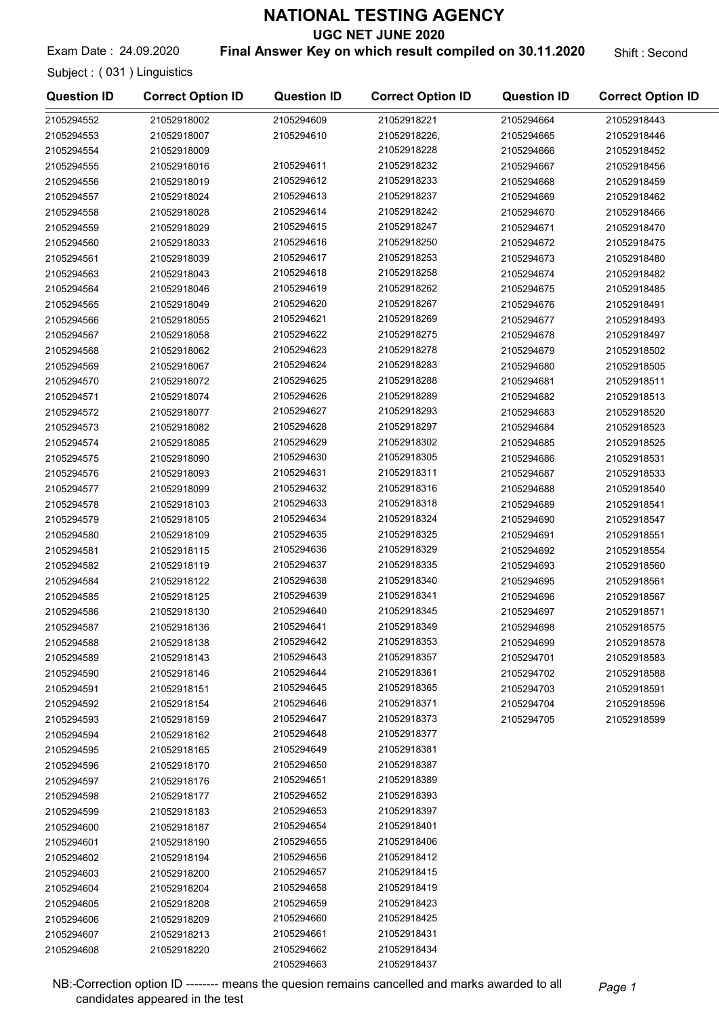UGC NET JUNE 2020

Exam Date: 24.09.2020 **Final Answer Key on which result compiled on 30.11.2020** Shift: Second

Subject : ( 031 ) Linguistics

| <b>Question ID</b> | <b>Correct Option ID</b> | <b>Question ID</b> | <b>Correct Option ID</b> | <b>Question ID</b> | <b>Correct Option ID</b> |
|--------------------|--------------------------|--------------------|--------------------------|--------------------|--------------------------|
| 2105294552         | 21052918002              | 2105294609         | 21052918221              | 2105294664         | 21052918443              |
| 2105294553         | 21052918007              | 2105294610         | 21052918226,             | 2105294665         | 21052918446              |
| 2105294554         | 21052918009              |                    | 21052918228              | 2105294666         | 21052918452              |
| 2105294555         | 21052918016              | 2105294611         | 21052918232              | 2105294667         | 21052918456              |
| 2105294556         | 21052918019              | 2105294612         | 21052918233              | 2105294668         | 21052918459              |
| 2105294557         | 21052918024              | 2105294613         | 21052918237              | 2105294669         | 21052918462              |
| 2105294558         | 21052918028              | 2105294614         | 21052918242              | 2105294670         | 21052918466              |
| 2105294559         | 21052918029              | 2105294615         | 21052918247              | 2105294671         | 21052918470              |
| 2105294560         | 21052918033              | 2105294616         | 21052918250              | 2105294672         | 21052918475              |
| 2105294561         | 21052918039              | 2105294617         | 21052918253              | 2105294673         | 21052918480              |
| 2105294563         | 21052918043              | 2105294618         | 21052918258              | 2105294674         | 21052918482              |
| 2105294564         | 21052918046              | 2105294619         | 21052918262              | 2105294675         | 21052918485              |
| 2105294565         | 21052918049              | 2105294620         | 21052918267              | 2105294676         | 21052918491              |
| 2105294566         | 21052918055              | 2105294621         | 21052918269              | 2105294677         | 21052918493              |
| 2105294567         | 21052918058              | 2105294622         | 21052918275              | 2105294678         | 21052918497              |
| 2105294568         | 21052918062              | 2105294623         | 21052918278              | 2105294679         | 21052918502              |
| 2105294569         | 21052918067              | 2105294624         | 21052918283              | 2105294680         | 21052918505              |
| 2105294570         | 21052918072              | 2105294625         | 21052918288              | 2105294681         | 21052918511              |
| 2105294571         | 21052918074              | 2105294626         | 21052918289              | 2105294682         | 21052918513              |
| 2105294572         | 21052918077              | 2105294627         | 21052918293              | 2105294683         | 21052918520              |
| 2105294573         | 21052918082              | 2105294628         | 21052918297              | 2105294684         | 21052918523              |
| 2105294574         | 21052918085              | 2105294629         | 21052918302              | 2105294685         | 21052918525              |
| 2105294575         | 21052918090              | 2105294630         | 21052918305              | 2105294686         | 21052918531              |
| 2105294576         | 21052918093              | 2105294631         | 21052918311              | 2105294687         | 21052918533              |
| 2105294577         | 21052918099              | 2105294632         | 21052918316              | 2105294688         | 21052918540              |
| 2105294578         | 21052918103              | 2105294633         | 21052918318              | 2105294689         | 21052918541              |
| 2105294579         | 21052918105              | 2105294634         | 21052918324              | 2105294690         | 21052918547              |
| 2105294580         | 21052918109              | 2105294635         | 21052918325              | 2105294691         | 21052918551              |
| 2105294581         | 21052918115              | 2105294636         | 21052918329              | 2105294692         | 21052918554              |
| 2105294582         | 21052918119              | 2105294637         | 21052918335              | 2105294693         | 21052918560              |
| 2105294584         | 21052918122              | 2105294638         | 21052918340              | 2105294695         | 21052918561              |
| 2105294585         | 21052918125              | 2105294639         | 21052918341              | 2105294696         | 21052918567              |
| 2105294586         | 21052918130              | 2105294640         | 21052918345              | 2105294697         | 21052918571              |
| 2105294587         | 21052918136              | 2105294641         | 21052918349              | 2105294698         | 21052918575              |
| 2105294588         | 21052918138              | 2105294642         | 21052918353              | 2105294699         | 21052918578              |
| 2105294589         | 21052918143              | 2105294643         | 21052918357              | 2105294701         | 21052918583              |
| 2105294590         | 21052918146              | 2105294644         | 21052918361              | 2105294702         | 21052918588              |
| 2105294591         | 21052918151              | 2105294645         | 21052918365              | 2105294703         | 21052918591              |
| 2105294592         | 21052918154              | 2105294646         | 21052918371              | 2105294704         | 21052918596              |
| 2105294593         | 21052918159              | 2105294647         | 21052918373              | 2105294705         | 21052918599              |
| 2105294594         | 21052918162              | 2105294648         | 21052918377              |                    |                          |
| 2105294595         | 21052918165              | 2105294649         | 21052918381              |                    |                          |
| 2105294596         | 21052918170              | 2105294650         | 21052918387              |                    |                          |
| 2105294597         | 21052918176              | 2105294651         | 21052918389              |                    |                          |
| 2105294598         | 21052918177              | 2105294652         | 21052918393              |                    |                          |
| 2105294599         | 21052918183              | 2105294653         | 21052918397              |                    |                          |
| 2105294600         | 21052918187              | 2105294654         | 21052918401              |                    |                          |
| 2105294601         | 21052918190              | 2105294655         | 21052918406              |                    |                          |
| 2105294602         | 21052918194              | 2105294656         | 21052918412              |                    |                          |
| 2105294603         | 21052918200              | 2105294657         | 21052918415              |                    |                          |
| 2105294604         | 21052918204              | 2105294658         | 21052918419              |                    |                          |
| 2105294605         | 21052918208              | 2105294659         | 21052918423              |                    |                          |
| 2105294606         | 21052918209              | 2105294660         | 21052918425              |                    |                          |
| 2105294607         | 21052918213              | 2105294661         | 21052918431              |                    |                          |
| 2105294608         | 21052918220              | 2105294662         | 21052918434              |                    |                          |

NB:-Correction option ID -------- means the quesion remains cancelled and marks awarded to all Page 1 candidates appeared in the test

2105294663 21052918437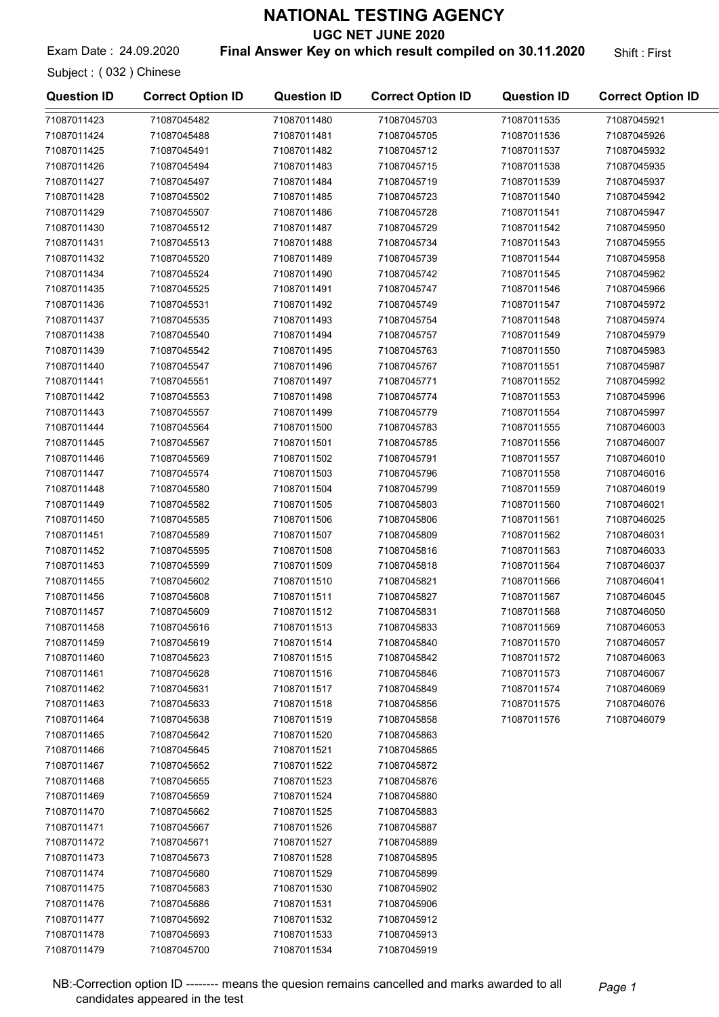UGC NET JUNE 2020

Exam Date: 24.09.2020 **Final Answer Key on which result compiled on 30.11.2020** Shift: First

Subject : ( 032 ) Chinese

| <b>Question ID</b>         | <b>Correct Option ID</b>   | <b>Question ID</b>         | <b>Correct Option ID</b>   | <b>Question ID</b> | <b>Correct Option ID</b> |
|----------------------------|----------------------------|----------------------------|----------------------------|--------------------|--------------------------|
| 71087011423                | 71087045482                | 71087011480                | 71087045703                | 71087011535        | 71087045921              |
| 71087011424                | 71087045488                | 71087011481                | 71087045705                | 71087011536        | 71087045926              |
| 71087011425                | 71087045491                | 71087011482                | 71087045712                | 71087011537        | 71087045932              |
| 71087011426                | 71087045494                | 71087011483                | 71087045715                | 71087011538        | 71087045935              |
| 71087011427                | 71087045497                | 71087011484                | 71087045719                | 71087011539        | 71087045937              |
| 71087011428                | 71087045502                | 71087011485                | 71087045723                | 71087011540        | 71087045942              |
| 71087011429                | 71087045507                | 71087011486                | 71087045728                | 71087011541        | 71087045947              |
| 71087011430                | 71087045512                | 71087011487                | 71087045729                | 71087011542        | 71087045950              |
| 71087011431                | 71087045513                | 71087011488                | 71087045734                | 71087011543        | 71087045955              |
| 71087011432                | 71087045520                | 71087011489                | 71087045739                | 71087011544        | 71087045958              |
| 71087011434                | 71087045524                | 71087011490                | 71087045742                | 71087011545        | 71087045962              |
| 71087011435                | 71087045525                | 71087011491                | 71087045747                | 71087011546        | 71087045966              |
| 71087011436                | 71087045531                | 71087011492                | 71087045749                | 71087011547        | 71087045972              |
| 71087011437                | 71087045535                | 71087011493                | 71087045754                | 71087011548        | 71087045974              |
| 71087011438                | 71087045540                | 71087011494                | 71087045757                | 71087011549        | 71087045979              |
| 71087011439                | 71087045542                | 71087011495                | 71087045763                | 71087011550        | 71087045983              |
| 71087011440                | 71087045547                | 71087011496                | 71087045767                | 71087011551        | 71087045987              |
| 71087011441                | 71087045551                | 71087011497                | 71087045771                | 71087011552        | 71087045992              |
| 71087011442                | 71087045553                | 71087011498                | 71087045774                | 71087011553        | 71087045996              |
| 71087011443                | 71087045557                | 71087011499                | 71087045779                | 71087011554        | 71087045997              |
| 71087011444                | 71087045564                | 71087011500                | 71087045783                | 71087011555        | 71087046003              |
| 71087011445                | 71087045567                | 71087011501                | 71087045785                | 71087011556        | 71087046007              |
| 71087011446                | 71087045569                | 71087011502                | 71087045791                | 71087011557        | 71087046010              |
| 71087011447                | 71087045574                | 71087011503                | 71087045796                | 71087011558        | 71087046016              |
| 71087011448                | 71087045580                | 71087011504                | 71087045799                | 71087011559        | 71087046019              |
| 71087011449                | 71087045582                | 71087011505                | 71087045803                | 71087011560        | 71087046021              |
| 71087011450                | 71087045585                | 71087011506                | 71087045806                | 71087011561        | 71087046025              |
| 71087011451                | 71087045589                | 71087011507                | 71087045809                | 71087011562        | 71087046031              |
| 71087011452                | 71087045595                | 71087011508                | 71087045816                | 71087011563        | 71087046033              |
| 71087011453                | 71087045599                | 71087011509                | 71087045818                | 71087011564        | 71087046037              |
| 71087011455                | 71087045602                | 71087011510                | 71087045821                | 71087011566        | 71087046041              |
| 71087011456                | 71087045608                | 71087011511                | 71087045827                | 71087011567        | 71087046045              |
| 71087011457                | 71087045609                | 71087011512                | 71087045831                | 71087011568        | 71087046050              |
| 71087011458                | 71087045616                | 71087011513                | 71087045833                | 71087011569        | 71087046053              |
| 71087011459                | 71087045619                | 71087011514                | 71087045840                | 71087011570        | 71087046057              |
| 71087011460                | 71087045623                | 71087011515                | 71087045842                | 71087011572        | 71087046063              |
| 71087011461                | 71087045628                | 71087011516                | 71087045846                | 71087011573        | 71087046067              |
| 71087011462                | 71087045631                | 71087011517                | 71087045849                | 71087011574        | 71087046069              |
| 71087011463                | 71087045633                | 71087011518                | 71087045856                | 71087011575        | 71087046076              |
| 71087011464                | 71087045638                | 71087011519                | 71087045858                | 71087011576        | 71087046079              |
| 71087011465                | 71087045642                | 71087011520                | 71087045863                |                    |                          |
| 71087011466                | 71087045645                | 71087011521                | 71087045865                |                    |                          |
| 71087011467                | 71087045652                | 71087011522                | 71087045872                |                    |                          |
| 71087011468                | 71087045655                | 71087011523                | 71087045876                |                    |                          |
| 71087011469                | 71087045659                | 71087011524                | 71087045880                |                    |                          |
| 71087011470                | 71087045662                | 71087011525                | 71087045883                |                    |                          |
| 71087011471                | 71087045667                | 71087011526                | 71087045887                |                    |                          |
| 71087011472                | 71087045671                | 71087011527                | 71087045889                |                    |                          |
| 71087011473                | 71087045673                | 71087011528                | 71087045895                |                    |                          |
| 71087011474                | 71087045680                | 71087011529                | 71087045899                |                    |                          |
| 71087011475                | 71087045683                | 71087011530                | 71087045902                |                    |                          |
|                            |                            |                            |                            |                    |                          |
| 71087011476<br>71087011477 | 71087045686<br>71087045692 | 71087011531                | 71087045906                |                    |                          |
| 71087011478                | 71087045693                | 71087011532<br>71087011533 | 71087045912<br>71087045913 |                    |                          |
| 71087011479                | 71087045700                | 71087011534                | 71087045919                |                    |                          |
|                            |                            |                            |                            |                    |                          |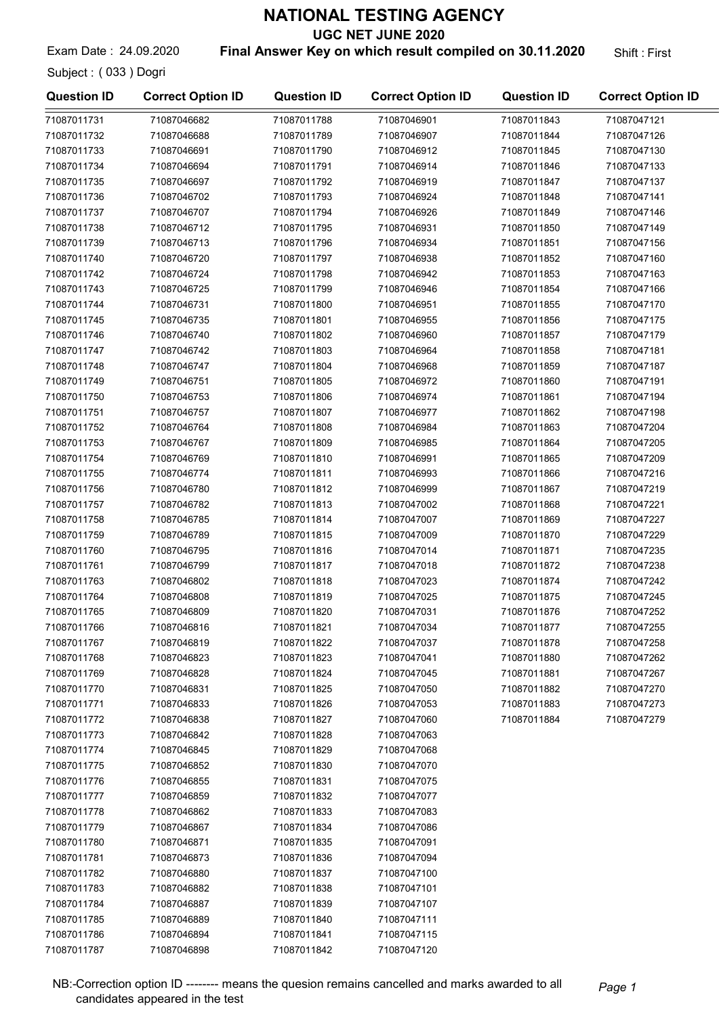UGC NET JUNE 2020

Subject : ( 033 ) Dogri

#### Exam Date: 24.09.2020 **Final Answer Key on which result compiled on 30.11.2020** Shift: First

| <b>Question ID</b> | <b>Correct Option ID</b> | <b>Question ID</b> | <b>Correct Option ID</b> | <b>Question ID</b> | <b>Correct Option ID</b> |
|--------------------|--------------------------|--------------------|--------------------------|--------------------|--------------------------|
| 71087011731        | 71087046682              | 71087011788        | 71087046901              | 71087011843        | 71087047121              |
| 71087011732        | 71087046688              | 71087011789        | 71087046907              | 71087011844        | 71087047126              |
| 71087011733        | 71087046691              | 71087011790        | 71087046912              | 71087011845        | 71087047130              |
| 71087011734        | 71087046694              | 71087011791        | 71087046914              | 71087011846        | 71087047133              |
| 71087011735        | 71087046697              | 71087011792        | 71087046919              | 71087011847        | 71087047137              |
| 71087011736        | 71087046702              | 71087011793        | 71087046924              | 71087011848        | 71087047141              |
| 71087011737        | 71087046707              | 71087011794        | 71087046926              | 71087011849        | 71087047146              |
| 71087011738        | 71087046712              | 71087011795        | 71087046931              | 71087011850        | 71087047149              |
| 71087011739        | 71087046713              | 71087011796        | 71087046934              | 71087011851        | 71087047156              |
| 71087011740        | 71087046720              | 71087011797        | 71087046938              | 71087011852        | 71087047160              |
| 71087011742        | 71087046724              | 71087011798        | 71087046942              | 71087011853        | 71087047163              |
| 71087011743        | 71087046725              | 71087011799        | 71087046946              | 71087011854        | 71087047166              |
| 71087011744        | 71087046731              | 71087011800        | 71087046951              | 71087011855        | 71087047170              |
| 71087011745        | 71087046735              | 71087011801        | 71087046955              | 71087011856        | 71087047175              |
| 71087011746        | 71087046740              | 71087011802        | 71087046960              | 71087011857        | 71087047179              |
| 71087011747        | 71087046742              | 71087011803        | 71087046964              | 71087011858        | 71087047181              |
| 71087011748        | 71087046747              | 71087011804        | 71087046968              | 71087011859        | 71087047187              |
| 71087011749        | 71087046751              | 71087011805        | 71087046972              | 71087011860        | 71087047191              |
| 71087011750        | 71087046753              | 71087011806        | 71087046974              | 71087011861        | 71087047194              |
| 71087011751        | 71087046757              | 71087011807        | 71087046977              | 71087011862        | 71087047198              |
| 71087011752        | 71087046764              | 71087011808        | 71087046984              | 71087011863        | 71087047204              |
| 71087011753        | 71087046767              | 71087011809        | 71087046985              | 71087011864        | 71087047205              |
| 71087011754        | 71087046769              | 71087011810        | 71087046991              | 71087011865        | 71087047209              |
| 71087011755        | 71087046774              | 71087011811        | 71087046993              | 71087011866        | 71087047216              |
| 71087011756        | 71087046780              | 71087011812        | 71087046999              | 71087011867        | 71087047219              |
| 71087011757        | 71087046782              | 71087011813        | 71087047002              | 71087011868        | 71087047221              |
| 71087011758        | 71087046785              | 71087011814        | 71087047007              | 71087011869        | 71087047227              |
| 71087011759        | 71087046789              | 71087011815        | 71087047009              | 71087011870        | 71087047229              |
| 71087011760        | 71087046795              | 71087011816        | 71087047014              | 71087011871        | 71087047235              |
| 71087011761        | 71087046799              | 71087011817        | 71087047018              | 71087011872        | 71087047238              |
| 71087011763        | 71087046802              | 71087011818        | 71087047023              | 71087011874        | 71087047242              |
| 71087011764        | 71087046808              | 71087011819        | 71087047025              | 71087011875        | 71087047245              |
| 71087011765        | 71087046809              | 71087011820        | 71087047031              | 71087011876        | 71087047252              |
| 71087011766        | 71087046816              | 71087011821        | 71087047034              | 71087011877        | 71087047255              |
| 71087011767        | 71087046819              | 71087011822        | 71087047037              | 71087011878        | 71087047258              |
| 71087011768        | 71087046823              | 71087011823        | 71087047041              | 71087011880        | 71087047262              |
| 71087011769        | 71087046828              | 71087011824        | 71087047045              | 71087011881        | 71087047267              |
| 71087011770        | 71087046831              | 71087011825        | 71087047050              | 71087011882        | 71087047270              |
| 71087011771        | 71087046833              | 71087011826        | 71087047053              | 71087011883        | 71087047273              |
| 71087011772        | 71087046838              | 71087011827        | 71087047060              | 71087011884        | 71087047279              |
| 71087011773        | 71087046842              | 71087011828        | 71087047063              |                    |                          |
| 71087011774        | 71087046845              | 71087011829        | 71087047068              |                    |                          |
| 71087011775        | 71087046852              | 71087011830        | 71087047070              |                    |                          |
| 71087011776        | 71087046855              | 71087011831        | 71087047075              |                    |                          |
| 71087011777        | 71087046859              | 71087011832        | 71087047077              |                    |                          |
| 71087011778        | 71087046862              | 71087011833        | 71087047083              |                    |                          |
| 71087011779        | 71087046867              | 71087011834        | 71087047086              |                    |                          |
| 71087011780        | 71087046871              | 71087011835        | 71087047091              |                    |                          |
| 71087011781        | 71087046873              | 71087011836        | 71087047094              |                    |                          |
| 71087011782        | 71087046880              | 71087011837        | 71087047100              |                    |                          |
| 71087011783        | 71087046882              | 71087011838        | 71087047101              |                    |                          |
| 71087011784        | 71087046887              | 71087011839        | 71087047107              |                    |                          |
| 71087011785        | 71087046889              | 71087011840        | 71087047111              |                    |                          |
| 71087011786        | 71087046894              | 71087011841        | 71087047115              |                    |                          |
| 71087011787        | 71087046898              | 71087011842        | 71087047120              |                    |                          |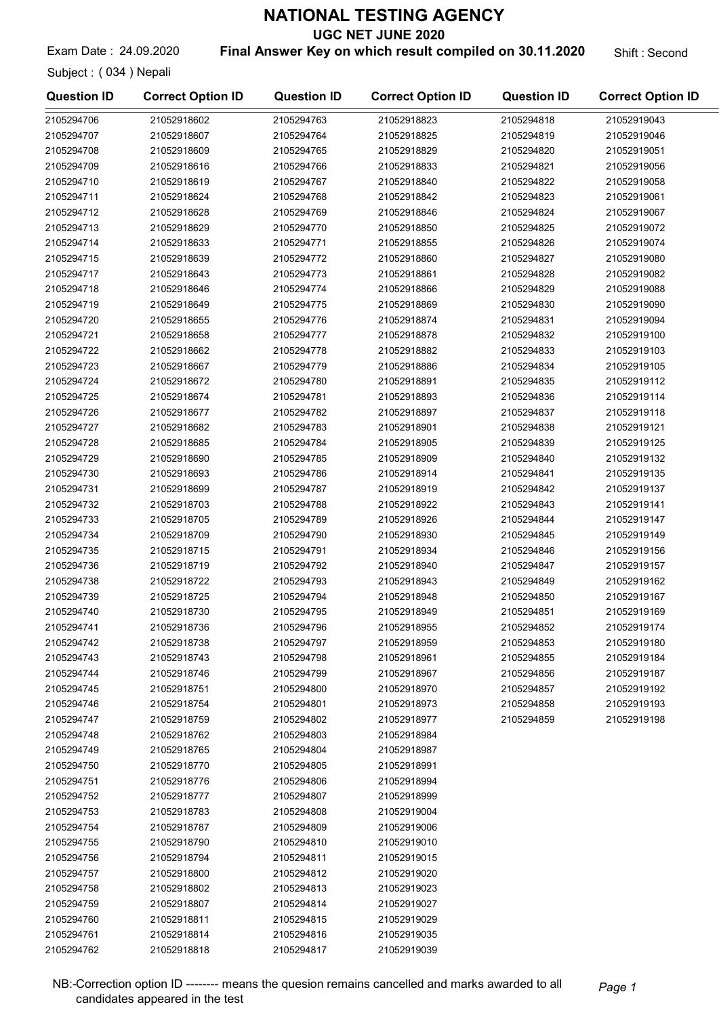UGC NET JUNE 2020

Exam Date: 24.09.2020 **Final Answer Key on which result compiled on 30.11.2020** Shift: Second

Subject : ( 034 ) Nepali

| <b>Question ID</b> | <b>Correct Option ID</b> | <b>Question ID</b> | <b>Correct Option ID</b> | <b>Question ID</b> | <b>Correct Option ID</b> |
|--------------------|--------------------------|--------------------|--------------------------|--------------------|--------------------------|
| 2105294706         | 21052918602              | 2105294763         | 21052918823              | 2105294818         | 21052919043              |
| 2105294707         | 21052918607              | 2105294764         | 21052918825              | 2105294819         | 21052919046              |
| 2105294708         | 21052918609              | 2105294765         | 21052918829              | 2105294820         | 21052919051              |
| 2105294709         | 21052918616              | 2105294766         | 21052918833              | 2105294821         | 21052919056              |
| 2105294710         | 21052918619              | 2105294767         | 21052918840              | 2105294822         | 21052919058              |
| 2105294711         | 21052918624              | 2105294768         | 21052918842              | 2105294823         | 21052919061              |
| 2105294712         | 21052918628              | 2105294769         | 21052918846              | 2105294824         | 21052919067              |
| 2105294713         | 21052918629              | 2105294770         | 21052918850              | 2105294825         | 21052919072              |
| 2105294714         | 21052918633              | 2105294771         | 21052918855              | 2105294826         | 21052919074              |
| 2105294715         | 21052918639              | 2105294772         | 21052918860              | 2105294827         | 21052919080              |
| 2105294717         | 21052918643              | 2105294773         | 21052918861              | 2105294828         | 21052919082              |
| 2105294718         | 21052918646              | 2105294774         | 21052918866              | 2105294829         | 21052919088              |
| 2105294719         | 21052918649              | 2105294775         | 21052918869              | 2105294830         | 21052919090              |
| 2105294720         | 21052918655              | 2105294776         | 21052918874              | 2105294831         | 21052919094              |
| 2105294721         | 21052918658              | 2105294777         | 21052918878              | 2105294832         | 21052919100              |
| 2105294722         | 21052918662              | 2105294778         | 21052918882              | 2105294833         | 21052919103              |
| 2105294723         | 21052918667              | 2105294779         | 21052918886              | 2105294834         | 21052919105              |
| 2105294724         | 21052918672              | 2105294780         | 21052918891              | 2105294835         | 21052919112              |
| 2105294725         | 21052918674              | 2105294781         | 21052918893              | 2105294836         | 21052919114              |
| 2105294726         | 21052918677              | 2105294782         | 21052918897              | 2105294837         | 21052919118              |
| 2105294727         | 21052918682              | 2105294783         | 21052918901              | 2105294838         | 21052919121              |
| 2105294728         | 21052918685              | 2105294784         | 21052918905              | 2105294839         | 21052919125              |
| 2105294729         | 21052918690              | 2105294785         | 21052918909              | 2105294840         | 21052919132              |
| 2105294730         | 21052918693              | 2105294786         | 21052918914              | 2105294841         | 21052919135              |
| 2105294731         | 21052918699              | 2105294787         | 21052918919              | 2105294842         | 21052919137              |
| 2105294732         | 21052918703              | 2105294788         | 21052918922              | 2105294843         | 21052919141              |
| 2105294733         | 21052918705              | 2105294789         | 21052918926              | 2105294844         | 21052919147              |
| 2105294734         | 21052918709              | 2105294790         | 21052918930              | 2105294845         | 21052919149              |
| 2105294735         | 21052918715              | 2105294791         | 21052918934              | 2105294846         | 21052919156              |
| 2105294736         | 21052918719              | 2105294792         | 21052918940              | 2105294847         | 21052919157              |
| 2105294738         | 21052918722              | 2105294793         | 21052918943              | 2105294849         | 21052919162              |
| 2105294739         | 21052918725              | 2105294794         | 21052918948              | 2105294850         | 21052919167              |
| 2105294740         | 21052918730              | 2105294795         | 21052918949              | 2105294851         | 21052919169              |
| 2105294741         | 21052918736              | 2105294796         | 21052918955              | 2105294852         | 21052919174              |
| 2105294742         | 21052918738              | 2105294797         | 21052918959              | 2105294853         | 21052919180              |
| 2105294743         | 21052918743              | 2105294798         | 21052918961              | 2105294855         | 21052919184              |
| 2105294744         | 21052918746              | 2105294799         | 21052918967              | 2105294856         | 21052919187              |
| 2105294745         | 21052918751              | 2105294800         | 21052918970              | 2105294857         | 21052919192              |
| 2105294746         | 21052918754              | 2105294801         | 21052918973              | 2105294858         | 21052919193              |
| 2105294747         | 21052918759              | 2105294802         | 21052918977              | 2105294859         | 21052919198              |
| 2105294748         | 21052918762              | 2105294803         | 21052918984              |                    |                          |
| 2105294749         | 21052918765              | 2105294804         | 21052918987              |                    |                          |
| 2105294750         | 21052918770              | 2105294805         | 21052918991              |                    |                          |
| 2105294751         | 21052918776              | 2105294806         | 21052918994              |                    |                          |
| 2105294752         | 21052918777              | 2105294807         | 21052918999              |                    |                          |
| 2105294753         | 21052918783              | 2105294808         | 21052919004              |                    |                          |
| 2105294754         | 21052918787              | 2105294809         | 21052919006              |                    |                          |
| 2105294755         | 21052918790              | 2105294810         | 21052919010              |                    |                          |
| 2105294756         | 21052918794              | 2105294811         | 21052919015              |                    |                          |
| 2105294757         | 21052918800              | 2105294812         | 21052919020              |                    |                          |
| 2105294758         | 21052918802              | 2105294813         | 21052919023              |                    |                          |
| 2105294759         | 21052918807              | 2105294814         | 21052919027              |                    |                          |
| 2105294760         | 21052918811              | 2105294815         | 21052919029              |                    |                          |
| 2105294761         | 21052918814              | 2105294816         | 21052919035              |                    |                          |
| 2105294762         | 21052918818              | 2105294817         | 21052919039              |                    |                          |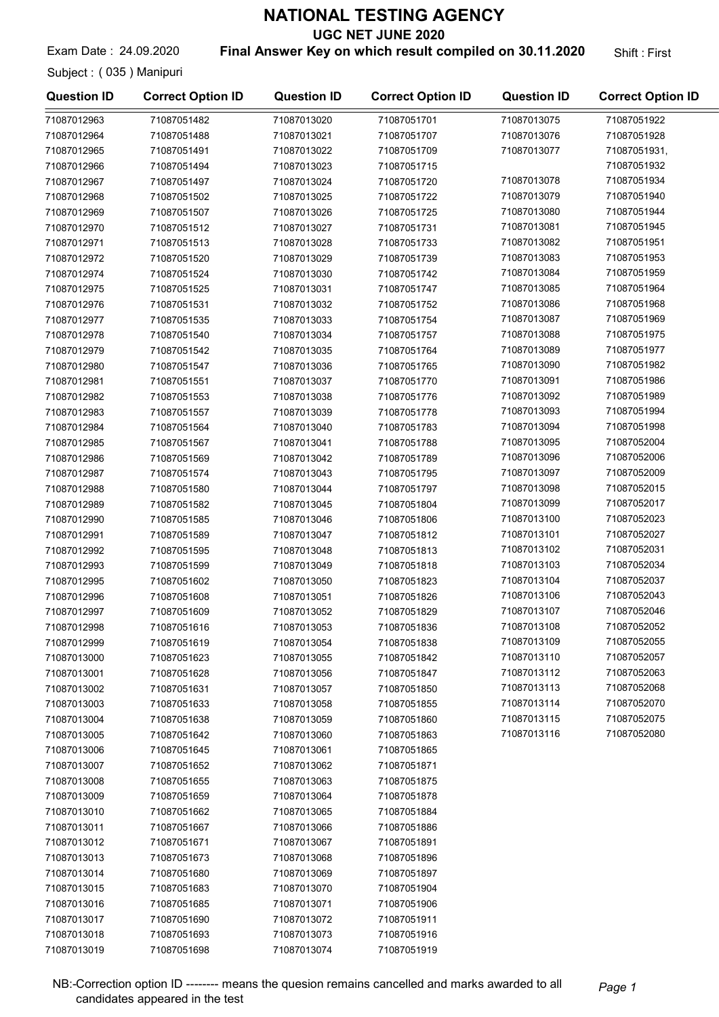UGC NET JUNE 2020

Exam Date: 24.09.2020 **Final Answer Key on which result compiled on 30.11.2020** Shift: First

Subject : ( 035 ) Manipuri

| <b>Question ID</b>         | <b>Correct Option ID</b> | <b>Question ID</b> | <b>Correct Option ID</b> | <b>Question ID</b>         | <b>Correct Option ID</b>   |
|----------------------------|--------------------------|--------------------|--------------------------|----------------------------|----------------------------|
| 71087012963                | 71087051482              | 71087013020        | 71087051701              | 71087013075                | 71087051922                |
| 71087012964                | 71087051488              | 71087013021        | 71087051707              | 71087013076                | 71087051928                |
| 71087012965                | 71087051491              | 71087013022        | 71087051709              | 71087013077                | 71087051931,               |
| 71087012966                | 71087051494              | 71087013023        | 71087051715              |                            | 71087051932                |
| 71087012967                | 71087051497              | 71087013024        | 71087051720              | 71087013078                | 71087051934                |
| 71087012968                | 71087051502              | 71087013025        | 71087051722              | 71087013079                | 71087051940                |
| 71087012969                | 71087051507              | 71087013026        | 71087051725              | 71087013080                | 71087051944                |
| 71087012970                | 71087051512              | 71087013027        | 71087051731              | 71087013081                | 71087051945                |
| 71087012971                | 71087051513              | 71087013028        | 71087051733              | 71087013082                | 71087051951                |
| 71087012972                | 71087051520              | 71087013029        | 71087051739              | 71087013083                | 71087051953                |
| 71087012974                | 71087051524              | 71087013030        | 71087051742              | 71087013084                | 71087051959                |
| 71087012975                | 71087051525              | 71087013031        | 71087051747              | 71087013085                | 71087051964                |
| 71087012976                | 71087051531              | 71087013032        | 71087051752              | 71087013086                | 71087051968                |
| 71087012977                | 71087051535              | 71087013033        | 71087051754              | 71087013087                | 71087051969                |
| 71087012978                | 71087051540              | 71087013034        | 71087051757              | 71087013088                | 71087051975                |
| 71087012979                | 71087051542              | 71087013035        | 71087051764              | 71087013089                | 71087051977                |
| 71087012980                | 71087051547              | 71087013036        | 71087051765              | 71087013090                | 71087051982                |
| 71087012981                | 71087051551              | 71087013037        | 71087051770              | 71087013091                | 71087051986                |
| 71087012982                | 71087051553              | 71087013038        | 71087051776              | 71087013092                | 71087051989                |
| 71087012983                | 71087051557              | 71087013039        | 71087051778              | 71087013093                | 71087051994                |
| 71087012984                | 71087051564              | 71087013040        | 71087051783              | 71087013094                | 71087051998                |
| 71087012985                | 71087051567              | 71087013041        | 71087051788              | 71087013095                | 71087052004                |
| 71087012986                | 71087051569              | 71087013042        | 71087051789              | 71087013096                | 71087052006                |
| 71087012987                | 71087051574              | 71087013043        | 71087051795              | 71087013097                | 71087052009                |
| 71087012988                | 71087051580              | 71087013044        | 71087051797              | 71087013098                | 71087052015                |
| 71087012989                | 71087051582              | 71087013045        | 71087051804              | 71087013099                | 71087052017                |
| 71087012990                | 71087051585              | 71087013046        | 71087051806              | 71087013100                | 71087052023                |
| 71087012991                | 71087051589              | 71087013047        | 71087051812              | 71087013101                | 71087052027                |
| 71087012992                | 71087051595              | 71087013048        | 71087051813              | 71087013102                | 71087052031                |
| 71087012993                | 71087051599              | 71087013049        | 71087051818              | 71087013103                | 71087052034                |
| 71087012995                | 71087051602              | 71087013050        | 71087051823              | 71087013104                | 71087052037                |
| 71087012996                | 71087051608              | 71087013051        | 71087051826              | 71087013106                | 71087052043                |
| 71087012997                | 71087051609              | 71087013052        | 71087051829              | 71087013107                | 71087052046                |
| 71087012998                | 71087051616              | 71087013053        | 71087051836              | 71087013108                | 71087052052                |
| 71087012999                | 71087051619              |                    | 71087051838              | 71087013109                | 71087052055                |
|                            | 71087051623              | 71087013054        |                          | 71087013110                | 71087052057                |
| 71087013000<br>71087013001 | 71087051628              | 71087013055        | 71087051842              | 71087013112                | 71087052063                |
|                            |                          | 71087013056        | 71087051847              | 71087013113                | 71087052068                |
| 71087013002                | 71087051631              | 71087013057        | 71087051850              |                            |                            |
| 71087013003                | 71087051633              | 71087013058        | 71087051855              | 71087013114                | 71087052070<br>71087052075 |
| 71087013004                | 71087051638              | 71087013059        | 71087051860              | 71087013115<br>71087013116 | 71087052080                |
| 71087013005                | 71087051642              | 71087013060        | 71087051863              |                            |                            |
| 71087013006                | 71087051645              | 71087013061        | 71087051865              |                            |                            |
| 71087013007                | 71087051652              | 71087013062        | 71087051871              |                            |                            |
| 71087013008                | 71087051655              | 71087013063        | 71087051875              |                            |                            |
| 71087013009                | 71087051659              | 71087013064        | 71087051878              |                            |                            |
| 71087013010                | 71087051662              | 71087013065        | 71087051884              |                            |                            |
| 71087013011                | 71087051667              | 71087013066        | 71087051886              |                            |                            |
| 71087013012                | 71087051671              | 71087013067        | 71087051891              |                            |                            |
| 71087013013                | 71087051673              | 71087013068        | 71087051896              |                            |                            |
| 71087013014                | 71087051680              | 71087013069        | 71087051897              |                            |                            |
| 71087013015                | 71087051683              | 71087013070        | 71087051904              |                            |                            |
| 71087013016                | 71087051685              | 71087013071        | 71087051906              |                            |                            |
| 71087013017                | 71087051690              | 71087013072        | 71087051911              |                            |                            |
| 71087013018                | 71087051693              | 71087013073        | 71087051916              |                            |                            |
| 71087013019                | 71087051698              | 71087013074        | 71087051919              |                            |                            |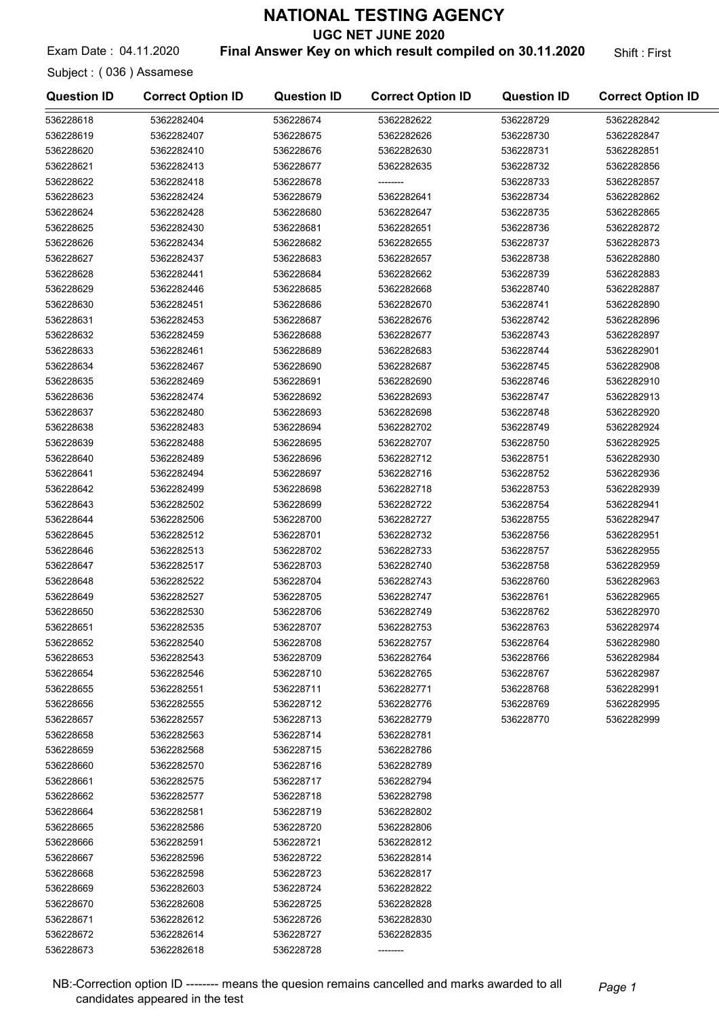UGC NET JUNE 2020

#### Exam Date: 04.11.2020 **Final Answer Key on which result compiled on 30.11.2020** Shift: First

Subject : ( 036 ) Assamese

| <b>Question ID</b> | <b>Correct Option ID</b> | <b>Question ID</b> | <b>Correct Option ID</b> | <b>Question ID</b> | <b>Correct Option ID</b> |
|--------------------|--------------------------|--------------------|--------------------------|--------------------|--------------------------|
| 536228618          | 5362282404               | 536228674          | 5362282622               | 536228729          | 5362282842               |
| 536228619          | 5362282407               | 536228675          | 5362282626               | 536228730          | 5362282847               |
| 536228620          | 5362282410               | 536228676          | 5362282630               | 536228731          | 5362282851               |
| 536228621          | 5362282413               | 536228677          | 5362282635               | 536228732          | 5362282856               |
| 536228622          | 5362282418               | 536228678          |                          | 536228733          | 5362282857               |
| 536228623          | 5362282424               | 536228679          | 5362282641               | 536228734          | 5362282862               |
| 536228624          | 5362282428               | 536228680          | 5362282647               | 536228735          | 5362282865               |
| 536228625          | 5362282430               | 536228681          | 5362282651               | 536228736          | 5362282872               |
| 536228626          | 5362282434               | 536228682          | 5362282655               | 536228737          | 5362282873               |
| 536228627          | 5362282437               | 536228683          | 5362282657               | 536228738          | 5362282880               |
| 536228628          | 5362282441               | 536228684          | 5362282662               | 536228739          | 5362282883               |
| 536228629          | 5362282446               | 536228685          | 5362282668               | 536228740          | 5362282887               |
| 536228630          | 5362282451               | 536228686          | 5362282670               | 536228741          | 5362282890               |
| 536228631          | 5362282453               | 536228687          | 5362282676               | 536228742          | 5362282896               |
| 536228632          | 5362282459               | 536228688          | 5362282677               | 536228743          | 5362282897               |
| 536228633          | 5362282461               | 536228689          | 5362282683               | 536228744          | 5362282901               |
| 536228634          | 5362282467               | 536228690          | 5362282687               | 536228745          | 5362282908               |
| 536228635          | 5362282469               | 536228691          | 5362282690               | 536228746          | 5362282910               |
| 536228636          | 5362282474               | 536228692          | 5362282693               | 536228747          | 5362282913               |
| 536228637          | 5362282480               | 536228693          | 5362282698               | 536228748          | 5362282920               |
| 536228638          | 5362282483               | 536228694          | 5362282702               | 536228749          | 5362282924               |
| 536228639          | 5362282488               | 536228695          | 5362282707               | 536228750          | 5362282925               |
| 536228640          | 5362282489               | 536228696          | 5362282712               | 536228751          | 5362282930               |
| 536228641          | 5362282494               | 536228697          | 5362282716               | 536228752          | 5362282936               |
| 536228642          | 5362282499               | 536228698          | 5362282718               | 536228753          | 5362282939               |
| 536228643          | 5362282502               | 536228699          | 5362282722               | 536228754          | 5362282941               |
| 536228644          | 5362282506               | 536228700          | 5362282727               | 536228755          | 5362282947               |
| 536228645          | 5362282512               | 536228701          | 5362282732               | 536228756          | 5362282951               |
| 536228646          | 5362282513               | 536228702          | 5362282733               | 536228757          | 5362282955               |
| 536228647          | 5362282517               | 536228703          | 5362282740               | 536228758          | 5362282959               |
| 536228648          | 5362282522               | 536228704          | 5362282743               | 536228760          | 5362282963               |
| 536228649          | 5362282527               | 536228705          | 5362282747               | 536228761          | 5362282965               |
| 536228650          | 5362282530               | 536228706          | 5362282749               | 536228762          | 5362282970               |
| 536228651          | 5362282535               | 536228707          | 5362282753               | 536228763          | 5362282974               |
| 536228652          | 5362282540               | 536228708          | 5362282757               | 536228764          | 5362282980               |
| 536228653          | 5362282543               | 536228709          | 5362282764               | 536228766          | 5362282984               |
| 536228654          | 5362282546               | 536228710          | 5362282765               | 536228767          | 5362282987               |
| 536228655          | 5362282551               | 536228711          | 5362282771               | 536228768          | 5362282991               |
| 536228656          | 5362282555               | 536228712          | 5362282776               | 536228769          | 5362282995               |
| 536228657          | 5362282557               | 536228713          | 5362282779               | 536228770          | 5362282999               |
| 536228658          | 5362282563               | 536228714          | 5362282781               |                    |                          |
| 536228659          | 5362282568               | 536228715          | 5362282786               |                    |                          |
| 536228660          | 5362282570               | 536228716          | 5362282789               |                    |                          |
| 536228661          | 5362282575               | 536228717          | 5362282794               |                    |                          |
| 536228662          | 5362282577               | 536228718          | 5362282798               |                    |                          |
| 536228664          | 5362282581               | 536228719          | 5362282802               |                    |                          |
| 536228665          | 5362282586               | 536228720          | 5362282806               |                    |                          |
| 536228666          | 5362282591               | 536228721          | 5362282812               |                    |                          |
| 536228667          | 5362282596               | 536228722          | 5362282814               |                    |                          |
| 536228668          | 5362282598               | 536228723          | 5362282817               |                    |                          |
| 536228669          | 5362282603               | 536228724          | 5362282822               |                    |                          |
| 536228670          | 5362282608               | 536228725          | 5362282828               |                    |                          |
| 536228671          | 5362282612               | 536228726          | 5362282830               |                    |                          |
| 536228672          | 5362282614               | 536228727          | 5362282835               |                    |                          |
| 536228673          | 5362282618               | 536228728          | --------                 |                    |                          |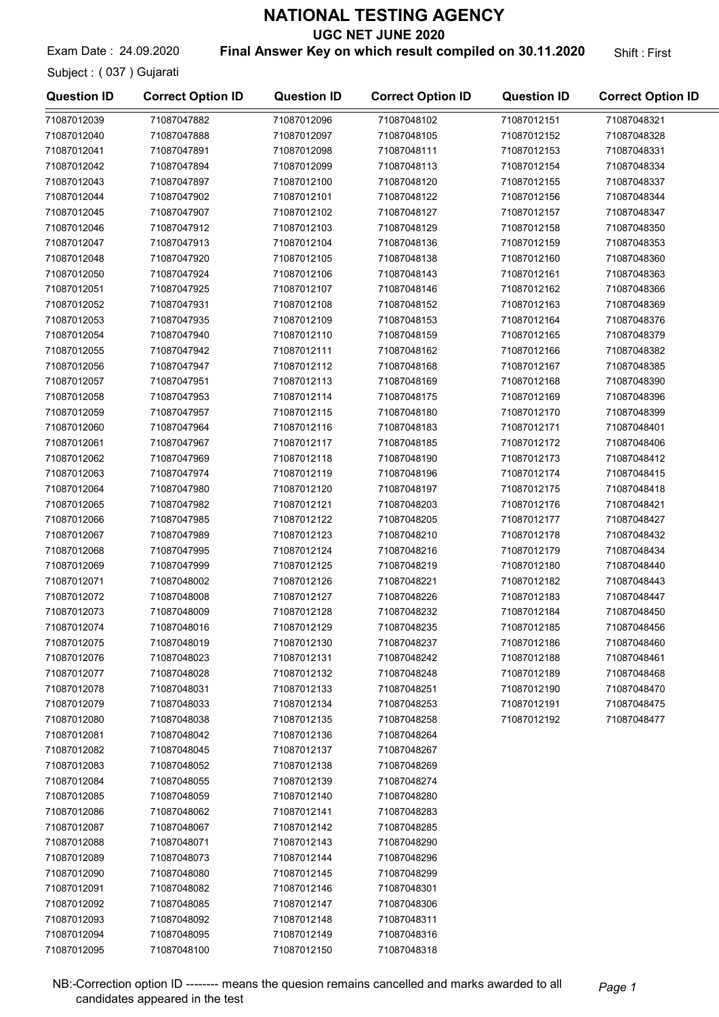UGC NET JUNE 2020

Exam Date: 24.09.2020 **Final Answer Key on which result compiled on 30.11.2020** Shift: First

Subject : ( 037 ) Gujarati

71087012094 71087048095 71087012095 71087048100

| <b>Question ID</b> | <b>Correct Option ID</b>   | <b>Question ID</b>         | <b>Correct Option ID</b>   | <b>Question ID</b>         | <b>Correct Option ID</b>   |
|--------------------|----------------------------|----------------------------|----------------------------|----------------------------|----------------------------|
| 71087012039        | 71087047882                | 71087012096                | 71087048102                | 71087012151                | 71087048321                |
| 71087012040        | 71087047888                | 71087012097                | 71087048105                | 71087012152                | 71087048328                |
| 71087012041        | 71087047891                | 71087012098                | 71087048111                | 71087012153                | 71087048331                |
| 71087012042        | 71087047894                | 71087012099                | 71087048113                | 71087012154                | 71087048334                |
| 71087012043        | 71087047897                | 71087012100                | 71087048120                | 71087012155                | 71087048337                |
| 71087012044        | 71087047902                | 71087012101                | 71087048122                | 71087012156                | 71087048344                |
| 71087012045        | 71087047907                | 71087012102                | 71087048127                | 71087012157                | 71087048347                |
| 71087012046        | 71087047912                | 71087012103                | 71087048129                | 71087012158                | 71087048350                |
| 71087012047        | 71087047913                | 71087012104                | 71087048136                | 71087012159                | 71087048353                |
| 71087012048        | 71087047920                | 71087012105                | 71087048138                | 71087012160                | 71087048360                |
| 71087012050        | 71087047924                | 71087012106                | 71087048143                | 71087012161                | 71087048363                |
| 71087012051        | 71087047925                | 71087012107                | 71087048146                | 71087012162                | 71087048366                |
| 71087012052        | 71087047931                | 71087012108                | 71087048152                | 71087012163                | 71087048369                |
| 71087012053        | 71087047935                | 71087012109                | 71087048153                | 71087012164                | 71087048376                |
| 71087012054        | 71087047940                | 71087012110                | 71087048159                | 71087012165                | 71087048379                |
| 71087012055        | 71087047942                | 71087012111                | 71087048162                | 71087012166                | 71087048382                |
| 71087012056        | 71087047947                | 71087012112                | 71087048168                | 71087012167                | 71087048385                |
| 71087012057        | 71087047951                | 71087012113                | 71087048169                | 71087012168                | 71087048390                |
| 71087012058        | 71087047953                | 71087012114                | 71087048175                | 71087012169                | 71087048396                |
| 71087012059        | 71087047957                | 71087012115                | 71087048180                | 71087012170                | 71087048399                |
| 71087012060        | 71087047964                | 71087012116                | 71087048183                | 71087012171                | 71087048401                |
| 71087012061        | 71087047967                | 71087012117                | 71087048185                | 71087012172                | 71087048406                |
| 71087012062        | 71087047969                | 71087012118                | 71087048190                | 71087012173                | 71087048412                |
| 71087012063        | 71087047974                | 71087012119                | 71087048196                | 71087012174                | 71087048415                |
| 71087012064        | 71087047980                | 71087012120                | 71087048197                | 71087012175                | 71087048418                |
| 71087012065        | 71087047982                | 71087012121                | 71087048203                | 71087012176                | 71087048421                |
| 71087012066        | 71087047985                | 71087012122                | 71087048205                | 71087012177                | 71087048427                |
| 71087012067        | 71087047989                | 71087012123                | 71087048210                | 71087012178                | 71087048432                |
| 71087012068        | 71087047995                | 71087012124                | 71087048216                | 71087012179                | 71087048434                |
| 71087012069        | 71087047999                | 71087012125                | 71087048219                | 71087012180                | 71087048440                |
| 71087012071        | 71087048002                |                            |                            | 71087012182                | 71087048443                |
| 71087012072        |                            | 71087012126<br>71087012127 | 71087048221<br>71087048226 | 71087012183                | 71087048447                |
|                    | 71087048008                |                            |                            |                            |                            |
| 71087012073        | 71087048009<br>71087048016 | 71087012128                | 71087048232<br>71087048235 | 71087012184                | 71087048450<br>71087048456 |
| 71087012074        |                            | 71087012129                |                            | 71087012185<br>71087012186 |                            |
| 71087012075        | 71087048019<br>71087048023 | 71087012130                | 71087048237                |                            | 71087048460                |
| 71087012076        |                            | 71087012131                | 71087048242                | 71087012188                | 71087048461                |
| 71087012077        | 71087048028                | 71087012132                | 71087048248                | 71087012189                | 71087048468                |
| 71087012078        | 71087048031                | 71087012133                | 71087048251                | 71087012190                | 71087048470                |
| 71087012079        | 71087048033                | 71087012134                | 71087048253                | 71087012191                | 71087048475                |
| 71087012080        | 71087048038                | 71087012135                | 71087048258                | 71087012192                | 71087048477                |
| 71087012081        | 71087048042                | 71087012136                | 71087048264                |                            |                            |
| 71087012082        | 71087048045                | 71087012137                | 71087048267                |                            |                            |
| 71087012083        | 71087048052                | 71087012138                | 71087048269                |                            |                            |
| 71087012084        | 71087048055                | 71087012139                | 71087048274                |                            |                            |
| 71087012085        | 71087048059                | 71087012140                | 71087048280                |                            |                            |
| 71087012086        | 71087048062                | 71087012141                | 71087048283                |                            |                            |
| 71087012087        | 71087048067                | 71087012142                | 71087048285                |                            |                            |
| 71087012088        | 71087048071                | 71087012143                | 71087048290                |                            |                            |
| 71087012089        | 71087048073                | 71087012144                | 71087048296                |                            |                            |
| 71087012090        | 71087048080                | 71087012145                | 71087048299                |                            |                            |
| 71087012091        | 71087048082                | 71087012146                | 71087048301                |                            |                            |
| 71087012092        | 71087048085                | 71087012147                | 71087048306                |                            |                            |
| 71087012093        | 71087048092                | 71087012148                | 71087048311                |                            |                            |
| 71087012094        | 71087048095                | 71087012149                | 71087048316                |                            |                            |

NB:-Correction option ID ------- means the quesion remains cancelled and marks awarded to all Page 1 candidates appeared in the test

71087012150 71087048318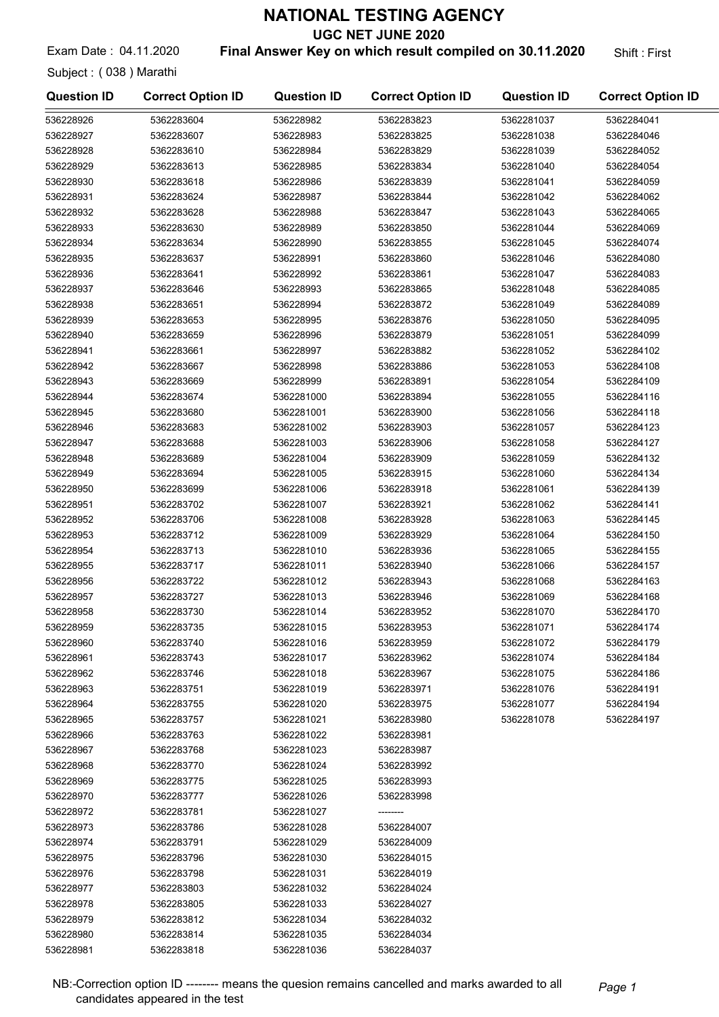UGC NET JUNE 2020

Exam Date: 04.11.2020 **Final Answer Key on which result compiled on 30.11.2020** Shift: First

Subject : ( 038 ) Marathi

| <b>Question ID</b> | <b>Correct Option ID</b> | <b>Question ID</b> | <b>Correct Option ID</b> | <b>Question ID</b> | <b>Correct Option ID</b> |
|--------------------|--------------------------|--------------------|--------------------------|--------------------|--------------------------|
| 536228926          | 5362283604               | 536228982          | 5362283823               | 5362281037         | 5362284041               |
| 536228927          | 5362283607               | 536228983          | 5362283825               | 5362281038         | 5362284046               |
| 536228928          | 5362283610               | 536228984          | 5362283829               | 5362281039         | 5362284052               |
| 536228929          | 5362283613               | 536228985          | 5362283834               | 5362281040         | 5362284054               |
| 536228930          | 5362283618               | 536228986          | 5362283839               | 5362281041         | 5362284059               |
| 536228931          | 5362283624               | 536228987          | 5362283844               | 5362281042         | 5362284062               |
| 536228932          | 5362283628               | 536228988          | 5362283847               | 5362281043         | 5362284065               |
| 536228933          | 5362283630               | 536228989          | 5362283850               | 5362281044         | 5362284069               |
| 536228934          | 5362283634               | 536228990          | 5362283855               | 5362281045         | 5362284074               |
| 536228935          | 5362283637               | 536228991          | 5362283860               | 5362281046         | 5362284080               |
| 536228936          | 5362283641               | 536228992          | 5362283861               | 5362281047         | 5362284083               |
| 536228937          | 5362283646               | 536228993          | 5362283865               | 5362281048         | 5362284085               |
| 536228938          | 5362283651               | 536228994          | 5362283872               | 5362281049         | 5362284089               |
| 536228939          | 5362283653               | 536228995          | 5362283876               | 5362281050         | 5362284095               |
| 536228940          | 5362283659               | 536228996          | 5362283879               | 5362281051         | 5362284099               |
| 536228941          | 5362283661               | 536228997          | 5362283882               | 5362281052         | 5362284102               |
| 536228942          | 5362283667               | 536228998          | 5362283886               | 5362281053         | 5362284108               |
| 536228943          | 5362283669               | 536228999          | 5362283891               | 5362281054         | 5362284109               |
| 536228944          | 5362283674               | 5362281000         | 5362283894               | 5362281055         | 5362284116               |
| 536228945          | 5362283680               | 5362281001         | 5362283900               | 5362281056         | 5362284118               |
| 536228946          | 5362283683               | 5362281002         | 5362283903               | 5362281057         | 5362284123               |
| 536228947          | 5362283688               | 5362281003         | 5362283906               | 5362281058         | 5362284127               |
| 536228948          | 5362283689               | 5362281004         | 5362283909               | 5362281059         | 5362284132               |
| 536228949          | 5362283694               | 5362281005         | 5362283915               | 5362281060         | 5362284134               |
| 536228950          | 5362283699               | 5362281006         | 5362283918               | 5362281061         | 5362284139               |
| 536228951          | 5362283702               | 5362281007         | 5362283921               | 5362281062         | 5362284141               |
| 536228952          | 5362283706               | 5362281008         | 5362283928               | 5362281063         | 5362284145               |
| 536228953          | 5362283712               | 5362281009         | 5362283929               | 5362281064         | 5362284150               |
| 536228954          | 5362283713               | 5362281010         | 5362283936               | 5362281065         | 5362284155               |
| 536228955          | 5362283717               | 5362281011         | 5362283940               | 5362281066         | 5362284157               |
| 536228956          | 5362283722               | 5362281012         | 5362283943               | 5362281068         | 5362284163               |
| 536228957          | 5362283727               | 5362281013         | 5362283946               | 5362281069         | 5362284168               |
| 536228958          | 5362283730               | 5362281014         | 5362283952               | 5362281070         | 5362284170               |
| 536228959          | 5362283735               | 5362281015         | 5362283953               | 5362281071         | 5362284174               |
| 536228960          | 5362283740               | 5362281016         | 5362283959               | 5362281072         | 5362284179               |
| 536228961          | 5362283743               | 5362281017         | 5362283962               | 5362281074         | 5362284184               |
| 536228962          | 5362283746               | 5362281018         | 5362283967               | 5362281075         | 5362284186               |
| 536228963          | 5362283751               | 5362281019         | 5362283971               | 5362281076         | 5362284191               |
| 536228964          | 5362283755               | 5362281020         | 5362283975               | 5362281077         | 5362284194               |
| 536228965          | 5362283757               | 5362281021         | 5362283980               | 5362281078         | 5362284197               |
| 536228966          | 5362283763               | 5362281022         | 5362283981               |                    |                          |
| 536228967          | 5362283768               | 5362281023         | 5362283987               |                    |                          |
| 536228968          | 5362283770               | 5362281024         | 5362283992               |                    |                          |
| 536228969          | 5362283775               | 5362281025         | 5362283993               |                    |                          |
| 536228970          | 5362283777               | 5362281026         | 5362283998               |                    |                          |
| 536228972          | 5362283781               | 5362281027         |                          |                    |                          |
| 536228973          | 5362283786               | 5362281028         | 5362284007               |                    |                          |
| 536228974          | 5362283791               | 5362281029         | 5362284009               |                    |                          |
| 536228975          | 5362283796               | 5362281030         | 5362284015               |                    |                          |
| 536228976          | 5362283798               | 5362281031         | 5362284019               |                    |                          |
| 536228977          | 5362283803               | 5362281032         | 5362284024               |                    |                          |
| 536228978          | 5362283805               | 5362281033         | 5362284027               |                    |                          |
| 536228979          | 5362283812               | 5362281034         | 5362284032               |                    |                          |
| 536228980          | 5362283814               | 5362281035         | 5362284034               |                    |                          |
| 536228981          | 5362283818               | 5362281036         | 5362284037               |                    |                          |

NB:-Correction option ID -------- means the quesion remains cancelled and marks awarded to all Page 1 candidates appeared in the test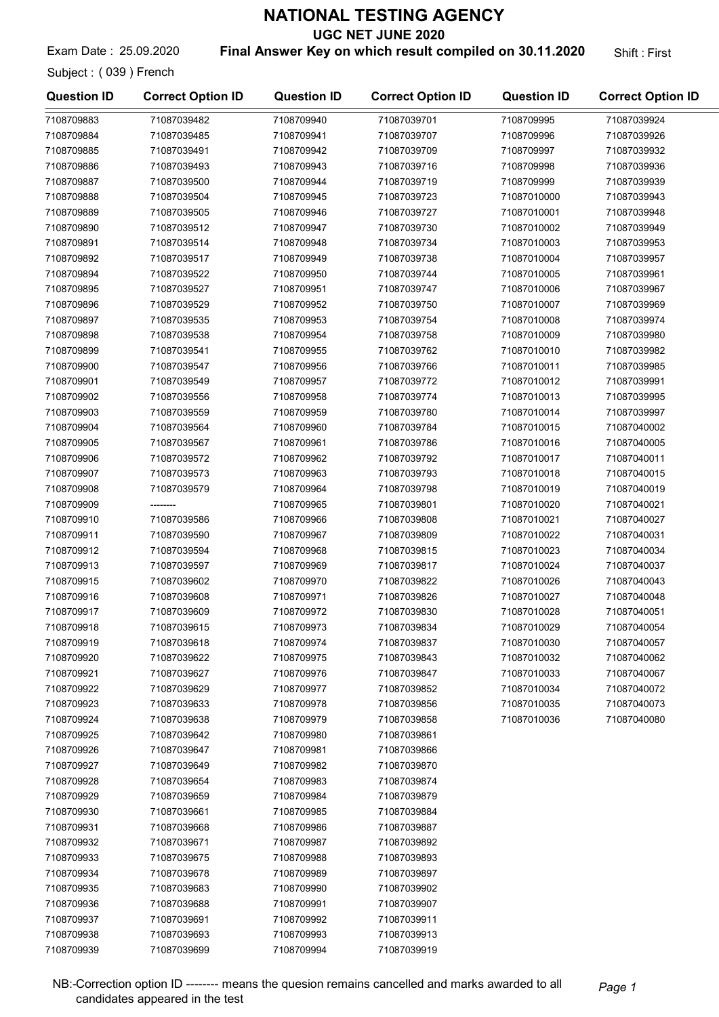UGC NET JUNE 2020

Exam Date: 25.09.2020 **Final Answer Key on which result compiled on 30.11.2020** Shift: First

Subject : ( 039 ) French

7108709939 71087039699

| <b>Question ID</b>       | <b>Correct Option ID</b>   | <b>Question ID</b> | <b>Correct Option ID</b>   | <b>Question ID</b>         | <b>Correct Option ID</b> |
|--------------------------|----------------------------|--------------------|----------------------------|----------------------------|--------------------------|
| 7108709883               | 71087039482                | 7108709940         | 71087039701                | 7108709995                 | 71087039924              |
| 7108709884               | 71087039485                | 7108709941         | 71087039707                | 7108709996                 | 71087039926              |
| 7108709885               | 71087039491                | 7108709942         | 71087039709                | 7108709997                 | 71087039932              |
| 7108709886               | 71087039493                | 7108709943         | 71087039716                | 7108709998                 | 71087039936              |
| 7108709887               | 71087039500                | 7108709944         | 71087039719                | 7108709999                 | 71087039939              |
| 7108709888               | 71087039504                | 7108709945         | 71087039723                | 71087010000                | 71087039943              |
| 7108709889               | 71087039505                | 7108709946         | 71087039727                | 71087010001                | 71087039948              |
| 7108709890               | 71087039512                | 7108709947         | 71087039730                | 71087010002                | 71087039949              |
| 7108709891               | 71087039514                | 7108709948         | 71087039734                | 71087010003                | 71087039953              |
| 7108709892               | 71087039517                | 7108709949         | 71087039738                | 71087010004                | 71087039957              |
| 7108709894               | 71087039522                | 7108709950         | 71087039744                | 71087010005                | 71087039961              |
| 7108709895               | 71087039527                | 7108709951         | 71087039747                | 71087010006                | 71087039967              |
| 7108709896               | 71087039529                | 7108709952         | 71087039750                | 71087010007                | 71087039969              |
| 7108709897               | 71087039535                | 7108709953         | 71087039754                | 71087010008                | 71087039974              |
| 7108709898               | 71087039538                | 7108709954         | 71087039758                | 71087010009                | 71087039980              |
| 7108709899               | 71087039541                | 7108709955         | 71087039762                | 71087010010                | 71087039982              |
| 7108709900               | 71087039547                | 7108709956         | 71087039766                | 71087010011                | 71087039985              |
| 7108709901               | 71087039549                | 7108709957         | 71087039772                | 71087010012                | 71087039991              |
| 7108709902               | 71087039556                | 7108709958         | 71087039774                | 71087010013                | 71087039995              |
| 7108709903               | 71087039559                | 7108709959         | 71087039780                | 71087010014                | 71087039997              |
| 7108709904               | 71087039564                | 7108709960         | 71087039784                | 71087010015                | 71087040002              |
| 7108709905               | 71087039567                | 7108709961         | 71087039786                | 71087010016                | 71087040005              |
| 7108709906               | 71087039572                | 7108709962         | 71087039792                | 71087010017                | 71087040011              |
| 7108709907               | 71087039573                | 7108709963         | 71087039793                | 71087010018                | 71087040015              |
| 7108709908               | 71087039579                | 7108709964         | 71087039798                | 71087010019                | 71087040019              |
| 7108709909               |                            | 7108709965         | 71087039801                | 71087010020                | 71087040021              |
| 7108709910               | 71087039586                | 7108709966         | 71087039808                | 71087010021                | 71087040027              |
| 7108709911               | 71087039590                | 7108709967         | 71087039809                | 71087010022                | 71087040031              |
| 7108709912               | 71087039594                | 7108709968         | 71087039815                | 71087010023                | 71087040034              |
| 7108709913               | 71087039597                | 7108709969         | 71087039817                | 71087010024                | 71087040037              |
| 7108709915               | 71087039602                | 7108709970         |                            |                            | 71087040043              |
| 7108709916               | 71087039608                | 7108709971         | 71087039822<br>71087039826 | 71087010026<br>71087010027 | 71087040048              |
| 7108709917               | 71087039609                | 7108709972         | 71087039830                | 71087010028                | 71087040051              |
|                          |                            | 7108709973         | 71087039834                | 71087010029                |                          |
| 7108709918<br>7108709919 | 71087039615<br>71087039618 | 7108709974         |                            | 71087010030                | 71087040054              |
|                          | 71087039622                |                    | 71087039837                |                            | 71087040057              |
| 7108709920               |                            | 7108709975         | 71087039843                | 71087010032                | 71087040062              |
| 7108709921               | 71087039627                | 7108709976         | 71087039847                | 71087010033                | 71087040067              |
| 7108709922               | 71087039629                | 7108709977         | 71087039852                | 71087010034                | 71087040072              |
| 7108709923               | 71087039633                | 7108709978         | 71087039856                | 71087010035                | 71087040073              |
| 7108709924               | 71087039638                | 7108709979         | 71087039858                | 71087010036                | 71087040080              |
| 7108709925               | 71087039642                | 7108709980         | 71087039861                |                            |                          |
| 7108709926               | 71087039647                | 7108709981         | 71087039866                |                            |                          |
| 7108709927               | 71087039649                | 7108709982         | 71087039870                |                            |                          |
| 7108709928               | 71087039654                | 7108709983         | 71087039874                |                            |                          |
| 7108709929               | 71087039659                | 7108709984         | 71087039879                |                            |                          |
| 7108709930               | 71087039661                | 7108709985         | 71087039884                |                            |                          |
| 7108709931               | 71087039668                | 7108709986         | 71087039887                |                            |                          |
| 7108709932               | 71087039671                | 7108709987         | 71087039892                |                            |                          |
| 7108709933               | 71087039675                | 7108709988         | 71087039893                |                            |                          |
| 7108709934               | 71087039678                | 7108709989         | 71087039897                |                            |                          |
| 7108709935               | 71087039683                | 7108709990         | 71087039902                |                            |                          |
| 7108709936               | 71087039688                | 7108709991         | 71087039907                |                            |                          |
| 7108709937               | 71087039691                | 7108709992         | 71087039911                |                            |                          |
| 7108709938               | 71087039693                | 7108709993         | 71087039913                |                            |                          |

7108709994 71087039919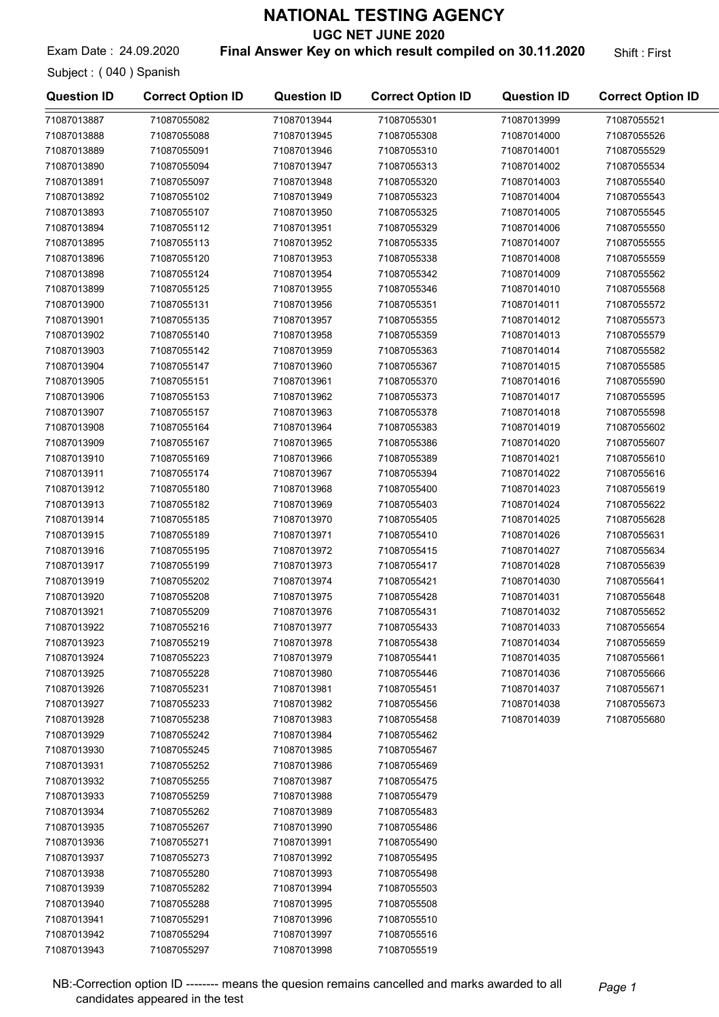UGC NET JUNE 2020

Exam Date: 24.09.2020 **Final Answer Key on which result compiled on 30.11.2020** Shift: First

Subject : ( 040 ) Spanish

| <b>Question ID</b> | <b>Correct Option ID</b> | <b>Question ID</b> | <b>Correct Option ID</b> | <b>Question ID</b> | <b>Correct Option ID</b> |
|--------------------|--------------------------|--------------------|--------------------------|--------------------|--------------------------|
| 71087013887        | 71087055082              | 71087013944        | 71087055301              | 71087013999        | 71087055521              |
| 71087013888        | 71087055088              | 71087013945        | 71087055308              | 71087014000        | 71087055526              |
| 71087013889        | 71087055091              | 71087013946        | 71087055310              | 71087014001        | 71087055529              |
| 71087013890        | 71087055094              | 71087013947        | 71087055313              | 71087014002        | 71087055534              |
| 71087013891        | 71087055097              | 71087013948        | 71087055320              | 71087014003        | 71087055540              |
| 71087013892        | 71087055102              | 71087013949        | 71087055323              | 71087014004        | 71087055543              |
| 71087013893        | 71087055107              | 71087013950        | 71087055325              | 71087014005        | 71087055545              |
| 71087013894        | 71087055112              | 71087013951        | 71087055329              | 71087014006        | 71087055550              |
| 71087013895        | 71087055113              | 71087013952        | 71087055335              | 71087014007        | 71087055555              |
| 71087013896        | 71087055120              | 71087013953        | 71087055338              | 71087014008        | 71087055559              |
| 71087013898        | 71087055124              | 71087013954        | 71087055342              | 71087014009        | 71087055562              |
| 71087013899        | 71087055125              | 71087013955        | 71087055346              | 71087014010        | 71087055568              |
| 71087013900        | 71087055131              | 71087013956        | 71087055351              | 71087014011        | 71087055572              |
| 71087013901        | 71087055135              | 71087013957        | 71087055355              | 71087014012        | 71087055573              |
| 71087013902        | 71087055140              | 71087013958        | 71087055359              | 71087014013        | 71087055579              |
| 71087013903        | 71087055142              | 71087013959        | 71087055363              | 71087014014        | 71087055582              |
| 71087013904        | 71087055147              | 71087013960        | 71087055367              | 71087014015        | 71087055585              |
| 71087013905        | 71087055151              | 71087013961        | 71087055370              | 71087014016        | 71087055590              |
|                    |                          |                    | 71087055373              |                    |                          |
| 71087013906        | 71087055153              | 71087013962        |                          | 71087014017        | 71087055595              |
| 71087013907        | 71087055157              | 71087013963        | 71087055378              | 71087014018        | 71087055598              |
| 71087013908        | 71087055164              | 71087013964        | 71087055383              | 71087014019        | 71087055602              |
| 71087013909        | 71087055167              | 71087013965        | 71087055386              | 71087014020        | 71087055607              |
| 71087013910        | 71087055169              | 71087013966        | 71087055389              | 71087014021        | 71087055610              |
| 71087013911        | 71087055174              | 71087013967        | 71087055394              | 71087014022        | 71087055616              |
| 71087013912        | 71087055180              | 71087013968        | 71087055400              | 71087014023        | 71087055619              |
| 71087013913        | 71087055182              | 71087013969        | 71087055403              | 71087014024        | 71087055622              |
| 71087013914        | 71087055185              | 71087013970        | 71087055405              | 71087014025        | 71087055628              |
| 71087013915        | 71087055189              | 71087013971        | 71087055410              | 71087014026        | 71087055631              |
| 71087013916        | 71087055195              | 71087013972        | 71087055415              | 71087014027        | 71087055634              |
| 71087013917        | 71087055199              | 71087013973        | 71087055417              | 71087014028        | 71087055639              |
| 71087013919        | 71087055202              | 71087013974        | 71087055421              | 71087014030        | 71087055641              |
| 71087013920        | 71087055208              | 71087013975        | 71087055428              | 71087014031        | 71087055648              |
| 71087013921        | 71087055209              | 71087013976        | 71087055431              | 71087014032        | 71087055652              |
| 71087013922        | 71087055216              | 71087013977        | 71087055433              | 71087014033        | 71087055654              |
| 71087013923        | 71087055219              | 71087013978        | 71087055438              | 71087014034        | 71087055659              |
| 71087013924        | 71087055223              | 71087013979        | 71087055441              | 71087014035        | 71087055661              |
| 71087013925        | 71087055228              | 71087013980        | 71087055446              | 71087014036        | 71087055666              |
| 71087013926        | 71087055231              | 71087013981        | 71087055451              | 71087014037        | 71087055671              |
| 71087013927        | 71087055233              | 71087013982        | 71087055456              | 71087014038        | 71087055673              |
| 71087013928        | 71087055238              | 71087013983        | 71087055458              | 71087014039        | 71087055680              |
| 71087013929        | 71087055242              | 71087013984        | 71087055462              |                    |                          |
| 71087013930        | 71087055245              | 71087013985        | 71087055467              |                    |                          |
| 71087013931        | 71087055252              | 71087013986        | 71087055469              |                    |                          |
| 71087013932        | 71087055255              | 71087013987        | 71087055475              |                    |                          |
| 71087013933        | 71087055259              | 71087013988        | 71087055479              |                    |                          |
| 71087013934        | 71087055262              | 71087013989        | 71087055483              |                    |                          |
| 71087013935        | 71087055267              | 71087013990        | 71087055486              |                    |                          |
| 71087013936        | 71087055271              | 71087013991        | 71087055490              |                    |                          |
| 71087013937        | 71087055273              | 71087013992        | 71087055495              |                    |                          |
| 71087013938        | 71087055280              | 71087013993        | 71087055498              |                    |                          |
| 71087013939        | 71087055282              | 71087013994        | 71087055503              |                    |                          |
| 71087013940        | 71087055288              | 71087013995        | 71087055508              |                    |                          |
| 71087013941        | 71087055291              | 71087013996        | 71087055510              |                    |                          |
| 71087013942        | 71087055294              | 71087013997        | 71087055516              |                    |                          |
| 71087013943        | 71087055297              | 71087013998        | 71087055519              |                    |                          |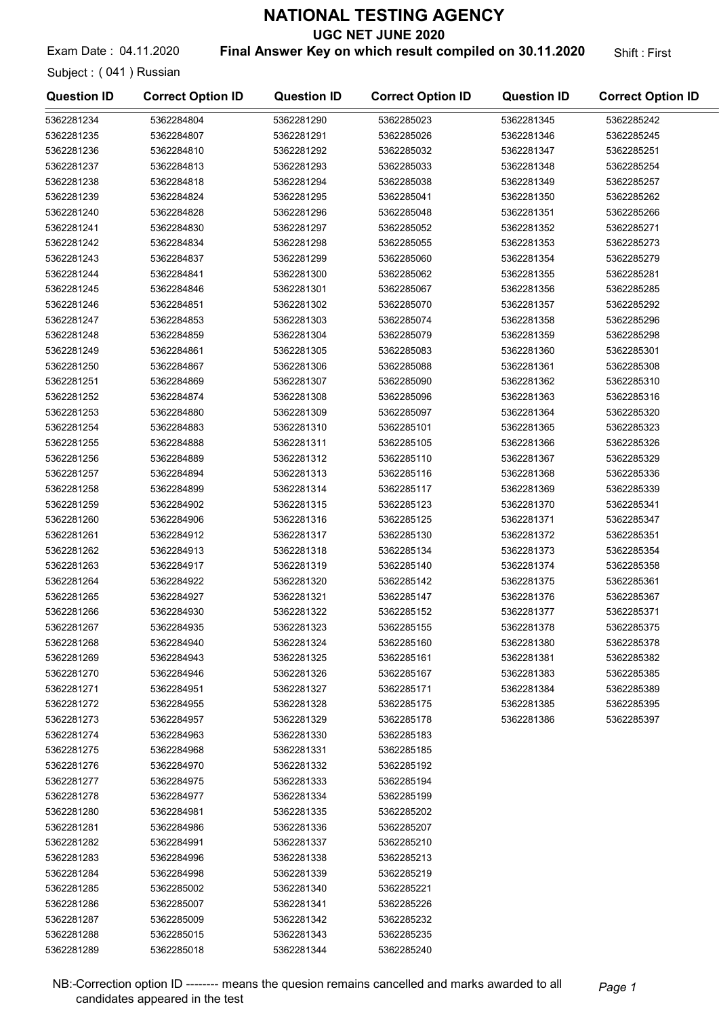UGC NET JUNE 2020

Exam Date: 04.11.2020 **Final Answer Key on which result compiled on 30.11.2020** Shift: First

Subject : ( 041 ) Russian

| <b>Question ID</b> | <b>Correct Option ID</b> | <b>Question ID</b> | <b>Correct Option ID</b> | <b>Question ID</b> | <b>Correct Option ID</b> |
|--------------------|--------------------------|--------------------|--------------------------|--------------------|--------------------------|
| 5362281234         | 5362284804               | 5362281290         | 5362285023               | 5362281345         | 5362285242               |
| 5362281235         | 5362284807               | 5362281291         | 5362285026               | 5362281346         | 5362285245               |
| 5362281236         | 5362284810               | 5362281292         | 5362285032               | 5362281347         | 5362285251               |
| 5362281237         | 5362284813               | 5362281293         | 5362285033               | 5362281348         | 5362285254               |
| 5362281238         | 5362284818               | 5362281294         | 5362285038               | 5362281349         | 5362285257               |
| 5362281239         | 5362284824               | 5362281295         | 5362285041               | 5362281350         | 5362285262               |
| 5362281240         | 5362284828               | 5362281296         | 5362285048               | 5362281351         | 5362285266               |
| 5362281241         | 5362284830               | 5362281297         | 5362285052               | 5362281352         | 5362285271               |
| 5362281242         | 5362284834               | 5362281298         | 5362285055               | 5362281353         | 5362285273               |
| 5362281243         | 5362284837               | 5362281299         | 5362285060               | 5362281354         | 5362285279               |
| 5362281244         | 5362284841               | 5362281300         | 5362285062               | 5362281355         | 5362285281               |
| 5362281245         | 5362284846               | 5362281301         | 5362285067               | 5362281356         | 5362285285               |
| 5362281246         | 5362284851               | 5362281302         | 5362285070               | 5362281357         | 5362285292               |
| 5362281247         | 5362284853               | 5362281303         | 5362285074               | 5362281358         | 5362285296               |
| 5362281248         | 5362284859               | 5362281304         | 5362285079               | 5362281359         | 5362285298               |
| 5362281249         | 5362284861               | 5362281305         | 5362285083               | 5362281360         | 5362285301               |
| 5362281250         | 5362284867               | 5362281306         | 5362285088               | 5362281361         | 5362285308               |
| 5362281251         | 5362284869               | 5362281307         | 5362285090               | 5362281362         | 5362285310               |
| 5362281252         | 5362284874               | 5362281308         | 5362285096               | 5362281363         | 5362285316               |
| 5362281253         | 5362284880               | 5362281309         | 5362285097               | 5362281364         | 5362285320               |
| 5362281254         | 5362284883               | 5362281310         | 5362285101               | 5362281365         | 5362285323               |
| 5362281255         | 5362284888               | 5362281311         | 5362285105               | 5362281366         | 5362285326               |
| 5362281256         | 5362284889               | 5362281312         | 5362285110               | 5362281367         | 5362285329               |
| 5362281257         | 5362284894               | 5362281313         | 5362285116               | 5362281368         | 5362285336               |
| 5362281258         | 5362284899               | 5362281314         | 5362285117               | 5362281369         | 5362285339               |
| 5362281259         | 5362284902               | 5362281315         | 5362285123               | 5362281370         | 5362285341               |
| 5362281260         | 5362284906               | 5362281316         | 5362285125               | 5362281371         | 5362285347               |
| 5362281261         | 5362284912               | 5362281317         | 5362285130               | 5362281372         | 5362285351               |
| 5362281262         | 5362284913               | 5362281318         | 5362285134               | 5362281373         | 5362285354               |
| 5362281263         | 5362284917               | 5362281319         | 5362285140               | 5362281374         | 5362285358               |
| 5362281264         | 5362284922               | 5362281320         | 5362285142               | 5362281375         | 5362285361               |
| 5362281265         | 5362284927               | 5362281321         | 5362285147               | 5362281376         | 5362285367               |
| 5362281266         | 5362284930               | 5362281322         | 5362285152               | 5362281377         | 5362285371               |
| 5362281267         | 5362284935               | 5362281323         | 5362285155               | 5362281378         | 5362285375               |
| 5362281268         | 5362284940               | 5362281324         | 5362285160               | 5362281380         | 5362285378               |
| 5362281269         | 5362284943               | 5362281325         | 5362285161               | 5362281381         | 5362285382               |
| 5362281270         | 5362284946               | 5362281326         | 5362285167               | 5362281383         | 5362285385               |
| 5362281271         | 5362284951               | 5362281327         | 5362285171               | 5362281384         | 5362285389               |
| 5362281272         | 5362284955               | 5362281328         | 5362285175               | 5362281385         | 5362285395               |
| 5362281273         | 5362284957               | 5362281329         | 5362285178               | 5362281386         | 5362285397               |
| 5362281274         | 5362284963               | 5362281330         | 5362285183               |                    |                          |
| 5362281275         | 5362284968               | 5362281331         | 5362285185               |                    |                          |
| 5362281276         | 5362284970               | 5362281332         | 5362285192               |                    |                          |
| 5362281277         | 5362284975               | 5362281333         | 5362285194               |                    |                          |
| 5362281278         | 5362284977               | 5362281334         | 5362285199               |                    |                          |
| 5362281280         | 5362284981               | 5362281335         | 5362285202               |                    |                          |
| 5362281281         | 5362284986               | 5362281336         | 5362285207               |                    |                          |
| 5362281282         | 5362284991               | 5362281337         | 5362285210               |                    |                          |
| 5362281283         | 5362284996               | 5362281338         | 5362285213               |                    |                          |
| 5362281284         | 5362284998               | 5362281339         | 5362285219               |                    |                          |
| 5362281285         | 5362285002               | 5362281340         | 5362285221               |                    |                          |
| 5362281286         | 5362285007               | 5362281341         | 5362285226               |                    |                          |
| 5362281287         | 5362285009               | 5362281342         | 5362285232               |                    |                          |
| 5362281288         | 5362285015               | 5362281343         | 5362285235               |                    |                          |
| 5362281289         | 5362285018               | 5362281344         | 5362285240               |                    |                          |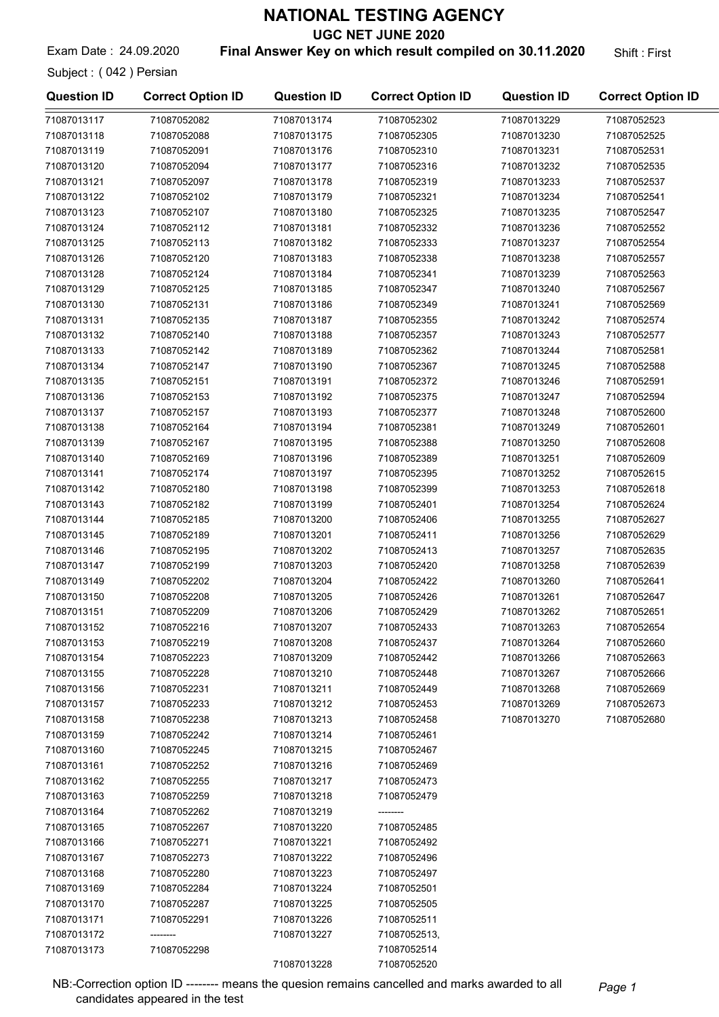UGC NET JUNE 2020

Exam Date: 24.09.2020 **Final Answer Key on which result compiled on 30.11.2020** Shift: First

Subject : ( 042 ) Persian

| <b>Question ID</b> | <b>Correct Option ID</b> | <b>Question ID</b> | <b>Correct Option ID</b>    | <b>Question ID</b> | <b>Correct Option ID</b> |
|--------------------|--------------------------|--------------------|-----------------------------|--------------------|--------------------------|
| 71087013117        | 71087052082              | 71087013174        | 71087052302                 | 71087013229        | 71087052523              |
| 71087013118        | 71087052088              | 71087013175        | 71087052305                 | 71087013230        | 71087052525              |
| 71087013119        | 71087052091              | 71087013176        | 71087052310                 | 71087013231        | 71087052531              |
| 71087013120        | 71087052094              | 71087013177        | 71087052316                 | 71087013232        | 71087052535              |
| 71087013121        | 71087052097              | 71087013178        | 71087052319                 | 71087013233        | 71087052537              |
| 71087013122        | 71087052102              | 71087013179        | 71087052321                 | 71087013234        | 71087052541              |
| 71087013123        | 71087052107              | 71087013180        | 71087052325                 | 71087013235        | 71087052547              |
| 71087013124        | 71087052112              | 71087013181        | 71087052332                 | 71087013236        | 71087052552              |
| 71087013125        | 71087052113              | 71087013182        | 71087052333                 | 71087013237        | 71087052554              |
| 71087013126        | 71087052120              | 71087013183        | 71087052338                 | 71087013238        | 71087052557              |
| 71087013128        | 71087052124              | 71087013184        | 71087052341                 | 71087013239        | 71087052563              |
| 71087013129        | 71087052125              | 71087013185        | 71087052347                 | 71087013240        | 71087052567              |
| 71087013130        | 71087052131              | 71087013186        | 71087052349                 | 71087013241        | 71087052569              |
| 71087013131        | 71087052135              | 71087013187        | 71087052355                 | 71087013242        | 71087052574              |
| 71087013132        | 71087052140              | 71087013188        | 71087052357                 | 71087013243        | 71087052577              |
| 71087013133        | 71087052142              | 71087013189        | 71087052362                 | 71087013244        | 71087052581              |
| 71087013134        | 71087052147              | 71087013190        | 71087052367                 | 71087013245        | 71087052588              |
| 71087013135        | 71087052151              | 71087013191        | 71087052372                 | 71087013246        | 71087052591              |
| 71087013136        | 71087052153              | 71087013192        | 71087052375                 | 71087013247        | 71087052594              |
| 71087013137        | 71087052157              | 71087013193        | 71087052377                 | 71087013248        | 71087052600              |
| 71087013138        | 71087052164              | 71087013194        | 71087052381                 | 71087013249        | 71087052601              |
| 71087013139        | 71087052167              | 71087013195        | 71087052388                 | 71087013250        | 71087052608              |
| 71087013140        | 71087052169              | 71087013196        | 71087052389                 | 71087013251        | 71087052609              |
| 71087013141        | 71087052174              | 71087013197        | 71087052395                 | 71087013252        | 71087052615              |
| 71087013142        | 71087052180              | 71087013198        | 71087052399                 | 71087013253        | 71087052618              |
| 71087013143        | 71087052182              | 71087013199        | 71087052401                 | 71087013254        | 71087052624              |
| 71087013144        | 71087052185              | 71087013200        | 71087052406                 | 71087013255        | 71087052627              |
| 71087013145        | 71087052189              | 71087013201        | 71087052411                 | 71087013256        | 71087052629              |
| 71087013146        | 71087052195              | 71087013202        | 71087052413                 | 71087013257        | 71087052635              |
| 71087013147        | 71087052199              | 71087013203        | 71087052420                 | 71087013258        | 71087052639              |
| 71087013149        | 71087052202              | 71087013204        | 71087052422                 | 71087013260        | 71087052641              |
| 71087013150        | 71087052208              | 71087013205        | 71087052426                 | 71087013261        | 71087052647              |
| 71087013151        | 71087052209              | 71087013206        | 71087052429                 | 71087013262        | 71087052651              |
| 71087013152        | 71087052216              | 71087013207        | 71087052433                 | 71087013263        | 71087052654              |
| 71087013153        | 71087052219              | 71087013208        | 71087052437                 | 71087013264        | 71087052660              |
| 71087013154        | 71087052223              | 71087013209        | 71087052442                 | 71087013266        | 71087052663              |
| 71087013155        | 71087052228              | 71087013210        | 71087052448                 | 71087013267        | 71087052666              |
| 71087013156        | 71087052231              | 71087013211        | 71087052449                 | 71087013268        | 71087052669              |
| 71087013157        | 71087052233              | 71087013212        | 71087052453                 | 71087013269        | 71087052673              |
| 71087013158        | 71087052238              | 71087013213        | 71087052458                 | 71087013270        | 71087052680              |
| 71087013159        | 71087052242              | 71087013214        | 71087052461                 |                    |                          |
| 71087013160        | 71087052245              | 71087013215        | 71087052467                 |                    |                          |
| 71087013161        | 71087052252              | 71087013216        | 71087052469                 |                    |                          |
| 71087013162        | 71087052255              | 71087013217        | 71087052473                 |                    |                          |
| 71087013163        | 71087052259              | 71087013218        | 71087052479                 |                    |                          |
| 71087013164        | 71087052262              | 71087013219        |                             |                    |                          |
| 71087013165        | 71087052267              | 71087013220        | 71087052485                 |                    |                          |
| 71087013166        | 71087052271              | 71087013221        | 71087052492                 |                    |                          |
| 71087013167        | 71087052273              | 71087013222        | 71087052496                 |                    |                          |
| 71087013168        | 71087052280              | 71087013223        | 71087052497                 |                    |                          |
| 71087013169        | 71087052284              | 71087013224        | 71087052501                 |                    |                          |
| 71087013170        | 71087052287              | 71087013225        | 71087052505                 |                    |                          |
| 71087013171        | 71087052291              | 71087013226        | 71087052511                 |                    |                          |
| 71087013172        |                          |                    |                             |                    |                          |
| 71087013173        | 71087052298              | 71087013227        | 71087052513,<br>71087052514 |                    |                          |
|                    |                          | 71087013228        | 71087052520                 |                    |                          |
|                    |                          |                    |                             |                    |                          |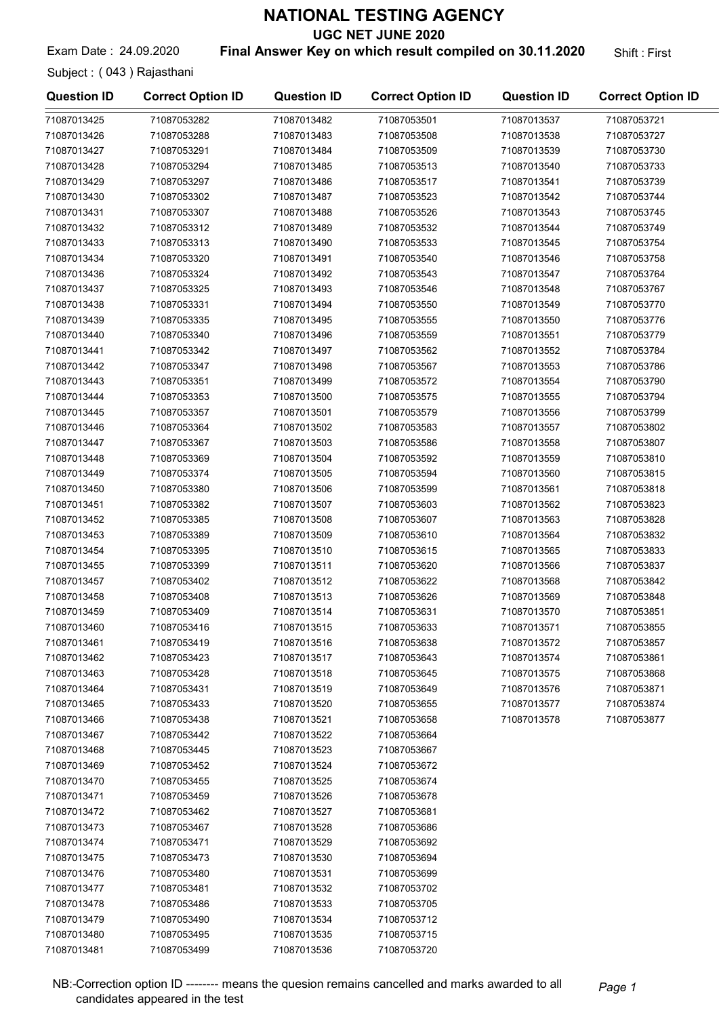UGC NET JUNE 2020

Exam Date: 24.09.2020 **Final Answer Key on which result compiled on 30.11.2020** Shift: First

Subject : ( 043 ) Rajasthani

| <b>Question ID</b> | <b>Correct Option ID</b> | <b>Question ID</b> | <b>Correct Option ID</b> | <b>Question ID</b>         | <b>Correct Option ID</b>   |
|--------------------|--------------------------|--------------------|--------------------------|----------------------------|----------------------------|
| 71087013425        | 71087053282              | 71087013482        | 71087053501              | 71087013537                | 71087053721                |
| 71087013426        | 71087053288              | 71087013483        | 71087053508              | 71087013538                | 71087053727                |
| 71087013427        | 71087053291              | 71087013484        | 71087053509              | 71087013539                | 71087053730                |
| 71087013428        | 71087053294              | 71087013485        | 71087053513              | 71087013540                | 71087053733                |
| 71087013429        | 71087053297              | 71087013486        | 71087053517              | 71087013541                | 71087053739                |
| 71087013430        | 71087053302              | 71087013487        | 71087053523              | 71087013542                | 71087053744                |
| 71087013431        | 71087053307              | 71087013488        | 71087053526              | 71087013543                | 71087053745                |
| 71087013432        | 71087053312              | 71087013489        | 71087053532              | 71087013544                | 71087053749                |
| 71087013433        | 71087053313              | 71087013490        | 71087053533              | 71087013545                | 71087053754                |
| 71087013434        | 71087053320              | 71087013491        | 71087053540              | 71087013546                | 71087053758                |
| 71087013436        | 71087053324              | 71087013492        | 71087053543              | 71087013547                | 71087053764                |
| 71087013437        | 71087053325              | 71087013493        | 71087053546              | 71087013548                | 71087053767                |
| 71087013438        | 71087053331              | 71087013494        | 71087053550              | 71087013549                | 71087053770                |
| 71087013439        | 71087053335              | 71087013495        | 71087053555              | 71087013550                | 71087053776                |
| 71087013440        | 71087053340              | 71087013496        | 71087053559              | 71087013551                | 71087053779                |
| 71087013441        | 71087053342              | 71087013497        | 71087053562              | 71087013552                | 71087053784                |
| 71087013442        | 71087053347              | 71087013498        | 71087053567              | 71087013553                | 71087053786                |
| 71087013443        | 71087053351              | 71087013499        | 71087053572              | 71087013554                | 71087053790                |
| 71087013444        | 71087053353              | 71087013500        | 71087053575              | 71087013555                | 71087053794                |
| 71087013445        | 71087053357              | 71087013501        | 71087053579              | 71087013556                | 71087053799                |
| 71087013446        | 71087053364              | 71087013502        | 71087053583              | 71087013557                | 71087053802                |
| 71087013447        | 71087053367              | 71087013503        | 71087053586              | 71087013558                | 71087053807                |
| 71087013448        | 71087053369              | 71087013504        | 71087053592              | 71087013559                | 71087053810                |
| 71087013449        | 71087053374              | 71087013505        | 71087053594              | 71087013560                | 71087053815                |
| 71087013450        | 71087053380              | 71087013506        | 71087053599              | 71087013561                | 71087053818                |
| 71087013451        | 71087053382              | 71087013507        | 71087053603              | 71087013562                | 71087053823                |
| 71087013452        | 71087053385              | 71087013508        | 71087053607              | 71087013563                | 71087053828                |
| 71087013453        | 71087053389              | 71087013509        | 71087053610              | 71087013564                | 71087053832                |
| 71087013454        | 71087053395              | 71087013510        | 71087053615              | 71087013565                | 71087053833                |
| 71087013455        | 71087053399              | 71087013511        | 71087053620              | 71087013566                | 71087053837                |
| 71087013457        | 71087053402              | 71087013512        | 71087053622              | 71087013568                | 71087053842                |
| 71087013458        | 71087053408              | 71087013513        | 71087053626              | 71087013569                | 71087053848                |
| 71087013459        | 71087053409              | 71087013514        | 71087053631              | 71087013570                | 71087053851                |
| 71087013460        | 71087053416              | 71087013515        | 71087053633              |                            |                            |
| 71087013461        |                          |                    |                          | 71087013571<br>71087013572 | 71087053855<br>71087053857 |
|                    | 71087053419              | 71087013516        | 71087053638              | 71087013574                |                            |
| 71087013462        | 71087053423              | 71087013517        | 71087053643              |                            | 71087053861                |
| 71087013463        | 71087053428              | 71087013518        | 71087053645              | 71087013575                | 71087053868                |
| 71087013464        | 71087053431              | 71087013519        | 71087053649              | 71087013576                | 71087053871                |
| 71087013465        | 71087053433              | 71087013520        | 71087053655              | 71087013577                | 71087053874                |
| 71087013466        | 71087053438              | 71087013521        | 71087053658              | 71087013578                | 71087053877                |
| 71087013467        | 71087053442              | 71087013522        | 71087053664              |                            |                            |
| 71087013468        | 71087053445              | 71087013523        | 71087053667              |                            |                            |
| 71087013469        | 71087053452              | 71087013524        | 71087053672              |                            |                            |
| 71087013470        | 71087053455              | 71087013525        | 71087053674              |                            |                            |
| 71087013471        | 71087053459              | 71087013526        | 71087053678              |                            |                            |
| 71087013472        | 71087053462              | 71087013527        | 71087053681              |                            |                            |
| 71087013473        | 71087053467              | 71087013528        | 71087053686              |                            |                            |
| 71087013474        | 71087053471              | 71087013529        | 71087053692              |                            |                            |
| 71087013475        | 71087053473              | 71087013530        | 71087053694              |                            |                            |
| 71087013476        | 71087053480              | 71087013531        | 71087053699              |                            |                            |
| 71087013477        | 71087053481              | 71087013532        | 71087053702              |                            |                            |
| 71087013478        | 71087053486              | 71087013533        | 71087053705              |                            |                            |
| 71087013479        | 71087053490              | 71087013534        | 71087053712              |                            |                            |
| 71087013480        | 71087053495              | 71087013535        | 71087053715              |                            |                            |
| 71087013481        | 71087053499              | 71087013536        | 71087053720              |                            |                            |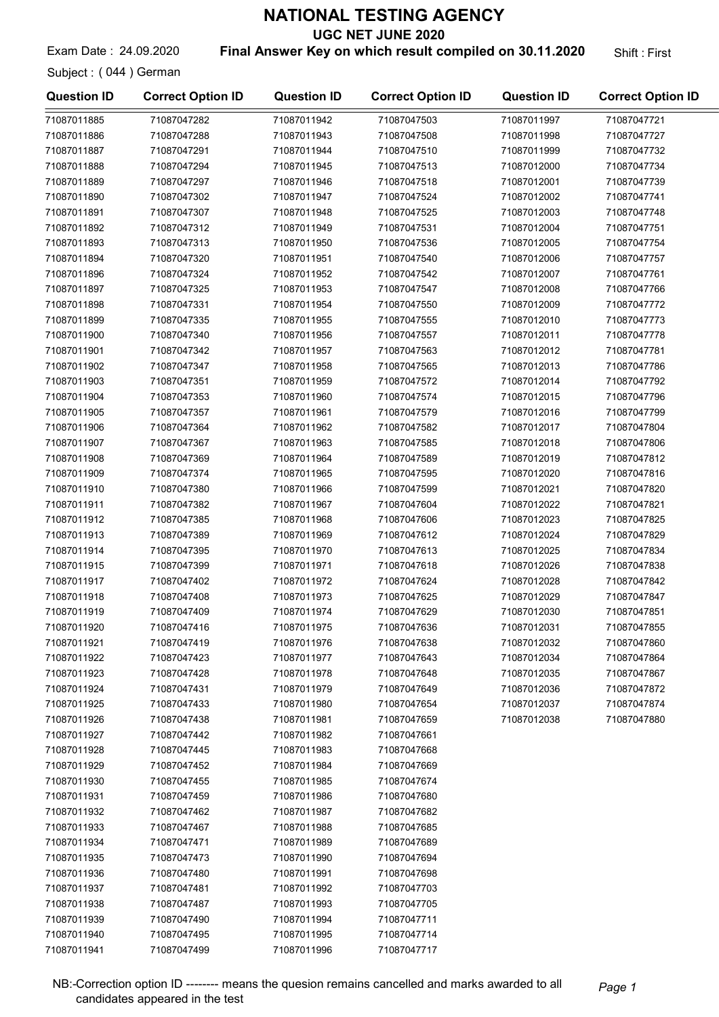UGC NET JUNE 2020

Exam Date: 24.09.2020 **Final Answer Key on which result compiled on 30.11.2020** Shift: First

Subject : ( 044 ) German

| <b>Question ID</b> | <b>Correct Option ID</b> | <b>Question ID</b> | <b>Correct Option ID</b> | <b>Question ID</b> | <b>Correct Option ID</b> |
|--------------------|--------------------------|--------------------|--------------------------|--------------------|--------------------------|
| 71087011885        | 71087047282              | 71087011942        | 71087047503              | 71087011997        | 71087047721              |
| 71087011886        | 71087047288              | 71087011943        | 71087047508              | 71087011998        | 71087047727              |
| 71087011887        | 71087047291              | 71087011944        | 71087047510              | 71087011999        | 71087047732              |
| 71087011888        | 71087047294              | 71087011945        | 71087047513              | 71087012000        | 71087047734              |
| 71087011889        | 71087047297              | 71087011946        | 71087047518              | 71087012001        | 71087047739              |
| 71087011890        | 71087047302              | 71087011947        | 71087047524              | 71087012002        | 71087047741              |
| 71087011891        | 71087047307              | 71087011948        | 71087047525              | 71087012003        | 71087047748              |
| 71087011892        | 71087047312              | 71087011949        | 71087047531              | 71087012004        | 71087047751              |
| 71087011893        | 71087047313              | 71087011950        | 71087047536              | 71087012005        | 71087047754              |
| 71087011894        | 71087047320              | 71087011951        | 71087047540              | 71087012006        | 71087047757              |
| 71087011896        | 71087047324              | 71087011952        | 71087047542              | 71087012007        | 71087047761              |
| 71087011897        | 71087047325              | 71087011953        | 71087047547              | 71087012008        | 71087047766              |
| 71087011898        | 71087047331              | 71087011954        | 71087047550              | 71087012009        | 71087047772              |
| 71087011899        | 71087047335              | 71087011955        | 71087047555              | 71087012010        | 71087047773              |
| 71087011900        | 71087047340              | 71087011956        | 71087047557              | 71087012011        | 71087047778              |
| 71087011901        | 71087047342              | 71087011957        | 71087047563              | 71087012012        | 71087047781              |
| 71087011902        | 71087047347              | 71087011958        | 71087047565              | 71087012013        | 71087047786              |
| 71087011903        | 71087047351              | 71087011959        | 71087047572              | 71087012014        | 71087047792              |
| 71087011904        | 71087047353              | 71087011960        | 71087047574              | 71087012015        | 71087047796              |
| 71087011905        | 71087047357              | 71087011961        | 71087047579              | 71087012016        | 71087047799              |
| 71087011906        | 71087047364              | 71087011962        | 71087047582              | 71087012017        | 71087047804              |
| 71087011907        | 71087047367              | 71087011963        | 71087047585              | 71087012018        | 71087047806              |
| 71087011908        | 71087047369              | 71087011964        | 71087047589              | 71087012019        | 71087047812              |
| 71087011909        | 71087047374              | 71087011965        | 71087047595              | 71087012020        | 71087047816              |
| 71087011910        | 71087047380              | 71087011966        | 71087047599              | 71087012021        | 71087047820              |
| 71087011911        | 71087047382              | 71087011967        | 71087047604              | 71087012022        | 71087047821              |
| 71087011912        | 71087047385              | 71087011968        | 71087047606              | 71087012023        | 71087047825              |
| 71087011913        | 71087047389              | 71087011969        | 71087047612              | 71087012024        | 71087047829              |
| 71087011914        | 71087047395              | 71087011970        | 71087047613              | 71087012025        | 71087047834              |
| 71087011915        | 71087047399              | 71087011971        | 71087047618              | 71087012026        | 71087047838              |
| 71087011917        | 71087047402              | 71087011972        | 71087047624              | 71087012028        | 71087047842              |
| 71087011918        | 71087047408              | 71087011973        | 71087047625              | 71087012029        | 71087047847              |
| 71087011919        | 71087047409              | 71087011974        | 71087047629              | 71087012030        | 71087047851              |
| 71087011920        | 71087047416              | 71087011975        | 71087047636              | 71087012031        | 71087047855              |
| 71087011921        | 71087047419              | 71087011976        | 71087047638              | 71087012032        | 71087047860              |
| 71087011922        | 71087047423              | 71087011977        | 71087047643              | 71087012034        | 71087047864              |
| 71087011923        | 71087047428              | 71087011978        | 71087047648              | 71087012035        | 71087047867              |
| 71087011924        | 71087047431              | 71087011979        | 71087047649              | 71087012036        | 71087047872              |
| 71087011925        | 71087047433              | 71087011980        | 71087047654              | 71087012037        | 71087047874              |
| 71087011926        | 71087047438              | 71087011981        | 71087047659              | 71087012038        | 71087047880              |
| 71087011927        | 71087047442              | 71087011982        | 71087047661              |                    |                          |
| 71087011928        | 71087047445              | 71087011983        | 71087047668              |                    |                          |
| 71087011929        | 71087047452              | 71087011984        | 71087047669              |                    |                          |
| 71087011930        | 71087047455              | 71087011985        | 71087047674              |                    |                          |
| 71087011931        | 71087047459              | 71087011986        | 71087047680              |                    |                          |
| 71087011932        | 71087047462              | 71087011987        | 71087047682              |                    |                          |
| 71087011933        | 71087047467              | 71087011988        | 71087047685              |                    |                          |
| 71087011934        | 71087047471              | 71087011989        | 71087047689              |                    |                          |
| 71087011935        | 71087047473              | 71087011990        | 71087047694              |                    |                          |
| 71087011936        | 71087047480              | 71087011991        | 71087047698              |                    |                          |
| 71087011937        | 71087047481              | 71087011992        | 71087047703              |                    |                          |
| 71087011938        | 71087047487              | 71087011993        | 71087047705              |                    |                          |
| 71087011939        | 71087047490              | 71087011994        | 71087047711              |                    |                          |
| 71087011940        | 71087047495              | 71087011995        | 71087047714              |                    |                          |
| 71087011941        | 71087047499              | 71087011996        | 71087047717              |                    |                          |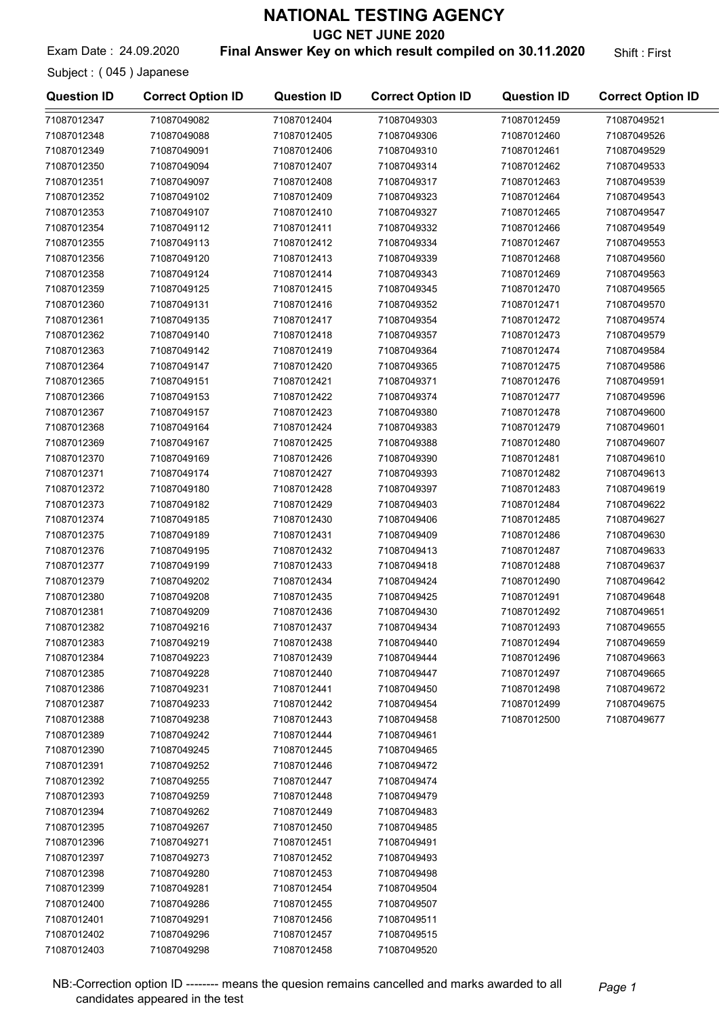UGC NET JUNE 2020

Exam Date: 24.09.2020 **Final Answer Key on which result compiled on 30.11.2020** Shift: First

Subject : ( 045 ) Japanese

| <b>Question ID</b> | <b>Correct Option ID</b> | <b>Question ID</b> | <b>Correct Option ID</b> | <b>Question ID</b> | <b>Correct Option ID</b> |
|--------------------|--------------------------|--------------------|--------------------------|--------------------|--------------------------|
| 71087012347        | 71087049082              | 71087012404        | 71087049303              | 71087012459        | 71087049521              |
| 71087012348        | 71087049088              | 71087012405        | 71087049306              | 71087012460        | 71087049526              |
| 71087012349        | 71087049091              | 71087012406        | 71087049310              | 71087012461        | 71087049529              |
| 71087012350        | 71087049094              | 71087012407        | 71087049314              | 71087012462        | 71087049533              |
| 71087012351        | 71087049097              | 71087012408        | 71087049317              | 71087012463        | 71087049539              |
| 71087012352        | 71087049102              | 71087012409        | 71087049323              | 71087012464        | 71087049543              |
| 71087012353        | 71087049107              | 71087012410        | 71087049327              | 71087012465        | 71087049547              |
| 71087012354        | 71087049112              | 71087012411        | 71087049332              | 71087012466        | 71087049549              |
| 71087012355        | 71087049113              | 71087012412        | 71087049334              | 71087012467        | 71087049553              |
| 71087012356        | 71087049120              | 71087012413        | 71087049339              | 71087012468        | 71087049560              |
| 71087012358        | 71087049124              | 71087012414        | 71087049343              | 71087012469        | 71087049563              |
| 71087012359        | 71087049125              | 71087012415        | 71087049345              | 71087012470        | 71087049565              |
| 71087012360        | 71087049131              | 71087012416        | 71087049352              | 71087012471        | 71087049570              |
| 71087012361        | 71087049135              | 71087012417        | 71087049354              | 71087012472        | 71087049574              |
| 71087012362        | 71087049140              | 71087012418        | 71087049357              | 71087012473        | 71087049579              |
| 71087012363        | 71087049142              | 71087012419        | 71087049364              | 71087012474        | 71087049584              |
| 71087012364        | 71087049147              | 71087012420        | 71087049365              | 71087012475        | 71087049586              |
| 71087012365        | 71087049151              | 71087012421        | 71087049371              | 71087012476        | 71087049591              |
| 71087012366        | 71087049153              | 71087012422        | 71087049374              | 71087012477        | 71087049596              |
| 71087012367        | 71087049157              | 71087012423        | 71087049380              | 71087012478        | 71087049600              |
| 71087012368        | 71087049164              | 71087012424        | 71087049383              | 71087012479        | 71087049601              |
| 71087012369        | 71087049167              | 71087012425        | 71087049388              | 71087012480        | 71087049607              |
| 71087012370        | 71087049169              | 71087012426        | 71087049390              | 71087012481        | 71087049610              |
| 71087012371        | 71087049174              | 71087012427        | 71087049393              | 71087012482        | 71087049613              |
| 71087012372        | 71087049180              | 71087012428        | 71087049397              | 71087012483        | 71087049619              |
| 71087012373        | 71087049182              | 71087012429        | 71087049403              | 71087012484        | 71087049622              |
| 71087012374        | 71087049185              | 71087012430        | 71087049406              | 71087012485        | 71087049627              |
| 71087012375        | 71087049189              | 71087012431        | 71087049409              | 71087012486        | 71087049630              |
| 71087012376        | 71087049195              | 71087012432        | 71087049413              | 71087012487        | 71087049633              |
| 71087012377        | 71087049199              | 71087012433        | 71087049418              | 71087012488        | 71087049637              |
| 71087012379        | 71087049202              | 71087012434        | 71087049424              | 71087012490        | 71087049642              |
| 71087012380        | 71087049208              | 71087012435        | 71087049425              | 71087012491        | 71087049648              |
| 71087012381        | 71087049209              | 71087012436        | 71087049430              | 71087012492        | 71087049651              |
| 71087012382        | 71087049216              | 71087012437        | 71087049434              | 71087012493        | 71087049655              |
| 71087012383        | 71087049219              | 71087012438        | 71087049440              | 71087012494        | 71087049659              |
| 71087012384        | 71087049223              | 71087012439        | 71087049444              | 71087012496        | 71087049663              |
| 71087012385        | 71087049228              | 71087012440        | 71087049447              | 71087012497        | 71087049665              |
| 71087012386        | 71087049231              | 71087012441        | 71087049450              | 71087012498        | 71087049672              |
| 71087012387        | 71087049233              | 71087012442        | 71087049454              | 71087012499        | 71087049675              |
| 71087012388        | 71087049238              | 71087012443        | 71087049458              | 71087012500        | 71087049677              |
| 71087012389        | 71087049242              | 71087012444        | 71087049461              |                    |                          |
| 71087012390        | 71087049245              | 71087012445        | 71087049465              |                    |                          |
| 71087012391        | 71087049252              | 71087012446        | 71087049472              |                    |                          |
| 71087012392        | 71087049255              | 71087012447        | 71087049474              |                    |                          |
| 71087012393        | 71087049259              | 71087012448        | 71087049479              |                    |                          |
| 71087012394        | 71087049262              | 71087012449        | 71087049483              |                    |                          |
| 71087012395        | 71087049267              | 71087012450        | 71087049485              |                    |                          |
| 71087012396        | 71087049271              | 71087012451        | 71087049491              |                    |                          |
| 71087012397        | 71087049273              | 71087012452        | 71087049493              |                    |                          |
| 71087012398        | 71087049280              | 71087012453        | 71087049498              |                    |                          |
| 71087012399        | 71087049281              | 71087012454        | 71087049504              |                    |                          |
| 71087012400        | 71087049286              | 71087012455        | 71087049507              |                    |                          |
| 71087012401        | 71087049291              | 71087012456        | 71087049511              |                    |                          |
| 71087012402        | 71087049296              | 71087012457        | 71087049515              |                    |                          |
| 71087012403        | 71087049298              | 71087012458        | 71087049520              |                    |                          |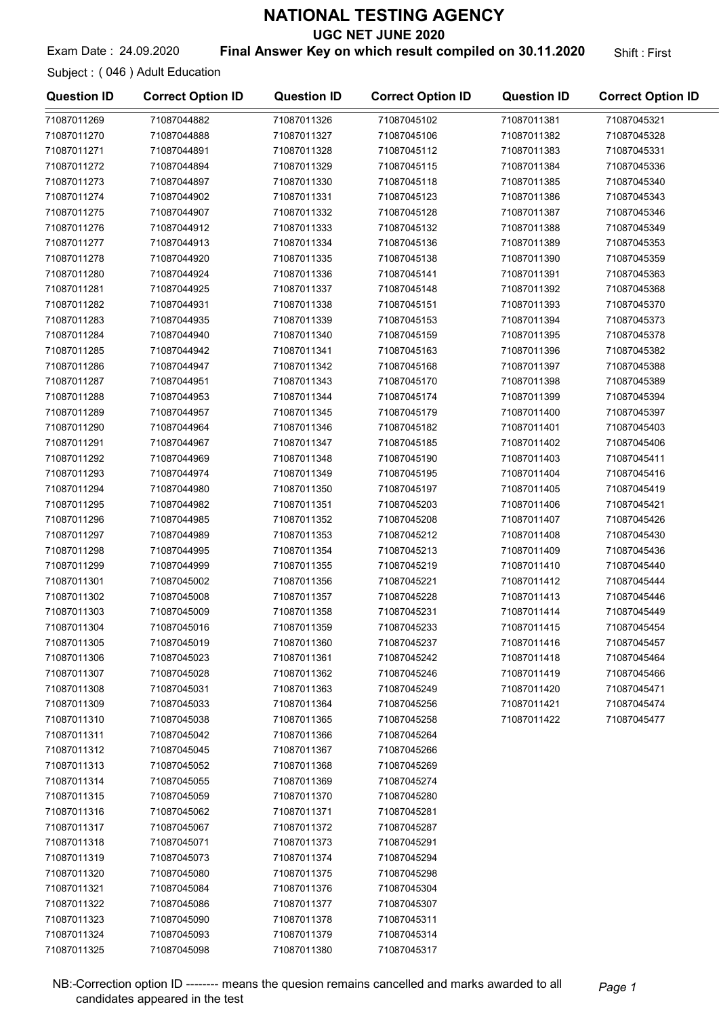UGC NET JUNE 2020

#### Exam Date: 24.09.2020 **Final Answer Key on which result compiled on 30.11.2020** Shift: First

Subject : ( 046 ) Adult Education

71087011325 71087045098

| <b>Question ID</b> | <b>Correct Option ID</b> | <b>Question ID</b> | <b>Correct Option ID</b> | <b>Question ID</b> | <b>Correct Option ID</b> |
|--------------------|--------------------------|--------------------|--------------------------|--------------------|--------------------------|
| 71087011269        | 71087044882              | 71087011326        | 71087045102              | 71087011381        | 71087045321              |
| 71087011270        | 71087044888              | 71087011327        | 71087045106              | 71087011382        | 71087045328              |
| 71087011271        | 71087044891              | 71087011328        | 71087045112              | 71087011383        | 71087045331              |
| 71087011272        | 71087044894              | 71087011329        | 71087045115              | 71087011384        | 71087045336              |
| 71087011273        | 71087044897              | 71087011330        | 71087045118              | 71087011385        | 71087045340              |
| 71087011274        | 71087044902              | 71087011331        | 71087045123              | 71087011386        | 71087045343              |
| 71087011275        | 71087044907              | 71087011332        | 71087045128              | 71087011387        | 71087045346              |
| 71087011276        | 71087044912              | 71087011333        | 71087045132              | 71087011388        | 71087045349              |
| 71087011277        | 71087044913              | 71087011334        | 71087045136              | 71087011389        | 71087045353              |
| 71087011278        | 71087044920              | 71087011335        | 71087045138              | 71087011390        | 71087045359              |
| 71087011280        | 71087044924              | 71087011336        | 71087045141              | 71087011391        | 71087045363              |
| 71087011281        | 71087044925              | 71087011337        | 71087045148              | 71087011392        | 71087045368              |
| 71087011282        | 71087044931              | 71087011338        | 71087045151              | 71087011393        | 71087045370              |
| 71087011283        | 71087044935              | 71087011339        | 71087045153              | 71087011394        | 71087045373              |
| 71087011284        | 71087044940              | 71087011340        | 71087045159              | 71087011395        | 71087045378              |
| 71087011285        | 71087044942              | 71087011341        | 71087045163              | 71087011396        | 71087045382              |
| 71087011286        | 71087044947              | 71087011342        | 71087045168              | 71087011397        | 71087045388              |
| 71087011287        | 71087044951              | 71087011343        | 71087045170              | 71087011398        | 71087045389              |
| 71087011288        | 71087044953              | 71087011344        | 71087045174              | 71087011399        | 71087045394              |
| 71087011289        | 71087044957              | 71087011345        | 71087045179              | 71087011400        | 71087045397              |
| 71087011290        | 71087044964              | 71087011346        | 71087045182              | 71087011401        | 71087045403              |
| 71087011291        | 71087044967              | 71087011347        | 71087045185              | 71087011402        | 71087045406              |
| 71087011292        | 71087044969              | 71087011348        | 71087045190              | 71087011403        | 71087045411              |
| 71087011293        | 71087044974              | 71087011349        | 71087045195              | 71087011404        | 71087045416              |
| 71087011294        | 71087044980              | 71087011350        | 71087045197              | 71087011405        | 71087045419              |
| 71087011295        | 71087044982              | 71087011351        | 71087045203              | 71087011406        | 71087045421              |
| 71087011296        | 71087044985              | 71087011352        | 71087045208              | 71087011407        | 71087045426              |
| 71087011297        | 71087044989              | 71087011353        | 71087045212              | 71087011408        | 71087045430              |
| 71087011298        | 71087044995              | 71087011354        | 71087045213              | 71087011409        | 71087045436              |
| 71087011299        | 71087044999              | 71087011355        | 71087045219              | 71087011410        | 71087045440              |
| 71087011301        | 71087045002              | 71087011356        | 71087045221              | 71087011412        | 71087045444              |
| 71087011302        | 71087045008              | 71087011357        | 71087045228              | 71087011413        | 71087045446              |
| 71087011303        | 71087045009              | 71087011358        | 71087045231              | 71087011414        | 71087045449              |
| 71087011304        | 71087045016              | 71087011359        | 71087045233              | 71087011415        | 71087045454              |
| 71087011305        | 71087045019              | 71087011360        | 71087045237              | 71087011416        | 71087045457              |
| 71087011306        | 71087045023              | 71087011361        | 71087045242              | 71087011418        | 71087045464              |
| 71087011307        | 71087045028              | 71087011362        | 71087045246              | 71087011419        | 71087045466              |
| 71087011308        | 71087045031              | 71087011363        | 71087045249              | 71087011420        | 71087045471              |
| 71087011309        | 71087045033              | 71087011364        | 71087045256              | 71087011421        | 71087045474              |
| 71087011310        | 71087045038              | 71087011365        | 71087045258              | 71087011422        | 71087045477              |
| 71087011311        | 71087045042              | 71087011366        | 71087045264              |                    |                          |
| 71087011312        | 71087045045              | 71087011367        | 71087045266              |                    |                          |
| 71087011313        | 71087045052              | 71087011368        | 71087045269              |                    |                          |
| 71087011314        | 71087045055              | 71087011369        | 71087045274              |                    |                          |
| 71087011315        | 71087045059              | 71087011370        | 71087045280              |                    |                          |
| 71087011316        | 71087045062              | 71087011371        | 71087045281              |                    |                          |
| 71087011317        | 71087045067              | 71087011372        | 71087045287              |                    |                          |
| 71087011318        | 71087045071              | 71087011373        | 71087045291              |                    |                          |
| 71087011319        | 71087045073              | 71087011374        | 71087045294              |                    |                          |
| 71087011320        | 71087045080              | 71087011375        | 71087045298              |                    |                          |
| 71087011321        | 71087045084              | 71087011376        | 71087045304              |                    |                          |
| 71087011322        | 71087045086              | 71087011377        | 71087045307              |                    |                          |
| 71087011323        | 71087045090              | 71087011378        | 71087045311              |                    |                          |
| 71087011324        | 71087045093              | 71087011379        | 71087045314              |                    |                          |

71087011380 71087045317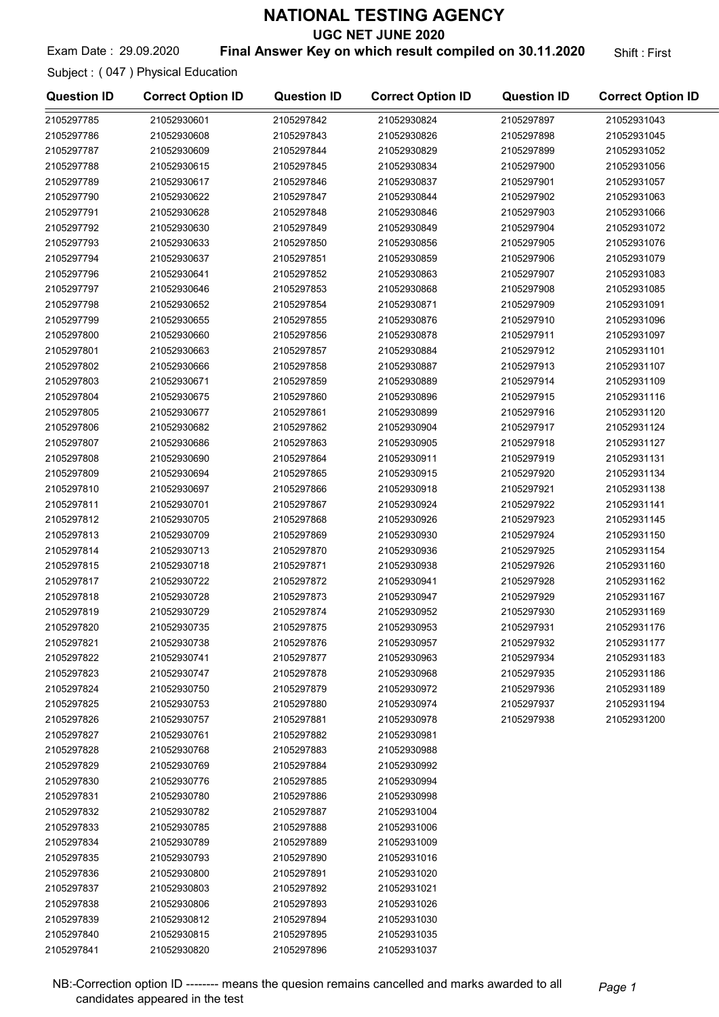UGC NET JUNE 2020

#### Exam Date: 29.09.2020 **Final Answer Key on which result compiled on 30.11.2020** Shift: First

Subject : ( 047 ) Physical Education

| <b>Question ID</b> | <b>Correct Option ID</b> | <b>Question ID</b> | <b>Correct Option ID</b> | <b>Question ID</b> | <b>Correct Option ID</b> |
|--------------------|--------------------------|--------------------|--------------------------|--------------------|--------------------------|
| 2105297785         | 21052930601              | 2105297842         | 21052930824              | 2105297897         | 21052931043              |
| 2105297786         | 21052930608              | 2105297843         | 21052930826              | 2105297898         | 21052931045              |
| 2105297787         | 21052930609              | 2105297844         | 21052930829              | 2105297899         | 21052931052              |
| 2105297788         | 21052930615              | 2105297845         | 21052930834              | 2105297900         | 21052931056              |
| 2105297789         | 21052930617              | 2105297846         | 21052930837              | 2105297901         | 21052931057              |
| 2105297790         | 21052930622              | 2105297847         | 21052930844              | 2105297902         | 21052931063              |
| 2105297791         | 21052930628              | 2105297848         | 21052930846              | 2105297903         | 21052931066              |
| 2105297792         | 21052930630              | 2105297849         | 21052930849              | 2105297904         | 21052931072              |
| 2105297793         | 21052930633              | 2105297850         | 21052930856              | 2105297905         | 21052931076              |
| 2105297794         | 21052930637              | 2105297851         | 21052930859              | 2105297906         | 21052931079              |
| 2105297796         | 21052930641              | 2105297852         | 21052930863              | 2105297907         | 21052931083              |
| 2105297797         | 21052930646              | 2105297853         | 21052930868              | 2105297908         | 21052931085              |
| 2105297798         | 21052930652              | 2105297854         | 21052930871              | 2105297909         | 21052931091              |
| 2105297799         | 21052930655              | 2105297855         | 21052930876              | 2105297910         | 21052931096              |
| 2105297800         | 21052930660              | 2105297856         | 21052930878              | 2105297911         | 21052931097              |
| 2105297801         | 21052930663              | 2105297857         | 21052930884              | 2105297912         | 21052931101              |
| 2105297802         | 21052930666              | 2105297858         | 21052930887              | 2105297913         | 21052931107              |
| 2105297803         | 21052930671              | 2105297859         | 21052930889              | 2105297914         | 21052931109              |
| 2105297804         | 21052930675              | 2105297860         | 21052930896              | 2105297915         | 21052931116              |
| 2105297805         | 21052930677              | 2105297861         | 21052930899              | 2105297916         | 21052931120              |
|                    |                          |                    | 21052930904              |                    |                          |
| 2105297806         | 21052930682              | 2105297862         |                          | 2105297917         | 21052931124              |
| 2105297807         | 21052930686              | 2105297863         | 21052930905              | 2105297918         | 21052931127              |
| 2105297808         | 21052930690              | 2105297864         | 21052930911              | 2105297919         | 21052931131              |
| 2105297809         | 21052930694              | 2105297865         | 21052930915              | 2105297920         | 21052931134              |
| 2105297810         | 21052930697              | 2105297866         | 21052930918              | 2105297921         | 21052931138              |
| 2105297811         | 21052930701              | 2105297867         | 21052930924              | 2105297922         | 21052931141              |
| 2105297812         | 21052930705              | 2105297868         | 21052930926              | 2105297923         | 21052931145              |
| 2105297813         | 21052930709              | 2105297869         | 21052930930              | 2105297924         | 21052931150              |
| 2105297814         | 21052930713              | 2105297870         | 21052930936              | 2105297925         | 21052931154              |
| 2105297815         | 21052930718              | 2105297871         | 21052930938              | 2105297926         | 21052931160              |
| 2105297817         | 21052930722              | 2105297872         | 21052930941              | 2105297928         | 21052931162              |
| 2105297818         | 21052930728              | 2105297873         | 21052930947              | 2105297929         | 21052931167              |
| 2105297819         | 21052930729              | 2105297874         | 21052930952              | 2105297930         | 21052931169              |
| 2105297820         | 21052930735              | 2105297875         | 21052930953              | 2105297931         | 21052931176              |
| 2105297821         | 21052930738              | 2105297876         | 21052930957              | 2105297932         | 21052931177              |
| 2105297822         | 21052930741              | 2105297877         | 21052930963              | 2105297934         | 21052931183              |
| 2105297823         | 21052930747              | 2105297878         | 21052930968              | 2105297935         | 21052931186              |
| 2105297824         | 21052930750              | 2105297879         | 21052930972              | 2105297936         | 21052931189              |
| 2105297825         | 21052930753              | 2105297880         | 21052930974              | 2105297937         | 21052931194              |
| 2105297826         | 21052930757              | 2105297881         | 21052930978              | 2105297938         | 21052931200              |
| 2105297827         | 21052930761              | 2105297882         | 21052930981              |                    |                          |
| 2105297828         | 21052930768              | 2105297883         | 21052930988              |                    |                          |
| 2105297829         | 21052930769              | 2105297884         | 21052930992              |                    |                          |
| 2105297830         | 21052930776              | 2105297885         | 21052930994              |                    |                          |
| 2105297831         | 21052930780              | 2105297886         | 21052930998              |                    |                          |
| 2105297832         | 21052930782              | 2105297887         | 21052931004              |                    |                          |
| 2105297833         | 21052930785              | 2105297888         | 21052931006              |                    |                          |
| 2105297834         | 21052930789              | 2105297889         | 21052931009              |                    |                          |
| 2105297835         | 21052930793              | 2105297890         | 21052931016              |                    |                          |
| 2105297836         | 21052930800              | 2105297891         | 21052931020              |                    |                          |
| 2105297837         | 21052930803              | 2105297892         | 21052931021              |                    |                          |
| 2105297838         | 21052930806              | 2105297893         | 21052931026              |                    |                          |
| 2105297839         | 21052930812              | 2105297894         | 21052931030              |                    |                          |
| 2105297840         | 21052930815              | 2105297895         | 21052931035              |                    |                          |
| 2105297841         | 21052930820              | 2105297896         | 21052931037              |                    |                          |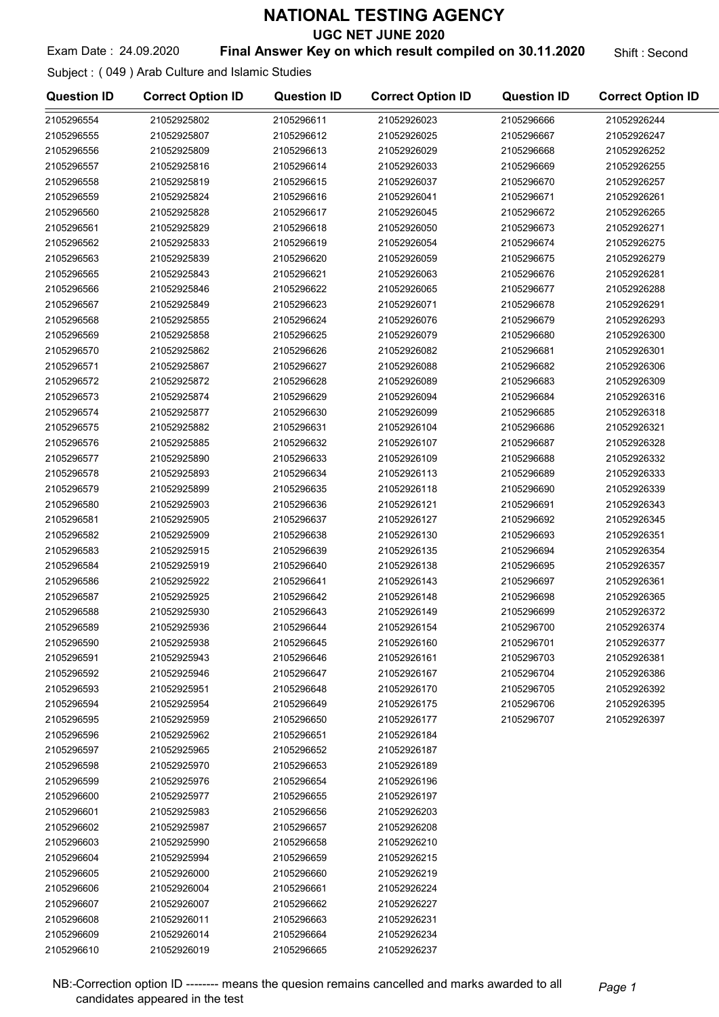UGC NET JUNE 2020

#### Exam Date: 24.09.2020 **Final Answer Key on which result compiled on 30.11.2020** Shift: Second

Subject : ( 049 ) Arab Culture and Islamic Studies

| <b>Question ID</b> | <b>Correct Option ID</b> | <b>Question ID</b> | <b>Correct Option ID</b> | <b>Question ID</b> | <b>Correct Option ID</b> |
|--------------------|--------------------------|--------------------|--------------------------|--------------------|--------------------------|
| 2105296554         | 21052925802              | 2105296611         | 21052926023              | 2105296666         | 21052926244              |
| 2105296555         | 21052925807              | 2105296612         | 21052926025              | 2105296667         | 21052926247              |
| 2105296556         | 21052925809              | 2105296613         | 21052926029              | 2105296668         | 21052926252              |
| 2105296557         | 21052925816              | 2105296614         | 21052926033              | 2105296669         | 21052926255              |
| 2105296558         | 21052925819              | 2105296615         | 21052926037              | 2105296670         | 21052926257              |
| 2105296559         | 21052925824              | 2105296616         | 21052926041              | 2105296671         | 21052926261              |
| 2105296560         | 21052925828              | 2105296617         | 21052926045              | 2105296672         | 21052926265              |
| 2105296561         | 21052925829              | 2105296618         | 21052926050              | 2105296673         | 21052926271              |
| 2105296562         | 21052925833              | 2105296619         | 21052926054              | 2105296674         | 21052926275              |
| 2105296563         | 21052925839              | 2105296620         | 21052926059              | 2105296675         | 21052926279              |
| 2105296565         | 21052925843              | 2105296621         | 21052926063              | 2105296676         | 21052926281              |
| 2105296566         | 21052925846              | 2105296622         | 21052926065              | 2105296677         | 21052926288              |
| 2105296567         | 21052925849              | 2105296623         | 21052926071              | 2105296678         | 21052926291              |
| 2105296568         | 21052925855              | 2105296624         | 21052926076              | 2105296679         | 21052926293              |
| 2105296569         | 21052925858              | 2105296625         | 21052926079              | 2105296680         | 21052926300              |
| 2105296570         | 21052925862              | 2105296626         | 21052926082              | 2105296681         | 21052926301              |
| 2105296571         | 21052925867              | 2105296627         | 21052926088              | 2105296682         | 21052926306              |
| 2105296572         | 21052925872              | 2105296628         | 21052926089              | 2105296683         | 21052926309              |
| 2105296573         | 21052925874              | 2105296629         | 21052926094              | 2105296684         | 21052926316              |
| 2105296574         | 21052925877              | 2105296630         | 21052926099              | 2105296685         | 21052926318              |
| 2105296575         | 21052925882              | 2105296631         | 21052926104              | 2105296686         | 21052926321              |
| 2105296576         | 21052925885              | 2105296632         | 21052926107              | 2105296687         | 21052926328              |
| 2105296577         | 21052925890              | 2105296633         | 21052926109              | 2105296688         | 21052926332              |
| 2105296578         | 21052925893              | 2105296634         | 21052926113              | 2105296689         | 21052926333              |
| 2105296579         | 21052925899              | 2105296635         | 21052926118              | 2105296690         | 21052926339              |
| 2105296580         | 21052925903              | 2105296636         | 21052926121              | 2105296691         | 21052926343              |
| 2105296581         | 21052925905              | 2105296637         | 21052926127              | 2105296692         | 21052926345              |
| 2105296582         | 21052925909              | 2105296638         | 21052926130              | 2105296693         | 21052926351              |
| 2105296583         | 21052925915              | 2105296639         | 21052926135              | 2105296694         | 21052926354              |
| 2105296584         | 21052925919              | 2105296640         | 21052926138              | 2105296695         | 21052926357              |
| 2105296586         | 21052925922              | 2105296641         | 21052926143              | 2105296697         | 21052926361              |
| 2105296587         | 21052925925              | 2105296642         | 21052926148              | 2105296698         | 21052926365              |
| 2105296588         | 21052925930              | 2105296643         | 21052926149              | 2105296699         | 21052926372              |
| 2105296589         | 21052925936              | 2105296644         | 21052926154              | 2105296700         | 21052926374              |
| 2105296590         | 21052925938              | 2105296645         | 21052926160              | 2105296701         | 21052926377              |
| 2105296591         | 21052925943              | 2105296646         | 21052926161              | 2105296703         | 21052926381              |
| 2105296592         | 21052925946              | 2105296647         | 21052926167              | 2105296704         | 21052926386              |
| 2105296593         | 21052925951              | 2105296648         | 21052926170              | 2105296705         | 21052926392              |
| 2105296594         | 21052925954              | 2105296649         | 21052926175              | 2105296706         | 21052926395              |
| 2105296595         | 21052925959              | 2105296650         | 21052926177              | 2105296707         | 21052926397              |
| 2105296596         | 21052925962              | 2105296651         | 21052926184              |                    |                          |
| 2105296597         | 21052925965              | 2105296652         | 21052926187              |                    |                          |
| 2105296598         | 21052925970              | 2105296653         | 21052926189              |                    |                          |
| 2105296599         | 21052925976              | 2105296654         | 21052926196              |                    |                          |
| 2105296600         | 21052925977              | 2105296655         | 21052926197              |                    |                          |
| 2105296601         | 21052925983              | 2105296656         | 21052926203              |                    |                          |
| 2105296602         | 21052925987              | 2105296657         | 21052926208              |                    |                          |
| 2105296603         | 21052925990              | 2105296658         | 21052926210              |                    |                          |
| 2105296604         | 21052925994              | 2105296659         | 21052926215              |                    |                          |
| 2105296605         | 21052926000              | 2105296660         | 21052926219              |                    |                          |
| 2105296606         | 21052926004              | 2105296661         | 21052926224              |                    |                          |
| 2105296607         | 21052926007              | 2105296662         | 21052926227              |                    |                          |
| 2105296608         | 21052926011              | 2105296663         | 21052926231              |                    |                          |
| 2105296609         | 21052926014              | 2105296664         | 21052926234              |                    |                          |
| 2105296610         | 21052926019              | 2105296665         | 21052926237              |                    |                          |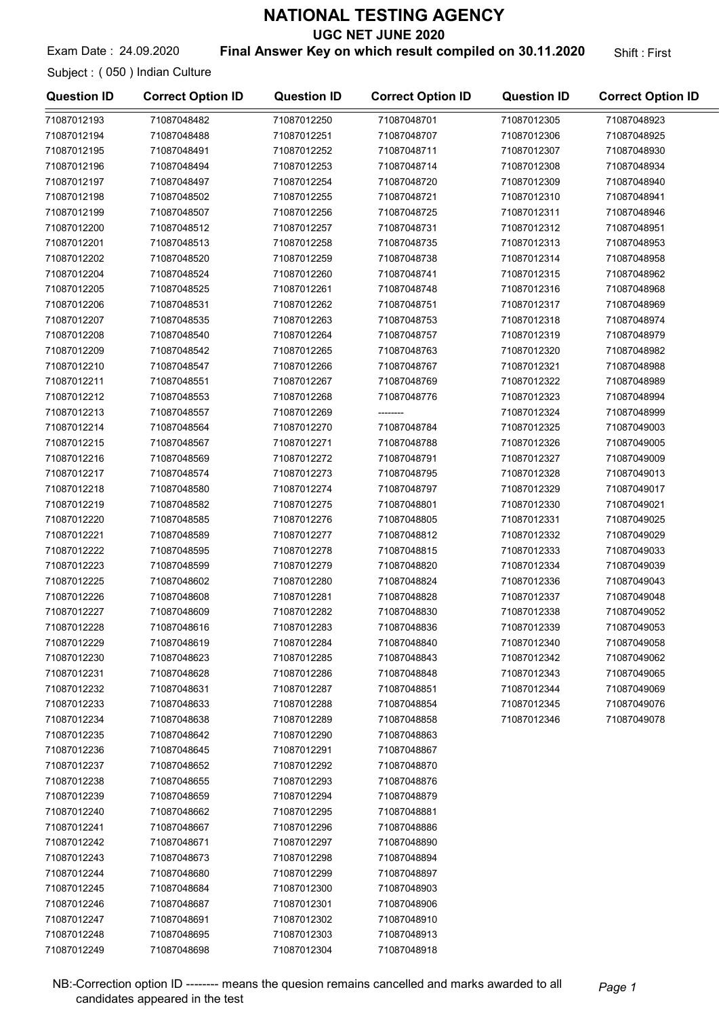UGC NET JUNE 2020

#### Exam Date: 24.09.2020 **Final Answer Key on which result compiled on 30.11.2020** Shift: First

Subject : ( 050 ) Indian Culture

| <b>Question ID</b> | <b>Correct Option ID</b> | <b>Question ID</b> | <b>Correct Option ID</b> | <b>Question ID</b> | <b>Correct Option ID</b> |
|--------------------|--------------------------|--------------------|--------------------------|--------------------|--------------------------|
| 71087012193        | 71087048482              | 71087012250        | 71087048701              | 71087012305        | 71087048923              |
| 71087012194        | 71087048488              | 71087012251        | 71087048707              | 71087012306        | 71087048925              |
| 71087012195        | 71087048491              | 71087012252        | 71087048711              | 71087012307        | 71087048930              |
| 71087012196        | 71087048494              | 71087012253        | 71087048714              | 71087012308        | 71087048934              |
| 71087012197        | 71087048497              | 71087012254        | 71087048720              | 71087012309        | 71087048940              |
| 71087012198        | 71087048502              | 71087012255        | 71087048721              | 71087012310        | 71087048941              |
| 71087012199        | 71087048507              | 71087012256        | 71087048725              | 71087012311        | 71087048946              |
| 71087012200        | 71087048512              | 71087012257        | 71087048731              | 71087012312        | 71087048951              |
| 71087012201        | 71087048513              | 71087012258        | 71087048735              | 71087012313        | 71087048953              |
| 71087012202        | 71087048520              | 71087012259        | 71087048738              | 71087012314        | 71087048958              |
| 71087012204        | 71087048524              | 71087012260        | 71087048741              | 71087012315        | 71087048962              |
| 71087012205        | 71087048525              | 71087012261        | 71087048748              | 71087012316        | 71087048968              |
| 71087012206        | 71087048531              | 71087012262        | 71087048751              | 71087012317        | 71087048969              |
| 71087012207        | 71087048535              | 71087012263        | 71087048753              | 71087012318        | 71087048974              |
| 71087012208        | 71087048540              | 71087012264        | 71087048757              | 71087012319        | 71087048979              |
| 71087012209        | 71087048542              | 71087012265        | 71087048763              | 71087012320        | 71087048982              |
| 71087012210        | 71087048547              | 71087012266        | 71087048767              | 71087012321        | 71087048988              |
| 71087012211        | 71087048551              | 71087012267        | 71087048769              | 71087012322        | 71087048989              |
| 71087012212        | 71087048553              | 71087012268        | 71087048776              | 71087012323        | 71087048994              |
| 71087012213        | 71087048557              | 71087012269        |                          | 71087012324        | 71087048999              |
| 71087012214        | 71087048564              | 71087012270        | 71087048784              | 71087012325        | 71087049003              |
| 71087012215        | 71087048567              | 71087012271        | 71087048788              | 71087012326        | 71087049005              |
| 71087012216        | 71087048569              | 71087012272        | 71087048791              | 71087012327        | 71087049009              |
| 71087012217        | 71087048574              | 71087012273        | 71087048795              | 71087012328        | 71087049013              |
| 71087012218        | 71087048580              | 71087012274        | 71087048797              | 71087012329        | 71087049017              |
| 71087012219        | 71087048582              | 71087012275        | 71087048801              | 71087012330        | 71087049021              |
| 71087012220        | 71087048585              | 71087012276        | 71087048805              | 71087012331        | 71087049025              |
| 71087012221        | 71087048589              | 71087012277        | 71087048812              | 71087012332        | 71087049029              |
| 71087012222        | 71087048595              | 71087012278        | 71087048815              | 71087012333        | 71087049033              |
| 71087012223        | 71087048599              | 71087012279        | 71087048820              | 71087012334        | 71087049039              |
| 71087012225        | 71087048602              | 71087012280        | 71087048824              | 71087012336        | 71087049043              |
| 71087012226        | 71087048608              | 71087012281        | 71087048828              | 71087012337        | 71087049048              |
| 71087012227        | 71087048609              | 71087012282        | 71087048830              | 71087012338        | 71087049052              |
| 71087012228        | 71087048616              | 71087012283        | 71087048836              | 71087012339        | 71087049053              |
| 71087012229        | 71087048619              | 71087012284        | 71087048840              | 71087012340        | 71087049058              |
| 71087012230        | 71087048623              | 71087012285        | 71087048843              | 71087012342        | 71087049062              |
| 71087012231        | 71087048628              | 71087012286        | 71087048848              | 71087012343        | 71087049065              |
| 71087012232        | 71087048631              | 71087012287        | 71087048851              | 71087012344        | 71087049069              |
| 71087012233        | 71087048633              | 71087012288        | 71087048854              | 71087012345        | 71087049076              |
| 71087012234        | 71087048638              | 71087012289        | 71087048858              | 71087012346        | 71087049078              |
| 71087012235        | 71087048642              | 71087012290        | 71087048863              |                    |                          |
| 71087012236        | 71087048645              | 71087012291        | 71087048867              |                    |                          |
| 71087012237        | 71087048652              | 71087012292        | 71087048870              |                    |                          |
| 71087012238        | 71087048655              | 71087012293        | 71087048876              |                    |                          |
| 71087012239        | 71087048659              | 71087012294        | 71087048879              |                    |                          |
| 71087012240        | 71087048662              | 71087012295        | 71087048881              |                    |                          |
| 71087012241        | 71087048667              | 71087012296        | 71087048886              |                    |                          |
| 71087012242        | 71087048671              | 71087012297        | 71087048890              |                    |                          |
| 71087012243        | 71087048673              | 71087012298        | 71087048894              |                    |                          |
| 71087012244        | 71087048680              | 71087012299        | 71087048897              |                    |                          |
| 71087012245        | 71087048684              | 71087012300        | 71087048903              |                    |                          |
| 71087012246        | 71087048687              | 71087012301        | 71087048906              |                    |                          |
| 71087012247        | 71087048691              | 71087012302        | 71087048910              |                    |                          |
| 71087012248        | 71087048695              | 71087012303        | 71087048913              |                    |                          |
| 71087012249        | 71087048698              | 71087012304        | 71087048918              |                    |                          |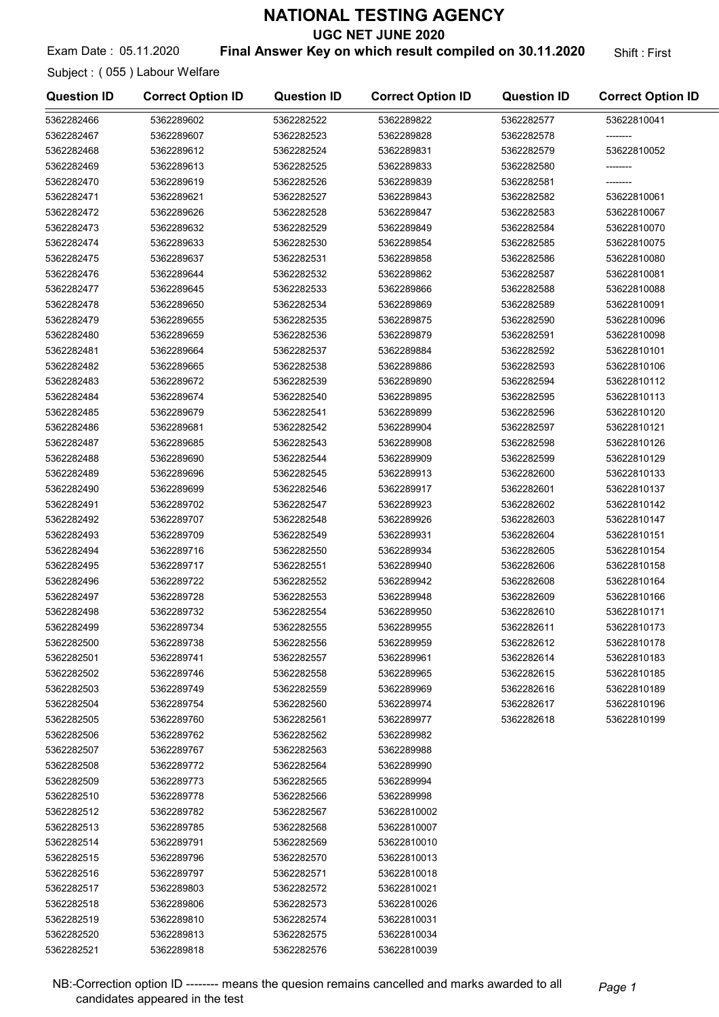UGC NET JUNE 2020

#### Exam Date: 05.11.2020 **Final Answer Key on which result compiled on 30.11.2020** Shift: First

Subject : ( 055 ) Labour Welfare

| <b>Question ID</b> | <b>Correct Option ID</b> | <b>Question ID</b> | <b>Correct Option ID</b> | <b>Question ID</b> | <b>Correct Option ID</b> |
|--------------------|--------------------------|--------------------|--------------------------|--------------------|--------------------------|
| 5362282466         | 5362289602               | 5362282522         | 5362289822               | 5362282577         | 53622810041              |
| 5362282467         | 5362289607               | 5362282523         | 5362289828               | 5362282578         | --------                 |
| 5362282468         | 5362289612               | 5362282524         | 5362289831               | 5362282579         | 53622810052              |
| 5362282469         | 5362289613               | 5362282525         | 5362289833               | 5362282580         |                          |
| 5362282470         | 5362289619               | 5362282526         | 5362289839               | 5362282581         |                          |
| 5362282471         | 5362289621               | 5362282527         | 5362289843               | 5362282582         | 53622810061              |
| 5362282472         | 5362289626               | 5362282528         | 5362289847               | 5362282583         | 53622810067              |
| 5362282473         | 5362289632               | 5362282529         | 5362289849               | 5362282584         | 53622810070              |
| 5362282474         | 5362289633               | 5362282530         | 5362289854               | 5362282585         | 53622810075              |
| 5362282475         | 5362289637               | 5362282531         | 5362289858               | 5362282586         | 53622810080              |
| 5362282476         | 5362289644               | 5362282532         | 5362289862               | 5362282587         | 53622810081              |
| 5362282477         | 5362289645               | 5362282533         | 5362289866               | 5362282588         | 53622810088              |
| 5362282478         | 5362289650               | 5362282534         | 5362289869               | 5362282589         | 53622810091              |
| 5362282479         | 5362289655               | 5362282535         | 5362289875               | 5362282590         | 53622810096              |
| 5362282480         | 5362289659               | 5362282536         | 5362289879               | 5362282591         | 53622810098              |
| 5362282481         | 5362289664               | 5362282537         | 5362289884               | 5362282592         | 53622810101              |
| 5362282482         | 5362289665               | 5362282538         | 5362289886               | 5362282593         | 53622810106              |
| 5362282483         | 5362289672               | 5362282539         | 5362289890               | 5362282594         | 53622810112              |
| 5362282484         | 5362289674               | 5362282540         | 5362289895               | 5362282595         | 53622810113              |
| 5362282485         | 5362289679               | 5362282541         | 5362289899               | 5362282596         | 53622810120              |
| 5362282486         | 5362289681               | 5362282542         | 5362289904               | 5362282597         | 53622810121              |
| 5362282487         | 5362289685               | 5362282543         | 5362289908               | 5362282598         | 53622810126              |
| 5362282488         | 5362289690               | 5362282544         | 5362289909               | 5362282599         | 53622810129              |
| 5362282489         | 5362289696               | 5362282545         | 5362289913               | 5362282600         | 53622810133              |
| 5362282490         | 5362289699               | 5362282546         | 5362289917               | 5362282601         | 53622810137              |
| 5362282491         | 5362289702               | 5362282547         | 5362289923               | 5362282602         | 53622810142              |
| 5362282492         | 5362289707               | 5362282548         | 5362289926               | 5362282603         | 53622810147              |
| 5362282493         | 5362289709               | 5362282549         | 5362289931               | 5362282604         | 53622810151              |
| 5362282494         | 5362289716               | 5362282550         | 5362289934               | 5362282605         | 53622810154              |
| 5362282495         | 5362289717               | 5362282551         | 5362289940               | 5362282606         | 53622810158              |
| 5362282496         | 5362289722               | 5362282552         | 5362289942               | 5362282608         | 53622810164              |
| 5362282497         | 5362289728               | 5362282553         | 5362289948               | 5362282609         | 53622810166              |
| 5362282498         | 5362289732               | 5362282554         | 5362289950               | 5362282610         | 53622810171              |
| 5362282499         | 5362289734               | 5362282555         | 5362289955               | 5362282611         | 53622810173              |
| 5362282500         | 5362289738               | 5362282556         | 5362289959               | 5362282612         | 53622810178              |
| 5362282501         | 5362289741               | 5362282557         | 5362289961               | 5362282614         | 53622810183              |
| 5362282502         | 5362289746               | 5362282558         | 5362289965               | 5362282615         | 53622810185              |
| 5362282503         | 5362289749               | 5362282559         | 5362289969               | 5362282616         | 53622810189              |
| 5362282504         | 5362289754               | 5362282560         | 5362289974               | 5362282617         | 53622810196              |
| 5362282505         | 5362289760               | 5362282561         | 5362289977               | 5362282618         | 53622810199              |
| 5362282506         | 5362289762               | 5362282562         | 5362289982               |                    |                          |
| 5362282507         | 5362289767               | 5362282563         | 5362289988               |                    |                          |
| 5362282508         | 5362289772               | 5362282564         | 5362289990               |                    |                          |
| 5362282509         | 5362289773               | 5362282565         | 5362289994               |                    |                          |
| 5362282510         | 5362289778               | 5362282566         | 5362289998               |                    |                          |
| 5362282512         | 5362289782               | 5362282567         | 53622810002              |                    |                          |
| 5362282513         | 5362289785               | 5362282568         | 53622810007              |                    |                          |
| 5362282514         | 5362289791               | 5362282569         | 53622810010              |                    |                          |
| 5362282515         | 5362289796               | 5362282570         | 53622810013              |                    |                          |
| 5362282516         | 5362289797               | 5362282571         | 53622810018              |                    |                          |
| 5362282517         | 5362289803               | 5362282572         | 53622810021              |                    |                          |
| 5362282518         | 5362289806               | 5362282573         | 53622810026              |                    |                          |
| 5362282519         | 5362289810               | 5362282574         | 53622810031              |                    |                          |
| 5362282520         | 5362289813               | 5362282575         | 53622810034              |                    |                          |
| 5362282521         | 5362289818               | 5362282576         | 53622810039              |                    |                          |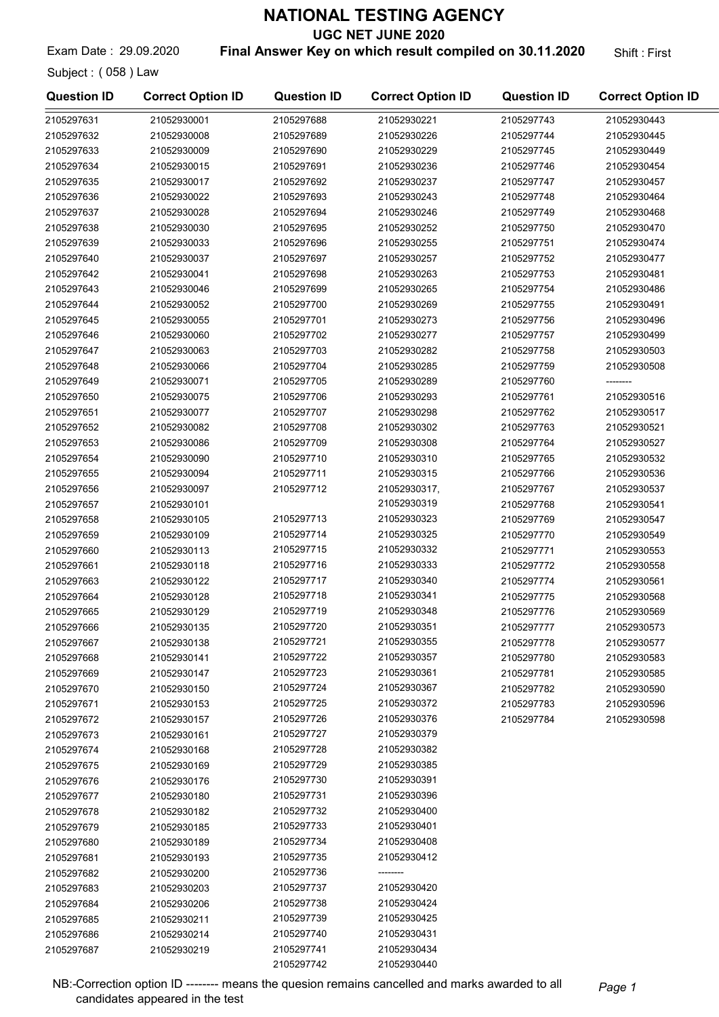UGC NET JUNE 2020

Exam Date: 29.09.2020 **Final Answer Key on which result compiled on 30.11.2020** Shift: First

Subject : ( 058 ) Law

| <b>Question ID</b>       | <b>Correct Option ID</b>   | <b>Question ID</b>       | <b>Correct Option ID</b>   | <b>Question ID</b>       | <b>Correct Option ID</b>   |
|--------------------------|----------------------------|--------------------------|----------------------------|--------------------------|----------------------------|
| 2105297631               | 21052930001                | 2105297688               | 21052930221                | 2105297743               | 21052930443                |
| 2105297632               | 21052930008                | 2105297689               | 21052930226                | 2105297744               | 21052930445                |
| 2105297633               | 21052930009                | 2105297690               | 21052930229                | 2105297745               | 21052930449                |
| 2105297634               | 21052930015                | 2105297691               | 21052930236                | 2105297746               | 21052930454                |
| 2105297635               | 21052930017                | 2105297692               | 21052930237                | 2105297747               | 21052930457                |
| 2105297636               | 21052930022                | 2105297693               | 21052930243                | 2105297748               | 21052930464                |
| 2105297637               | 21052930028                | 2105297694               | 21052930246                | 2105297749               | 21052930468                |
| 2105297638               | 21052930030                | 2105297695               | 21052930252                | 2105297750               | 21052930470                |
| 2105297639               | 21052930033                | 2105297696               | 21052930255                | 2105297751               | 21052930474                |
| 2105297640               | 21052930037                | 2105297697               | 21052930257                | 2105297752               | 21052930477                |
| 2105297642               | 21052930041                | 2105297698               | 21052930263                | 2105297753               | 21052930481                |
| 2105297643               | 21052930046                | 2105297699               | 21052930265                | 2105297754               | 21052930486                |
| 2105297644               | 21052930052                | 2105297700               | 21052930269                | 2105297755               | 21052930491                |
| 2105297645               | 21052930055                | 2105297701               | 21052930273                | 2105297756               | 21052930496                |
| 2105297646               | 21052930060                | 2105297702               | 21052930277                | 2105297757               | 21052930499                |
| 2105297647               | 21052930063                | 2105297703               | 21052930282                | 2105297758               | 21052930503                |
| 2105297648               | 21052930066                | 2105297704               | 21052930285                | 2105297759               | 21052930508                |
| 2105297649               | 21052930071                | 2105297705               | 21052930289                | 2105297760               |                            |
| 2105297650               | 21052930075                | 2105297706               | 21052930293                | 2105297761               | 21052930516                |
| 2105297651               | 21052930077                | 2105297707               | 21052930298                | 2105297762               | 21052930517                |
| 2105297652               | 21052930082                | 2105297708               | 21052930302                | 2105297763               | 21052930521                |
| 2105297653               | 21052930086                | 2105297709               | 21052930308                | 2105297764               | 21052930527                |
| 2105297654               | 21052930090                | 2105297710               | 21052930310                | 2105297765               | 21052930532                |
| 2105297655               | 21052930094                | 2105297711               | 21052930315                | 2105297766               | 21052930536                |
| 2105297656               | 21052930097                | 2105297712               | 21052930317,               | 2105297767               | 21052930537                |
| 2105297657               | 21052930101                |                          | 21052930319                | 2105297768               | 21052930541                |
| 2105297658               | 21052930105                | 2105297713               | 21052930323                | 2105297769               | 21052930547                |
| 2105297659               | 21052930109                | 2105297714               | 21052930325                | 2105297770               | 21052930549                |
| 2105297660               | 21052930113                | 2105297715               | 21052930332                | 2105297771               | 21052930553                |
| 2105297661               | 21052930118                | 2105297716               | 21052930333                | 2105297772               | 21052930558                |
| 2105297663               | 21052930122                | 2105297717               | 21052930340                | 2105297774               | 21052930561                |
| 2105297664               | 21052930128                | 2105297718               | 21052930341                | 2105297775               | 21052930568                |
| 2105297665               | 21052930129                | 2105297719               | 21052930348                | 2105297776               | 21052930569                |
| 2105297666               | 21052930135                | 2105297720               | 21052930351                | 2105297777               | 21052930573                |
| 2105297667               | 21052930138                | 2105297721               | 21052930355                | 2105297778               | 21052930577                |
| 2105297668               | 21052930141                | 2105297722               | 21052930357                | 2105297780               | 21052930583                |
| 2105297669               | 21052930147                | 2105297723               | 21052930361                | 2105297781               | 21052930585                |
| 2105297670               |                            | 2105297724               | 21052930367                |                          |                            |
| 2105297671               | 21052930150<br>21052930153 | 2105297725               | 21052930372                | 2105297782<br>2105297783 | 21052930590<br>21052930596 |
| 2105297672               | 21052930157                | 2105297726               | 21052930376                | 2105297784               |                            |
|                          | 21052930161                | 2105297727               | 21052930379                |                          | 21052930598                |
| 2105297673<br>2105297674 | 21052930168                | 2105297728               | 21052930382                |                          |                            |
|                          |                            | 2105297729               | 21052930385                |                          |                            |
| 2105297675               | 21052930169                |                          |                            |                          |                            |
| 2105297676               | 21052930176                | 2105297730<br>2105297731 | 21052930391<br>21052930396 |                          |                            |
| 2105297677               | 21052930180                |                          |                            |                          |                            |
| 2105297678               | 21052930182                | 2105297732               | 21052930400                |                          |                            |
| 2105297679               | 21052930185                | 2105297733               | 21052930401                |                          |                            |
| 2105297680               | 21052930189                | 2105297734               | 21052930408<br>21052930412 |                          |                            |
| 2105297681               | 21052930193                | 2105297735               |                            |                          |                            |
| 2105297682               | 21052930200                | 2105297736               | --------                   |                          |                            |
| 2105297683               | 21052930203                | 2105297737               | 21052930420                |                          |                            |
| 2105297684               | 21052930206                | 2105297738               | 21052930424                |                          |                            |
| 2105297685               | 21052930211                | 2105297739               | 21052930425                |                          |                            |
| 2105297686               | 21052930214                | 2105297740               | 21052930431                |                          |                            |
| 2105297687               | 21052930219                | 2105297741               | 21052930434                |                          |                            |
|                          |                            | 2105297742               | 21052930440                |                          |                            |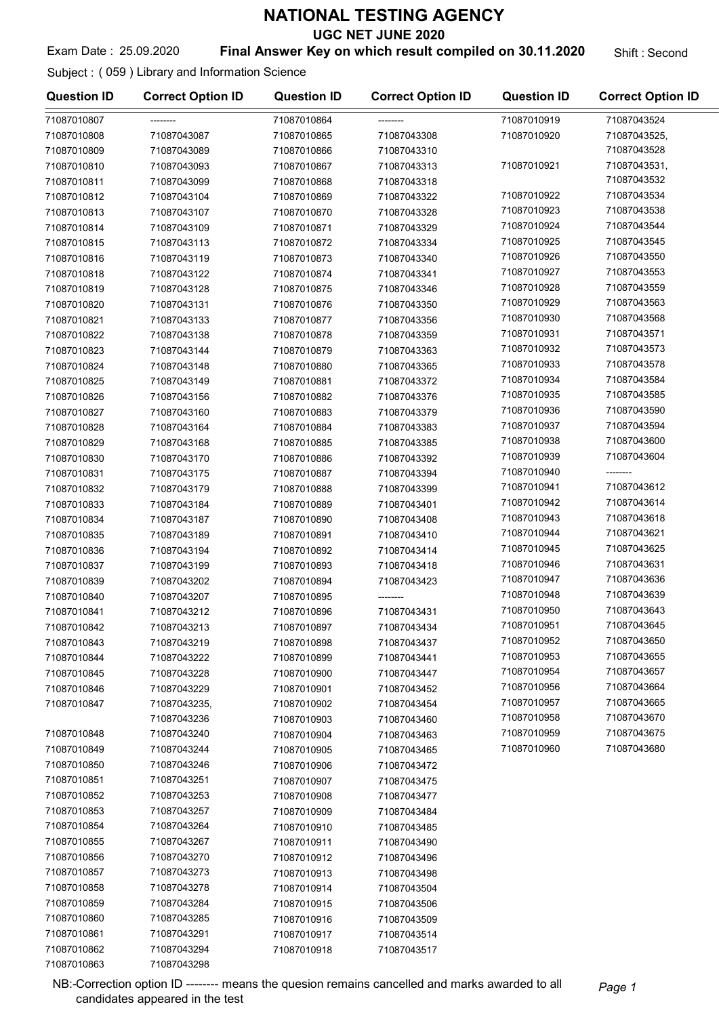UGC NET JUNE 2020

#### Exam Date : 25.09.2020 **Final Answer Key on which result compiled on 30.11.2020** Shift : Second

Subject : ( 059 ) Library and Information Science

| <b>Question ID</b> | <b>Correct Option ID</b> | <b>Question ID</b> | <b>Correct Option ID</b> | <b>Question ID</b>         | <b>Correct Option ID</b>   |
|--------------------|--------------------------|--------------------|--------------------------|----------------------------|----------------------------|
| 71087010807        |                          | 71087010864        |                          | 71087010919                | 71087043524                |
| 71087010808        | 71087043087              | 71087010865        | 71087043308              | 71087010920                | 71087043525,               |
| 71087010809        | 71087043089              | 71087010866        | 71087043310              |                            | 71087043528                |
| 71087010810        | 71087043093              | 71087010867        | 71087043313              | 71087010921                | 71087043531,               |
| 71087010811        | 71087043099              | 71087010868        | 71087043318              |                            | 71087043532                |
| 71087010812        | 71087043104              | 71087010869        | 71087043322              | 71087010922                | 71087043534                |
| 71087010813        | 71087043107              | 71087010870        | 71087043328              | 71087010923                | 71087043538                |
| 71087010814        | 71087043109              | 71087010871        | 71087043329              | 71087010924                | 71087043544                |
| 71087010815        | 71087043113              | 71087010872        | 71087043334              | 71087010925                | 71087043545                |
| 71087010816        | 71087043119              | 71087010873        | 71087043340              | 71087010926                | 71087043550                |
| 71087010818        | 71087043122              | 71087010874        | 71087043341              | 71087010927                | 71087043553                |
| 71087010819        | 71087043128              | 71087010875        | 71087043346              | 71087010928                | 71087043559                |
| 71087010820        | 71087043131              | 71087010876        | 71087043350              | 71087010929                | 71087043563                |
| 71087010821        | 71087043133              | 71087010877        | 71087043356              | 71087010930                | 71087043568                |
| 71087010822        | 71087043138              | 71087010878        | 71087043359              | 71087010931                | 71087043571                |
| 71087010823        | 71087043144              | 71087010879        | 71087043363              | 71087010932                | 71087043573                |
| 71087010824        | 71087043148              | 71087010880        | 71087043365              | 71087010933                | 71087043578                |
| 71087010825        | 71087043149              | 71087010881        | 71087043372              | 71087010934                | 71087043584                |
| 71087010826        | 71087043156              | 71087010882        | 71087043376              | 71087010935                | 71087043585                |
| 71087010827        | 71087043160              | 71087010883        | 71087043379              | 71087010936                | 71087043590                |
| 71087010828        | 71087043164              | 71087010884        | 71087043383              | 71087010937                | 71087043594                |
| 71087010829        | 71087043168              | 71087010885        | 71087043385              | 71087010938                | 71087043600                |
| 71087010830        | 71087043170              | 71087010886        | 71087043392              | 71087010939                | 71087043604                |
| 71087010831        | 71087043175              | 71087010887        | 71087043394              | 71087010940                | --------                   |
| 71087010832        | 71087043179              | 71087010888        | 71087043399              | 71087010941                | 71087043612                |
|                    |                          |                    |                          | 71087010942                | 71087043614                |
| 71087010833        | 71087043184              | 71087010889        | 71087043401              | 71087010943                | 71087043618                |
| 71087010834        | 71087043187              | 71087010890        | 71087043408              | 71087010944                | 71087043621                |
| 71087010835        | 71087043189              | 71087010891        | 71087043410              | 71087010945                | 71087043625                |
| 71087010836        | 71087043194              | 71087010892        | 71087043414              | 71087010946                | 71087043631                |
| 71087010837        | 71087043199              | 71087010893        | 71087043418              | 71087010947                | 71087043636                |
| 71087010839        | 71087043202              | 71087010894        | 71087043423              | 71087010948                | 71087043639                |
| 71087010840        | 71087043207              | 71087010895        |                          | 71087010950                | 71087043643                |
| 71087010841        | 71087043212              | 71087010896        | 71087043431              | 71087010951                | 71087043645                |
| 71087010842        | 71087043213              | 71087010897        | 71087043434              |                            |                            |
| 71087010843        | 71087043219              | 71087010898        | 71087043437              | 71087010952<br>71087010953 | 71087043650<br>71087043655 |
| 71087010844        | 71087043222              | 71087010899        | 71087043441              |                            |                            |
| 71087010845        | 71087043228              | 71087010900        | 71087043447              | 71087010954                | 71087043657                |
| 71087010846        | 71087043229              | 71087010901        | 71087043452              | 71087010956                | 71087043664                |
| 71087010847        | 71087043235,             | 71087010902        | 71087043454              | 71087010957                | 71087043665                |
|                    | 71087043236              | 71087010903        | 71087043460              | 71087010958                | 71087043670                |
| 71087010848        | 71087043240              | 71087010904        | 71087043463              | 71087010959                | 71087043675                |
| 71087010849        | 71087043244              | 71087010905        | 71087043465              | 71087010960                | 71087043680                |
| 71087010850        | 71087043246              | 71087010906        | 71087043472              |                            |                            |
| 71087010851        | 71087043251              | 71087010907        | 71087043475              |                            |                            |
| 71087010852        | 71087043253              | 71087010908        | 71087043477              |                            |                            |
| 71087010853        | 71087043257              | 71087010909        | 71087043484              |                            |                            |
| 71087010854        | 71087043264              | 71087010910        | 71087043485              |                            |                            |
| 71087010855        | 71087043267              | 71087010911        | 71087043490              |                            |                            |
| 71087010856        | 71087043270              | 71087010912        | 71087043496              |                            |                            |
| 71087010857        | 71087043273              | 71087010913        | 71087043498              |                            |                            |
| 71087010858        | 71087043278              | 71087010914        | 71087043504              |                            |                            |
| 71087010859        | 71087043284              | 71087010915        | 71087043506              |                            |                            |
| 71087010860        | 71087043285              | 71087010916        | 71087043509              |                            |                            |
| 71087010861        | 71087043291              | 71087010917        | 71087043514              |                            |                            |
| 71087010862        | 71087043294              | 71087010918        | 71087043517              |                            |                            |
| 71087010863        | 71087043298              |                    |                          |                            |                            |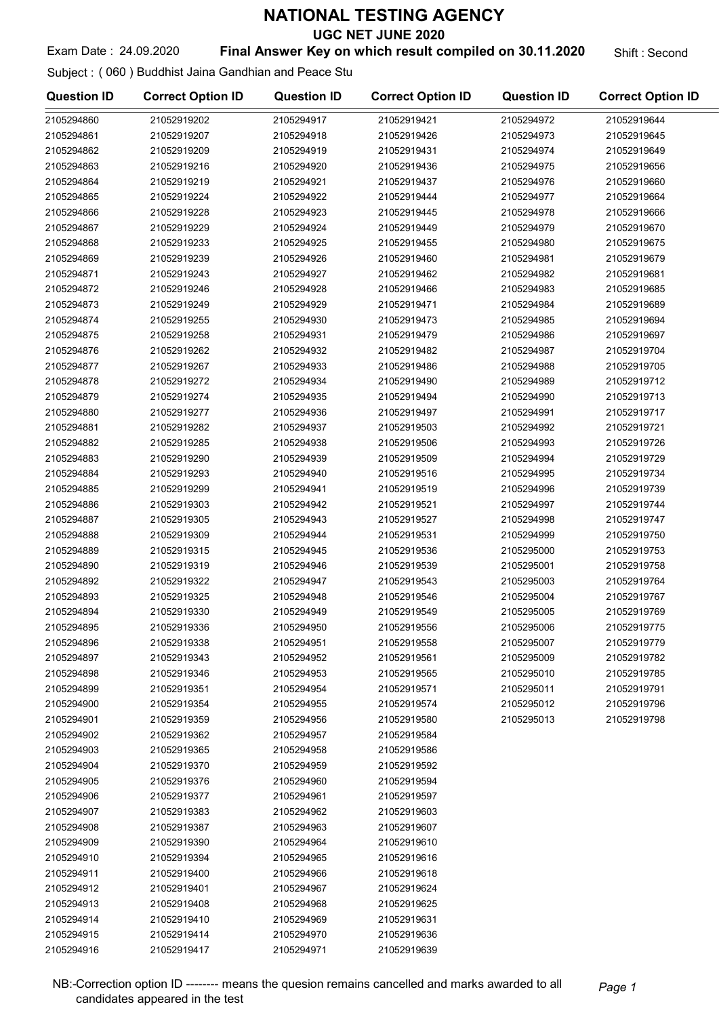UGC NET JUNE 2020

#### Exam Date: 24.09.2020 **Final Answer Key on which result compiled on 30.11.2020** Shift: Second

Subject : ( 060 ) Buddhist Jaina Gandhian and Peace Stu

| <b>Question ID</b> | <b>Correct Option ID</b> | <b>Question ID</b> | <b>Correct Option ID</b> | <b>Question ID</b> | <b>Correct Option ID</b> |
|--------------------|--------------------------|--------------------|--------------------------|--------------------|--------------------------|
| 2105294860         | 21052919202              | 2105294917         | 21052919421              | 2105294972         | 21052919644              |
| 2105294861         | 21052919207              | 2105294918         | 21052919426              | 2105294973         | 21052919645              |
| 2105294862         | 21052919209              | 2105294919         | 21052919431              | 2105294974         | 21052919649              |
| 2105294863         | 21052919216              | 2105294920         | 21052919436              | 2105294975         | 21052919656              |
| 2105294864         | 21052919219              | 2105294921         | 21052919437              | 2105294976         | 21052919660              |
| 2105294865         | 21052919224              | 2105294922         | 21052919444              | 2105294977         | 21052919664              |
| 2105294866         | 21052919228              | 2105294923         | 21052919445              | 2105294978         | 21052919666              |
| 2105294867         | 21052919229              | 2105294924         | 21052919449              | 2105294979         | 21052919670              |
| 2105294868         | 21052919233              | 2105294925         | 21052919455              | 2105294980         | 21052919675              |
| 2105294869         | 21052919239              | 2105294926         | 21052919460              | 2105294981         | 21052919679              |
| 2105294871         | 21052919243              | 2105294927         | 21052919462              | 2105294982         | 21052919681              |
| 2105294872         | 21052919246              | 2105294928         | 21052919466              | 2105294983         | 21052919685              |
| 2105294873         | 21052919249              | 2105294929         | 21052919471              | 2105294984         | 21052919689              |
| 2105294874         | 21052919255              | 2105294930         | 21052919473              | 2105294985         | 21052919694              |
| 2105294875         | 21052919258              | 2105294931         | 21052919479              | 2105294986         | 21052919697              |
| 2105294876         | 21052919262              | 2105294932         | 21052919482              | 2105294987         | 21052919704              |
| 2105294877         | 21052919267              | 2105294933         | 21052919486              | 2105294988         | 21052919705              |
| 2105294878         | 21052919272              | 2105294934         | 21052919490              | 2105294989         | 21052919712              |
| 2105294879         | 21052919274              | 2105294935         | 21052919494              | 2105294990         | 21052919713              |
| 2105294880         | 21052919277              | 2105294936         | 21052919497              | 2105294991         | 21052919717              |
| 2105294881         | 21052919282              | 2105294937         | 21052919503              | 2105294992         | 21052919721              |
| 2105294882         | 21052919285              | 2105294938         | 21052919506              | 2105294993         | 21052919726              |
| 2105294883         | 21052919290              | 2105294939         | 21052919509              | 2105294994         | 21052919729              |
| 2105294884         | 21052919293              | 2105294940         | 21052919516              | 2105294995         | 21052919734              |
| 2105294885         | 21052919299              | 2105294941         | 21052919519              | 2105294996         | 21052919739              |
| 2105294886         | 21052919303              | 2105294942         | 21052919521              | 2105294997         | 21052919744              |
| 2105294887         | 21052919305              | 2105294943         | 21052919527              | 2105294998         | 21052919747              |
| 2105294888         | 21052919309              | 2105294944         | 21052919531              | 2105294999         | 21052919750              |
| 2105294889         | 21052919315              | 2105294945         | 21052919536              | 2105295000         | 21052919753              |
| 2105294890         | 21052919319              | 2105294946         | 21052919539              | 2105295001         | 21052919758              |
| 2105294892         | 21052919322              | 2105294947         | 21052919543              | 2105295003         | 21052919764              |
| 2105294893         | 21052919325              | 2105294948         | 21052919546              | 2105295004         | 21052919767              |
| 2105294894         | 21052919330              | 2105294949         | 21052919549              | 2105295005         | 21052919769              |
| 2105294895         | 21052919336              | 2105294950         | 21052919556              | 2105295006         | 21052919775              |
| 2105294896         | 21052919338              | 2105294951         | 21052919558              | 2105295007         | 21052919779              |
| 2105294897         | 21052919343              | 2105294952         | 21052919561              | 2105295009         | 21052919782              |
| 2105294898         | 21052919346              | 2105294953         | 21052919565              | 2105295010         | 21052919785              |
| 2105294899         | 21052919351              | 2105294954         | 21052919571              | 2105295011         | 21052919791              |
| 2105294900         | 21052919354              | 2105294955         | 21052919574              | 2105295012         | 21052919796              |
| 2105294901         | 21052919359              | 2105294956         | 21052919580              | 2105295013         | 21052919798              |
| 2105294902         | 21052919362              | 2105294957         | 21052919584              |                    |                          |
| 2105294903         | 21052919365              | 2105294958         | 21052919586              |                    |                          |
| 2105294904         | 21052919370              | 2105294959         | 21052919592              |                    |                          |
| 2105294905         | 21052919376              | 2105294960         | 21052919594              |                    |                          |
| 2105294906         | 21052919377              | 2105294961         | 21052919597              |                    |                          |
| 2105294907         | 21052919383              | 2105294962         | 21052919603              |                    |                          |
| 2105294908         | 21052919387              | 2105294963         | 21052919607              |                    |                          |
| 2105294909         | 21052919390              | 2105294964         | 21052919610              |                    |                          |
| 2105294910         | 21052919394              | 2105294965         | 21052919616              |                    |                          |
| 2105294911         | 21052919400              | 2105294966         | 21052919618              |                    |                          |
| 2105294912         | 21052919401              | 2105294967         | 21052919624              |                    |                          |
| 2105294913         | 21052919408              | 2105294968         | 21052919625              |                    |                          |
| 2105294914         | 21052919410              | 2105294969         | 21052919631              |                    |                          |
| 2105294915         | 21052919414              | 2105294970         | 21052919636              |                    |                          |
| 2105294916         | 21052919417              | 2105294971         | 21052919639              |                    |                          |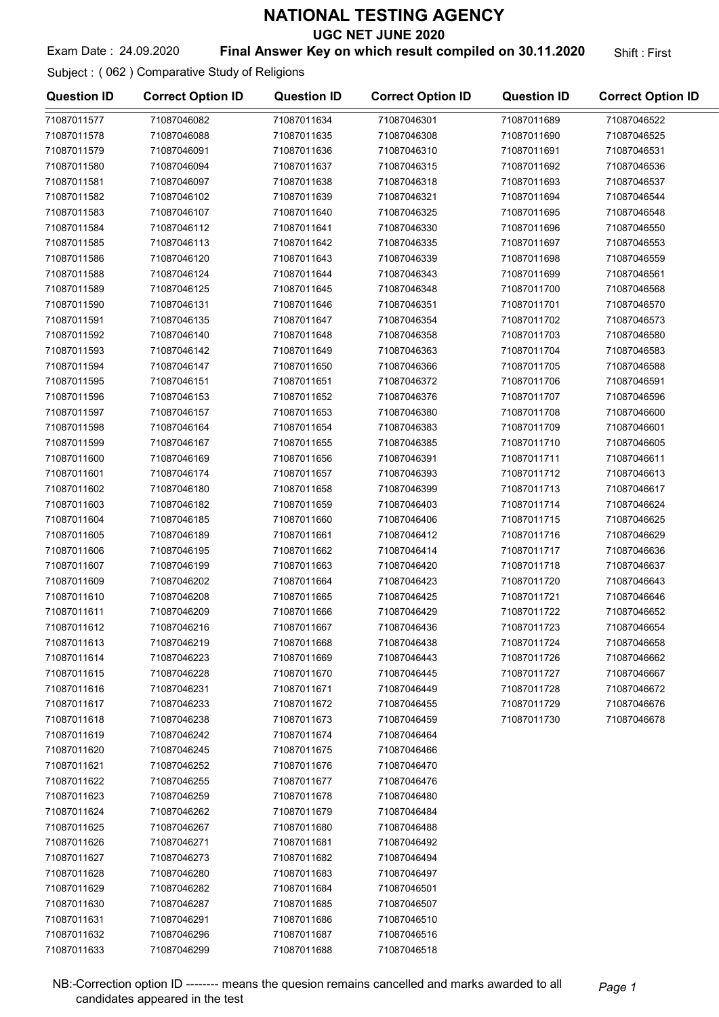UGC NET JUNE 2020

#### Exam Date: 24.09.2020 **Final Answer Key on which result compiled on 30.11.2020** Shift: First

Subject : ( 062 ) Comparative Study of Religions

| <b>Question ID</b> | <b>Correct Option ID</b> | <b>Question ID</b> | <b>Correct Option ID</b> | <b>Question ID</b> | <b>Correct Option ID</b> |
|--------------------|--------------------------|--------------------|--------------------------|--------------------|--------------------------|
| 71087011577        | 71087046082              | 71087011634        | 71087046301              | 71087011689        | 71087046522              |
| 71087011578        | 71087046088              | 71087011635        | 71087046308              | 71087011690        | 71087046525              |
| 71087011579        | 71087046091              | 71087011636        | 71087046310              | 71087011691        | 71087046531              |
| 71087011580        | 71087046094              | 71087011637        | 71087046315              | 71087011692        | 71087046536              |
| 71087011581        | 71087046097              | 71087011638        | 71087046318              | 71087011693        | 71087046537              |
| 71087011582        | 71087046102              | 71087011639        | 71087046321              | 71087011694        | 71087046544              |
| 71087011583        | 71087046107              | 71087011640        | 71087046325              | 71087011695        | 71087046548              |
| 71087011584        | 71087046112              | 71087011641        | 71087046330              | 71087011696        | 71087046550              |
| 71087011585        | 71087046113              | 71087011642        | 71087046335              | 71087011697        | 71087046553              |
| 71087011586        | 71087046120              | 71087011643        | 71087046339              | 71087011698        | 71087046559              |
| 71087011588        | 71087046124              | 71087011644        | 71087046343              | 71087011699        | 71087046561              |
| 71087011589        | 71087046125              | 71087011645        | 71087046348              | 71087011700        | 71087046568              |
| 71087011590        | 71087046131              | 71087011646        | 71087046351              | 71087011701        | 71087046570              |
| 71087011591        | 71087046135              | 71087011647        | 71087046354              | 71087011702        | 71087046573              |
| 71087011592        | 71087046140              | 71087011648        | 71087046358              | 71087011703        | 71087046580              |
| 71087011593        | 71087046142              | 71087011649        | 71087046363              | 71087011704        | 71087046583              |
| 71087011594        | 71087046147              | 71087011650        | 71087046366              | 71087011705        | 71087046588              |
| 71087011595        | 71087046151              | 71087011651        | 71087046372              | 71087011706        | 71087046591              |
| 71087011596        | 71087046153              | 71087011652        | 71087046376              | 71087011707        | 71087046596              |
| 71087011597        | 71087046157              | 71087011653        | 71087046380              | 71087011708        | 71087046600              |
| 71087011598        | 71087046164              | 71087011654        | 71087046383              | 71087011709        | 71087046601              |
| 71087011599        | 71087046167              | 71087011655        | 71087046385              | 71087011710        | 71087046605              |
| 71087011600        | 71087046169              | 71087011656        | 71087046391              | 71087011711        | 71087046611              |
| 71087011601        | 71087046174              | 71087011657        | 71087046393              | 71087011712        | 71087046613              |
| 71087011602        | 71087046180              | 71087011658        | 71087046399              | 71087011713        | 71087046617              |
| 71087011603        | 71087046182              | 71087011659        | 71087046403              | 71087011714        | 71087046624              |
| 71087011604        | 71087046185              | 71087011660        | 71087046406              | 71087011715        | 71087046625              |
| 71087011605        | 71087046189              | 71087011661        | 71087046412              | 71087011716        | 71087046629              |
| 71087011606        | 71087046195              | 71087011662        | 71087046414              | 71087011717        | 71087046636              |
| 71087011607        | 71087046199              | 71087011663        | 71087046420              | 71087011718        | 71087046637              |
| 71087011609        | 71087046202              | 71087011664        | 71087046423              | 71087011720        | 71087046643              |
| 71087011610        | 71087046208              | 71087011665        | 71087046425              | 71087011721        | 71087046646              |
| 71087011611        | 71087046209              | 71087011666        | 71087046429              | 71087011722        | 71087046652              |
| 71087011612        | 71087046216              | 71087011667        | 71087046436              | 71087011723        | 71087046654              |
| 71087011613        | 71087046219              | 71087011668        | 71087046438              | 71087011724        | 71087046658              |
| 71087011614        | 71087046223              | 71087011669        | 71087046443              | 71087011726        | 71087046662              |
| 71087011615        | 71087046228              | 71087011670        | 71087046445              | 71087011727        | 71087046667              |
| 71087011616        | 71087046231              | 71087011671        | 71087046449              | 71087011728        | 71087046672              |
| 71087011617        | 71087046233              | 71087011672        | 71087046455              | 71087011729        | 71087046676              |
| 71087011618        | 71087046238              | 71087011673        | 71087046459              | 71087011730        | 71087046678              |
| 71087011619        | 71087046242              | 71087011674        | 71087046464              |                    |                          |
| 71087011620        | 71087046245              | 71087011675        | 71087046466              |                    |                          |
| 71087011621        | 71087046252              | 71087011676        | 71087046470              |                    |                          |
| 71087011622        | 71087046255              | 71087011677        | 71087046476              |                    |                          |
| 71087011623        | 71087046259              | 71087011678        | 71087046480              |                    |                          |
| 71087011624        | 71087046262              | 71087011679        | 71087046484              |                    |                          |
| 71087011625        | 71087046267              | 71087011680        | 71087046488              |                    |                          |
| 71087011626        | 71087046271              | 71087011681        | 71087046492              |                    |                          |
| 71087011627        | 71087046273              | 71087011682        | 71087046494              |                    |                          |
| 71087011628        | 71087046280              | 71087011683        | 71087046497              |                    |                          |
| 71087011629        | 71087046282              | 71087011684        | 71087046501              |                    |                          |
| 71087011630        | 71087046287              | 71087011685        | 71087046507              |                    |                          |
| 71087011631        | 71087046291              | 71087011686        | 71087046510              |                    |                          |
| 71087011632        | 71087046296              | 71087011687        | 71087046516              |                    |                          |
| 71087011633        | 71087046299              | 71087011688        | 71087046518              |                    |                          |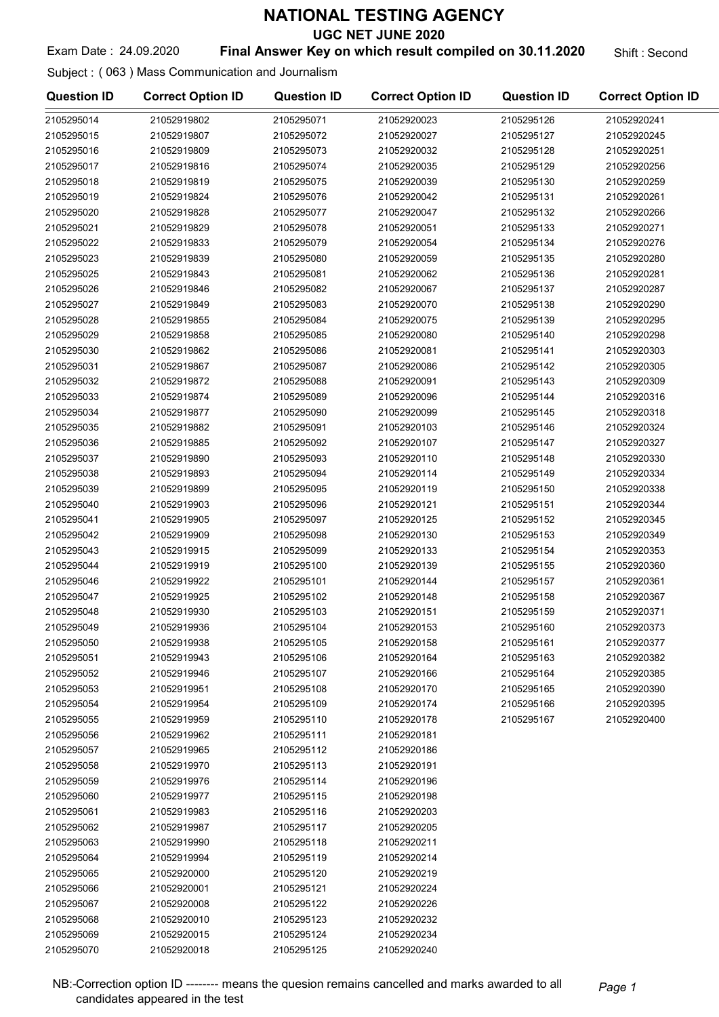UGC NET JUNE 2020

#### Exam Date: 24.09.2020 **Final Answer Key on which result compiled on 30.11.2020** Shift: Second

Subject : ( 063 ) Mass Communication and Journalism

| <b>Question ID</b>       | <b>Correct Option ID</b>   | <b>Question ID</b>       | <b>Correct Option ID</b>   | <b>Question ID</b> | <b>Correct Option ID</b> |
|--------------------------|----------------------------|--------------------------|----------------------------|--------------------|--------------------------|
| 2105295014               | 21052919802                | 2105295071               | 21052920023                | 2105295126         | 21052920241              |
| 2105295015               | 21052919807                | 2105295072               | 21052920027                | 2105295127         | 21052920245              |
| 2105295016               | 21052919809                | 2105295073               | 21052920032                | 2105295128         | 21052920251              |
| 2105295017               | 21052919816                | 2105295074               | 21052920035                | 2105295129         | 21052920256              |
| 2105295018               | 21052919819                | 2105295075               | 21052920039                | 2105295130         | 21052920259              |
| 2105295019               | 21052919824                | 2105295076               | 21052920042                | 2105295131         | 21052920261              |
| 2105295020               | 21052919828                | 2105295077               | 21052920047                | 2105295132         | 21052920266              |
| 2105295021               | 21052919829                | 2105295078               | 21052920051                | 2105295133         | 21052920271              |
| 2105295022               | 21052919833                | 2105295079               | 21052920054                | 2105295134         | 21052920276              |
| 2105295023               | 21052919839                | 2105295080               | 21052920059                | 2105295135         | 21052920280              |
| 2105295025               | 21052919843                | 2105295081               | 21052920062                | 2105295136         | 21052920281              |
| 2105295026               | 21052919846                | 2105295082               | 21052920067                | 2105295137         | 21052920287              |
| 2105295027               | 21052919849                | 2105295083               | 21052920070                | 2105295138         | 21052920290              |
| 2105295028               | 21052919855                | 2105295084               | 21052920075                | 2105295139         | 21052920295              |
| 2105295029               | 21052919858                | 2105295085               | 21052920080                | 2105295140         | 21052920298              |
| 2105295030               | 21052919862                | 2105295086               | 21052920081                | 2105295141         | 21052920303              |
| 2105295031               | 21052919867                | 2105295087               | 21052920086                | 2105295142         | 21052920305              |
| 2105295032               | 21052919872                | 2105295088               | 21052920091                | 2105295143         | 21052920309              |
| 2105295033               | 21052919874                | 2105295089               | 21052920096                | 2105295144         | 21052920316              |
| 2105295034               | 21052919877                | 2105295090               | 21052920099                | 2105295145         | 21052920318              |
| 2105295035               | 21052919882                | 2105295091               | 21052920103                | 2105295146         | 21052920324              |
| 2105295036               | 21052919885                | 2105295092               | 21052920107                | 2105295147         | 21052920327              |
| 2105295037               | 21052919890                | 2105295093               | 21052920110                | 2105295148         | 21052920330              |
| 2105295038               | 21052919893                | 2105295094               | 21052920114                | 2105295149         | 21052920334              |
| 2105295039               | 21052919899                | 2105295095               | 21052920119                | 2105295150         | 21052920338              |
| 2105295040               | 21052919903                | 2105295096               | 21052920121                | 2105295151         | 21052920344              |
| 2105295041               | 21052919905                | 2105295097               | 21052920125                | 2105295152         | 21052920345              |
| 2105295042               | 21052919909                | 2105295098               | 21052920130                | 2105295153         | 21052920349              |
| 2105295043               | 21052919915                | 2105295099               | 21052920133                | 2105295154         | 21052920353              |
| 2105295044               | 21052919919                | 2105295100               | 21052920139                | 2105295155         | 21052920360              |
| 2105295046               | 21052919922                | 2105295101               | 21052920144                | 2105295157         | 21052920361              |
| 2105295047               | 21052919925                | 2105295102               | 21052920148                | 2105295158         | 21052920367              |
| 2105295048               | 21052919930                | 2105295103               | 21052920151                | 2105295159         | 21052920371              |
| 2105295049               | 21052919936                | 2105295104               | 21052920153                | 2105295160         | 21052920373              |
| 2105295050               | 21052919938                | 2105295105               | 21052920158                | 2105295161         | 21052920377              |
| 2105295051               | 21052919943                | 2105295106               | 21052920164                | 2105295163         | 21052920382              |
| 2105295052               | 21052919946                | 2105295107               | 21052920166                | 2105295164         | 21052920385              |
| 2105295053               | 21052919951                | 2105295108               | 21052920170                | 2105295165         | 21052920390              |
| 2105295054               | 21052919954                | 2105295109               | 21052920174                | 2105295166         | 21052920395              |
| 2105295055               | 21052919959                | 2105295110               | 21052920178                | 2105295167         | 21052920400              |
| 2105295056               | 21052919962                | 2105295111               | 21052920181                |                    |                          |
| 2105295057               | 21052919965                | 2105295112               | 21052920186                |                    |                          |
| 2105295058               | 21052919970                | 2105295113               | 21052920191                |                    |                          |
| 2105295059               | 21052919976                | 2105295114               | 21052920196                |                    |                          |
| 2105295060               | 21052919977                | 2105295115               | 21052920198                |                    |                          |
| 2105295061               | 21052919983                | 2105295116               | 21052920203                |                    |                          |
| 2105295062               | 21052919987                | 2105295117               | 21052920205                |                    |                          |
| 2105295063               | 21052919990                | 2105295118               | 21052920211                |                    |                          |
| 2105295064               | 21052919994                | 2105295119               | 21052920214                |                    |                          |
| 2105295065               | 21052920000                | 2105295120               | 21052920219                |                    |                          |
| 2105295066               | 21052920001                | 2105295121               | 21052920224                |                    |                          |
| 2105295067               | 21052920008                | 2105295122               | 21052920226                |                    |                          |
| 2105295068               | 21052920010                | 2105295123               | 21052920232                |                    |                          |
| 2105295069<br>2105295070 | 21052920015<br>21052920018 | 2105295124<br>2105295125 | 21052920234<br>21052920240 |                    |                          |
|                          |                            |                          |                            |                    |                          |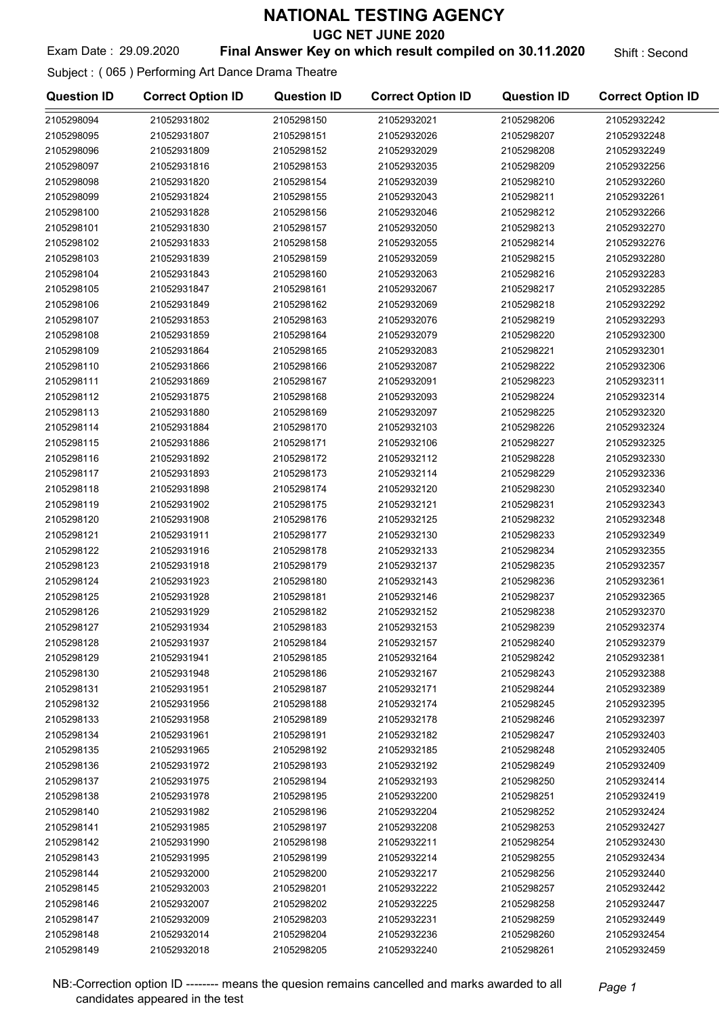UGC NET JUNE 2020

#### Exam Date: 29.09.2020 **Final Answer Key on which result compiled on 30.11.2020** Shift : Second

Subject : ( 065 ) Performing Art Dance Drama Theatre

| <b>Question ID</b> | <b>Correct Option ID</b> | <b>Question ID</b> | <b>Correct Option ID</b> | <b>Question ID</b> | <b>Correct Option ID</b> |
|--------------------|--------------------------|--------------------|--------------------------|--------------------|--------------------------|
| 2105298094         | 21052931802              | 2105298150         | 21052932021              | 2105298206         | 21052932242              |
| 2105298095         | 21052931807              | 2105298151         | 21052932026              | 2105298207         | 21052932248              |
| 2105298096         | 21052931809              | 2105298152         | 21052932029              | 2105298208         | 21052932249              |
| 2105298097         | 21052931816              | 2105298153         | 21052932035              | 2105298209         | 21052932256              |
| 2105298098         | 21052931820              | 2105298154         | 21052932039              | 2105298210         | 21052932260              |
| 2105298099         | 21052931824              | 2105298155         | 21052932043              | 2105298211         | 21052932261              |
| 2105298100         | 21052931828              | 2105298156         | 21052932046              | 2105298212         | 21052932266              |
| 2105298101         | 21052931830              | 2105298157         | 21052932050              | 2105298213         | 21052932270              |
| 2105298102         | 21052931833              | 2105298158         | 21052932055              | 2105298214         | 21052932276              |
| 2105298103         | 21052931839              | 2105298159         | 21052932059              | 2105298215         | 21052932280              |
| 2105298104         | 21052931843              | 2105298160         | 21052932063              | 2105298216         | 21052932283              |
| 2105298105         | 21052931847              | 2105298161         | 21052932067              | 2105298217         | 21052932285              |
| 2105298106         | 21052931849              | 2105298162         | 21052932069              | 2105298218         | 21052932292              |
| 2105298107         | 21052931853              | 2105298163         | 21052932076              | 2105298219         | 21052932293              |
| 2105298108         | 21052931859              | 2105298164         | 21052932079              | 2105298220         | 21052932300              |
| 2105298109         | 21052931864              | 2105298165         | 21052932083              | 2105298221         | 21052932301              |
| 2105298110         | 21052931866              | 2105298166         | 21052932087              | 2105298222         | 21052932306              |
| 2105298111         | 21052931869              | 2105298167         | 21052932091              | 2105298223         | 21052932311              |
| 2105298112         | 21052931875              | 2105298168         | 21052932093              | 2105298224         | 21052932314              |
| 2105298113         | 21052931880              | 2105298169         | 21052932097              | 2105298225         | 21052932320              |
| 2105298114         | 21052931884              | 2105298170         | 21052932103              | 2105298226         | 21052932324              |
| 2105298115         | 21052931886              | 2105298171         | 21052932106              | 2105298227         | 21052932325              |
| 2105298116         | 21052931892              | 2105298172         | 21052932112              | 2105298228         | 21052932330              |
| 2105298117         | 21052931893              | 2105298173         | 21052932114              | 2105298229         | 21052932336              |
| 2105298118         | 21052931898              | 2105298174         | 21052932120              | 2105298230         | 21052932340              |
| 2105298119         | 21052931902              | 2105298175         | 21052932121              | 2105298231         | 21052932343              |
| 2105298120         | 21052931908              | 2105298176         | 21052932125              | 2105298232         | 21052932348              |
| 2105298121         | 21052931911              | 2105298177         | 21052932130              | 2105298233         | 21052932349              |
| 2105298122         | 21052931916              | 2105298178         | 21052932133              | 2105298234         | 21052932355              |
| 2105298123         | 21052931918              | 2105298179         | 21052932137              | 2105298235         | 21052932357              |
| 2105298124         | 21052931923              | 2105298180         | 21052932143              | 2105298236         | 21052932361              |
| 2105298125         | 21052931928              | 2105298181         | 21052932146              | 2105298237         | 21052932365              |
| 2105298126         | 21052931929              | 2105298182         | 21052932152              | 2105298238         | 21052932370              |
| 2105298127         | 21052931934              | 2105298183         | 21052932153              | 2105298239         | 21052932374              |
| 2105298128         | 21052931937              | 2105298184         | 21052932157              | 2105298240         | 21052932379              |
| 2105298129         | 21052931941              | 2105298185         | 21052932164              | 2105298242         | 21052932381              |
| 2105298130         | 21052931948              | 2105298186         | 21052932167              | 2105298243         | 21052932388              |
| 2105298131         | 21052931951              | 2105298187         | 21052932171              | 2105298244         | 21052932389              |
| 2105298132         | 21052931956              | 2105298188         | 21052932174              | 2105298245         | 21052932395              |
| 2105298133         | 21052931958              | 2105298189         | 21052932178              | 2105298246         | 21052932397              |
| 2105298134         | 21052931961              | 2105298191         | 21052932182              | 2105298247         | 21052932403              |
| 2105298135         | 21052931965              | 2105298192         | 21052932185              | 2105298248         | 21052932405              |
| 2105298136         | 21052931972              | 2105298193         | 21052932192              | 2105298249         | 21052932409              |
| 2105298137         | 21052931975              | 2105298194         | 21052932193              | 2105298250         | 21052932414              |
| 2105298138         | 21052931978              | 2105298195         | 21052932200              | 2105298251         | 21052932419              |
| 2105298140         | 21052931982              | 2105298196         | 21052932204              | 2105298252         | 21052932424              |
| 2105298141         | 21052931985              | 2105298197         | 21052932208              | 2105298253         | 21052932427              |
| 2105298142         | 21052931990              | 2105298198         | 21052932211              | 2105298254         | 21052932430              |
| 2105298143         | 21052931995              | 2105298199         | 21052932214              | 2105298255         | 21052932434              |
| 2105298144         | 21052932000              | 2105298200         | 21052932217              | 2105298256         | 21052932440              |
| 2105298145         | 21052932003              | 2105298201         | 21052932222              | 2105298257         | 21052932442              |
| 2105298146         | 21052932007              | 2105298202         | 21052932225              | 2105298258         | 21052932447              |
| 2105298147         | 21052932009              | 2105298203         | 21052932231              | 2105298259         | 21052932449              |
| 2105298148         | 21052932014              | 2105298204         | 21052932236              | 2105298260         | 21052932454              |
| 2105298149         | 21052932018              | 2105298205         | 21052932240              | 2105298261         | 21052932459              |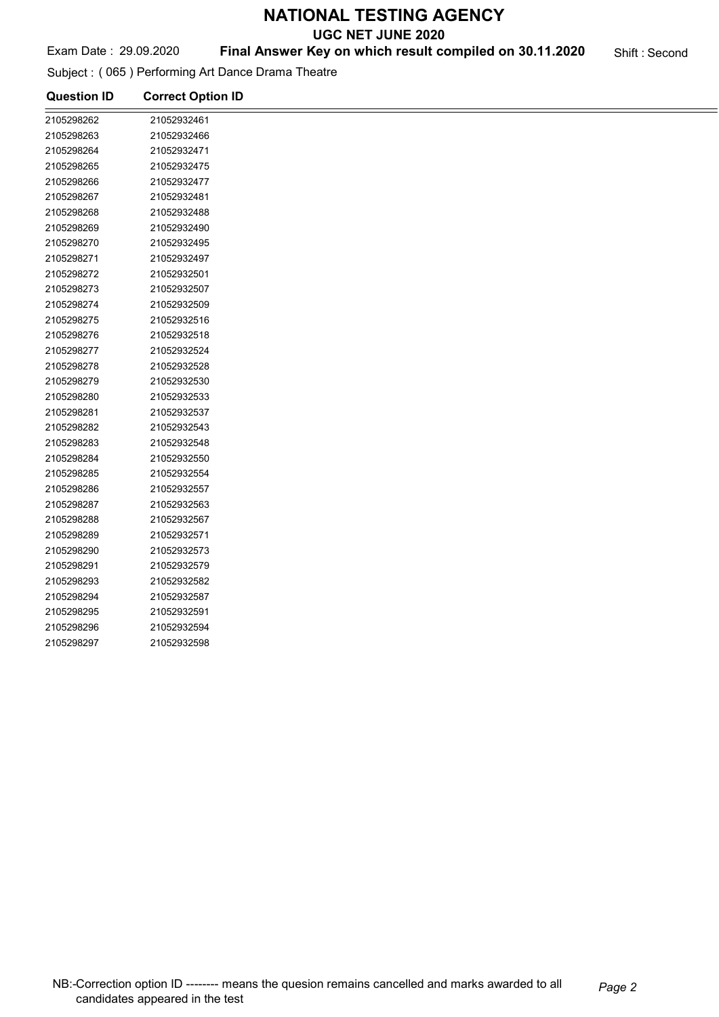UGC NET JUNE 2020

#### Exam Date: 29.09.2020 **Final Answer Key on which result compiled on 30.11.2020** Shift : Second

Subject : ( 065 ) Performing Art Dance Drama Theatre

| <b>Question ID</b> | <b>Correct Option ID</b> |  |
|--------------------|--------------------------|--|
| 2105298262         | 21052932461              |  |
| 2105298263         | 21052932466              |  |
| 2105298264         | 21052932471              |  |
| 2105298265         | 21052932475              |  |
| 2105298266         | 21052932477              |  |
| 2105298267         | 21052932481              |  |
| 2105298268         | 21052932488              |  |
| 2105298269         | 21052932490              |  |
| 2105298270         | 21052932495              |  |
| 2105298271         | 21052932497              |  |
| 2105298272         | 21052932501              |  |
| 2105298273         | 21052932507              |  |
| 2105298274         | 21052932509              |  |
| 2105298275         | 21052932516              |  |
| 2105298276         | 21052932518              |  |
| 2105298277         | 21052932524              |  |
| 2105298278         | 21052932528              |  |
| 2105298279         | 21052932530              |  |
| 2105298280         | 21052932533              |  |
| 2105298281         | 21052932537              |  |
| 2105298282         | 21052932543              |  |
| 2105298283         | 21052932548              |  |
| 2105298284         | 21052932550              |  |
| 2105298285         | 21052932554              |  |
| 2105298286         | 21052932557              |  |
| 2105298287         | 21052932563              |  |
| 2105298288         | 21052932567              |  |
| 2105298289         | 21052932571              |  |
| 2105298290         | 21052932573              |  |
| 2105298291         | 21052932579              |  |
| 2105298293         | 21052932582              |  |
| 2105298294         | 21052932587              |  |
| 2105298295         | 21052932591              |  |
| 2105298296         | 21052932594              |  |
| 2105298297         | 21052932598              |  |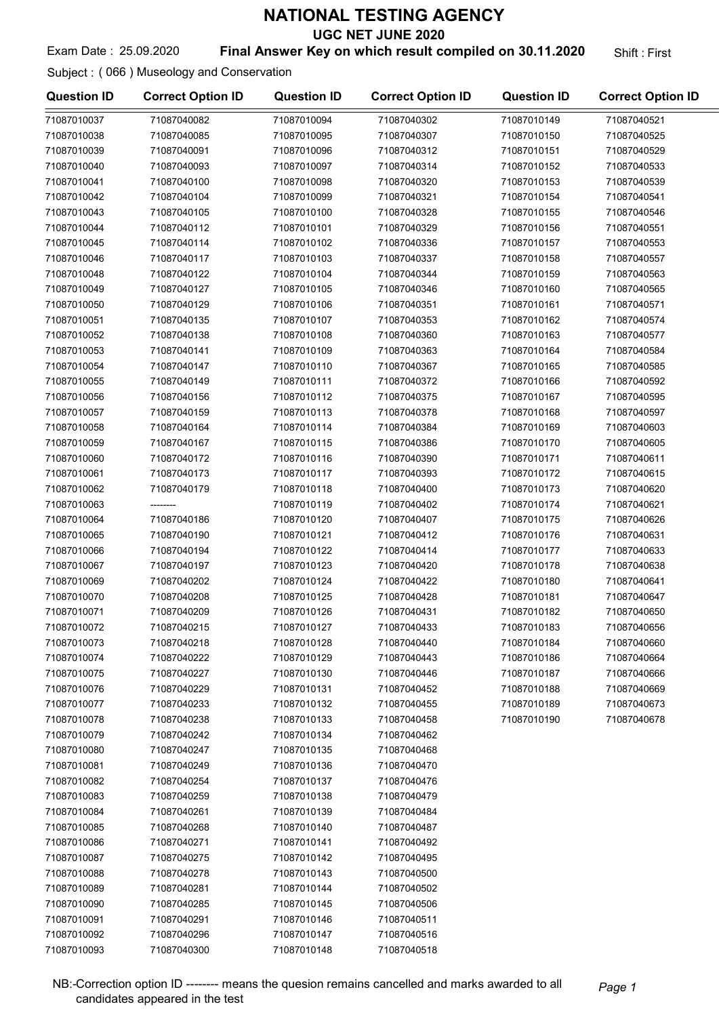UGC NET JUNE 2020

#### Exam Date: 25.09.2020 **Final Answer Key on which result compiled on 30.11.2020** Shift: First

#### Subject : ( 066 ) Museology and Conservation

| <b>Question ID</b> | <b>Correct Option ID</b> | <b>Question ID</b> | <b>Correct Option ID</b> | <b>Question ID</b> | <b>Correct Option ID</b> |
|--------------------|--------------------------|--------------------|--------------------------|--------------------|--------------------------|
| 71087010037        | 71087040082              | 71087010094        | 71087040302              | 71087010149        | 71087040521              |
| 71087010038        | 71087040085              | 71087010095        | 71087040307              | 71087010150        | 71087040525              |
| 71087010039        | 71087040091              | 71087010096        | 71087040312              | 71087010151        | 71087040529              |
| 71087010040        | 71087040093              | 71087010097        | 71087040314              | 71087010152        | 71087040533              |
| 71087010041        | 71087040100              | 71087010098        | 71087040320              | 71087010153        | 71087040539              |
| 71087010042        | 71087040104              | 71087010099        | 71087040321              | 71087010154        | 71087040541              |
| 71087010043        | 71087040105              | 71087010100        | 71087040328              | 71087010155        | 71087040546              |
| 71087010044        | 71087040112              | 71087010101        | 71087040329              | 71087010156        | 71087040551              |
| 71087010045        | 71087040114              | 71087010102        | 71087040336              | 71087010157        | 71087040553              |
| 71087010046        | 71087040117              | 71087010103        | 71087040337              | 71087010158        | 71087040557              |
| 71087010048        | 71087040122              | 71087010104        | 71087040344              | 71087010159        | 71087040563              |
| 71087010049        | 71087040127              | 71087010105        | 71087040346              | 71087010160        | 71087040565              |
| 71087010050        | 71087040129              | 71087010106        | 71087040351              | 71087010161        | 71087040571              |
| 71087010051        | 71087040135              | 71087010107        | 71087040353              | 71087010162        | 71087040574              |
| 71087010052        | 71087040138              | 71087010108        | 71087040360              | 71087010163        | 71087040577              |
| 71087010053        | 71087040141              | 71087010109        | 71087040363              | 71087010164        | 71087040584              |
| 71087010054        | 71087040147              | 71087010110        | 71087040367              | 71087010165        | 71087040585              |
| 71087010055        | 71087040149              | 71087010111        | 71087040372              | 71087010166        | 71087040592              |
| 71087010056        | 71087040156              | 71087010112        | 71087040375              | 71087010167        | 71087040595              |
| 71087010057        | 71087040159              | 71087010113        | 71087040378              | 71087010168        | 71087040597              |
| 71087010058        | 71087040164              | 71087010114        | 71087040384              | 71087010169        | 71087040603              |
| 71087010059        | 71087040167              | 71087010115        | 71087040386              | 71087010170        | 71087040605              |
| 71087010060        | 71087040172              | 71087010116        | 71087040390              | 71087010171        | 71087040611              |
| 71087010061        | 71087040173              | 71087010117        | 71087040393              | 71087010172        | 71087040615              |
| 71087010062        | 71087040179              | 71087010118        | 71087040400              | 71087010173        | 71087040620              |
| 71087010063        | --------                 | 71087010119        | 71087040402              | 71087010174        | 71087040621              |
| 71087010064        | 71087040186              | 71087010120        | 71087040407              | 71087010175        | 71087040626              |
| 71087010065        | 71087040190              | 71087010121        | 71087040412              | 71087010176        | 71087040631              |
| 71087010066        | 71087040194              | 71087010122        | 71087040414              | 71087010177        | 71087040633              |
| 71087010067        | 71087040197              | 71087010123        | 71087040420              | 71087010178        | 71087040638              |
| 71087010069        | 71087040202              | 71087010124        | 71087040422              | 71087010180        | 71087040641              |
| 71087010070        | 71087040208              | 71087010125        | 71087040428              | 71087010181        | 71087040647              |
| 71087010071        | 71087040209              | 71087010126        | 71087040431              | 71087010182        | 71087040650              |
| 71087010072        | 71087040215              | 71087010127        | 71087040433              | 71087010183        | 71087040656              |
| 71087010073        | 71087040218              | 71087010128        | 71087040440              | 71087010184        | 71087040660              |
| 71087010074        | 71087040222              | 71087010129        | 71087040443              | 71087010186        | 71087040664              |
| 71087010075        | 71087040227              | 71087010130        | 71087040446              | 71087010187        | 71087040666              |
| 71087010076        | 71087040229              | 71087010131        | 71087040452              | 71087010188        | 71087040669              |
| 71087010077        | 71087040233              | 71087010132        | 71087040455              | 71087010189        | 71087040673              |
| 71087010078        | 71087040238              | 71087010133        | 71087040458              | 71087010190        | 71087040678              |
| 71087010079        | 71087040242              | 71087010134        | 71087040462              |                    |                          |
| 71087010080        | 71087040247              | 71087010135        | 71087040468              |                    |                          |
| 71087010081        | 71087040249              | 71087010136        | 71087040470              |                    |                          |
| 71087010082        | 71087040254              | 71087010137        | 71087040476              |                    |                          |
| 71087010083        | 71087040259              | 71087010138        | 71087040479              |                    |                          |
| 71087010084        | 71087040261              | 71087010139        | 71087040484              |                    |                          |
| 71087010085        | 71087040268              | 71087010140        | 71087040487              |                    |                          |
| 71087010086        | 71087040271              | 71087010141        | 71087040492              |                    |                          |
| 71087010087        | 71087040275              | 71087010142        | 71087040495              |                    |                          |
| 71087010088        | 71087040278              | 71087010143        | 71087040500              |                    |                          |
| 71087010089        | 71087040281              | 71087010144        | 71087040502              |                    |                          |
| 71087010090        | 71087040285              | 71087010145        | 71087040506              |                    |                          |
| 71087010091        | 71087040291              | 71087010146        | 71087040511              |                    |                          |
| 71087010092        | 71087040296              | 71087010147        | 71087040516              |                    |                          |
| 71087010093        | 71087040300              | 71087010148        | 71087040518              |                    |                          |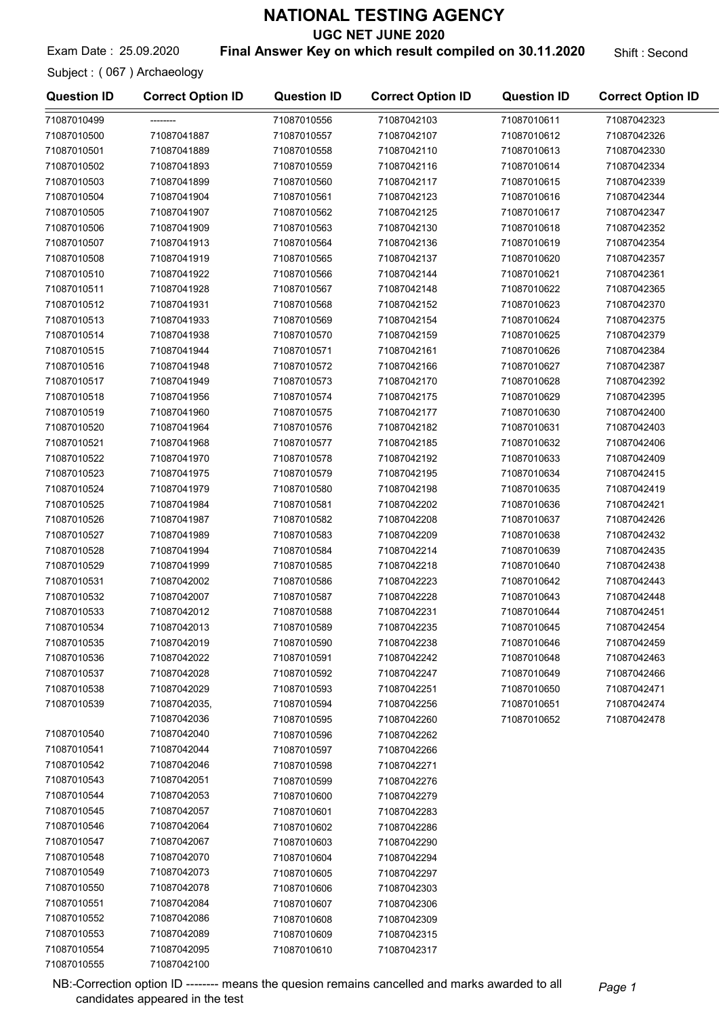UGC NET JUNE 2020

Exam Date : 25.09.2020 **Final Answer Key on which result compiled on 30.11.2020** Shift : Second

Subject : ( 067 ) Archaeology

71087010555 71087042100

| <b>Question ID</b> | <b>Correct Option ID</b> | <b>Question ID</b> | <b>Correct Option ID</b> | <b>Question ID</b> | <b>Correct Option ID</b> |
|--------------------|--------------------------|--------------------|--------------------------|--------------------|--------------------------|
| 71087010499        |                          | 71087010556        | 71087042103              | 71087010611        | 71087042323              |
| 71087010500        | 71087041887              | 71087010557        | 71087042107              | 71087010612        | 71087042326              |
| 71087010501        | 71087041889              | 71087010558        | 71087042110              | 71087010613        | 71087042330              |
| 71087010502        | 71087041893              | 71087010559        | 71087042116              | 71087010614        | 71087042334              |
| 71087010503        | 71087041899              | 71087010560        | 71087042117              | 71087010615        | 71087042339              |
| 71087010504        | 71087041904              | 71087010561        | 71087042123              | 71087010616        | 71087042344              |
| 71087010505        | 71087041907              | 71087010562        | 71087042125              | 71087010617        | 71087042347              |
| 71087010506        | 71087041909              | 71087010563        | 71087042130              | 71087010618        | 71087042352              |
| 71087010507        | 71087041913              | 71087010564        | 71087042136              | 71087010619        | 71087042354              |
| 71087010508        | 71087041919              | 71087010565        | 71087042137              | 71087010620        | 71087042357              |
| 71087010510        | 71087041922              | 71087010566        | 71087042144              | 71087010621        | 71087042361              |
| 71087010511        | 71087041928              | 71087010567        | 71087042148              | 71087010622        | 71087042365              |
| 71087010512        | 71087041931              | 71087010568        | 71087042152              | 71087010623        | 71087042370              |
| 71087010513        | 71087041933              | 71087010569        | 71087042154              | 71087010624        | 71087042375              |
| 71087010514        | 71087041938              | 71087010570        | 71087042159              | 71087010625        | 71087042379              |
| 71087010515        | 71087041944              | 71087010571        | 71087042161              | 71087010626        | 71087042384              |
| 71087010516        | 71087041948              | 71087010572        | 71087042166              | 71087010627        | 71087042387              |
| 71087010517        | 71087041949              | 71087010573        | 71087042170              | 71087010628        | 71087042392              |
| 71087010518        | 71087041956              | 71087010574        | 71087042175              | 71087010629        | 71087042395              |
| 71087010519        | 71087041960              | 71087010575        | 71087042177              | 71087010630        | 71087042400              |
| 71087010520        | 71087041964              | 71087010576        | 71087042182              | 71087010631        | 71087042403              |
|                    |                          |                    |                          |                    |                          |
| 71087010521        | 71087041968              | 71087010577        | 71087042185              | 71087010632        | 71087042406              |
| 71087010522        | 71087041970              | 71087010578        | 71087042192              | 71087010633        | 71087042409              |
| 71087010523        | 71087041975              | 71087010579        | 71087042195              | 71087010634        | 71087042415              |
| 71087010524        | 71087041979              | 71087010580        | 71087042198              | 71087010635        | 71087042419              |
| 71087010525        | 71087041984              | 71087010581        | 71087042202              | 71087010636        | 71087042421              |
| 71087010526        | 71087041987              | 71087010582        | 71087042208              | 71087010637        | 71087042426              |
| 71087010527        | 71087041989              | 71087010583        | 71087042209              | 71087010638        | 71087042432              |
| 71087010528        | 71087041994              | 71087010584        | 71087042214              | 71087010639        | 71087042435              |
| 71087010529        | 71087041999              | 71087010585        | 71087042218              | 71087010640        | 71087042438              |
| 71087010531        | 71087042002              | 71087010586        | 71087042223              | 71087010642        | 71087042443              |
| 71087010532        | 71087042007              | 71087010587        | 71087042228              | 71087010643        | 71087042448              |
| 71087010533        | 71087042012              | 71087010588        | 71087042231              | 71087010644        | 71087042451              |
| 71087010534        | 71087042013              | 71087010589        | 71087042235              | 71087010645        | 71087042454              |
| 71087010535        | 71087042019              | 71087010590        | 71087042238              | 71087010646        | 71087042459              |
| 71087010536        | 71087042022              | 71087010591        | 71087042242              | 71087010648        | 71087042463              |
| 71087010537        | 71087042028              | 71087010592        | 71087042247              | 71087010649        | 71087042466              |
| 71087010538        | 71087042029              | 71087010593        | 71087042251              | 71087010650        | 71087042471              |
| 71087010539        | 71087042035,             | 71087010594        | 71087042256              | 71087010651        | 71087042474              |
|                    | 71087042036              | 71087010595        | 71087042260              | 71087010652        | 71087042478              |
| 71087010540        | 71087042040              | 71087010596        | 71087042262              |                    |                          |
| 71087010541        | 71087042044              | 71087010597        | 71087042266              |                    |                          |
| 71087010542        | 71087042046              | 71087010598        | 71087042271              |                    |                          |
| 71087010543        | 71087042051              | 71087010599        | 71087042276              |                    |                          |
| 71087010544        | 71087042053              | 71087010600        | 71087042279              |                    |                          |
| 71087010545        | 71087042057              | 71087010601        | 71087042283              |                    |                          |
| 71087010546        | 71087042064              | 71087010602        | 71087042286              |                    |                          |
| 71087010547        | 71087042067              | 71087010603        | 71087042290              |                    |                          |
| 71087010548        | 71087042070              | 71087010604        | 71087042294              |                    |                          |
| 71087010549        | 71087042073              | 71087010605        | 71087042297              |                    |                          |
| 71087010550        | 71087042078              | 71087010606        | 71087042303              |                    |                          |
| 71087010551        | 71087042084              | 71087010607        | 71087042306              |                    |                          |
| 71087010552        | 71087042086              | 71087010608        | 71087042309              |                    |                          |
| 71087010553        | 71087042089              | 71087010609        | 71087042315              |                    |                          |
| 71087010554        | 71087042095              | 71087010610        | 71087042317              |                    |                          |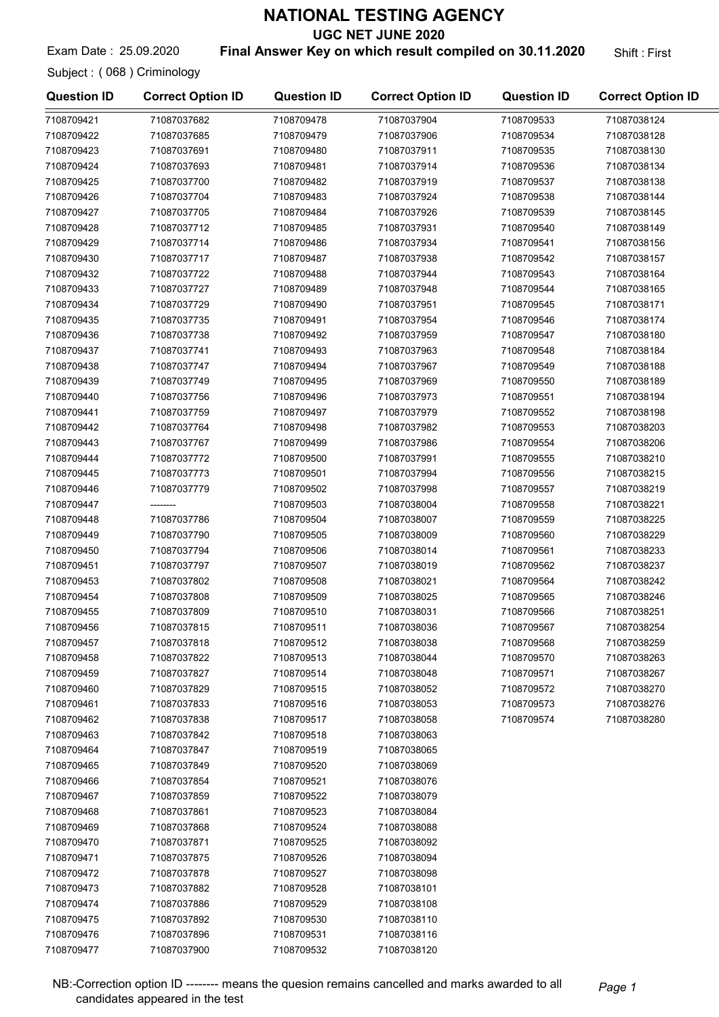UGC NET JUNE 2020

Exam Date: 25.09.2020 **Final Answer Key on which result compiled on 30.11.2020** Shift: First

Subject : ( 068 ) Criminology

| <b>Question ID</b> | <b>Correct Option ID</b> | <b>Question ID</b> | <b>Correct Option ID</b> | <b>Question ID</b> | <b>Correct Option ID</b> |
|--------------------|--------------------------|--------------------|--------------------------|--------------------|--------------------------|
| 7108709421         | 71087037682              | 7108709478         | 71087037904              | 7108709533         | 71087038124              |
| 7108709422         | 71087037685              | 7108709479         | 71087037906              | 7108709534         | 71087038128              |
| 7108709423         | 71087037691              | 7108709480         | 71087037911              | 7108709535         | 71087038130              |
| 7108709424         | 71087037693              | 7108709481         | 71087037914              | 7108709536         | 71087038134              |
| 7108709425         | 71087037700              | 7108709482         | 71087037919              | 7108709537         | 71087038138              |
| 7108709426         | 71087037704              | 7108709483         | 71087037924              | 7108709538         | 71087038144              |
| 7108709427         | 71087037705              | 7108709484         | 71087037926              | 7108709539         | 71087038145              |
| 7108709428         | 71087037712              | 7108709485         | 71087037931              | 7108709540         | 71087038149              |
| 7108709429         | 71087037714              | 7108709486         | 71087037934              | 7108709541         | 71087038156              |
| 7108709430         | 71087037717              | 7108709487         | 71087037938              | 7108709542         | 71087038157              |
| 7108709432         | 71087037722              | 7108709488         | 71087037944              | 7108709543         | 71087038164              |
| 7108709433         | 71087037727              | 7108709489         | 71087037948              | 7108709544         | 71087038165              |
| 7108709434         | 71087037729              | 7108709490         | 71087037951              | 7108709545         | 71087038171              |
| 7108709435         | 71087037735              | 7108709491         | 71087037954              | 7108709546         | 71087038174              |
| 7108709436         | 71087037738              | 7108709492         | 71087037959              | 7108709547         | 71087038180              |
| 7108709437         | 71087037741              | 7108709493         | 71087037963              | 7108709548         | 71087038184              |
| 7108709438         | 71087037747              | 7108709494         | 71087037967              | 7108709549         | 71087038188              |
| 7108709439         | 71087037749              | 7108709495         | 71087037969              | 7108709550         | 71087038189              |
| 7108709440         | 71087037756              | 7108709496         | 71087037973              | 7108709551         | 71087038194              |
| 7108709441         | 71087037759              | 7108709497         | 71087037979              | 7108709552         | 71087038198              |
| 7108709442         | 71087037764              | 7108709498         | 71087037982              | 7108709553         | 71087038203              |
| 7108709443         | 71087037767              | 7108709499         | 71087037986              | 7108709554         | 71087038206              |
| 7108709444         | 71087037772              | 7108709500         | 71087037991              | 7108709555         | 71087038210              |
| 7108709445         | 71087037773              | 7108709501         | 71087037994              | 7108709556         | 71087038215              |
| 7108709446         | 71087037779              | 7108709502         | 71087037998              | 7108709557         | 71087038219              |
| 7108709447         | ----                     | 7108709503         | 71087038004              | 7108709558         | 71087038221              |
| 7108709448         | 71087037786              | 7108709504         | 71087038007              | 7108709559         | 71087038225              |
| 7108709449         | 71087037790              | 7108709505         | 71087038009              | 7108709560         | 71087038229              |
| 7108709450         | 71087037794              | 7108709506         | 71087038014              | 7108709561         | 71087038233              |
| 7108709451         | 71087037797              | 7108709507         | 71087038019              | 7108709562         | 71087038237              |
| 7108709453         | 71087037802              | 7108709508         | 71087038021              | 7108709564         | 71087038242              |
| 7108709454         | 71087037808              | 7108709509         | 71087038025              | 7108709565         | 71087038246              |
| 7108709455         | 71087037809              | 7108709510         | 71087038031              | 7108709566         | 71087038251              |
| 7108709456         | 71087037815              | 7108709511         | 71087038036              | 7108709567         | 71087038254              |
| 7108709457         | 71087037818              | 7108709512         | 71087038038              | 7108709568         | 71087038259              |
| 7108709458         | 71087037822              | 7108709513         | 71087038044              | 7108709570         | 71087038263              |
| 7108709459         | 71087037827              | 7108709514         | 71087038048              | 7108709571         | 71087038267              |
| 7108709460         | 71087037829              | 7108709515         | 71087038052              | 7108709572         | 71087038270              |
| 7108709461         | 71087037833              | 7108709516         | 71087038053              | 7108709573         | 71087038276              |
| 7108709462         | 71087037838              | 7108709517         | 71087038058              | 7108709574         | 71087038280              |
| 7108709463         | 71087037842              | 7108709518         | 71087038063              |                    |                          |
| 7108709464         | 71087037847              | 7108709519         | 71087038065              |                    |                          |
| 7108709465         | 71087037849              | 7108709520         | 71087038069              |                    |                          |
| 7108709466         | 71087037854              | 7108709521         | 71087038076              |                    |                          |
| 7108709467         | 71087037859              | 7108709522         | 71087038079              |                    |                          |
| 7108709468         | 71087037861              | 7108709523         | 71087038084              |                    |                          |
| 7108709469         | 71087037868              | 7108709524         | 71087038088              |                    |                          |
| 7108709470         | 71087037871              | 7108709525         | 71087038092              |                    |                          |
| 7108709471         | 71087037875              | 7108709526         | 71087038094              |                    |                          |
| 7108709472         | 71087037878              | 7108709527         | 71087038098              |                    |                          |
| 7108709473         | 71087037882              | 7108709528         | 71087038101              |                    |                          |
| 7108709474         | 71087037886              | 7108709529         | 71087038108              |                    |                          |
| 7108709475         | 71087037892              | 7108709530         | 71087038110              |                    |                          |
| 7108709476         | 71087037896              | 7108709531         | 71087038116              |                    |                          |
| 7108709477         | 71087037900              | 7108709532         | 71087038120              |                    |                          |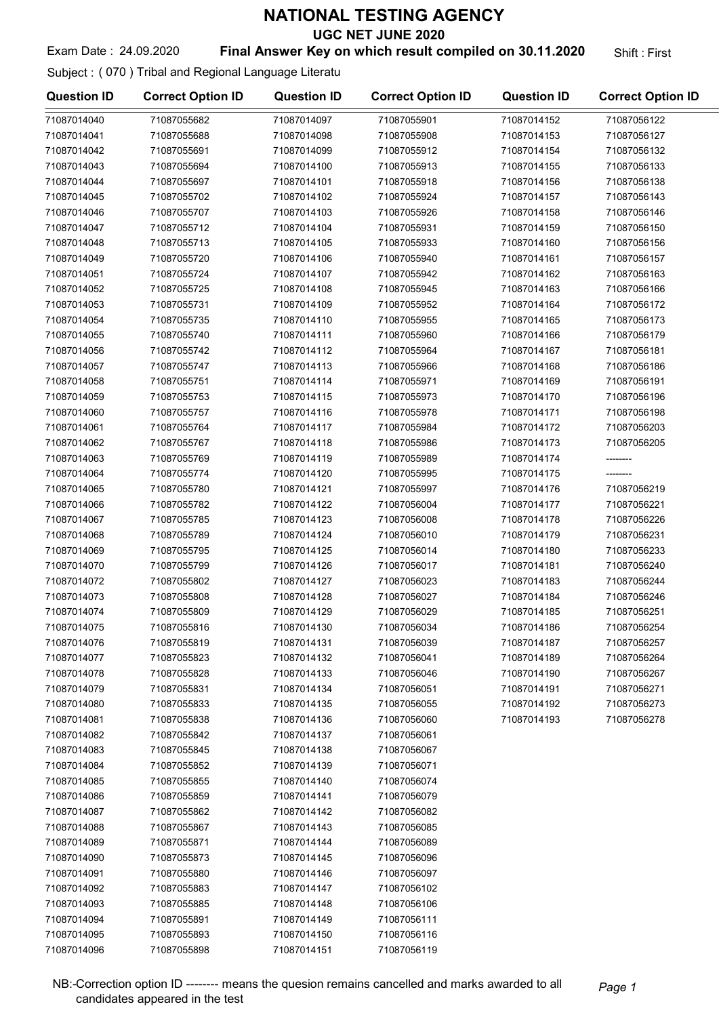UGC NET JUNE 2020

#### Exam Date: 24.09.2020 **Final Answer Key on which result compiled on 30.11.2020** Shift: First

#### Subject : ( 070 ) Tribal and Regional Language Literatu

| <b>Question ID</b> | <b>Correct Option ID</b> | <b>Question ID</b> | <b>Correct Option ID</b> | <b>Question ID</b> | <b>Correct Option ID</b> |
|--------------------|--------------------------|--------------------|--------------------------|--------------------|--------------------------|
| 71087014040        | 71087055682              | 71087014097        | 71087055901              | 71087014152        | 71087056122              |
| 71087014041        | 71087055688              | 71087014098        | 71087055908              | 71087014153        | 71087056127              |
| 71087014042        | 71087055691              | 71087014099        | 71087055912              | 71087014154        | 71087056132              |
| 71087014043        | 71087055694              | 71087014100        | 71087055913              | 71087014155        | 71087056133              |
| 71087014044        | 71087055697              | 71087014101        | 71087055918              | 71087014156        | 71087056138              |
| 71087014045        | 71087055702              | 71087014102        | 71087055924              | 71087014157        | 71087056143              |
| 71087014046        | 71087055707              | 71087014103        | 71087055926              | 71087014158        | 71087056146              |
| 71087014047        | 71087055712              | 71087014104        | 71087055931              | 71087014159        | 71087056150              |
| 71087014048        | 71087055713              | 71087014105        | 71087055933              | 71087014160        | 71087056156              |
| 71087014049        | 71087055720              | 71087014106        | 71087055940              | 71087014161        | 71087056157              |
| 71087014051        | 71087055724              | 71087014107        | 71087055942              | 71087014162        | 71087056163              |
| 71087014052        | 71087055725              | 71087014108        | 71087055945              | 71087014163        | 71087056166              |
| 71087014053        | 71087055731              | 71087014109        | 71087055952              | 71087014164        | 71087056172              |
| 71087014054        | 71087055735              | 71087014110        | 71087055955              | 71087014165        | 71087056173              |
| 71087014055        | 71087055740              | 71087014111        | 71087055960              | 71087014166        | 71087056179              |
| 71087014056        | 71087055742              | 71087014112        | 71087055964              | 71087014167        | 71087056181              |
| 71087014057        | 71087055747              | 71087014113        | 71087055966              | 71087014168        | 71087056186              |
| 71087014058        | 71087055751              | 71087014114        | 71087055971              | 71087014169        | 71087056191              |
| 71087014059        | 71087055753              | 71087014115        | 71087055973              | 71087014170        | 71087056196              |
| 71087014060        | 71087055757              | 71087014116        | 71087055978              | 71087014171        | 71087056198              |
| 71087014061        | 71087055764              | 71087014117        | 71087055984              | 71087014172        | 71087056203              |
| 71087014062        | 71087055767              | 71087014118        | 71087055986              | 71087014173        | 71087056205              |
| 71087014063        | 71087055769              | 71087014119        | 71087055989              | 71087014174        |                          |
| 71087014064        | 71087055774              | 71087014120        | 71087055995              | 71087014175        |                          |
| 71087014065        | 71087055780              | 71087014121        | 71087055997              | 71087014176        | 71087056219              |
| 71087014066        | 71087055782              | 71087014122        | 71087056004              | 71087014177        | 71087056221              |
| 71087014067        | 71087055785              | 71087014123        | 71087056008              | 71087014178        | 71087056226              |
| 71087014068        | 71087055789              | 71087014124        | 71087056010              | 71087014179        | 71087056231              |
| 71087014069        | 71087055795              | 71087014125        | 71087056014              | 71087014180        | 71087056233              |
| 71087014070        | 71087055799              | 71087014126        | 71087056017              | 71087014181        | 71087056240              |
| 71087014072        | 71087055802              | 71087014127        | 71087056023              | 71087014183        | 71087056244              |
| 71087014073        | 71087055808              | 71087014128        | 71087056027              | 71087014184        | 71087056246              |
| 71087014074        | 71087055809              | 71087014129        | 71087056029              | 71087014185        | 71087056251              |
| 71087014075        | 71087055816              | 71087014130        | 71087056034              | 71087014186        | 71087056254              |
| 71087014076        | 71087055819              | 71087014131        | 71087056039              | 71087014187        | 71087056257              |
| 71087014077        | 71087055823              | 71087014132        | 71087056041              | 71087014189        | 71087056264              |
| 71087014078        | 71087055828              | 71087014133        | 71087056046              | 71087014190        | 71087056267              |
| 71087014079        | 71087055831              | 71087014134        | 71087056051              | 71087014191        | 71087056271              |
| 71087014080        | 71087055833              | 71087014135        | 71087056055              | 71087014192        | 71087056273              |
| 71087014081        | 71087055838              | 71087014136        | 71087056060              | 71087014193        | 71087056278              |
| 71087014082        | 71087055842              | 71087014137        | 71087056061              |                    |                          |
| 71087014083        | 71087055845              | 71087014138        | 71087056067              |                    |                          |
| 71087014084        | 71087055852              | 71087014139        | 71087056071              |                    |                          |
| 71087014085        | 71087055855              | 71087014140        | 71087056074              |                    |                          |
| 71087014086        | 71087055859              | 71087014141        | 71087056079              |                    |                          |
| 71087014087        | 71087055862              | 71087014142        | 71087056082              |                    |                          |
| 71087014088        | 71087055867              | 71087014143        | 71087056085              |                    |                          |
| 71087014089        | 71087055871              | 71087014144        | 71087056089              |                    |                          |
| 71087014090        | 71087055873              | 71087014145        | 71087056096              |                    |                          |
| 71087014091        | 71087055880              | 71087014146        | 71087056097              |                    |                          |
| 71087014092        | 71087055883              | 71087014147        | 71087056102              |                    |                          |
| 71087014093        | 71087055885              | 71087014148        | 71087056106              |                    |                          |
| 71087014094        | 71087055891              | 71087014149        | 71087056111              |                    |                          |
| 71087014095        | 71087055893              | 71087014150        | 71087056116              |                    |                          |
| 71087014096        | 71087055898              | 71087014151        | 71087056119              |                    |                          |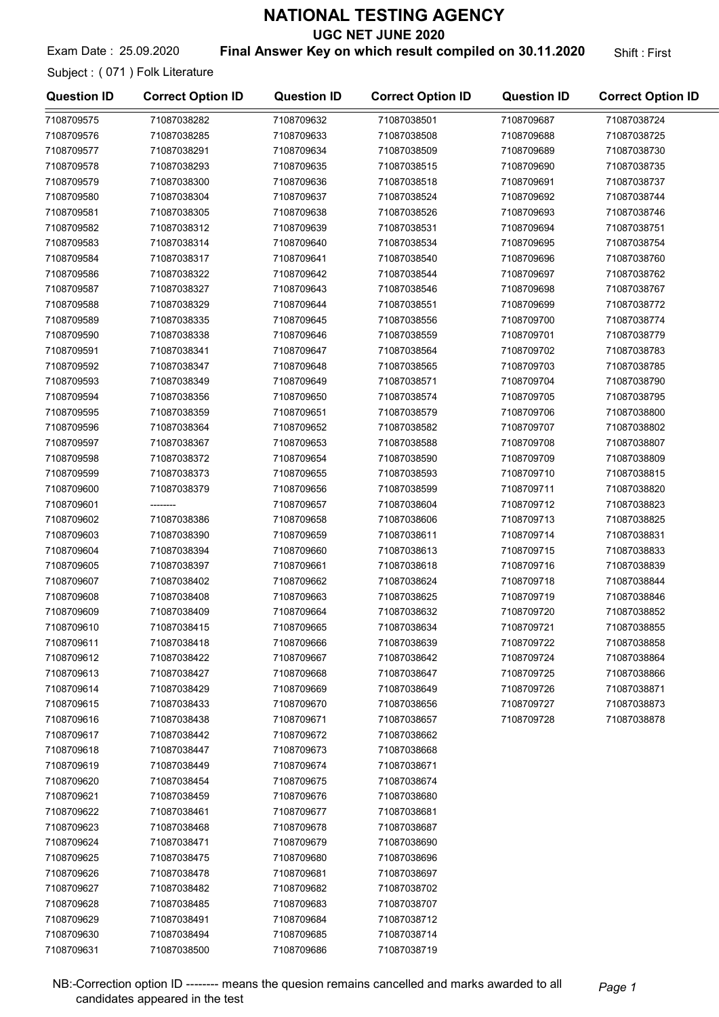UGC NET JUNE 2020

#### Exam Date: 25.09.2020 **Final Answer Key on which result compiled on 30.11.2020** Shift: First

Subject : ( 071 ) Folk Literature

| <b>Question ID</b> | <b>Correct Option ID</b> | <b>Question ID</b> | <b>Correct Option ID</b> | <b>Question ID</b> | <b>Correct Option ID</b> |
|--------------------|--------------------------|--------------------|--------------------------|--------------------|--------------------------|
| 7108709575         | 71087038282              | 7108709632         | 71087038501              | 7108709687         | 71087038724              |
| 7108709576         | 71087038285              | 7108709633         | 71087038508              | 7108709688         | 71087038725              |
| 7108709577         | 71087038291              | 7108709634         | 71087038509              | 7108709689         | 71087038730              |
| 7108709578         | 71087038293              | 7108709635         | 71087038515              | 7108709690         | 71087038735              |
| 7108709579         | 71087038300              | 7108709636         | 71087038518              | 7108709691         | 71087038737              |
| 7108709580         | 71087038304              | 7108709637         | 71087038524              | 7108709692         | 71087038744              |
| 7108709581         | 71087038305              | 7108709638         | 71087038526              | 7108709693         | 71087038746              |
| 7108709582         | 71087038312              | 7108709639         | 71087038531              | 7108709694         | 71087038751              |
| 7108709583         | 71087038314              | 7108709640         | 71087038534              | 7108709695         | 71087038754              |
| 7108709584         | 71087038317              | 7108709641         | 71087038540              | 7108709696         | 71087038760              |
| 7108709586         | 71087038322              | 7108709642         | 71087038544              | 7108709697         | 71087038762              |
| 7108709587         | 71087038327              | 7108709643         | 71087038546              | 7108709698         | 71087038767              |
| 7108709588         | 71087038329              | 7108709644         | 71087038551              | 7108709699         | 71087038772              |
| 7108709589         | 71087038335              | 7108709645         | 71087038556              | 7108709700         | 71087038774              |
| 7108709590         | 71087038338              | 7108709646         | 71087038559              | 7108709701         | 71087038779              |
| 7108709591         | 71087038341              | 7108709647         | 71087038564              | 7108709702         | 71087038783              |
| 7108709592         | 71087038347              | 7108709648         | 71087038565              | 7108709703         | 71087038785              |
| 7108709593         | 71087038349              | 7108709649         | 71087038571              | 7108709704         | 71087038790              |
| 7108709594         | 71087038356              | 7108709650         | 71087038574              | 7108709705         | 71087038795              |
| 7108709595         | 71087038359              | 7108709651         | 71087038579              | 7108709706         | 71087038800              |
| 7108709596         | 71087038364              | 7108709652         | 71087038582              | 7108709707         | 71087038802              |
| 7108709597         | 71087038367              | 7108709653         | 71087038588              | 7108709708         | 71087038807              |
| 7108709598         | 71087038372              | 7108709654         | 71087038590              | 7108709709         | 71087038809              |
| 7108709599         | 71087038373              | 7108709655         | 71087038593              | 7108709710         | 71087038815              |
| 7108709600         | 71087038379              | 7108709656         | 71087038599              | 7108709711         | 71087038820              |
| 7108709601         |                          | 7108709657         | 71087038604              | 7108709712         | 71087038823              |
| 7108709602         | 71087038386              | 7108709658         | 71087038606              | 7108709713         | 71087038825              |
| 7108709603         | 71087038390              | 7108709659         | 71087038611              | 7108709714         | 71087038831              |
| 7108709604         | 71087038394              | 7108709660         | 71087038613              | 7108709715         | 71087038833              |
| 7108709605         | 71087038397              | 7108709661         | 71087038618              | 7108709716         | 71087038839              |
| 7108709607         | 71087038402              | 7108709662         | 71087038624              | 7108709718         | 71087038844              |
| 7108709608         | 71087038408              | 7108709663         | 71087038625              | 7108709719         | 71087038846              |
| 7108709609         | 71087038409              | 7108709664         | 71087038632              | 7108709720         | 71087038852              |
| 7108709610         | 71087038415              | 7108709665         | 71087038634              | 7108709721         | 71087038855              |
| 7108709611         | 71087038418              | 7108709666         | 71087038639              | 7108709722         | 71087038858              |
| 7108709612         | 71087038422              | 7108709667         | 71087038642              | 7108709724         | 71087038864              |
| 7108709613         | 71087038427              | 7108709668         | 71087038647              | 7108709725         | 71087038866              |
| 7108709614         | 71087038429              | 7108709669         | 71087038649              | 7108709726         | 71087038871              |
| 7108709615         | 71087038433              | 7108709670         | 71087038656              | 7108709727         | 71087038873              |
| 7108709616         | 71087038438              | 7108709671         | 71087038657              | 7108709728         | 71087038878              |
| 7108709617         | 71087038442              | 7108709672         | 71087038662              |                    |                          |
| 7108709618         | 71087038447              | 7108709673         | 71087038668              |                    |                          |
| 7108709619         | 71087038449              | 7108709674         | 71087038671              |                    |                          |
| 7108709620         | 71087038454              | 7108709675         | 71087038674              |                    |                          |
| 7108709621         | 71087038459              | 7108709676         | 71087038680              |                    |                          |
| 7108709622         | 71087038461              | 7108709677         | 71087038681              |                    |                          |
| 7108709623         | 71087038468              | 7108709678         | 71087038687              |                    |                          |
| 7108709624         | 71087038471              | 7108709679         | 71087038690              |                    |                          |
| 7108709625         | 71087038475              | 7108709680         | 71087038696              |                    |                          |
| 7108709626         | 71087038478              | 7108709681         | 71087038697              |                    |                          |
| 7108709627         | 71087038482              | 7108709682         | 71087038702              |                    |                          |
| 7108709628         | 71087038485              | 7108709683         | 71087038707              |                    |                          |
| 7108709629         | 71087038491              | 7108709684         | 71087038712              |                    |                          |
| 7108709630         | 71087038494              | 7108709685         | 71087038714              |                    |                          |
| 7108709631         | 71087038500              | 7108709686         | 71087038719              |                    |                          |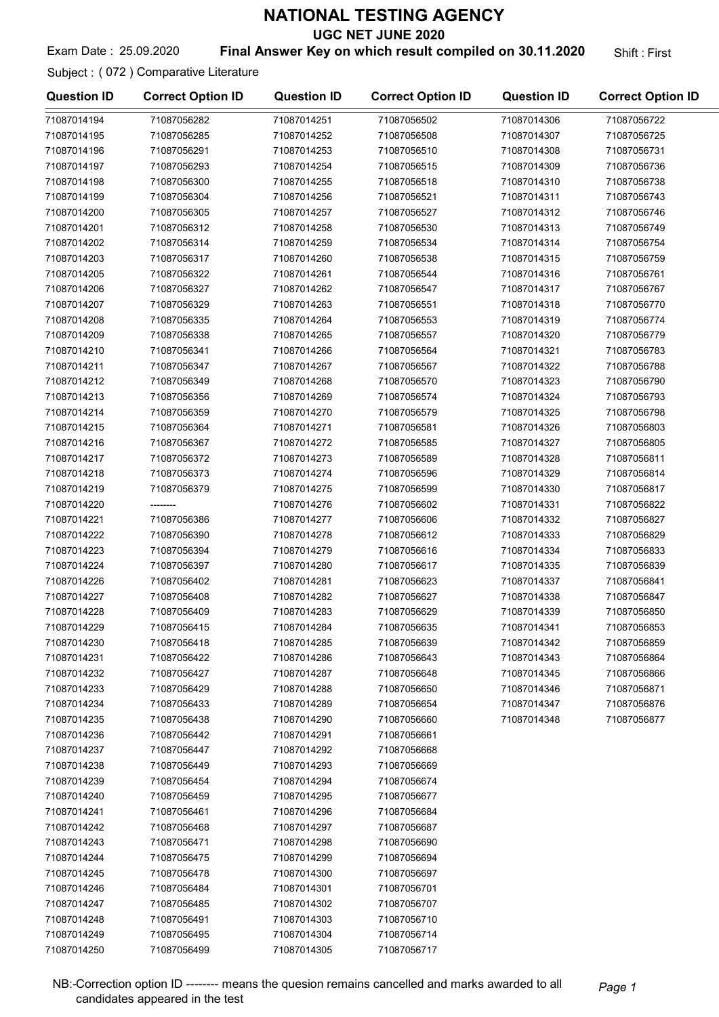UGC NET JUNE 2020

#### Exam Date: 25.09.2020 **Final Answer Key on which result compiled on 30.11.2020** Shift: First

Subject : ( 072 ) Comparative Literature

| <b>Question ID</b> | <b>Correct Option ID</b> | <b>Question ID</b> | <b>Correct Option ID</b> | <b>Question ID</b> | <b>Correct Option ID</b> |
|--------------------|--------------------------|--------------------|--------------------------|--------------------|--------------------------|
| 71087014194        | 71087056282              | 71087014251        | 71087056502              | 71087014306        | 71087056722              |
| 71087014195        | 71087056285              | 71087014252        | 71087056508              | 71087014307        | 71087056725              |
| 71087014196        | 71087056291              | 71087014253        | 71087056510              | 71087014308        | 71087056731              |
| 71087014197        | 71087056293              | 71087014254        | 71087056515              | 71087014309        | 71087056736              |
| 71087014198        | 71087056300              | 71087014255        | 71087056518              | 71087014310        | 71087056738              |
| 71087014199        | 71087056304              | 71087014256        | 71087056521              | 71087014311        | 71087056743              |
| 71087014200        | 71087056305              | 71087014257        | 71087056527              | 71087014312        | 71087056746              |
| 71087014201        | 71087056312              | 71087014258        | 71087056530              | 71087014313        | 71087056749              |
| 71087014202        | 71087056314              | 71087014259        | 71087056534              | 71087014314        | 71087056754              |
| 71087014203        | 71087056317              | 71087014260        | 71087056538              | 71087014315        | 71087056759              |
| 71087014205        | 71087056322              | 71087014261        | 71087056544              | 71087014316        | 71087056761              |
| 71087014206        | 71087056327              | 71087014262        | 71087056547              | 71087014317        | 71087056767              |
| 71087014207        | 71087056329              | 71087014263        | 71087056551              | 71087014318        | 71087056770              |
| 71087014208        | 71087056335              | 71087014264        | 71087056553              | 71087014319        | 71087056774              |
| 71087014209        | 71087056338              | 71087014265        | 71087056557              | 71087014320        | 71087056779              |
| 71087014210        | 71087056341              | 71087014266        | 71087056564              | 71087014321        | 71087056783              |
| 71087014211        | 71087056347              | 71087014267        | 71087056567              | 71087014322        | 71087056788              |
| 71087014212        | 71087056349              | 71087014268        | 71087056570              | 71087014323        | 71087056790              |
| 71087014213        | 71087056356              | 71087014269        | 71087056574              | 71087014324        | 71087056793              |
| 71087014214        | 71087056359              | 71087014270        | 71087056579              | 71087014325        | 71087056798              |
| 71087014215        | 71087056364              | 71087014271        | 71087056581              | 71087014326        | 71087056803              |
| 71087014216        | 71087056367              | 71087014272        | 71087056585              | 71087014327        | 71087056805              |
| 71087014217        | 71087056372              | 71087014273        | 71087056589              | 71087014328        | 71087056811              |
| 71087014218        | 71087056373              | 71087014274        | 71087056596              | 71087014329        | 71087056814              |
| 71087014219        | 71087056379              | 71087014275        | 71087056599              | 71087014330        | 71087056817              |
| 71087014220        |                          | 71087014276        | 71087056602              | 71087014331        | 71087056822              |
| 71087014221        | 71087056386              | 71087014277        | 71087056606              | 71087014332        | 71087056827              |
| 71087014222        | 71087056390              | 71087014278        | 71087056612              | 71087014333        | 71087056829              |
| 71087014223        | 71087056394              | 71087014279        | 71087056616              | 71087014334        | 71087056833              |
| 71087014224        | 71087056397              | 71087014280        | 71087056617              | 71087014335        | 71087056839              |
| 71087014226        | 71087056402              | 71087014281        | 71087056623              | 71087014337        | 71087056841              |
| 71087014227        | 71087056408              | 71087014282        | 71087056627              | 71087014338        | 71087056847              |
| 71087014228        | 71087056409              | 71087014283        | 71087056629              | 71087014339        | 71087056850              |
| 71087014229        | 71087056415              | 71087014284        | 71087056635              | 71087014341        | 71087056853              |
| 71087014230        | 71087056418              | 71087014285        | 71087056639              | 71087014342        | 71087056859              |
| 71087014231        | 71087056422              | 71087014286        | 71087056643              | 71087014343        | 71087056864              |
| 71087014232        | 71087056427              | 71087014287        | 71087056648              | 71087014345        | 71087056866              |
| 71087014233        | 71087056429              | 71087014288        | 71087056650              | 71087014346        | 71087056871              |
| 71087014234        | 71087056433              | 71087014289        | 71087056654              | 71087014347        | 71087056876              |
| 71087014235        | 71087056438              | 71087014290        | 71087056660              | 71087014348        | 71087056877              |
| 71087014236        | 71087056442              | 71087014291        | 71087056661              |                    |                          |
| 71087014237        | 71087056447              | 71087014292        | 71087056668              |                    |                          |
| 71087014238        | 71087056449              | 71087014293        | 71087056669              |                    |                          |
| 71087014239        | 71087056454              | 71087014294        | 71087056674              |                    |                          |
| 71087014240        | 71087056459              | 71087014295        | 71087056677              |                    |                          |
| 71087014241        | 71087056461              | 71087014296        | 71087056684              |                    |                          |
| 71087014242        | 71087056468              | 71087014297        | 71087056687              |                    |                          |
| 71087014243        | 71087056471              | 71087014298        | 71087056690              |                    |                          |
| 71087014244        | 71087056475              | 71087014299        | 71087056694              |                    |                          |
| 71087014245        | 71087056478              | 71087014300        | 71087056697              |                    |                          |
| 71087014246        | 71087056484              | 71087014301        | 71087056701              |                    |                          |
| 71087014247        | 71087056485              | 71087014302        | 71087056707              |                    |                          |
| 71087014248        | 71087056491              | 71087014303        | 71087056710              |                    |                          |
| 71087014249        | 71087056495              | 71087014304        | 71087056714              |                    |                          |
| 71087014250        | 71087056499              | 71087014305        | 71087056717              |                    |                          |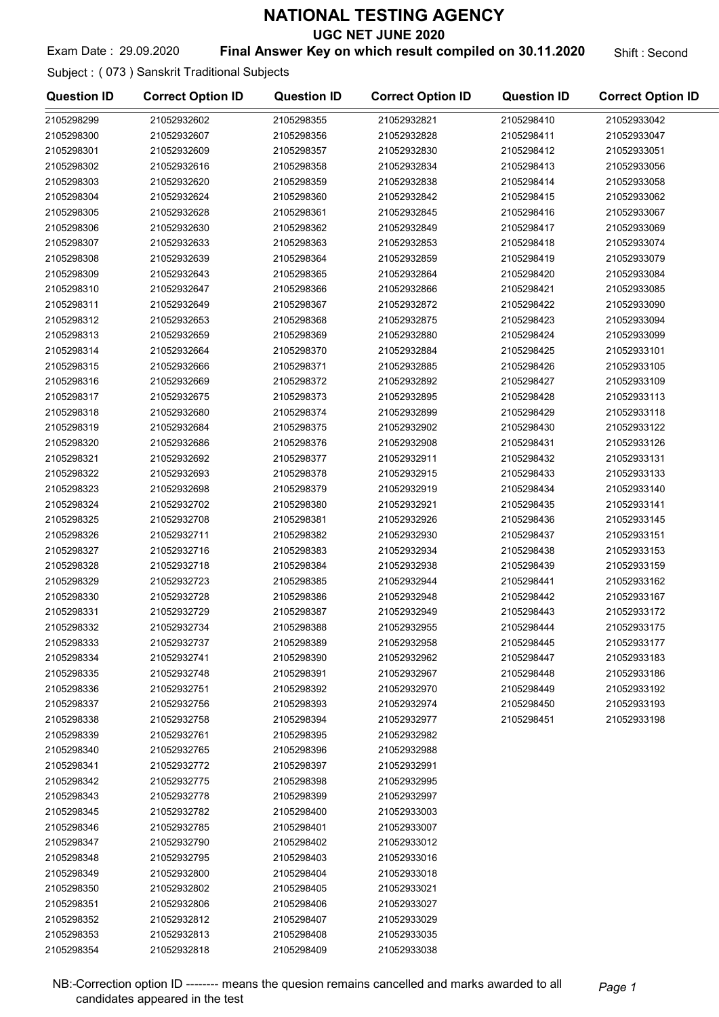UGC NET JUNE 2020

Exam Date: 29.09.2020 **Final Answer Key on which result compiled on 30.11.2020** Shift : Second

Subject : ( 073 ) Sanskrit Traditional Subjects

| <b>Question ID</b> | <b>Correct Option ID</b> | <b>Question ID</b>       | <b>Correct Option ID</b> | <b>Question ID</b> | <b>Correct Option ID</b>   |
|--------------------|--------------------------|--------------------------|--------------------------|--------------------|----------------------------|
| 2105298299         | 21052932602              | 2105298355               | 21052932821              | 2105298410         | 21052933042                |
| 2105298300         | 21052932607              | 2105298356               | 21052932828              | 2105298411         | 21052933047                |
| 2105298301         | 21052932609              | 2105298357               | 21052932830              | 2105298412         | 21052933051                |
| 2105298302         | 21052932616              | 2105298358               | 21052932834              | 2105298413         | 21052933056                |
| 2105298303         | 21052932620              | 2105298359               | 21052932838              | 2105298414         | 21052933058                |
| 2105298304         | 21052932624              | 2105298360               | 21052932842              | 2105298415         | 21052933062                |
| 2105298305         | 21052932628              | 2105298361               | 21052932845              | 2105298416         | 21052933067                |
| 2105298306         | 21052932630              | 2105298362               | 21052932849              | 2105298417         | 21052933069                |
| 2105298307         | 21052932633              | 2105298363               | 21052932853              | 2105298418         | 21052933074                |
| 2105298308         | 21052932639              | 2105298364               | 21052932859              | 2105298419         | 21052933079                |
| 2105298309         | 21052932643              | 2105298365               | 21052932864              | 2105298420         | 21052933084                |
| 2105298310         | 21052932647              | 2105298366               | 21052932866              | 2105298421         | 21052933085                |
| 2105298311         | 21052932649              | 2105298367               | 21052932872              | 2105298422         | 21052933090                |
| 2105298312         | 21052932653              | 2105298368               | 21052932875              | 2105298423         | 21052933094                |
| 2105298313         | 21052932659              | 2105298369               | 21052932880              | 2105298424         | 21052933099                |
| 2105298314         | 21052932664              | 2105298370               | 21052932884              | 2105298425         | 21052933101                |
| 2105298315         | 21052932666              | 2105298371               | 21052932885              | 2105298426         | 21052933105                |
| 2105298316         | 21052932669              | 2105298372               | 21052932892              | 2105298427         | 21052933109                |
| 2105298317         | 21052932675              | 2105298373               | 21052932895              | 2105298428         | 21052933113                |
| 2105298318         | 21052932680              | 2105298374               | 21052932899              | 2105298429         | 21052933118                |
| 2105298319         | 21052932684              | 2105298375               | 21052932902              | 2105298430         | 21052933122                |
| 2105298320         | 21052932686              | 2105298376               | 21052932908              | 2105298431         | 21052933126                |
| 2105298321         | 21052932692              | 2105298377               | 21052932911              | 2105298432         | 21052933131                |
| 2105298322         | 21052932693              | 2105298378               | 21052932915              | 2105298433         | 21052933133                |
| 2105298323         | 21052932698              | 2105298379               | 21052932919              | 2105298434         | 21052933140                |
| 2105298324         | 21052932702              | 2105298380               | 21052932921              | 2105298435         | 21052933141                |
| 2105298325         | 21052932708              | 2105298381               | 21052932926              | 2105298436         | 21052933145                |
| 2105298326         | 21052932711              | 2105298382               | 21052932930              | 2105298437         | 21052933151                |
| 2105298327         | 21052932716              | 2105298383               | 21052932934              | 2105298438         | 21052933153                |
| 2105298328         | 21052932718              | 2105298384               | 21052932938              | 2105298439         | 21052933159                |
| 2105298329         | 21052932723              | 2105298385               | 21052932944              | 2105298441         | 21052933162                |
| 2105298330         | 21052932728              | 2105298386               | 21052932948              | 2105298442         | 21052933167                |
| 2105298331         | 21052932729              | 2105298387               | 21052932949              | 2105298443         | 21052933172                |
| 2105298332         | 21052932734              | 2105298388               | 21052932955              | 2105298444         | 21052933175                |
| 2105298333         | 21052932737              |                          | 21052932958              | 2105298445         |                            |
|                    |                          | 2105298389<br>2105298390 |                          | 2105298447         | 21052933177                |
| 2105298334         | 21052932741              |                          | 21052932962              |                    | 21052933183<br>21052933186 |
| 2105298335         | 21052932748              | 2105298391               | 21052932967              | 2105298448         |                            |
| 2105298336         | 21052932751              | 2105298392               | 21052932970              | 2105298449         | 21052933192                |
| 2105298337         | 21052932756              | 2105298393               | 21052932974              | 2105298450         | 21052933193                |
| 2105298338         | 21052932758              | 2105298394               | 21052932977              | 2105298451         | 21052933198                |
| 2105298339         | 21052932761              | 2105298395               | 21052932982              |                    |                            |
| 2105298340         | 21052932765              | 2105298396               | 21052932988              |                    |                            |
| 2105298341         | 21052932772              | 2105298397               | 21052932991              |                    |                            |
| 2105298342         | 21052932775              | 2105298398               | 21052932995              |                    |                            |
| 2105298343         | 21052932778              | 2105298399               | 21052932997              |                    |                            |
| 2105298345         | 21052932782              | 2105298400               | 21052933003              |                    |                            |
| 2105298346         | 21052932785              | 2105298401               | 21052933007              |                    |                            |
| 2105298347         | 21052932790              | 2105298402               | 21052933012              |                    |                            |
| 2105298348         | 21052932795              | 2105298403               | 21052933016              |                    |                            |
| 2105298349         | 21052932800              | 2105298404               | 21052933018              |                    |                            |
| 2105298350         | 21052932802              | 2105298405               | 21052933021              |                    |                            |
| 2105298351         | 21052932806              | 2105298406               | 21052933027              |                    |                            |
| 2105298352         | 21052932812              | 2105298407               | 21052933029              |                    |                            |
| 2105298353         | 21052932813              | 2105298408               | 21052933035              |                    |                            |
| 2105298354         | 21052932818              | 2105298409               | 21052933038              |                    |                            |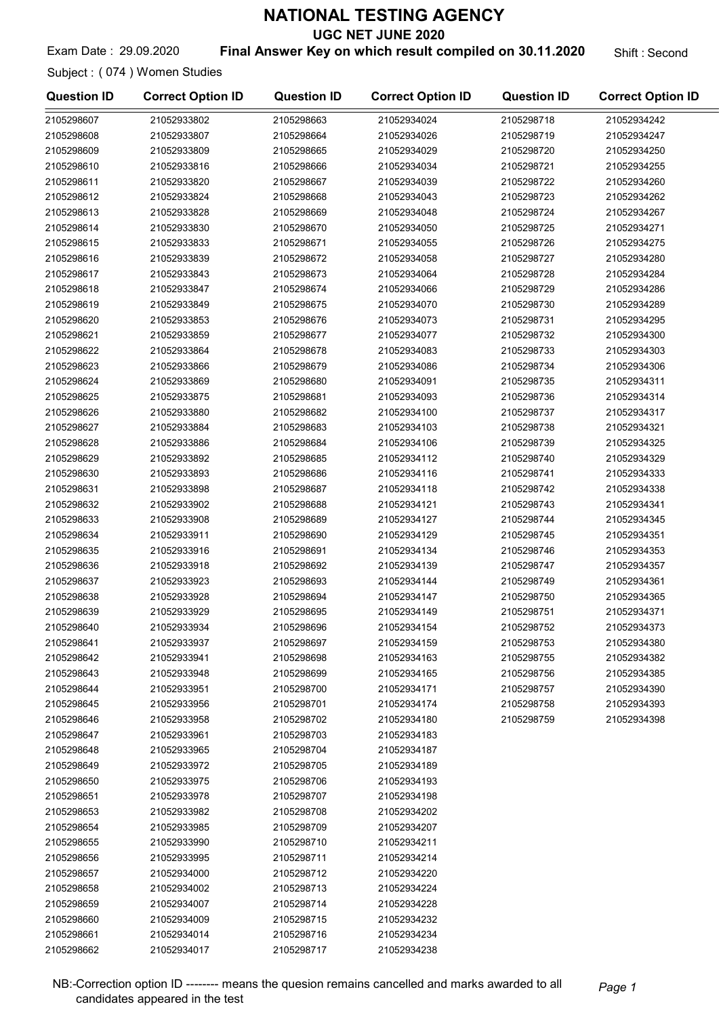UGC NET JUNE 2020

Exam Date: 29.09.2020 **Final Answer Key on which result compiled on 30.11.2020** Shift : Second

Subject : ( 074 ) Women Studies

2105298658 21052934002 2105298659 21052934007 2105298660 21052934009 2105298661 21052934014 2105298662 21052934017

| <b>Question ID</b> | <b>Correct Option ID</b> | <b>Question ID</b> | <b>Correct Option ID</b> | <b>Question ID</b> | <b>Correct Option ID</b> |
|--------------------|--------------------------|--------------------|--------------------------|--------------------|--------------------------|
| 2105298607         | 21052933802              | 2105298663         | 21052934024              | 2105298718         | 21052934242              |
| 2105298608         | 21052933807              | 2105298664         | 21052934026              | 2105298719         | 21052934247              |
| 2105298609         | 21052933809              | 2105298665         | 21052934029              | 2105298720         | 21052934250              |
| 2105298610         | 21052933816              | 2105298666         | 21052934034              | 2105298721         | 21052934255              |
| 2105298611         | 21052933820              | 2105298667         | 21052934039              | 2105298722         | 21052934260              |
| 2105298612         | 21052933824              | 2105298668         | 21052934043              | 2105298723         | 21052934262              |
| 2105298613         | 21052933828              | 2105298669         | 21052934048              | 2105298724         | 21052934267              |
| 2105298614         | 21052933830              | 2105298670         | 21052934050              | 2105298725         | 21052934271              |
| 2105298615         | 21052933833              | 2105298671         | 21052934055              | 2105298726         | 21052934275              |
| 2105298616         | 21052933839              | 2105298672         | 21052934058              | 2105298727         | 21052934280              |
| 2105298617         | 21052933843              | 2105298673         | 21052934064              | 2105298728         | 21052934284              |
| 2105298618         | 21052933847              | 2105298674         | 21052934066              | 2105298729         | 21052934286              |
| 2105298619         | 21052933849              | 2105298675         | 21052934070              | 2105298730         | 21052934289              |
| 2105298620         | 21052933853              | 2105298676         | 21052934073              | 2105298731         | 21052934295              |
| 2105298621         | 21052933859              | 2105298677         | 21052934077              | 2105298732         | 21052934300              |
| 2105298622         | 21052933864              | 2105298678         | 21052934083              | 2105298733         | 21052934303              |
| 2105298623         | 21052933866              | 2105298679         | 21052934086              | 2105298734         | 21052934306              |
| 2105298624         | 21052933869              | 2105298680         | 21052934091              | 2105298735         | 21052934311              |
| 2105298625         | 21052933875              | 2105298681         | 21052934093              | 2105298736         | 21052934314              |
| 2105298626         | 21052933880              | 2105298682         | 21052934100              | 2105298737         | 21052934317              |
| 2105298627         | 21052933884              | 2105298683         | 21052934103              | 2105298738         | 21052934321              |
| 2105298628         | 21052933886              | 2105298684         | 21052934106              | 2105298739         | 21052934325              |
| 2105298629         | 21052933892              | 2105298685         | 21052934112              | 2105298740         | 21052934329              |
| 2105298630         | 21052933893              | 2105298686         | 21052934116              | 2105298741         | 21052934333              |
| 2105298631         | 21052933898              | 2105298687         | 21052934118              | 2105298742         | 21052934338              |
| 2105298632         | 21052933902              | 2105298688         | 21052934121              | 2105298743         | 21052934341              |
| 2105298633         | 21052933908              | 2105298689         | 21052934127              | 2105298744         | 21052934345              |
| 2105298634         | 21052933911              | 2105298690         | 21052934129              | 2105298745         | 21052934351              |
| 2105298635         | 21052933916              | 2105298691         | 21052934134              | 2105298746         | 21052934353              |
| 2105298636         | 21052933918              | 2105298692         | 21052934139              | 2105298747         | 21052934357              |
| 2105298637         | 21052933923              | 2105298693         | 21052934144              | 2105298749         | 21052934361              |
| 2105298638         | 21052933928              | 2105298694         | 21052934147              | 2105298750         | 21052934365              |
| 2105298639         | 21052933929              | 2105298695         | 21052934149              | 2105298751         | 21052934371              |
| 2105298640         | 21052933934              | 2105298696         | 21052934154              | 2105298752         | 21052934373              |
| 2105298641         | 21052933937              | 2105298697         | 21052934159              | 2105298753         | 21052934380              |
| 2105298642         | 21052933941              | 2105298698         | 21052934163              | 2105298755         | 21052934382              |
| 2105298643         | 21052933948              | 2105298699         | 21052934165              | 2105298756         | 21052934385              |
| 2105298644         | 21052933951              | 2105298700         | 21052934171              | 2105298757         | 21052934390              |
| 2105298645         | 21052933956              | 2105298701         | 21052934174              | 2105298758         | 21052934393              |
| 2105298646         | 21052933958              | 2105298702         | 21052934180              | 2105298759         | 21052934398              |
| 2105298647         | 21052933961              | 2105298703         | 21052934183              |                    |                          |
| 2105298648         | 21052933965              | 2105298704         | 21052934187              |                    |                          |
| 2105298649         | 21052933972              | 2105298705         | 21052934189              |                    |                          |
| 2105298650         | 21052933975              | 2105298706         | 21052934193              |                    |                          |
| 2105298651         | 21052933978              | 2105298707         | 21052934198              |                    |                          |
| 2105298653         | 21052933982              | 2105298708         | 21052934202              |                    |                          |
| 2105298654         | 21052933985              | 2105298709         | 21052934207              |                    |                          |
| 2105298655         | 21052933990              | 2105298710         | 21052934211              |                    |                          |
| 2105298656         | 21052933995              | 2105298711         | 21052934214              |                    |                          |
| 2105298657         | 21052934000              | 2105298712         | 21052934220              |                    |                          |

2105298713 21052934224 2105298714 21052934228 2105298715 21052934232 2105298716 21052934234 2105298717 21052934238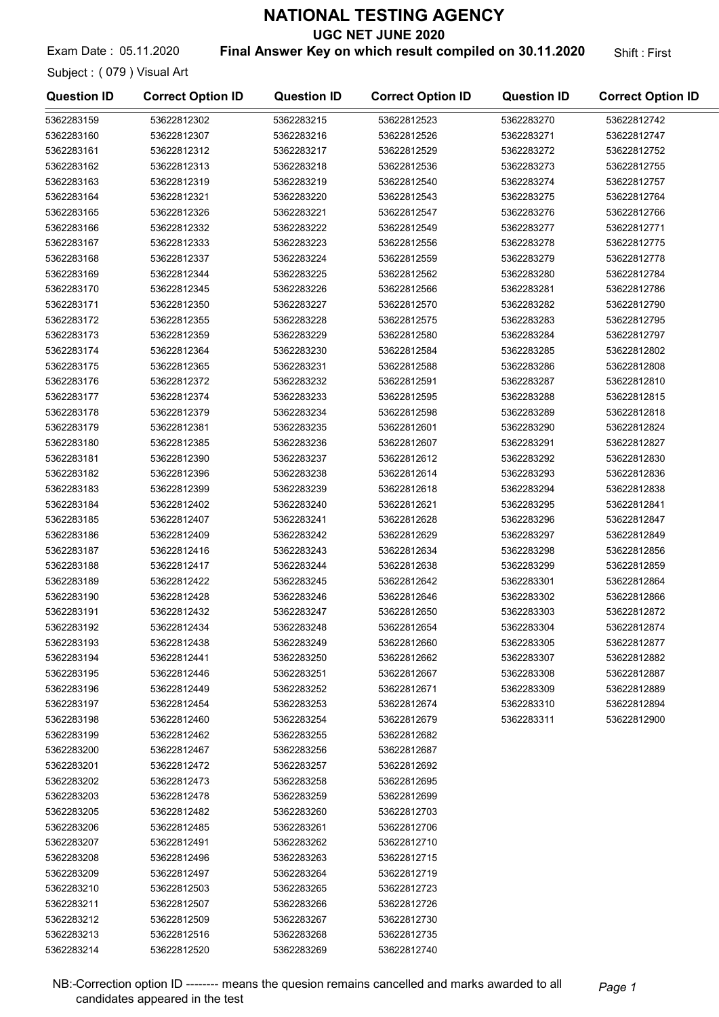UGC NET JUNE 2020

Exam Date: 05.11.2020 **Final Answer Key on which result compiled on 30.11.2020** Shift: First

Subject : ( 079 ) Visual Art

| <b>Question ID</b> | <b>Correct Option ID</b> | <b>Question ID</b> | <b>Correct Option ID</b> | <b>Question ID</b> | <b>Correct Option ID</b> |
|--------------------|--------------------------|--------------------|--------------------------|--------------------|--------------------------|
| 5362283159         | 53622812302              | 5362283215         | 53622812523              | 5362283270         | 53622812742              |
| 5362283160         | 53622812307              | 5362283216         | 53622812526              | 5362283271         | 53622812747              |
| 5362283161         | 53622812312              | 5362283217         | 53622812529              | 5362283272         | 53622812752              |
| 5362283162         | 53622812313              | 5362283218         | 53622812536              | 5362283273         | 53622812755              |
| 5362283163         | 53622812319              | 5362283219         | 53622812540              | 5362283274         | 53622812757              |
| 5362283164         | 53622812321              | 5362283220         | 53622812543              | 5362283275         | 53622812764              |
| 5362283165         | 53622812326              | 5362283221         | 53622812547              | 5362283276         | 53622812766              |
| 5362283166         | 53622812332              | 5362283222         | 53622812549              | 5362283277         | 53622812771              |
| 5362283167         | 53622812333              | 5362283223         | 53622812556              | 5362283278         | 53622812775              |
| 5362283168         | 53622812337              | 5362283224         | 53622812559              | 5362283279         | 53622812778              |
| 5362283169         | 53622812344              | 5362283225         | 53622812562              | 5362283280         | 53622812784              |
| 5362283170         | 53622812345              | 5362283226         | 53622812566              | 5362283281         | 53622812786              |
| 5362283171         | 53622812350              | 5362283227         | 53622812570              | 5362283282         | 53622812790              |
| 5362283172         | 53622812355              | 5362283228         | 53622812575              | 5362283283         | 53622812795              |
| 5362283173         | 53622812359              | 5362283229         | 53622812580              | 5362283284         | 53622812797              |
| 5362283174         | 53622812364              | 5362283230         | 53622812584              | 5362283285         | 53622812802              |
| 5362283175         | 53622812365              | 5362283231         | 53622812588              | 5362283286         | 53622812808              |
| 5362283176         | 53622812372              | 5362283232         | 53622812591              | 5362283287         | 53622812810              |
| 5362283177         | 53622812374              | 5362283233         | 53622812595              | 5362283288         | 53622812815              |
| 5362283178         | 53622812379              | 5362283234         | 53622812598              | 5362283289         | 53622812818              |
| 5362283179         | 53622812381              | 5362283235         | 53622812601              | 5362283290         | 53622812824              |
| 5362283180         | 53622812385              | 5362283236         | 53622812607              | 5362283291         | 53622812827              |
| 5362283181         | 53622812390              | 5362283237         | 53622812612              | 5362283292         | 53622812830              |
| 5362283182         | 53622812396              | 5362283238         | 53622812614              | 5362283293         | 53622812836              |
| 5362283183         | 53622812399              | 5362283239         | 53622812618              | 5362283294         | 53622812838              |
| 5362283184         | 53622812402              | 5362283240         | 53622812621              | 5362283295         | 53622812841              |
| 5362283185         | 53622812407              | 5362283241         | 53622812628              | 5362283296         | 53622812847              |
| 5362283186         | 53622812409              | 5362283242         | 53622812629              | 5362283297         | 53622812849              |
| 5362283187         | 53622812416              | 5362283243         | 53622812634              | 5362283298         | 53622812856              |
| 5362283188         | 53622812417              | 5362283244         | 53622812638              | 5362283299         | 53622812859              |
| 5362283189         | 53622812422              | 5362283245         | 53622812642              | 5362283301         | 53622812864              |
| 5362283190         | 53622812428              | 5362283246         | 53622812646              | 5362283302         | 53622812866              |
| 5362283191         | 53622812432              | 5362283247         | 53622812650              | 5362283303         | 53622812872              |
| 5362283192         | 53622812434              | 5362283248         | 53622812654              | 5362283304         | 53622812874              |
| 5362283193         | 53622812438              | 5362283249         | 53622812660              | 5362283305         | 53622812877              |
| 5362283194         | 53622812441              | 5362283250         | 53622812662              | 5362283307         | 53622812882              |
| 5362283195         | 53622812446              | 5362283251         | 53622812667              | 5362283308         | 53622812887              |
| 5362283196         | 53622812449              | 5362283252         | 53622812671              | 5362283309         | 53622812889              |
| 5362283197         | 53622812454              | 5362283253         | 53622812674              | 5362283310         | 53622812894              |
| 5362283198         | 53622812460              | 5362283254         | 53622812679              | 5362283311         | 53622812900              |
| 5362283199         | 53622812462              | 5362283255         | 53622812682              |                    |                          |
| 5362283200         | 53622812467              | 5362283256         | 53622812687              |                    |                          |
| 5362283201         | 53622812472              | 5362283257         | 53622812692              |                    |                          |
| 5362283202         | 53622812473              | 5362283258         | 53622812695              |                    |                          |
| 5362283203         | 53622812478              | 5362283259         | 53622812699              |                    |                          |
| 5362283205         | 53622812482              | 5362283260         | 53622812703              |                    |                          |
| 5362283206         | 53622812485              | 5362283261         | 53622812706              |                    |                          |
| 5362283207         | 53622812491              | 5362283262         | 53622812710              |                    |                          |
| 5362283208         | 53622812496              | 5362283263         | 53622812715              |                    |                          |
| 5362283209         | 53622812497              | 5362283264         | 53622812719              |                    |                          |
| 5362283210         | 53622812503              | 5362283265         | 53622812723              |                    |                          |
| 5362283211         | 53622812507              | 5362283266         | 53622812726              |                    |                          |
| 5362283212         | 53622812509              | 5362283267         | 53622812730              |                    |                          |
| 5362283213         | 53622812516              | 5362283268         | 53622812735              |                    |                          |
| 5362283214         | 53622812520              | 5362283269         | 53622812740              |                    |                          |

NB:-Correction option ID -------- means the quesion remains cancelled and marks awarded to all Page 1 candidates appeared in the test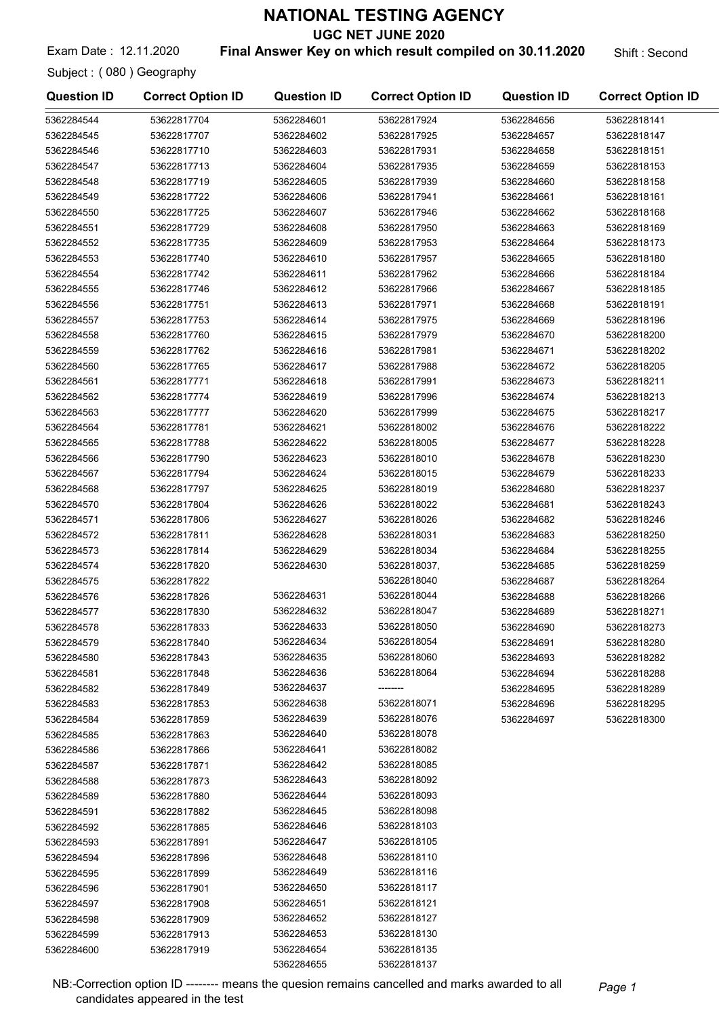UGC NET JUNE 2020

Exam Date: 12.11.2020 **Final Answer Key on which result compiled on 30.11.2020** Shift: Second

Subject : ( 080 ) Geography

| <b>Question ID</b> | <b>Correct Option ID</b> | <b>Question ID</b> | <b>Correct Option ID</b> | <b>Question ID</b> | <b>Correct Option ID</b> |
|--------------------|--------------------------|--------------------|--------------------------|--------------------|--------------------------|
| 5362284544         | 53622817704              | 5362284601         | 53622817924              | 5362284656         | 53622818141              |
| 5362284545         | 53622817707              | 5362284602         | 53622817925              | 5362284657         | 53622818147              |
| 5362284546         | 53622817710              | 5362284603         | 53622817931              | 5362284658         | 53622818151              |
| 5362284547         | 53622817713              | 5362284604         | 53622817935              | 5362284659         | 53622818153              |
| 5362284548         | 53622817719              | 5362284605         | 53622817939              | 5362284660         | 53622818158              |
| 5362284549         | 53622817722              | 5362284606         | 53622817941              | 5362284661         | 53622818161              |
| 5362284550         | 53622817725              | 5362284607         | 53622817946              | 5362284662         | 53622818168              |
| 5362284551         | 53622817729              | 5362284608         | 53622817950              | 5362284663         | 53622818169              |
| 5362284552         | 53622817735              | 5362284609         | 53622817953              | 5362284664         | 53622818173              |
| 5362284553         | 53622817740              | 5362284610         | 53622817957              | 5362284665         | 53622818180              |
| 5362284554         | 53622817742              | 5362284611         | 53622817962              | 5362284666         | 53622818184              |
| 5362284555         | 53622817746              | 5362284612         | 53622817966              | 5362284667         | 53622818185              |
| 5362284556         | 53622817751              | 5362284613         | 53622817971              | 5362284668         | 53622818191              |
| 5362284557         | 53622817753              | 5362284614         | 53622817975              | 5362284669         | 53622818196              |
| 5362284558         | 53622817760              | 5362284615         | 53622817979              | 5362284670         | 53622818200              |
| 5362284559         | 53622817762              | 5362284616         | 53622817981              | 5362284671         | 53622818202              |
| 5362284560         | 53622817765              | 5362284617         | 53622817988              | 5362284672         | 53622818205              |
| 5362284561         | 53622817771              | 5362284618         | 53622817991              | 5362284673         | 53622818211              |
| 5362284562         | 53622817774              | 5362284619         | 53622817996              | 5362284674         | 53622818213              |
| 5362284563         | 53622817777              | 5362284620         | 53622817999              | 5362284675         | 53622818217              |
| 5362284564         | 53622817781              | 5362284621         | 53622818002              | 5362284676         | 53622818222              |
| 5362284565         | 53622817788              | 5362284622         | 53622818005              | 5362284677         | 53622818228              |
| 5362284566         | 53622817790              | 5362284623         | 53622818010              | 5362284678         | 53622818230              |
| 5362284567         | 53622817794              | 5362284624         | 53622818015              | 5362284679         | 53622818233              |
| 5362284568         | 53622817797              | 5362284625         | 53622818019              | 5362284680         | 53622818237              |
| 5362284570         | 53622817804              | 5362284626         | 53622818022              | 5362284681         | 53622818243              |
| 5362284571         | 53622817806              | 5362284627         | 53622818026              | 5362284682         | 53622818246              |
| 5362284572         | 53622817811              | 5362284628         | 53622818031              | 5362284683         | 53622818250              |
| 5362284573         | 53622817814              | 5362284629         | 53622818034              | 5362284684         | 53622818255              |
| 5362284574         | 53622817820              | 5362284630         | 53622818037,             | 5362284685         | 53622818259              |
| 5362284575         | 53622817822              |                    | 53622818040              | 5362284687         | 53622818264              |
| 5362284576         | 53622817826              | 5362284631         | 53622818044              | 5362284688         | 53622818266              |
| 5362284577         | 53622817830              | 5362284632         | 53622818047              | 5362284689         | 53622818271              |
| 5362284578         | 53622817833              | 5362284633         | 53622818050              | 5362284690         | 53622818273              |
| 5362284579         | 53622817840              | 5362284634         | 53622818054              | 5362284691         | 53622818280              |
| 5362284580         | 53622817843              | 5362284635         | 53622818060              | 5362284693         | 53622818282              |
| 5362284581         | 53622817848              | 5362284636         | 53622818064              | 5362284694         | 53622818288              |
| 5362284582         | 53622817849              | 5362284637         | --------                 | 5362284695         | 53622818289              |
| 5362284583         | 53622817853              | 5362284638         | 53622818071              | 5362284696         | 53622818295              |
| 5362284584         | 53622817859              | 5362284639         | 53622818076              | 5362284697         | 53622818300              |
| 5362284585         | 53622817863              | 5362284640         | 53622818078              |                    |                          |
| 5362284586         | 53622817866              | 5362284641         | 53622818082              |                    |                          |
| 5362284587         | 53622817871              | 5362284642         | 53622818085              |                    |                          |
| 5362284588         | 53622817873              | 5362284643         | 53622818092              |                    |                          |
| 5362284589         | 53622817880              | 5362284644         | 53622818093              |                    |                          |
| 5362284591         | 53622817882              | 5362284645         | 53622818098              |                    |                          |
| 5362284592         | 53622817885              | 5362284646         | 53622818103              |                    |                          |
| 5362284593         | 53622817891              | 5362284647         | 53622818105              |                    |                          |
| 5362284594         | 53622817896              | 5362284648         | 53622818110              |                    |                          |
| 5362284595         | 53622817899              | 5362284649         | 53622818116              |                    |                          |
| 5362284596         | 53622817901              | 5362284650         | 53622818117              |                    |                          |
| 5362284597         | 53622817908              | 5362284651         | 53622818121              |                    |                          |
| 5362284598         | 53622817909              | 5362284652         | 53622818127              |                    |                          |
| 5362284599         | 53622817913              | 5362284653         | 53622818130              |                    |                          |
| 5362284600         | 53622817919              | 5362284654         | 53622818135              |                    |                          |
|                    |                          | 5362284655         | 53622818137              |                    |                          |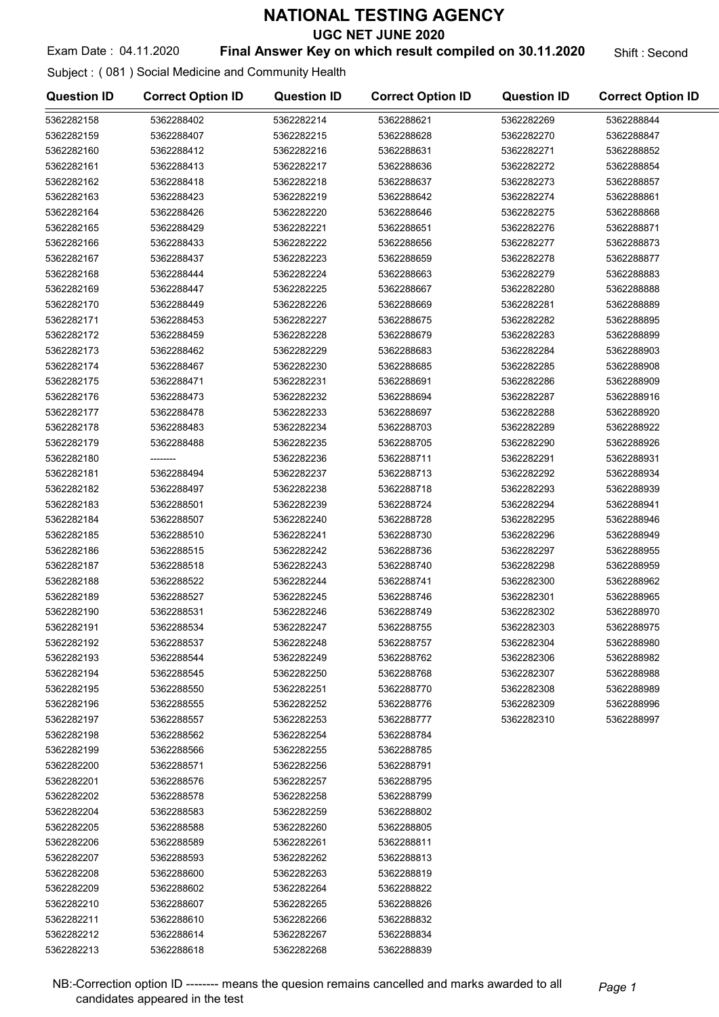UGC NET JUNE 2020

## Exam Date: 04.11.2020 **Final Answer Key on which result compiled on 30.11.2020** Shift : Second

Subject : ( 081 ) Social Medicine and Community Health

| <b>Question ID</b> | <b>Correct Option ID</b> | <b>Question ID</b> | <b>Correct Option ID</b> | <b>Question ID</b> | <b>Correct Option ID</b> |
|--------------------|--------------------------|--------------------|--------------------------|--------------------|--------------------------|
| 5362282158         | 5362288402               | 5362282214         | 5362288621               | 5362282269         | 5362288844               |
| 5362282159         | 5362288407               | 5362282215         | 5362288628               | 5362282270         | 5362288847               |
| 5362282160         | 5362288412               | 5362282216         | 5362288631               | 5362282271         | 5362288852               |
| 5362282161         | 5362288413               | 5362282217         | 5362288636               | 5362282272         | 5362288854               |
| 5362282162         | 5362288418               | 5362282218         | 5362288637               | 5362282273         | 5362288857               |
| 5362282163         | 5362288423               | 5362282219         | 5362288642               | 5362282274         | 5362288861               |
| 5362282164         | 5362288426               | 5362282220         | 5362288646               | 5362282275         | 5362288868               |
| 5362282165         | 5362288429               | 5362282221         | 5362288651               | 5362282276         | 5362288871               |
| 5362282166         | 5362288433               | 5362282222         | 5362288656               | 5362282277         | 5362288873               |
| 5362282167         | 5362288437               | 5362282223         | 5362288659               | 5362282278         | 5362288877               |
| 5362282168         | 5362288444               | 5362282224         | 5362288663               | 5362282279         | 5362288883               |
| 5362282169         | 5362288447               | 5362282225         | 5362288667               | 5362282280         | 5362288888               |
| 5362282170         | 5362288449               | 5362282226         | 5362288669               | 5362282281         | 5362288889               |
| 5362282171         | 5362288453               | 5362282227         | 5362288675               | 5362282282         | 5362288895               |
| 5362282172         | 5362288459               | 5362282228         | 5362288679               | 5362282283         | 5362288899               |
| 5362282173         | 5362288462               | 5362282229         | 5362288683               | 5362282284         | 5362288903               |
| 5362282174         | 5362288467               | 5362282230         | 5362288685               | 5362282285         | 5362288908               |
| 5362282175         | 5362288471               | 5362282231         | 5362288691               | 5362282286         | 5362288909               |
| 5362282176         | 5362288473               | 5362282232         | 5362288694               | 5362282287         | 5362288916               |
| 5362282177         | 5362288478               | 5362282233         | 5362288697               | 5362282288         | 5362288920               |
| 5362282178         | 5362288483               | 5362282234         | 5362288703               | 5362282289         | 5362288922               |
| 5362282179         | 5362288488               | 5362282235         | 5362288705               | 5362282290         | 5362288926               |
| 5362282180         |                          | 5362282236         | 5362288711               | 5362282291         | 5362288931               |
| 5362282181         | 5362288494               | 5362282237         | 5362288713               | 5362282292         | 5362288934               |
| 5362282182         | 5362288497               | 5362282238         | 5362288718               | 5362282293         | 5362288939               |
| 5362282183         | 5362288501               | 5362282239         | 5362288724               | 5362282294         | 5362288941               |
| 5362282184         | 5362288507               | 5362282240         | 5362288728               | 5362282295         | 5362288946               |
| 5362282185         | 5362288510               | 5362282241         | 5362288730               | 5362282296         | 5362288949               |
| 5362282186         | 5362288515               | 5362282242         | 5362288736               | 5362282297         | 5362288955               |
| 5362282187         | 5362288518               | 5362282243         | 5362288740               | 5362282298         | 5362288959               |
| 5362282188         | 5362288522               | 5362282244         | 5362288741               | 5362282300         | 5362288962               |
| 5362282189         | 5362288527               | 5362282245         | 5362288746               | 5362282301         | 5362288965               |
| 5362282190         | 5362288531               | 5362282246         | 5362288749               | 5362282302         | 5362288970               |
| 5362282191         | 5362288534               | 5362282247         | 5362288755               | 5362282303         | 5362288975               |
| 5362282192         | 5362288537               | 5362282248         | 5362288757               | 5362282304         | 5362288980               |
| 5362282193         | 5362288544               | 5362282249         | 5362288762               | 5362282306         | 5362288982               |
| 5362282194         | 5362288545               | 5362282250         | 5362288768               | 5362282307         | 5362288988               |
| 5362282195         | 5362288550               | 5362282251         | 5362288770               | 5362282308         | 5362288989               |
| 5362282196         | 5362288555               | 5362282252         | 5362288776               | 5362282309         | 5362288996               |
| 5362282197         | 5362288557               | 5362282253         | 5362288777               | 5362282310         | 5362288997               |
| 5362282198         | 5362288562               | 5362282254         | 5362288784               |                    |                          |
| 5362282199         | 5362288566               | 5362282255         | 5362288785               |                    |                          |
| 5362282200         | 5362288571               | 5362282256         | 5362288791               |                    |                          |
| 5362282201         | 5362288576               | 5362282257         | 5362288795               |                    |                          |
| 5362282202         | 5362288578               | 5362282258         | 5362288799               |                    |                          |
| 5362282204         | 5362288583               | 5362282259         | 5362288802               |                    |                          |
| 5362282205         | 5362288588               | 5362282260         | 5362288805               |                    |                          |
| 5362282206         | 5362288589               | 5362282261         | 5362288811               |                    |                          |
| 5362282207         | 5362288593               | 5362282262         | 5362288813               |                    |                          |
|                    |                          |                    |                          |                    |                          |
| 5362282208         | 5362288600               | 5362282263         | 5362288819               |                    |                          |
| 5362282209         | 5362288602               | 5362282264         | 5362288822               |                    |                          |
| 5362282210         | 5362288607               | 5362282265         | 5362288826               |                    |                          |
| 5362282211         | 5362288610               | 5362282266         | 5362288832               |                    |                          |
| 5362282212         | 5362288614               | 5362282267         | 5362288834               |                    |                          |
| 5362282213         | 5362288618               | 5362282268         | 5362288839               |                    |                          |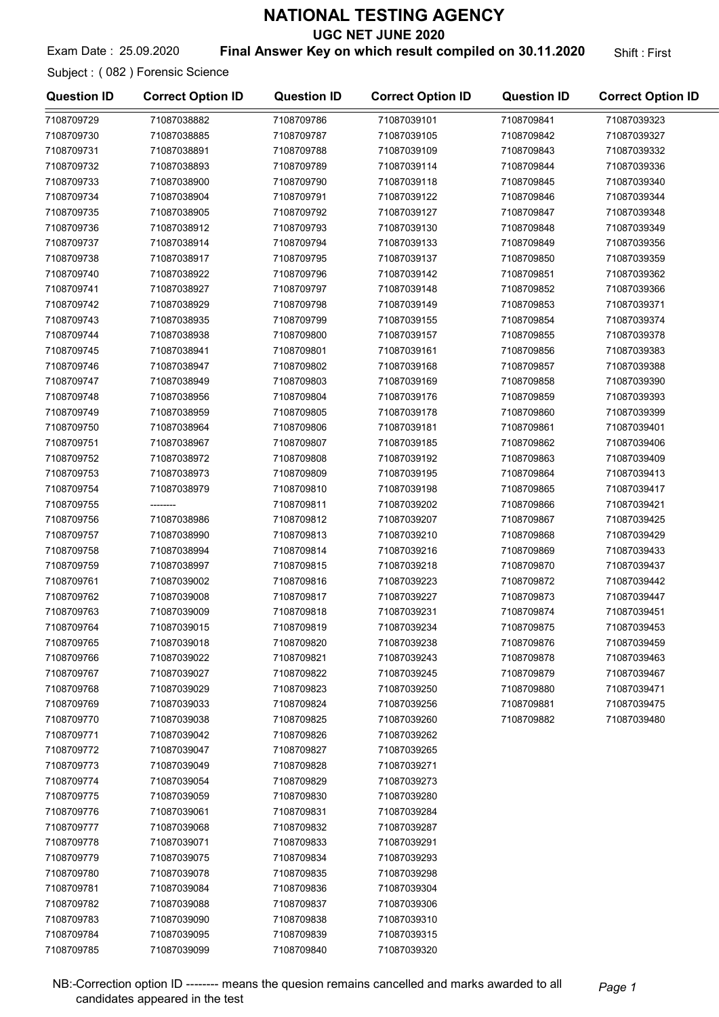UGC NET JUNE 2020

#### Exam Date: 25.09.2020 **Final Answer Key on which result compiled on 30.11.2020** Shift: First

Subject : ( 082 ) Forensic Science

7108709785 71087039099

| 7108709729<br>71087038882<br>7108709786<br>71087039101<br>7108709841<br>71087039323<br>7108709730<br>71087038885<br>7108709787<br>71087039105<br>7108709842<br>71087039327<br>7108709731<br>71087038891<br>7108709788<br>71087039109<br>7108709843<br>71087039332<br>7108709732<br>71087038893<br>7108709789<br>71087039114<br>7108709844<br>71087039336<br>7108709733<br>71087039118<br>71087038900<br>7108709790<br>7108709845<br>71087039340<br>7108709734<br>7108709846<br>71087039344<br>71087038904<br>7108709791<br>71087039122<br>7108709735<br>7108709792<br>71087038905<br>71087039127<br>7108709847<br>71087039348<br>7108709736<br>71087039349<br>71087038912<br>7108709793<br>71087039130<br>7108709848<br>7108709737<br>71087038914<br>7108709794<br>71087039133<br>7108709849<br>71087039356<br>7108709738<br>71087038917<br>7108709795<br>71087039137<br>7108709850<br>71087039359<br>7108709740<br>71087038922<br>7108709796<br>71087039142<br>7108709851<br>71087039362<br>7108709741<br>71087038927<br>7108709797<br>71087039148<br>7108709852<br>71087039366<br>7108709742<br>71087038929<br>7108709798<br>71087039149<br>7108709853<br>71087039371<br>7108709743<br>71087038935<br>7108709799<br>71087039155<br>7108709854<br>71087039374<br>7108709744<br>71087038938<br>7108709800<br>71087039157<br>7108709855<br>71087039378<br>7108709745<br>71087038941<br>7108709801<br>71087039161<br>7108709856<br>71087039383<br>7108709746<br>71087038947<br>7108709802<br>71087039168<br>7108709857<br>71087039388<br>7108709747<br>71087038949<br>7108709803<br>71087039169<br>71087039390<br>7108709858<br>7108709748<br>7108709804<br>71087038956<br>71087039176<br>7108709859<br>71087039393<br>7108709749<br>71087038959<br>7108709805<br>71087039178<br>7108709860<br>71087039399<br>7108709750<br>71087038964<br>7108709806<br>71087039181<br>7108709861<br>71087039401<br>7108709751<br>71087038967<br>7108709807<br>71087039185<br>7108709862<br>71087039406<br>7108709863<br>7108709752<br>71087038972<br>7108709808<br>71087039192<br>71087039409<br>7108709753<br>71087038973<br>7108709809<br>7108709864<br>71087039413<br>71087039195<br>7108709754<br>7108709810<br>71087039417<br>71087038979<br>71087039198<br>7108709865<br>7108709755<br>7108709811<br>7108709866<br>71087039421<br>71087039202<br>--------<br>7108709756<br>71087038986<br>7108709812<br>71087039207<br>7108709867<br>71087039425<br>7108709757<br>71087038990<br>7108709813<br>71087039210<br>7108709868<br>71087039429<br>7108709758<br>71087038994<br>7108709814<br>71087039216<br>7108709869<br>71087039433<br>7108709759<br>71087038997<br>7108709815<br>71087039218<br>7108709870<br>71087039437<br>7108709761<br>71087039002<br>7108709816<br>71087039223<br>7108709872<br>71087039442<br>7108709762<br>71087039008<br>7108709817<br>71087039227<br>7108709873<br>71087039447<br>7108709763<br>71087039009<br>7108709818<br>71087039231<br>7108709874<br>71087039451<br>7108709764<br>71087039015<br>7108709819<br>71087039234<br>7108709875<br>71087039453<br>7108709765<br>7108709820<br>71087039018<br>71087039238<br>7108709876<br>71087039459<br>7108709766<br>71087039022<br>7108709821<br>71087039243<br>7108709878<br>71087039463<br>7108709767<br>71087039027<br>7108709822<br>71087039245<br>7108709879<br>71087039467<br>7108709768<br>71087039029<br>7108709823<br>71087039250<br>71087039471<br>7108709880<br>7108709769<br>71087039033<br>7108709824<br>7108709881<br>71087039475<br>71087039256<br>7108709770<br>71087039038<br>7108709825<br>71087039260<br>7108709882<br>71087039480<br>7108709771<br>71087039042<br>7108709826<br>71087039262<br>7108709772<br>71087039047<br>7108709827<br>71087039265<br>7108709773<br>71087039049<br>71087039271<br>7108709828<br>7108709774<br>71087039054<br>7108709829<br>71087039273<br>7108709775<br>71087039059<br>71087039280<br>7108709830<br>7108709776<br>71087039061<br>7108709831<br>71087039284<br>7108709777<br>71087039068<br>7108709832<br>71087039287<br>7108709778<br>71087039071<br>7108709833<br>71087039291<br>7108709779<br>71087039075<br>7108709834<br>71087039293<br>7108709780<br>71087039078<br>7108709835<br>71087039298<br>7108709781<br>71087039084<br>7108709836<br>71087039304<br>7108709782<br>71087039088<br>7108709837<br>71087039306<br>7108709783<br>71087039090<br>7108709838<br>71087039310<br>7108709784<br>71087039095<br>7108709839<br>71087039315 | <b>Question ID</b> | <b>Correct Option ID</b> | <b>Question ID</b> | <b>Correct Option ID</b> | <b>Question ID</b> | <b>Correct Option ID</b> |
|---------------------------------------------------------------------------------------------------------------------------------------------------------------------------------------------------------------------------------------------------------------------------------------------------------------------------------------------------------------------------------------------------------------------------------------------------------------------------------------------------------------------------------------------------------------------------------------------------------------------------------------------------------------------------------------------------------------------------------------------------------------------------------------------------------------------------------------------------------------------------------------------------------------------------------------------------------------------------------------------------------------------------------------------------------------------------------------------------------------------------------------------------------------------------------------------------------------------------------------------------------------------------------------------------------------------------------------------------------------------------------------------------------------------------------------------------------------------------------------------------------------------------------------------------------------------------------------------------------------------------------------------------------------------------------------------------------------------------------------------------------------------------------------------------------------------------------------------------------------------------------------------------------------------------------------------------------------------------------------------------------------------------------------------------------------------------------------------------------------------------------------------------------------------------------------------------------------------------------------------------------------------------------------------------------------------------------------------------------------------------------------------------------------------------------------------------------------------------------------------------------------------------------------------------------------------------------------------------------------------------------------------------------------------------------------------------------------------------------------------------------------------------------------------------------------------------------------------------------------------------------------------------------------------------------------------------------------------------------------------------------------------------------------------------------------------------------------------------------------------------------------------------------------------------------------------------------------------------------------------------------------------------------------------------------------------------------------------------------------------------------------------------------------------------------------------------------------------------------------------------------------------------------------------------------------------------------------------------------------------------------------------------------------------------------------------------------------------------------------------------------------------------------------------------------------------------------------------------------------------------------------------------------------------------------------------------------------------------------------------------------------------------------------------------------------------------------------------------------------------------------------------------------------------------------------------------------------------------------------------------------------------------------------------------------------------------------------------------------------------------------------------------------------------------------------------------------------|--------------------|--------------------------|--------------------|--------------------------|--------------------|--------------------------|
|                                                                                                                                                                                                                                                                                                                                                                                                                                                                                                                                                                                                                                                                                                                                                                                                                                                                                                                                                                                                                                                                                                                                                                                                                                                                                                                                                                                                                                                                                                                                                                                                                                                                                                                                                                                                                                                                                                                                                                                                                                                                                                                                                                                                                                                                                                                                                                                                                                                                                                                                                                                                                                                                                                                                                                                                                                                                                                                                                                                                                                                                                                                                                                                                                                                                                                                                                                                                                                                                                                                                                                                                                                                                                                                                                                                                                                                                                                                                                                                                                                                                                                                                                                                                                                                                                                                                                                                                                                                               |                    |                          |                    |                          |                    |                          |
|                                                                                                                                                                                                                                                                                                                                                                                                                                                                                                                                                                                                                                                                                                                                                                                                                                                                                                                                                                                                                                                                                                                                                                                                                                                                                                                                                                                                                                                                                                                                                                                                                                                                                                                                                                                                                                                                                                                                                                                                                                                                                                                                                                                                                                                                                                                                                                                                                                                                                                                                                                                                                                                                                                                                                                                                                                                                                                                                                                                                                                                                                                                                                                                                                                                                                                                                                                                                                                                                                                                                                                                                                                                                                                                                                                                                                                                                                                                                                                                                                                                                                                                                                                                                                                                                                                                                                                                                                                                               |                    |                          |                    |                          |                    |                          |
|                                                                                                                                                                                                                                                                                                                                                                                                                                                                                                                                                                                                                                                                                                                                                                                                                                                                                                                                                                                                                                                                                                                                                                                                                                                                                                                                                                                                                                                                                                                                                                                                                                                                                                                                                                                                                                                                                                                                                                                                                                                                                                                                                                                                                                                                                                                                                                                                                                                                                                                                                                                                                                                                                                                                                                                                                                                                                                                                                                                                                                                                                                                                                                                                                                                                                                                                                                                                                                                                                                                                                                                                                                                                                                                                                                                                                                                                                                                                                                                                                                                                                                                                                                                                                                                                                                                                                                                                                                                               |                    |                          |                    |                          |                    |                          |
|                                                                                                                                                                                                                                                                                                                                                                                                                                                                                                                                                                                                                                                                                                                                                                                                                                                                                                                                                                                                                                                                                                                                                                                                                                                                                                                                                                                                                                                                                                                                                                                                                                                                                                                                                                                                                                                                                                                                                                                                                                                                                                                                                                                                                                                                                                                                                                                                                                                                                                                                                                                                                                                                                                                                                                                                                                                                                                                                                                                                                                                                                                                                                                                                                                                                                                                                                                                                                                                                                                                                                                                                                                                                                                                                                                                                                                                                                                                                                                                                                                                                                                                                                                                                                                                                                                                                                                                                                                                               |                    |                          |                    |                          |                    |                          |
|                                                                                                                                                                                                                                                                                                                                                                                                                                                                                                                                                                                                                                                                                                                                                                                                                                                                                                                                                                                                                                                                                                                                                                                                                                                                                                                                                                                                                                                                                                                                                                                                                                                                                                                                                                                                                                                                                                                                                                                                                                                                                                                                                                                                                                                                                                                                                                                                                                                                                                                                                                                                                                                                                                                                                                                                                                                                                                                                                                                                                                                                                                                                                                                                                                                                                                                                                                                                                                                                                                                                                                                                                                                                                                                                                                                                                                                                                                                                                                                                                                                                                                                                                                                                                                                                                                                                                                                                                                                               |                    |                          |                    |                          |                    |                          |
|                                                                                                                                                                                                                                                                                                                                                                                                                                                                                                                                                                                                                                                                                                                                                                                                                                                                                                                                                                                                                                                                                                                                                                                                                                                                                                                                                                                                                                                                                                                                                                                                                                                                                                                                                                                                                                                                                                                                                                                                                                                                                                                                                                                                                                                                                                                                                                                                                                                                                                                                                                                                                                                                                                                                                                                                                                                                                                                                                                                                                                                                                                                                                                                                                                                                                                                                                                                                                                                                                                                                                                                                                                                                                                                                                                                                                                                                                                                                                                                                                                                                                                                                                                                                                                                                                                                                                                                                                                                               |                    |                          |                    |                          |                    |                          |
|                                                                                                                                                                                                                                                                                                                                                                                                                                                                                                                                                                                                                                                                                                                                                                                                                                                                                                                                                                                                                                                                                                                                                                                                                                                                                                                                                                                                                                                                                                                                                                                                                                                                                                                                                                                                                                                                                                                                                                                                                                                                                                                                                                                                                                                                                                                                                                                                                                                                                                                                                                                                                                                                                                                                                                                                                                                                                                                                                                                                                                                                                                                                                                                                                                                                                                                                                                                                                                                                                                                                                                                                                                                                                                                                                                                                                                                                                                                                                                                                                                                                                                                                                                                                                                                                                                                                                                                                                                                               |                    |                          |                    |                          |                    |                          |
|                                                                                                                                                                                                                                                                                                                                                                                                                                                                                                                                                                                                                                                                                                                                                                                                                                                                                                                                                                                                                                                                                                                                                                                                                                                                                                                                                                                                                                                                                                                                                                                                                                                                                                                                                                                                                                                                                                                                                                                                                                                                                                                                                                                                                                                                                                                                                                                                                                                                                                                                                                                                                                                                                                                                                                                                                                                                                                                                                                                                                                                                                                                                                                                                                                                                                                                                                                                                                                                                                                                                                                                                                                                                                                                                                                                                                                                                                                                                                                                                                                                                                                                                                                                                                                                                                                                                                                                                                                                               |                    |                          |                    |                          |                    |                          |
|                                                                                                                                                                                                                                                                                                                                                                                                                                                                                                                                                                                                                                                                                                                                                                                                                                                                                                                                                                                                                                                                                                                                                                                                                                                                                                                                                                                                                                                                                                                                                                                                                                                                                                                                                                                                                                                                                                                                                                                                                                                                                                                                                                                                                                                                                                                                                                                                                                                                                                                                                                                                                                                                                                                                                                                                                                                                                                                                                                                                                                                                                                                                                                                                                                                                                                                                                                                                                                                                                                                                                                                                                                                                                                                                                                                                                                                                                                                                                                                                                                                                                                                                                                                                                                                                                                                                                                                                                                                               |                    |                          |                    |                          |                    |                          |
|                                                                                                                                                                                                                                                                                                                                                                                                                                                                                                                                                                                                                                                                                                                                                                                                                                                                                                                                                                                                                                                                                                                                                                                                                                                                                                                                                                                                                                                                                                                                                                                                                                                                                                                                                                                                                                                                                                                                                                                                                                                                                                                                                                                                                                                                                                                                                                                                                                                                                                                                                                                                                                                                                                                                                                                                                                                                                                                                                                                                                                                                                                                                                                                                                                                                                                                                                                                                                                                                                                                                                                                                                                                                                                                                                                                                                                                                                                                                                                                                                                                                                                                                                                                                                                                                                                                                                                                                                                                               |                    |                          |                    |                          |                    |                          |
|                                                                                                                                                                                                                                                                                                                                                                                                                                                                                                                                                                                                                                                                                                                                                                                                                                                                                                                                                                                                                                                                                                                                                                                                                                                                                                                                                                                                                                                                                                                                                                                                                                                                                                                                                                                                                                                                                                                                                                                                                                                                                                                                                                                                                                                                                                                                                                                                                                                                                                                                                                                                                                                                                                                                                                                                                                                                                                                                                                                                                                                                                                                                                                                                                                                                                                                                                                                                                                                                                                                                                                                                                                                                                                                                                                                                                                                                                                                                                                                                                                                                                                                                                                                                                                                                                                                                                                                                                                                               |                    |                          |                    |                          |                    |                          |
|                                                                                                                                                                                                                                                                                                                                                                                                                                                                                                                                                                                                                                                                                                                                                                                                                                                                                                                                                                                                                                                                                                                                                                                                                                                                                                                                                                                                                                                                                                                                                                                                                                                                                                                                                                                                                                                                                                                                                                                                                                                                                                                                                                                                                                                                                                                                                                                                                                                                                                                                                                                                                                                                                                                                                                                                                                                                                                                                                                                                                                                                                                                                                                                                                                                                                                                                                                                                                                                                                                                                                                                                                                                                                                                                                                                                                                                                                                                                                                                                                                                                                                                                                                                                                                                                                                                                                                                                                                                               |                    |                          |                    |                          |                    |                          |
|                                                                                                                                                                                                                                                                                                                                                                                                                                                                                                                                                                                                                                                                                                                                                                                                                                                                                                                                                                                                                                                                                                                                                                                                                                                                                                                                                                                                                                                                                                                                                                                                                                                                                                                                                                                                                                                                                                                                                                                                                                                                                                                                                                                                                                                                                                                                                                                                                                                                                                                                                                                                                                                                                                                                                                                                                                                                                                                                                                                                                                                                                                                                                                                                                                                                                                                                                                                                                                                                                                                                                                                                                                                                                                                                                                                                                                                                                                                                                                                                                                                                                                                                                                                                                                                                                                                                                                                                                                                               |                    |                          |                    |                          |                    |                          |
|                                                                                                                                                                                                                                                                                                                                                                                                                                                                                                                                                                                                                                                                                                                                                                                                                                                                                                                                                                                                                                                                                                                                                                                                                                                                                                                                                                                                                                                                                                                                                                                                                                                                                                                                                                                                                                                                                                                                                                                                                                                                                                                                                                                                                                                                                                                                                                                                                                                                                                                                                                                                                                                                                                                                                                                                                                                                                                                                                                                                                                                                                                                                                                                                                                                                                                                                                                                                                                                                                                                                                                                                                                                                                                                                                                                                                                                                                                                                                                                                                                                                                                                                                                                                                                                                                                                                                                                                                                                               |                    |                          |                    |                          |                    |                          |
|                                                                                                                                                                                                                                                                                                                                                                                                                                                                                                                                                                                                                                                                                                                                                                                                                                                                                                                                                                                                                                                                                                                                                                                                                                                                                                                                                                                                                                                                                                                                                                                                                                                                                                                                                                                                                                                                                                                                                                                                                                                                                                                                                                                                                                                                                                                                                                                                                                                                                                                                                                                                                                                                                                                                                                                                                                                                                                                                                                                                                                                                                                                                                                                                                                                                                                                                                                                                                                                                                                                                                                                                                                                                                                                                                                                                                                                                                                                                                                                                                                                                                                                                                                                                                                                                                                                                                                                                                                                               |                    |                          |                    |                          |                    |                          |
|                                                                                                                                                                                                                                                                                                                                                                                                                                                                                                                                                                                                                                                                                                                                                                                                                                                                                                                                                                                                                                                                                                                                                                                                                                                                                                                                                                                                                                                                                                                                                                                                                                                                                                                                                                                                                                                                                                                                                                                                                                                                                                                                                                                                                                                                                                                                                                                                                                                                                                                                                                                                                                                                                                                                                                                                                                                                                                                                                                                                                                                                                                                                                                                                                                                                                                                                                                                                                                                                                                                                                                                                                                                                                                                                                                                                                                                                                                                                                                                                                                                                                                                                                                                                                                                                                                                                                                                                                                                               |                    |                          |                    |                          |                    |                          |
|                                                                                                                                                                                                                                                                                                                                                                                                                                                                                                                                                                                                                                                                                                                                                                                                                                                                                                                                                                                                                                                                                                                                                                                                                                                                                                                                                                                                                                                                                                                                                                                                                                                                                                                                                                                                                                                                                                                                                                                                                                                                                                                                                                                                                                                                                                                                                                                                                                                                                                                                                                                                                                                                                                                                                                                                                                                                                                                                                                                                                                                                                                                                                                                                                                                                                                                                                                                                                                                                                                                                                                                                                                                                                                                                                                                                                                                                                                                                                                                                                                                                                                                                                                                                                                                                                                                                                                                                                                                               |                    |                          |                    |                          |                    |                          |
|                                                                                                                                                                                                                                                                                                                                                                                                                                                                                                                                                                                                                                                                                                                                                                                                                                                                                                                                                                                                                                                                                                                                                                                                                                                                                                                                                                                                                                                                                                                                                                                                                                                                                                                                                                                                                                                                                                                                                                                                                                                                                                                                                                                                                                                                                                                                                                                                                                                                                                                                                                                                                                                                                                                                                                                                                                                                                                                                                                                                                                                                                                                                                                                                                                                                                                                                                                                                                                                                                                                                                                                                                                                                                                                                                                                                                                                                                                                                                                                                                                                                                                                                                                                                                                                                                                                                                                                                                                                               |                    |                          |                    |                          |                    |                          |
|                                                                                                                                                                                                                                                                                                                                                                                                                                                                                                                                                                                                                                                                                                                                                                                                                                                                                                                                                                                                                                                                                                                                                                                                                                                                                                                                                                                                                                                                                                                                                                                                                                                                                                                                                                                                                                                                                                                                                                                                                                                                                                                                                                                                                                                                                                                                                                                                                                                                                                                                                                                                                                                                                                                                                                                                                                                                                                                                                                                                                                                                                                                                                                                                                                                                                                                                                                                                                                                                                                                                                                                                                                                                                                                                                                                                                                                                                                                                                                                                                                                                                                                                                                                                                                                                                                                                                                                                                                                               |                    |                          |                    |                          |                    |                          |
|                                                                                                                                                                                                                                                                                                                                                                                                                                                                                                                                                                                                                                                                                                                                                                                                                                                                                                                                                                                                                                                                                                                                                                                                                                                                                                                                                                                                                                                                                                                                                                                                                                                                                                                                                                                                                                                                                                                                                                                                                                                                                                                                                                                                                                                                                                                                                                                                                                                                                                                                                                                                                                                                                                                                                                                                                                                                                                                                                                                                                                                                                                                                                                                                                                                                                                                                                                                                                                                                                                                                                                                                                                                                                                                                                                                                                                                                                                                                                                                                                                                                                                                                                                                                                                                                                                                                                                                                                                                               |                    |                          |                    |                          |                    |                          |
|                                                                                                                                                                                                                                                                                                                                                                                                                                                                                                                                                                                                                                                                                                                                                                                                                                                                                                                                                                                                                                                                                                                                                                                                                                                                                                                                                                                                                                                                                                                                                                                                                                                                                                                                                                                                                                                                                                                                                                                                                                                                                                                                                                                                                                                                                                                                                                                                                                                                                                                                                                                                                                                                                                                                                                                                                                                                                                                                                                                                                                                                                                                                                                                                                                                                                                                                                                                                                                                                                                                                                                                                                                                                                                                                                                                                                                                                                                                                                                                                                                                                                                                                                                                                                                                                                                                                                                                                                                                               |                    |                          |                    |                          |                    |                          |
|                                                                                                                                                                                                                                                                                                                                                                                                                                                                                                                                                                                                                                                                                                                                                                                                                                                                                                                                                                                                                                                                                                                                                                                                                                                                                                                                                                                                                                                                                                                                                                                                                                                                                                                                                                                                                                                                                                                                                                                                                                                                                                                                                                                                                                                                                                                                                                                                                                                                                                                                                                                                                                                                                                                                                                                                                                                                                                                                                                                                                                                                                                                                                                                                                                                                                                                                                                                                                                                                                                                                                                                                                                                                                                                                                                                                                                                                                                                                                                                                                                                                                                                                                                                                                                                                                                                                                                                                                                                               |                    |                          |                    |                          |                    |                          |
|                                                                                                                                                                                                                                                                                                                                                                                                                                                                                                                                                                                                                                                                                                                                                                                                                                                                                                                                                                                                                                                                                                                                                                                                                                                                                                                                                                                                                                                                                                                                                                                                                                                                                                                                                                                                                                                                                                                                                                                                                                                                                                                                                                                                                                                                                                                                                                                                                                                                                                                                                                                                                                                                                                                                                                                                                                                                                                                                                                                                                                                                                                                                                                                                                                                                                                                                                                                                                                                                                                                                                                                                                                                                                                                                                                                                                                                                                                                                                                                                                                                                                                                                                                                                                                                                                                                                                                                                                                                               |                    |                          |                    |                          |                    |                          |
|                                                                                                                                                                                                                                                                                                                                                                                                                                                                                                                                                                                                                                                                                                                                                                                                                                                                                                                                                                                                                                                                                                                                                                                                                                                                                                                                                                                                                                                                                                                                                                                                                                                                                                                                                                                                                                                                                                                                                                                                                                                                                                                                                                                                                                                                                                                                                                                                                                                                                                                                                                                                                                                                                                                                                                                                                                                                                                                                                                                                                                                                                                                                                                                                                                                                                                                                                                                                                                                                                                                                                                                                                                                                                                                                                                                                                                                                                                                                                                                                                                                                                                                                                                                                                                                                                                                                                                                                                                                               |                    |                          |                    |                          |                    |                          |
|                                                                                                                                                                                                                                                                                                                                                                                                                                                                                                                                                                                                                                                                                                                                                                                                                                                                                                                                                                                                                                                                                                                                                                                                                                                                                                                                                                                                                                                                                                                                                                                                                                                                                                                                                                                                                                                                                                                                                                                                                                                                                                                                                                                                                                                                                                                                                                                                                                                                                                                                                                                                                                                                                                                                                                                                                                                                                                                                                                                                                                                                                                                                                                                                                                                                                                                                                                                                                                                                                                                                                                                                                                                                                                                                                                                                                                                                                                                                                                                                                                                                                                                                                                                                                                                                                                                                                                                                                                                               |                    |                          |                    |                          |                    |                          |
|                                                                                                                                                                                                                                                                                                                                                                                                                                                                                                                                                                                                                                                                                                                                                                                                                                                                                                                                                                                                                                                                                                                                                                                                                                                                                                                                                                                                                                                                                                                                                                                                                                                                                                                                                                                                                                                                                                                                                                                                                                                                                                                                                                                                                                                                                                                                                                                                                                                                                                                                                                                                                                                                                                                                                                                                                                                                                                                                                                                                                                                                                                                                                                                                                                                                                                                                                                                                                                                                                                                                                                                                                                                                                                                                                                                                                                                                                                                                                                                                                                                                                                                                                                                                                                                                                                                                                                                                                                                               |                    |                          |                    |                          |                    |                          |
|                                                                                                                                                                                                                                                                                                                                                                                                                                                                                                                                                                                                                                                                                                                                                                                                                                                                                                                                                                                                                                                                                                                                                                                                                                                                                                                                                                                                                                                                                                                                                                                                                                                                                                                                                                                                                                                                                                                                                                                                                                                                                                                                                                                                                                                                                                                                                                                                                                                                                                                                                                                                                                                                                                                                                                                                                                                                                                                                                                                                                                                                                                                                                                                                                                                                                                                                                                                                                                                                                                                                                                                                                                                                                                                                                                                                                                                                                                                                                                                                                                                                                                                                                                                                                                                                                                                                                                                                                                                               |                    |                          |                    |                          |                    |                          |
|                                                                                                                                                                                                                                                                                                                                                                                                                                                                                                                                                                                                                                                                                                                                                                                                                                                                                                                                                                                                                                                                                                                                                                                                                                                                                                                                                                                                                                                                                                                                                                                                                                                                                                                                                                                                                                                                                                                                                                                                                                                                                                                                                                                                                                                                                                                                                                                                                                                                                                                                                                                                                                                                                                                                                                                                                                                                                                                                                                                                                                                                                                                                                                                                                                                                                                                                                                                                                                                                                                                                                                                                                                                                                                                                                                                                                                                                                                                                                                                                                                                                                                                                                                                                                                                                                                                                                                                                                                                               |                    |                          |                    |                          |                    |                          |
|                                                                                                                                                                                                                                                                                                                                                                                                                                                                                                                                                                                                                                                                                                                                                                                                                                                                                                                                                                                                                                                                                                                                                                                                                                                                                                                                                                                                                                                                                                                                                                                                                                                                                                                                                                                                                                                                                                                                                                                                                                                                                                                                                                                                                                                                                                                                                                                                                                                                                                                                                                                                                                                                                                                                                                                                                                                                                                                                                                                                                                                                                                                                                                                                                                                                                                                                                                                                                                                                                                                                                                                                                                                                                                                                                                                                                                                                                                                                                                                                                                                                                                                                                                                                                                                                                                                                                                                                                                                               |                    |                          |                    |                          |                    |                          |
|                                                                                                                                                                                                                                                                                                                                                                                                                                                                                                                                                                                                                                                                                                                                                                                                                                                                                                                                                                                                                                                                                                                                                                                                                                                                                                                                                                                                                                                                                                                                                                                                                                                                                                                                                                                                                                                                                                                                                                                                                                                                                                                                                                                                                                                                                                                                                                                                                                                                                                                                                                                                                                                                                                                                                                                                                                                                                                                                                                                                                                                                                                                                                                                                                                                                                                                                                                                                                                                                                                                                                                                                                                                                                                                                                                                                                                                                                                                                                                                                                                                                                                                                                                                                                                                                                                                                                                                                                                                               |                    |                          |                    |                          |                    |                          |
|                                                                                                                                                                                                                                                                                                                                                                                                                                                                                                                                                                                                                                                                                                                                                                                                                                                                                                                                                                                                                                                                                                                                                                                                                                                                                                                                                                                                                                                                                                                                                                                                                                                                                                                                                                                                                                                                                                                                                                                                                                                                                                                                                                                                                                                                                                                                                                                                                                                                                                                                                                                                                                                                                                                                                                                                                                                                                                                                                                                                                                                                                                                                                                                                                                                                                                                                                                                                                                                                                                                                                                                                                                                                                                                                                                                                                                                                                                                                                                                                                                                                                                                                                                                                                                                                                                                                                                                                                                                               |                    |                          |                    |                          |                    |                          |
|                                                                                                                                                                                                                                                                                                                                                                                                                                                                                                                                                                                                                                                                                                                                                                                                                                                                                                                                                                                                                                                                                                                                                                                                                                                                                                                                                                                                                                                                                                                                                                                                                                                                                                                                                                                                                                                                                                                                                                                                                                                                                                                                                                                                                                                                                                                                                                                                                                                                                                                                                                                                                                                                                                                                                                                                                                                                                                                                                                                                                                                                                                                                                                                                                                                                                                                                                                                                                                                                                                                                                                                                                                                                                                                                                                                                                                                                                                                                                                                                                                                                                                                                                                                                                                                                                                                                                                                                                                                               |                    |                          |                    |                          |                    |                          |
|                                                                                                                                                                                                                                                                                                                                                                                                                                                                                                                                                                                                                                                                                                                                                                                                                                                                                                                                                                                                                                                                                                                                                                                                                                                                                                                                                                                                                                                                                                                                                                                                                                                                                                                                                                                                                                                                                                                                                                                                                                                                                                                                                                                                                                                                                                                                                                                                                                                                                                                                                                                                                                                                                                                                                                                                                                                                                                                                                                                                                                                                                                                                                                                                                                                                                                                                                                                                                                                                                                                                                                                                                                                                                                                                                                                                                                                                                                                                                                                                                                                                                                                                                                                                                                                                                                                                                                                                                                                               |                    |                          |                    |                          |                    |                          |
|                                                                                                                                                                                                                                                                                                                                                                                                                                                                                                                                                                                                                                                                                                                                                                                                                                                                                                                                                                                                                                                                                                                                                                                                                                                                                                                                                                                                                                                                                                                                                                                                                                                                                                                                                                                                                                                                                                                                                                                                                                                                                                                                                                                                                                                                                                                                                                                                                                                                                                                                                                                                                                                                                                                                                                                                                                                                                                                                                                                                                                                                                                                                                                                                                                                                                                                                                                                                                                                                                                                                                                                                                                                                                                                                                                                                                                                                                                                                                                                                                                                                                                                                                                                                                                                                                                                                                                                                                                                               |                    |                          |                    |                          |                    |                          |
|                                                                                                                                                                                                                                                                                                                                                                                                                                                                                                                                                                                                                                                                                                                                                                                                                                                                                                                                                                                                                                                                                                                                                                                                                                                                                                                                                                                                                                                                                                                                                                                                                                                                                                                                                                                                                                                                                                                                                                                                                                                                                                                                                                                                                                                                                                                                                                                                                                                                                                                                                                                                                                                                                                                                                                                                                                                                                                                                                                                                                                                                                                                                                                                                                                                                                                                                                                                                                                                                                                                                                                                                                                                                                                                                                                                                                                                                                                                                                                                                                                                                                                                                                                                                                                                                                                                                                                                                                                                               |                    |                          |                    |                          |                    |                          |
|                                                                                                                                                                                                                                                                                                                                                                                                                                                                                                                                                                                                                                                                                                                                                                                                                                                                                                                                                                                                                                                                                                                                                                                                                                                                                                                                                                                                                                                                                                                                                                                                                                                                                                                                                                                                                                                                                                                                                                                                                                                                                                                                                                                                                                                                                                                                                                                                                                                                                                                                                                                                                                                                                                                                                                                                                                                                                                                                                                                                                                                                                                                                                                                                                                                                                                                                                                                                                                                                                                                                                                                                                                                                                                                                                                                                                                                                                                                                                                                                                                                                                                                                                                                                                                                                                                                                                                                                                                                               |                    |                          |                    |                          |                    |                          |
|                                                                                                                                                                                                                                                                                                                                                                                                                                                                                                                                                                                                                                                                                                                                                                                                                                                                                                                                                                                                                                                                                                                                                                                                                                                                                                                                                                                                                                                                                                                                                                                                                                                                                                                                                                                                                                                                                                                                                                                                                                                                                                                                                                                                                                                                                                                                                                                                                                                                                                                                                                                                                                                                                                                                                                                                                                                                                                                                                                                                                                                                                                                                                                                                                                                                                                                                                                                                                                                                                                                                                                                                                                                                                                                                                                                                                                                                                                                                                                                                                                                                                                                                                                                                                                                                                                                                                                                                                                                               |                    |                          |                    |                          |                    |                          |
|                                                                                                                                                                                                                                                                                                                                                                                                                                                                                                                                                                                                                                                                                                                                                                                                                                                                                                                                                                                                                                                                                                                                                                                                                                                                                                                                                                                                                                                                                                                                                                                                                                                                                                                                                                                                                                                                                                                                                                                                                                                                                                                                                                                                                                                                                                                                                                                                                                                                                                                                                                                                                                                                                                                                                                                                                                                                                                                                                                                                                                                                                                                                                                                                                                                                                                                                                                                                                                                                                                                                                                                                                                                                                                                                                                                                                                                                                                                                                                                                                                                                                                                                                                                                                                                                                                                                                                                                                                                               |                    |                          |                    |                          |                    |                          |
|                                                                                                                                                                                                                                                                                                                                                                                                                                                                                                                                                                                                                                                                                                                                                                                                                                                                                                                                                                                                                                                                                                                                                                                                                                                                                                                                                                                                                                                                                                                                                                                                                                                                                                                                                                                                                                                                                                                                                                                                                                                                                                                                                                                                                                                                                                                                                                                                                                                                                                                                                                                                                                                                                                                                                                                                                                                                                                                                                                                                                                                                                                                                                                                                                                                                                                                                                                                                                                                                                                                                                                                                                                                                                                                                                                                                                                                                                                                                                                                                                                                                                                                                                                                                                                                                                                                                                                                                                                                               |                    |                          |                    |                          |                    |                          |
|                                                                                                                                                                                                                                                                                                                                                                                                                                                                                                                                                                                                                                                                                                                                                                                                                                                                                                                                                                                                                                                                                                                                                                                                                                                                                                                                                                                                                                                                                                                                                                                                                                                                                                                                                                                                                                                                                                                                                                                                                                                                                                                                                                                                                                                                                                                                                                                                                                                                                                                                                                                                                                                                                                                                                                                                                                                                                                                                                                                                                                                                                                                                                                                                                                                                                                                                                                                                                                                                                                                                                                                                                                                                                                                                                                                                                                                                                                                                                                                                                                                                                                                                                                                                                                                                                                                                                                                                                                                               |                    |                          |                    |                          |                    |                          |
|                                                                                                                                                                                                                                                                                                                                                                                                                                                                                                                                                                                                                                                                                                                                                                                                                                                                                                                                                                                                                                                                                                                                                                                                                                                                                                                                                                                                                                                                                                                                                                                                                                                                                                                                                                                                                                                                                                                                                                                                                                                                                                                                                                                                                                                                                                                                                                                                                                                                                                                                                                                                                                                                                                                                                                                                                                                                                                                                                                                                                                                                                                                                                                                                                                                                                                                                                                                                                                                                                                                                                                                                                                                                                                                                                                                                                                                                                                                                                                                                                                                                                                                                                                                                                                                                                                                                                                                                                                                               |                    |                          |                    |                          |                    |                          |
|                                                                                                                                                                                                                                                                                                                                                                                                                                                                                                                                                                                                                                                                                                                                                                                                                                                                                                                                                                                                                                                                                                                                                                                                                                                                                                                                                                                                                                                                                                                                                                                                                                                                                                                                                                                                                                                                                                                                                                                                                                                                                                                                                                                                                                                                                                                                                                                                                                                                                                                                                                                                                                                                                                                                                                                                                                                                                                                                                                                                                                                                                                                                                                                                                                                                                                                                                                                                                                                                                                                                                                                                                                                                                                                                                                                                                                                                                                                                                                                                                                                                                                                                                                                                                                                                                                                                                                                                                                                               |                    |                          |                    |                          |                    |                          |
|                                                                                                                                                                                                                                                                                                                                                                                                                                                                                                                                                                                                                                                                                                                                                                                                                                                                                                                                                                                                                                                                                                                                                                                                                                                                                                                                                                                                                                                                                                                                                                                                                                                                                                                                                                                                                                                                                                                                                                                                                                                                                                                                                                                                                                                                                                                                                                                                                                                                                                                                                                                                                                                                                                                                                                                                                                                                                                                                                                                                                                                                                                                                                                                                                                                                                                                                                                                                                                                                                                                                                                                                                                                                                                                                                                                                                                                                                                                                                                                                                                                                                                                                                                                                                                                                                                                                                                                                                                                               |                    |                          |                    |                          |                    |                          |
|                                                                                                                                                                                                                                                                                                                                                                                                                                                                                                                                                                                                                                                                                                                                                                                                                                                                                                                                                                                                                                                                                                                                                                                                                                                                                                                                                                                                                                                                                                                                                                                                                                                                                                                                                                                                                                                                                                                                                                                                                                                                                                                                                                                                                                                                                                                                                                                                                                                                                                                                                                                                                                                                                                                                                                                                                                                                                                                                                                                                                                                                                                                                                                                                                                                                                                                                                                                                                                                                                                                                                                                                                                                                                                                                                                                                                                                                                                                                                                                                                                                                                                                                                                                                                                                                                                                                                                                                                                                               |                    |                          |                    |                          |                    |                          |
|                                                                                                                                                                                                                                                                                                                                                                                                                                                                                                                                                                                                                                                                                                                                                                                                                                                                                                                                                                                                                                                                                                                                                                                                                                                                                                                                                                                                                                                                                                                                                                                                                                                                                                                                                                                                                                                                                                                                                                                                                                                                                                                                                                                                                                                                                                                                                                                                                                                                                                                                                                                                                                                                                                                                                                                                                                                                                                                                                                                                                                                                                                                                                                                                                                                                                                                                                                                                                                                                                                                                                                                                                                                                                                                                                                                                                                                                                                                                                                                                                                                                                                                                                                                                                                                                                                                                                                                                                                                               |                    |                          |                    |                          |                    |                          |
|                                                                                                                                                                                                                                                                                                                                                                                                                                                                                                                                                                                                                                                                                                                                                                                                                                                                                                                                                                                                                                                                                                                                                                                                                                                                                                                                                                                                                                                                                                                                                                                                                                                                                                                                                                                                                                                                                                                                                                                                                                                                                                                                                                                                                                                                                                                                                                                                                                                                                                                                                                                                                                                                                                                                                                                                                                                                                                                                                                                                                                                                                                                                                                                                                                                                                                                                                                                                                                                                                                                                                                                                                                                                                                                                                                                                                                                                                                                                                                                                                                                                                                                                                                                                                                                                                                                                                                                                                                                               |                    |                          |                    |                          |                    |                          |
|                                                                                                                                                                                                                                                                                                                                                                                                                                                                                                                                                                                                                                                                                                                                                                                                                                                                                                                                                                                                                                                                                                                                                                                                                                                                                                                                                                                                                                                                                                                                                                                                                                                                                                                                                                                                                                                                                                                                                                                                                                                                                                                                                                                                                                                                                                                                                                                                                                                                                                                                                                                                                                                                                                                                                                                                                                                                                                                                                                                                                                                                                                                                                                                                                                                                                                                                                                                                                                                                                                                                                                                                                                                                                                                                                                                                                                                                                                                                                                                                                                                                                                                                                                                                                                                                                                                                                                                                                                                               |                    |                          |                    |                          |                    |                          |
|                                                                                                                                                                                                                                                                                                                                                                                                                                                                                                                                                                                                                                                                                                                                                                                                                                                                                                                                                                                                                                                                                                                                                                                                                                                                                                                                                                                                                                                                                                                                                                                                                                                                                                                                                                                                                                                                                                                                                                                                                                                                                                                                                                                                                                                                                                                                                                                                                                                                                                                                                                                                                                                                                                                                                                                                                                                                                                                                                                                                                                                                                                                                                                                                                                                                                                                                                                                                                                                                                                                                                                                                                                                                                                                                                                                                                                                                                                                                                                                                                                                                                                                                                                                                                                                                                                                                                                                                                                                               |                    |                          |                    |                          |                    |                          |
|                                                                                                                                                                                                                                                                                                                                                                                                                                                                                                                                                                                                                                                                                                                                                                                                                                                                                                                                                                                                                                                                                                                                                                                                                                                                                                                                                                                                                                                                                                                                                                                                                                                                                                                                                                                                                                                                                                                                                                                                                                                                                                                                                                                                                                                                                                                                                                                                                                                                                                                                                                                                                                                                                                                                                                                                                                                                                                                                                                                                                                                                                                                                                                                                                                                                                                                                                                                                                                                                                                                                                                                                                                                                                                                                                                                                                                                                                                                                                                                                                                                                                                                                                                                                                                                                                                                                                                                                                                                               |                    |                          |                    |                          |                    |                          |
|                                                                                                                                                                                                                                                                                                                                                                                                                                                                                                                                                                                                                                                                                                                                                                                                                                                                                                                                                                                                                                                                                                                                                                                                                                                                                                                                                                                                                                                                                                                                                                                                                                                                                                                                                                                                                                                                                                                                                                                                                                                                                                                                                                                                                                                                                                                                                                                                                                                                                                                                                                                                                                                                                                                                                                                                                                                                                                                                                                                                                                                                                                                                                                                                                                                                                                                                                                                                                                                                                                                                                                                                                                                                                                                                                                                                                                                                                                                                                                                                                                                                                                                                                                                                                                                                                                                                                                                                                                                               |                    |                          |                    |                          |                    |                          |
|                                                                                                                                                                                                                                                                                                                                                                                                                                                                                                                                                                                                                                                                                                                                                                                                                                                                                                                                                                                                                                                                                                                                                                                                                                                                                                                                                                                                                                                                                                                                                                                                                                                                                                                                                                                                                                                                                                                                                                                                                                                                                                                                                                                                                                                                                                                                                                                                                                                                                                                                                                                                                                                                                                                                                                                                                                                                                                                                                                                                                                                                                                                                                                                                                                                                                                                                                                                                                                                                                                                                                                                                                                                                                                                                                                                                                                                                                                                                                                                                                                                                                                                                                                                                                                                                                                                                                                                                                                                               |                    |                          |                    |                          |                    |                          |
|                                                                                                                                                                                                                                                                                                                                                                                                                                                                                                                                                                                                                                                                                                                                                                                                                                                                                                                                                                                                                                                                                                                                                                                                                                                                                                                                                                                                                                                                                                                                                                                                                                                                                                                                                                                                                                                                                                                                                                                                                                                                                                                                                                                                                                                                                                                                                                                                                                                                                                                                                                                                                                                                                                                                                                                                                                                                                                                                                                                                                                                                                                                                                                                                                                                                                                                                                                                                                                                                                                                                                                                                                                                                                                                                                                                                                                                                                                                                                                                                                                                                                                                                                                                                                                                                                                                                                                                                                                                               |                    |                          |                    |                          |                    |                          |
|                                                                                                                                                                                                                                                                                                                                                                                                                                                                                                                                                                                                                                                                                                                                                                                                                                                                                                                                                                                                                                                                                                                                                                                                                                                                                                                                                                                                                                                                                                                                                                                                                                                                                                                                                                                                                                                                                                                                                                                                                                                                                                                                                                                                                                                                                                                                                                                                                                                                                                                                                                                                                                                                                                                                                                                                                                                                                                                                                                                                                                                                                                                                                                                                                                                                                                                                                                                                                                                                                                                                                                                                                                                                                                                                                                                                                                                                                                                                                                                                                                                                                                                                                                                                                                                                                                                                                                                                                                                               |                    |                          |                    |                          |                    |                          |
|                                                                                                                                                                                                                                                                                                                                                                                                                                                                                                                                                                                                                                                                                                                                                                                                                                                                                                                                                                                                                                                                                                                                                                                                                                                                                                                                                                                                                                                                                                                                                                                                                                                                                                                                                                                                                                                                                                                                                                                                                                                                                                                                                                                                                                                                                                                                                                                                                                                                                                                                                                                                                                                                                                                                                                                                                                                                                                                                                                                                                                                                                                                                                                                                                                                                                                                                                                                                                                                                                                                                                                                                                                                                                                                                                                                                                                                                                                                                                                                                                                                                                                                                                                                                                                                                                                                                                                                                                                                               |                    |                          |                    |                          |                    |                          |

7108709840 71087039320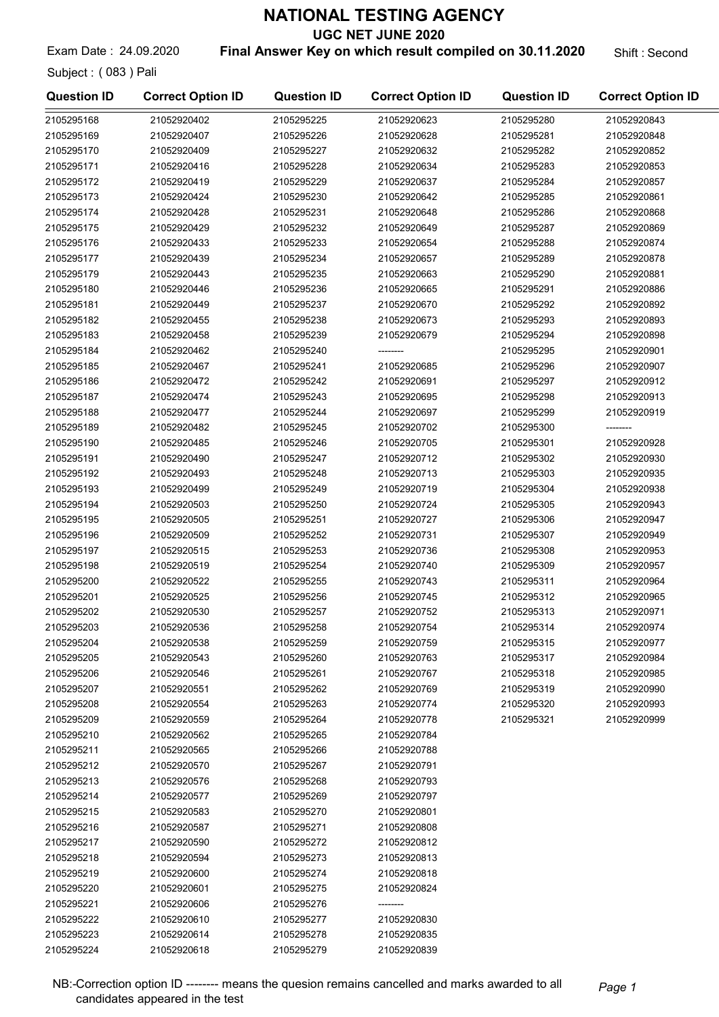UGC NET JUNE 2020

Exam Date: 24.09.2020 **Final Answer Key on which result compiled on 30.11.2020** Shift: Second

Subject : ( 083 ) Pali

| <b>Question ID</b> | <b>Correct Option ID</b> | <b>Question ID</b> | <b>Correct Option ID</b> | <b>Question ID</b> | <b>Correct Option ID</b> |
|--------------------|--------------------------|--------------------|--------------------------|--------------------|--------------------------|
| 2105295168         | 21052920402              | 2105295225         | 21052920623              | 2105295280         | 21052920843              |
| 2105295169         | 21052920407              | 2105295226         | 21052920628              | 2105295281         | 21052920848              |
| 2105295170         | 21052920409              | 2105295227         | 21052920632              | 2105295282         | 21052920852              |
| 2105295171         | 21052920416              | 2105295228         | 21052920634              | 2105295283         | 21052920853              |
| 2105295172         | 21052920419              | 2105295229         | 21052920637              | 2105295284         | 21052920857              |
| 2105295173         | 21052920424              | 2105295230         | 21052920642              | 2105295285         | 21052920861              |
| 2105295174         | 21052920428              | 2105295231         | 21052920648              | 2105295286         | 21052920868              |
| 2105295175         | 21052920429              | 2105295232         | 21052920649              | 2105295287         | 21052920869              |
| 2105295176         | 21052920433              | 2105295233         | 21052920654              | 2105295288         | 21052920874              |
| 2105295177         | 21052920439              | 2105295234         | 21052920657              | 2105295289         | 21052920878              |
| 2105295179         | 21052920443              | 2105295235         | 21052920663              | 2105295290         | 21052920881              |
| 2105295180         | 21052920446              | 2105295236         | 21052920665              | 2105295291         | 21052920886              |
| 2105295181         | 21052920449              | 2105295237         | 21052920670              | 2105295292         | 21052920892              |
| 2105295182         | 21052920455              | 2105295238         | 21052920673              | 2105295293         | 21052920893              |
| 2105295183         | 21052920458              | 2105295239         | 21052920679              | 2105295294         | 21052920898              |
| 2105295184         | 21052920462              | 2105295240         | --------                 | 2105295295         | 21052920901              |
| 2105295185         | 21052920467              | 2105295241         | 21052920685              | 2105295296         | 21052920907              |
| 2105295186         | 21052920472              | 2105295242         | 21052920691              | 2105295297         | 21052920912              |
| 2105295187         | 21052920474              | 2105295243         | 21052920695              | 2105295298         | 21052920913              |
| 2105295188         | 21052920477              | 2105295244         | 21052920697              | 2105295299         | 21052920919              |
| 2105295189         | 21052920482              | 2105295245         | 21052920702              | 2105295300         | --------                 |
| 2105295190         | 21052920485              | 2105295246         | 21052920705              | 2105295301         | 21052920928              |
| 2105295191         | 21052920490              | 2105295247         | 21052920712              | 2105295302         | 21052920930              |
| 2105295192         | 21052920493              | 2105295248         | 21052920713              | 2105295303         | 21052920935              |
| 2105295193         | 21052920499              | 2105295249         | 21052920719              | 2105295304         | 21052920938              |
| 2105295194         | 21052920503              | 2105295250         | 21052920724              | 2105295305         | 21052920943              |
| 2105295195         | 21052920505              | 2105295251         | 21052920727              | 2105295306         | 21052920947              |
| 2105295196         | 21052920509              | 2105295252         | 21052920731              | 2105295307         | 21052920949              |
| 2105295197         | 21052920515              | 2105295253         | 21052920736              | 2105295308         | 21052920953              |
| 2105295198         | 21052920519              | 2105295254         | 21052920740              | 2105295309         | 21052920957              |
| 2105295200         | 21052920522              | 2105295255         | 21052920743              | 2105295311         | 21052920964              |
| 2105295201         | 21052920525              | 2105295256         | 21052920745              | 2105295312         | 21052920965              |
| 2105295202         | 21052920530              | 2105295257         | 21052920752              | 2105295313         | 21052920971              |
| 2105295203         | 21052920536              | 2105295258         | 21052920754              | 2105295314         | 21052920974              |
| 2105295204         | 21052920538              | 2105295259         | 21052920759              | 2105295315         | 21052920977              |
| 2105295205         | 21052920543              | 2105295260         | 21052920763              | 2105295317         | 21052920984              |
| 2105295206         | 21052920546              | 2105295261         | 21052920767              | 2105295318         | 21052920985              |
| 2105295207         | 21052920551              | 2105295262         | 21052920769              | 2105295319         | 21052920990              |
| 2105295208         | 21052920554              | 2105295263         | 21052920774              | 2105295320         | 21052920993              |
| 2105295209         | 21052920559              | 2105295264         | 21052920778              | 2105295321         | 21052920999              |
| 2105295210         | 21052920562              | 2105295265         | 21052920784              |                    |                          |
| 2105295211         | 21052920565              | 2105295266         | 21052920788              |                    |                          |
| 2105295212         | 21052920570              | 2105295267         | 21052920791              |                    |                          |
| 2105295213         | 21052920576              | 2105295268         | 21052920793              |                    |                          |
| 2105295214         | 21052920577              | 2105295269         | 21052920797              |                    |                          |
| 2105295215         | 21052920583              | 2105295270         | 21052920801              |                    |                          |
| 2105295216         | 21052920587              | 2105295271         | 21052920808              |                    |                          |
| 2105295217         | 21052920590              | 2105295272         | 21052920812              |                    |                          |
| 2105295218         | 21052920594              | 2105295273         | 21052920813              |                    |                          |
| 2105295219         | 21052920600              | 2105295274         | 21052920818              |                    |                          |
| 2105295220         | 21052920601              | 2105295275         | 21052920824              |                    |                          |
| 2105295221         | 21052920606              | 2105295276         | --------                 |                    |                          |
| 2105295222         | 21052920610              | 2105295277         | 21052920830              |                    |                          |
| 2105295223         | 21052920614              | 2105295278         | 21052920835              |                    |                          |
| 2105295224         | 21052920618              | 2105295279         | 21052920839              |                    |                          |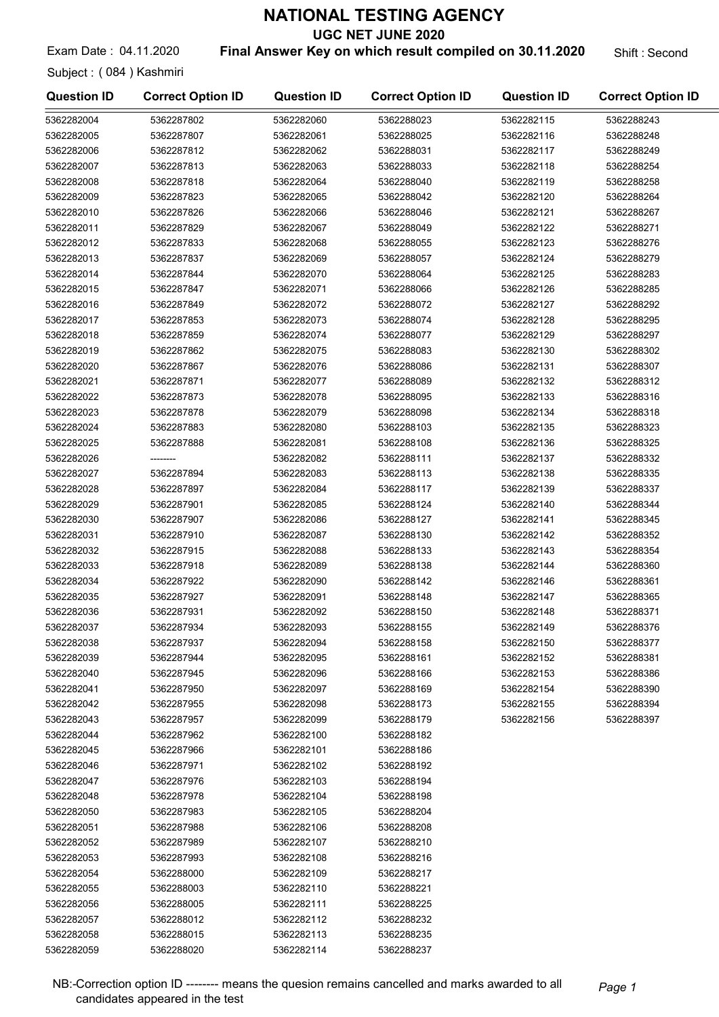UGC NET JUNE 2020

Exam Date: 04.11.2020 **Final Answer Key on which result compiled on 30.11.2020** Shift : Second

Subject : ( 084 ) Kashmiri

| <b>Question ID</b> | <b>Correct Option ID</b> | <b>Question ID</b> | <b>Correct Option ID</b> | <b>Question ID</b> | <b>Correct Option ID</b> |
|--------------------|--------------------------|--------------------|--------------------------|--------------------|--------------------------|
| 5362282004         | 5362287802               | 5362282060         | 5362288023               | 5362282115         | 5362288243               |
| 5362282005         | 5362287807               | 5362282061         | 5362288025               | 5362282116         | 5362288248               |
| 5362282006         | 5362287812               | 5362282062         | 5362288031               | 5362282117         | 5362288249               |
| 5362282007         | 5362287813               | 5362282063         | 5362288033               | 5362282118         | 5362288254               |
| 5362282008         | 5362287818               | 5362282064         | 5362288040               | 5362282119         | 5362288258               |
| 5362282009         | 5362287823               | 5362282065         | 5362288042               | 5362282120         | 5362288264               |
| 5362282010         | 5362287826               | 5362282066         | 5362288046               | 5362282121         | 5362288267               |
| 5362282011         | 5362287829               | 5362282067         | 5362288049               | 5362282122         | 5362288271               |
| 5362282012         | 5362287833               | 5362282068         | 5362288055               | 5362282123         | 5362288276               |
| 5362282013         | 5362287837               | 5362282069         | 5362288057               | 5362282124         | 5362288279               |
| 5362282014         | 5362287844               | 5362282070         | 5362288064               | 5362282125         | 5362288283               |
| 5362282015         | 5362287847               | 5362282071         | 5362288066               | 5362282126         | 5362288285               |
| 5362282016         | 5362287849               | 5362282072         | 5362288072               | 5362282127         | 5362288292               |
| 5362282017         | 5362287853               | 5362282073         | 5362288074               | 5362282128         | 5362288295               |
| 5362282018         | 5362287859               | 5362282074         | 5362288077               | 5362282129         | 5362288297               |
| 5362282019         | 5362287862               | 5362282075         | 5362288083               | 5362282130         | 5362288302               |
| 5362282020         | 5362287867               | 5362282076         | 5362288086               | 5362282131         | 5362288307               |
| 5362282021         | 5362287871               | 5362282077         | 5362288089               | 5362282132         | 5362288312               |
| 5362282022         | 5362287873               | 5362282078         | 5362288095               | 5362282133         | 5362288316               |
| 5362282023         | 5362287878               | 5362282079         | 5362288098               | 5362282134         | 5362288318               |
| 5362282024         | 5362287883               | 5362282080         | 5362288103               | 5362282135         | 5362288323               |
| 5362282025         | 5362287888               | 5362282081         | 5362288108               | 5362282136         | 5362288325               |
| 5362282026         | --------                 | 5362282082         | 5362288111               | 5362282137         | 5362288332               |
| 5362282027         | 5362287894               | 5362282083         | 5362288113               | 5362282138         | 5362288335               |
| 5362282028         | 5362287897               | 5362282084         | 5362288117               | 5362282139         | 5362288337               |
| 5362282029         | 5362287901               | 5362282085         | 5362288124               | 5362282140         | 5362288344               |
| 5362282030         | 5362287907               | 5362282086         | 5362288127               | 5362282141         | 5362288345               |
| 5362282031         | 5362287910               | 5362282087         | 5362288130               | 5362282142         | 5362288352               |
| 5362282032         | 5362287915               | 5362282088         | 5362288133               | 5362282143         | 5362288354               |
| 5362282033         | 5362287918               | 5362282089         | 5362288138               | 5362282144         | 5362288360               |
| 5362282034         | 5362287922               | 5362282090         | 5362288142               | 5362282146         | 5362288361               |
| 5362282035         | 5362287927               | 5362282091         | 5362288148               | 5362282147         | 5362288365               |
| 5362282036         | 5362287931               | 5362282092         | 5362288150               | 5362282148         | 5362288371               |
| 5362282037         | 5362287934               | 5362282093         | 5362288155               | 5362282149         | 5362288376               |
| 5362282038         | 5362287937               | 5362282094         | 5362288158               | 5362282150         | 5362288377               |
| 5362282039         | 5362287944               | 5362282095         | 5362288161               | 5362282152         | 5362288381               |
| 5362282040         | 5362287945               | 5362282096         | 5362288166               | 5362282153         | 5362288386               |
| 5362282041         | 5362287950               | 5362282097         | 5362288169               | 5362282154         | 5362288390               |
| 5362282042         | 5362287955               | 5362282098         | 5362288173               | 5362282155         | 5362288394               |
| 5362282043         | 5362287957               | 5362282099         | 5362288179               | 5362282156         | 5362288397               |
| 5362282044         | 5362287962               | 5362282100         | 5362288182               |                    |                          |
| 5362282045         | 5362287966               | 5362282101         | 5362288186               |                    |                          |
| 5362282046         | 5362287971               | 5362282102         | 5362288192               |                    |                          |
| 5362282047         | 5362287976               | 5362282103         | 5362288194               |                    |                          |
| 5362282048         | 5362287978               | 5362282104         | 5362288198               |                    |                          |
| 5362282050         | 5362287983               | 5362282105         | 5362288204               |                    |                          |
| 5362282051         | 5362287988               | 5362282106         | 5362288208               |                    |                          |
| 5362282052         | 5362287989               | 5362282107         | 5362288210               |                    |                          |
| 5362282053         | 5362287993               | 5362282108         | 5362288216               |                    |                          |
| 5362282054         | 5362288000               | 5362282109         | 5362288217               |                    |                          |
| 5362282055         | 5362288003               | 5362282110         | 5362288221               |                    |                          |
| 5362282056         | 5362288005               | 5362282111         | 5362288225               |                    |                          |
| 5362282057         | 5362288012               | 5362282112         | 5362288232               |                    |                          |
| 5362282058         | 5362288015               | 5362282113         | 5362288235               |                    |                          |
| 5362282059         | 5362288020               | 5362282114         | 5362288237               |                    |                          |

NB:-Correction option ID ------- means the quesion remains cancelled and marks awarded to all Page 1 candidates appeared in the test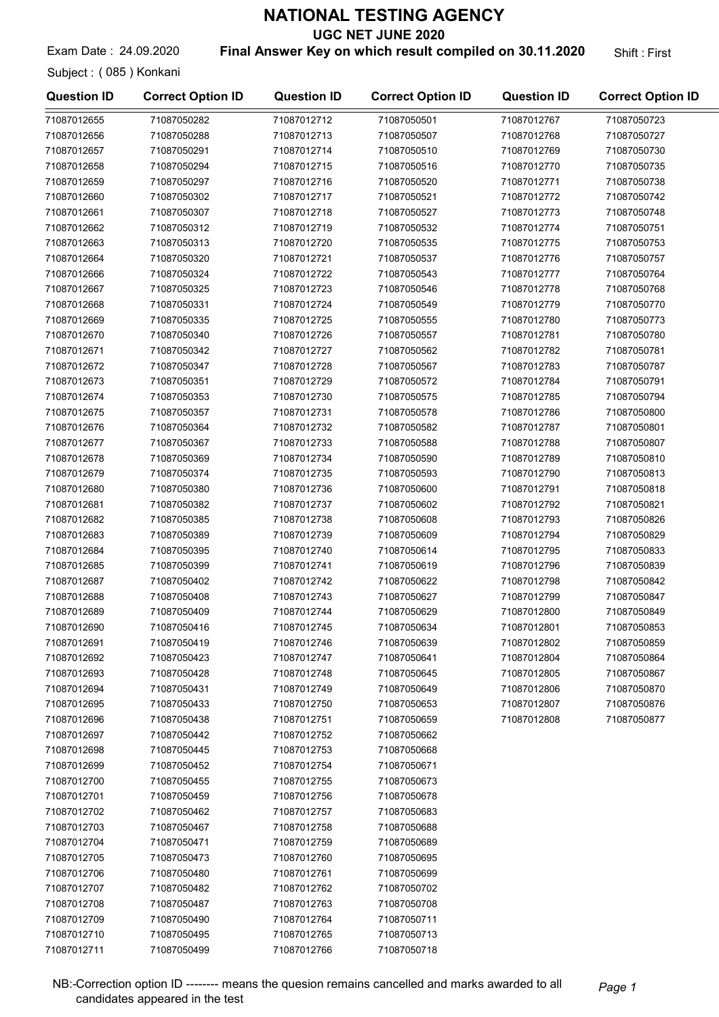UGC NET JUNE 2020

Exam Date: 24.09.2020 **Final Answer Key on which result compiled on 30.11.2020** Shift: First

Subject : ( 085 ) Konkani

| <b>Question ID</b> | <b>Correct Option ID</b> | <b>Question ID</b> | <b>Correct Option ID</b> | <b>Question ID</b> | <b>Correct Option ID</b> |
|--------------------|--------------------------|--------------------|--------------------------|--------------------|--------------------------|
| 71087012655        | 71087050282              | 71087012712        | 71087050501              | 71087012767        | 71087050723              |
| 71087012656        | 71087050288              | 71087012713        | 71087050507              | 71087012768        | 71087050727              |
| 71087012657        | 71087050291              | 71087012714        | 71087050510              | 71087012769        | 71087050730              |
| 71087012658        | 71087050294              | 71087012715        | 71087050516              | 71087012770        | 71087050735              |
| 71087012659        | 71087050297              | 71087012716        | 71087050520              | 71087012771        | 71087050738              |
| 71087012660        | 71087050302              | 71087012717        | 71087050521              | 71087012772        | 71087050742              |
| 71087012661        | 71087050307              | 71087012718        | 71087050527              | 71087012773        | 71087050748              |
| 71087012662        | 71087050312              | 71087012719        | 71087050532              | 71087012774        | 71087050751              |
| 71087012663        | 71087050313              | 71087012720        | 71087050535              | 71087012775        | 71087050753              |
| 71087012664        | 71087050320              | 71087012721        | 71087050537              | 71087012776        | 71087050757              |
| 71087012666        | 71087050324              | 71087012722        | 71087050543              | 71087012777        | 71087050764              |
| 71087012667        | 71087050325              | 71087012723        | 71087050546              | 71087012778        | 71087050768              |
| 71087012668        | 71087050331              | 71087012724        | 71087050549              | 71087012779        | 71087050770              |
| 71087012669        | 71087050335              | 71087012725        | 71087050555              | 71087012780        | 71087050773              |
| 71087012670        | 71087050340              | 71087012726        | 71087050557              | 71087012781        | 71087050780              |
| 71087012671        | 71087050342              | 71087012727        | 71087050562              | 71087012782        | 71087050781              |
| 71087012672        | 71087050347              | 71087012728        | 71087050567              | 71087012783        | 71087050787              |
| 71087012673        | 71087050351              | 71087012729        | 71087050572              | 71087012784        | 71087050791              |
| 71087012674        | 71087050353              | 71087012730        | 71087050575              | 71087012785        | 71087050794              |
| 71087012675        | 71087050357              | 71087012731        | 71087050578              | 71087012786        | 71087050800              |
| 71087012676        | 71087050364              | 71087012732        | 71087050582              | 71087012787        | 71087050801              |
|                    |                          |                    |                          |                    |                          |
| 71087012677        | 71087050367              | 71087012733        | 71087050588              | 71087012788        | 71087050807              |
| 71087012678        | 71087050369              | 71087012734        | 71087050590              | 71087012789        | 71087050810              |
| 71087012679        | 71087050374              | 71087012735        | 71087050593              | 71087012790        | 71087050813              |
| 71087012680        | 71087050380              | 71087012736        | 71087050600              | 71087012791        | 71087050818              |
| 71087012681        | 71087050382              | 71087012737        | 71087050602              | 71087012792        | 71087050821              |
| 71087012682        | 71087050385              | 71087012738        | 71087050608              | 71087012793        | 71087050826              |
| 71087012683        | 71087050389              | 71087012739        | 71087050609              | 71087012794        | 71087050829              |
| 71087012684        | 71087050395              | 71087012740        | 71087050614              | 71087012795        | 71087050833              |
| 71087012685        | 71087050399              | 71087012741        | 71087050619              | 71087012796        | 71087050839              |
| 71087012687        | 71087050402              | 71087012742        | 71087050622              | 71087012798        | 71087050842              |
| 71087012688        | 71087050408              | 71087012743        | 71087050627              | 71087012799        | 71087050847              |
| 71087012689        | 71087050409              | 71087012744        | 71087050629              | 71087012800        | 71087050849              |
| 71087012690        | 71087050416              | 71087012745        | 71087050634              | 71087012801        | 71087050853              |
| 71087012691        | 71087050419              | 71087012746        | 71087050639              | 71087012802        | 71087050859              |
| 71087012692        | 71087050423              | 71087012747        | 71087050641              | 71087012804        | 71087050864              |
| 71087012693        | 71087050428              | 71087012748        | 71087050645              | 71087012805        | 71087050867              |
| 71087012694        | 71087050431              | 71087012749        | 71087050649              | 71087012806        | 71087050870              |
| 71087012695        | 71087050433              | 71087012750        | 71087050653              | 71087012807        | 71087050876              |
| 71087012696        | 71087050438              | 71087012751        | 71087050659              | 71087012808        | 71087050877              |
| 71087012697        | 71087050442              | 71087012752        | 71087050662              |                    |                          |
| 71087012698        | 71087050445              | 71087012753        | 71087050668              |                    |                          |
| 71087012699        | 71087050452              | 71087012754        | 71087050671              |                    |                          |
| 71087012700        | 71087050455              | 71087012755        | 71087050673              |                    |                          |
| 71087012701        | 71087050459              | 71087012756        | 71087050678              |                    |                          |
| 71087012702        | 71087050462              | 71087012757        | 71087050683              |                    |                          |
| 71087012703        | 71087050467              | 71087012758        | 71087050688              |                    |                          |
| 71087012704        | 71087050471              | 71087012759        | 71087050689              |                    |                          |
| 71087012705        | 71087050473              | 71087012760        | 71087050695              |                    |                          |
| 71087012706        | 71087050480              | 71087012761        | 71087050699              |                    |                          |
| 71087012707        | 71087050482              | 71087012762        | 71087050702              |                    |                          |
| 71087012708        | 71087050487              | 71087012763        | 71087050708              |                    |                          |
| 71087012709        | 71087050490              | 71087012764        | 71087050711              |                    |                          |
| 71087012710        | 71087050495              | 71087012765        | 71087050713              |                    |                          |
| 71087012711        | 71087050499              | 71087012766        | 71087050718              |                    |                          |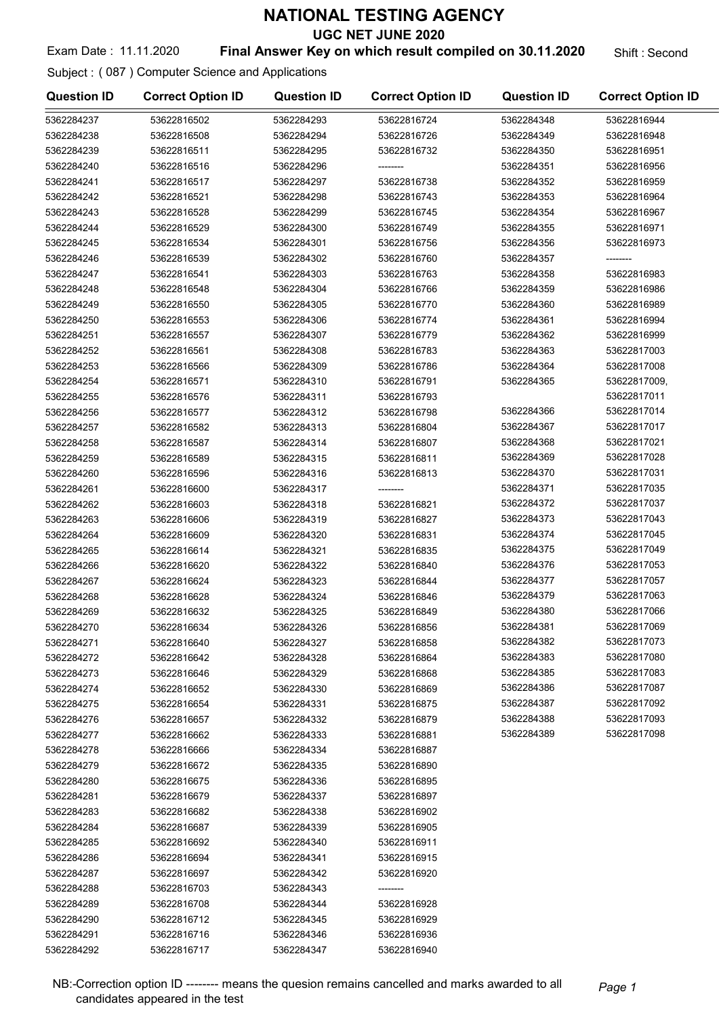UGC NET JUNE 2020

#### Exam Date: 11.11.2020 **Final Answer Key on which result compiled on 30.11.2020** Shift: Second

#### Subject : ( 087 ) Computer Science and Applications

| <b>Question ID</b> | <b>Correct Option ID</b> | <b>Question ID</b> | <b>Correct Option ID</b> | <b>Question ID</b> | <b>Correct Option ID</b> |
|--------------------|--------------------------|--------------------|--------------------------|--------------------|--------------------------|
| 5362284237         | 53622816502              | 5362284293         | 53622816724              | 5362284348         | 53622816944              |
| 5362284238         | 53622816508              | 5362284294         | 53622816726              | 5362284349         | 53622816948              |
| 5362284239         | 53622816511              | 5362284295         | 53622816732              | 5362284350         | 53622816951              |
| 5362284240         | 53622816516              | 5362284296         |                          | 5362284351         | 53622816956              |
| 5362284241         | 53622816517              | 5362284297         | 53622816738              | 5362284352         | 53622816959              |
| 5362284242         | 53622816521              | 5362284298         | 53622816743              | 5362284353         | 53622816964              |
| 5362284243         | 53622816528              | 5362284299         | 53622816745              | 5362284354         | 53622816967              |
| 5362284244         | 53622816529              | 5362284300         | 53622816749              | 5362284355         | 53622816971              |
| 5362284245         | 53622816534              | 5362284301         | 53622816756              | 5362284356         | 53622816973              |
| 5362284246         | 53622816539              | 5362284302         | 53622816760              | 5362284357         | --------                 |
| 5362284247         | 53622816541              | 5362284303         | 53622816763              | 5362284358         | 53622816983              |
| 5362284248         | 53622816548              | 5362284304         | 53622816766              | 5362284359         | 53622816986              |
| 5362284249         | 53622816550              | 5362284305         | 53622816770              | 5362284360         | 53622816989              |
| 5362284250         | 53622816553              | 5362284306         | 53622816774              | 5362284361         | 53622816994              |
| 5362284251         | 53622816557              | 5362284307         | 53622816779              | 5362284362         | 53622816999              |
| 5362284252         | 53622816561              | 5362284308         | 53622816783              | 5362284363         | 53622817003              |
| 5362284253         | 53622816566              | 5362284309         | 53622816786              | 5362284364         | 53622817008              |
| 5362284254         | 53622816571              | 5362284310         | 53622816791              | 5362284365         | 53622817009,             |
| 5362284255         | 53622816576              | 5362284311         | 53622816793              |                    | 53622817011              |
| 5362284256         | 53622816577              | 5362284312         | 53622816798              | 5362284366         | 53622817014              |
| 5362284257         | 53622816582              | 5362284313         | 53622816804              | 5362284367         | 53622817017              |
| 5362284258         | 53622816587              | 5362284314         | 53622816807              | 5362284368         | 53622817021              |
| 5362284259         | 53622816589              | 5362284315         | 53622816811              | 5362284369         | 53622817028              |
| 5362284260         | 53622816596              | 5362284316         | 53622816813              | 5362284370         | 53622817031              |
| 5362284261         | 53622816600              | 5362284317         | --------                 | 5362284371         | 53622817035              |
| 5362284262         | 53622816603              | 5362284318         | 53622816821              | 5362284372         | 53622817037              |
| 5362284263         | 53622816606              | 5362284319         | 53622816827              | 5362284373         | 53622817043              |
| 5362284264         | 53622816609              | 5362284320         | 53622816831              | 5362284374         | 53622817045              |
| 5362284265         | 53622816614              | 5362284321         | 53622816835              | 5362284375         | 53622817049              |
| 5362284266         | 53622816620              | 5362284322         | 53622816840              | 5362284376         | 53622817053              |
| 5362284267         | 53622816624              | 5362284323         | 53622816844              | 5362284377         | 53622817057              |
| 5362284268         | 53622816628              | 5362284324         | 53622816846              | 5362284379         | 53622817063              |
| 5362284269         | 53622816632              | 5362284325         | 53622816849              | 5362284380         | 53622817066              |
| 5362284270         | 53622816634              | 5362284326         | 53622816856              | 5362284381         | 53622817069              |
| 5362284271         | 53622816640              | 5362284327         | 53622816858              | 5362284382         | 53622817073              |
| 5362284272         | 53622816642              | 5362284328         | 53622816864              | 5362284383         | 53622817080              |
| 5362284273         | 53622816646              | 5362284329         | 53622816868              | 5362284385         | 53622817083              |
| 5362284274         | 53622816652              | 5362284330         | 53622816869              | 5362284386         | 53622817087              |
| 5362284275         | 53622816654              | 5362284331         | 53622816875              | 5362284387         | 53622817092              |
| 5362284276         | 53622816657              | 5362284332         | 53622816879              | 5362284388         | 53622817093              |
| 5362284277         | 53622816662              | 5362284333         | 53622816881              | 5362284389         | 53622817098              |
| 5362284278         | 53622816666              | 5362284334         | 53622816887              |                    |                          |
| 5362284279         | 53622816672              | 5362284335         | 53622816890              |                    |                          |
| 5362284280         | 53622816675              | 5362284336         | 53622816895              |                    |                          |
| 5362284281         | 53622816679              | 5362284337         | 53622816897              |                    |                          |
| 5362284283         | 53622816682              | 5362284338         | 53622816902              |                    |                          |
| 5362284284         | 53622816687              | 5362284339         | 53622816905              |                    |                          |
| 5362284285         | 53622816692              | 5362284340         | 53622816911              |                    |                          |
| 5362284286         | 53622816694              | 5362284341         | 53622816915              |                    |                          |
| 5362284287         | 53622816697              | 5362284342         | 53622816920              |                    |                          |
| 5362284288         | 53622816703              | 5362284343         | --------                 |                    |                          |
| 5362284289         | 53622816708              | 5362284344         | 53622816928              |                    |                          |
| 5362284290         | 53622816712              | 5362284345         | 53622816929              |                    |                          |
| 5362284291         | 53622816716              | 5362284346         | 53622816936              |                    |                          |
| 5362284292         | 53622816717              | 5362284347         | 53622816940              |                    |                          |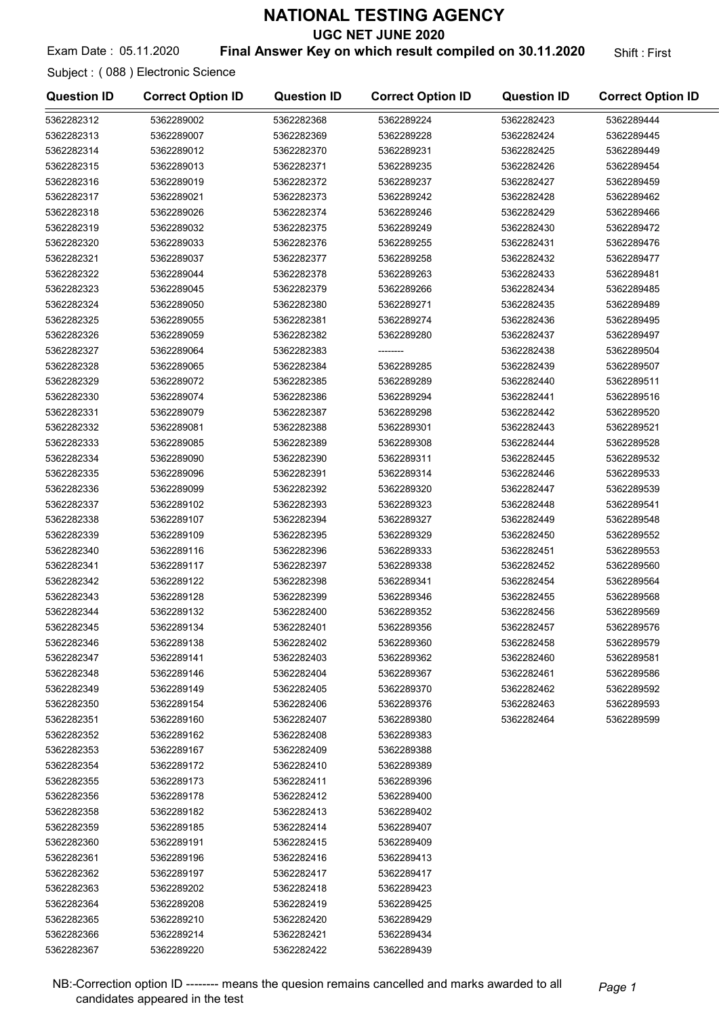UGC NET JUNE 2020

#### Exam Date: 05.11.2020 **Final Answer Key on which result compiled on 30.11.2020** Shift: First

Subject : ( 088 ) Electronic Science

| <b>Question ID</b> | <b>Correct Option ID</b> | <b>Question ID</b> | <b>Correct Option ID</b> | <b>Question ID</b> | <b>Correct Option ID</b> |
|--------------------|--------------------------|--------------------|--------------------------|--------------------|--------------------------|
| 5362282312         | 5362289002               | 5362282368         | 5362289224               | 5362282423         | 5362289444               |
| 5362282313         | 5362289007               | 5362282369         | 5362289228               | 5362282424         | 5362289445               |
| 5362282314         | 5362289012               | 5362282370         | 5362289231               | 5362282425         | 5362289449               |
| 5362282315         | 5362289013               | 5362282371         | 5362289235               | 5362282426         | 5362289454               |
| 5362282316         | 5362289019               | 5362282372         | 5362289237               | 5362282427         | 5362289459               |
| 5362282317         | 5362289021               | 5362282373         | 5362289242               | 5362282428         | 5362289462               |
| 5362282318         | 5362289026               | 5362282374         | 5362289246               | 5362282429         | 5362289466               |
| 5362282319         | 5362289032               | 5362282375         | 5362289249               | 5362282430         | 5362289472               |
| 5362282320         | 5362289033               | 5362282376         | 5362289255               | 5362282431         | 5362289476               |
| 5362282321         | 5362289037               | 5362282377         | 5362289258               | 5362282432         | 5362289477               |
| 5362282322         | 5362289044               | 5362282378         | 5362289263               | 5362282433         | 5362289481               |
| 5362282323         | 5362289045               | 5362282379         | 5362289266               | 5362282434         | 5362289485               |
| 5362282324         | 5362289050               | 5362282380         | 5362289271               | 5362282435         | 5362289489               |
| 5362282325         | 5362289055               | 5362282381         | 5362289274               | 5362282436         | 5362289495               |
| 5362282326         | 5362289059               | 5362282382         | 5362289280               | 5362282437         | 5362289497               |
| 5362282327         | 5362289064               | 5362282383         | --------                 | 5362282438         | 5362289504               |
| 5362282328         | 5362289065               | 5362282384         | 5362289285               | 5362282439         | 5362289507               |
| 5362282329         | 5362289072               | 5362282385         | 5362289289               | 5362282440         | 5362289511               |
| 5362282330         | 5362289074               | 5362282386         | 5362289294               | 5362282441         | 5362289516               |
| 5362282331         | 5362289079               | 5362282387         | 5362289298               | 5362282442         | 5362289520               |
| 5362282332         | 5362289081               | 5362282388         | 5362289301               | 5362282443         | 5362289521               |
| 5362282333         | 5362289085               | 5362282389         | 5362289308               | 5362282444         | 5362289528               |
| 5362282334         | 5362289090               | 5362282390         | 5362289311               | 5362282445         | 5362289532               |
| 5362282335         | 5362289096               | 5362282391         | 5362289314               | 5362282446         | 5362289533               |
| 5362282336         | 5362289099               | 5362282392         | 5362289320               | 5362282447         | 5362289539               |
| 5362282337         | 5362289102               | 5362282393         | 5362289323               | 5362282448         | 5362289541               |
| 5362282338         | 5362289107               | 5362282394         | 5362289327               | 5362282449         | 5362289548               |
| 5362282339         | 5362289109               | 5362282395         | 5362289329               | 5362282450         | 5362289552               |
| 5362282340         | 5362289116               | 5362282396         | 5362289333               | 5362282451         | 5362289553               |
| 5362282341         | 5362289117               | 5362282397         | 5362289338               | 5362282452         | 5362289560               |
| 5362282342         | 5362289122               | 5362282398         | 5362289341               | 5362282454         | 5362289564               |
| 5362282343         | 5362289128               | 5362282399         | 5362289346               | 5362282455         | 5362289568               |
| 5362282344         | 5362289132               | 5362282400         | 5362289352               | 5362282456         | 5362289569               |
| 5362282345         | 5362289134               | 5362282401         | 5362289356               | 5362282457         | 5362289576               |
| 5362282346         | 5362289138               | 5362282402         | 5362289360               | 5362282458         | 5362289579               |
| 5362282347         | 5362289141               | 5362282403         | 5362289362               | 5362282460         | 5362289581               |
| 5362282348         | 5362289146               | 5362282404         | 5362289367               | 5362282461         | 5362289586               |
| 5362282349         | 5362289149               | 5362282405         | 5362289370               | 5362282462         | 5362289592               |
| 5362282350         | 5362289154               | 5362282406         | 5362289376               | 5362282463         | 5362289593               |
| 5362282351         | 5362289160               | 5362282407         | 5362289380               | 5362282464         | 5362289599               |
| 5362282352         | 5362289162               | 5362282408         | 5362289383               |                    |                          |
| 5362282353         | 5362289167               | 5362282409         | 5362289388               |                    |                          |
| 5362282354         | 5362289172               | 5362282410         | 5362289389               |                    |                          |
| 5362282355         | 5362289173               | 5362282411         | 5362289396               |                    |                          |
| 5362282356         | 5362289178               | 5362282412         | 5362289400               |                    |                          |
| 5362282358         | 5362289182               | 5362282413         | 5362289402               |                    |                          |
| 5362282359         | 5362289185               | 5362282414         | 5362289407               |                    |                          |
| 5362282360         | 5362289191               | 5362282415         | 5362289409               |                    |                          |
| 5362282361         | 5362289196               | 5362282416         | 5362289413               |                    |                          |
| 5362282362         | 5362289197               | 5362282417         | 5362289417               |                    |                          |
| 5362282363         | 5362289202               | 5362282418         | 5362289423               |                    |                          |
| 5362282364         | 5362289208               | 5362282419         | 5362289425               |                    |                          |
| 5362282365         | 5362289210               | 5362282420         | 5362289429               |                    |                          |
| 5362282366         | 5362289214               | 5362282421         | 5362289434               |                    |                          |
| 5362282367         | 5362289220               | 5362282422         | 5362289439               |                    |                          |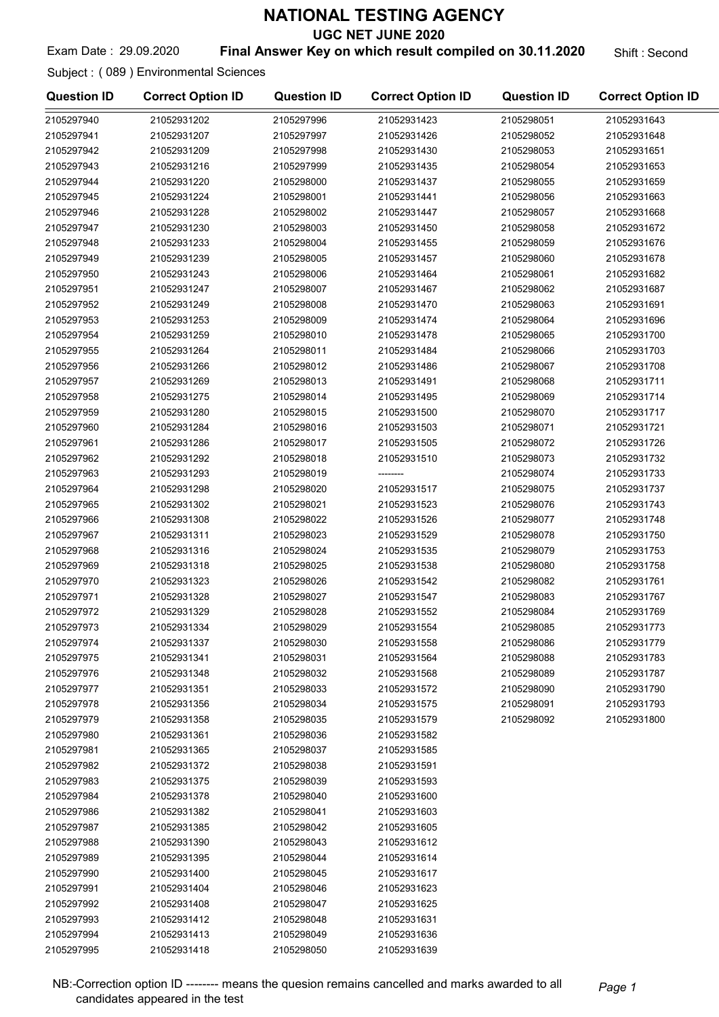UGC NET JUNE 2020

Exam Date: 29.09.2020 **Final Answer Key on which result compiled on 30.11.2020** Shift : Second

Subject : ( 089 ) Environmental Sciences

| <b>Question ID</b> | <b>Correct Option ID</b> | <b>Question ID</b> | <b>Correct Option ID</b> | <b>Question ID</b> | <b>Correct Option ID</b> |
|--------------------|--------------------------|--------------------|--------------------------|--------------------|--------------------------|
| 2105297940         | 21052931202              | 2105297996         | 21052931423              | 2105298051         | 21052931643              |
| 2105297941         | 21052931207              | 2105297997         | 21052931426              | 2105298052         | 21052931648              |
| 2105297942         | 21052931209              | 2105297998         | 21052931430              | 2105298053         | 21052931651              |
| 2105297943         | 21052931216              | 2105297999         | 21052931435              | 2105298054         | 21052931653              |
| 2105297944         | 21052931220              | 2105298000         | 21052931437              | 2105298055         | 21052931659              |
| 2105297945         | 21052931224              | 2105298001         | 21052931441              | 2105298056         | 21052931663              |
| 2105297946         | 21052931228              | 2105298002         | 21052931447              | 2105298057         | 21052931668              |
| 2105297947         | 21052931230              | 2105298003         | 21052931450              | 2105298058         | 21052931672              |
| 2105297948         | 21052931233              | 2105298004         | 21052931455              | 2105298059         | 21052931676              |
| 2105297949         | 21052931239              | 2105298005         | 21052931457              | 2105298060         | 21052931678              |
| 2105297950         | 21052931243              | 2105298006         | 21052931464              | 2105298061         | 21052931682              |
| 2105297951         | 21052931247              | 2105298007         | 21052931467              | 2105298062         | 21052931687              |
| 2105297952         | 21052931249              | 2105298008         | 21052931470              | 2105298063         | 21052931691              |
| 2105297953         | 21052931253              | 2105298009         | 21052931474              | 2105298064         | 21052931696              |
| 2105297954         | 21052931259              | 2105298010         | 21052931478              | 2105298065         | 21052931700              |
| 2105297955         | 21052931264              | 2105298011         | 21052931484              | 2105298066         | 21052931703              |
| 2105297956         | 21052931266              | 2105298012         | 21052931486              | 2105298067         | 21052931708              |
| 2105297957         | 21052931269              | 2105298013         | 21052931491              | 2105298068         | 21052931711              |
| 2105297958         | 21052931275              | 2105298014         | 21052931495              | 2105298069         | 21052931714              |
| 2105297959         | 21052931280              | 2105298015         | 21052931500              | 2105298070         | 21052931717              |
| 2105297960         | 21052931284              | 2105298016         | 21052931503              | 2105298071         | 21052931721              |
| 2105297961         | 21052931286              | 2105298017         | 21052931505              | 2105298072         | 21052931726              |
| 2105297962         | 21052931292              | 2105298018         | 21052931510              | 2105298073         | 21052931732              |
| 2105297963         | 21052931293              | 2105298019         | --------                 | 2105298074         | 21052931733              |
| 2105297964         | 21052931298              | 2105298020         | 21052931517              | 2105298075         | 21052931737              |
| 2105297965         | 21052931302              | 2105298021         | 21052931523              | 2105298076         | 21052931743              |
| 2105297966         | 21052931308              | 2105298022         | 21052931526              | 2105298077         | 21052931748              |
| 2105297967         | 21052931311              | 2105298023         | 21052931529              | 2105298078         | 21052931750              |
| 2105297968         | 21052931316              | 2105298024         | 21052931535              | 2105298079         | 21052931753              |
| 2105297969         | 21052931318              | 2105298025         | 21052931538              | 2105298080         | 21052931758              |
| 2105297970         | 21052931323              | 2105298026         | 21052931542              | 2105298082         | 21052931761              |
| 2105297971         | 21052931328              | 2105298027         | 21052931547              | 2105298083         | 21052931767              |
| 2105297972         | 21052931329              | 2105298028         | 21052931552              | 2105298084         | 21052931769              |
| 2105297973         | 21052931334              | 2105298029         | 21052931554              | 2105298085         | 21052931773              |
| 2105297974         | 21052931337              | 2105298030         | 21052931558              | 2105298086         | 21052931779              |
| 2105297975         | 21052931341              | 2105298031         | 21052931564              | 2105298088         | 21052931783              |
| 2105297976         | 21052931348              | 2105298032         | 21052931568              | 2105298089         | 21052931787              |
| 2105297977         | 21052931351              | 2105298033         | 21052931572              | 2105298090         | 21052931790              |
| 2105297978         | 21052931356              | 2105298034         | 21052931575              | 2105298091         | 21052931793              |
| 2105297979         | 21052931358              | 2105298035         | 21052931579              | 2105298092         | 21052931800              |
| 2105297980         | 21052931361              | 2105298036         | 21052931582              |                    |                          |
| 2105297981         | 21052931365              | 2105298037         | 21052931585              |                    |                          |
| 2105297982         | 21052931372              | 2105298038         | 21052931591              |                    |                          |
| 2105297983         | 21052931375              | 2105298039         | 21052931593              |                    |                          |
| 2105297984         | 21052931378              | 2105298040         | 21052931600              |                    |                          |
| 2105297986         | 21052931382              | 2105298041         | 21052931603              |                    |                          |
| 2105297987         | 21052931385              | 2105298042         | 21052931605              |                    |                          |
| 2105297988         | 21052931390              | 2105298043         | 21052931612              |                    |                          |
| 2105297989         | 21052931395              | 2105298044         | 21052931614              |                    |                          |
| 2105297990         | 21052931400              | 2105298045         | 21052931617              |                    |                          |
| 2105297991         | 21052931404              | 2105298046         | 21052931623              |                    |                          |
| 2105297992         | 21052931408              | 2105298047         | 21052931625              |                    |                          |
| 2105297993         | 21052931412              | 2105298048         | 21052931631              |                    |                          |
| 2105297994         | 21052931413              | 2105298049         | 21052931636              |                    |                          |
| 2105297995         | 21052931418              | 2105298050         | 21052931639              |                    |                          |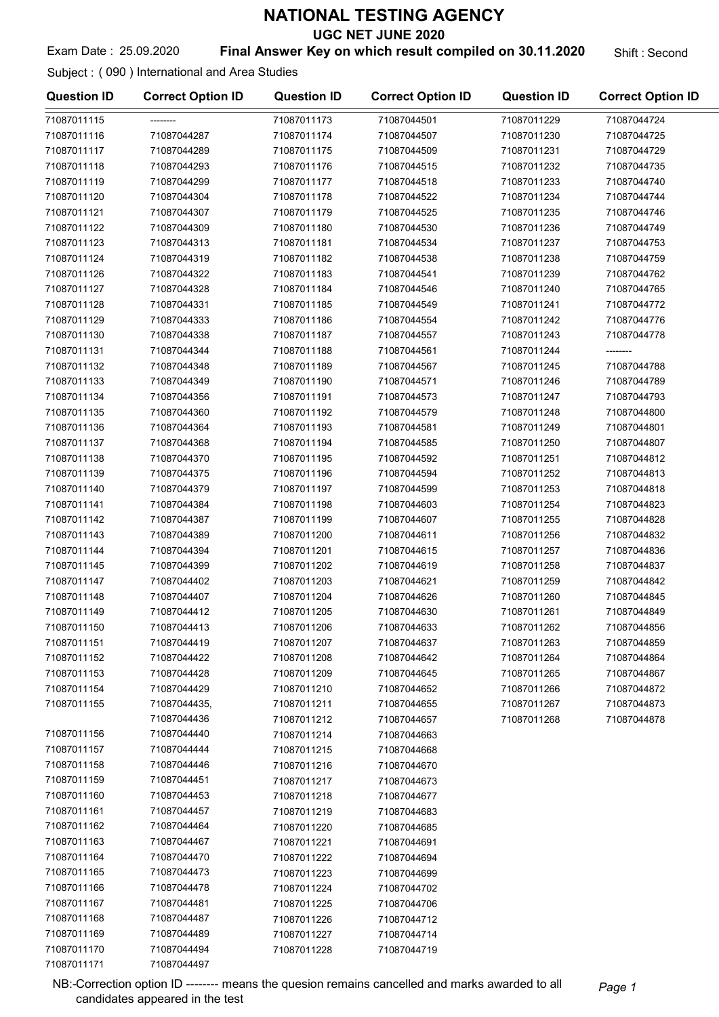UGC NET JUNE 2020

#### Exam Date : 25.09.2020 **Final Answer Key on which result compiled on 30.11.2020** Shift : Second

Subject : ( 090 ) International and Area Studies

| <b>Question ID</b>         | <b>Correct Option ID</b> | <b>Question ID</b> | <b>Correct Option ID</b> | <b>Question ID</b> | <b>Correct Option ID</b> |
|----------------------------|--------------------------|--------------------|--------------------------|--------------------|--------------------------|
| 71087011115                |                          | 71087011173        | 71087044501              | 71087011229        | 71087044724              |
| 71087011116                | 71087044287              | 71087011174        | 71087044507              | 71087011230        | 71087044725              |
| 71087011117                | 71087044289              | 71087011175        | 71087044509              | 71087011231        | 71087044729              |
| 71087011118                | 71087044293              | 71087011176        | 71087044515              | 71087011232        | 71087044735              |
| 71087011119                | 71087044299              | 71087011177        | 71087044518              | 71087011233        | 71087044740              |
| 71087011120                | 71087044304              | 71087011178        | 71087044522              | 71087011234        | 71087044744              |
| 71087011121                | 71087044307              | 71087011179        | 71087044525              | 71087011235        | 71087044746              |
| 71087011122                | 71087044309              | 71087011180        | 71087044530              | 71087011236        | 71087044749              |
| 71087011123                | 71087044313              | 71087011181        | 71087044534              | 71087011237        | 71087044753              |
| 71087011124                | 71087044319              | 71087011182        | 71087044538              | 71087011238        | 71087044759              |
| 71087011126                | 71087044322              | 71087011183        | 71087044541              | 71087011239        | 71087044762              |
| 71087011127                | 71087044328              | 71087011184        | 71087044546              | 71087011240        | 71087044765              |
| 71087011128                | 71087044331              | 71087011185        | 71087044549              | 71087011241        | 71087044772              |
| 71087011129                | 71087044333              | 71087011186        | 71087044554              | 71087011242        | 71087044776              |
| 71087011130                | 71087044338              | 71087011187        | 71087044557              | 71087011243        | 71087044778              |
| 71087011131                | 71087044344              | 71087011188        | 71087044561              | 71087011244        | --------                 |
| 71087011132                | 71087044348              | 71087011189        | 71087044567              | 71087011245        | 71087044788              |
| 71087011133                | 71087044349              | 71087011190        | 71087044571              | 71087011246        | 71087044789              |
| 71087011134                | 71087044356              | 71087011191        | 71087044573              | 71087011247        | 71087044793              |
| 71087011135                | 71087044360              | 71087011192        | 71087044579              | 71087011248        | 71087044800              |
| 71087011136                | 71087044364              | 71087011193        | 71087044581              | 71087011249        | 71087044801              |
| 71087011137                | 71087044368              | 71087011194        | 71087044585              | 71087011250        | 71087044807              |
| 71087011138                | 71087044370              | 71087011195        | 71087044592              | 71087011251        | 71087044812              |
| 71087011139                | 71087044375              | 71087011196        | 71087044594              | 71087011252        | 71087044813              |
| 71087011140                | 71087044379              | 71087011197        | 71087044599              | 71087011253        | 71087044818              |
| 71087011141                | 71087044384              | 71087011198        | 71087044603              | 71087011254        | 71087044823              |
| 71087011142                | 71087044387              | 71087011199        | 71087044607              | 71087011255        | 71087044828              |
| 71087011143                | 71087044389              | 71087011200        | 71087044611              | 71087011256        | 71087044832              |
| 71087011144                | 71087044394              | 71087011201        | 71087044615              | 71087011257        | 71087044836              |
| 71087011145                | 71087044399              | 71087011202        | 71087044619              | 71087011258        | 71087044837              |
| 71087011147                | 71087044402              | 71087011203        | 71087044621              | 71087011259        | 71087044842              |
| 71087011148                | 71087044407              | 71087011204        | 71087044626              | 71087011260        | 71087044845              |
| 71087011149                | 71087044412              | 71087011205        | 71087044630              | 71087011261        | 71087044849              |
| 71087011150                | 71087044413              | 71087011206        | 71087044633              | 71087011262        | 71087044856              |
|                            |                          |                    |                          |                    |                          |
| 71087011151<br>71087011152 | 71087044419              | 71087011207        | 71087044637              | 71087011263        | 71087044859              |
|                            | 71087044422              | 71087011208        | 71087044642              | 71087011264        | 71087044864              |
| 71087011153                | 71087044428              | 71087011209        | 71087044645              | 71087011265        | 71087044867              |
| 71087011154                | 71087044429              | 71087011210        | 71087044652              | 71087011266        | 71087044872              |
| 71087011155                | 71087044435,             | 71087011211        | 71087044655              | 71087011267        | 71087044873              |
|                            | 71087044436              | 71087011212        | 71087044657              | 71087011268        | 71087044878              |
| 71087011156                | 71087044440              | 71087011214        | 71087044663              |                    |                          |
| 71087011157                | 71087044444              | 71087011215        | 71087044668              |                    |                          |
| 71087011158                | 71087044446              | 71087011216        | 71087044670              |                    |                          |
| 71087011159                | 71087044451              | 71087011217        | 71087044673              |                    |                          |
| 71087011160                | 71087044453              | 71087011218        | 71087044677              |                    |                          |
| 71087011161                | 71087044457              | 71087011219        | 71087044683              |                    |                          |
| 71087011162                | 71087044464              | 71087011220        | 71087044685              |                    |                          |
| 71087011163                | 71087044467              | 71087011221        | 71087044691              |                    |                          |
| 71087011164                | 71087044470              | 71087011222        | 71087044694              |                    |                          |
| 71087011165                | 71087044473              | 71087011223        | 71087044699              |                    |                          |
| 71087011166                | 71087044478              | 71087011224        | 71087044702              |                    |                          |
| 71087011167                | 71087044481              | 71087011225        | 71087044706              |                    |                          |
| 71087011168                | 71087044487              | 71087011226        | 71087044712              |                    |                          |
| 71087011169                | 71087044489              | 71087011227        | 71087044714              |                    |                          |
| 71087011170                | 71087044494              | 71087011228        | 71087044719              |                    |                          |
| 71087011171                | 71087044497              |                    |                          |                    |                          |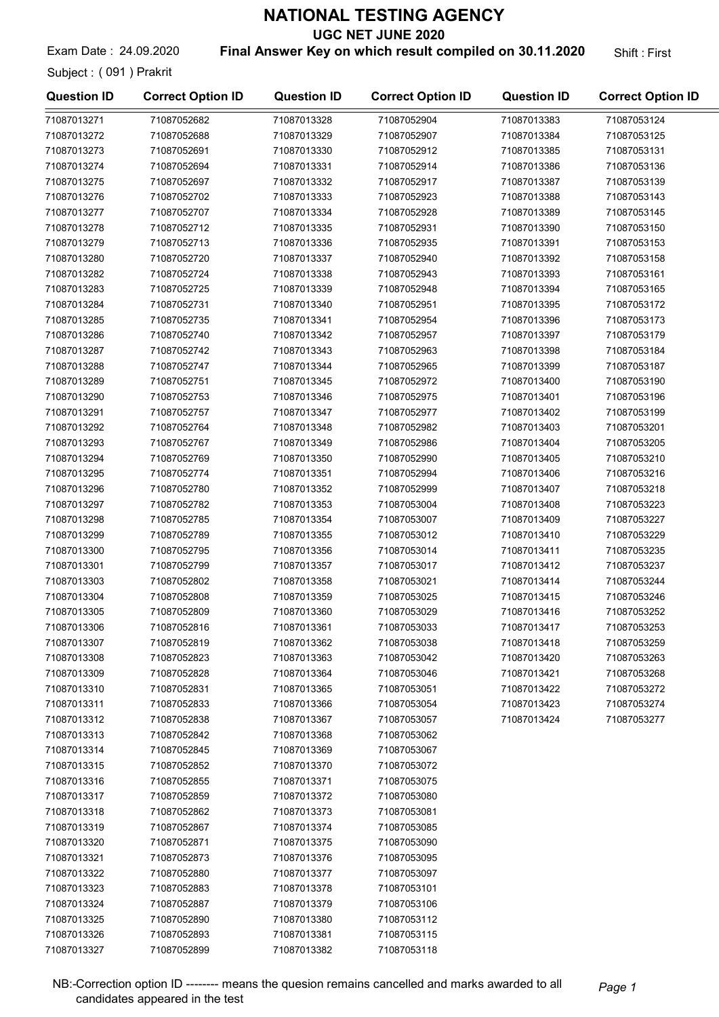UGC NET JUNE 2020

Exam Date: 24.09.2020 **Final Answer Key on which result compiled on 30.11.2020** Shift: First

Subject : ( 091 ) Prakrit

| <b>Question ID</b>         | <b>Correct Option ID</b>   | <b>Question ID</b>         | <b>Correct Option ID</b>   | <b>Question ID</b>         | <b>Correct Option ID</b>   |
|----------------------------|----------------------------|----------------------------|----------------------------|----------------------------|----------------------------|
| 71087013271                | 71087052682                | 71087013328                | 71087052904                | 71087013383                | 71087053124                |
| 71087013272                | 71087052688                | 71087013329                | 71087052907                | 71087013384                | 71087053125                |
| 71087013273                | 71087052691                | 71087013330                | 71087052912                | 71087013385                | 71087053131                |
| 71087013274                | 71087052694                | 71087013331                | 71087052914                | 71087013386                | 71087053136                |
| 71087013275                | 71087052697                | 71087013332                | 71087052917                | 71087013387                | 71087053139                |
| 71087013276                | 71087052702                | 71087013333                | 71087052923                | 71087013388                | 71087053143                |
| 71087013277                | 71087052707                | 71087013334                | 71087052928                | 71087013389                | 71087053145                |
| 71087013278                | 71087052712                | 71087013335                | 71087052931                | 71087013390                | 71087053150                |
| 71087013279                | 71087052713                | 71087013336                | 71087052935                | 71087013391                | 71087053153                |
| 71087013280                | 71087052720                | 71087013337                | 71087052940                | 71087013392                | 71087053158                |
| 71087013282                | 71087052724                | 71087013338                | 71087052943                | 71087013393                | 71087053161                |
| 71087013283                | 71087052725                | 71087013339                | 71087052948                | 71087013394                | 71087053165                |
| 71087013284                | 71087052731                | 71087013340                | 71087052951                | 71087013395                | 71087053172                |
| 71087013285                | 71087052735                | 71087013341                | 71087052954                | 71087013396                | 71087053173                |
| 71087013286                | 71087052740                | 71087013342                | 71087052957                | 71087013397                | 71087053179                |
| 71087013287                | 71087052742                | 71087013343                | 71087052963                | 71087013398                | 71087053184                |
| 71087013288                | 71087052747                | 71087013344                | 71087052965                | 71087013399                | 71087053187                |
| 71087013289                | 71087052751                | 71087013345                | 71087052972                | 71087013400                | 71087053190                |
| 71087013290                | 71087052753                | 71087013346                | 71087052975                | 71087013401                | 71087053196                |
| 71087013291                | 71087052757                | 71087013347                | 71087052977                | 71087013402                | 71087053199                |
| 71087013292                | 71087052764                | 71087013348                | 71087052982                | 71087013403                | 71087053201                |
|                            |                            |                            |                            |                            |                            |
| 71087013293                | 71087052767                | 71087013349                | 71087052986                | 71087013404                | 71087053205                |
| 71087013294                | 71087052769                | 71087013350                | 71087052990                | 71087013405                | 71087053210                |
| 71087013295                | 71087052774                | 71087013351                | 71087052994                | 71087013406                | 71087053216                |
| 71087013296                | 71087052780                | 71087013352                | 71087052999                | 71087013407                | 71087053218                |
| 71087013297                | 71087052782                | 71087013353                | 71087053004                | 71087013408                | 71087053223                |
| 71087013298                | 71087052785                | 71087013354                | 71087053007                | 71087013409<br>71087013410 | 71087053227                |
| 71087013299                | 71087052789                | 71087013355                | 71087053012                |                            | 71087053229                |
| 71087013300                | 71087052795                | 71087013356                | 71087053014                | 71087013411                | 71087053235                |
| 71087013301                | 71087052799                | 71087013357                | 71087053017                | 71087013412                | 71087053237                |
| 71087013303                | 71087052802                | 71087013358                | 71087053021<br>71087053025 | 71087013414<br>71087013415 | 71087053244                |
| 71087013304<br>71087013305 | 71087052808<br>71087052809 | 71087013359<br>71087013360 | 71087053029                | 71087013416                | 71087053246<br>71087053252 |
|                            |                            |                            | 71087053033                |                            | 71087053253                |
| 71087013306                | 71087052816                | 71087013361                | 71087053038                | 71087013417                |                            |
| 71087013307                | 71087052819                | 71087013362                |                            | 71087013418                | 71087053259                |
| 71087013308                | 71087052823                | 71087013363                | 71087053042                | 71087013420                | 71087053263                |
| 71087013309                | 71087052828                | 71087013364                | 71087053046                | 71087013421                | 71087053268                |
| 71087013310                | 71087052831                | 71087013365                | 71087053051                | 71087013422                | 71087053272                |
| 71087013311                | 71087052833                | 71087013366                | 71087053054                | 71087013423                | 71087053274                |
| 71087013312                | 71087052838                | 71087013367                | 71087053057                | 71087013424                | 71087053277                |
| 71087013313                | 71087052842                | 71087013368                | 71087053062                |                            |                            |
| 71087013314                | 71087052845                | 71087013369                | 71087053067                |                            |                            |
| 71087013315                | 71087052852                | 71087013370                | 71087053072                |                            |                            |
| 71087013316                | 71087052855                | 71087013371                | 71087053075                |                            |                            |
| 71087013317                | 71087052859                | 71087013372                | 71087053080                |                            |                            |
| 71087013318                | 71087052862                | 71087013373                | 71087053081                |                            |                            |
| 71087013319                | 71087052867                | 71087013374                | 71087053085                |                            |                            |
| 71087013320                | 71087052871                | 71087013375                | 71087053090                |                            |                            |
| 71087013321                | 71087052873                | 71087013376                | 71087053095                |                            |                            |
| 71087013322                | 71087052880                | 71087013377                | 71087053097                |                            |                            |
| 71087013323                | 71087052883                | 71087013378                | 71087053101                |                            |                            |
| 71087013324                | 71087052887                | 71087013379                | 71087053106                |                            |                            |
| 71087013325                | 71087052890                | 71087013380                | 71087053112                |                            |                            |
| 71087013326                | 71087052893                | 71087013381                | 71087053115                |                            |                            |
| 71087013327                | 71087052899                | 71087013382                | 71087053118                |                            |                            |

NB:-Correction option ID -------- means the quesion remains cancelled and marks awarded to all Page 1 candidates appeared in the test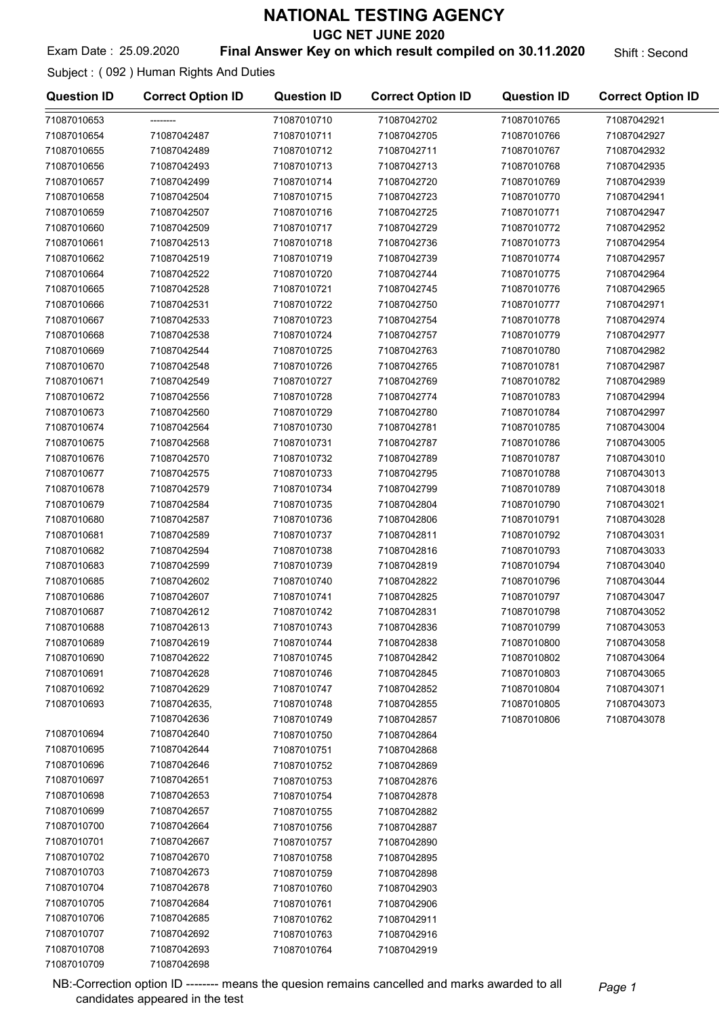UGC NET JUNE 2020

Exam Date : 25.09.2020 **Final Answer Key on which result compiled on 30.11.2020** Shift : Second

Subject : ( 092 ) Human Rights And Duties

71087010709 71087042698

| <b>Question ID</b> | <b>Correct Option ID</b> | <b>Question ID</b> | <b>Correct Option ID</b> | <b>Question ID</b> | <b>Correct Option ID</b> |
|--------------------|--------------------------|--------------------|--------------------------|--------------------|--------------------------|
| 71087010653        |                          | 71087010710        | 71087042702              | 71087010765        | 71087042921              |
| 71087010654        | 71087042487              | 71087010711        | 71087042705              | 71087010766        | 71087042927              |
| 71087010655        | 71087042489              | 71087010712        | 71087042711              | 71087010767        | 71087042932              |
| 71087010656        | 71087042493              | 71087010713        | 71087042713              | 71087010768        | 71087042935              |
| 71087010657        | 71087042499              | 71087010714        | 71087042720              | 71087010769        | 71087042939              |
| 71087010658        | 71087042504              | 71087010715        | 71087042723              | 71087010770        | 71087042941              |
| 71087010659        | 71087042507              | 71087010716        | 71087042725              | 71087010771        | 71087042947              |
| 71087010660        | 71087042509              | 71087010717        | 71087042729              | 71087010772        | 71087042952              |
| 71087010661        | 71087042513              | 71087010718        | 71087042736              | 71087010773        | 71087042954              |
| 71087010662        | 71087042519              | 71087010719        | 71087042739              | 71087010774        | 71087042957              |
| 71087010664        | 71087042522              | 71087010720        | 71087042744              | 71087010775        | 71087042964              |
| 71087010665        | 71087042528              | 71087010721        | 71087042745              | 71087010776        | 71087042965              |
| 71087010666        | 71087042531              | 71087010722        | 71087042750              | 71087010777        | 71087042971              |
| 71087010667        | 71087042533              | 71087010723        | 71087042754              | 71087010778        | 71087042974              |
| 71087010668        | 71087042538              | 71087010724        | 71087042757              | 71087010779        | 71087042977              |
| 71087010669        | 71087042544              | 71087010725        | 71087042763              | 71087010780        | 71087042982              |
| 71087010670        | 71087042548              | 71087010726        | 71087042765              | 71087010781        | 71087042987              |
| 71087010671        | 71087042549              | 71087010727        | 71087042769              | 71087010782        | 71087042989              |
| 71087010672        | 71087042556              | 71087010728        | 71087042774              | 71087010783        | 71087042994              |
| 71087010673        | 71087042560              | 71087010729        | 71087042780              | 71087010784        | 71087042997              |
| 71087010674        | 71087042564              | 71087010730        | 71087042781              | 71087010785        | 71087043004              |
| 71087010675        | 71087042568              | 71087010731        | 71087042787              | 71087010786        | 71087043005              |
| 71087010676        | 71087042570              | 71087010732        | 71087042789              | 71087010787        | 71087043010              |
| 71087010677        | 71087042575              | 71087010733        | 71087042795              | 71087010788        | 71087043013              |
| 71087010678        | 71087042579              | 71087010734        | 71087042799              | 71087010789        | 71087043018              |
| 71087010679        | 71087042584              | 71087010735        | 71087042804              | 71087010790        | 71087043021              |
| 71087010680        | 71087042587              | 71087010736        | 71087042806              | 71087010791        | 71087043028              |
| 71087010681        | 71087042589              | 71087010737        | 71087042811              | 71087010792        | 71087043031              |
| 71087010682        | 71087042594              | 71087010738        | 71087042816              | 71087010793        | 71087043033              |
| 71087010683        | 71087042599              | 71087010739        | 71087042819              | 71087010794        | 71087043040              |
| 71087010685        | 71087042602              | 71087010740        | 71087042822              | 71087010796        | 71087043044              |
| 71087010686        | 71087042607              | 71087010741        | 71087042825              | 71087010797        | 71087043047              |
| 71087010687        | 71087042612              | 71087010742        | 71087042831              | 71087010798        | 71087043052              |
| 71087010688        | 71087042613              | 71087010743        | 71087042836              | 71087010799        | 71087043053              |
| 71087010689        | 71087042619              | 71087010744        | 71087042838              | 71087010800        | 71087043058              |
| 71087010690        | 71087042622              | 71087010745        | 71087042842              | 71087010802        | 71087043064              |
| 71087010691        | 71087042628              | 71087010746        | 71087042845              | 71087010803        | 71087043065              |
| 71087010692        | 71087042629              | 71087010747        | 71087042852              | 71087010804        | 71087043071              |
| 71087010693        | 71087042635,             | 71087010748        | 71087042855              | 71087010805        | 71087043073              |
|                    | 71087042636              | 71087010749        | 71087042857              | 71087010806        | 71087043078              |
| 71087010694        | 71087042640              | 71087010750        | 71087042864              |                    |                          |
| 71087010695        | 71087042644              | 71087010751        | 71087042868              |                    |                          |
| 71087010696        | 71087042646              | 71087010752        | 71087042869              |                    |                          |
| 71087010697        | 71087042651              | 71087010753        | 71087042876              |                    |                          |
| 71087010698        | 71087042653              | 71087010754        | 71087042878              |                    |                          |
| 71087010699        | 71087042657              | 71087010755        | 71087042882              |                    |                          |
| 71087010700        | 71087042664              | 71087010756        | 71087042887              |                    |                          |
| 71087010701        | 71087042667              | 71087010757        | 71087042890              |                    |                          |
| 71087010702        | 71087042670              | 71087010758        | 71087042895              |                    |                          |
| 71087010703        | 71087042673              | 71087010759        | 71087042898              |                    |                          |
| 71087010704        | 71087042678              | 71087010760        | 71087042903              |                    |                          |
| 71087010705        | 71087042684              | 71087010761        | 71087042906              |                    |                          |
| 71087010706        | 71087042685              | 71087010762        | 71087042911              |                    |                          |
| 71087010707        | 71087042692              | 71087010763        | 71087042916              |                    |                          |
| 71087010708        | 71087042693              | 71087010764        | 71087042919              |                    |                          |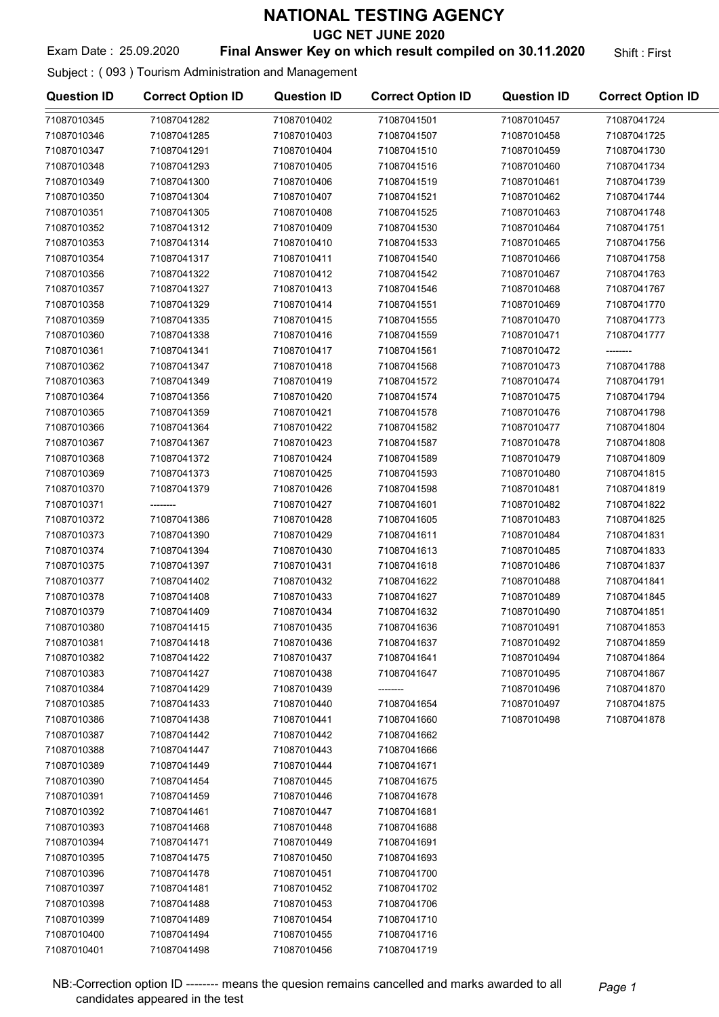UGC NET JUNE 2020

#### Exam Date: 25.09.2020 **Final Answer Key on which result compiled on 30.11.2020** Shift: First

Subject : ( 093 ) Tourism Administration and Management

| <b>Question ID</b> | <b>Correct Option ID</b> | <b>Question ID</b> | <b>Correct Option ID</b> | <b>Question ID</b> | <b>Correct Option ID</b> |
|--------------------|--------------------------|--------------------|--------------------------|--------------------|--------------------------|
| 71087010345        | 71087041282              | 71087010402        | 71087041501              | 71087010457        | 71087041724              |
| 71087010346        | 71087041285              | 71087010403        | 71087041507              | 71087010458        | 71087041725              |
| 71087010347        | 71087041291              | 71087010404        | 71087041510              | 71087010459        | 71087041730              |
| 71087010348        | 71087041293              | 71087010405        | 71087041516              | 71087010460        | 71087041734              |
| 71087010349        | 71087041300              | 71087010406        | 71087041519              | 71087010461        | 71087041739              |
| 71087010350        | 71087041304              | 71087010407        | 71087041521              | 71087010462        | 71087041744              |
| 71087010351        | 71087041305              | 71087010408        | 71087041525              | 71087010463        | 71087041748              |
| 71087010352        | 71087041312              | 71087010409        | 71087041530              | 71087010464        | 71087041751              |
| 71087010353        | 71087041314              | 71087010410        | 71087041533              | 71087010465        | 71087041756              |
| 71087010354        | 71087041317              | 71087010411        | 71087041540              | 71087010466        | 71087041758              |
| 71087010356        | 71087041322              | 71087010412        | 71087041542              | 71087010467        | 71087041763              |
| 71087010357        | 71087041327              | 71087010413        | 71087041546              | 71087010468        | 71087041767              |
| 71087010358        | 71087041329              | 71087010414        | 71087041551              | 71087010469        | 71087041770              |
| 71087010359        | 71087041335              | 71087010415        | 71087041555              | 71087010470        | 71087041773              |
| 71087010360        | 71087041338              | 71087010416        | 71087041559              | 71087010471        | 71087041777              |
| 71087010361        | 71087041341              | 71087010417        | 71087041561              | 71087010472        | --------                 |
| 71087010362        | 71087041347              | 71087010418        | 71087041568              | 71087010473        | 71087041788              |
| 71087010363        | 71087041349              | 71087010419        | 71087041572              | 71087010474        | 71087041791              |
| 71087010364        | 71087041356              | 71087010420        | 71087041574              | 71087010475        | 71087041794              |
| 71087010365        | 71087041359              | 71087010421        | 71087041578              | 71087010476        | 71087041798              |
| 71087010366        | 71087041364              | 71087010422        | 71087041582              | 71087010477        | 71087041804              |
| 71087010367        | 71087041367              | 71087010423        | 71087041587              | 71087010478        | 71087041808              |
| 71087010368        | 71087041372              | 71087010424        | 71087041589              | 71087010479        | 71087041809              |
| 71087010369        | 71087041373              | 71087010425        | 71087041593              | 71087010480        | 71087041815              |
| 71087010370        | 71087041379              | 71087010426        | 71087041598              | 71087010481        | 71087041819              |
| 71087010371        | --------                 | 71087010427        | 71087041601              | 71087010482        | 71087041822              |
| 71087010372        | 71087041386              | 71087010428        | 71087041605              | 71087010483        | 71087041825              |
| 71087010373        | 71087041390              | 71087010429        | 71087041611              | 71087010484        | 71087041831              |
| 71087010374        | 71087041394              | 71087010430        | 71087041613              | 71087010485        | 71087041833              |
| 71087010375        | 71087041397              | 71087010431        | 71087041618              | 71087010486        | 71087041837              |
| 71087010377        | 71087041402              | 71087010432        | 71087041622              | 71087010488        | 71087041841              |
| 71087010378        | 71087041408              | 71087010433        | 71087041627              | 71087010489        | 71087041845              |
| 71087010379        | 71087041409              | 71087010434        | 71087041632              | 71087010490        | 71087041851              |
| 71087010380        | 71087041415              | 71087010435        | 71087041636              | 71087010491        | 71087041853              |
| 71087010381        | 71087041418              | 71087010436        | 71087041637              | 71087010492        | 71087041859              |
| 71087010382        | 71087041422              | 71087010437        | 71087041641              | 71087010494        | 71087041864              |
| 71087010383        | 71087041427              | 71087010438        | 71087041647              | 71087010495        | 71087041867              |
| 71087010384        | 71087041429              | 71087010439        |                          | 71087010496        | 71087041870              |
| 71087010385        | 71087041433              | 71087010440        | 71087041654              | 71087010497        | 71087041875              |
| 71087010386        | 71087041438              | 71087010441        | 71087041660              | 71087010498        | 71087041878              |
| 71087010387        | 71087041442              | 71087010442        | 71087041662              |                    |                          |
| 71087010388        | 71087041447              | 71087010443        | 71087041666              |                    |                          |
| 71087010389        | 71087041449              | 71087010444        | 71087041671              |                    |                          |
| 71087010390        | 71087041454              | 71087010445        | 71087041675              |                    |                          |
| 71087010391        | 71087041459              | 71087010446        | 71087041678              |                    |                          |
| 71087010392        | 71087041461              | 71087010447        | 71087041681              |                    |                          |
| 71087010393        | 71087041468              | 71087010448        | 71087041688              |                    |                          |
| 71087010394        | 71087041471              | 71087010449        | 71087041691              |                    |                          |
| 71087010395        | 71087041475              | 71087010450        | 71087041693              |                    |                          |
| 71087010396        | 71087041478              | 71087010451        | 71087041700              |                    |                          |
| 71087010397        | 71087041481              | 71087010452        | 71087041702              |                    |                          |
| 71087010398        | 71087041488              | 71087010453        | 71087041706              |                    |                          |
| 71087010399        | 71087041489              | 71087010454        | 71087041710              |                    |                          |
| 71087010400        | 71087041494              | 71087010455        | 71087041716              |                    |                          |
| 71087010401        | 71087041498              | 71087010456        | 71087041719              |                    |                          |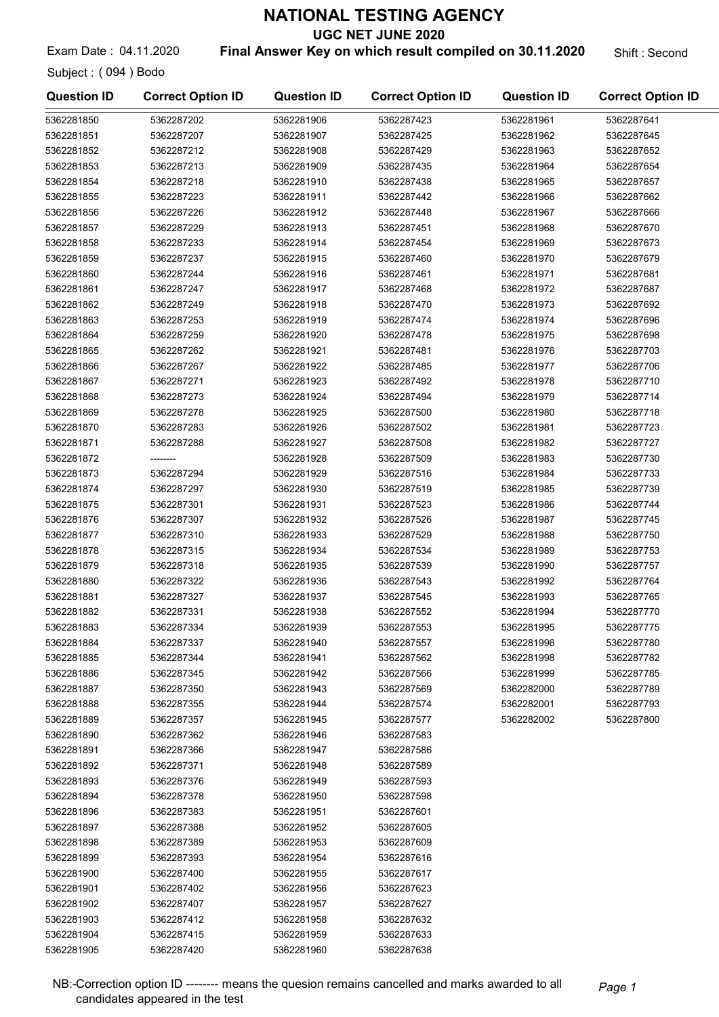UGC NET JUNE 2020

Exam Date: 04.11.2020 **Final Answer Key on which result compiled on 30.11.2020** Shift : Second

Subject : ( 094 ) Bodo

| <b>Question ID</b> | <b>Correct Option ID</b> | <b>Question ID</b> | <b>Correct Option ID</b> | <b>Question ID</b> | <b>Correct Option ID</b> |
|--------------------|--------------------------|--------------------|--------------------------|--------------------|--------------------------|
| 5362281850         | 5362287202               | 5362281906         | 5362287423               | 5362281961         | 5362287641               |
| 5362281851         | 5362287207               | 5362281907         | 5362287425               | 5362281962         | 5362287645               |
| 5362281852         | 5362287212               | 5362281908         | 5362287429               | 5362281963         | 5362287652               |
| 5362281853         | 5362287213               | 5362281909         | 5362287435               | 5362281964         | 5362287654               |
| 5362281854         | 5362287218               | 5362281910         | 5362287438               | 5362281965         | 5362287657               |
| 5362281855         | 5362287223               | 5362281911         | 5362287442               | 5362281966         | 5362287662               |
| 5362281856         | 5362287226               | 5362281912         | 5362287448               | 5362281967         | 5362287666               |
| 5362281857         | 5362287229               | 5362281913         | 5362287451               | 5362281968         | 5362287670               |
| 5362281858         | 5362287233               | 5362281914         | 5362287454               | 5362281969         | 5362287673               |
| 5362281859         | 5362287237               | 5362281915         | 5362287460               | 5362281970         | 5362287679               |
| 5362281860         | 5362287244               | 5362281916         | 5362287461               | 5362281971         | 5362287681               |
| 5362281861         | 5362287247               | 5362281917         | 5362287468               | 5362281972         | 5362287687               |
| 5362281862         | 5362287249               | 5362281918         | 5362287470               | 5362281973         | 5362287692               |
| 5362281863         | 5362287253               | 5362281919         | 5362287474               | 5362281974         | 5362287696               |
| 5362281864         | 5362287259               | 5362281920         | 5362287478               | 5362281975         | 5362287698               |
| 5362281865         | 5362287262               | 5362281921         | 5362287481               | 5362281976         | 5362287703               |
| 5362281866         | 5362287267               | 5362281922         | 5362287485               | 5362281977         | 5362287706               |
| 5362281867         | 5362287271               | 5362281923         | 5362287492               | 5362281978         | 5362287710               |
| 5362281868         | 5362287273               | 5362281924         | 5362287494               | 5362281979         | 5362287714               |
| 5362281869         | 5362287278               | 5362281925         | 5362287500               | 5362281980         | 5362287718               |
| 5362281870         | 5362287283               | 5362281926         | 5362287502               | 5362281981         | 5362287723               |
| 5362281871         | 5362287288               | 5362281927         | 5362287508               | 5362281982         | 5362287727               |
| 5362281872         |                          | 5362281928         | 5362287509               | 5362281983         | 5362287730               |
| 5362281873         | 5362287294               | 5362281929         | 5362287516               | 5362281984         | 5362287733               |
| 5362281874         | 5362287297               | 5362281930         | 5362287519               | 5362281985         | 5362287739               |
| 5362281875         | 5362287301               | 5362281931         | 5362287523               | 5362281986         | 5362287744               |
| 5362281876         | 5362287307               | 5362281932         | 5362287526               | 5362281987         | 5362287745               |
| 5362281877         | 5362287310               | 5362281933         | 5362287529               | 5362281988         | 5362287750               |
| 5362281878         | 5362287315               | 5362281934         | 5362287534               | 5362281989         | 5362287753               |
| 5362281879         | 5362287318               | 5362281935         | 5362287539               | 5362281990         | 5362287757               |
| 5362281880         | 5362287322               | 5362281936         | 5362287543               | 5362281992         | 5362287764               |
| 5362281881         | 5362287327               | 5362281937         | 5362287545               | 5362281993         | 5362287765               |
| 5362281882         | 5362287331               | 5362281938         | 5362287552               | 5362281994         | 5362287770               |
| 5362281883         | 5362287334               | 5362281939         | 5362287553               | 5362281995         | 5362287775               |
| 5362281884         | 5362287337               | 5362281940         | 5362287557               | 5362281996         | 5362287780               |
| 5362281885         | 5362287344               | 5362281941         | 5362287562               | 5362281998         | 5362287782               |
| 5362281886         | 5362287345               | 5362281942         | 5362287566               | 5362281999         | 5362287785               |
| 5362281887         | 5362287350               | 5362281943         | 5362287569               | 5362282000         | 5362287789               |
| 5362281888         | 5362287355               | 5362281944         | 5362287574               | 5362282001         | 5362287793               |
| 5362281889         | 5362287357               | 5362281945         | 5362287577               | 5362282002         | 5362287800               |
| 5362281890         | 5362287362               | 5362281946         | 5362287583               |                    |                          |
| 5362281891         | 5362287366               | 5362281947         | 5362287586               |                    |                          |
| 5362281892         | 5362287371               | 5362281948         | 5362287589               |                    |                          |
| 5362281893         | 5362287376               | 5362281949         | 5362287593               |                    |                          |
| 5362281894         | 5362287378               | 5362281950         | 5362287598               |                    |                          |
| 5362281896         | 5362287383               | 5362281951         | 5362287601               |                    |                          |
| 5362281897         | 5362287388               | 5362281952         | 5362287605               |                    |                          |
| 5362281898         | 5362287389               | 5362281953         | 5362287609               |                    |                          |
| 5362281899         | 5362287393               | 5362281954         | 5362287616               |                    |                          |
| 5362281900         | 5362287400               | 5362281955         | 5362287617               |                    |                          |
| 5362281901         | 5362287402               | 5362281956         | 5362287623               |                    |                          |
| 5362281902         | 5362287407               | 5362281957         | 5362287627               |                    |                          |
| 5362281903         | 5362287412               | 5362281958         | 5362287632               |                    |                          |
| 5362281904         | 5362287415               | 5362281959         | 5362287633               |                    |                          |
| 5362281905         | 5362287420               | 5362281960         | 5362287638               |                    |                          |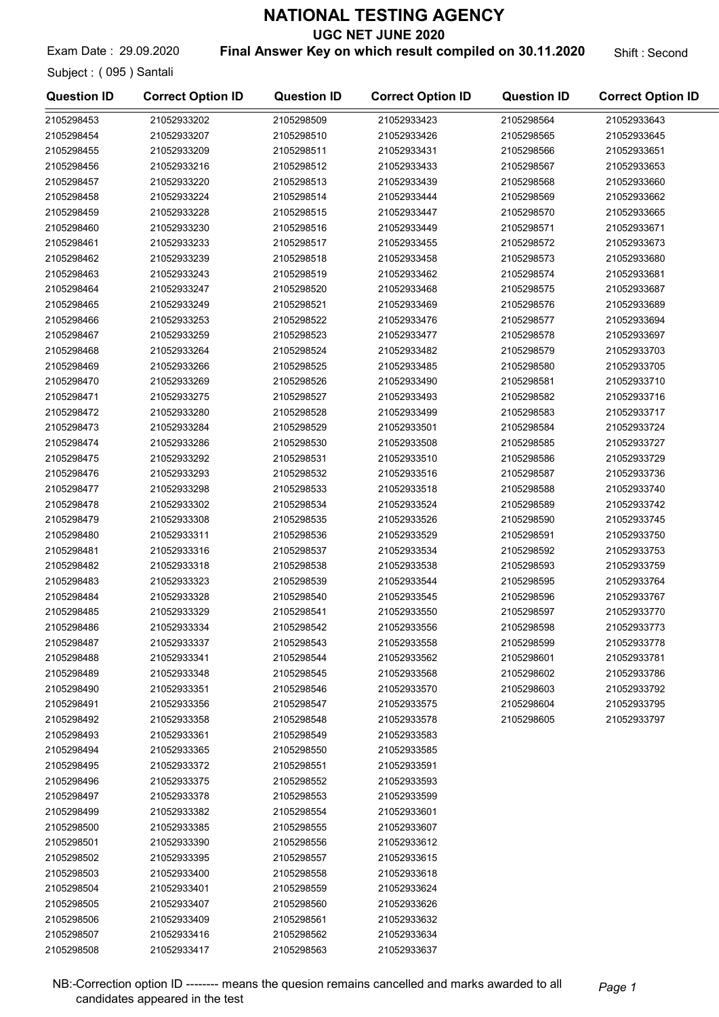UGC NET JUNE 2020

Exam Date: 29.09.2020 **Final Answer Key on which result compiled on 30.11.2020** Shift : Second

Subject : ( 095 ) Santali

| <b>Question ID</b> | <b>Correct Option ID</b> | <b>Question ID</b> | <b>Correct Option ID</b> | <b>Question ID</b> | <b>Correct Option ID</b> |
|--------------------|--------------------------|--------------------|--------------------------|--------------------|--------------------------|
| 2105298453         | 21052933202              | 2105298509         | 21052933423              | 2105298564         | 21052933643              |
| 2105298454         | 21052933207              | 2105298510         | 21052933426              | 2105298565         | 21052933645              |
| 2105298455         | 21052933209              | 2105298511         | 21052933431              | 2105298566         | 21052933651              |
| 2105298456         | 21052933216              | 2105298512         | 21052933433              | 2105298567         | 21052933653              |
| 2105298457         | 21052933220              | 2105298513         | 21052933439              | 2105298568         | 21052933660              |
| 2105298458         | 21052933224              | 2105298514         | 21052933444              | 2105298569         | 21052933662              |
| 2105298459         | 21052933228              | 2105298515         | 21052933447              | 2105298570         | 21052933665              |
| 2105298460         | 21052933230              | 2105298516         | 21052933449              | 2105298571         | 21052933671              |
| 2105298461         | 21052933233              | 2105298517         | 21052933455              | 2105298572         | 21052933673              |
| 2105298462         | 21052933239              | 2105298518         | 21052933458              | 2105298573         | 21052933680              |
| 2105298463         | 21052933243              | 2105298519         | 21052933462              | 2105298574         | 21052933681              |
| 2105298464         | 21052933247              | 2105298520         | 21052933468              | 2105298575         | 21052933687              |
| 2105298465         | 21052933249              | 2105298521         | 21052933469              | 2105298576         | 21052933689              |
| 2105298466         | 21052933253              | 2105298522         | 21052933476              | 2105298577         | 21052933694              |
| 2105298467         | 21052933259              | 2105298523         | 21052933477              | 2105298578         | 21052933697              |
| 2105298468         | 21052933264              | 2105298524         | 21052933482              | 2105298579         | 21052933703              |
| 2105298469         | 21052933266              | 2105298525         | 21052933485              | 2105298580         | 21052933705              |
| 2105298470         | 21052933269              | 2105298526         | 21052933490              | 2105298581         | 21052933710              |
| 2105298471         | 21052933275              | 2105298527         | 21052933493              | 2105298582         | 21052933716              |
| 2105298472         | 21052933280              | 2105298528         | 21052933499              | 2105298583         | 21052933717              |
| 2105298473         | 21052933284              | 2105298529         | 21052933501              | 2105298584         | 21052933724              |
| 2105298474         | 21052933286              | 2105298530         | 21052933508              | 2105298585         | 21052933727              |
| 2105298475         | 21052933292              | 2105298531         | 21052933510              | 2105298586         | 21052933729              |
| 2105298476         | 21052933293              | 2105298532         | 21052933516              | 2105298587         | 21052933736              |
| 2105298477         | 21052933298              | 2105298533         | 21052933518              | 2105298588         | 21052933740              |
| 2105298478         | 21052933302              | 2105298534         | 21052933524              | 2105298589         | 21052933742              |
| 2105298479         | 21052933308              | 2105298535         | 21052933526              | 2105298590         | 21052933745              |
| 2105298480         | 21052933311              | 2105298536         | 21052933529              | 2105298591         | 21052933750              |
| 2105298481         | 21052933316              | 2105298537         | 21052933534              | 2105298592         | 21052933753              |
| 2105298482         | 21052933318              | 2105298538         | 21052933538              | 2105298593         | 21052933759              |
| 2105298483         | 21052933323              | 2105298539         | 21052933544              | 2105298595         | 21052933764              |
| 2105298484         | 21052933328              | 2105298540         | 21052933545              | 2105298596         | 21052933767              |
| 2105298485         | 21052933329              | 2105298541         | 21052933550              | 2105298597         | 21052933770              |
| 2105298486         | 21052933334              | 2105298542         | 21052933556              | 2105298598         | 21052933773              |
| 2105298487         | 21052933337              | 2105298543         | 21052933558              | 2105298599         | 21052933778              |
| 2105298488         | 21052933341              | 2105298544         | 21052933562              | 2105298601         | 21052933781              |
| 2105298489         | 21052933348              | 2105298545         | 21052933568              | 2105298602         | 21052933786              |
| 2105298490         | 21052933351              | 2105298546         | 21052933570              | 2105298603         | 21052933792              |
| 2105298491         | 21052933356              | 2105298547         | 21052933575              | 2105298604         | 21052933795              |
| 2105298492         | 21052933358              | 2105298548         | 21052933578              | 2105298605         | 21052933797              |
| 2105298493         | 21052933361              | 2105298549         | 21052933583              |                    |                          |
| 2105298494         | 21052933365              | 2105298550         | 21052933585              |                    |                          |
| 2105298495         | 21052933372              | 2105298551         | 21052933591              |                    |                          |
| 2105298496         | 21052933375              | 2105298552         | 21052933593              |                    |                          |
| 2105298497         | 21052933378              | 2105298553         | 21052933599              |                    |                          |
| 2105298499         | 21052933382              | 2105298554         | 21052933601              |                    |                          |
| 2105298500         | 21052933385              | 2105298555         | 21052933607              |                    |                          |
| 2105298501         | 21052933390              | 2105298556         | 21052933612              |                    |                          |
| 2105298502         | 21052933395              | 2105298557         | 21052933615              |                    |                          |
| 2105298503         | 21052933400              | 2105298558         | 21052933618              |                    |                          |
| 2105298504         | 21052933401              | 2105298559         | 21052933624              |                    |                          |
| 2105298505         | 21052933407              | 2105298560         | 21052933626              |                    |                          |
| 2105298506         | 21052933409              | 2105298561         | 21052933632              |                    |                          |
| 2105298507         | 21052933416              | 2105298562         | 21052933634              |                    |                          |
| 2105298508         | 21052933417              | 2105298563         | 21052933637              |                    |                          |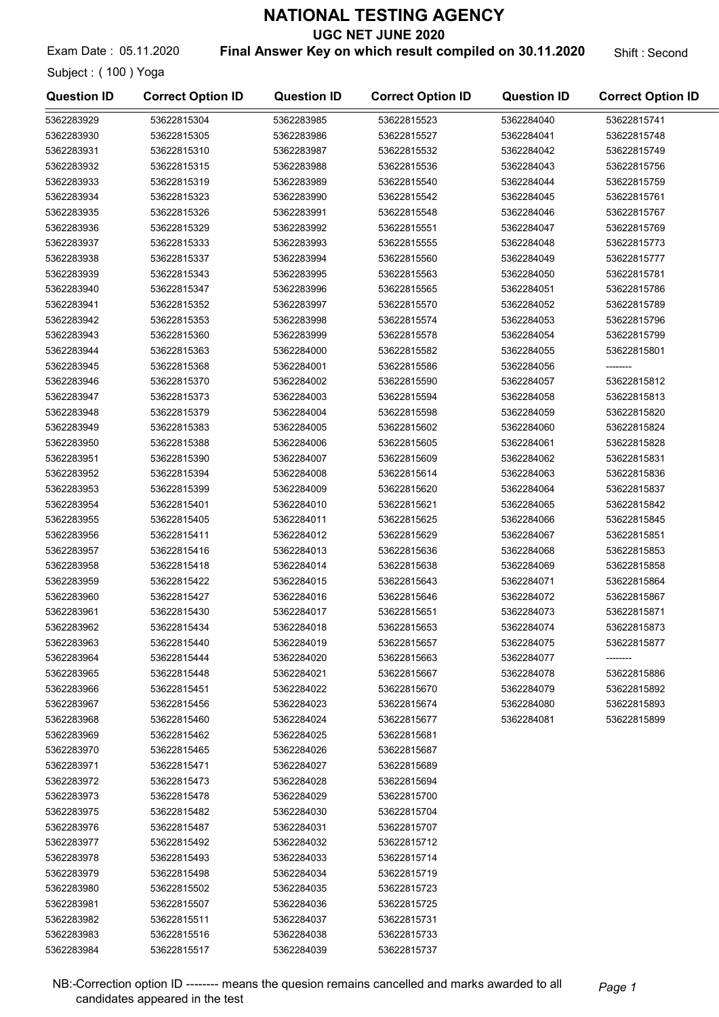UGC NET JUNE 2020

Exam Date : 05.11.2020 **Final Answer Key on which result compiled on 30.11.2020** Shift : Second

Subject : ( 100 ) Yoga

| 53622815304<br>5362283985<br>53622815523<br>5362284040<br>53622815741<br>5362284041<br>53622815748<br>53622815305<br>5362283986<br>53622815527<br>53622815310<br>5362283987<br>53622815532<br>5362284042<br>53622815749<br>5362284043<br>53622815315<br>5362283988<br>53622815536<br>53622815756<br>53622815319<br>5362283989<br>53622815540<br>5362284044<br>53622815759<br>53622815323<br>5362283990<br>53622815542<br>5362284045<br>53622815761<br>53622815326<br>5362283991<br>5362284046<br>53622815767<br>53622815548<br>53622815329<br>5362283992<br>53622815551<br>5362284047<br>53622815769<br>5362283993<br>53622815555<br>5362284048<br>53622815773<br>53622815333<br>5362283938<br>5362283994<br>5362284049<br>53622815777<br>53622815337<br>53622815560<br>5362283939<br>53622815343<br>5362283995<br>53622815563<br>5362284050<br>53622815781<br>5362283940<br>53622815786<br>53622815347<br>5362283996<br>53622815565<br>5362284051<br>5362283941<br>5362284052<br>53622815352<br>5362283997<br>53622815570<br>53622815789<br>5362283942<br>5362284053<br>53622815353<br>5362283998<br>53622815574<br>53622815796<br>5362283943<br>53622815360<br>5362283999<br>53622815578<br>5362284054<br>53622815799<br>5362283944<br>53622815363<br>5362284000<br>53622815582<br>5362284055<br>53622815801<br>5362283945<br>53622815368<br>5362284001<br>53622815586<br>5362284056<br>--------<br>5362283946<br>5362284057<br>53622815812<br>53622815370<br>5362284002<br>53622815590<br>5362283947<br>53622815594<br>53622815813<br>53622815373<br>5362284003<br>5362284058<br>5362283948<br>53622815379<br>5362284004<br>53622815598<br>5362284059<br>53622815820<br>5362283949<br>53622815383<br>5362284005<br>53622815602<br>5362284060<br>53622815824<br>5362283950<br>53622815605<br>53622815388<br>5362284006<br>5362284061<br>53622815828<br>5362283951<br>53622815390<br>53622815831<br>5362284007<br>53622815609<br>5362284062<br>5362283952<br>53622815394<br>5362284008<br>53622815614<br>5362284063<br>53622815836<br>5362283953<br>5362284009<br>5362284064<br>53622815399<br>53622815620<br>53622815837<br>5362283954<br>5362284010<br>5362284065<br>53622815842<br>53622815401<br>53622815621<br>5362283955<br>53622815405<br>5362284011<br>5362284066<br>53622815845<br>53622815625<br>5362283956<br>53622815411<br>5362284012<br>53622815629<br>5362284067<br>53622815851<br>5362283957<br>53622815416<br>5362284013<br>53622815636<br>5362284068<br>53622815853<br>5362283958<br>53622815418<br>5362284014<br>53622815638<br>5362284069<br>53622815858<br>5362283959<br>53622815422<br>5362284015<br>53622815643<br>5362284071<br>53622815864<br>5362283960<br>53622815427<br>5362284016<br>53622815646<br>5362284072<br>53622815867<br>5362283961<br>53622815430<br>5362284017<br>53622815651<br>5362284073<br>53622815871<br>5362284074<br>5362283962<br>53622815434<br>5362284018<br>53622815653<br>53622815873<br>5362283963<br>53622815440<br>5362284019<br>53622815657<br>5362284075<br>53622815877<br>5362283964<br>53622815444<br>5362284020<br>53622815663<br>5362284077<br>5362283965<br>53622815448<br>5362284021<br>53622815667<br>5362284078<br>53622815886<br>5362283966<br>5362284022<br>5362284079<br>53622815892<br>53622815451<br>53622815670<br>5362283967<br>53622815456<br>5362284023<br>53622815674<br>5362284080<br>53622815893<br>5362283968<br>53622815460<br>5362284024<br>53622815677<br>5362284081<br>53622815899<br>5362283969<br>53622815462<br>5362284025<br>53622815681<br>5362283970<br>53622815465<br>5362284026<br>53622815687<br>5362283971<br>53622815471<br>5362284027<br>53622815689<br>5362283972<br>53622815473<br>5362284028<br>53622815694<br>5362283973<br>53622815478<br>5362284029<br>53622815700<br>5362283975<br>53622815482<br>5362284030<br>53622815704<br>5362283976<br>53622815487<br>5362284031<br>53622815707<br>5362283977<br>53622815492<br>5362284032<br>53622815712<br>5362283978<br>53622815493<br>5362284033<br>53622815714<br>5362283979<br>53622815498<br>5362284034<br>53622815719<br>5362283980<br>53622815502<br>5362284035<br>53622815723<br>5362283981<br>53622815507<br>5362284036<br>53622815725<br>5362283982<br>53622815511<br>5362284037<br>53622815731<br>5362283983<br>53622815516<br>5362284038<br>53622815733<br>5362283984<br>53622815517<br>5362284039<br>53622815737 | <b>Question ID</b> | <b>Correct Option ID</b> | <b>Question ID</b> | <b>Correct Option ID</b> | <b>Question ID</b> | <b>Correct Option ID</b> |
|----------------------------------------------------------------------------------------------------------------------------------------------------------------------------------------------------------------------------------------------------------------------------------------------------------------------------------------------------------------------------------------------------------------------------------------------------------------------------------------------------------------------------------------------------------------------------------------------------------------------------------------------------------------------------------------------------------------------------------------------------------------------------------------------------------------------------------------------------------------------------------------------------------------------------------------------------------------------------------------------------------------------------------------------------------------------------------------------------------------------------------------------------------------------------------------------------------------------------------------------------------------------------------------------------------------------------------------------------------------------------------------------------------------------------------------------------------------------------------------------------------------------------------------------------------------------------------------------------------------------------------------------------------------------------------------------------------------------------------------------------------------------------------------------------------------------------------------------------------------------------------------------------------------------------------------------------------------------------------------------------------------------------------------------------------------------------------------------------------------------------------------------------------------------------------------------------------------------------------------------------------------------------------------------------------------------------------------------------------------------------------------------------------------------------------------------------------------------------------------------------------------------------------------------------------------------------------------------------------------------------------------------------------------------------------------------------------------------------------------------------------------------------------------------------------------------------------------------------------------------------------------------------------------------------------------------------------------------------------------------------------------------------------------------------------------------------------------------------------------------------------------------------------------------------------------------------------------------------------------------------------------------------------------------------------------------------------------------------------------------------------------------------------------------------------------------------------------------------------------------------------------------------------------------------------------------------------------------------------------------------------------------------------------------------------------------------------------------------------------------------------------------------------------------------------------------------------------------------------------------------------------------------------------------------------------------------------------------------------------------------------------------------------------------------------------------------------------------------------------------------------------------------------------------------------------------------------------------------------------------------------------------------------------------------------------------------------------------------------------------------|--------------------|--------------------------|--------------------|--------------------------|--------------------|--------------------------|
|                                                                                                                                                                                                                                                                                                                                                                                                                                                                                                                                                                                                                                                                                                                                                                                                                                                                                                                                                                                                                                                                                                                                                                                                                                                                                                                                                                                                                                                                                                                                                                                                                                                                                                                                                                                                                                                                                                                                                                                                                                                                                                                                                                                                                                                                                                                                                                                                                                                                                                                                                                                                                                                                                                                                                                                                                                                                                                                                                                                                                                                                                                                                                                                                                                                                                                                                                                                                                                                                                                                                                                                                                                                                                                                                                                                                                                                                                                                                                                                                                                                                                                                                                                                                                                                                                                                                                                            | 5362283929         |                          |                    |                          |                    |                          |
|                                                                                                                                                                                                                                                                                                                                                                                                                                                                                                                                                                                                                                                                                                                                                                                                                                                                                                                                                                                                                                                                                                                                                                                                                                                                                                                                                                                                                                                                                                                                                                                                                                                                                                                                                                                                                                                                                                                                                                                                                                                                                                                                                                                                                                                                                                                                                                                                                                                                                                                                                                                                                                                                                                                                                                                                                                                                                                                                                                                                                                                                                                                                                                                                                                                                                                                                                                                                                                                                                                                                                                                                                                                                                                                                                                                                                                                                                                                                                                                                                                                                                                                                                                                                                                                                                                                                                                            | 5362283930         |                          |                    |                          |                    |                          |
|                                                                                                                                                                                                                                                                                                                                                                                                                                                                                                                                                                                                                                                                                                                                                                                                                                                                                                                                                                                                                                                                                                                                                                                                                                                                                                                                                                                                                                                                                                                                                                                                                                                                                                                                                                                                                                                                                                                                                                                                                                                                                                                                                                                                                                                                                                                                                                                                                                                                                                                                                                                                                                                                                                                                                                                                                                                                                                                                                                                                                                                                                                                                                                                                                                                                                                                                                                                                                                                                                                                                                                                                                                                                                                                                                                                                                                                                                                                                                                                                                                                                                                                                                                                                                                                                                                                                                                            | 5362283931         |                          |                    |                          |                    |                          |
|                                                                                                                                                                                                                                                                                                                                                                                                                                                                                                                                                                                                                                                                                                                                                                                                                                                                                                                                                                                                                                                                                                                                                                                                                                                                                                                                                                                                                                                                                                                                                                                                                                                                                                                                                                                                                                                                                                                                                                                                                                                                                                                                                                                                                                                                                                                                                                                                                                                                                                                                                                                                                                                                                                                                                                                                                                                                                                                                                                                                                                                                                                                                                                                                                                                                                                                                                                                                                                                                                                                                                                                                                                                                                                                                                                                                                                                                                                                                                                                                                                                                                                                                                                                                                                                                                                                                                                            | 5362283932         |                          |                    |                          |                    |                          |
|                                                                                                                                                                                                                                                                                                                                                                                                                                                                                                                                                                                                                                                                                                                                                                                                                                                                                                                                                                                                                                                                                                                                                                                                                                                                                                                                                                                                                                                                                                                                                                                                                                                                                                                                                                                                                                                                                                                                                                                                                                                                                                                                                                                                                                                                                                                                                                                                                                                                                                                                                                                                                                                                                                                                                                                                                                                                                                                                                                                                                                                                                                                                                                                                                                                                                                                                                                                                                                                                                                                                                                                                                                                                                                                                                                                                                                                                                                                                                                                                                                                                                                                                                                                                                                                                                                                                                                            | 5362283933         |                          |                    |                          |                    |                          |
|                                                                                                                                                                                                                                                                                                                                                                                                                                                                                                                                                                                                                                                                                                                                                                                                                                                                                                                                                                                                                                                                                                                                                                                                                                                                                                                                                                                                                                                                                                                                                                                                                                                                                                                                                                                                                                                                                                                                                                                                                                                                                                                                                                                                                                                                                                                                                                                                                                                                                                                                                                                                                                                                                                                                                                                                                                                                                                                                                                                                                                                                                                                                                                                                                                                                                                                                                                                                                                                                                                                                                                                                                                                                                                                                                                                                                                                                                                                                                                                                                                                                                                                                                                                                                                                                                                                                                                            | 5362283934         |                          |                    |                          |                    |                          |
|                                                                                                                                                                                                                                                                                                                                                                                                                                                                                                                                                                                                                                                                                                                                                                                                                                                                                                                                                                                                                                                                                                                                                                                                                                                                                                                                                                                                                                                                                                                                                                                                                                                                                                                                                                                                                                                                                                                                                                                                                                                                                                                                                                                                                                                                                                                                                                                                                                                                                                                                                                                                                                                                                                                                                                                                                                                                                                                                                                                                                                                                                                                                                                                                                                                                                                                                                                                                                                                                                                                                                                                                                                                                                                                                                                                                                                                                                                                                                                                                                                                                                                                                                                                                                                                                                                                                                                            | 5362283935         |                          |                    |                          |                    |                          |
|                                                                                                                                                                                                                                                                                                                                                                                                                                                                                                                                                                                                                                                                                                                                                                                                                                                                                                                                                                                                                                                                                                                                                                                                                                                                                                                                                                                                                                                                                                                                                                                                                                                                                                                                                                                                                                                                                                                                                                                                                                                                                                                                                                                                                                                                                                                                                                                                                                                                                                                                                                                                                                                                                                                                                                                                                                                                                                                                                                                                                                                                                                                                                                                                                                                                                                                                                                                                                                                                                                                                                                                                                                                                                                                                                                                                                                                                                                                                                                                                                                                                                                                                                                                                                                                                                                                                                                            | 5362283936         |                          |                    |                          |                    |                          |
|                                                                                                                                                                                                                                                                                                                                                                                                                                                                                                                                                                                                                                                                                                                                                                                                                                                                                                                                                                                                                                                                                                                                                                                                                                                                                                                                                                                                                                                                                                                                                                                                                                                                                                                                                                                                                                                                                                                                                                                                                                                                                                                                                                                                                                                                                                                                                                                                                                                                                                                                                                                                                                                                                                                                                                                                                                                                                                                                                                                                                                                                                                                                                                                                                                                                                                                                                                                                                                                                                                                                                                                                                                                                                                                                                                                                                                                                                                                                                                                                                                                                                                                                                                                                                                                                                                                                                                            | 5362283937         |                          |                    |                          |                    |                          |
|                                                                                                                                                                                                                                                                                                                                                                                                                                                                                                                                                                                                                                                                                                                                                                                                                                                                                                                                                                                                                                                                                                                                                                                                                                                                                                                                                                                                                                                                                                                                                                                                                                                                                                                                                                                                                                                                                                                                                                                                                                                                                                                                                                                                                                                                                                                                                                                                                                                                                                                                                                                                                                                                                                                                                                                                                                                                                                                                                                                                                                                                                                                                                                                                                                                                                                                                                                                                                                                                                                                                                                                                                                                                                                                                                                                                                                                                                                                                                                                                                                                                                                                                                                                                                                                                                                                                                                            |                    |                          |                    |                          |                    |                          |
|                                                                                                                                                                                                                                                                                                                                                                                                                                                                                                                                                                                                                                                                                                                                                                                                                                                                                                                                                                                                                                                                                                                                                                                                                                                                                                                                                                                                                                                                                                                                                                                                                                                                                                                                                                                                                                                                                                                                                                                                                                                                                                                                                                                                                                                                                                                                                                                                                                                                                                                                                                                                                                                                                                                                                                                                                                                                                                                                                                                                                                                                                                                                                                                                                                                                                                                                                                                                                                                                                                                                                                                                                                                                                                                                                                                                                                                                                                                                                                                                                                                                                                                                                                                                                                                                                                                                                                            |                    |                          |                    |                          |                    |                          |
|                                                                                                                                                                                                                                                                                                                                                                                                                                                                                                                                                                                                                                                                                                                                                                                                                                                                                                                                                                                                                                                                                                                                                                                                                                                                                                                                                                                                                                                                                                                                                                                                                                                                                                                                                                                                                                                                                                                                                                                                                                                                                                                                                                                                                                                                                                                                                                                                                                                                                                                                                                                                                                                                                                                                                                                                                                                                                                                                                                                                                                                                                                                                                                                                                                                                                                                                                                                                                                                                                                                                                                                                                                                                                                                                                                                                                                                                                                                                                                                                                                                                                                                                                                                                                                                                                                                                                                            |                    |                          |                    |                          |                    |                          |
|                                                                                                                                                                                                                                                                                                                                                                                                                                                                                                                                                                                                                                                                                                                                                                                                                                                                                                                                                                                                                                                                                                                                                                                                                                                                                                                                                                                                                                                                                                                                                                                                                                                                                                                                                                                                                                                                                                                                                                                                                                                                                                                                                                                                                                                                                                                                                                                                                                                                                                                                                                                                                                                                                                                                                                                                                                                                                                                                                                                                                                                                                                                                                                                                                                                                                                                                                                                                                                                                                                                                                                                                                                                                                                                                                                                                                                                                                                                                                                                                                                                                                                                                                                                                                                                                                                                                                                            |                    |                          |                    |                          |                    |                          |
|                                                                                                                                                                                                                                                                                                                                                                                                                                                                                                                                                                                                                                                                                                                                                                                                                                                                                                                                                                                                                                                                                                                                                                                                                                                                                                                                                                                                                                                                                                                                                                                                                                                                                                                                                                                                                                                                                                                                                                                                                                                                                                                                                                                                                                                                                                                                                                                                                                                                                                                                                                                                                                                                                                                                                                                                                                                                                                                                                                                                                                                                                                                                                                                                                                                                                                                                                                                                                                                                                                                                                                                                                                                                                                                                                                                                                                                                                                                                                                                                                                                                                                                                                                                                                                                                                                                                                                            |                    |                          |                    |                          |                    |                          |
|                                                                                                                                                                                                                                                                                                                                                                                                                                                                                                                                                                                                                                                                                                                                                                                                                                                                                                                                                                                                                                                                                                                                                                                                                                                                                                                                                                                                                                                                                                                                                                                                                                                                                                                                                                                                                                                                                                                                                                                                                                                                                                                                                                                                                                                                                                                                                                                                                                                                                                                                                                                                                                                                                                                                                                                                                                                                                                                                                                                                                                                                                                                                                                                                                                                                                                                                                                                                                                                                                                                                                                                                                                                                                                                                                                                                                                                                                                                                                                                                                                                                                                                                                                                                                                                                                                                                                                            |                    |                          |                    |                          |                    |                          |
|                                                                                                                                                                                                                                                                                                                                                                                                                                                                                                                                                                                                                                                                                                                                                                                                                                                                                                                                                                                                                                                                                                                                                                                                                                                                                                                                                                                                                                                                                                                                                                                                                                                                                                                                                                                                                                                                                                                                                                                                                                                                                                                                                                                                                                                                                                                                                                                                                                                                                                                                                                                                                                                                                                                                                                                                                                                                                                                                                                                                                                                                                                                                                                                                                                                                                                                                                                                                                                                                                                                                                                                                                                                                                                                                                                                                                                                                                                                                                                                                                                                                                                                                                                                                                                                                                                                                                                            |                    |                          |                    |                          |                    |                          |
|                                                                                                                                                                                                                                                                                                                                                                                                                                                                                                                                                                                                                                                                                                                                                                                                                                                                                                                                                                                                                                                                                                                                                                                                                                                                                                                                                                                                                                                                                                                                                                                                                                                                                                                                                                                                                                                                                                                                                                                                                                                                                                                                                                                                                                                                                                                                                                                                                                                                                                                                                                                                                                                                                                                                                                                                                                                                                                                                                                                                                                                                                                                                                                                                                                                                                                                                                                                                                                                                                                                                                                                                                                                                                                                                                                                                                                                                                                                                                                                                                                                                                                                                                                                                                                                                                                                                                                            |                    |                          |                    |                          |                    |                          |
|                                                                                                                                                                                                                                                                                                                                                                                                                                                                                                                                                                                                                                                                                                                                                                                                                                                                                                                                                                                                                                                                                                                                                                                                                                                                                                                                                                                                                                                                                                                                                                                                                                                                                                                                                                                                                                                                                                                                                                                                                                                                                                                                                                                                                                                                                                                                                                                                                                                                                                                                                                                                                                                                                                                                                                                                                                                                                                                                                                                                                                                                                                                                                                                                                                                                                                                                                                                                                                                                                                                                                                                                                                                                                                                                                                                                                                                                                                                                                                                                                                                                                                                                                                                                                                                                                                                                                                            |                    |                          |                    |                          |                    |                          |
|                                                                                                                                                                                                                                                                                                                                                                                                                                                                                                                                                                                                                                                                                                                                                                                                                                                                                                                                                                                                                                                                                                                                                                                                                                                                                                                                                                                                                                                                                                                                                                                                                                                                                                                                                                                                                                                                                                                                                                                                                                                                                                                                                                                                                                                                                                                                                                                                                                                                                                                                                                                                                                                                                                                                                                                                                                                                                                                                                                                                                                                                                                                                                                                                                                                                                                                                                                                                                                                                                                                                                                                                                                                                                                                                                                                                                                                                                                                                                                                                                                                                                                                                                                                                                                                                                                                                                                            |                    |                          |                    |                          |                    |                          |
|                                                                                                                                                                                                                                                                                                                                                                                                                                                                                                                                                                                                                                                                                                                                                                                                                                                                                                                                                                                                                                                                                                                                                                                                                                                                                                                                                                                                                                                                                                                                                                                                                                                                                                                                                                                                                                                                                                                                                                                                                                                                                                                                                                                                                                                                                                                                                                                                                                                                                                                                                                                                                                                                                                                                                                                                                                                                                                                                                                                                                                                                                                                                                                                                                                                                                                                                                                                                                                                                                                                                                                                                                                                                                                                                                                                                                                                                                                                                                                                                                                                                                                                                                                                                                                                                                                                                                                            |                    |                          |                    |                          |                    |                          |
|                                                                                                                                                                                                                                                                                                                                                                                                                                                                                                                                                                                                                                                                                                                                                                                                                                                                                                                                                                                                                                                                                                                                                                                                                                                                                                                                                                                                                                                                                                                                                                                                                                                                                                                                                                                                                                                                                                                                                                                                                                                                                                                                                                                                                                                                                                                                                                                                                                                                                                                                                                                                                                                                                                                                                                                                                                                                                                                                                                                                                                                                                                                                                                                                                                                                                                                                                                                                                                                                                                                                                                                                                                                                                                                                                                                                                                                                                                                                                                                                                                                                                                                                                                                                                                                                                                                                                                            |                    |                          |                    |                          |                    |                          |
|                                                                                                                                                                                                                                                                                                                                                                                                                                                                                                                                                                                                                                                                                                                                                                                                                                                                                                                                                                                                                                                                                                                                                                                                                                                                                                                                                                                                                                                                                                                                                                                                                                                                                                                                                                                                                                                                                                                                                                                                                                                                                                                                                                                                                                                                                                                                                                                                                                                                                                                                                                                                                                                                                                                                                                                                                                                                                                                                                                                                                                                                                                                                                                                                                                                                                                                                                                                                                                                                                                                                                                                                                                                                                                                                                                                                                                                                                                                                                                                                                                                                                                                                                                                                                                                                                                                                                                            |                    |                          |                    |                          |                    |                          |
|                                                                                                                                                                                                                                                                                                                                                                                                                                                                                                                                                                                                                                                                                                                                                                                                                                                                                                                                                                                                                                                                                                                                                                                                                                                                                                                                                                                                                                                                                                                                                                                                                                                                                                                                                                                                                                                                                                                                                                                                                                                                                                                                                                                                                                                                                                                                                                                                                                                                                                                                                                                                                                                                                                                                                                                                                                                                                                                                                                                                                                                                                                                                                                                                                                                                                                                                                                                                                                                                                                                                                                                                                                                                                                                                                                                                                                                                                                                                                                                                                                                                                                                                                                                                                                                                                                                                                                            |                    |                          |                    |                          |                    |                          |
|                                                                                                                                                                                                                                                                                                                                                                                                                                                                                                                                                                                                                                                                                                                                                                                                                                                                                                                                                                                                                                                                                                                                                                                                                                                                                                                                                                                                                                                                                                                                                                                                                                                                                                                                                                                                                                                                                                                                                                                                                                                                                                                                                                                                                                                                                                                                                                                                                                                                                                                                                                                                                                                                                                                                                                                                                                                                                                                                                                                                                                                                                                                                                                                                                                                                                                                                                                                                                                                                                                                                                                                                                                                                                                                                                                                                                                                                                                                                                                                                                                                                                                                                                                                                                                                                                                                                                                            |                    |                          |                    |                          |                    |                          |
|                                                                                                                                                                                                                                                                                                                                                                                                                                                                                                                                                                                                                                                                                                                                                                                                                                                                                                                                                                                                                                                                                                                                                                                                                                                                                                                                                                                                                                                                                                                                                                                                                                                                                                                                                                                                                                                                                                                                                                                                                                                                                                                                                                                                                                                                                                                                                                                                                                                                                                                                                                                                                                                                                                                                                                                                                                                                                                                                                                                                                                                                                                                                                                                                                                                                                                                                                                                                                                                                                                                                                                                                                                                                                                                                                                                                                                                                                                                                                                                                                                                                                                                                                                                                                                                                                                                                                                            |                    |                          |                    |                          |                    |                          |
|                                                                                                                                                                                                                                                                                                                                                                                                                                                                                                                                                                                                                                                                                                                                                                                                                                                                                                                                                                                                                                                                                                                                                                                                                                                                                                                                                                                                                                                                                                                                                                                                                                                                                                                                                                                                                                                                                                                                                                                                                                                                                                                                                                                                                                                                                                                                                                                                                                                                                                                                                                                                                                                                                                                                                                                                                                                                                                                                                                                                                                                                                                                                                                                                                                                                                                                                                                                                                                                                                                                                                                                                                                                                                                                                                                                                                                                                                                                                                                                                                                                                                                                                                                                                                                                                                                                                                                            |                    |                          |                    |                          |                    |                          |
|                                                                                                                                                                                                                                                                                                                                                                                                                                                                                                                                                                                                                                                                                                                                                                                                                                                                                                                                                                                                                                                                                                                                                                                                                                                                                                                                                                                                                                                                                                                                                                                                                                                                                                                                                                                                                                                                                                                                                                                                                                                                                                                                                                                                                                                                                                                                                                                                                                                                                                                                                                                                                                                                                                                                                                                                                                                                                                                                                                                                                                                                                                                                                                                                                                                                                                                                                                                                                                                                                                                                                                                                                                                                                                                                                                                                                                                                                                                                                                                                                                                                                                                                                                                                                                                                                                                                                                            |                    |                          |                    |                          |                    |                          |
|                                                                                                                                                                                                                                                                                                                                                                                                                                                                                                                                                                                                                                                                                                                                                                                                                                                                                                                                                                                                                                                                                                                                                                                                                                                                                                                                                                                                                                                                                                                                                                                                                                                                                                                                                                                                                                                                                                                                                                                                                                                                                                                                                                                                                                                                                                                                                                                                                                                                                                                                                                                                                                                                                                                                                                                                                                                                                                                                                                                                                                                                                                                                                                                                                                                                                                                                                                                                                                                                                                                                                                                                                                                                                                                                                                                                                                                                                                                                                                                                                                                                                                                                                                                                                                                                                                                                                                            |                    |                          |                    |                          |                    |                          |
|                                                                                                                                                                                                                                                                                                                                                                                                                                                                                                                                                                                                                                                                                                                                                                                                                                                                                                                                                                                                                                                                                                                                                                                                                                                                                                                                                                                                                                                                                                                                                                                                                                                                                                                                                                                                                                                                                                                                                                                                                                                                                                                                                                                                                                                                                                                                                                                                                                                                                                                                                                                                                                                                                                                                                                                                                                                                                                                                                                                                                                                                                                                                                                                                                                                                                                                                                                                                                                                                                                                                                                                                                                                                                                                                                                                                                                                                                                                                                                                                                                                                                                                                                                                                                                                                                                                                                                            |                    |                          |                    |                          |                    |                          |
|                                                                                                                                                                                                                                                                                                                                                                                                                                                                                                                                                                                                                                                                                                                                                                                                                                                                                                                                                                                                                                                                                                                                                                                                                                                                                                                                                                                                                                                                                                                                                                                                                                                                                                                                                                                                                                                                                                                                                                                                                                                                                                                                                                                                                                                                                                                                                                                                                                                                                                                                                                                                                                                                                                                                                                                                                                                                                                                                                                                                                                                                                                                                                                                                                                                                                                                                                                                                                                                                                                                                                                                                                                                                                                                                                                                                                                                                                                                                                                                                                                                                                                                                                                                                                                                                                                                                                                            |                    |                          |                    |                          |                    |                          |
|                                                                                                                                                                                                                                                                                                                                                                                                                                                                                                                                                                                                                                                                                                                                                                                                                                                                                                                                                                                                                                                                                                                                                                                                                                                                                                                                                                                                                                                                                                                                                                                                                                                                                                                                                                                                                                                                                                                                                                                                                                                                                                                                                                                                                                                                                                                                                                                                                                                                                                                                                                                                                                                                                                                                                                                                                                                                                                                                                                                                                                                                                                                                                                                                                                                                                                                                                                                                                                                                                                                                                                                                                                                                                                                                                                                                                                                                                                                                                                                                                                                                                                                                                                                                                                                                                                                                                                            |                    |                          |                    |                          |                    |                          |
|                                                                                                                                                                                                                                                                                                                                                                                                                                                                                                                                                                                                                                                                                                                                                                                                                                                                                                                                                                                                                                                                                                                                                                                                                                                                                                                                                                                                                                                                                                                                                                                                                                                                                                                                                                                                                                                                                                                                                                                                                                                                                                                                                                                                                                                                                                                                                                                                                                                                                                                                                                                                                                                                                                                                                                                                                                                                                                                                                                                                                                                                                                                                                                                                                                                                                                                                                                                                                                                                                                                                                                                                                                                                                                                                                                                                                                                                                                                                                                                                                                                                                                                                                                                                                                                                                                                                                                            |                    |                          |                    |                          |                    |                          |
|                                                                                                                                                                                                                                                                                                                                                                                                                                                                                                                                                                                                                                                                                                                                                                                                                                                                                                                                                                                                                                                                                                                                                                                                                                                                                                                                                                                                                                                                                                                                                                                                                                                                                                                                                                                                                                                                                                                                                                                                                                                                                                                                                                                                                                                                                                                                                                                                                                                                                                                                                                                                                                                                                                                                                                                                                                                                                                                                                                                                                                                                                                                                                                                                                                                                                                                                                                                                                                                                                                                                                                                                                                                                                                                                                                                                                                                                                                                                                                                                                                                                                                                                                                                                                                                                                                                                                                            |                    |                          |                    |                          |                    |                          |
|                                                                                                                                                                                                                                                                                                                                                                                                                                                                                                                                                                                                                                                                                                                                                                                                                                                                                                                                                                                                                                                                                                                                                                                                                                                                                                                                                                                                                                                                                                                                                                                                                                                                                                                                                                                                                                                                                                                                                                                                                                                                                                                                                                                                                                                                                                                                                                                                                                                                                                                                                                                                                                                                                                                                                                                                                                                                                                                                                                                                                                                                                                                                                                                                                                                                                                                                                                                                                                                                                                                                                                                                                                                                                                                                                                                                                                                                                                                                                                                                                                                                                                                                                                                                                                                                                                                                                                            |                    |                          |                    |                          |                    |                          |
|                                                                                                                                                                                                                                                                                                                                                                                                                                                                                                                                                                                                                                                                                                                                                                                                                                                                                                                                                                                                                                                                                                                                                                                                                                                                                                                                                                                                                                                                                                                                                                                                                                                                                                                                                                                                                                                                                                                                                                                                                                                                                                                                                                                                                                                                                                                                                                                                                                                                                                                                                                                                                                                                                                                                                                                                                                                                                                                                                                                                                                                                                                                                                                                                                                                                                                                                                                                                                                                                                                                                                                                                                                                                                                                                                                                                                                                                                                                                                                                                                                                                                                                                                                                                                                                                                                                                                                            |                    |                          |                    |                          |                    |                          |
|                                                                                                                                                                                                                                                                                                                                                                                                                                                                                                                                                                                                                                                                                                                                                                                                                                                                                                                                                                                                                                                                                                                                                                                                                                                                                                                                                                                                                                                                                                                                                                                                                                                                                                                                                                                                                                                                                                                                                                                                                                                                                                                                                                                                                                                                                                                                                                                                                                                                                                                                                                                                                                                                                                                                                                                                                                                                                                                                                                                                                                                                                                                                                                                                                                                                                                                                                                                                                                                                                                                                                                                                                                                                                                                                                                                                                                                                                                                                                                                                                                                                                                                                                                                                                                                                                                                                                                            |                    |                          |                    |                          |                    |                          |
|                                                                                                                                                                                                                                                                                                                                                                                                                                                                                                                                                                                                                                                                                                                                                                                                                                                                                                                                                                                                                                                                                                                                                                                                                                                                                                                                                                                                                                                                                                                                                                                                                                                                                                                                                                                                                                                                                                                                                                                                                                                                                                                                                                                                                                                                                                                                                                                                                                                                                                                                                                                                                                                                                                                                                                                                                                                                                                                                                                                                                                                                                                                                                                                                                                                                                                                                                                                                                                                                                                                                                                                                                                                                                                                                                                                                                                                                                                                                                                                                                                                                                                                                                                                                                                                                                                                                                                            |                    |                          |                    |                          |                    |                          |
|                                                                                                                                                                                                                                                                                                                                                                                                                                                                                                                                                                                                                                                                                                                                                                                                                                                                                                                                                                                                                                                                                                                                                                                                                                                                                                                                                                                                                                                                                                                                                                                                                                                                                                                                                                                                                                                                                                                                                                                                                                                                                                                                                                                                                                                                                                                                                                                                                                                                                                                                                                                                                                                                                                                                                                                                                                                                                                                                                                                                                                                                                                                                                                                                                                                                                                                                                                                                                                                                                                                                                                                                                                                                                                                                                                                                                                                                                                                                                                                                                                                                                                                                                                                                                                                                                                                                                                            |                    |                          |                    |                          |                    |                          |
|                                                                                                                                                                                                                                                                                                                                                                                                                                                                                                                                                                                                                                                                                                                                                                                                                                                                                                                                                                                                                                                                                                                                                                                                                                                                                                                                                                                                                                                                                                                                                                                                                                                                                                                                                                                                                                                                                                                                                                                                                                                                                                                                                                                                                                                                                                                                                                                                                                                                                                                                                                                                                                                                                                                                                                                                                                                                                                                                                                                                                                                                                                                                                                                                                                                                                                                                                                                                                                                                                                                                                                                                                                                                                                                                                                                                                                                                                                                                                                                                                                                                                                                                                                                                                                                                                                                                                                            |                    |                          |                    |                          |                    |                          |
|                                                                                                                                                                                                                                                                                                                                                                                                                                                                                                                                                                                                                                                                                                                                                                                                                                                                                                                                                                                                                                                                                                                                                                                                                                                                                                                                                                                                                                                                                                                                                                                                                                                                                                                                                                                                                                                                                                                                                                                                                                                                                                                                                                                                                                                                                                                                                                                                                                                                                                                                                                                                                                                                                                                                                                                                                                                                                                                                                                                                                                                                                                                                                                                                                                                                                                                                                                                                                                                                                                                                                                                                                                                                                                                                                                                                                                                                                                                                                                                                                                                                                                                                                                                                                                                                                                                                                                            |                    |                          |                    |                          |                    |                          |
|                                                                                                                                                                                                                                                                                                                                                                                                                                                                                                                                                                                                                                                                                                                                                                                                                                                                                                                                                                                                                                                                                                                                                                                                                                                                                                                                                                                                                                                                                                                                                                                                                                                                                                                                                                                                                                                                                                                                                                                                                                                                                                                                                                                                                                                                                                                                                                                                                                                                                                                                                                                                                                                                                                                                                                                                                                                                                                                                                                                                                                                                                                                                                                                                                                                                                                                                                                                                                                                                                                                                                                                                                                                                                                                                                                                                                                                                                                                                                                                                                                                                                                                                                                                                                                                                                                                                                                            |                    |                          |                    |                          |                    |                          |
|                                                                                                                                                                                                                                                                                                                                                                                                                                                                                                                                                                                                                                                                                                                                                                                                                                                                                                                                                                                                                                                                                                                                                                                                                                                                                                                                                                                                                                                                                                                                                                                                                                                                                                                                                                                                                                                                                                                                                                                                                                                                                                                                                                                                                                                                                                                                                                                                                                                                                                                                                                                                                                                                                                                                                                                                                                                                                                                                                                                                                                                                                                                                                                                                                                                                                                                                                                                                                                                                                                                                                                                                                                                                                                                                                                                                                                                                                                                                                                                                                                                                                                                                                                                                                                                                                                                                                                            |                    |                          |                    |                          |                    |                          |
|                                                                                                                                                                                                                                                                                                                                                                                                                                                                                                                                                                                                                                                                                                                                                                                                                                                                                                                                                                                                                                                                                                                                                                                                                                                                                                                                                                                                                                                                                                                                                                                                                                                                                                                                                                                                                                                                                                                                                                                                                                                                                                                                                                                                                                                                                                                                                                                                                                                                                                                                                                                                                                                                                                                                                                                                                                                                                                                                                                                                                                                                                                                                                                                                                                                                                                                                                                                                                                                                                                                                                                                                                                                                                                                                                                                                                                                                                                                                                                                                                                                                                                                                                                                                                                                                                                                                                                            |                    |                          |                    |                          |                    |                          |
|                                                                                                                                                                                                                                                                                                                                                                                                                                                                                                                                                                                                                                                                                                                                                                                                                                                                                                                                                                                                                                                                                                                                                                                                                                                                                                                                                                                                                                                                                                                                                                                                                                                                                                                                                                                                                                                                                                                                                                                                                                                                                                                                                                                                                                                                                                                                                                                                                                                                                                                                                                                                                                                                                                                                                                                                                                                                                                                                                                                                                                                                                                                                                                                                                                                                                                                                                                                                                                                                                                                                                                                                                                                                                                                                                                                                                                                                                                                                                                                                                                                                                                                                                                                                                                                                                                                                                                            |                    |                          |                    |                          |                    |                          |
|                                                                                                                                                                                                                                                                                                                                                                                                                                                                                                                                                                                                                                                                                                                                                                                                                                                                                                                                                                                                                                                                                                                                                                                                                                                                                                                                                                                                                                                                                                                                                                                                                                                                                                                                                                                                                                                                                                                                                                                                                                                                                                                                                                                                                                                                                                                                                                                                                                                                                                                                                                                                                                                                                                                                                                                                                                                                                                                                                                                                                                                                                                                                                                                                                                                                                                                                                                                                                                                                                                                                                                                                                                                                                                                                                                                                                                                                                                                                                                                                                                                                                                                                                                                                                                                                                                                                                                            |                    |                          |                    |                          |                    |                          |
|                                                                                                                                                                                                                                                                                                                                                                                                                                                                                                                                                                                                                                                                                                                                                                                                                                                                                                                                                                                                                                                                                                                                                                                                                                                                                                                                                                                                                                                                                                                                                                                                                                                                                                                                                                                                                                                                                                                                                                                                                                                                                                                                                                                                                                                                                                                                                                                                                                                                                                                                                                                                                                                                                                                                                                                                                                                                                                                                                                                                                                                                                                                                                                                                                                                                                                                                                                                                                                                                                                                                                                                                                                                                                                                                                                                                                                                                                                                                                                                                                                                                                                                                                                                                                                                                                                                                                                            |                    |                          |                    |                          |                    |                          |
|                                                                                                                                                                                                                                                                                                                                                                                                                                                                                                                                                                                                                                                                                                                                                                                                                                                                                                                                                                                                                                                                                                                                                                                                                                                                                                                                                                                                                                                                                                                                                                                                                                                                                                                                                                                                                                                                                                                                                                                                                                                                                                                                                                                                                                                                                                                                                                                                                                                                                                                                                                                                                                                                                                                                                                                                                                                                                                                                                                                                                                                                                                                                                                                                                                                                                                                                                                                                                                                                                                                                                                                                                                                                                                                                                                                                                                                                                                                                                                                                                                                                                                                                                                                                                                                                                                                                                                            |                    |                          |                    |                          |                    |                          |
|                                                                                                                                                                                                                                                                                                                                                                                                                                                                                                                                                                                                                                                                                                                                                                                                                                                                                                                                                                                                                                                                                                                                                                                                                                                                                                                                                                                                                                                                                                                                                                                                                                                                                                                                                                                                                                                                                                                                                                                                                                                                                                                                                                                                                                                                                                                                                                                                                                                                                                                                                                                                                                                                                                                                                                                                                                                                                                                                                                                                                                                                                                                                                                                                                                                                                                                                                                                                                                                                                                                                                                                                                                                                                                                                                                                                                                                                                                                                                                                                                                                                                                                                                                                                                                                                                                                                                                            |                    |                          |                    |                          |                    |                          |
|                                                                                                                                                                                                                                                                                                                                                                                                                                                                                                                                                                                                                                                                                                                                                                                                                                                                                                                                                                                                                                                                                                                                                                                                                                                                                                                                                                                                                                                                                                                                                                                                                                                                                                                                                                                                                                                                                                                                                                                                                                                                                                                                                                                                                                                                                                                                                                                                                                                                                                                                                                                                                                                                                                                                                                                                                                                                                                                                                                                                                                                                                                                                                                                                                                                                                                                                                                                                                                                                                                                                                                                                                                                                                                                                                                                                                                                                                                                                                                                                                                                                                                                                                                                                                                                                                                                                                                            |                    |                          |                    |                          |                    |                          |
|                                                                                                                                                                                                                                                                                                                                                                                                                                                                                                                                                                                                                                                                                                                                                                                                                                                                                                                                                                                                                                                                                                                                                                                                                                                                                                                                                                                                                                                                                                                                                                                                                                                                                                                                                                                                                                                                                                                                                                                                                                                                                                                                                                                                                                                                                                                                                                                                                                                                                                                                                                                                                                                                                                                                                                                                                                                                                                                                                                                                                                                                                                                                                                                                                                                                                                                                                                                                                                                                                                                                                                                                                                                                                                                                                                                                                                                                                                                                                                                                                                                                                                                                                                                                                                                                                                                                                                            |                    |                          |                    |                          |                    |                          |
|                                                                                                                                                                                                                                                                                                                                                                                                                                                                                                                                                                                                                                                                                                                                                                                                                                                                                                                                                                                                                                                                                                                                                                                                                                                                                                                                                                                                                                                                                                                                                                                                                                                                                                                                                                                                                                                                                                                                                                                                                                                                                                                                                                                                                                                                                                                                                                                                                                                                                                                                                                                                                                                                                                                                                                                                                                                                                                                                                                                                                                                                                                                                                                                                                                                                                                                                                                                                                                                                                                                                                                                                                                                                                                                                                                                                                                                                                                                                                                                                                                                                                                                                                                                                                                                                                                                                                                            |                    |                          |                    |                          |                    |                          |
|                                                                                                                                                                                                                                                                                                                                                                                                                                                                                                                                                                                                                                                                                                                                                                                                                                                                                                                                                                                                                                                                                                                                                                                                                                                                                                                                                                                                                                                                                                                                                                                                                                                                                                                                                                                                                                                                                                                                                                                                                                                                                                                                                                                                                                                                                                                                                                                                                                                                                                                                                                                                                                                                                                                                                                                                                                                                                                                                                                                                                                                                                                                                                                                                                                                                                                                                                                                                                                                                                                                                                                                                                                                                                                                                                                                                                                                                                                                                                                                                                                                                                                                                                                                                                                                                                                                                                                            |                    |                          |                    |                          |                    |                          |
|                                                                                                                                                                                                                                                                                                                                                                                                                                                                                                                                                                                                                                                                                                                                                                                                                                                                                                                                                                                                                                                                                                                                                                                                                                                                                                                                                                                                                                                                                                                                                                                                                                                                                                                                                                                                                                                                                                                                                                                                                                                                                                                                                                                                                                                                                                                                                                                                                                                                                                                                                                                                                                                                                                                                                                                                                                                                                                                                                                                                                                                                                                                                                                                                                                                                                                                                                                                                                                                                                                                                                                                                                                                                                                                                                                                                                                                                                                                                                                                                                                                                                                                                                                                                                                                                                                                                                                            |                    |                          |                    |                          |                    |                          |
|                                                                                                                                                                                                                                                                                                                                                                                                                                                                                                                                                                                                                                                                                                                                                                                                                                                                                                                                                                                                                                                                                                                                                                                                                                                                                                                                                                                                                                                                                                                                                                                                                                                                                                                                                                                                                                                                                                                                                                                                                                                                                                                                                                                                                                                                                                                                                                                                                                                                                                                                                                                                                                                                                                                                                                                                                                                                                                                                                                                                                                                                                                                                                                                                                                                                                                                                                                                                                                                                                                                                                                                                                                                                                                                                                                                                                                                                                                                                                                                                                                                                                                                                                                                                                                                                                                                                                                            |                    |                          |                    |                          |                    |                          |
|                                                                                                                                                                                                                                                                                                                                                                                                                                                                                                                                                                                                                                                                                                                                                                                                                                                                                                                                                                                                                                                                                                                                                                                                                                                                                                                                                                                                                                                                                                                                                                                                                                                                                                                                                                                                                                                                                                                                                                                                                                                                                                                                                                                                                                                                                                                                                                                                                                                                                                                                                                                                                                                                                                                                                                                                                                                                                                                                                                                                                                                                                                                                                                                                                                                                                                                                                                                                                                                                                                                                                                                                                                                                                                                                                                                                                                                                                                                                                                                                                                                                                                                                                                                                                                                                                                                                                                            |                    |                          |                    |                          |                    |                          |